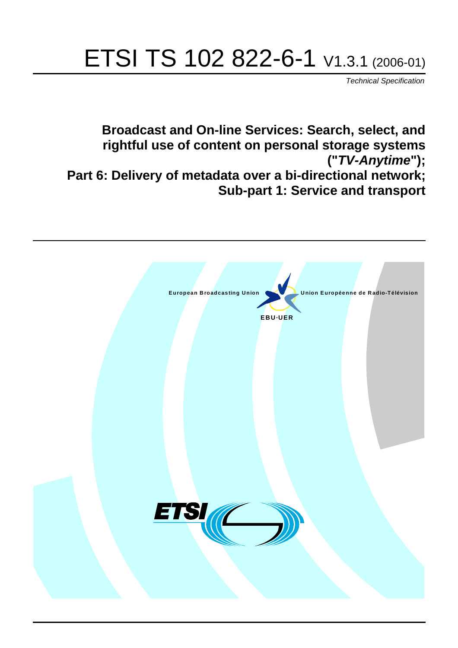# ETSI TS 102 822-6-1 V1.3.1 (2006-01)

Technical Specification

**Broadcast and On-line Services: Search, select, and rightful use of content on personal storage systems ("TV-Anytime"); Part 6: Delivery of metadata over a bi-directional network; Sub-part 1: Service and transport**

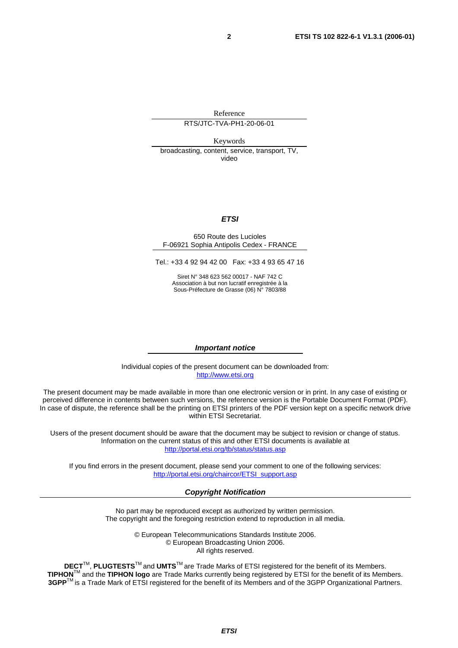Reference RTS/JTC-TVA-PH1-20-06-01

Keywords broadcasting, content, service, transport, TV, video

#### **ETSI**

#### 650 Route des Lucioles F-06921 Sophia Antipolis Cedex - FRANCE

Tel.: +33 4 92 94 42 00 Fax: +33 4 93 65 47 16

Siret N° 348 623 562 00017 - NAF 742 C Association à but non lucratif enregistrée à la Sous-Préfecture de Grasse (06) N° 7803/88

#### **Important notice**

Individual copies of the present document can be downloaded from: [http://www.etsi.org](http://www.etsi.org/)

The present document may be made available in more than one electronic version or in print. In any case of existing or perceived difference in contents between such versions, the reference version is the Portable Document Format (PDF). In case of dispute, the reference shall be the printing on ETSI printers of the PDF version kept on a specific network drive within ETSI Secretariat.

Users of the present document should be aware that the document may be subject to revision or change of status. Information on the current status of this and other ETSI documents is available at <http://portal.etsi.org/tb/status/status.asp>

If you find errors in the present document, please send your comment to one of the following services: [http://portal.etsi.org/chaircor/ETSI\\_support.asp](http://portal.etsi.org/chaircor/ETSI_support.asp)

#### **Copyright Notification**

No part may be reproduced except as authorized by written permission. The copyright and the foregoing restriction extend to reproduction in all media.

> © European Telecommunications Standards Institute 2006. © European Broadcasting Union 2006. All rights reserved.

**DECT**TM, **PLUGTESTS**TM and **UMTS**TM are Trade Marks of ETSI registered for the benefit of its Members. **TIPHON**TM and the **TIPHON logo** are Trade Marks currently being registered by ETSI for the benefit of its Members. **3GPP**TM is a Trade Mark of ETSI registered for the benefit of its Members and of the 3GPP Organizational Partners.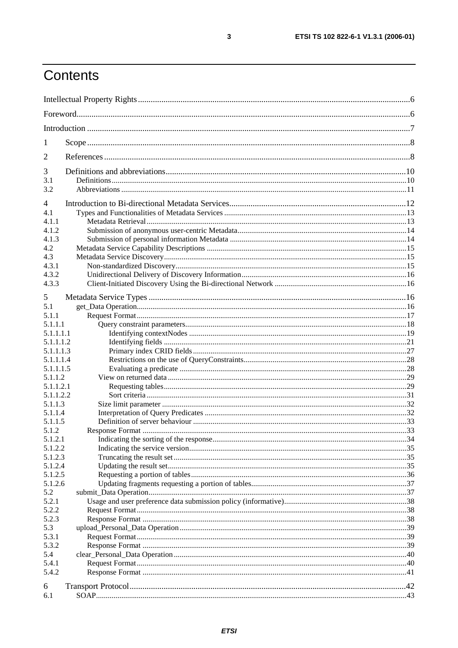# Contents

| 1                  |  |
|--------------------|--|
| $\overline{2}$     |  |
| 3                  |  |
| 3.1                |  |
| 3.2                |  |
| 4                  |  |
| 4.1                |  |
| 4.1.1              |  |
| 4.1.2              |  |
| 4.1.3              |  |
| 4.2                |  |
| 4.3                |  |
| 4.3.1              |  |
| 4.3.2              |  |
| 4.3.3              |  |
| 5                  |  |
| 5.1                |  |
| 5.1.1              |  |
| 5.1.1.1            |  |
| 5.1.1.1.1          |  |
| 5.1.1.1.2          |  |
| 5.1.1.1.3          |  |
| 5.1.1.1.4          |  |
| 5.1.1.1.5          |  |
| 5.1.1.2            |  |
| 5.1.1.2.1          |  |
| 5.1.1.2.2          |  |
| 5.1.1.3            |  |
| 5.1.1.4            |  |
| 5.1.1.5            |  |
| 5.1.2              |  |
| 5.1.2.1<br>5.1.2.2 |  |
| 5.1.2.3            |  |
| 5.1.2.4            |  |
| 5.1.2.5            |  |
| 5.1.2.6            |  |
| 5.2                |  |
| 5.2.1              |  |
| 5.2.2              |  |
| 5.2.3              |  |
| 5.3                |  |
| 5.3.1              |  |
| 5.3.2              |  |
| 5.4                |  |
| 5.4.1              |  |
| 5.4.2              |  |
|                    |  |
| 6                  |  |
| 6.1                |  |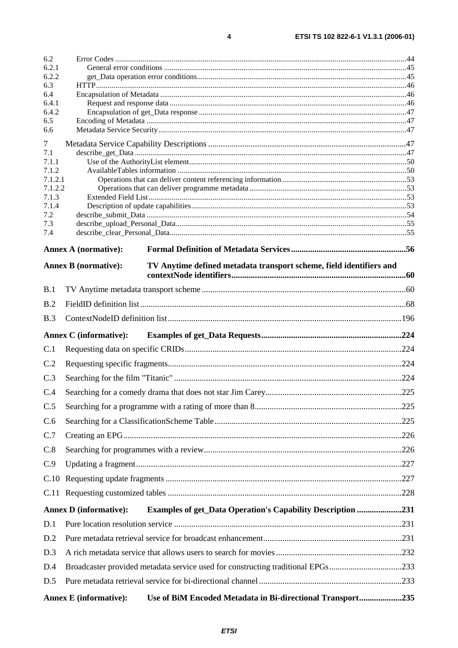| 6.2            |                                                                                                     |  |
|----------------|-----------------------------------------------------------------------------------------------------|--|
| 6.2.1          |                                                                                                     |  |
| 6.2.2          |                                                                                                     |  |
| 6.3<br>6.4     |                                                                                                     |  |
| 6.4.1          |                                                                                                     |  |
| 6.4.2          |                                                                                                     |  |
| 6.5            |                                                                                                     |  |
| 6.6            |                                                                                                     |  |
| $\tau$         |                                                                                                     |  |
| 7.1            |                                                                                                     |  |
| 7.1.1<br>7.1.2 |                                                                                                     |  |
| 7.1.2.1        |                                                                                                     |  |
| 7.1.2.2        |                                                                                                     |  |
| 7.1.3          |                                                                                                     |  |
| 7.1.4          |                                                                                                     |  |
| 7.2<br>7.3     |                                                                                                     |  |
| 7.4            |                                                                                                     |  |
|                |                                                                                                     |  |
|                | <b>Annex A (normative):</b>                                                                         |  |
|                | <b>Annex B</b> (normative):<br>TV Anytime defined metadata transport scheme, field identifiers and  |  |
|                |                                                                                                     |  |
| B.1            |                                                                                                     |  |
| B.2            |                                                                                                     |  |
| B.3            |                                                                                                     |  |
|                | <b>Annex C</b> (informative):                                                                       |  |
|                |                                                                                                     |  |
| C.1            |                                                                                                     |  |
| C.2            |                                                                                                     |  |
| C.3            |                                                                                                     |  |
| C.4            |                                                                                                     |  |
| C.5            |                                                                                                     |  |
| C.6            |                                                                                                     |  |
| C.7            |                                                                                                     |  |
| C.8            |                                                                                                     |  |
|                |                                                                                                     |  |
| C.9            |                                                                                                     |  |
| C.10           |                                                                                                     |  |
|                |                                                                                                     |  |
|                |                                                                                                     |  |
|                | <b>Annex D</b> (informative):<br><b>Examples of get_Data Operation's Capability Description 231</b> |  |
| D.1            |                                                                                                     |  |
| D.2            |                                                                                                     |  |
| D.3            |                                                                                                     |  |
| D.4            | Broadcaster provided metadata service used for constructing traditional EPGs233                     |  |
| D.5            |                                                                                                     |  |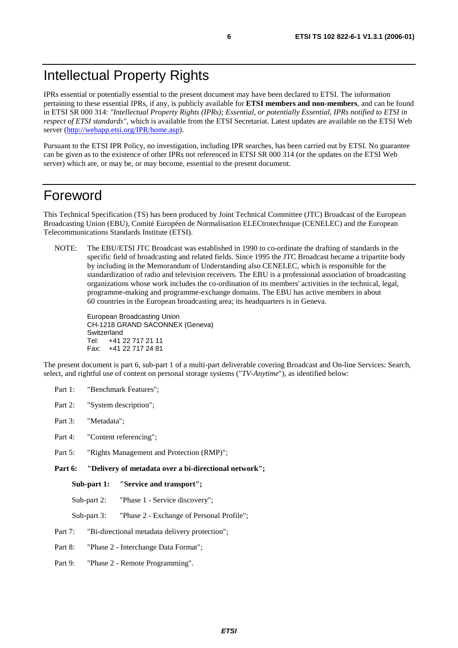# Intellectual Property Rights

IPRs essential or potentially essential to the present document may have been declared to ETSI. The information pertaining to these essential IPRs, if any, is publicly available for **ETSI members and non-members**, and can be found in ETSI SR 000 314: *"Intellectual Property Rights (IPRs); Essential, or potentially Essential, IPRs notified to ETSI in respect of ETSI standards"*, which is available from the ETSI Secretariat. Latest updates are available on the ETSI Web server [\(http://webapp.etsi.org/IPR/home.asp\)](http://webapp.etsi.org/IPR/home.asp).

Pursuant to the ETSI IPR Policy, no investigation, including IPR searches, has been carried out by ETSI. No guarantee can be given as to the existence of other IPRs not referenced in ETSI SR 000 314 (or the updates on the ETSI Web server) which are, or may be, or may become, essential to the present document.

# Foreword

This Technical Specification (TS) has been produced by Joint Technical Committee (JTC) Broadcast of the European Broadcasting Union (EBU), Comité Européen de Normalisation ELECtrotechnique (CENELEC) and the European Telecommunications Standards Institute (ETSI).

NOTE: The EBU/ETSI JTC Broadcast was established in 1990 to co-ordinate the drafting of standards in the specific field of broadcasting and related fields. Since 1995 the JTC Broadcast became a tripartite body by including in the Memorandum of Understanding also CENELEC, which is responsible for the standardization of radio and television receivers. The EBU is a professional association of broadcasting organizations whose work includes the co-ordination of its members' activities in the technical, legal, programme-making and programme-exchange domains. The EBU has active members in about 60 countries in the European broadcasting area; its headquarters is in Geneva.

European Broadcasting Union CH-1218 GRAND SACONNEX (Geneva) Switzerland Tel: +41 22 717 21 11 Fax: +41 22 717 24 81

The present document is part 6, sub-part 1 of a multi-part deliverable covering Broadcast and On-line Services: Search, select, and rightful use of content on personal storage systems ("*TV-Anytime*"), as identified below:

- Part 1: "Benchmark Features";
- Part 2: "System description";
- Part 3: "Metadata";
- Part 4: "Content referencing":
- Part 5: "Rights Management and Protection (RMP)";
- **Part 6: "Delivery of metadata over a bi-directional network";** 
	- **Sub-part 1: "Service and transport";**
	- Sub-part 2: "Phase 1 Service discovery";
	- Sub-part 3: "Phase 2 Exchange of Personal Profile";
- Part 7: "Bi-directional metadata delivery protection";
- Part 8: "Phase 2 Interchange Data Format";
- Part 9: "Phase 2 Remote Programming".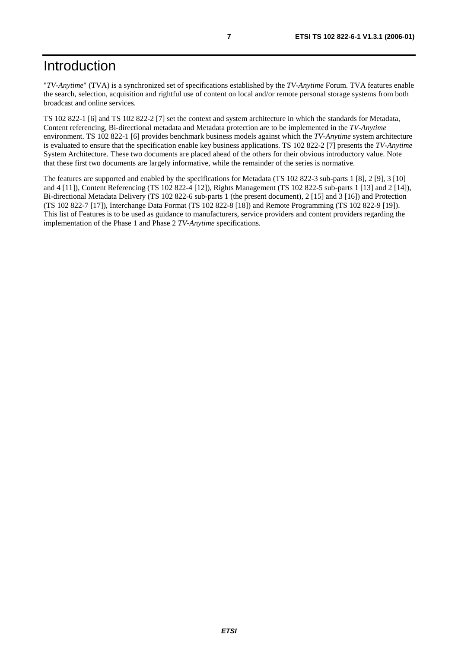"*TV-Anytime*" (TVA) is a synchronized set of specifications established by the *TV-Anytime* Forum. TVA features enable the search, selection, acquisition and rightful use of content on local and/or remote personal storage systems from both broadcast and online services.

TS 102 822-1 [6] and TS 102 822-2 [7] set the context and system architecture in which the standards for Metadata, Content referencing, Bi-directional metadata and Metadata protection are to be implemented in the *TV-Anytime* environment. TS 102 822-1 [6] provides benchmark business models against which the *TV-Anytime* system architecture is evaluated to ensure that the specification enable key business applications. TS 102 822-2 [7] presents the *TV-Anytime* System Architecture. These two documents are placed ahead of the others for their obvious introductory value. Note that these first two documents are largely informative, while the remainder of the series is normative.

The features are supported and enabled by the specifications for Metadata (TS 102 822-3 sub-parts 1 [8], 2 [9], 3 [10] and 4 [11]), Content Referencing (TS 102 822-4 [12]), Rights Management (TS 102 822-5 sub-parts 1 [13] and 2 [14]), Bi-directional Metadata Delivery (TS 102 822-6 sub-parts 1 (the present document), 2 [15] and 3 [16]) and Protection (TS 102 822-7 [17]), Interchange Data Format (TS 102 822-8 [18]) and Remote Programming (TS 102 822-9 [19]). This list of Features is to be used as guidance to manufacturers, service providers and content providers regarding the implementation of the Phase 1 and Phase 2 *TV-Anytime* specifications.

**ETSI**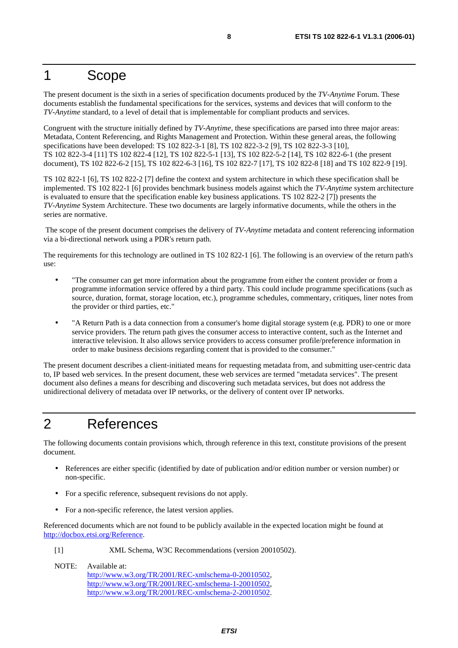# 1 Scope

The present document is the sixth in a series of specification documents produced by the *TV-Anytime* Forum. These documents establish the fundamental specifications for the services, systems and devices that will conform to the *TV-Anytime* standard, to a level of detail that is implementable for compliant products and services.

Congruent with the structure initially defined by *TV-Anytime*, these specifications are parsed into three major areas: Metadata, Content Referencing, and Rights Management and Protection. Within these general areas, the following specifications have been developed: TS 102 822-3-1 [8], TS 102 822-3-2 [9], TS 102 822-3-3 [10], TS 102 822-3-4 [11] TS 102 822-4 [12], TS 102 822-5-1 [13], TS 102 822-5-2 [14], TS 102 822-6-1 (the present document), TS 102 822-6-2 [15], TS 102 822-6-3 [16], TS 102 822-7 [17], TS 102 822-8 [18] and TS 102 822-9 [19].

TS 102 822-1 [6], TS 102 822-2 [7] define the context and system architecture in which these specification shall be implemented. TS 102 822-1 [6] provides benchmark business models against which the *TV-Anytime* system architecture is evaluated to ensure that the specification enable key business applications. TS 102 822-2 [7]) presents the *TV-Anytime* System Architecture. These two documents are largely informative documents, while the others in the series are normative.

 The scope of the present document comprises the delivery of *TV-Anytime* metadata and content referencing information via a bi-directional network using a PDR's return path.

The requirements for this technology are outlined in TS 102 822-1 [6]. The following is an overview of the return path's use:

- "The consumer can get more information about the programme from either the content provider or from a programme information service offered by a third party. This could include programme specifications (such as source, duration, format, storage location, etc.), programme schedules, commentary, critiques, liner notes from the provider or third parties, etc."
- "A Return Path is a data connection from a consumer's home digital storage system (e.g. PDR) to one or more service providers. The return path gives the consumer access to interactive content, such as the Internet and interactive television. It also allows service providers to access consumer profile/preference information in order to make business decisions regarding content that is provided to the consumer."

The present document describes a client-initiated means for requesting metadata from, and submitting user-centric data to, IP based web services. In the present document, these web services are termed "metadata services". The present document also defines a means for describing and discovering such metadata services, but does not address the unidirectional delivery of metadata over IP networks, or the delivery of content over IP networks.

# 2 References

The following documents contain provisions which, through reference in this text, constitute provisions of the present document.

- References are either specific (identified by date of publication and/or edition number or version number) or non-specific.
- For a specific reference, subsequent revisions do not apply.
- For a non-specific reference, the latest version applies.

Referenced documents which are not found to be publicly available in the expected location might be found at <http://docbox.etsi.org/Reference>.

[1] XML Schema, W3C Recommendations (version 20010502).

NOTE: Available at: <http://www.w3.org/TR/2001/REC-xmlschema-0-20010502>, <http://www.w3.org/TR/2001/REC-xmlschema-1-20010502>, [http://www.w3.org/TR/2001/REC-xmlschema-2-20010502](http://www.w3.org/XML/Schema).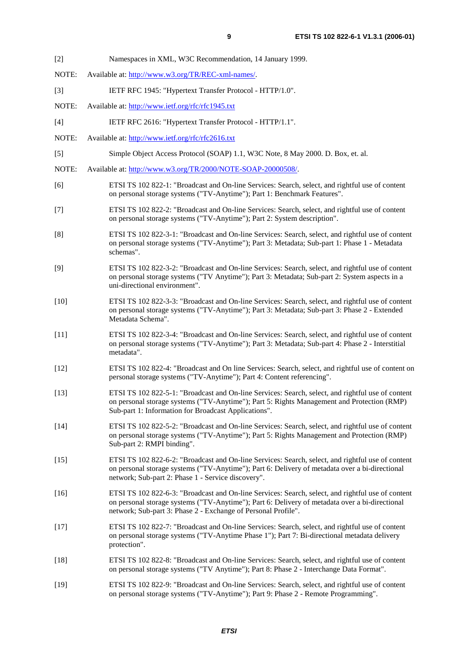[2] Namespaces in XML, W3C Recommendation, 14 January 1999.

| NOTE:  | Available at: http://www.w3.org/TR/REC-xml-names/.                                                                                                                                                                                                                   |
|--------|----------------------------------------------------------------------------------------------------------------------------------------------------------------------------------------------------------------------------------------------------------------------|
| $[3]$  | IETF RFC 1945: "Hypertext Transfer Protocol - HTTP/1.0".                                                                                                                                                                                                             |
| NOTE:  | Available at: http://www.ietf.org/rfc/rfc1945.txt                                                                                                                                                                                                                    |
| $[4]$  | IETF RFC 2616: "Hypertext Transfer Protocol - HTTP/1.1".                                                                                                                                                                                                             |
| NOTE:  | Available at: http://www.ietf.org/rfc/rfc2616.txt                                                                                                                                                                                                                    |
| $[5]$  | Simple Object Access Protocol (SOAP) 1.1, W3C Note, 8 May 2000. D. Box, et. al.                                                                                                                                                                                      |
| NOTE:  | Available at: http://www.w3.org/TR/2000/NOTE-SOAP-20000508/.                                                                                                                                                                                                         |
| [6]    | ETSI TS 102 822-1: "Broadcast and On-line Services: Search, select, and rightful use of content<br>on personal storage systems ("TV-Anytime"); Part 1: Benchmark Features".                                                                                          |
| $[7]$  | ETSI TS 102 822-2: "Broadcast and On-line Services: Search, select, and rightful use of content<br>on personal storage systems ("TV-Anytime"); Part 2: System description".                                                                                          |
| [8]    | ETSI TS 102 822-3-1: "Broadcast and On-line Services: Search, select, and rightful use of content<br>on personal storage systems ("TV-Anytime"); Part 3: Metadata; Sub-part 1: Phase 1 - Metadata<br>schemas".                                                       |
| [9]    | ETSI TS 102 822-3-2: "Broadcast and On-line Services: Search, select, and rightful use of content<br>on personal storage systems ("TV Anytime"); Part 3: Metadata; Sub-part 2: System aspects in a<br>uni-directional environment".                                  |
| $[10]$ | ETSI TS 102 822-3-3: "Broadcast and On-line Services: Search, select, and rightful use of content<br>on personal storage systems ("TV-Anytime"); Part 3: Metadata; Sub-part 3: Phase 2 - Extended<br>Metadata Schema".                                               |
| $[11]$ | ETSI TS 102 822-3-4: "Broadcast and On-line Services: Search, select, and rightful use of content<br>on personal storage systems ("TV-Anytime"); Part 3: Metadata; Sub-part 4: Phase 2 - Interstitial<br>metadata".                                                  |
| $[12]$ | ETSI TS 102 822-4: "Broadcast and On line Services: Search, select, and rightful use of content on<br>personal storage systems ("TV-Anytime"); Part 4: Content referencing".                                                                                         |
| $[13]$ | ETSI TS 102 822-5-1: "Broadcast and On-line Services: Search, select, and rightful use of content<br>on personal storage systems ("TV-Anytime"); Part 5: Rights Management and Protection (RMP)<br>Sub-part 1: Information for Broadcast Applications".              |
| $[14]$ | ETSI TS 102 822-5-2: "Broadcast and On-line Services: Search, select, and rightful use of content<br>on personal storage systems ("TV-Anytime"); Part 5: Rights Management and Protection (RMP)<br>Sub-part 2: RMPI binding".                                        |
| $[15]$ | ETSI TS 102 822-6-2: "Broadcast and On-line Services: Search, select, and rightful use of content<br>on personal storage systems ("TV-Anytime"); Part 6: Delivery of metadata over a bi-directional<br>network; Sub-part 2: Phase 1 - Service discovery".            |
| $[16]$ | ETSI TS 102 822-6-3: "Broadcast and On-line Services: Search, select, and rightful use of content<br>on personal storage systems ("TV-Anytime"); Part 6: Delivery of metadata over a bi-directional<br>network; Sub-part 3: Phase 2 - Exchange of Personal Profile". |
| $[17]$ | ETSI TS 102 822-7: "Broadcast and On-line Services: Search, select, and rightful use of content<br>on personal storage systems ("TV-Anytime Phase 1"); Part 7: Bi-directional metadata delivery<br>protection".                                                      |
| $[18]$ | ETSI TS 102 822-8: "Broadcast and On-line Services: Search, select, and rightful use of content<br>on personal storage systems ("TV Anytime"); Part 8: Phase 2 - Interchange Data Format".                                                                           |
|        |                                                                                                                                                                                                                                                                      |

[19] ETSI TS 102 822-9: "Broadcast and On-line Services: Search, select, and rightful use of content on personal storage systems ("TV-Anytime"); Part 9: Phase 2 - Remote Programming".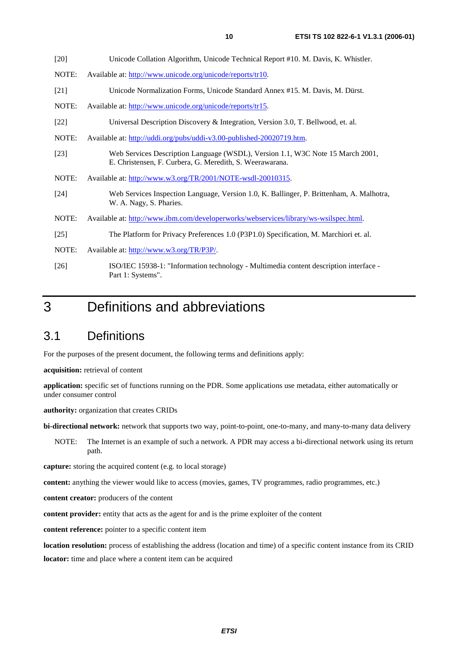| [20]   | Unicode Collation Algorithm, Unicode Technical Report #10. M. Davis, K. Whistler.                                                          |
|--------|--------------------------------------------------------------------------------------------------------------------------------------------|
| NOTE:  | Available at: http://www.unicode.org/unicode/reports/tr10.                                                                                 |
| $[21]$ | Unicode Normalization Forms, Unicode Standard Annex #15. M. Davis, M. Dürst.                                                               |
| NOTE:  | Available at: http://www.unicode.org/unicode/reports/tr15.                                                                                 |
| $[22]$ | Universal Description Discovery & Integration, Version 3.0, T. Bellwood, et. al.                                                           |
| NOTE:  | Available at: http://uddi.org/pubs/uddi-v3.00-published-20020719.htm.                                                                      |
| $[23]$ | Web Services Description Language (WSDL), Version 1.1, W3C Note 15 March 2001,<br>E. Christensen, F. Curbera, G. Meredith, S. Weerawarana. |
| NOTE:  | Available at: http://www.w3.org/TR/2001/NOTE-wsdl-20010315.                                                                                |
| $[24]$ | Web Services Inspection Language, Version 1.0, K. Ballinger, P. Brittenham, A. Malhotra,<br>W. A. Nagy, S. Pharies.                        |
| NOTE:  | Available at: http://www.ibm.com/developerworks/webservices/library/ws-wsilspec.html.                                                      |
| $[25]$ | The Platform for Privacy Preferences 1.0 (P3P1.0) Specification, M. Marchiori et. al.                                                      |
| NOTE:  | Available at: http://www.w3.org/TR/P3P/.                                                                                                   |
| $[26]$ | ISO/IEC 15938-1: "Information technology - Multimedia content description interface -<br>Part 1: Systems".                                 |

# 3 Definitions and abbreviations

# 3.1 Definitions

For the purposes of the present document, the following terms and definitions apply:

**acquisition:** retrieval of content

**application:** specific set of functions running on the PDR. Some applications use metadata, either automatically or under consumer control

**authority:** organization that creates CRIDs

**bi-directional network:** network that supports two way, point-to-point, one-to-many, and many-to-many data delivery

NOTE: The Internet is an example of such a network. A PDR may access a bi-directional network using its return path.

**capture:** storing the acquired content (e.g. to local storage)

**content:** anything the viewer would like to access (movies, games, TV programmes, radio programmes, etc.)

**content creator:** producers of the content

**content provider:** entity that acts as the agent for and is the prime exploiter of the content

**content reference:** pointer to a specific content item

**location resolution:** process of establishing the address (location and time) of a specific content instance from its CRID **locator:** time and place where a content item can be acquired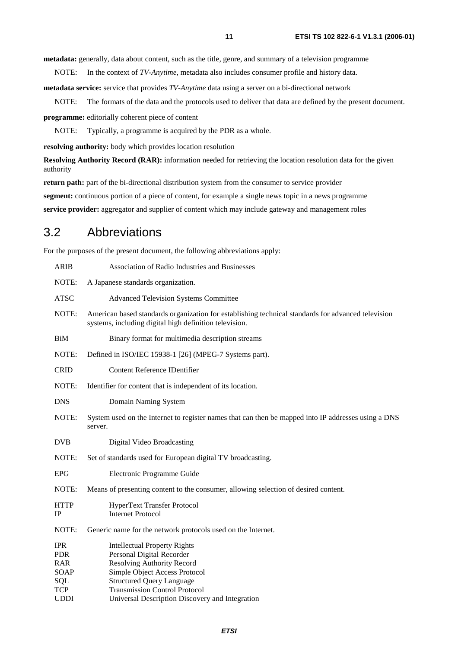**metadata:** generally, data about content, such as the title, genre, and summary of a television programme

NOTE: In the context of *TV-Anytime*, metadata also includes consumer profile and history data.

**metadata service:** service that provides *TV-Anytime* data using a server on a bi-directional network

NOTE: The formats of the data and the protocols used to deliver that data are defined by the present document.

**programme:** editorially coherent piece of content

NOTE: Typically, a programme is acquired by the PDR as a whole.

**resolving authority:** body which provides location resolution

**Resolving Authority Record (RAR):** information needed for retrieving the location resolution data for the given authority

return path: part of the bi-directional distribution system from the consumer to service provider

**segment:** continuous portion of a piece of content, for example a single news topic in a news programme

**service provider:** aggregator and supplier of content which may include gateway and management roles

### 3.2 Abbreviations

For the purposes of the present document, the following abbreviations apply:

| <b>ARIB</b>                                                         | <b>Association of Radio Industries and Businesses</b>                                                                                                                                                              |
|---------------------------------------------------------------------|--------------------------------------------------------------------------------------------------------------------------------------------------------------------------------------------------------------------|
| NOTE:                                                               | A Japanese standards organization.                                                                                                                                                                                 |
| <b>ATSC</b>                                                         | <b>Advanced Television Systems Committee</b>                                                                                                                                                                       |
| NOTE:                                                               | American based standards organization for establishing technical standards for advanced television<br>systems, including digital high definition television.                                                       |
| BiM                                                                 | Binary format for multimedia description streams                                                                                                                                                                   |
| NOTE:                                                               | Defined in ISO/IEC 15938-1 [26] (MPEG-7 Systems part).                                                                                                                                                             |
| <b>CRID</b>                                                         | <b>Content Reference IDentifier</b>                                                                                                                                                                                |
| NOTE:                                                               | Identifier for content that is independent of its location.                                                                                                                                                        |
| <b>DNS</b>                                                          | Domain Naming System                                                                                                                                                                                               |
| NOTE:                                                               | System used on the Internet to register names that can then be mapped into IP addresses using a DNS<br>server.                                                                                                     |
| <b>DVB</b>                                                          | Digital Video Broadcasting                                                                                                                                                                                         |
| NOTE:                                                               | Set of standards used for European digital TV broadcasting.                                                                                                                                                        |
| <b>EPG</b>                                                          | Electronic Programme Guide                                                                                                                                                                                         |
| NOTE:                                                               | Means of presenting content to the consumer, allowing selection of desired content.                                                                                                                                |
| <b>HTTP</b><br>IP                                                   | <b>HyperText Transfer Protocol</b><br><b>Internet Protocol</b>                                                                                                                                                     |
| NOTE:                                                               | Generic name for the network protocols used on the Internet.                                                                                                                                                       |
| <b>IPR</b><br><b>PDR</b><br>RAR<br><b>SOAP</b><br>SQL<br><b>TCP</b> | <b>Intellectual Property Rights</b><br>Personal Digital Recorder<br><b>Resolving Authority Record</b><br>Simple Object Access Protocol<br><b>Structured Query Language</b><br><b>Transmission Control Protocol</b> |
| <b>UDDI</b>                                                         | Universal Description Discovery and Integration                                                                                                                                                                    |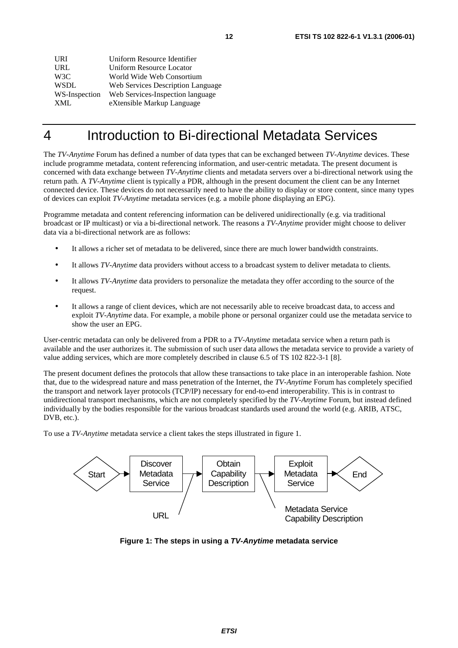| URI              | Uniform Resource Identifier              |
|------------------|------------------------------------------|
| URL              | Uniform Resource Locator                 |
| W <sub>3</sub> C | World Wide Web Consortium                |
| <b>WSDL</b>      | <b>Web Services Description Language</b> |
| WS-Inspection    | Web Services-Inspection language         |
| <b>XML</b>       | eXtensible Markup Language               |

# 4 Introduction to Bi-directional Metadata Services

The *TV-Anytime* Forum has defined a number of data types that can be exchanged between *TV-Anytime* devices. These include programme metadata, content referencing information, and user-centric metadata. The present document is concerned with data exchange between *TV-Anytime* clients and metadata servers over a bi-directional network using the return path. A *TV-Anytime* client is typically a PDR, although in the present document the client can be any Internet connected device. These devices do not necessarily need to have the ability to display or store content, since many types of devices can exploit *TV-Anytime* metadata services (e.g. a mobile phone displaying an EPG).

Programme metadata and content referencing information can be delivered unidirectionally (e.g. via traditional broadcast or IP multicast) or via a bi-directional network. The reasons a *TV-Anytime* provider might choose to deliver data via a bi-directional network are as follows:

- It allows a richer set of metadata to be delivered, since there are much lower bandwidth constraints.
- It allows *TV-Anytime* data providers without access to a broadcast system to deliver metadata to clients.
- It allows *TV-Anytime* data providers to personalize the metadata they offer according to the source of the request.
- It allows a range of client devices, which are not necessarily able to receive broadcast data, to access and exploit *TV-Anytime* data. For example, a mobile phone or personal organizer could use the metadata service to show the user an EPG.

User-centric metadata can only be delivered from a PDR to a *TV-Anytime* metadata service when a return path is available and the user authorizes it. The submission of such user data allows the metadata service to provide a variety of value adding services, which are more completely described in clause 6.5 of TS 102 822-3-1 [8].

The present document defines the protocols that allow these transactions to take place in an interoperable fashion. Note that, due to the widespread nature and mass penetration of the Internet, the *TV-Anytime* Forum has completely specified the transport and network layer protocols (TCP/IP) necessary for end-to-end interoperability. This is in contrast to unidirectional transport mechanisms, which are not completely specified by the *TV-Anytime* Forum, but instead defined individually by the bodies responsible for the various broadcast standards used around the world (e.g. ARIB, ATSC, DVB, etc.).

To use a *TV-Anytime* metadata service a client takes the steps illustrated in figure 1.



**Figure 1: The steps in using a TV-Anytime metadata service**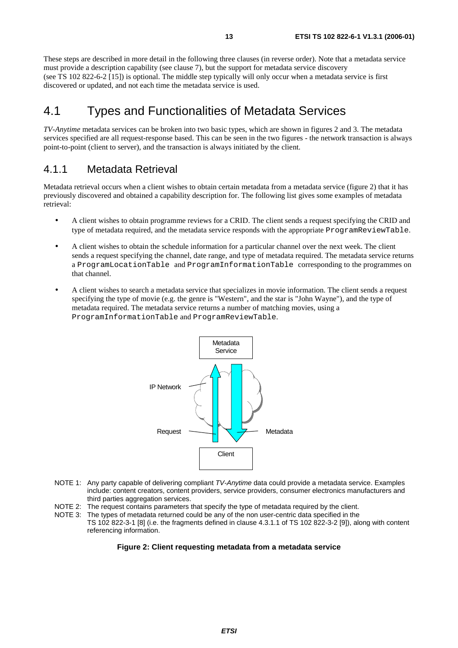These steps are described in more detail in the following three clauses (in reverse order). Note that a metadata service must provide a description capability (see clause 7), but the support for metadata service discovery (see TS 102 822-6-2 [15]) is optional. The middle step typically will only occur when a metadata service is first discovered or updated, and not each time the metadata service is used.

### 4.1 Types and Functionalities of Metadata Services

*TV-Anytime* metadata services can be broken into two basic types, which are shown in figures 2 and 3. The metadata services specified are all request-response based. This can be seen in the two figures - the network transaction is always point-to-point (client to server), and the transaction is always initiated by the client.

### 4.1.1 Metadata Retrieval

Metadata retrieval occurs when a client wishes to obtain certain metadata from a metadata service (figure 2) that it has previously discovered and obtained a capability description for. The following list gives some examples of metadata retrieval:

- A client wishes to obtain programme reviews for a CRID. The client sends a request specifying the CRID and type of metadata required, and the metadata service responds with the appropriate ProgramReviewTable.
- A client wishes to obtain the schedule information for a particular channel over the next week. The client sends a request specifying the channel, date range, and type of metadata required. The metadata service returns a ProgramLocationTable and ProgramInformationTable corresponding to the programmes on that channel.
- A client wishes to search a metadata service that specializes in movie information. The client sends a request specifying the type of movie (e.g. the genre is "Western", and the star is "John Wayne"), and the type of metadata required. The metadata service returns a number of matching movies, using a ProgramInformationTable and ProgramReviewTable.



- NOTE 1: Any party capable of delivering compliant TV-Anytime data could provide a metadata service. Examples include: content creators, content providers, service providers, consumer electronics manufacturers and third parties aggregation services.
- NOTE 2: The request contains parameters that specify the type of metadata required by the client.
- NOTE 3: The types of metadata returned could be any of the non user-centric data specified in the TS 102 822-3-1 [8] (i.e. the fragments defined in clause 4.3.1.1 of TS 102 822-3-2 [9]), along with content referencing information.

#### **Figure 2: Client requesting metadata from a metadata service**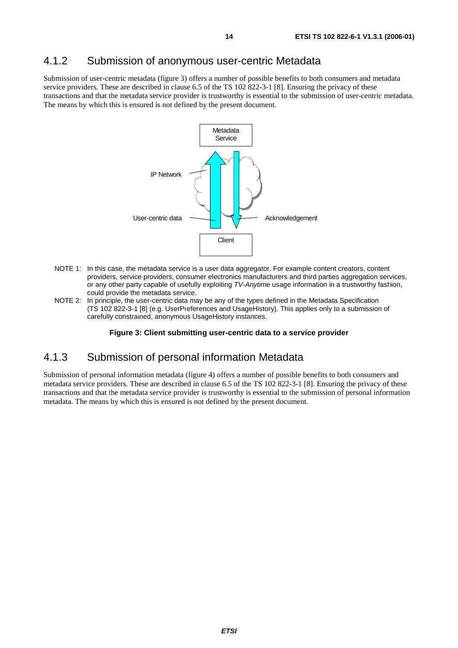### 4.1.2 Submission of anonymous user-centric Metadata

Submission of user-centric metadata (figure 3) offers a number of possible benefits to both consumers and metadata service providers. These are described in clause 6.5 of the TS 102 822-3-1 [8]. Ensuring the privacy of these transactions and that the metadata service provider is trustworthy is essential to the submission of user-centric metadata. The means by which this is ensured is not defined by the present document.



- NOTE 1: In this case, the metadata service is a user data aggregator. For example content creators, content providers, service providers, consumer electronics manufacturers and third parties aggregation services. or any other party capable of usefully exploiting TV-Anytime usage information in a trustworthy fashion, could provide the metadata service.
- NOTE 2: In principle, the user-centric data may be any of the types defined in the Metadata Specification (TS 102 822-3-1 [8] (e.g. UserPreferences and UsageHistory). This applies only to a submission of carefully constrained, anonymous UsageHistory instances.

#### **Figure 3: Client submitting user-centric data to a service provider**

### 4.1.3 Submission of personal information Metadata

Submission of personal information metadata (figure 4) offers a number of possible benefits to both consumers and metadata service providers. These are described in clause 6.5 of the TS 102 822-3-1 [8]. Ensuring the privacy of these transactions and that the metadata service provider is trustworthy is essential to the submission of personal information metadata. The means by which this is ensured is not defined by the present document.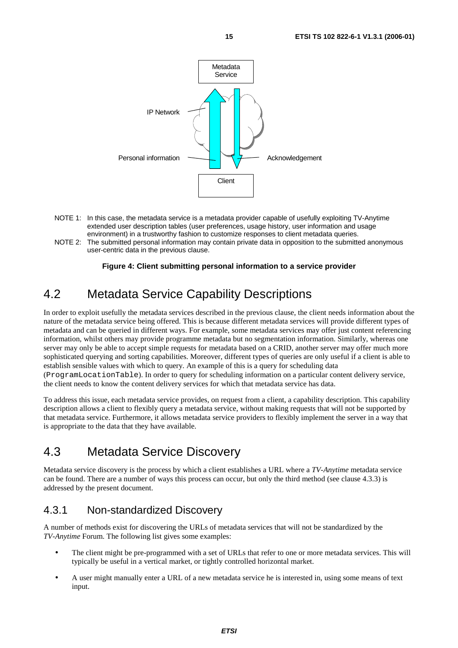

- NOTE 1: In this case, the metadata service is a metadata provider capable of usefully exploiting TV-Anytime extended user description tables (user preferences, usage history, user information and usage environment) in a trustworthy fashion to customize responses to client metadata queries.
- NOTE 2: The submitted personal information may contain private data in opposition to the submitted anonymous user-centric data in the previous clause.

#### **Figure 4: Client submitting personal information to a service provider**

# 4.2 Metadata Service Capability Descriptions

In order to exploit usefully the metadata services described in the previous clause, the client needs information about the nature of the metadata service being offered. This is because different metadata services will provide different types of metadata and can be queried in different ways. For example, some metadata services may offer just content referencing information, whilst others may provide programme metadata but no segmentation information. Similarly, whereas one server may only be able to accept simple requests for metadata based on a CRID, another server may offer much more sophisticated querying and sorting capabilities. Moreover, different types of queries are only useful if a client is able to establish sensible values with which to query. An example of this is a query for scheduling data (ProgramLocationTable). In order to query for scheduling information on a particular content delivery service, the client needs to know the content delivery services for which that metadata service has data.

To address this issue, each metadata service provides, on request from a client, a capability description. This capability description allows a client to flexibly query a metadata service, without making requests that will not be supported by that metadata service. Furthermore, it allows metadata service providers to flexibly implement the server in a way that is appropriate to the data that they have available.

### 4.3 Metadata Service Discovery

Metadata service discovery is the process by which a client establishes a URL where a *TV-Anytime* metadata service can be found. There are a number of ways this process can occur, but only the third method (see clause 4.3.3) is addressed by the present document.

### 4.3.1 Non-standardized Discovery

A number of methods exist for discovering the URLs of metadata services that will not be standardized by the *TV-Anytime* Forum. The following list gives some examples:

- The client might be pre-programmed with a set of URLs that refer to one or more metadata services. This will typically be useful in a vertical market, or tightly controlled horizontal market.
- A user might manually enter a URL of a new metadata service he is interested in, using some means of text input.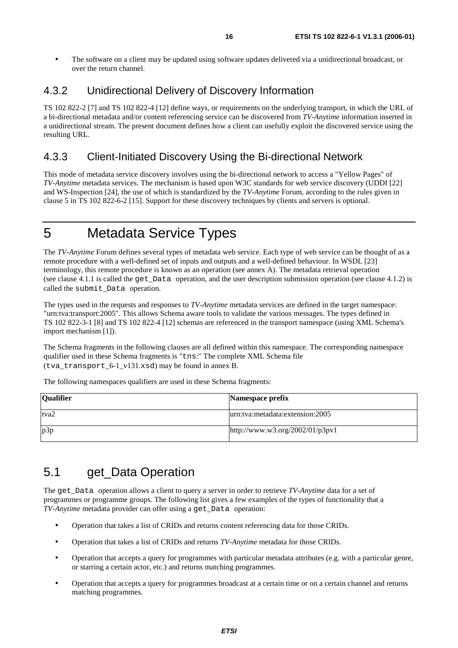• The software on a client may be updated using software updates delivered via a unidirectional broadcast, or over the return channel.

### 4.3.2 Unidirectional Delivery of Discovery Information

TS 102 822-2 [7] and TS 102 822-4 [12] define ways, or requirements on the underlying transport, in which the URL of a bi-directional metadata and/or content referencing service can be discovered from *TV-Anytime* information inserted in a unidirectional stream. The present document defines how a client can usefully exploit the discovered service using the resulting URL.

### 4.3.3 Client-Initiated Discovery Using the Bi-directional Network

This mode of metadata service discovery involves using the bi-directional network to access a "Yellow Pages" of *TV-Anytime* metadata services. The mechanism is based upon W3C standards for web service discovery (UDDI [22] and WS-Inspection [24], the use of which is standardized by the *TV-Anytime* Forum, according to the rules given in clause 5 in TS 102 822-6-2 [15]. Support for these discovery techniques by clients and servers is optional.

# 5 Metadata Service Types

The *TV-Anytime* Forum defines several types of metadata web service. Each type of web service can be thought of as a remote procedure with a well-defined set of inputs and outputs and a well-defined behaviour. In WSDL [23] terminology, this remote procedure is known as an operation (see annex A). The metadata retrieval operation (see clause 4.1.1 is called the get\_Data operation, and the user description submission operation (see clause 4.1.2) is called the submit\_Data operation.

The types used in the requests and responses to *TV-Anytime* metadata services are defined in the target namespace: "urn:tva:transport:2005". This allows Schema aware tools to validate the various messages. The types defined in TS 102 822-3-1 [8] and TS 102 822-4 [12] schemas are referenced in the transport namespace (using XML Schema's import mechanism [1]).

The Schema fragments in the following clauses are all defined within this namespace. The corresponding namespace qualifier used in these Schema fragments is "tns:" The complete XML Schema file (tva\_transport\_6-1\_v131.xsd) may be found in annex B.

The following namespaces qualifiers are used in these Schema fragments:

| <b>Qualifier</b> | Namespace prefix                |
|------------------|---------------------------------|
| tva2             | urn:tva:metadata:extension:2005 |
| p3p              | http://www.w3.org/2002/01/p3pv1 |

# 5.1 get Data Operation

The get\_Data operation allows a client to query a server in order to retrieve *TV-Anytime* data for a set of programmes or programme groups. The following list gives a few examples of the types of functionality that a *TV-Anytime* metadata provider can offer using a get\_Data operation:

- Operation that takes a list of CRIDs and returns content referencing data for those CRIDs.
- Operation that takes a list of CRIDs and returns *TV-Anytime* metadata for those CRIDs.
- Operation that accepts a query for programmes with particular metadata attributes (e.g. with a particular genre, or starring a certain actor, etc.) and returns matching programmes.
- Operation that accepts a query for programmes broadcast at a certain time or on a certain channel and returns matching programmes.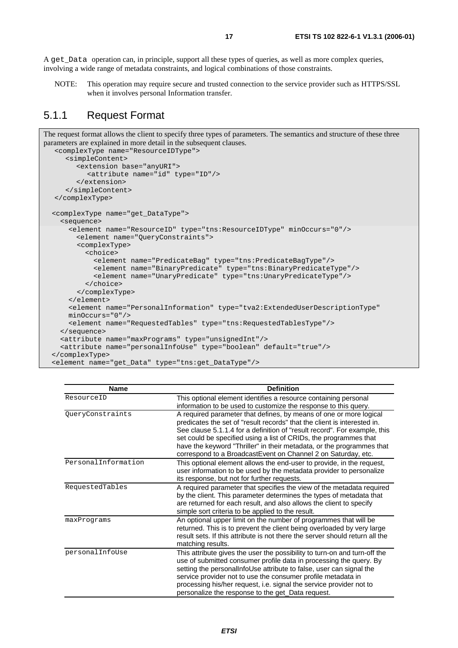A get\_Data operation can, in principle, support all these types of queries, as well as more complex queries, involving a wide range of metadata constraints, and logical combinations of those constraints.

NOTE: This operation may require secure and trusted connection to the service provider such as HTTPS/SSL when it involves personal Information transfer.

### 5.1.1 Request Format

```
The request format allows the client to specify three types of parameters. The semantics and structure of these three 
parameters are explained in more detail in the subsequent clauses.
   <complexType name="ResourceIDType"> 
       <simpleContent> 
          <extension base="anyURI"> 
            <attribute name="id" type="ID"/> 
          </extension> 
       </simpleContent> 
   </complexType> 
   <complexType name="get_DataType"> 
     <sequence> 
       <element name="ResourceID" type="tns:ResourceIDType" minOccurs="0"/> 
          <element name="QueryConstraints"> 
          <complexType> 
            <choice> 
              <element name="PredicateBag" type="tns:PredicateBagType"/> 
              <element name="BinaryPredicate" type="tns:BinaryPredicateType"/> 
              <element name="UnaryPredicate" type="tns:UnaryPredicateType"/> 
            </choice> 
          </complexType> 
       </element> 
       <element name="PersonalInformation" type="tva2:ExtendedUserDescriptionType" 
       minOccurs="0"/> 
       <element name="RequestedTables" type="tns:RequestedTablesType"/> 
     </sequence> 
     <attribute name="maxPrograms" type="unsignedInt"/> 
     <attribute name="personalInfoUse" type="boolean" default="true"/> 
  </complexType> 
  <element name="get_Data" type="tns:get_DataType"/>
```

| <b>Name</b>         | <b>Definition</b>                                                                                                                                                                                                                                                                                                                                                                                                                          |
|---------------------|--------------------------------------------------------------------------------------------------------------------------------------------------------------------------------------------------------------------------------------------------------------------------------------------------------------------------------------------------------------------------------------------------------------------------------------------|
| ResourceID          | This optional element identifies a resource containing personal<br>information to be used to customize the response to this query.                                                                                                                                                                                                                                                                                                         |
| QueryConstraints    | A required parameter that defines, by means of one or more logical<br>predicates the set of "result records" that the client is interested in.<br>See clause 5.1.1.4 for a definition of "result record". For example, this<br>set could be specified using a list of CRIDs, the programmes that<br>have the keyword "Thriller" in their metadata, or the programmes that<br>correspond to a BroadcastEvent on Channel 2 on Saturday, etc. |
| PersonalInformation | This optional element allows the end-user to provide, in the request,<br>user information to be used by the metadata provider to personalize<br>its response, but not for further requests.                                                                                                                                                                                                                                                |
| RequestedTables     | A required parameter that specifies the view of the metadata required<br>by the client. This parameter determines the types of metadata that<br>are returned for each result, and also allows the client to specify<br>simple sort criteria to be applied to the result.                                                                                                                                                                   |
| maxPrograms         | An optional upper limit on the number of programmes that will be<br>returned. This is to prevent the client being overloaded by very large<br>result sets. If this attribute is not there the server should return all the<br>matching results.                                                                                                                                                                                            |
| personalInfoUse     | This attribute gives the user the possibility to turn-on and turn-off the<br>use of submitted consumer profile data in processing the query. By<br>setting the personalInfoUse attribute to false, user can signal the<br>service provider not to use the consumer profile metadata in<br>processing his/her request, i.e. signal the service provider not to<br>personalize the response to the get_Data request.                         |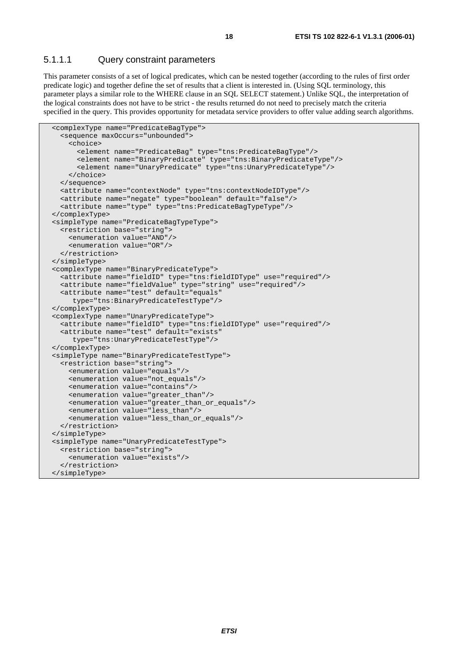### 5.1.1.1 Query constraint parameters

This parameter consists of a set of logical predicates, which can be nested together (according to the rules of first order predicate logic) and together define the set of results that a client is interested in. (Using SQL terminology, this parameter plays a similar role to the WHERE clause in an SQL SELECT statement.) Unlike SQL, the interpretation of the logical constraints does not have to be strict - the results returned do not need to precisely match the criteria specified in the query. This provides opportunity for metadata service providers to offer value adding search algorithms.

```
 <complexType name="PredicateBagType"> 
     <sequence maxOccurs="unbounded"> 
       <choice> 
         <element name="PredicateBag" type="tns:PredicateBagType"/> 
 <element name="BinaryPredicate" type="tns:BinaryPredicateType"/> 
 <element name="UnaryPredicate" type="tns:UnaryPredicateType"/> 
       </choice> 
     </sequence> 
     <attribute name="contextNode" type="tns:contextNodeIDType"/> 
     <attribute name="negate" type="boolean" default="false"/> 
     <attribute name="type" type="tns:PredicateBagTypeType"/> 
   </complexType> 
   <simpleType name="PredicateBagTypeType"> 
     <restriction base="string"> 
       <enumeration value="AND"/> 
       <enumeration value="OR"/> 
     </restriction> 
   </simpleType> 
   <complexType name="BinaryPredicateType"> 
     <attribute name="fieldID" type="tns:fieldIDType" use="required"/> 
     <attribute name="fieldValue" type="string" use="required"/> 
     <attribute name="test" default="equals" 
        type="tns:BinaryPredicateTestType"/> 
   </complexType> 
   <complexType name="UnaryPredicateType"> 
     <attribute name="fieldID" type="tns:fieldIDType" use="required"/> 
     <attribute name="test" default="exists" 
        type="tns:UnaryPredicateTestType"/> 
   </complexType> 
   <simpleType name="BinaryPredicateTestType"> 
     <restriction base="string"> 
       <enumeration value="equals"/> 
       <enumeration value="not_equals"/> 
       <enumeration value="contains"/> 
       <enumeration value="greater_than"/> 
       <enumeration value="greater_than_or_equals"/> 
       <enumeration value="less_than"/> 
       <enumeration value="less_than_or_equals"/> 
     </restriction> 
   </simpleType> 
   <simpleType name="UnaryPredicateTestType"> 
     <restriction base="string"> 
       <enumeration value="exists"/> 
     </restriction> 
   </simpleType>
```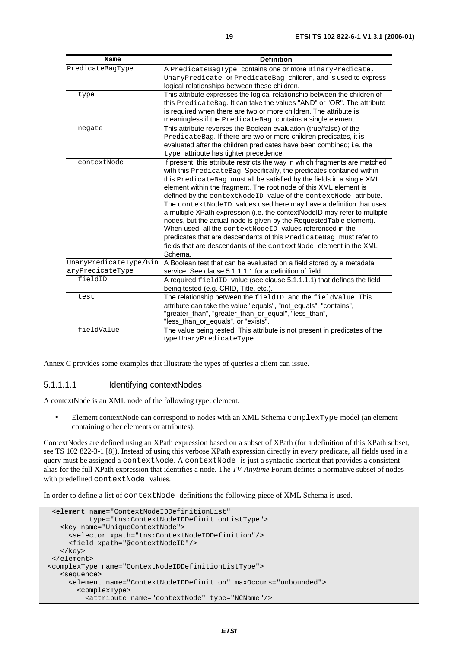| Name             | <b>Definition</b>                                                                           |
|------------------|---------------------------------------------------------------------------------------------|
| PredicateBaqType | A PredicateBagType contains one or more Binary Predicate,                                   |
|                  | UnaryPredicate Of PredicateBag children, and is used to express                             |
|                  | logical relationships between these children.                                               |
| type             | This attribute expresses the logical relationship between the children of                   |
|                  | this PredicateBag. It can take the values "AND" or "OR". The attribute                      |
|                  | is required when there are two or more children. The attribute is                           |
|                  | meaningless if the PredicateBag contains a single element.                                  |
| negate           | This attribute reverses the Boolean evaluation (true/false) of the                          |
|                  | PredicateBag. If there are two or more children predicates, it is                           |
|                  | evaluated after the children predicates have been combined; i.e. the                        |
|                  | type attribute has tighter precedence.                                                      |
| contextNode      | If present, this attribute restricts the way in which fragments are matched                 |
|                  | with this PredicateBag. Specifically, the predicates contained within                       |
|                  | this PredicateBag must all be satisfied by the fields in a single XML                       |
|                  | element within the fragment. The root node of this XML element is                           |
|                  | defined by the context Node ID value of the context Node attribute.                         |
|                  | The contextNodeID values used here may have a definition that uses                          |
|                  | a multiple XPath expression (i.e. the contextNodeID may refer to multiple                   |
|                  | nodes, but the actual node is given by the Requested Table element).                        |
|                  | When used, all the context Node ID values referenced in the                                 |
|                  | predicates that are descendants of this PredicateBag must refer to                          |
|                  | fields that are descendants of the context Node element in the XML                          |
|                  | Schema.                                                                                     |
|                  | UnaryPredicateType/Bin A Boolean test that can be evaluated on a field stored by a metadata |
| aryPredicateType | service. See clause 5.1.1.1.1 for a definition of field.                                    |
| fieldID          | A required fieldID value (see clause 5.1.1.1.1) that defines the field                      |
|                  | being tested (e.g. CRID, Title, etc.).                                                      |
| test             | The relationship between the fieldID and the fieldValue. This                               |
|                  | attribute can take the value "equals", "not_equals", "contains",                            |
|                  | "greater_than", "greater_than_or_equal", "less_than",                                       |
|                  | "less_than_or_equals", or "exists".                                                         |
| fieldValue       | The value being tested. This attribute is not present in predicates of the                  |
|                  | type UnaryPredicateType.                                                                    |

Annex C provides some examples that illustrate the types of queries a client can issue.

#### 5.1.1.1.1 Identifying contextNodes

A contextNode is an XML node of the following type: element.

• Element contextNode can correspond to nodes with an XML Schema complexType model (an element containing other elements or attributes).

ContextNodes are defined using an XPath expression based on a subset of XPath (for a definition of this XPath subset, see TS 102 822-3-1 [8]). Instead of using this verbose XPath expression directly in every predicate, all fields used in a query must be assigned a contextNode. A contextNode is just a syntactic shortcut that provides a consistent alias for the full XPath expression that identifies a node. The *TV-Anytime* Forum defines a normative subset of nodes with predefined contextNode values.

In order to define a list of contextNode definitions the following piece of XML Schema is used.

```
 <element name="ContextNodeIDDefinitionList" 
           type="tns:ContextNodeIDDefinitionListType"> 
    <key name="UniqueContextNode"> 
      <selector xpath="tns:ContextNodeIDDefinition"/> 
      <field xpath="@contextNodeID"/> 
   </key> 
 </element> 
 <complexType name="ContextNodeIDDefinitionListType"> 
    <sequence> 
      <element name="ContextNodeIDDefinition" maxOccurs="unbounded"> 
        <complexType> 
          <attribute name="contextNode" type="NCName"/>
```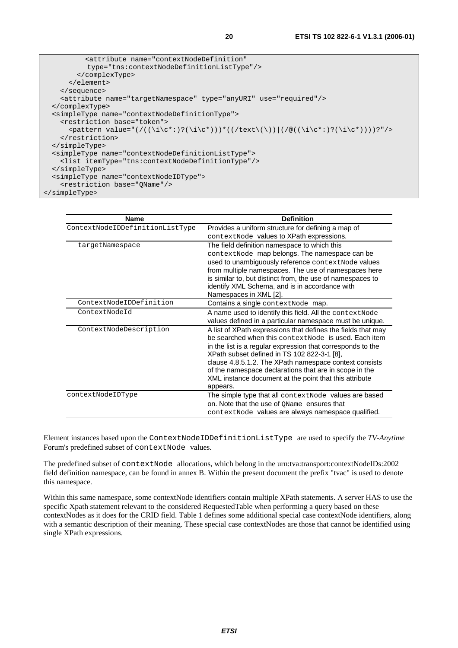| sattribute name="contextNodeDefinition"                                     |
|-----------------------------------------------------------------------------|
| type="tns:contextNodeDefinitionListType"/>                                  |
|                                                                             |
| $\langle$ /element>                                                         |
| $\langle$ sequence>                                                         |
| <attribute name="targetNamespace" type="anyURI" use="required"></attribute> |
|                                                                             |
| <simpletype name="contextNodeDefinitionType"></simpletype>                  |
| <restriction base="token"></restriction>                                    |
|                                                                             |
|                                                                             |
|                                                                             |
| <simpletype name="contextNodeDefinitionListType"></simpletype>              |
| <list itemtype="tns:contextNodeDefinitionType"></list>                      |
| $\langle$ simpleType>                                                       |
| <simpletype name="contextNodeIDType"></simpletype>                          |
| <restriction base="OName"></restriction>                                    |
|                                                                             |

| <b>Name</b>                     | <b>Definition</b>                                                                                                                                                                                                                                                                                                                                      |
|---------------------------------|--------------------------------------------------------------------------------------------------------------------------------------------------------------------------------------------------------------------------------------------------------------------------------------------------------------------------------------------------------|
| ContextNodeIDDefinitionListType | Provides a uniform structure for defining a map of<br>contextNode values to XPath expressions.                                                                                                                                                                                                                                                         |
| targetNamespace                 | The field definition namespace to which this<br>contextNode map belongs. The namespace can be<br>used to unambiguously reference contextNode values<br>from multiple namespaces. The use of namespaces here<br>is similar to, but distinct from, the use of namespaces to<br>identify XML Schema, and is in accordance with<br>Namespaces in XML [2].  |
| ContextNodeIDDefinition         | Contains a single context Node map.                                                                                                                                                                                                                                                                                                                    |
| ContextNodeId                   | A name used to identify this field. All the context Node<br>values defined in a particular namespace must be unique.                                                                                                                                                                                                                                   |
| ContextNodeDescription          | A list of XPath expressions that defines the fields that may<br>be searched when this contextNode is used. Each item<br>in the list is a regular expression that corresponds to the<br>XPath subset defined in TS 102 822-3-1 [8],<br>clause 4.8.5.1.2. The XPath namespace context consists<br>of the namespace declarations that are in scope in the |

appears. contextNodeIDType The simple type that all contextNode values are based on. Note that the use of QName ensures that contextNode values are always namespace qualified.

XML instance document at the point that this attribute

Element instances based upon the ContextNodeIDDefinitionListType are used to specify the *TV-Anytime* Forum's predefined subset of contextNode values.

The predefined subset of contextNode allocations, which belong in the urn:tva:transport:contextNodeIDs:2002 field definition namespace, can be found in annex B. Within the present document the prefix "tvac" is used to denote this namespace.

Within this same namespace, some contextNode identifiers contain multiple XPath statements. A server HAS to use the specific Xpath statement relevant to the considered RequestedTable when performing a query based on these contextNodes as it does for the CRID field. Table 1 defines some additional special case contextNode identifiers, along with a semantic description of their meaning. These special case contextNodes are those that cannot be identified using single XPath expressions.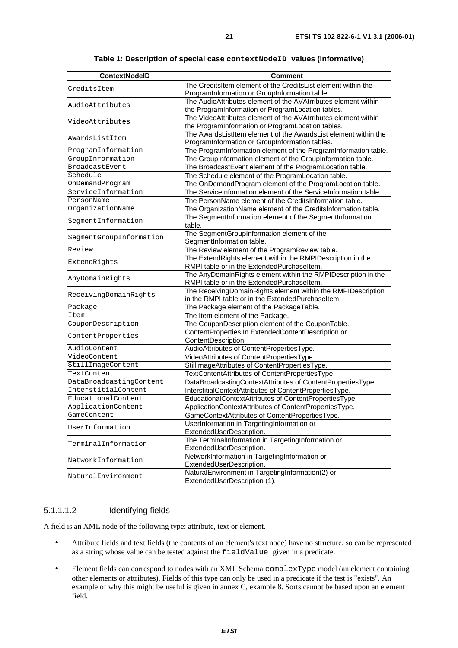| <b>ContextNodelD</b>    | <b>Comment</b>                                                                                                      |
|-------------------------|---------------------------------------------------------------------------------------------------------------------|
| CreditsItem             | The CreditsItem element of the CreditsList element within the<br>ProgramInformation or GroupInformation table.      |
| AudioAttributes         | The AudioAttributes element of the AVAtrributes element within<br>the ProgramInformation or ProgramLocation tables. |
| VideoAttributes         | The VideoAttributes element of the AVAtrributes element within<br>the ProgramInformation or ProgramLocation tables. |
| AwardsListItem          | The AwardsListItem element of the AwardsList element within the<br>ProgramInformation or GroupInformation tables.   |
| ProgramInformation      | The ProgramInformation element of the ProgramInformation table.                                                     |
| GroupInformation        | The GroupInformation element of the GroupInformation table.                                                         |
| BroadcastEvent          | The BroadcastEvent element of the ProgramLocation table.                                                            |
| Schedule                | The Schedule element of the ProgramLocation table.                                                                  |
| OnDemandProgram         | The OnDemandProgram element of the ProgramLocation table.                                                           |
| ServiceInformation      | The ServiceInformation element of the ServiceInformation table.                                                     |
| PersonName              | The PersonName element of the CreditsInformation table.                                                             |
| OrganizationName        | The OrganizationName element of the CreditsInformation table.                                                       |
| SegmentInformation      | The SegmentInformation element of the SegmentInformation<br>table.                                                  |
| SegmentGroupInformation | The SegmentGroupInformation element of the<br>SegmentInformation table.                                             |
| Review                  | The Review element of the ProgramReview table.                                                                      |
| ExtendRights            | The ExtendRights element within the RMPIDescription in the<br>RMPI table or in the ExtendedPurchaseItem.            |
| AnyDomainRights         | The AnyDomainRights element within the RMPIDescription in the<br>RMPI table or in the ExtendedPurchaseItem.         |
| ReceivingDomainRights   | The ReceivingDomainRights element within the RMPIDescription<br>in the RMPI table or in the ExtendedPurchaseItem.   |
| Package                 | The Package element of the PackageTable.                                                                            |
| Item                    | The Item element of the Package.                                                                                    |
| CouponDescription       | The CouponDescription element of the CouponTable.                                                                   |
| ContentProperties       | ContentProperties In ExtendedContentDescription or<br>ContentDescription.                                           |
| AudioContent            | AudioAttributes of ContentPropertiesType.                                                                           |
| VideoContent            | VideoAttributes of ContentPropertiesType.                                                                           |
| StillImageContent       | StillImageAttributes of ContentPropertiesType.                                                                      |
| TextContent             | TextContentAttributes of ContentPropertiesType.                                                                     |
| DataBroadcastingContent | DataBroadcastingContextAttributes of ContentPropertiesType.                                                         |
| InterstitialContent     | InterstitialContextAttributes of ContentPropertiesType.                                                             |
| EducationalContent      | EducationalContextAttributes of ContentPropertiesType.                                                              |
| ApplicationContent      | ApplicationContextAttributes of ContentPropertiesType.                                                              |
| GameContent             | GameContextAttributes of ContentPropertiesType.                                                                     |
| UserInformation         | UserInformation in TargetingInformation or<br>ExtendedUserDescription.                                              |
| TerminalInformation     | The TerminalInformation in TargetingInformation or<br>ExtendedUserDescription.                                      |
| NetworkInformation      | NetworkInformation in TargetingInformation or<br>ExtendedUserDescription.                                           |
| NaturalEnvironment      | NaturalEnvironment in TargetingInformation(2) or<br>ExtendedUserDescription (1).                                    |

#### **Table 1: Description of special case contextNodeID values (informative)**

### 5.1.1.1.2 Identifying fields

A field is an XML node of the following type: attribute, text or element.

- Attribute fields and text fields (the contents of an element's text node) have no structure, so can be represented as a string whose value can be tested against the fieldValue given in a predicate.
- Element fields can correspond to nodes with an XML Schema complexType model (an element containing other elements or attributes). Fields of this type can only be used in a predicate if the test is "exists". An example of why this might be useful is given in annex C, example 8. Sorts cannot be based upon an element field.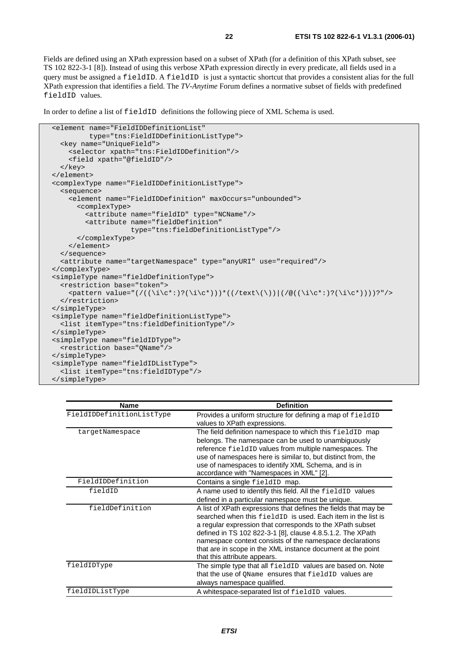Fields are defined using an XPath expression based on a subset of XPath (for a definition of this XPath subset, see TS 102 822-3-1 [8]). Instead of using this verbose XPath expression directly in every predicate, all fields used in a query must be assigned a fieldID. A fieldID is just a syntactic shortcut that provides a consistent alias for the full XPath expression that identifies a field. The *TV-Anytime* Forum defines a normative subset of fields with predefined fieldID values.

In order to define a list of fieldID definitions the following piece of XML Schema is used.

```
 <element name="FieldIDDefinitionList" 
          type="tns:FieldIDDefinitionListType"> 
   <key name="UniqueField"> 
     <selector xpath="tns:FieldIDDefinition"/> 
     <field xpath="@fieldID"/> 
   </key> 
 </element> 
 <complexType name="FieldIDDefinitionListType"> 
   <sequence> 
     <element name="FieldIDDefinition" maxOccurs="unbounded"> 
       <complexType> 
         <attribute name="fieldID" type="NCName"/> 
         <attribute name="fieldDefinition" 
                     type="tns:fieldDefinitionListType"/> 
       </complexType> 
     </element> 
   </sequence> 
   <attribute name="targetNamespace" type="anyURI" use="required"/> 
 </complexType> 
 <simpleType name="fieldDefinitionType"> 
  <restriction base="token"> 
    \zeta <pattern value="(/((\i\c*:)?(\i\c*)))*((/text\(\))|(/@((\i\c*:)?(\i\c*))))?"/>
  </restriction> 
 </simpleType> 
 <simpleType name="fieldDefinitionListType"> 
   <list itemType="tns:fieldDefinitionType"/> 
 </simpleType> 
 <simpleType name="fieldIDType"> 
   <restriction base="QName"/> 
 </simpleType> 
 <simpleType name="fieldIDListType"> 
   <list itemType="tns:fieldIDType"/> 
 </simpleType>
```

| <b>Name</b>               | <b>Definition</b>                                                                                                                                                                                                                                                                                                                                                                                                     |
|---------------------------|-----------------------------------------------------------------------------------------------------------------------------------------------------------------------------------------------------------------------------------------------------------------------------------------------------------------------------------------------------------------------------------------------------------------------|
| FieldIDDefinitionListType | Provides a uniform structure for defining a map of fieldID<br>values to XPath expressions.                                                                                                                                                                                                                                                                                                                            |
| targetNamespace           | The field definition namespace to which this fieldID map<br>belongs. The namespace can be used to unambiguously<br>reference fieldID values from multiple namespaces. The<br>use of namespaces here is similar to, but distinct from, the<br>use of namespaces to identify XML Schema, and is in<br>accordance with "Namespaces in XML" [2].                                                                          |
| FieldIDDefinition         | Contains a single fieldID map.                                                                                                                                                                                                                                                                                                                                                                                        |
| fieldID                   | A name used to identify this field. All the fieldID values<br>defined in a particular namespace must be unique.                                                                                                                                                                                                                                                                                                       |
| fieldDefinition           | A list of XPath expressions that defines the fields that may be<br>searched when this fieldID is used. Each item in the list is<br>a regular expression that corresponds to the XPath subset<br>defined in TS 102 822-3-1 [8], clause 4.8.5.1.2. The XPath<br>namespace context consists of the namespace declarations<br>that are in scope in the XML instance document at the point<br>that this attribute appears. |
| fieldIDType               | The simple type that all fieldID values are based on. Note<br>that the use of OName ensures that fieldID values are<br>always namespace qualified.                                                                                                                                                                                                                                                                    |
| fieldIDListType           | A whitespace-separated list of fieldID values.                                                                                                                                                                                                                                                                                                                                                                        |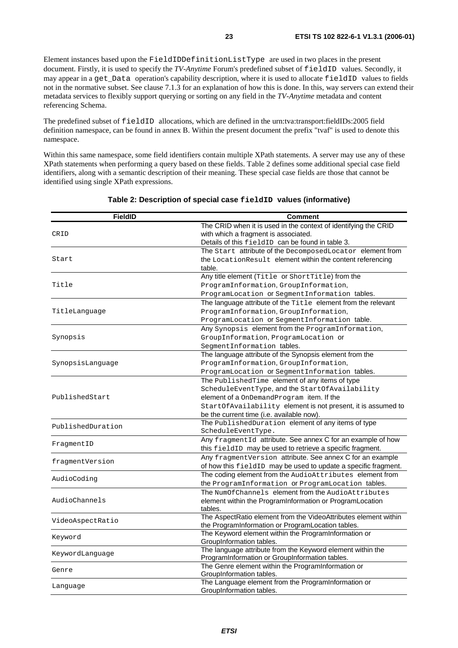Element instances based upon the FieldIDDefinitionListType are used in two places in the present document. Firstly, it is used to specify the *TV-Anytime* Forum's predefined subset of fieldID values. Secondly, it may appear in a get\_Data operation's capability description, where it is used to allocate fieldID values to fields not in the normative subset. See clause 7.1.3 for an explanation of how this is done. In this, way servers can extend their metadata services to flexibly support querying or sorting on any field in the *TV-Anytime* metadata and content referencing Schema.

The predefined subset of fieldID allocations, which are defined in the urn:tva:transport:fieldIDs:2005 field definition namespace, can be found in annex B. Within the present document the prefix "tvaf" is used to denote this namespace.

Within this same namespace, some field identifiers contain multiple XPath statements. A server may use any of these XPath statements when performing a query based on these fields. Table 2 defines some additional special case field identifiers, along with a semantic description of their meaning. These special case fields are those that cannot be identified using single XPath expressions.

| <b>FieldID</b>    | Comment                                                                         |
|-------------------|---------------------------------------------------------------------------------|
|                   | The CRID when it is used in the context of identifying the CRID                 |
| CRID              | with which a fragment is associated.                                            |
|                   | Details of this fieldID can be found in table 3.                                |
|                   | The Start attribute of the DecomposedLocator element from                       |
| Start             | the LocationResult element within the content referencing                       |
|                   | table.                                                                          |
|                   | Any title element (Title or ShortTitle) from the                                |
| Title             | ProgramInformation, GroupInformation,                                           |
|                   | ProgramLocation Or SegmentInformation tables.                                   |
|                   | The language attribute of the Title element from the relevant                   |
| TitleLanguage     | ProgramInformation, GroupInformation,                                           |
|                   | ProgramLocation Or SegmentInformation table.                                    |
|                   | Any Synopsis element from the ProgramInformation,                               |
| Synopsis          | GroupInformation, ProgramLocation Of                                            |
|                   | SegmentInformation tables.                                                      |
|                   | The language attribute of the Synopsis element from the                         |
| SynopsisLanguage  | ProgramInformation, GroupInformation,                                           |
|                   | ProgramLocation Or SegmentInformation tables.                                   |
|                   | The PublishedTime element of any items of type                                  |
|                   | ScheduleEventType, and the StartOfAvailability                                  |
| PublishedStart    | element of a OnDemandProgram item. If the                                       |
|                   | StartOfAvailability element is not present, it is assumed to                    |
|                   | be the current time (i.e. available now).                                       |
| PublishedDuration | The PublishedDuration element of any items of type                              |
|                   | ScheduleEventType.                                                              |
| FragmentID        | Any fragmentId attribute. See annex C for an example of how                     |
|                   | this fieldID may be used to retrieve a specific fragment.                       |
| fragmentVersion   | Any fragmentVersion attribute. See annex C for an example                       |
|                   | of how this fieldID may be used to update a specific fragment.                  |
|                   | The coding element from the AudioAttributes element from                        |
| AudioCoding       | the ProgramInformation Or ProgramLocation tables.                               |
|                   | The NumOfChannels element from the AudioAttributes                              |
| AudioChannels     | element within the ProgramInformation or ProgramLocation                        |
|                   | tables.                                                                         |
| VideoAspectRatio  | The AspectRatio element from the VideoAttributes element within                 |
|                   | the ProgramInformation or ProgramLocation tables.                               |
| Keyword           | The Keyword element within the ProgramInformation or                            |
|                   | GroupInformation tables.                                                        |
| KeywordLanguage   | The language attribute from the Keyword element within the                      |
|                   | ProgramInformation or GroupInformation tables.                                  |
| Genre             | The Genre element within the ProgramInformation or                              |
|                   | GroupInformation tables.                                                        |
| Language          | The Language element from the ProgramInformation or<br>GroupInformation tables. |
|                   |                                                                                 |

#### **Table 2: Description of special case fieldID values (informative)**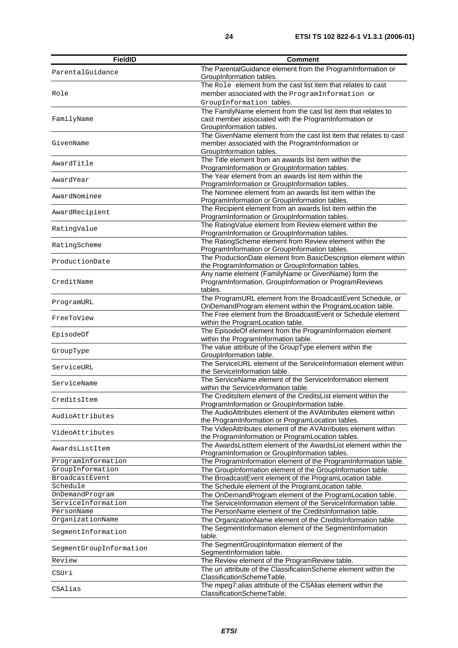| <b>FieldID</b>          | <b>Comment</b>                                                                                                                                      |  |
|-------------------------|-----------------------------------------------------------------------------------------------------------------------------------------------------|--|
| ParentalGuidance        | The ParentalGuidance element from the ProgramInformation or<br>GroupInformation tables.                                                             |  |
|                         | The Role element from the cast list item that relates to cast                                                                                       |  |
| Role                    | member associated with the ProgramInformation or<br>GroupInformation tables.                                                                        |  |
| FamilyName              | The FamilyName element from the cast list item that relates to<br>cast member associated with the ProgramInformation or<br>GroupInformation tables. |  |
| GivenName               | The GivenName element from the cast list item that relates to cast<br>member associated with the ProgramInformation or<br>GroupInformation tables.  |  |
| AwardTitle              | The Title element from an awards list item within the<br>ProgramInformation or GroupInformation tables.                                             |  |
| AwardYear               | The Year element from an awards list item within the<br>ProgramInformation or GroupInformation tables.                                              |  |
| AwardNominee            | The Nominee element from an awards list item within the<br>ProgramInformation or GroupInformation tables.                                           |  |
| AwardRecipient          | The Recipient element from an awards list item within the<br>ProgramInformation or GroupInformation tables.                                         |  |
| RatingValue             | The RatingValue element from Review element within the<br>ProgramInformation or GroupInformation tables.                                            |  |
| RatingScheme            | The RatingScheme element from Review element within the<br>ProgramInformation or GroupInformation tables.                                           |  |
| ProductionDate          | The ProductionDate element from BasicDescription element within<br>the ProgramInformation or GroupInformation tables.                               |  |
| CreditName              | Any name element (FamilyName or GivenName) form the<br>ProgramInformation, GroupInformation or ProgramReviews<br>tables.                            |  |
| ProgramURL              | The ProgramURL element from the BroadcastEvent Schedule, or<br>OnDemandProgram element within the ProgramLocation table.                            |  |
| FreeToView              | The Free element from the BroadcastEvent or Schedule element<br>within the ProgramLocation table.                                                   |  |
| EpisodeOf               | The EpisodeOf element from the ProgramInformation element<br>within the ProgramInformation table.                                                   |  |
| GroupType               | The value attribute of the GroupType element within the<br>GroupInformation table.                                                                  |  |
| ServiceURL              | The ServiceURL element of the ServiceInformation element within<br>the ServiceInformation table.                                                    |  |
| ServiceName             | The ServiceName element of the ServiceInformation element<br>within the ServiceInformation table.                                                   |  |
| CreditsItem             | The CreditsItem element of the CreditsList element within the<br>ProgramInformation or GroupInformation table.                                      |  |
| AudioAttributes         | The AudioAttributes element of the AVAtrributes element within<br>the ProgramInformation or ProgramLocation tables.                                 |  |
| VideoAttributes         | The VideoAttributes element of the AVAtrributes element within<br>the ProgramInformation or ProgramLocation tables.                                 |  |
| AwardsListItem          | The AwardsListItem element of the AwardsList element within the<br>ProgramInformation or GroupInformation tables.                                   |  |
| ProgramInformation      | The ProgramInformation element of the ProgramInformation table.                                                                                     |  |
| GroupInformation        | The GroupInformation element of the GroupInformation table.                                                                                         |  |
| BroadcastEvent          | The BroadcastEvent element of the ProgramLocation table.                                                                                            |  |
| Schedule                | The Schedule element of the ProgramLocation table.                                                                                                  |  |
| OnDemandProgram         | The OnDemandProgram element of the ProgramLocation table.                                                                                           |  |
| ServiceInformation      | The ServiceInformation element of the ServiceInformation table.                                                                                     |  |
| PersonName              | The PersonName element of the CreditsInformation table.                                                                                             |  |
| OrganizationName        | The OrganizationName element of the CreditsInformation table.<br>The SegmentInformation element of the SegmentInformation                           |  |
| SeqmentInformation      | table.                                                                                                                                              |  |
| SegmentGroupInformation | The SegmentGroupInformation element of the<br>SegmentInformation table.                                                                             |  |
| Review                  | The Review element of the ProgramReview table.                                                                                                      |  |
| CSUri                   | The uri attribute of the Classification Scheme element within the<br>ClassificationSchemeTable.                                                     |  |
| CSAlias                 | The mpeg7:alias attribute of the CSAlias element within the<br>ClassificationSchemeTable.                                                           |  |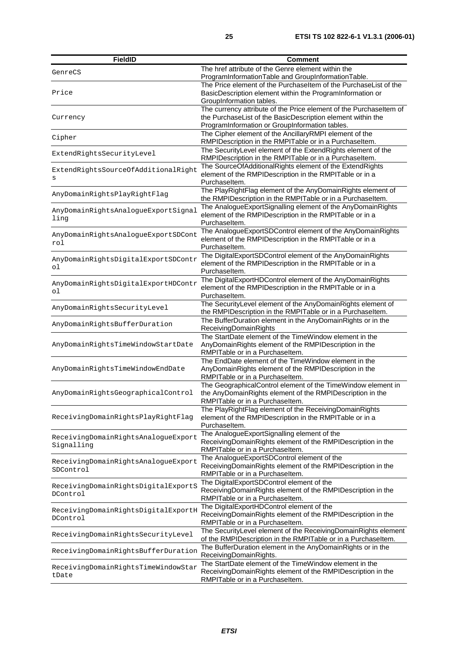| <b>FieldID</b>                                    | Comment                                                                                                                                                                             |
|---------------------------------------------------|-------------------------------------------------------------------------------------------------------------------------------------------------------------------------------------|
| GenreCS                                           | The href attribute of the Genre element within the<br>ProgramInformationTable and GroupInformationTable.                                                                            |
| Price                                             | The Price element of the Purchaseltem of the PurchaseList of the<br>BasicDescription element within the ProgramInformation or<br>GroupInformation tables.                           |
| Currency                                          | The currency attribute of the Price element of the Purchaseltem of<br>the PurchaseList of the BasicDescription element within the<br>ProgramInformation or GroupInformation tables. |
| Cipher                                            | The Cipher element of the AncillaryRMPI element of the<br>RMPIDescription in the RMPITable or in a Purchaseltem.                                                                    |
| ExtendRightsSecurityLevel                         | The SecurityLevel element of the ExtendRights element of the<br>RMPIDescription in the RMPITable or in a Purchaseltem.                                                              |
| ExtendRightsSourceOfAdditionalRight<br>S          | The SourceOfAdditionalRights element of the ExtendRights<br>element of the RMPIDescription in the RMPITable or in a<br>Purchaseltem.                                                |
| AnyDomainRightsPlayRightFlag                      | The PlayRightFlag element of the AnyDomainRights element of<br>the RMPIDescription in the RMPITable or in a PurchaseItem.                                                           |
| AnyDomainRightsAnalogueExportSignal<br>ling       | The AnalogueExportSignalling element of the AnyDomainRights<br>element of the RMPIDescription in the RMPITable or in a<br>Purchaseltem.                                             |
| AnyDomainRightsAnalogueExportSDCont<br>rol        | The AnalogueExportSDControl element of the AnyDomainRights<br>element of the RMPIDescription in the RMPITable or in a<br>Purchaseltem.                                              |
| AnyDomainRightsDigitalExportSDContr<br>οl         | The DigitalExportSDControl element of the AnyDomainRights<br>element of the RMPIDescription in the RMPITable or in a<br>Purchaseltem.                                               |
| AnyDomainRightsDigitalExportHDContr<br>οl         | The DigitalExportHDControl element of the AnyDomainRights<br>element of the RMPIDescription in the RMPITable or in a<br>Purchaseltem.                                               |
| AnyDomainRightsSecurityLevel                      | The SecurityLevel element of the AnyDomainRights element of<br>the RMPIDescription in the RMPITable or in a PurchaseItem.                                                           |
| AnyDomainRightsBufferDuration                     | The BufferDuration element in the AnyDomainRights or in the<br>ReceivingDomainRights                                                                                                |
| AnyDomainRightsTimeWindowStartDate                | The StartDate element of the TimeWindow element in the<br>AnyDomainRights element of the RMPIDescription in the<br>RMPITable or in a Purchaseltem.                                  |
| AnyDomainRightsTimeWindowEndDate                  | The EndDate element of the TimeWindow element in the<br>AnyDomainRights element of the RMPIDescription in the<br>RMPITable or in a Purchaseltem.                                    |
| AnyDomainRightsGeographicalControl                | The GeographicalControl element of the TimeWindow element in<br>the AnyDomainRights element of the RMPIDescription in the<br>RMPITable or in a Purchaseltem.                        |
| ReceivingDomainRightsPlayRightFlag                | The PlayRightFlag element of the ReceivingDomainRights<br>element of the RMPIDescription in the RMPITable or in a<br>Purchaseltem.                                                  |
| ReceivingDomainRightsAnalogueExport<br>Signalling | The AnalogueExportSignalling element of the<br>ReceivingDomainRights element of the RMPIDescription in the<br>RMPITable or in a Purchaseltem.                                       |
| ReceivingDomainRightsAnalogueExport<br>SDControl  | The AnalogueExportSDControl element of the<br>ReceivingDomainRights element of the RMPIDescription in the<br>RMPITable or in a Purchaseltem.                                        |
| ReceivingDomainRightsDigitalExportS<br>DControl   | The DigitalExportSDControl element of the<br>ReceivingDomainRights element of the RMPIDescription in the<br>RMPITable or in a Purchaseltem.                                         |
| ReceivingDomainRightsDigitalExportH<br>DControl   | The DigitalExportHDControl element of the<br>ReceivingDomainRights element of the RMPIDescription in the<br>RMPITable or in a Purchaseltem.                                         |
| ReceivingDomainRightsSecurityLevel                | The SecurityLevel element of the ReceivingDomainRights element<br>of the RMPIDescription in the RMPITable or in a PurchaseItem.                                                     |
| ReceivingDomainRightsBufferDuration               | The BufferDuration element in the AnyDomainRights or in the<br>ReceivingDomainRights.                                                                                               |
| ReceivingDomainRightsTimeWindowStar<br>tDate      | The StartDate element of the TimeWindow element in the<br>ReceivingDomainRights element of the RMPIDescription in the<br>RMPITable or in a Purchaseltem.                            |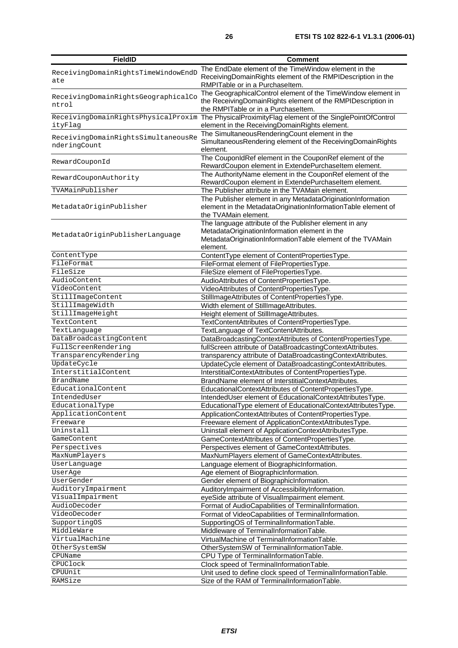| <b>FieldID</b>                                      | Comment                                                                                                                                                                           |
|-----------------------------------------------------|-----------------------------------------------------------------------------------------------------------------------------------------------------------------------------------|
| ReceivingDomainRightsTimeWindowEndD<br>ate          | The EndDate element of the TimeWindow element in the<br>ReceivingDomainRights element of the RMPIDescription in the<br>RMPITable or in a Purchaseltem.                            |
| ReceivingDomainRightsGeographicalCo<br>ntrol        | The GeographicalControl element of the TimeWindow element in<br>the ReceivingDomainRights element of the RMPIDescription in<br>the RMPITable or in a Purchaseltem.                |
| ityFlag                                             | ReceivingDomainRightsPhysicalProxim The PhysicalProximityFlag element of the SinglePointOfControl<br>element in the ReceivingDomainRights element.                                |
| ReceivingDomainRightsSimultaneousRe<br>nderingCount | The SimultaneousRenderingCount element in the<br>SimultaneousRendering element of the ReceivingDomainRights<br>element.                                                           |
| RewardCouponId                                      | The CouponIdRef element in the CouponRef element of the<br>RewardCoupon element in ExtendePurchaseltem element.                                                                   |
| RewardCouponAuthority                               | The AuthorityName element in the CouponRef element of the<br>RewardCoupon element in ExtendePurchaseltem element.                                                                 |
| TVAMainPublisher                                    | The Publisher attribute in the TVAMain element.                                                                                                                                   |
| MetadataOriginPublisher                             | The Publisher element in any MetadataOriginationInformation<br>element in the MetadataOriginationInformationTable element of<br>the TVAMain element.                              |
| MetadataOriginPublisherLanguage                     | The language attribute of the Publisher element in any<br>MetadataOriginationInformation element in the<br>MetadataOriginationInformationTable element of the TVAMain<br>element. |
| ContentType                                         | ContentType element of ContentPropertiesType.                                                                                                                                     |
| FileFormat                                          | FileFormat element of FilePropertiesType.                                                                                                                                         |
| FileSize                                            | FileSize element of FilePropertiesType.                                                                                                                                           |
| AudioContent                                        | AudioAttributes of ContentPropertiesType.                                                                                                                                         |
| VideoContent                                        | VideoAttributes of ContentPropertiesType.                                                                                                                                         |
| StillImageContent                                   | StillImageAttributes of ContentPropertiesType.                                                                                                                                    |
| StillImageWidth                                     | Width element of StillImageAttributes.                                                                                                                                            |
| StillImageHeight                                    | Height element of StillImageAttributes.                                                                                                                                           |
| TextContent                                         | TextContentAttributes of ContentPropertiesType.                                                                                                                                   |
| TextLanguage                                        | TextLanguage of TextContentAttributes.                                                                                                                                            |
| DataBroadcastingContent                             | DataBroadcastingContextAttributes of ContentPropertiesType.                                                                                                                       |
| FullScreenRendering                                 | fullScreen attribute of DataBroadcastingContextAttributes.                                                                                                                        |
| TransparencyRendering                               | transparency attribute of DataBroadcastingContextAttributes.                                                                                                                      |
| UpdateCycle                                         | UpdateCycle element of DataBroadcastingContextAttributes.                                                                                                                         |
| InterstitialContent                                 | InterstitialContextAttributes of ContentPropertiesType.                                                                                                                           |
| <b>BrandName</b>                                    |                                                                                                                                                                                   |
|                                                     | BrandName element of InterstitialContextAttributes.                                                                                                                               |
| EducationalContent                                  | EducationalContextAttributes of ContentPropertiesType.                                                                                                                            |
| IntendedUser                                        | IntendedUser element of EducationalContextAttributesType.                                                                                                                         |
| EducationalType                                     | EducationalType element of EducationalContextAttributesType.                                                                                                                      |
| ApplicationContent                                  | ApplicationContextAttributes of ContentPropertiesType.                                                                                                                            |
| Freeware                                            | Freeware element of ApplicationContextAttributesType.                                                                                                                             |
| Uninstall                                           | Uninstall element of ApplicationContextAttributesType.                                                                                                                            |
| GameContent                                         | GameContextAttributes of ContentPropertiesType.                                                                                                                                   |
| Perspectives                                        | Perspectives element of GameContextAttributes.                                                                                                                                    |
| MaxNumPlayers                                       | MaxNumPlayers element of GameContextAttributes.                                                                                                                                   |
| UserLanguage                                        | Language element of BiographicInformation.                                                                                                                                        |
| UserAge                                             | Age element of BiographicInformation.                                                                                                                                             |
| UserGender                                          | Gender element of BiographicInformation.                                                                                                                                          |
| AuditoryImpairment                                  | AuditoryImpairment of AccessibilityInformation.                                                                                                                                   |
| VisualImpairment                                    | eyeSide attribute of VisualImpairment element.                                                                                                                                    |
| AudioDecoder                                        | Format of AudioCapabilities of TerminalInformation.                                                                                                                               |
| VideoDecoder                                        | Format of VideoCapabilities of TerminalInformation.                                                                                                                               |
| SupportingOS                                        | SupportingOS of TerminalInformationTable.                                                                                                                                         |
| MiddleWare                                          | Middleware of TerminalInformationTable.                                                                                                                                           |
| VirtualMachine                                      | VirtualMachine of TerminalInformationTable.                                                                                                                                       |
| OtherSystemSW                                       | OtherSystemSW of TerminalInformationTable.                                                                                                                                        |
| CPUName                                             | CPU Type of TerminalInformationTable.                                                                                                                                             |
| CPUClock                                            | Clock speed of TerminalInformationTable.                                                                                                                                          |
| CPUUnit                                             | Unit used to define clock speed of TerminalInformationTable.                                                                                                                      |
| RAMSize                                             | Size of the RAM of TerminalInformationTable.                                                                                                                                      |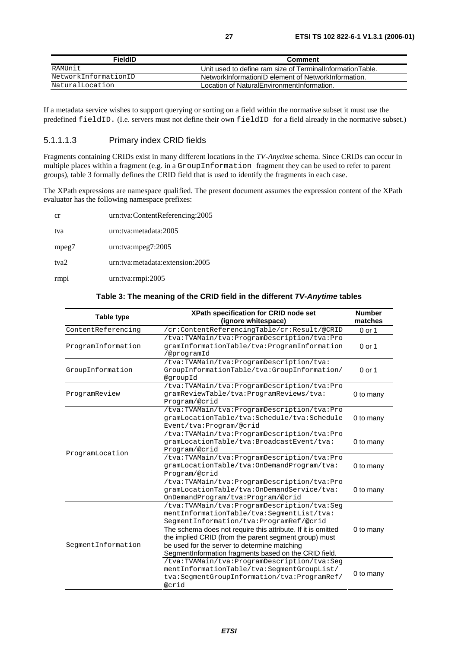| FieldID              | Comment                                                   |
|----------------------|-----------------------------------------------------------|
| RAMUnit              | Unit used to define ram size of TerminalInformationTable. |
| NetworkInformationID | NetworkInformationID element of NetworkInformation.       |
| NaturalLocation      | Location of NaturalEnvironmentInformation.                |

If a metadata service wishes to support querying or sorting on a field within the normative subset it must use the predefined fieldID. (I.e. servers must not define their own fieldID for a field already in the normative subset.)

### 5.1.1.1.3 Primary index CRID fields

Fragments containing CRIDs exist in many different locations in the *TV-Anytime* schema. Since CRIDs can occur in multiple places within a fragment (e.g. in a GroupInformation fragment they can be used to refer to parent groups), table 3 formally defines the CRID field that is used to identify the fragments in each case.

The XPath expressions are namespace qualified. The present document assumes the expression content of the XPath evaluator has the following namespace prefixes:

| <sub>c</sub> r   | urn:tva:ContentReferencing:2005 |
|------------------|---------------------------------|
| tva              | urn:tva:metadata:2005           |
| mpeg7            | urn:tva:mpeg7:2005              |
| tva <sub>2</sub> | urn:tva:metadata:extension:2005 |
| rmpi             | urn:tva:rmpi:2005               |
|                  |                                 |

#### **Table 3: The meaning of the CRID field in the different TV-Anytime tables**

|                    | XPath specification for CRID node set                        | <b>Number</b> |
|--------------------|--------------------------------------------------------------|---------------|
| <b>Table type</b>  | (ignore whitespace)                                          | matches       |
| ContentReferencing | /cr:ContentReferencingTable/cr:Result/@CRID                  | 0 or 1        |
|                    | /tva:TVAMain/tva:ProgramDescription/tva:Pro                  |               |
| ProgramInformation | gramInformationTable/tva:ProgramInformation                  | $0$ or 1      |
|                    | /@programId                                                  |               |
|                    | /tva:TVAMain/tva:ProgramDescription/tva:                     |               |
| GroupInformation   | GroupInformationTable/tva:GroupInformation/                  | $0$ or 1      |
|                    | @qroupId                                                     |               |
|                    | /tva:TVAMain/tva:ProgramDescription/tva:Pro                  |               |
| ProgramReview      | qramReviewTable/tva:ProgramReviews/tva:                      | 0 to many     |
|                    | Program/@crid                                                |               |
|                    | /tva:TVAMain/tva:ProgramDescription/tva:Pro                  |               |
|                    | qramLocationTable/tva:Schedule/tva:Schedule                  | 0 to many     |
|                    | Event/tva: Program/@crid                                     |               |
|                    | /tva:TVAMain/tva:ProgramDescription/tva:Pro                  |               |
|                    | qramLocationTable/tva:BroadcastEvent/tva:                    | 0 to many     |
| ProgramLocation    | Program/@crid                                                |               |
|                    | /tva:TVAMain/tva:ProgramDescription/tva:Pro                  |               |
|                    | qramLocationTable/tva:OnDemandProgram/tva:                   | 0 to many     |
|                    | Program/@crid                                                |               |
|                    | /tva:TVAMain/tva:ProgramDescription/tva:Pro                  |               |
|                    | qramLocationTable/tva:OnDemandService/tva:                   | 0 to many     |
|                    | OnDemandProgram/tva:Program/@crid                            |               |
|                    | /tva:TVAMain/tva:ProgramDescription/tva:Seg                  |               |
|                    | mentInformationTable/tva:SeqmentList/tva:                    |               |
|                    | SegmentInformation/tva:ProgramRef/@crid                      |               |
|                    | The schema does not require this attribute. If it is omitted | 0 to many     |
|                    | the implied CRID (from the parent segment group) must        |               |
| SeqmentInformation | be used for the server to determine matching                 |               |
|                    | SegmentInformation fragments based on the CRID field.        |               |
|                    | /tva:TVAMain/tva:ProgramDescription/tva:Seg                  |               |
|                    | mentInformationTable/tva:SegmentGroupList/                   | 0 to many     |
|                    | tva:SeqmentGroupInformation/tva:ProgramRef/                  |               |
|                    | @crid                                                        |               |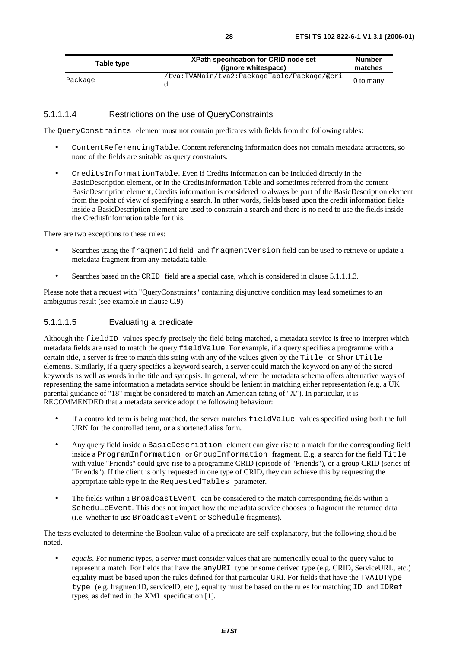| Table type | XPath specification for CRID node set<br>(ignore whitespace) | <b>Number</b><br>matches |
|------------|--------------------------------------------------------------|--------------------------|
| Package    | /tva:TVAMain/tva2:PackageTable/Package/@cri                  | 0 to many                |

### 5.1.1.1.4 Restrictions on the use of QueryConstraints

The QueryConstraints element must not contain predicates with fields from the following tables:

- ContentReferencingTable. Content referencing information does not contain metadata attractors, so none of the fields are suitable as query constraints.
- CreditsInformationTable. Even if Credits information can be included directly in the BasicDescription element, or in the CreditsInformation Table and sometimes referred from the content BasicDescription element, Credits information is considered to always be part of the BasicDescription element from the point of view of specifying a search. In other words, fields based upon the credit information fields inside a BasicDescription element are used to constrain a search and there is no need to use the fields inside the CreditsInformation table for this.

There are two exceptions to these rules:

- Searches using the fragmentId field and fragmentVersion field can be used to retrieve or update a metadata fragment from any metadata table.
- Searches based on the CRID field are a special case, which is considered in clause 5.1.1.1.3.

Please note that a request with "QueryConstraints" containing disjunctive condition may lead sometimes to an ambiguous result (see example in clause C.9).

### 5.1.1.1.5 Evaluating a predicate

Although the fieldID values specify precisely the field being matched, a metadata service is free to interpret which metadata fields are used to match the query fieldValue. For example, if a query specifies a programme with a certain title, a server is free to match this string with any of the values given by the Title or ShortTitle elements. Similarly, if a query specifies a keyword search, a server could match the keyword on any of the stored keywords as well as words in the title and synopsis. In general, where the metadata schema offers alternative ways of representing the same information a metadata service should be lenient in matching either representation (e.g. a UK parental guidance of "18" might be considered to match an American rating of "X"). In particular, it is RECOMMENDED that a metadata service adopt the following behaviour:

- If a controlled term is being matched, the server matches fieldValue values specified using both the full URN for the controlled term, or a shortened alias form.
- Any query field inside a BasicDescription element can give rise to a match for the corresponding field inside a ProgramInformation or GroupInformation fragment. E.g. a search for the field Title with value "Friends" could give rise to a programme CRID (episode of "Friends"), or a group CRID (series of "Friends"). If the client is only requested in one type of CRID, they can achieve this by requesting the appropriate table type in the RequestedTables parameter.
- The fields within a BroadcastEvent can be considered to the match corresponding fields within a ScheduleEvent. This does not impact how the metadata service chooses to fragment the returned data (i.e. whether to use BroadcastEvent or Schedule fragments).

The tests evaluated to determine the Boolean value of a predicate are self-explanatory, but the following should be noted.

• *equals*. For numeric types, a server must consider values that are numerically equal to the query value to represent a match. For fields that have the anyURI type or some derived type (e.g. CRID, ServiceURL, etc.) equality must be based upon the rules defined for that particular URI. For fields that have the TVAIDType type (e.g. fragmentID, serviceID, etc.), equality must be based on the rules for matching ID and IDRef types, as defined in the XML specification [1].

**ETSI**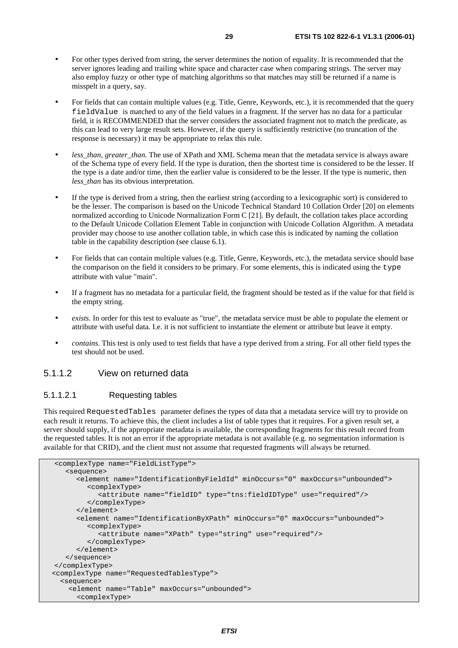- For other types derived from string, the server determines the notion of equality. It is recommended that the server ignores leading and trailing white space and character case when comparing strings. The server may also employ fuzzy or other type of matching algorithms so that matches may still be returned if a name is misspelt in a query, say.
- For fields that can contain multiple values (e.g. Title, Genre, Keywords, etc.), it is recommended that the query fieldValue is matched to any of the field values in a fragment. If the server has no data for a particular field, it is RECOMMENDED that the server considers the associated fragment not to match the predicate, as this can lead to very large result sets. However, if the query is sufficiently restrictive (no truncation of the response is necessary) it may be appropriate to relax this rule.
- *less\_than, greater\_than.* The use of XPath and XML Schema mean that the metadata service is always aware of the Schema type of every field. If the type is duration, then the shortest time is considered to be the lesser. If the type is a date and/or time, then the earlier value is considered to be the lesser. If the type is numeric, then *less*\_*than* has its obvious interpretation.
- If the type is derived from a string, then the earliest string (according to a lexicographic sort) is considered to be the lesser. The comparison is based on the Unicode Technical Standard 10 Collation Order [20] on elements normalized according to Unicode Normalization Form C [21]. By default, the collation takes place according to the Default Unicode Collation Element Table in conjunction with Unicode Collation Algorithm. A metadata provider may choose to use another collation table, in which case this is indicated by naming the collation table in the capability description (see clause 6.1).
- For fields that can contain multiple values (e.g. Title, Genre, Keywords, etc.), the metadata service should base the comparison on the field it considers to be primary. For some elements, this is indicated using the type attribute with value "main".
- If a fragment has no metadata for a particular field, the fragment should be tested as if the value for that field is the empty string.
- *exists.* In order for this test to evaluate as "true", the metadata service must be able to populate the element or attribute with useful data. I.e. it is not sufficient to instantiate the element or attribute but leave it empty.
- *contains*. This test is only used to test fields that have a type derived from a string. For all other field types the test should not be used.

### 5.1.1.2 View on returned data

#### 5.1.1.2.1 Requesting tables

This required RequestedTables parameter defines the types of data that a metadata service will try to provide on each result it returns. To achieve this, the client includes a list of table types that it requires. For a given result set, a server should supply, if the appropriate metadata is available, the corresponding fragments for this result record from the requested tables. It is not an error if the appropriate metadata is not available (e.g. no segmentation information is available for that CRID), and the client must not assume that requested fragments will always be returned.

```
<complexType name="FieldListType"> 
    <sequence> 
       <element name="IdentificationByFieldId" minOccurs="0" maxOccurs="unbounded"> 
          <complexType> 
            <attribute name="fieldID" type="tns:fieldIDType" use="required"/> 
          </complexType> 
       </element> 
       <element name="IdentificationByXPath" minOccurs="0" maxOccurs="unbounded"> 
          <complexType> 
            <attribute name="XPath" type="string" use="required"/> 
          </complexType> 
       </element> 
    </sequence> 
</complexType> 
 <complexType name="RequestedTablesType"> 
   <sequence> 
     <element name="Table" maxOccurs="unbounded"> 
       <complexType>
```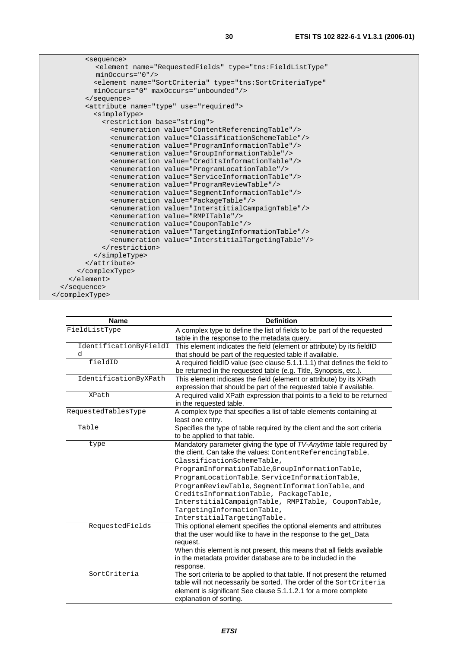| <sequence></sequence>                                                          |
|--------------------------------------------------------------------------------|
| <element <="" name="RequestedFields" td="" type="tns:FieldListType"></element> |
| $minOccurs="0"$ />                                                             |
| <element <="" name="SortCriteria" td="" type="tns:SortCriteriaType"></element> |
| minOccurs="0" maxOccurs="unbounded"/>                                          |
|                                                                                |
| <attribute name="type" use="required"></attribute>                             |
| <simpletype></simpletype>                                                      |
| <restriction base="string"></restriction>                                      |
| <enumeration value="ContentReferencingTable"></enumeration>                    |
| <enumeration value="ClassificationSchemeTable"></enumeration>                  |
| <enumeration value="ProgramInformationTable"></enumeration>                    |
| <enumeration value="GroupInformationTable"></enumeration>                      |
| <enumeration value="CreditsInformationTable"></enumeration>                    |
| <enumeration value="ProgramLocationTable"></enumeration>                       |
| <enumeration value="ServiceInformationTable"></enumeration>                    |
| <enumeration value="ProgramReviewTable"></enumeration>                         |
| <enumeration value="SeqmentInformationTable"></enumeration>                    |
| <enumeration value="PackageTable"></enumeration>                               |
| <enumeration value="InterstitialCampaignTable"></enumeration>                  |
| <enumeration value="RMPITable"></enumeration>                                  |
| <enumeration value="CouponTable"></enumeration>                                |
| <enumeration value="TargetingInformationTable"></enumeration>                  |
| <enumeration value="InterstitialTargetingTable"></enumeration>                 |
|                                                                                |
|                                                                                |
|                                                                                |
|                                                                                |
|                                                                                |
|                                                                                |
|                                                                                |

| <b>Name</b>            | <b>Definition</b>                                                          |
|------------------------|----------------------------------------------------------------------------|
| FieldListType          | A complex type to define the list of fields to be part of the requested    |
|                        | table in the response to the metadata query.                               |
| IdentificationByFieldI | This element indicates the field (element or attribute) by its fieldID     |
| d                      | that should be part of the requested table if available.                   |
| fieldID                | A required fieldID value (see clause 5.1.1.1.1) that defines the field to  |
|                        | be returned in the requested table (e.g. Title, Synopsis, etc.).           |
| IdentificationByXPath  | This element indicates the field (element or attribute) by its XPath       |
|                        | expression that should be part of the requested table if available.        |
| XPath                  | A required valid XPath expression that points to a field to be returned    |
|                        | in the requested table.                                                    |
| RequestedTablesType    | A complex type that specifies a list of table elements containing at       |
|                        | least one entry.                                                           |
| Table                  | Specifies the type of table required by the client and the sort criteria   |
|                        | to be applied to that table.                                               |
| type                   | Mandatory parameter giving the type of TV-Anytime table required by        |
|                        | the client. Can take the values: Content Referencing Table,                |
|                        | ClassificationSchemeTable,                                                 |
|                        | ProgramInformationTable,GroupInformationTable,                             |
|                        | ProgramLocationTable, ServiceInformationTable,                             |
|                        | ProgramReviewTable, SegmentInformationTable, and                           |
|                        | CreditsInformationTable, PackageTable,                                     |
|                        | InterstitialCampaignTable, RMPITable, CouponTable,                         |
|                        | TargetingInformationTable,                                                 |
|                        | InterstitialTargetingTable.                                                |
| RequestedFields        | This optional element specifies the optional elements and attributes       |
|                        | that the user would like to have in the response to the get_Data           |
|                        | request.                                                                   |
|                        | When this element is not present, this means that all fields available     |
|                        | in the metadata provider database are to be included in the                |
|                        | response.                                                                  |
| SortCriteria           | The sort criteria to be applied to that table. If not present the returned |
|                        | table will not necessarily be sorted. The order of the SortCriteria        |
|                        | element is significant See clause 5.1.1.2.1 for a more complete            |
|                        | explanation of sorting.                                                    |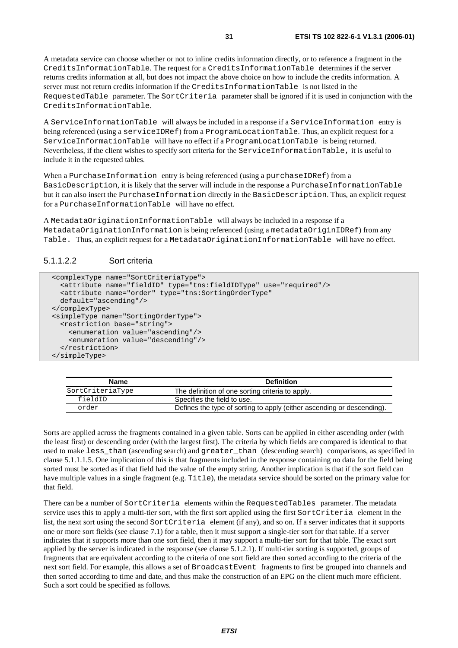A metadata service can choose whether or not to inline credits information directly, or to reference a fragment in the CreditsInformationTable. The request for a CreditsInformationTable determines if the server returns credits information at all, but does not impact the above choice on how to include the credits information. A server must not return credits information if the CreditsInformationTable is not listed in the RequestedTable parameter. The SortCriteria parameter shall be ignored if it is used in conjunction with the CreditsInformationTable.

A ServiceInformationTable will always be included in a response if a ServiceInformation entry is being referenced (using a serviceIDRef) from a ProgramLocationTable. Thus, an explicit request for a ServiceInformationTable will have no effect if a ProgramLocationTable is being returned. Nevertheless, if the client wishes to specify sort criteria for the ServiceInformationTable, it is useful to include it in the requested tables.

When a PurchaseInformation entry is being referenced (using a purchaseIDRef) from a BasicDescription, it is likely that the server will include in the response a PurchaseInformationTable but it can also insert the PurchaseInformation directly in the BasicDescription. Thus, an explicit request for a PurchaseInformationTable will have no effect.

A MetadataOriginationInformationTable will always be included in a response if a MetadataOriginationInformation is being referenced (using a metadataOriginIDRef) from any Table. Thus, an explicit request for a MetadataOriginationInformationTable will have no effect.

### 5.1.1.2.2 Sort criteria

```
 <complexType name="SortCriteriaType"> 
   <attribute name="fieldID" type="tns:fieldIDType" use="required"/> 
   <attribute name="order" type="tns:SortingOrderType" 
  default="ascending"/> 
 </complexType> 
 <simpleType name="SortingOrderType"> 
   <restriction base="string"> 
     <enumeration value="ascending"/> 
     <enumeration value="descending"/> 
   </restriction> 
 </simpleType>
```

| Name             | <b>Definition</b>                                                      |
|------------------|------------------------------------------------------------------------|
| SortCriteriaType | The definition of one sorting criteria to apply.                       |
| fieldID          | Specifies the field to use.                                            |
| order            | Defines the type of sorting to apply (either ascending or descending). |

Sorts are applied across the fragments contained in a given table. Sorts can be applied in either ascending order (with the least first) or descending order (with the largest first). The criteria by which fields are compared is identical to that used to make less than (ascending search) and greater than (descending search) comparisons, as specified in clause 5.1.1.1.5. One implication of this is that fragments included in the response containing no data for the field being sorted must be sorted as if that field had the value of the empty string. Another implication is that if the sort field can have multiple values in a single fragment (e.g. Title), the metadata service should be sorted on the primary value for that field.

There can be a number of SortCriteria elements within the RequestedTables parameter. The metadata service uses this to apply a multi-tier sort, with the first sort applied using the first SortCriteria element in the list, the next sort using the second SortCriteria element (if any), and so on. If a server indicates that it supports one or more sort fields (see clause 7.1) for a table, then it must support a single-tier sort for that table. If a server indicates that it supports more than one sort field, then it may support a multi-tier sort for that table. The exact sort applied by the server is indicated in the response (see clause 5.1.2.1). If multi-tier sorting is supported, groups of fragments that are equivalent according to the criteria of one sort field are then sorted according to the criteria of the next sort field. For example, this allows a set of BroadcastEvent fragments to first be grouped into channels and then sorted according to time and date, and thus make the construction of an EPG on the client much more efficient. Such a sort could be specified as follows.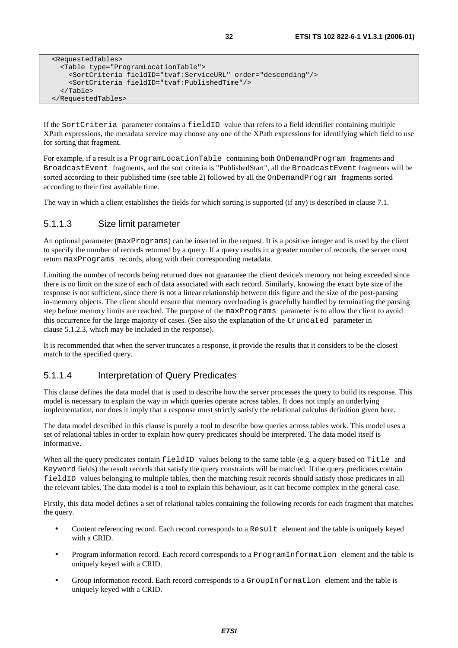```
 <RequestedTables> 
   <Table type="ProgramLocationTable"> 
     <SortCriteria fieldID="tvaf:ServiceURL" order="descending"/> 
     <SortCriteria fieldID="tvaf:PublishedTime"/> 
   </Table> 
 </RequestedTables>
```
If the SortCriteria parameter contains a fieldID value that refers to a field identifier containing multiple XPath expressions, the metadata service may choose any one of the XPath expressions for identifying which field to use for sorting that fragment.

For example, if a result is a ProgramLocationTable containing both OnDemandProgram fragments and BroadcastEvent fragments, and the sort criteria is "PublishedStart", all the BroadcastEvent fragments will be sorted according to their published time (see table 2) followed by all the OnDemandProgram fragments sorted according to their first available time.

The way in which a client establishes the fields for which sorting is supported (if any) is described in clause 7.1.

### 5.1.1.3 Size limit parameter

An optional parameter (maxPrograms) can be inserted in the request. It is a positive integer and is used by the client to specify the number of records returned by a query. If a query results in a greater number of records, the server must return maxPrograms records, along with their corresponding metadata.

Limiting the number of records being returned does not guarantee the client device's memory not being exceeded since there is no limit on the size of each of data associated with each record. Similarly, knowing the exact byte size of the response is not sufficient, since there is not a linear relationship between this figure and the size of the post-parsing in-memory objects. The client should ensure that memory overloading is gracefully handled by terminating the parsing step before memory limits are reached. The purpose of the maxPrograms parameter is to allow the client to avoid this occurrence for the large majority of cases. (See also the explanation of the truncated parameter in clause 5.1.2.3, which may be included in the response).

It is recommended that when the server truncates a response, it provide the results that it considers to be the closest match to the specified query.

### 5.1.1.4 Interpretation of Query Predicates

This clause defines the data model that is used to describe how the server processes the query to build its response. This model is necessary to explain the way in which queries operate across tables. It does not imply an underlying implementation, nor does it imply that a response must strictly satisfy the relational calculus definition given here.

The data model described in this clause is purely a tool to describe how queries across tables work. This model uses a set of relational tables in order to explain how query predicates should be interpreted. The data model itself is informative.

When all the query predicates contain fieldID values belong to the same table (e.g. a query based on Title and Keyword fields) the result records that satisfy the query constraints will be matched. If the query predicates contain fieldID values belonging to multiple tables, then the matching result records should satisfy those predicates in all the relevant tables. The data model is a tool to explain this behaviour, as it can become complex in the general case.

Firstly, this data model defines a set of relational tables containing the following records for each fragment that matches the query.

- Content referencing record. Each record corresponds to a Result element and the table is uniquely keyed with a CRID.
- Program information record. Each record corresponds to a ProgramInformation element and the table is uniquely keyed with a CRID.
- Group information record. Each record corresponds to a GroupInformation element and the table is uniquely keyed with a CRID.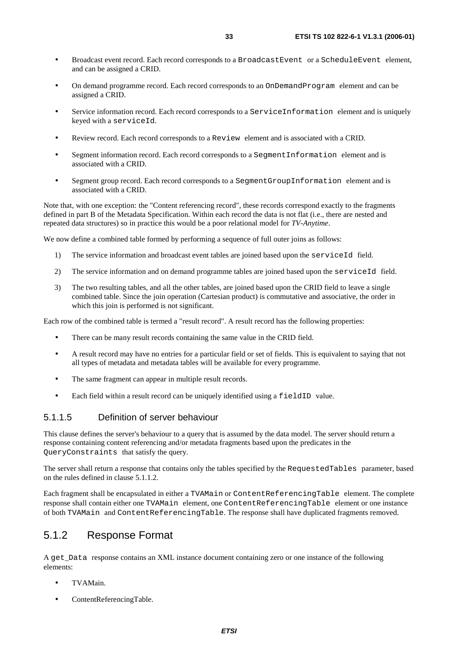- Broadcast event record. Each record corresponds to a BroadcastEvent or a ScheduleEvent element, and can be assigned a CRID.
- On demand programme record. Each record corresponds to an OnDemandProgram element and can be assigned a CRID.
- Service information record. Each record corresponds to a ServiceInformation element and is uniquely keyed with a serviceId.
- Review record. Each record corresponds to a Review element and is associated with a CRID.
- Segment information record. Each record corresponds to a SegmentInformation element and is associated with a CRID.
- Segment group record. Each record corresponds to a SegmentGroupInformation element and is associated with a CRID.

Note that, with one exception: the "Content referencing record", these records correspond exactly to the fragments defined in part B of the Metadata Specification. Within each record the data is not flat (i.e., there are nested and repeated data structures) so in practice this would be a poor relational model for *TV-Anytime*.

We now define a combined table formed by performing a sequence of full outer joins as follows:

- 1) The service information and broadcast event tables are joined based upon the serviceId field.
- 2) The service information and on demand programme tables are joined based upon the serviceId field.
- 3) The two resulting tables, and all the other tables, are joined based upon the CRID field to leave a single combined table. Since the join operation (Cartesian product) is commutative and associative, the order in which this join is performed is not significant.

Each row of the combined table is termed a "result record". A result record has the following properties:

- There can be many result records containing the same value in the CRID field.
- A result record may have no entries for a particular field or set of fields. This is equivalent to saying that not all types of metadata and metadata tables will be available for every programme.
- The same fragment can appear in multiple result records.
- Each field within a result record can be uniquely identified using a fieldID value.

### 5.1.1.5 Definition of server behaviour

This clause defines the server's behaviour to a query that is assumed by the data model. The server should return a response containing content referencing and/or metadata fragments based upon the predicates in the QueryConstraints that satisfy the query.

The server shall return a response that contains only the tables specified by the RequestedTables parameter, based on the rules defined in clause 5.1.1.2.

Each fragment shall be encapsulated in either a TVAMain or ContentReferencingTable element. The complete response shall contain either one TVAMain element, one ContentReferencingTable element or one instance of both TVAMain and ContentReferencingTable. The response shall have duplicated fragments removed.

### 5.1.2 Response Format

A get\_Data response contains an XML instance document containing zero or one instance of the following elements:

- TVAMain.
- ContentReferencingTable.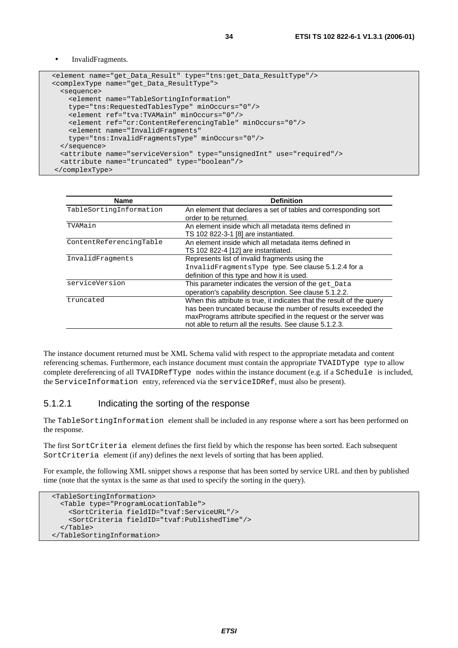• InvalidFragments.

```
 <element name="get_Data_Result" type="tns:get_Data_ResultType"/> 
 <complexType name="get_Data_ResultType"> 
   <sequence> 
     <element name="TableSortingInformation" 
     type="tns:RequestedTablesType" minOccurs="0"/> 
     <element ref="tva:TVAMain" minOccurs="0"/> 
     <element ref="cr:ContentReferencingTable" minOccurs="0"/> 
     <element name="InvalidFragments" 
     type="tns:InvalidFragmentsType" minOccurs="0"/> 
   </sequence> 
  <attribute name="serviceVersion" type="unsignedInt" use="required"/> 
   <attribute name="truncated" type="boolean"/> 
 </complexType>
```

| <b>Name</b>             | <b>Definition</b>                                                      |
|-------------------------|------------------------------------------------------------------------|
| TableSortingInformation | An element that declares a set of tables and corresponding sort        |
|                         | order to be returned.                                                  |
| TVAMain                 | An element inside which all metadata items defined in                  |
|                         | TS 102 822-3-1 [8] are instantiated.                                   |
| ContentReferencingTable | An element inside which all metadata items defined in                  |
|                         | TS 102 822-4 [12] are instantiated.                                    |
| InvalidFragments        | Represents list of invalid fragments using the                         |
|                         | InvalidFragmentsType type. See clause 5.1.2.4 for a                    |
|                         | definition of this type and how it is used.                            |
| serviceVersion          | This parameter indicates the version of the get_Data                   |
|                         | operation's capability description. See clause 5.1.2.2.                |
| truncated               | When this attribute is true, it indicates that the result of the query |
|                         | has been truncated because the number of results exceeded the          |
|                         | maxPrograms attribute specified in the request or the server was       |
|                         | not able to return all the results. See clause 5.1.2.3.                |

The instance document returned must be XML Schema valid with respect to the appropriate metadata and content referencing schemas. Furthermore, each instance document must contain the appropriate TVAIDType type to allow complete dereferencing of all TVAIDRefType nodes within the instance document (e.g. if a Schedule is included, the ServiceInformation entry, referenced via the serviceIDRef, must also be present).

### 5.1.2.1 Indicating the sorting of the response

The TableSortingInformation element shall be included in any response where a sort has been performed on the response.

The first SortCriteria element defines the first field by which the response has been sorted. Each subsequent SortCriteria element (if any) defines the next levels of sorting that has been applied.

For example, the following XML snippet shows a response that has been sorted by service URL and then by published time (note that the syntax is the same as that used to specify the sorting in the query).

```
 <TableSortingInformation> 
   <Table type="ProgramLocationTable"> 
     <SortCriteria fieldID="tvaf:ServiceURL"/> 
     <SortCriteria fieldID="tvaf:PublishedTime"/> 
   </Table> 
 </TableSortingInformation>
```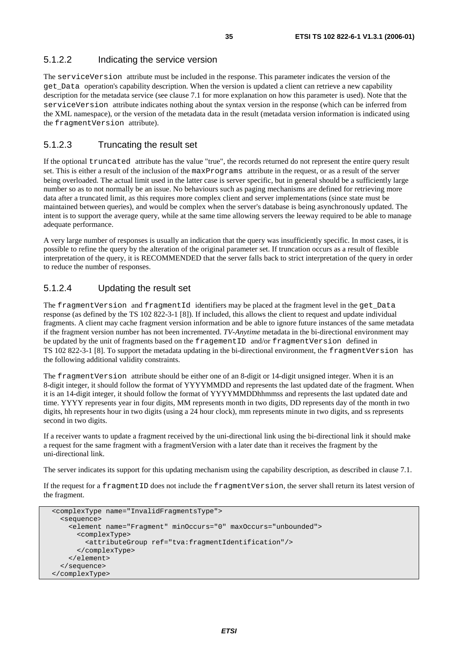### 5.1.2.2 Indicating the service version

The serviceVersion attribute must be included in the response. This parameter indicates the version of the get\_Data operation's capability description. When the version is updated a client can retrieve a new capability description for the metadata service (see clause 7.1 for more explanation on how this parameter is used). Note that the serviceVersion attribute indicates nothing about the syntax version in the response (which can be inferred from the XML namespace), or the version of the metadata data in the result (metadata version information is indicated using the fragmentVersion attribute).

### 5.1.2.3 Truncating the result set

If the optional truncated attribute has the value "true", the records returned do not represent the entire query result set. This is either a result of the inclusion of the maxPrograms attribute in the request, or as a result of the server being overloaded. The actual limit used in the latter case is server specific, but in general should be a sufficiently large number so as to not normally be an issue. No behaviours such as paging mechanisms are defined for retrieving more data after a truncated limit, as this requires more complex client and server implementations (since state must be maintained between queries), and would be complex when the server's database is being asynchronously updated. The intent is to support the average query, while at the same time allowing servers the leeway required to be able to manage adequate performance.

A very large number of responses is usually an indication that the query was insufficiently specific. In most cases, it is possible to refine the query by the alteration of the original parameter set. If truncation occurs as a result of flexible interpretation of the query, it is RECOMMENDED that the server falls back to strict interpretation of the query in order to reduce the number of responses.

### 5.1.2.4 Updating the result set

The fragmentVersion and fragmentId identifiers may be placed at the fragment level in the get\_Data response (as defined by the TS 102 822-3-1 [8]). If included, this allows the client to request and update individual fragments. A client may cache fragment version information and be able to ignore future instances of the same metadata if the fragment version number has not been incremented. *TV-Anytime* metadata in the bi-directional environment may be updated by the unit of fragments based on the fragementID and/or fragmentVersion defined in TS 102 822-3-1 [8]. To support the metadata updating in the bi-directional environment, the fragmentVersion has the following additional validity constraints.

The fragmentVersion attribute should be either one of an 8-digit or 14-digit unsigned integer. When it is an 8-digit integer, it should follow the format of YYYYMMDD and represents the last updated date of the fragment. When it is an 14-digit integer, it should follow the format of YYYYMMDDhhmmss and represents the last updated date and time. YYYY represents year in four digits, MM represents month in two digits, DD represents day of the month in two digits, hh represents hour in two digits (using a 24 hour clock), mm represents minute in two digits, and ss represents second in two digits.

If a receiver wants to update a fragment received by the uni-directional link using the bi-directional link it should make a request for the same fragment with a fragmentVersion with a later date than it receives the fragment by the uni-directional link.

The server indicates its support for this updating mechanism using the capability description, as described in clause 7.1.

If the request for a fragmentID does not include the fragmentVersion, the server shall return its latest version of the fragment.

```
 <complexType name="InvalidFragmentsType"> 
   <sequence> 
     <element name="Fragment" minOccurs="0" maxOccurs="unbounded"> 
       <complexType> 
         <attributeGroup ref="tva:fragmentIdentification"/> 
       </complexType> 
     </element> 
   </sequence> 
 </complexType>
```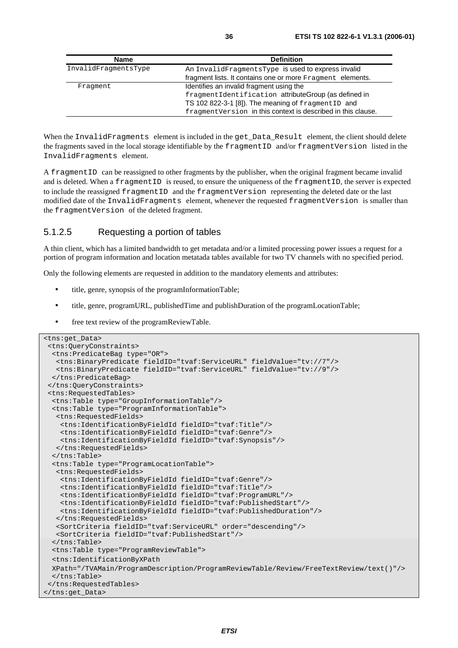| <b>Name</b>          | <b>Definition</b>                                             |
|----------------------|---------------------------------------------------------------|
| InvalidFragmentsType | An InvalidFragmentsType is used to express invalid            |
|                      | fragment lists. It contains one or more Fragment elements.    |
| Fraqment             | Identifies an invalid fragment using the                      |
|                      | fragmentIdentification attributeGroup (as defined in          |
|                      | TS 102 822-3-1 [8]). The meaning of fragmentID and            |
|                      | fragment Version in this context is described in this clause. |

When the InvalidFragments element is included in the get\_Data\_Result element, the client should delete the fragments saved in the local storage identifiable by the fragmentID and/or fragmentVersion listed in the InvalidFragments element.

A fragmentID can be reassigned to other fragments by the publisher, when the original fragment became invalid and is deleted. When a fragmentID is reused, to ensure the uniqueness of the fragmentID, the server is expected to include the reassigned fragmentID and the fragmentVersion representing the deleted date or the last modified date of the InvalidFragments element, whenever the requested fragmentVersion is smaller than the fragmentVersion of the deleted fragment.

### 5.1.2.5 Requesting a portion of tables

A thin client, which has a limited bandwidth to get metadata and/or a limited processing power issues a request for a portion of program information and location metatada tables available for two TV channels with no specified period.

Only the following elements are requested in addition to the mandatory elements and attributes:

- title, genre, synopsis of the programInformationTable;
- title, genre, programURL, publishedTime and publishDuration of the programLocationTable;
- free text review of the programReviewTable.

```
<tns:get_Data> 
  <tns:QueryConstraints> 
  <tns:PredicateBag type="OR"> 
    <tns:BinaryPredicate fieldID="tvaf:ServiceURL" fieldValue="tv://7"/> 
   <tns:BinaryPredicate fieldID="tvaf:ServiceURL" fieldValue="tv://9"/> 
   </tns:PredicateBag> 
  </tns:QueryConstraints> 
  <tns:RequestedTables> 
   <tns:Table type="GroupInformationTable"/> 
   <tns:Table type="ProgramInformationTable"> 
   <tns:RequestedFields> 
     <tns:IdentificationByFieldId fieldID="tvaf:Title"/> 
     <tns:IdentificationByFieldId fieldID="tvaf:Genre"/> 
     <tns:IdentificationByFieldId fieldID="tvaf:Synopsis"/> 
   </tns:RequestedFields> 
   </tns:Table> 
   <tns:Table type="ProgramLocationTable"> 
   <tns:RequestedFields> 
     <tns:IdentificationByFieldId fieldID="tvaf:Genre"/> 
     <tns:IdentificationByFieldId fieldID="tvaf:Title"/> 
     <tns:IdentificationByFieldId fieldID="tvaf:ProgramURL"/> 
     <tns:IdentificationByFieldId fieldID="tvaf:PublishedStart"/> 
    <tns:IdentificationByFieldId fieldID="tvaf:PublishedDuration"/> 
   </tns:RequestedFields> 
    <SortCriteria fieldID="tvaf:ServiceURL" order="descending"/> 
    <SortCriteria fieldID="tvaf:PublishedStart"/> 
   </tns:Table> 
   <tns:Table type="ProgramReviewTable"> 
   <tns:IdentificationByXPath 
  XPath="/TVAMain/ProgramDescription/ProgramReviewTable/Review/FreeTextReview/text()"/> 
  </tns:Table> 
  </tns:RequestedTables> 
</tns:get_Data>
```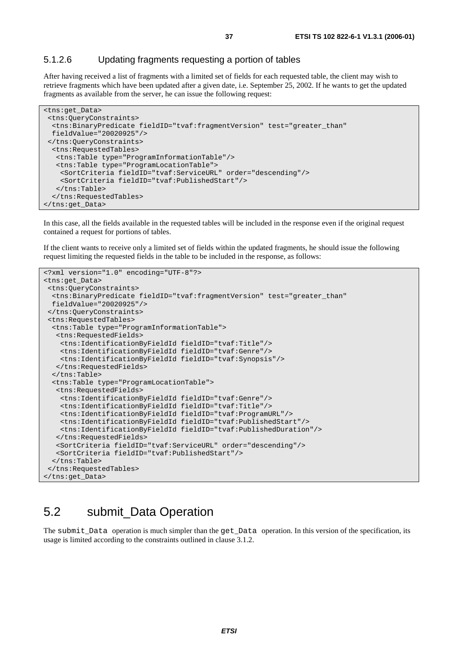#### 5.1.2.6 Updating fragments requesting a portion of tables

After having received a list of fragments with a limited set of fields for each requested table, the client may wish to retrieve fragments which have been updated after a given date, i.e. September 25, 2002. If he wants to get the updated fragments as available from the server, he can issue the following request:

```
<tns:get_Data> 
  <tns:QueryConstraints> 
  <tns:BinaryPredicate fieldID="tvaf:fragmentVersion" test="greater_than" 
  fieldValue="20020925"/> 
  </tns:QueryConstraints> 
  <tns:RequestedTables> 
    <tns:Table type="ProgramInformationTable"/> 
    <tns:Table type="ProgramLocationTable"> 
     <SortCriteria fieldID="tvaf:ServiceURL" order="descending"/> 
     <SortCriteria fieldID="tvaf:PublishedStart"/> 
    </tns:Table> 
   </tns:RequestedTables> 
</tns:get_Data>
```
In this case, all the fields available in the requested tables will be included in the response even if the original request contained a request for portions of tables.

If the client wants to receive only a limited set of fields within the updated fragments, he should issue the following request limiting the requested fields in the table to be included in the response, as follows:

```
<?xml version="1.0" encoding="UTF-8"?> 
<tns:get_Data> 
  <tns:QueryConstraints> 
  <tns:BinaryPredicate fieldID="tvaf:fragmentVersion" test="greater_than" 
  fieldValue="20020925"/> 
  </tns:QueryConstraints> 
  <tns:RequestedTables> 
   <tns:Table type="ProgramInformationTable"> 
   <tns:RequestedFields> 
     <tns:IdentificationByFieldId fieldID="tvaf:Title"/> 
     <tns:IdentificationByFieldId fieldID="tvaf:Genre"/> 
    <tns:IdentificationByFieldId fieldID="tvaf:Synopsis"/> 
   </tns:RequestedFields> 
   </tns:Table> 
   <tns:Table type="ProgramLocationTable"> 
    <tns:RequestedFields> 
     <tns:IdentificationByFieldId fieldID="tvaf:Genre"/> 
     <tns:IdentificationByFieldId fieldID="tvaf:Title"/> 
     <tns:IdentificationByFieldId fieldID="tvaf:ProgramURL"/> 
     <tns:IdentificationByFieldId fieldID="tvaf:PublishedStart"/> 
     <tns:IdentificationByFieldId fieldID="tvaf:PublishedDuration"/> 
   </tns:RequestedFields> 
   <SortCriteria fieldID="tvaf:ServiceURL" order="descending"/> 
   <SortCriteria fieldID="tvaf:PublishedStart"/> 
   </tns:Table> 
  </tns:RequestedTables> 
</tns:get_Data>
```
## 5.2 submit\_Data Operation

The submit\_Data operation is much simpler than the get\_Data operation. In this version of the specification, its usage is limited according to the constraints outlined in clause 3.1.2.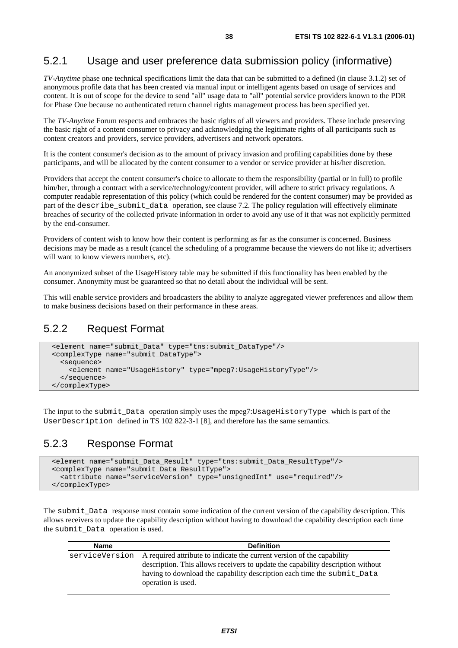## 5.2.1 Usage and user preference data submission policy (informative)

*TV-Anytime* phase one technical specifications limit the data that can be submitted to a defined (in clause 3.1.2) set of anonymous profile data that has been created via manual input or intelligent agents based on usage of services and content. It is out of scope for the device to send "all" usage data to "all" potential service providers known to the PDR for Phase One because no authenticated return channel rights management process has been specified yet.

The *TV-Anytime* Forum respects and embraces the basic rights of all viewers and providers. These include preserving the basic right of a content consumer to privacy and acknowledging the legitimate rights of all participants such as content creators and providers, service providers, advertisers and network operators.

It is the content consumer's decision as to the amount of privacy invasion and profiling capabilities done by these participants, and will be allocated by the content consumer to a vendor or service provider at his/her discretion.

Providers that accept the content consumer's choice to allocate to them the responsibility (partial or in full) to profile him/her, through a contract with a service/technology/content provider, will adhere to strict privacy regulations. A computer readable representation of this policy (which could be rendered for the content consumer) may be provided as part of the describe\_submit\_data operation, see clause 7.2. The policy regulation will effectively eliminate breaches of security of the collected private information in order to avoid any use of it that was not explicitly permitted by the end-consumer.

Providers of content wish to know how their content is performing as far as the consumer is concerned. Business decisions may be made as a result (cancel the scheduling of a programme because the viewers do not like it; advertisers will want to know viewers numbers, etc).

An anonymized subset of the UsageHistory table may be submitted if this functionality has been enabled by the consumer. Anonymity must be guaranteed so that no detail about the individual will be sent.

This will enable service providers and broadcasters the ability to analyze aggregated viewer preferences and allow them to make business decisions based on their performance in these areas.

#### 5.2.2 Request Format

```
 <element name="submit_Data" type="tns:submit_DataType"/> 
 <complexType name="submit_DataType"> 
   <sequence> 
     <element name="UsageHistory" type="mpeg7:UsageHistoryType"/> 
   </sequence> 
 </complexType>
```
The input to the submit\_Data operation simply uses the mpeg7:UsageHistoryType which is part of the UserDescription defined in TS 102 822-3-1 [8], and therefore has the same semantics.

### 5.2.3 Response Format

```
 <element name="submit_Data_Result" type="tns:submit_Data_ResultType"/> 
 <complexType name="submit_Data_ResultType"> 
   <attribute name="serviceVersion" type="unsignedInt" use="required"/> 
 </complexType>
```
The submit\_Data response must contain some indication of the current version of the capability description. This allows receivers to update the capability description without having to download the capability description each time the submit\_Data operation is used.

| <b>Name</b> | <b>Definition</b>                                                                                                                                                                                                                                                         |
|-------------|---------------------------------------------------------------------------------------------------------------------------------------------------------------------------------------------------------------------------------------------------------------------------|
|             | serviceVersion A required attribute to indicate the current version of the capability<br>description. This allows receivers to update the capability description without<br>having to download the capability description each time the submit_Data<br>operation is used. |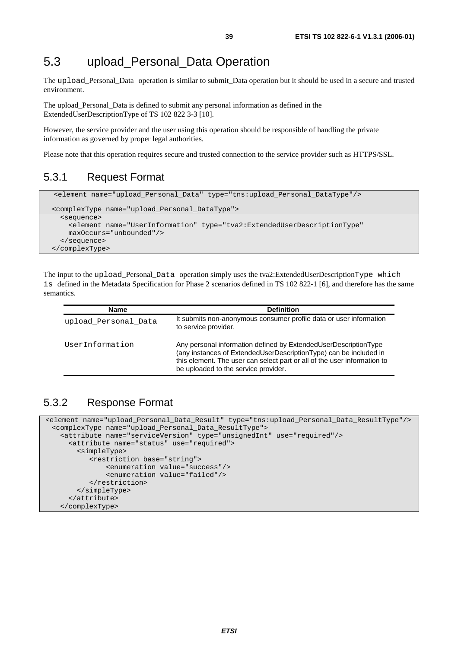## 5.3 upload\_Personal\_Data Operation

The upload\_Personal\_Data operation is similar to submit\_Data operation but it should be used in a secure and trusted environment.

The upload\_Personal\_Data is defined to submit any personal information as defined in the ExtendedUserDescriptionType of TS 102 822 3-3 [10].

However, the service provider and the user using this operation should be responsible of handling the private information as governed by proper legal authorities.

Please note that this operation requires secure and trusted connection to the service provider such as HTTPS/SSL.

### 5.3.1 Request Format

```
 <element name="upload_Personal_Data" type="tns:upload_Personal_DataType"/>
 <complexType name="upload_Personal_DataType"> 
   <sequence> 
     <element name="UserInformation" type="tva2:ExtendedUserDescriptionType" 
     maxOccurs="unbounded"/> 
   </sequence> 
 </complexType>
```
The input to the upload Personal Data operation simply uses the tva2:ExtendedUserDescriptionType which is defined in the Metadata Specification for Phase 2 scenarios defined in TS 102 822-1 [6], and therefore has the same semantics.

| <b>Name</b>          | <b>Definition</b>                                                                                                                                                                                                                                        |
|----------------------|----------------------------------------------------------------------------------------------------------------------------------------------------------------------------------------------------------------------------------------------------------|
| upload_Personal_Data | It submits non-anonymous consumer profile data or user information<br>to service provider.                                                                                                                                                               |
| UserInformation      | Any personal information defined by ExtendedUserDescriptionType<br>(any instances of ExtendedUserDescriptionType) can be included in<br>this element. The user can select part or all of the user information to<br>be uploaded to the service provider. |

## 5.3.2 Response Format

```
<element name="upload_Personal_Data_Result" type="tns:upload_Personal_Data_ResultType"/> 
  <complexType name="upload_Personal_Data_ResultType"> 
    <attribute name="serviceVersion" type="unsignedInt" use="required"/> 
      <attribute name="status" use="required"> 
        <simpleType> 
            <restriction base="string"> 
                <enumeration value="success"/> 
                <enumeration value="failed"/> 
            </restriction> 
        </simpleType> 
      </attribute> 
    </complexType>
```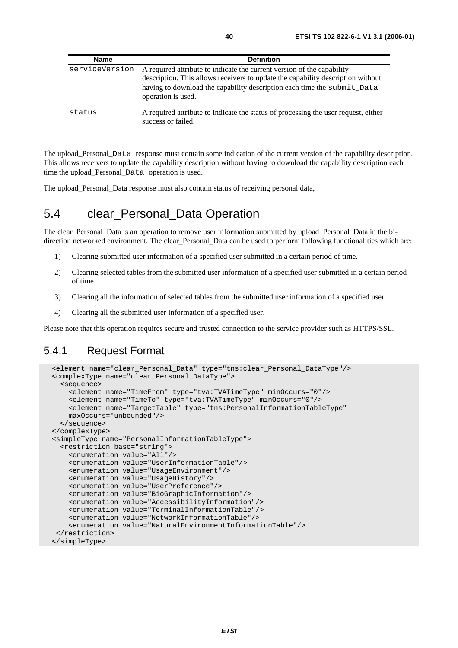| <b>Name</b>    | <b>Definition</b>                                                                                                                                                                                                                                          |
|----------------|------------------------------------------------------------------------------------------------------------------------------------------------------------------------------------------------------------------------------------------------------------|
| serviceVersion | A required attribute to indicate the current version of the capability<br>description. This allows receivers to update the capability description without<br>having to download the capability description each time the submit_Data<br>operation is used. |
| status         | A required attribute to indicate the status of processing the user request, either<br>success or failed.                                                                                                                                                   |

The upload\_Personal\_Data response must contain some indication of the current version of the capability description. This allows receivers to update the capability description without having to download the capability description each time the upload\_Personal\_Data operation is used.

The upload\_Personal\_Data response must also contain status of receiving personal data,

## 5.4 clear\_Personal\_Data Operation

The clear Personal Data is an operation to remove user information submitted by upload Personal Data in the bidirection networked environment. The clear\_Personal\_Data can be used to perform following functionalities which are:

- 1) Clearing submitted user information of a specified user submitted in a certain period of time.
- 2) Clearing selected tables from the submitted user information of a specified user submitted in a certain period of time.
- 3) Clearing all the information of selected tables from the submitted user information of a specified user.
- 4) Clearing all the submitted user information of a specified user.

Please note that this operation requires secure and trusted connection to the service provider such as HTTPS/SSL.

#### 5.4.1 Request Format

```
 <element name="clear_Personal_Data" type="tns:clear_Personal_DataType"/> 
 <complexType name="clear_Personal_DataType"> 
   <sequence> 
     <element name="TimeFrom" type="tva:TVATimeType" minOccurs="0"/> 
     <element name="TimeTo" type="tva:TVATimeType" minOccurs="0"/> 
     <element name="TargetTable" type="tns:PersonalInformationTableType" 
     maxOccurs="unbounded"/> 
   </sequence> 
 </complexType> 
 <simpleType name="PersonalInformationTableType"> 
   <restriction base="string"> 
     <enumeration value="All"/> 
     <enumeration value="UserInformationTable"/> 
     <enumeration value="UsageEnvironment"/> 
     <enumeration value="UsageHistory"/> 
     <enumeration value="UserPreference"/> 
     <enumeration value="BioGraphicInformation"/> 
     <enumeration value="AccessibilityInformation"/> 
     <enumeration value="TerminalInformationTable"/> 
     <enumeration value="NetworkInformationTable"/> 
     <enumeration value="NaturalEnvironmentInformationTable"/> 
  </restriction> 
 </simpleType>
```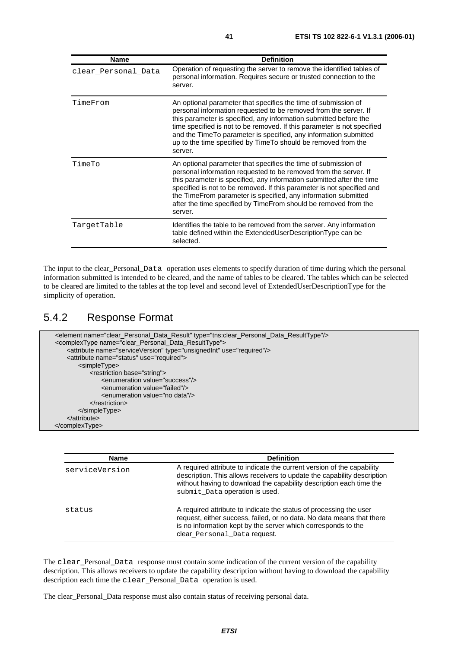| <b>Name</b>         | <b>Definition</b>                                                                                                                                                                                                                                                                                                                                                                                                                     |
|---------------------|---------------------------------------------------------------------------------------------------------------------------------------------------------------------------------------------------------------------------------------------------------------------------------------------------------------------------------------------------------------------------------------------------------------------------------------|
| clear Personal Data | Operation of requesting the server to remove the identified tables of<br>personal information. Requires secure or trusted connection to the<br>server.                                                                                                                                                                                                                                                                                |
| TimeFrom            | An optional parameter that specifies the time of submission of<br>personal information requested to be removed from the server. If<br>this parameter is specified, any information submitted before the<br>time specified is not to be removed. If this parameter is not specified<br>and the Time To parameter is specified, any information submitted<br>up to the time specified by TimeTo should be removed from the<br>server.   |
| TimeTo              | An optional parameter that specifies the time of submission of<br>personal information requested to be removed from the server. If<br>this parameter is specified, any information submitted after the time<br>specified is not to be removed. If this parameter is not specified and<br>the TimeFrom parameter is specified, any information submitted<br>after the time specified by TimeFrom should be removed from the<br>server. |
| TargetTable         | Identifies the table to be removed from the server. Any information<br>table defined within the ExtendedUserDescriptionType can be<br>selected.                                                                                                                                                                                                                                                                                       |

The input to the clear\_Personal\_Data operation uses elements to specify duration of time during which the personal information submitted is intended to be cleared, and the name of tables to be cleared. The tables which can be selected to be cleared are limited to the tables at the top level and second level of ExtendedUserDescriptionType for the simplicity of operation.

## 5.4.2 Response Format

| <element name="clear_Personal_Data_Result" type="tns:clear_Personal_Data_ResultType"></element> |
|-------------------------------------------------------------------------------------------------|
| <complextype name="clear_Personal_Data_ResultType"></complextype>                               |
| <attribute name="serviceVersion" type="unsignedInt" use="required"></attribute>                 |
| <attribute name="status" use="required"></attribute>                                            |
| <simpletype></simpletype>                                                                       |
| <restriction base="string"></restriction>                                                       |
| <enumeration value="success"></enumeration>                                                     |
| <enumeration value="failed"></enumeration>                                                      |
| <enumeration value="no data"></enumeration>                                                     |
| $\alpha$ restriction $>$                                                                        |
| $\le$ /simpleType>                                                                              |
| $\alpha$ /attribute $\alpha$                                                                    |
| $<$ /complexType>                                                                               |
|                                                                                                 |

| <b>Name</b>    | <b>Definition</b>                                                                                                                                                                                                                                          |
|----------------|------------------------------------------------------------------------------------------------------------------------------------------------------------------------------------------------------------------------------------------------------------|
| serviceVersion | A required attribute to indicate the current version of the capability<br>description. This allows receivers to update the capability description<br>without having to download the capability description each time the<br>submit_Data operation is used. |
| status         | A required attribute to indicate the status of processing the user<br>request, either success, failed, or no data. No data means that there<br>is no information kept by the server which corresponds to the<br>clear_Personal_Data request.               |

The clear\_Personal\_Data response must contain some indication of the current version of the capability description. This allows receivers to update the capability description without having to download the capability description each time the clear\_Personal\_Data operation is used.

The clear\_Personal\_Data response must also contain status of receiving personal data.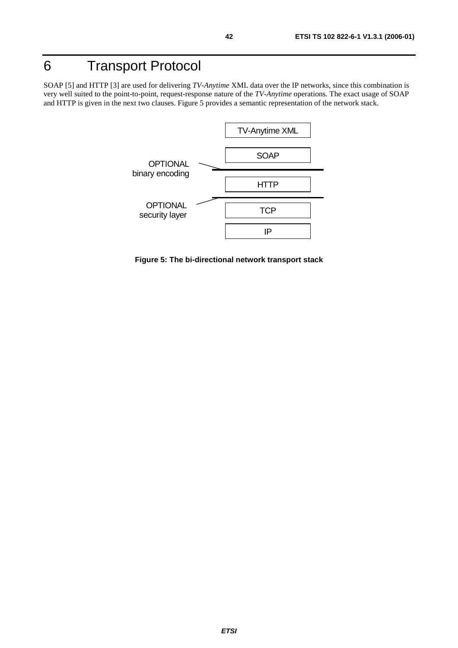# 6 Transport Protocol

SOAP [5] and HTTP [3] are used for delivering *TV-Anytime* XML data over the IP networks, since this combination is very well suited to the point-to-point, request-response nature of the *TV-Anytime* operations. The exact usage of SOAP and HTTP is given in the next two clauses. Figure 5 provides a semantic representation of the network stack.



**Figure 5: The bi-directional network transport stack**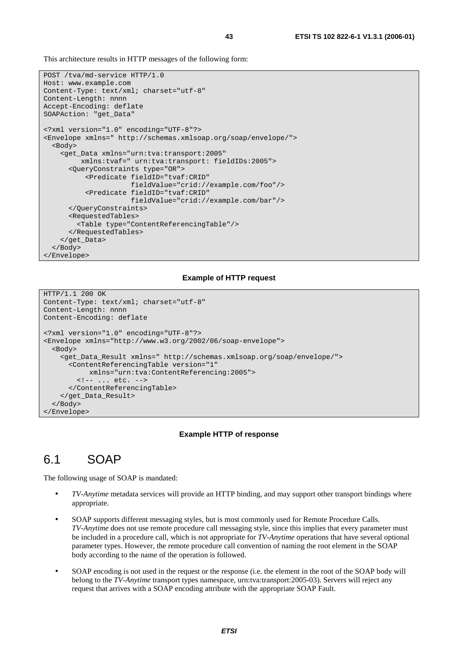This architecture results in HTTP messages of the following form:

```
POST /tva/md-service HTTP/1.0 
Host: www.example.com 
Content-Type: text/xml; charset="utf-8" 
Content-Length: nnnn 
Accept-Encoding: deflate 
SOAPAction: "get_Data" 
<?xml version="1.0" encoding="UTF-8"?> 
<Envelope xmlns=" http://schemas.xmlsoap.org/soap/envelope/"> 
   <Body> 
     <get_Data xmlns="urn:tva:transport:2005" 
          xmlns:tvaf=" urn:tva:transport: fieldIDs:2005"> 
       <QueryConstraints type="OR"> 
            <Predicate fieldID="tvaf:CRID" 
                       fieldValue="crid://example.com/foo"/> 
            <Predicate fieldID="tvaf:CRID" 
                       fieldValue="crid://example.com/bar"/> 
       </QueryConstraints> 
       <RequestedTables> 
         <Table type="ContentReferencingTable"/> 
       </RequestedTables> 
     </get_Data> 
   </Body> 
</Envelope>
```
#### **Example of HTTP request**

```
HTTP/1.1 200 OK 
Content-Type: text/xml; charset="utf-8" 
Content-Length: nnnn 
Content-Encoding: deflate 
<?xml version="1.0" encoding="UTF-8"?> 
<Envelope xmlns="http://www.w3.org/2002/06/soap-envelope"> 
   <Body> 
     <get_Data_Result xmlns=" http://schemas.xmlsoap.org/soap/envelope/"> 
       <ContentReferencingTable version="1" 
            xmlns="urn:tva:ContentReferencing:2005"> 
         <!-- ... etc. --> 
       </ContentReferencingTable> 
     </get_Data_Result> 
   </Body> 
</Envelope>
```
#### **Example HTTP of response**

## 6.1 SOAP

The following usage of SOAP is mandated:

- *TV-Anytime* metadata services will provide an HTTP binding, and may support other transport bindings where appropriate.
- SOAP supports different messaging styles, but is most commonly used for Remote Procedure Calls. *TV-Anytime* does not use remote procedure call messaging style, since this implies that every parameter must be included in a procedure call, which is not appropriate for *TV-Anytime* operations that have several optional parameter types. However, the remote procedure call convention of naming the root element in the SOAP body according to the name of the operation is followed.
- SOAP encoding is not used in the request or the response (i.e. the element in the root of the SOAP body will belong to the *TV-Anytime* transport types namespace, urn:tva:transport:2005-03). Servers will reject any request that arrives with a SOAP encoding attribute with the appropriate SOAP Fault.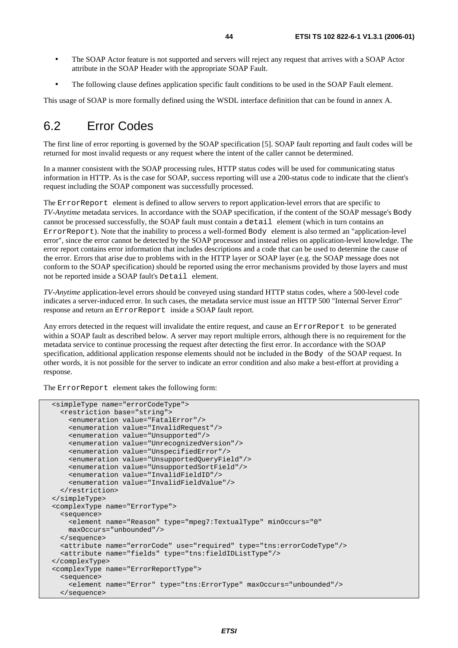The following clause defines application specific fault conditions to be used in the SOAP Fault element.

This usage of SOAP is more formally defined using the WSDL interface definition that can be found in annex A.

## 6.2 Error Codes

The first line of error reporting is governed by the SOAP specification [5]. SOAP fault reporting and fault codes will be returned for most invalid requests or any request where the intent of the caller cannot be determined.

In a manner consistent with the SOAP processing rules, HTTP status codes will be used for communicating status information in HTTP. As is the case for SOAP, success reporting will use a 200-status code to indicate that the client's request including the SOAP component was successfully processed.

The ErrorReport element is defined to allow servers to report application-level errors that are specific to *TV-Anytime* metadata services. In accordance with the SOAP specification, if the content of the SOAP message's Body cannot be processed successfully, the SOAP fault must contain a detail element (which in turn contains an ErrorReport). Note that the inability to process a well-formed Body element is also termed an "application-level error", since the error cannot be detected by the SOAP processor and instead relies on application-level knowledge. The error report contains error information that includes descriptions and a code that can be used to determine the cause of the error. Errors that arise due to problems with in the HTTP layer or SOAP layer (e.g. the SOAP message does not conform to the SOAP specification) should be reported using the error mechanisms provided by those layers and must not be reported inside a SOAP fault's Detail element.

*TV-Anytime* application-level errors should be conveyed using standard HTTP status codes, where a 500-level code indicates a server-induced error. In such cases, the metadata service must issue an HTTP 500 "Internal Server Error" response and return an ErrorReport inside a SOAP fault report.

Any errors detected in the request will invalidate the entire request, and cause an ErrorReport to be generated within a SOAP fault as described below. A server may report multiple errors, although there is no requirement for the metadata service to continue processing the request after detecting the first error. In accordance with the SOAP specification, additional application response elements should not be included in the Body of the SOAP request. In other words, it is not possible for the server to indicate an error condition and also make a best-effort at providing a response.

The ErrorReport element takes the following form:

```
 <simpleType name="errorCodeType"> 
   <restriction base="string"> 
     <enumeration value="FatalError"/> 
     <enumeration value="InvalidRequest"/> 
     <enumeration value="Unsupported"/> 
     <enumeration value="UnrecognizedVersion"/> 
     <enumeration value="UnspecifiedError"/> 
     <enumeration value="UnsupportedQueryField"/> 
     <enumeration value="UnsupportedSortField"/> 
     <enumeration value="InvalidFieldID"/> 
     <enumeration value="InvalidFieldValue"/> 
  </restriction> 
 </simpleType> 
 <complexType name="ErrorType"> 
   <sequence> 
     <element name="Reason" type="mpeg7:TextualType" minOccurs="0" 
     maxOccurs="unbounded"/> 
   </sequence> 
   <attribute name="errorCode" use="required" type="tns:errorCodeType"/> 
   <attribute name="fields" type="tns:fieldIDListType"/> 
</complexType> 
 <complexType name="ErrorReportType"> 
   <sequence> 
     <element name="Error" type="tns:ErrorType" maxOccurs="unbounded"/> 
   </sequence>
```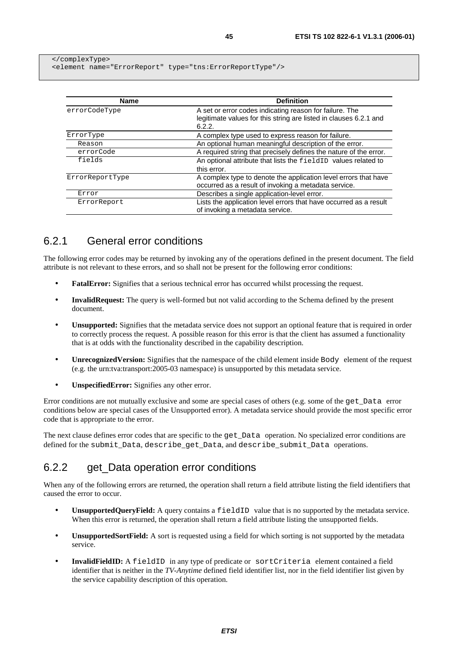|  | <element name="ErrorReport" type="tns:ErrorReportType"></element> |
|--|-------------------------------------------------------------------|

| <b>Name</b>     | <b>Definition</b>                                                                                                                      |
|-----------------|----------------------------------------------------------------------------------------------------------------------------------------|
| errorCodeType   | A set or error codes indicating reason for failure. The<br>legitimate values for this string are listed in clauses 6.2.1 and<br>6.2.2. |
| ErrorType       | A complex type used to express reason for failure.                                                                                     |
| Reason          | An optional human meaningful description of the error.                                                                                 |
| errorCode       | A required string that precisely defines the nature of the error.                                                                      |
| fields          | An optional attribute that lists the fieldID values related to<br>this error.                                                          |
| ErrorReportType | A complex type to denote the application level errors that have<br>occurred as a result of invoking a metadata service.                |
| Error           | Describes a single application-level error.                                                                                            |
| ErrorReport     | Lists the application level errors that have occurred as a result<br>of invoking a metadata service.                                   |

### 6.2.1 General error conditions

The following error codes may be returned by invoking any of the operations defined in the present document. The field attribute is not relevant to these errors, and so shall not be present for the following error conditions:

- **FatalError:** Signifies that a serious technical error has occurred whilst processing the request.
- **InvalidRequest:** The query is well-formed but not valid according to the Schema defined by the present document.
- **Unsupported:** Signifies that the metadata service does not support an optional feature that is required in order to correctly process the request. A possible reason for this error is that the client has assumed a functionality that is at odds with the functionality described in the capability description.
- **Unrecognized Version:** Signifies that the namespace of the child element inside Body element of the request (e.g. the urn:tva:transport:2005-03 namespace) is unsupported by this metadata service.
- **UnspecifiedError:** Signifies any other error.

Error conditions are not mutually exclusive and some are special cases of others (e.g. some of the get\_Data error conditions below are special cases of the Unsupported error). A metadata service should provide the most specific error code that is appropriate to the error.

The next clause defines error codes that are specific to the get\_Data operation. No specialized error conditions are defined for the submit Data, describe get Data, and describe submit Data operations.

### 6.2.2 get\_Data operation error conditions

When any of the following errors are returned, the operation shall return a field attribute listing the field identifiers that caused the error to occur.

- **UnsupportedQueryField:** A query contains a fieldID value that is no supported by the metadata service. When this error is returned, the operation shall return a field attribute listing the unsupported fields.
- **UnsupportedSortField:** A sort is requested using a field for which sorting is not supported by the metadata service.
- **InvalidFieldID:** A fieldID in any type of predicate or sortCriteria element contained a field identifier that is neither in the *TV-Anytime* defined field identifier list, nor in the field identifier list given by the service capability description of this operation.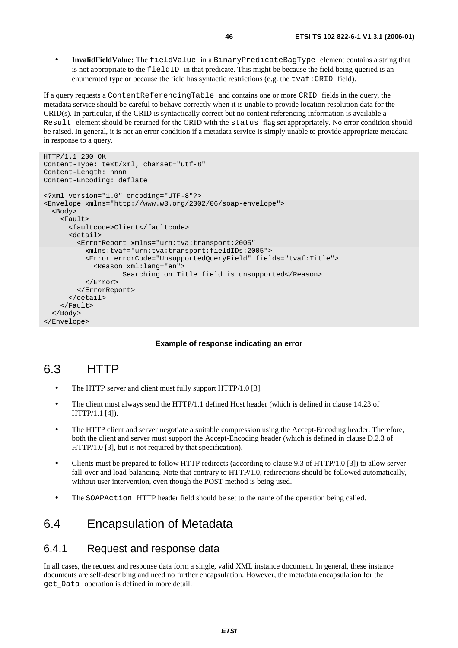• **InvalidFieldValue:** The fieldValue in a BinaryPredicateBagType element contains a string that is not appropriate to the fieldID in that predicate. This might be because the field being queried is an enumerated type or because the field has syntactic restrictions (e.g. the tvaf:CRID field).

If a query requests a ContentReferencingTable and contains one or more CRID fields in the query, the metadata service should be careful to behave correctly when it is unable to provide location resolution data for the CRID(s). In particular, if the CRID is syntactically correct but no content referencing information is available a Result element should be returned for the CRID with the status flag set appropriately. No error condition should be raised. In general, it is not an error condition if a metadata service is simply unable to provide appropriate metadata in response to a query.

```
HTTP/1.1 200 OK 
Content-Type: text/xml; charset="utf-8" 
Content-Length: nnnn 
Content-Encoding: deflate 
<?xml version="1.0" encoding="UTF-8"?> 
<Envelope xmlns="http://www.w3.org/2002/06/soap-envelope"> 
   <Body> 
    <Fault>
       <faultcode>Client</faultcode> 
       <detail> 
         <ErrorReport xmlns="urn:tva:transport:2005" 
           xmlns:tvaf="urn:tva:transport:fieldIDs:2005"> 
            <Error errorCode="UnsupportedQueryField" fields="tvaf:Title"> 
              <Reason xml:lang="en"> 
                     Searching on Title field is unsupported</Reason> 
           </Error> 
         </ErrorReport> 
       </detail> 
     </Fault> 
   </Body> 
</Envelope>
```
#### **Example of response indicating an error**

## 6.3 HTTP

- The HTTP server and client must fully support HTTP/1.0 [3].
- The client must always send the HTTP/1.1 defined Host header (which is defined in clause 14.23 of HTTP/1.1 [4]).
- The HTTP client and server negotiate a suitable compression using the Accept-Encoding header. Therefore, both the client and server must support the Accept-Encoding header (which is defined in clause D.2.3 of HTTP/1.0 [3], but is not required by that specification).
- Clients must be prepared to follow HTTP redirects (according to clause 9.3 of HTTP/1.0 [3]) to allow server fall-over and load-balancing. Note that contrary to HTTP/1.0, redirections should be followed automatically, without user intervention, even though the POST method is being used.
- The SOAPAction HTTP header field should be set to the name of the operation being called.

## 6.4 Encapsulation of Metadata

#### 6.4.1 Request and response data

In all cases, the request and response data form a single, valid XML instance document. In general, these instance documents are self-describing and need no further encapsulation. However, the metadata encapsulation for the get\_Data operation is defined in more detail.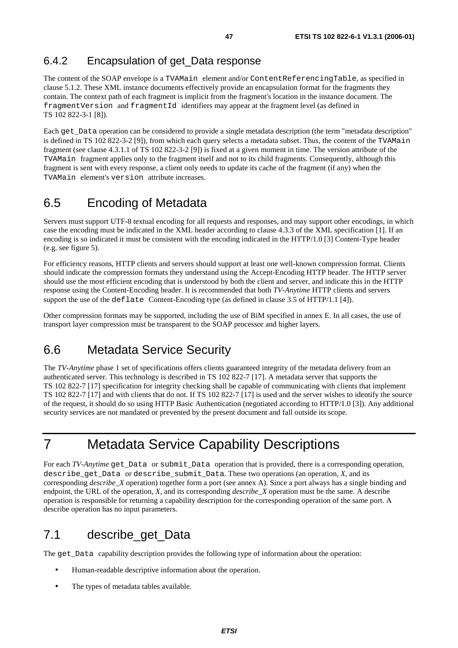### 6.4.2 Encapsulation of get\_Data response

The content of the SOAP envelope is a TVAMain element and/or ContentReferencingTable, as specified in clause 5.1.2. These XML instance documents effectively provide an encapsulation format for the fragments they contain. The context path of each fragment is implicit from the fragment's location in the instance document. The fragmentVersion and fragmentId identifiers may appear at the fragment level (as defined in TS 102 822-3-1 [8]).

Each get Data operation can be considered to provide a single metadata description (the term "metadata description" is defined in TS 102 822-3-2 [9]), from which each query selects a metadata subset. Thus, the content of the TVAMain fragment (see clause 4.3.1.1 of TS 102 822-3-2 [9]) is fixed at a given moment in time. The version attribute of the TVAMain fragment applies only to the fragment itself and not to its child fragments. Consequently, although this fragment is sent with every response, a client only needs to update its cache of the fragment (if any) when the TVAMain element's version attribute increases.

## 6.5 Encoding of Metadata

Servers must support UTF-8 textual encoding for all requests and responses, and may support other encodings, in which case the encoding must be indicated in the XML header according to clause 4.3.3 of the XML specification [1]. If an encoding is so indicated it must be consistent with the encoding indicated in the HTTP/1.0 [3] Content-Type header (e.g. see figure 5).

For efficiency reasons, HTTP clients and servers should support at least one well-known compression format. Clients should indicate the compression formats they understand using the Accept-Encoding HTTP header. The HTTP server should use the most efficient encoding that is understood by both the client and server, and indicate this in the HTTP response using the Content-Encoding header. It is recommended that both *TV-Anytime* HTTP clients and servers support the use of the deflate Content-Encoding type (as defined in clause 3.5 of HTTP/1.1 [4]).

Other compression formats may be supported, including the use of BiM specified in annex E. In all cases, the use of transport layer compression must be transparent to the SOAP processor and higher layers.

## 6.6 Metadata Service Security

The *TV-Anytime* phase 1 set of specifications offers clients guaranteed integrity of the metadata delivery from an authenticated server. This technology is described in TS 102 822-7 [17]. A metadata server that supports the TS 102 822-7 [17] specification for integrity checking shall be capable of communicating with clients that implement TS 102 822-7 [17] and with clients that do not. If TS 102 822-7 [17] is used and the server wishes to identify the source of the request, it should do so using HTTP Basic Authentication (negotiated according to HTTP/1.0 [3]). Any additional security services are not mandated or prevented by the present document and fall outside its scope.

# 7 Metadata Service Capability Descriptions

For each *TV-Anytime* get\_Data or submit\_Data operation that is provided, there is a corresponding operation, describe\_get\_Data or describe\_submit\_Data. These two operations (an operation, *X*, and its corresponding *describe*\_*X* operation) together form a port (see annex A). Since a port always has a single binding and endpoint, the URL of the operation, *X*, and its corresponding *describe\_X* operation must be the same. A describe operation is responsible for returning a capability description for the corresponding operation of the same port. A describe operation has no input parameters.

## 7.1 describe\_get\_Data

The get\_Data capability description provides the following type of information about the operation:

- Human-readable descriptive information about the operation.
- The types of metadata tables available.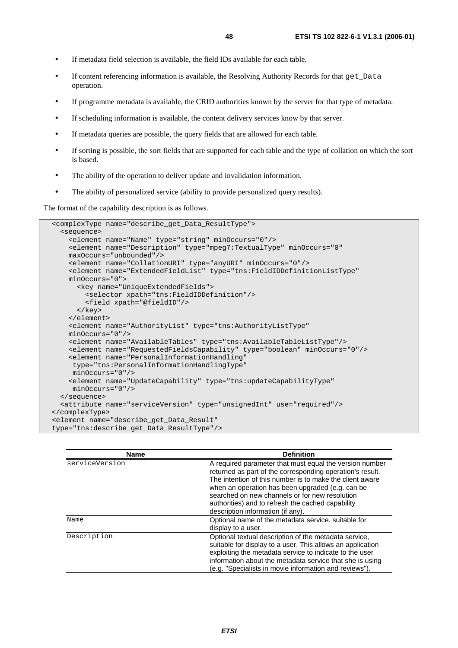- If metadata field selection is available, the field IDs available for each table.
- If content referencing information is available, the Resolving Authority Records for that get Data operation.
- If programme metadata is available, the CRID authorities known by the server for that type of metadata.
- If scheduling information is available, the content delivery services know by that server.
- If metadata queries are possible, the query fields that are allowed for each table.
- If sorting is possible, the sort fields that are supported for each table and the type of collation on which the sort is based.
- The ability of the operation to deliver update and invalidation information.
- The ability of personalized service (ability to provide personalized query results).

The format of the capability description is as follows.

```
 <complexType name="describe_get_Data_ResultType"> 
   <sequence> 
     <element name="Name" type="string" minOccurs="0"/> 
     <element name="Description" type="mpeg7:TextualType" minOccurs="0" 
     maxOccurs="unbounded"/> 
     <element name="CollationURI" type="anyURI" minOccurs="0"/> 
     <element name="ExtendedFieldList" type="tns:FieldIDDefinitionListType" 
     minOccurs="0"> 
       <key name="UniqueExtendedFields"> 
         <selector xpath="tns:FieldIDDefinition"/> 
         <field xpath="@fieldID"/> 
       </key> 
    \epsilon/element>
     <element name="AuthorityList" type="tns:AuthorityListType" 
     minOccurs="0"/> 
     <element name="AvailableTables" type="tns:AvailableTableListType"/> 
     <element name="RequestedFieldsCapability" type="boolean" minOccurs="0"/> 
     <element name="PersonalInformationHandling" 
      type="tns:PersonalInformationHandlingType" 
      minOccurs="0"/> 
     <element name="UpdateCapability" type="tns:updateCapabilityType" 
      minOccurs="0"/> 
   </sequence> 
   <attribute name="serviceVersion" type="unsignedInt" use="required"/> 
</complexType> 
 <element name="describe_get_Data_Result" 
 type="tns:describe_get_Data_ResultType"/>
```

| <b>Name</b>    | <b>Definition</b>                                                                                                                                                                                                                                                                                                                                                                |
|----------------|----------------------------------------------------------------------------------------------------------------------------------------------------------------------------------------------------------------------------------------------------------------------------------------------------------------------------------------------------------------------------------|
| serviceVersion | A required parameter that must equal the version number<br>returned as part of the corresponding operation's result.<br>The intention of this number is to make the client aware<br>when an operation has been upgraded (e.g. can be<br>searched on new channels or for new resolution<br>authorities) and to refresh the cached capability<br>description information (if any). |
| Name           | Optional name of the metadata service, suitable for<br>display to a user.                                                                                                                                                                                                                                                                                                        |
| Description    | Optional textual description of the metadata service,<br>suitable for display to a user. This allows an application<br>exploiting the metadata service to indicate to the user<br>information about the metadata service that she is using<br>(e.g. "Specialists in movie information and reviews").                                                                             |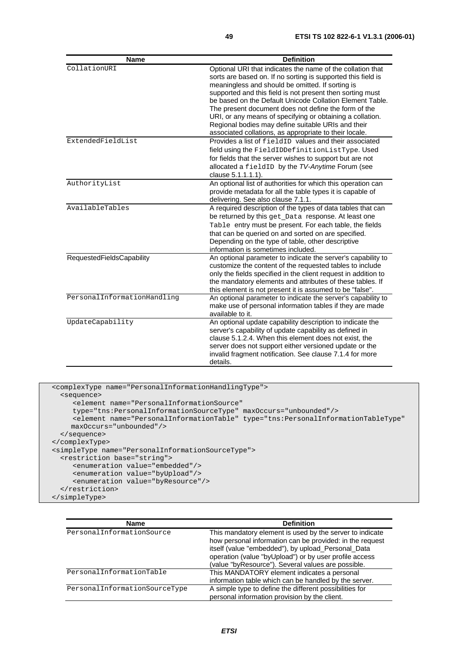| <b>Name</b>                 | <b>Definition</b>                                                                                                                                                                                                                                                                                                                                                                                                                                                                                                                            |
|-----------------------------|----------------------------------------------------------------------------------------------------------------------------------------------------------------------------------------------------------------------------------------------------------------------------------------------------------------------------------------------------------------------------------------------------------------------------------------------------------------------------------------------------------------------------------------------|
| CollationURI                | Optional URI that indicates the name of the collation that<br>sorts are based on. If no sorting is supported this field is<br>meaningless and should be omitted. If sorting is<br>supported and this field is not present then sorting must<br>be based on the Default Unicode Collation Element Table.<br>The present document does not define the form of the<br>URI, or any means of specifying or obtaining a collation.<br>Regional bodies may define suitable URIs and their<br>associated collations, as appropriate to their locale. |
| ExtendedFieldList           | Provides a list of fieldID values and their associated<br>field using the FieldIDDefinitionListType. Used<br>for fields that the server wishes to support but are not<br>allocated a fieldID by the TV-Anytime Forum (see<br>clause 5.1.1.1.1).                                                                                                                                                                                                                                                                                              |
| AuthorityList               | An optional list of authorities for which this operation can<br>provide metadata for all the table types it is capable of<br>delivering. See also clause 7.1.1.                                                                                                                                                                                                                                                                                                                                                                              |
| AvailableTables             | A required description of the types of data tables that can<br>be returned by this get_Data response. At least one<br>Table entry must be present. For each table, the fields<br>that can be queried on and sorted on are specified.<br>Depending on the type of table, other descriptive<br>information is sometimes included.                                                                                                                                                                                                              |
| RequestedFieldsCapability   | An optional parameter to indicate the server's capability to<br>customize the content of the requested tables to include<br>only the fields specified in the client request in addition to<br>the mandatory elements and attributes of these tables. If<br>this element is not present it is assumed to be "false".                                                                                                                                                                                                                          |
| PersonalInformationHandling | An optional parameter to indicate the server's capability to<br>make use of personal information tables if they are made<br>available to it.                                                                                                                                                                                                                                                                                                                                                                                                 |
| UpdateCapability            | An optional update capability description to indicate the<br>server's capability of update capability as defined in<br>clause 5.1.2.4. When this element does not exist, the<br>server does not support either versioned update or the<br>invalid fragment notification. See clause 7.1.4 for more<br>details.                                                                                                                                                                                                                               |

```
 <complexType name="PersonalInformationHandlingType"> 
  <sequence> 
      <element name="PersonalInformationSource" 
      type="tns:PersonalInformationSourceType" maxOccurs="unbounded"/> 
      <element name="PersonalInformationTable" type="tns:PersonalInformationTableType" 
     maxOccurs="unbounded"/> 
  </sequence> 
 </complexType> 
 <simpleType name="PersonalInformationSourceType"> 
  <restriction base="string"> 
      <enumeration value="embedded"/> 
      <enumeration value="byUpload"/> 
      <enumeration value="byResource"/> 
  </restriction> 
 </simpleType>
```

| Name                          | <b>Definition</b>                                                                                                                                                                                                                                                                          |
|-------------------------------|--------------------------------------------------------------------------------------------------------------------------------------------------------------------------------------------------------------------------------------------------------------------------------------------|
| PersonalInformationSource     | This mandatory element is used by the server to indicate<br>how personal information can be provided: in the request<br>itself (value "embedded"), by upload_Personal_Data<br>operation (value "byUpload") or by user profile access<br>(value "byResource"). Several values are possible. |
| PersonalInformationTable      | This MANDATORY element indicates a personal<br>information table which can be handled by the server.                                                                                                                                                                                       |
| PersonalInformationSourceType | A simple type to define the different possibilities for<br>personal information provision by the client.                                                                                                                                                                                   |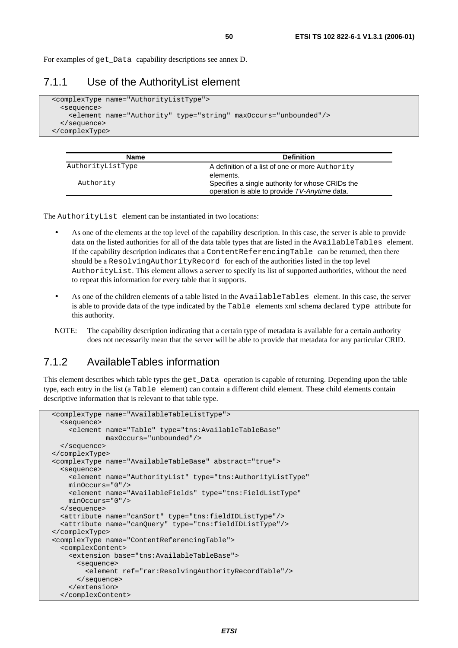For examples of get\_Data capability descriptions see annex D.

#### 7.1.1 Use of the AuthorityList element

```
 <complexType name="AuthorityListType"> 
   <sequence> 
     <element name="Authority" type="string" maxOccurs="unbounded"/> 
   </sequence> 
 </complexType>
```

| Name              | <b>Definition</b>                                |
|-------------------|--------------------------------------------------|
| AuthorityListType | A definition of a list of one or more Authority  |
|                   | elements.                                        |
| Authority         | Specifies a single authority for whose CRIDs the |
|                   | operation is able to provide TV-Anytime data.    |

The AuthorityList element can be instantiated in two locations:

- As one of the elements at the top level of the capability description. In this case, the server is able to provide data on the listed authorities for all of the data table types that are listed in the AvailableTables element. If the capability description indicates that a ContentReferencingTable can be returned, then there should be a ResolvingAuthorityRecord for each of the authorities listed in the top level AuthorityList. This element allows a server to specify its list of supported authorities, without the need to repeat this information for every table that it supports.
- As one of the children elements of a table listed in the AvailableTables element. In this case, the server is able to provide data of the type indicated by the Table elements xml schema declared type attribute for this authority.
- NOTE: The capability description indicating that a certain type of metadata is available for a certain authority does not necessarily mean that the server will be able to provide that metadata for any particular CRID.

### 7.1.2 AvailableTables information

This element describes which table types the get Data operation is capable of returning. Depending upon the table type, each entry in the list (a Table element) can contain a different child element. These child elements contain descriptive information that is relevant to that table type.

```
 <complexType name="AvailableTableListType"> 
   <sequence> 
     <element name="Table" type="tns:AvailableTableBase" 
              maxOccurs="unbounded"/> 
   </sequence> 
 </complexType> 
 <complexType name="AvailableTableBase" abstract="true"> 
   <sequence> 
     <element name="AuthorityList" type="tns:AuthorityListType" 
     minOccurs="0"/> 
     <element name="AvailableFields" type="tns:FieldListType" 
     minOccurs="0"/> 
  </sequence> 
  <attribute name="canSort" type="tns:fieldIDListType"/> 
   <attribute name="canQuery" type="tns:fieldIDListType"/> 
 </complexType> 
 <complexType name="ContentReferencingTable"> 
   <complexContent> 
     <extension base="tns:AvailableTableBase"> 
       <sequence> 
         <element ref="rar:ResolvingAuthorityRecordTable"/> 
       </sequence> 
     </extension> 
   </complexContent>
```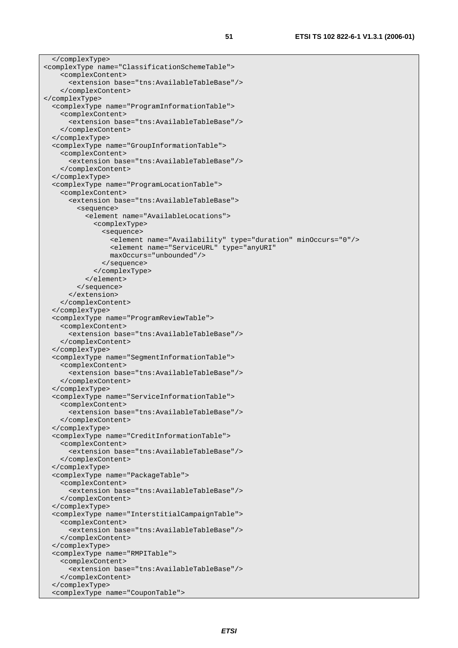</complexType> <complexType name="ClassificationSchemeTable"> <complexContent> <extension base="tns:AvailableTableBase"/> </complexContent> </complexType> <complexType name="ProgramInformationTable"> <complexContent> <extension base="tns:AvailableTableBase"/> </complexContent> </complexType> <complexType name="GroupInformationTable"> <complexContent> <extension base="tns:AvailableTableBase"/> </complexContent> </complexType> <complexType name="ProgramLocationTable"> <complexContent> <extension base="tns:AvailableTableBase"> <sequence> <element name="AvailableLocations"> <complexType> <sequence> <element name="Availability" type="duration" minOccurs="0"/> <element name="ServiceURL" type="anyURI" maxOccurs="unbounded"/> </sequence> </complexType> </element> </sequence> </extension> </complexContent> </complexType> <complexType name="ProgramReviewTable"> <complexContent> <extension base="tns:AvailableTableBase"/> </complexContent> </complexType> <complexType name="SegmentInformationTable"> <complexContent> <extension base="tns:AvailableTableBase"/> </complexContent> </complexType> <complexType name="ServiceInformationTable"> <complexContent> <extension base="tns:AvailableTableBase"/> </complexContent> </complexType> <complexType name="CreditInformationTable"> <complexContent> <extension base="tns:AvailableTableBase"/> </complexContent> </complexType> <complexType name="PackageTable"> <complexContent> <extension base="tns:AvailableTableBase"/> </complexContent> </complexType> <complexType name="InterstitialCampaignTable"> <complexContent> <extension base="tns:AvailableTableBase"/> </complexContent> </complexType> <complexType name="RMPITable"> <complexContent> <extension base="tns:AvailableTableBase"/> </complexContent> </complexType> <complexType name="CouponTable">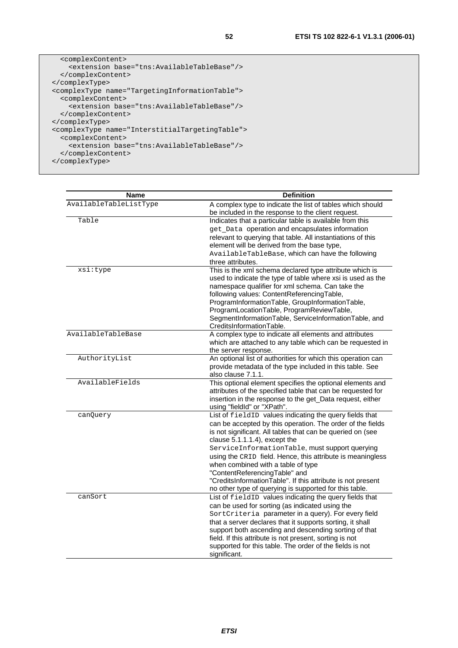| <complexcontent></complexcontent>                             |  |
|---------------------------------------------------------------|--|
| <extension base="tns:AvailableTableBase"></extension>         |  |
|                                                               |  |
|                                                               |  |
| <complextype name="TargetingInformationTable"></complextype>  |  |
| <complexcontent></complexcontent>                             |  |
| <extension base="tns:AvailableTableBase"></extension>         |  |
|                                                               |  |
|                                                               |  |
| <complextype name="InterstitialTargetingTable"></complextype> |  |
| <complexcontent></complexcontent>                             |  |
| <extension base="tns:AvailableTableBase"></extension>         |  |
|                                                               |  |
|                                                               |  |

| Name                   | <b>Definition</b>                                            |
|------------------------|--------------------------------------------------------------|
| AvailableTableListType | A complex type to indicate the list of tables which should   |
|                        | be included in the response to the client request.           |
| Table                  | Indicates that a particular table is available from this     |
|                        | get_Data operation and encapsulates information              |
|                        | relevant to querying that table. All instantiations of this  |
|                        | element will be derived from the base type,                  |
|                        | AvailableTableBase, which can have the following             |
|                        | three attributes.                                            |
| xsi:type               | This is the xml schema declared type attribute which is      |
|                        | used to indicate the type of table where xsi is used as the  |
|                        | namespace qualifier for xml schema. Can take the             |
|                        | following values: ContentReferencingTable,                   |
|                        | ProgramInformationTable, GroupInformationTable,              |
|                        | ProgramLocationTable, ProgramReviewTable,                    |
|                        | SegmentInformationTable, ServiceInformationTable, and        |
|                        | CreditsInformationTable.                                     |
| AvailableTableBase     | A complex type to indicate all elements and attributes       |
|                        | which are attached to any table which can be requested in    |
|                        | the server response.                                         |
| AuthorityList          | An optional list of authorities for which this operation can |
|                        | provide metadata of the type included in this table. See     |
|                        | also clause 7.1.1.                                           |
| AvailableFields        | This optional element specifies the optional elements and    |
|                        | attributes of the specified table that can be requested for  |
|                        | insertion in the response to the get_Data request, either    |
|                        | using "fieldId" or "XPath".                                  |
| canQuery               | List of fieldID values indicating the query fields that      |
|                        | can be accepted by this operation. The order of the fields   |
|                        | is not significant. All tables that can be queried on (see   |
|                        | clause 5.1.1.1.4), except the                                |
|                        | ServiceInformationTable, must support querying               |
|                        | using the CRID field. Hence, this attribute is meaningless   |
|                        | when combined with a table of type                           |
|                        | "ContentReferencingTable" and                                |
|                        | "CreditsInformationTable". If this attribute is not present  |
| canSort                | no other type of querying is supported for this table.       |
|                        | List of fieldID values indicating the query fields that      |
|                        | can be used for sorting (as indicated using the              |
|                        | SortCriteria parameter in a query). For every field          |
|                        | that a server declares that it supports sorting, it shall    |
|                        | support both ascending and descending sorting of that        |
|                        | field. If this attribute is not present, sorting is not      |
|                        | supported for this table. The order of the fields is not     |
|                        | significant.                                                 |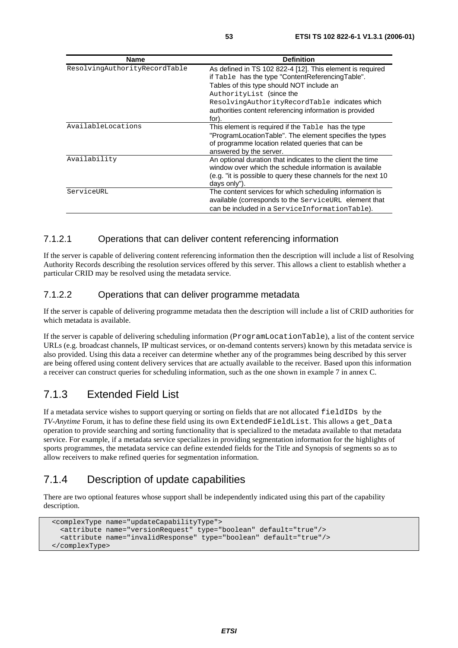| Name                          | <b>Definition</b>                                                                                                                                                                                                                                                                                             |
|-------------------------------|---------------------------------------------------------------------------------------------------------------------------------------------------------------------------------------------------------------------------------------------------------------------------------------------------------------|
| ResolvingAuthorityRecordTable | As defined in TS 102 822-4 [12]. This element is required<br>if Table has the type "Content Referencing Table".<br>Tables of this type should NOT include an<br>AuthorityList (since the<br>ResolvingAuthorityRecordTable indicates which<br>authorities content referencing information is provided<br>for). |
| AvailableLocations            | This element is required if the Table has the type<br>"ProgramLocationTable". The element specifies the types<br>of programme location related queries that can be<br>answered by the server.                                                                                                                 |
| Availability                  | An optional duration that indicates to the client the time<br>window over which the schedule information is available<br>(e.g. "it is possible to query these channels for the next 10<br>days only").                                                                                                        |
| ServiceURL                    | The content services for which scheduling information is<br>available (corresponds to the ServiceURL element that<br>can be included in a ServiceInformationTable).                                                                                                                                           |

#### 7.1.2.1 Operations that can deliver content referencing information

If the server is capable of delivering content referencing information then the description will include a list of Resolving Authority Records describing the resolution services offered by this server. This allows a client to establish whether a particular CRID may be resolved using the metadata service.

#### 7.1.2.2 Operations that can deliver programme metadata

If the server is capable of delivering programme metadata then the description will include a list of CRID authorities for which metadata is available.

If the server is capable of delivering scheduling information (ProgramLocationTable), a list of the content service URLs (e.g. broadcast channels, IP multicast services, or on-demand contents servers) known by this metadata service is also provided. Using this data a receiver can determine whether any of the programmes being described by this server are being offered using content delivery services that are actually available to the receiver. Based upon this information a receiver can construct queries for scheduling information, such as the one shown in example 7 in annex C.

#### 7.1.3 Extended Field List

If a metadata service wishes to support querying or sorting on fields that are not allocated fieldIDs by the *TV-Anytime* Forum, it has to define these field using its own ExtendedFieldList. This allows a get\_Data operation to provide searching and sorting functionality that is specialized to the metadata available to that metadata service. For example, if a metadata service specializes in providing segmentation information for the highlights of sports programmes, the metadata service can define extended fields for the Title and Synopsis of segments so as to allow receivers to make refined queries for segmentation information.

#### 7.1.4 Description of update capabilities

There are two optional features whose support shall be independently indicated using this part of the capability description.

```
 <complexType name="updateCapabilityType"> 
   <attribute name="versionRequest" type="boolean" default="true"/> 
   <attribute name="invalidResponse" type="boolean" default="true"/> 
 </complexType>
```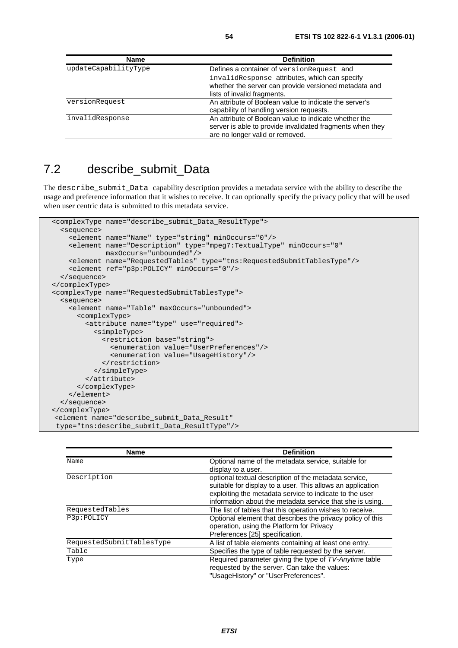| <b>Name</b>          | <b>Definition</b>                                         |
|----------------------|-----------------------------------------------------------|
| updateCapabilityType | Defines a container of version Request and                |
|                      | invalidResponse attributes, which can specify             |
|                      | whether the server can provide versioned metadata and     |
|                      | lists of invalid fragments.                               |
| versionRequest       | An attribute of Boolean value to indicate the server's    |
|                      | capability of handling version requests.                  |
| invalidResponse      | An attribute of Boolean value to indicate whether the     |
|                      | server is able to provide invalidated fragments when they |
|                      | are no longer valid or removed.                           |

## 7.2 describe\_submit\_Data

The describe\_submit\_Data capability description provides a metadata service with the ability to describe the usage and preference information that it wishes to receive. It can optionally specify the privacy policy that will be used when user centric data is submitted to this metadata service.

```
 <complexType name="describe_submit_Data_ResultType"> 
   <sequence> 
     <element name="Name" type="string" minOccurs="0"/> 
     <element name="Description" type="mpeg7:TextualType" minOccurs="0" 
              maxOccurs="unbounded"/> 
     <element name="RequestedTables" type="tns:RequestedSubmitTablesType"/> 
     <element ref="p3p:POLICY" minOccurs="0"/> 
  </sequence> 
 </complexType> 
 <complexType name="RequestedSubmitTablesType"> 
   <sequence> 
     <element name="Table" maxOccurs="unbounded"> 
       <complexType> 
         <attribute name="type" use="required"> 
           <simpleType> 
              <restriction base="string"> 
                <enumeration value="UserPreferences"/> 
                <enumeration value="UsageHistory"/> 
             </restriction> 
           </simpleType> 
         </attribute> 
       </complexType> 
     </element> 
   </sequence> 
</complexType> 
 <element name="describe_submit_Data_Result" 
 type="tns:describe_submit_Data_ResultType"/>
```

| <b>Name</b>               | <b>Definition</b>                                          |
|---------------------------|------------------------------------------------------------|
| Name                      | Optional name of the metadata service, suitable for        |
|                           | display to a user.                                         |
| Description               | optional textual description of the metadata service,      |
|                           | suitable for display to a user. This allows an application |
|                           | exploiting the metadata service to indicate to the user    |
|                           | information about the metadata service that she is using.  |
| RequestedTables           | The list of tables that this operation wishes to receive.  |
| P3p:POLICY                | Optional element that describes the privacy policy of this |
|                           | operation, using the Platform for Privacy                  |
|                           | Preferences [25] specification.                            |
| RequestedSubmitTablesType | A list of table elements containing at least one entry.    |
| Table                     | Specifies the type of table requested by the server.       |
| type                      | Required parameter giving the type of TV-Anytime table     |
|                           | requested by the server. Can take the values:              |
|                           | "UsageHistory" or "UserPreferences".                       |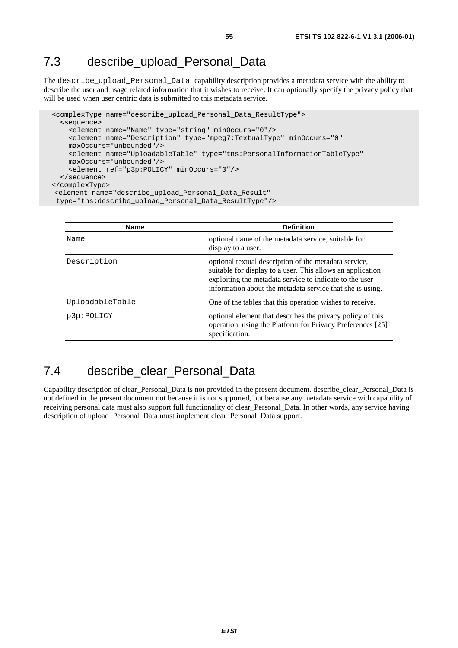## 7.3 describe upload Personal Data

The describe\_upload\_Personal\_Data capability description provides a metadata service with the ability to describe the user and usage related information that it wishes to receive. It can optionally specify the privacy policy that will be used when user centric data is submitted to this metadata service.

```
 <complexType name="describe_upload_Personal_Data_ResultType"> 
   <sequence> 
     <element name="Name" type="string" minOccurs="0"/> 
     <element name="Description" type="mpeg7:TextualType" minOccurs="0" 
     maxOccurs="unbounded"/> 
     <element name="UploadableTable" type="tns:PersonalInformationTableType" 
     maxOccurs="unbounded"/> 
     <element ref="p3p:POLICY" minOccurs="0"/> 
   </sequence> 
</complexType> 
 <element name="describe_upload_Personal_Data_Result" 
 type="tns:describe_upload_Personal_Data_ResultType"/>
```

| <b>Name</b>     | <b>Definition</b>                                                                                                                                                                                                                           |
|-----------------|---------------------------------------------------------------------------------------------------------------------------------------------------------------------------------------------------------------------------------------------|
| Name            | optional name of the metadata service, suitable for<br>display to a user.                                                                                                                                                                   |
| Description     | optional textual description of the metadata service,<br>suitable for display to a user. This allows an application<br>exploiting the metadata service to indicate to the user<br>information about the metadata service that she is using. |
| UploadableTable | One of the tables that this operation wishes to receive.                                                                                                                                                                                    |
| p3p:POLICY      | optional element that describes the privacy policy of this<br>operation, using the Platform for Privacy Preferences [25]<br>specification.                                                                                                  |

## 7.4 describe clear Personal Data

Capability description of clear\_Personal\_Data is not provided in the present document. describe\_clear\_Personal\_Data is not defined in the present document not because it is not supported, but because any metadata service with capability of receiving personal data must also support full functionality of clear\_Personal\_Data. In other words, any service having description of upload\_Personal\_Data must implement clear\_Personal\_Data support.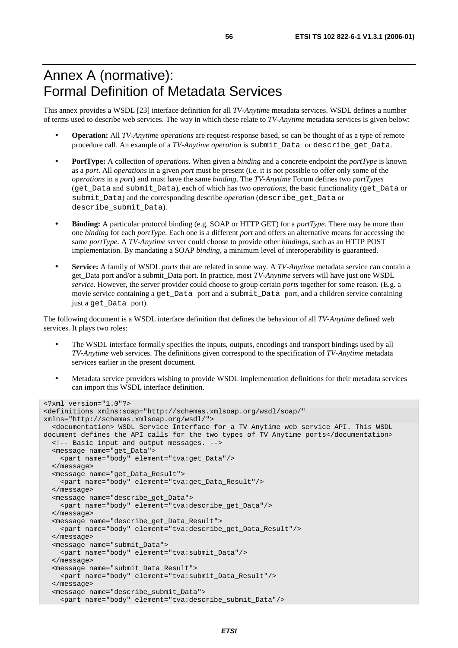# Annex A (normative): Formal Definition of Metadata Services

This annex provides a WSDL [23] interface definition for all *TV-Anytime* metadata services. WSDL defines a number of terms used to describe web services. The way in which these relate to *TV-Anytime* metadata services is given below:

- **Operation:** All *TV-Anytime operations* are request-response based, so can be thought of as a type of remote procedure call. An example of a *TV-Anytime operation* is submit*\_*Data or describe*\_*get*\_*Data.
- **PortType:** A collection of *operations*. When given a *binding* and a concrete endpoint the *portType* is known as a *port*. All *operations* in a given *port* must be present (i.e. it is not possible to offer only some of the *operations* in a *port*) and must have the same *binding*. The *TV-Anytime* Forum defines two *portTypes* (get*\_*Data and submit*\_*Data), each of which has two *operations*, the basic functionality (get*\_*Data or submit*\_*Data) and the corresponding describe *operation* (describe\_get*\_*Data or describe\_submit*\_*Data).
- **Binding:** A particular protocol binding (e.g. SOAP or HTTP GET) for a *portType*. There may be more than one *binding* for each *portType*. Each one is a different *port* and offers an alternative means for accessing the same *portType*. A *TV-Anytime* server could choose to provide other *bindings*, such as an HTTP POST implementation. By mandating a SOAP *binding*, a minimum level of interoperability is guaranteed.
- **Service:** A family of WSDL *ports* that are related in some way. A *TV-Anytime* metadata service can contain a get\_Data port and/or a submit\_Data port. In practice, most *TV-Anytime* servers will have just one WSDL *service*. However, the server provider could choose to group certain *ports* together for some reason. (E.g. a movie service containing a get Data port and a submit Data port, and a children service containing just a get\_Data port).

The following document is a WSDL interface definition that defines the behaviour of all *TV-Anytime* defined web services. It plays two roles:

- The WSDL interface formally specifies the inputs, outputs, encodings and transport bindings used by all *TV-Anytime* web services. The definitions given correspond to the specification of *TV-Anytime* metadata services earlier in the present document.
- Metadata service providers wishing to provide WSDL implementation definitions for their metadata services can import this WSDL interface definition.

```
<?xml version="1.0"?> 
<definitions xmlns:soap="http://schemas.xmlsoap.org/wsdl/soap/" 
xmlns="http://schemas.xmlsoap.org/wsdl/"> 
   <documentation> WSDL Service Interface for a TV Anytime web service API. This WSDL 
document defines the API calls for the two types of TV Anytime ports</documentation> 
   <!-- Basic input and output messages. --> 
   <message name="get_Data"> 
     <part name="body" element="tva:get_Data"/> 
   </message> 
   <message name="get_Data_Result"> 
     <part name="body" element="tva:get_Data_Result"/> 
   </message> 
   <message name="describe_get_Data"> 
     <part name="body" element="tva:describe_get_Data"/> 
   </message> 
   <message name="describe_get_Data_Result"> 
     <part name="body" element="tva:describe_get_Data_Result"/> 
   </message> 
   <message name="submit_Data"> 
     <part name="body" element="tva:submit_Data"/> 
   </message> 
   <message name="submit_Data_Result"> 
     <part name="body" element="tva:submit_Data_Result"/> 
   </message> 
   <message name="describe_submit_Data"> 
     <part name="body" element="tva:describe_submit_Data"/>
```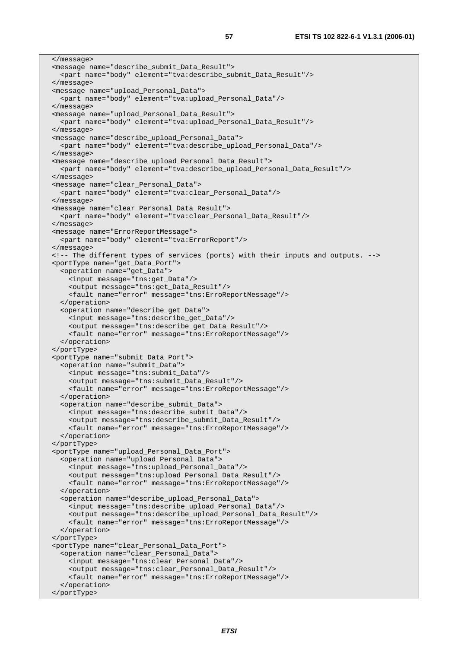```
 </message> 
 <message name="describe_submit_Data_Result"> 
   <part name="body" element="tva:describe_submit_Data_Result"/> 
 </message> 
 <message name="upload_Personal_Data"> 
   <part name="body" element="tva:upload_Personal_Data"/> 
 </message> 
 <message name="upload_Personal_Data_Result"> 
  <part name="body" element="tva:upload_Personal_Data_Result"/> 
 </message> 
 <message name="describe_upload_Personal_Data"> 
  <part name="body" element="tva:describe_upload_Personal_Data"/> 
 </message> 
 <message name="describe_upload_Personal_Data_Result"> 
   <part name="body" element="tva:describe_upload_Personal_Data_Result"/> 
 </message> 
 <message name="clear_Personal_Data"> 
   <part name="body" element="tva:clear_Personal_Data"/> 
 </message> 
 <message name="clear_Personal_Data_Result"> 
  <part name="body" element="tva:clear_Personal_Data_Result"/> 
</message> 
 <message name="ErrorReportMessage"> 
  <part name="body" element="tva:ErrorReport"/> 
 </message> 
 <!-- The different types of services (ports) with their inputs and outputs. --> 
 <portType name="get_Data_Port"> 
   <operation name="get_Data"> 
     <input message="tns:get_Data"/> 
     <output message="tns:get_Data_Result"/> 
     <fault name="error" message="tns:ErroReportMessage"/> 
   </operation> 
   <operation name="describe_get_Data"> 
     <input message="tns:describe_get_Data"/> 
     <output message="tns:describe_get_Data_Result"/> 
     <fault name="error" message="tns:ErroReportMessage"/> 
   </operation> 
 </portType> 
 <portType name="submit_Data_Port"> 
   <operation name="submit_Data"> 
     <input message="tns:submit_Data"/> 
     <output message="tns:submit_Data_Result"/> 
     <fault name="error" message="tns:ErroReportMessage"/> 
   </operation> 
   <operation name="describe_submit_Data"> 
     <input message="tns:describe_submit_Data"/> 
     <output message="tns:describe_submit_Data_Result"/> 
     <fault name="error" message="tns:ErroReportMessage"/> 
   </operation> 
 </portType> 
 <portType name="upload_Personal_Data_Port"> 
   <operation name="upload_Personal_Data"> 
     <input message="tns:upload_Personal_Data"/> 
     <output message="tns:upload_Personal_Data_Result"/> 
     <fault name="error" message="tns:ErroReportMessage"/> 
   </operation> 
   <operation name="describe_upload_Personal_Data"> 
     <input message="tns:describe_upload_Personal_Data"/> 
     <output message="tns:describe_upload_Personal_Data_Result"/> 
     <fault name="error" message="tns:ErroReportMessage"/> 
   </operation> 
 </portType> 
 <portType name="clear_Personal_Data_Port"> 
   <operation name="clear_Personal_Data"> 
     <input message="tns:clear_Personal_Data"/> 
     <output message="tns:clear_Personal_Data_Result"/> 
     <fault name="error" message="tns:ErroReportMessage"/> 
   </operation> 
 </portType>
```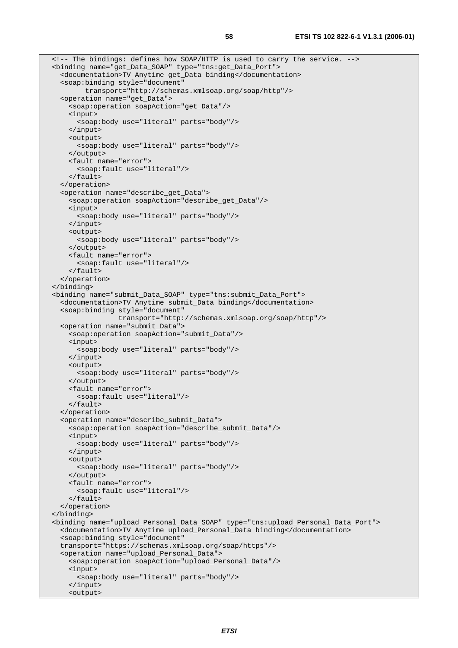```
 <!-- The bindings: defines how SOAP/HTTP is used to carry the service. --> 
 <binding name="get_Data_SOAP" type="tns:get_Data_Port"> 
   <documentation>TV Anytime get_Data binding</documentation> 
   <soap:binding style="document" 
         transport="http://schemas.xmlsoap.org/soap/http"/> 
   <operation name="get_Data"> 
     <soap:operation soapAction="get_Data"/> 
     <input> 
       <soap:body use="literal" parts="body"/> 
     </input> 
     <output> 
       <soap:body use="literal" parts="body"/> 
     </output> 
     <fault name="error"> 
       <soap:fault use="literal"/> 
     </fault> 
   </operation> 
   <operation name="describe_get_Data"> 
     <soap:operation soapAction="describe_get_Data"/> 
     <input> 
       <soap:body use="literal" parts="body"/> 
     </input> 
     <output> 
       <soap:body use="literal" parts="body"/> 
     </output> 
     <fault name="error"> 
       <soap:fault use="literal"/> 
     </fault> 
   </operation> 
 </binding> 
 <binding name="submit_Data_SOAP" type="tns:submit_Data_Port"> 
   <documentation>TV Anytime submit_Data binding</documentation> 
   <soap:binding style="document" 
                  transport="http://schemas.xmlsoap.org/soap/http"/> 
   <operation name="submit_Data"> 
     <soap:operation soapAction="submit_Data"/> 
     <input> 
       <soap:body use="literal" parts="body"/> 
     </input> 
     <output> 
       <soap:body use="literal" parts="body"/> 
     </output> 
     <fault name="error"> 
       <soap:fault use="literal"/> 
    \langle / fault>
   </operation> 
   <operation name="describe_submit_Data"> 
     <soap:operation soapAction="describe_submit_Data"/> 
     <input> 
       <soap:body use="literal" parts="body"/> 
     </input> 
     <output> 
       <soap:body use="literal" parts="body"/> 
     </output> 
     <fault name="error"> 
       <soap:fault use="literal"/> 
     </fault> 
   </operation> 
</binding> 
 <binding name="upload_Personal_Data_SOAP" type="tns:upload_Personal_Data_Port"> 
   <documentation>TV Anytime upload_Personal_Data binding</documentation> 
   <soap:binding style="document" 
  transport="https://schemas.xmlsoap.org/soap/https"/> 
   <operation name="upload_Personal_Data"> 
     <soap:operation soapAction="upload_Personal_Data"/> 
     <input> 
       <soap:body use="literal" parts="body"/> 
     </input> 
     <output>
```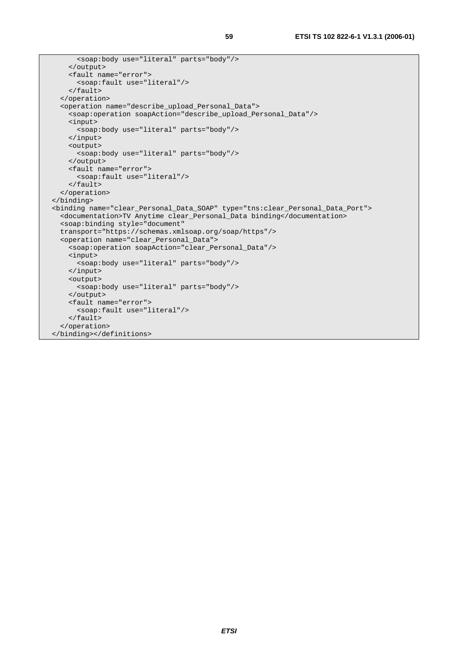```
 <soap:body use="literal" parts="body"/> 
     </output> 
     <fault name="error"> 
       <soap:fault use="literal"/> 
     </fault> 
   </operation> 
   <operation name="describe_upload_Personal_Data"> 
     <soap:operation soapAction="describe_upload_Personal_Data"/> 
     <input> 
       <soap:body use="literal" parts="body"/> 
     </input> 
     <output> 
       <soap:body use="literal" parts="body"/> 
     </output> 
     <fault name="error"> 
       <soap:fault use="literal"/> 
     </fault> 
   </operation> 
 </binding> 
 <binding name="clear_Personal_Data_SOAP" type="tns:clear_Personal_Data_Port"> 
   <documentation>TV Anytime clear_Personal_Data binding</documentation> 
   <soap:binding style="document" 
   transport="https://schemas.xmlsoap.org/soap/https"/> 
   <operation name="clear_Personal_Data"> 
     <soap:operation soapAction="clear_Personal_Data"/> 
     <input> 
       <soap:body use="literal" parts="body"/> 
     </input> 
     <output> 
       <soap:body use="literal" parts="body"/> 
     </output> 
     <fault name="error"> 
       <soap:fault use="literal"/> 
     </fault> 
   </operation> 
 </binding></definitions>
```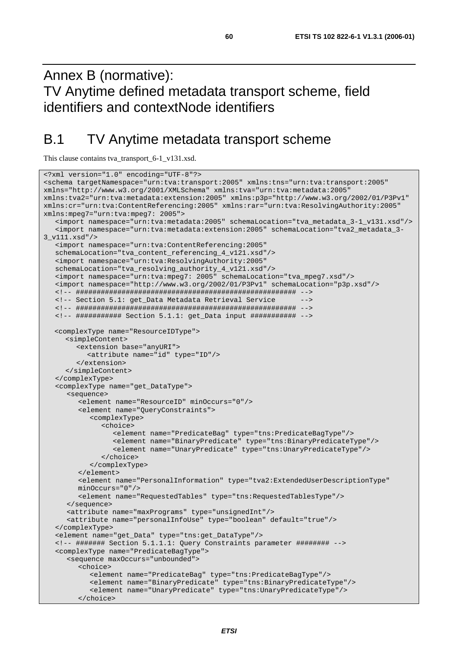# Annex B (normative): TV Anytime defined metadata transport scheme, field identifiers and contextNode identifiers

# B.1 TV Anytime metadata transport scheme

This clause contains tva\_transport\_6-1\_v131.xsd.

```
<?xml version="1.0" encoding="UTF-8"?> 
<schema targetNamespace="urn:tva:transport:2005" xmlns:tns="urn:tva:transport:2005" 
xmlns="http://www.w3.org/2001/XMLSchema" xmlns:tva="urn:tva:metadata:2005" 
xmlns:tva2="urn:tva:metadata:extension:2005" xmlns:p3p="http://www.w3.org/2002/01/P3Pv1" 
xmlns:cr="urn:tva:ContentReferencing:2005" xmlns:rar="urn:tva:ResolvingAuthority:2005" 
xmlns:mpeg7="urn:tva:mpeg7: 2005"> 
   <import namespace="urn:tva:metadata:2005" schemaLocation="tva_metadata_3-1_v131.xsd"/> 
   <import namespace="urn:tva:metadata:extension:2005" schemaLocation="tva2_metadata_3-
3_v111.xsd"/> 
    <import namespace="urn:tva:ContentReferencing:2005" 
   schemaLocation="tva_content_referencing_4_v121.xsd"/> 
    <import namespace="urn:tva:ResolvingAuthority:2005" 
   schemaLocation="tva_resolving_authority_4_v121.xsd"/> 
   <import namespace="urn:tva:mpeg7: 2005" schemaLocation="tva_mpeg7.xsd"/> 
    <import namespace="http://www.w3.org/2002/01/P3Pv1" schemaLocation="p3p.xsd"/> 
   <!-- ##################################################### --> 
  <!-- Section 5.1: get Data Metadata Retrieval Service
   <!-- ##################################################### --> 
   <!-- ########### Section 5.1.1: get_Data input ########### --> 
  <complexType name="ResourceIDType"> 
      <simpleContent> 
         <extension base="anyURI"> 
            <attribute name="id" type="ID"/> 
         </extension> 
      </simpleContent> 
    </complexType> 
    <complexType name="get_DataType"> 
       <sequence> 
         <element name="ResourceID" minOccurs="0"/> 
         <element name="QueryConstraints"> 
            <complexType> 
               <choice> 
                  <element name="PredicateBag" type="tns:PredicateBagType"/> 
                  <element name="BinaryPredicate" type="tns:BinaryPredicateType"/> 
                  <element name="UnaryPredicate" type="tns:UnaryPredicateType"/> 
               </choice> 
            </complexType> 
         </element> 
         <element name="PersonalInformation" type="tva2:ExtendedUserDescriptionType" 
         minOccurs="0"/> 
         <element name="RequestedTables" type="tns:RequestedTablesType"/> 
       </sequence> 
       <attribute name="maxPrograms" type="unsignedInt"/> 
       <attribute name="personalInfoUse" type="boolean" default="true"/> 
    </complexType> 
    <element name="get_Data" type="tns:get_DataType"/> 
    <!-- ####### Section 5.1.1.1: Query Constraints parameter ######## --> 
    <complexType name="PredicateBagType"> 
       <sequence maxOccurs="unbounded"> 
         <choice> 
            <element name="PredicateBag" type="tns:PredicateBagType"/> 
            <element name="BinaryPredicate" type="tns:BinaryPredicateType"/> 
            <element name="UnaryPredicate" type="tns:UnaryPredicateType"/> 
         </choice>
```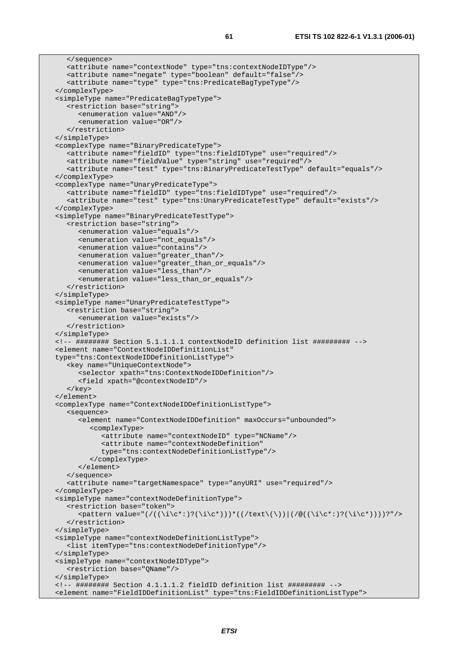```
 </sequence> 
   <attribute name="contextNode" type="tns:contextNodeIDType"/> 
    <attribute name="negate" type="boolean" default="false"/> 
    <attribute name="type" type="tns:PredicateBagTypeType"/> 
 </complexType> 
 <simpleType name="PredicateBagTypeType"> 
    <restriction base="string"> 
       <enumeration value="AND"/> 
       <enumeration value="OR"/> 
    </restriction> 
 </simpleType> 
 <complexType name="BinaryPredicateType"> 
    <attribute name="fieldID" type="tns:fieldIDType" use="required"/> 
    <attribute name="fieldValue" type="string" use="required"/> 
    <attribute name="test" type="tns:BinaryPredicateTestType" default="equals"/> 
 </complexType> 
 <complexType name="UnaryPredicateType"> 
    <attribute name="fieldID" type="tns:fieldIDType" use="required"/> 
    <attribute name="test" type="tns:UnaryPredicateTestType" default="exists"/> 
 </complexType> 
 <simpleType name="BinaryPredicateTestType"> 
    <restriction base="string"> 
       <enumeration value="equals"/> 
       <enumeration value="not_equals"/> 
      <enumeration value="contains"/> 
      <enumeration value="greater_than"/> 
       <enumeration value="greater_than_or_equals"/> 
       <enumeration value="less_than"/> 
       <enumeration value="less_than_or_equals"/> 
    </restriction> 
 </simpleType> 
 <simpleType name="UnaryPredicateTestType"> 
    <restriction base="string"> 
       <enumeration value="exists"/> 
    </restriction> 
 </simpleType> 
 <!-- ######## Section 5.1.1.1.1 contextNodeID definition list ######### --> 
 <element name="ContextNodeIDDefinitionList" 
 type="tns:ContextNodeIDDefinitionListType"> 
    <key name="UniqueContextNode"> 
       <selector xpath="tns:ContextNodeIDDefinition"/> 
       <field xpath="@contextNodeID"/> 
    </key> 
 </element> 
 <complexType name="ContextNodeIDDefinitionListType"> 
    <sequence> 
       <element name="ContextNodeIDDefinition" maxOccurs="unbounded"> 
          <complexType> 
             <attribute name="contextNodeID" type="NCName"/> 
             <attribute name="contextNodeDefinition" 
             type="tns:contextNodeDefinitionListType"/> 
          </complexType> 
       </element> 
    </sequence> 
    <attribute name="targetNamespace" type="anyURI" use="required"/> 
 </complexType> 
 <simpleType name="contextNodeDefinitionType"> 
    <restriction base="token"> 
      \zeta <pattern value="(/((\i\c*:)?(\i\c*)))*((/text\(\))|(/@((\i\c*:)?(\i\c*))))?"/>
    </restriction> 
 </simpleType> 
 <simpleType name="contextNodeDefinitionListType"> 
    <list itemType="tns:contextNodeDefinitionType"/> 
 </simpleType> 
 <simpleType name="contextNodeIDType"> 
    <restriction base="QName"/> 
 </simpleType> 
 <!-- ######## Section 4.1.1.1.2 fieldID definition list ######### --> 
 <element name="FieldIDDefinitionList" type="tns:FieldIDDefinitionListType">
```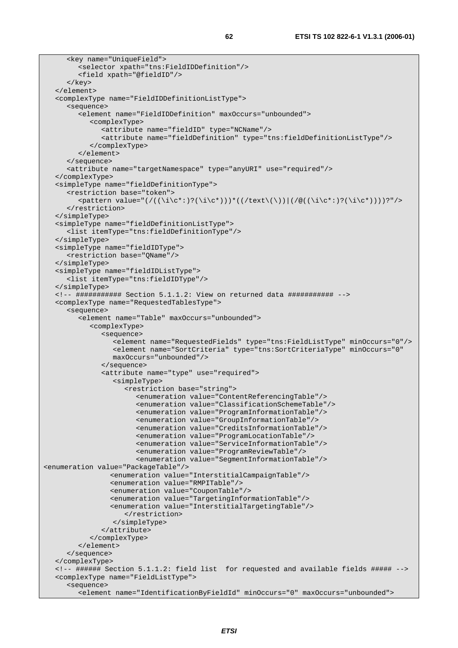```
 <key name="UniqueField"> 
          <selector xpath="tns:FieldIDDefinition"/> 
          <field xpath="@fieldID"/> 
       </key> 
    </element> 
    <complexType name="FieldIDDefinitionListType"> 
       <sequence> 
          <element name="FieldIDDefinition" maxOccurs="unbounded"> 
             <complexType> 
                <attribute name="fieldID" type="NCName"/> 
                <attribute name="fieldDefinition" type="tns:fieldDefinitionListType"/> 
             </complexType> 
          </element> 
       </sequence> 
       <attribute name="targetNamespace" type="anyURI" use="required"/> 
   </complexType> 
    <simpleType name="fieldDefinitionType"> 
       <restriction base="token"> 
         \zeta <pattern value="(/((\i\c*:)?(\i\c*)))*((/text\(\))|(/@((\i\c*:)?(\i\c*))))?"/>
       </restriction> 
    </simpleType> 
    <simpleType name="fieldDefinitionListType"> 
      <list itemType="tns:fieldDefinitionType"/> 
    </simpleType> 
    <simpleType name="fieldIDType"> 
       <restriction base="QName"/> 
    </simpleType> 
    <simpleType name="fieldIDListType"> 
       <list itemType="tns:fieldIDType"/> 
    </simpleType> 
    <!-- ########### Section 5.1.1.2: View on returned data ########### --> 
    <complexType name="RequestedTablesType"> 
       <sequence> 
          <element name="Table" maxOccurs="unbounded"> 
             <complexType> 
                <sequence> 
                   <element name="RequestedFields" type="tns:FieldListType" minOccurs="0"/> 
                   <element name="SortCriteria" type="tns:SortCriteriaType" minOccurs="0" 
                  maxOccurs="unbounded"/> 
                </sequence> 
                <attribute name="type" use="required"> 
                  <simpleType> 
                      <restriction base="string"> 
                         <enumeration value="ContentReferencingTable"/> 
                         <enumeration value="ClassificationSchemeTable"/> 
                         <enumeration value="ProgramInformationTable"/> 
                         <enumeration value="GroupInformationTable"/> 
                         <enumeration value="CreditsInformationTable"/> 
                         <enumeration value="ProgramLocationTable"/> 
                         <enumeration value="ServiceInformationTable"/> 
                         <enumeration value="ProgramReviewTable"/> 
                         <enumeration value="SegmentInformationTable"/> 
<enumeration value="PackageTable"/> 
                  <enumeration value="InterstitialCampaignTable"/> 
                  <enumeration value="RMPITable"/> 
                  <enumeration value="CouponTable"/> 
                  <enumeration value="TargetingInformationTable"/> 
                  <enumeration value="InterstitialTargetingTable"/> 
                      </restriction> 
                   </simpleType> 
                </attribute> 
             </complexType> 
          </element> 
      </sequence> 
    </complexType> 
    <!-- ###### Section 5.1.1.2: field list for requested and available fields ##### --> 
    <complexType name="FieldListType"> 
       <sequence> 
          <element name="IdentificationByFieldId" minOccurs="0" maxOccurs="unbounded">
```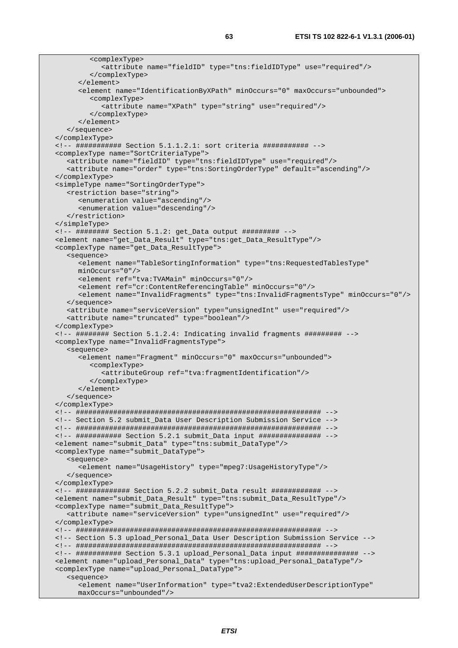```
 <complexType> 
             <attribute name="fieldID" type="tns:fieldIDType" use="required"/> 
          </complexType> 
      \epsilon/element>
       <element name="IdentificationByXPath" minOccurs="0" maxOccurs="unbounded"> 
          <complexType> 
             <attribute name="XPath" type="string" use="required"/> 
          </complexType> 
       </element> 
    </sequence> 
 </complexType> 
 <!-- ########### Section 5.1.1.2.1: sort criteria ########### --> 
 <complexType name="SortCriteriaType"> 
    <attribute name="fieldID" type="tns:fieldIDType" use="required"/> 
    <attribute name="order" type="tns:SortingOrderType" default="ascending"/> 
 </complexType> 
 <simpleType name="SortingOrderType"> 
    <restriction base="string"> 
       <enumeration value="ascending"/> 
       <enumeration value="descending"/> 
    </restriction> 
 </simpleType> 
 <!-- ######## Section 5.1.2: get_Data output ######### --> 
 <element name="get_Data_Result" type="tns:get_Data_ResultType"/> 
 <complexType name="get_Data_ResultType"> 
    <sequence> 
       <element name="TableSortingInformation" type="tns:RequestedTablesType" 
      minOccurs="0"/> 
      <element ref="tva:TVAMain" minOccurs="0"/> 
       <element ref="cr:ContentReferencingTable" minOccurs="0"/> 
       <element name="InvalidFragments" type="tns:InvalidFragmentsType" minOccurs="0"/> 
    </sequence> 
    <attribute name="serviceVersion" type="unsignedInt" use="required"/> 
    <attribute name="truncated" type="boolean"/> 
 </complexType> 
 <!-- ######## Section 5.1.2.4: Indicating invalid fragments ######### --> 
 <complexType name="InvalidFragmentsType"> 
    <sequence> 
       <element name="Fragment" minOccurs="0" maxOccurs="unbounded"> 
          <complexType> 
             <attributeGroup ref="tva:fragmentIdentification"/> 
          </complexType> 
       </element> 
   </sequence> 
 </complexType> 
 <!-- ########################################################### --> 
 <!-- Section 5.2 submit_Data User Description Submission Service --> 
 <!-- ########################################################### --> 
 <!-- ########### Section 5.2.1 submit_Data input ############### --> 
 <element name="submit_Data" type="tns:submit_DataType"/> 
 <complexType name="submit_DataType"> 
    <sequence> 
      <element name="UsageHistory" type="mpeg7:UsageHistoryType"/> 
    </sequence> 
 </complexType> 
 <!-- ############# Section 5.2.2 submit_Data result ############ --> 
 <element name="submit_Data_Result" type="tns:submit_Data_ResultType"/> 
 <complexType name="submit_Data_ResultType"> 
    <attribute name="serviceVersion" type="unsignedInt" use="required"/> 
 </complexType> 
 <!-- ########################################################### --> 
 <!-- Section 5.3 upload_Personal_Data User Description Submission Service --> 
 <!-- ########################################################### --> 
 <!-- ########### Section 5.3.1 upload_Personal_Data input ############### --> 
 <element name="upload_Personal_Data" type="tns:upload_Personal_DataType"/> 
 <complexType name="upload_Personal_DataType"> 
   <sequence> 
       <element name="UserInformation" type="tva2:ExtendedUserDescriptionType" 
      maxOccurs="unbounded"/>
```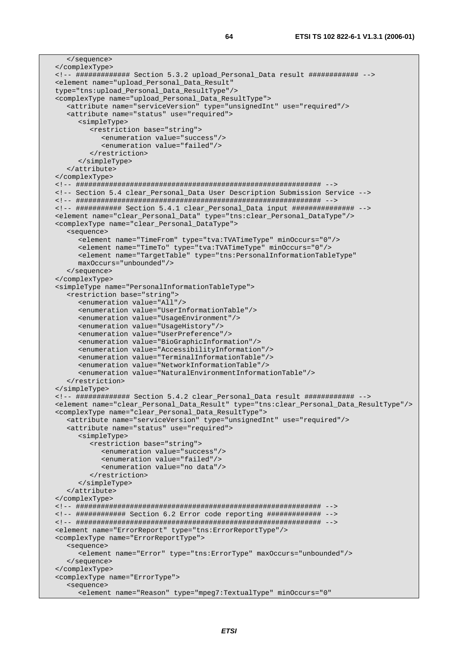```
 </sequence> 
 </complexType> 
 <!-- ############# Section 5.3.2 upload_Personal_Data result ############ --> 
 <element name="upload_Personal_Data_Result" 
 type="tns:upload_Personal_Data_ResultType"/> 
 <complexType name="upload_Personal_Data_ResultType"> 
   <attribute name="serviceVersion" type="unsignedInt" use="required"/> 
    <attribute name="status" use="required"> 
       <simpleType> 
         <restriction base="string"> 
             <enumeration value="success"/> 
             <enumeration value="failed"/> 
          </restriction> 
       </simpleType> 
    </attribute> 
 </complexType> 
 <!-- ########################################################### --> 
 <!-- Section 5.4 clear_Personal_Data User Description Submission Service --> 
 <!-- ########################################################### --> 
 <!-- ########### Section 5.4.1 clear_Personal_Data input ############### --> 
 <element name="clear_Personal_Data" type="tns:clear_Personal_DataType"/> 
 <complexType name="clear_Personal_DataType"> 
    <sequence> 
       <element name="TimeFrom" type="tva:TVATimeType" minOccurs="0"/> 
       <element name="TimeTo" type="tva:TVATimeType" minOccurs="0"/> 
      <element name="TargetTable" type="tns:PersonalInformationTableType" 
      maxOccurs="unbounded"/> 
    </sequence> 
 </complexType> 
 <simpleType name="PersonalInformationTableType"> 
    <restriction base="string"> 
       <enumeration value="All"/> 
       <enumeration value="UserInformationTable"/> 
       <enumeration value="UsageEnvironment"/> 
      <enumeration value="UsageHistory"/> 
      <enumeration value="UserPreference"/> 
      <enumeration value="BioGraphicInformation"/> 
       <enumeration value="AccessibilityInformation"/> 
       <enumeration value="TerminalInformationTable"/> 
       <enumeration value="NetworkInformationTable"/> 
       <enumeration value="NaturalEnvironmentInformationTable"/> 
    </restriction> 
 </simpleType> 
 <!-- ############# Section 5.4.2 clear_Personal_Data result ############ --> 
 <element name="clear_Personal_Data_Result" type="tns:clear_Personal_Data_ResultType"/> 
 <complexType name="clear_Personal_Data_ResultType"> 
    <attribute name="serviceVersion" type="unsignedInt" use="required"/> 
    <attribute name="status" use="required"> 
       <simpleType> 
          <restriction base="string"> 
             <enumeration value="success"/> 
             <enumeration value="failed"/> 
             <enumeration value="no data"/> 
          </restriction> 
       </simpleType> 
   </attribute> 
 </complexType> 
 <!-- ########################################################### --> 
 <!-- ############ Section 6.2 Error code reporting ############# --> 
 <!-- ########################################################### --> 
 <element name="ErrorReport" type="tns:ErrorReportType"/> 
 <complexType name="ErrorReportType"> 
    <sequence> 
       <element name="Error" type="tns:ErrorType" maxOccurs="unbounded"/> 
    </sequence> 
 </complexType> 
 <complexType name="ErrorType"> 
    <sequence> 
       <element name="Reason" type="mpeg7:TextualType" minOccurs="0"
```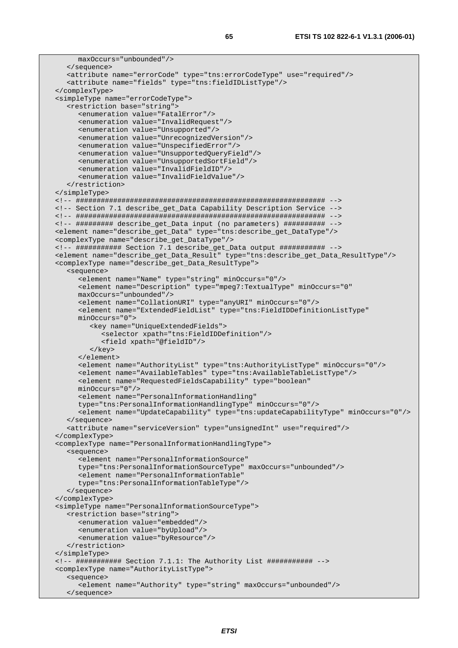```
 maxOccurs="unbounded"/> 
    </sequence> 
    <attribute name="errorCode" type="tns:errorCodeType" use="required"/> 
    <attribute name="fields" type="tns:fieldIDListType"/> 
 </complexType> 
 <simpleType name="errorCodeType"> 
    <restriction base="string"> 
       <enumeration value="FatalError"/> 
       <enumeration value="InvalidRequest"/> 
      <enumeration value="Unsupported"/> 
       <enumeration value="UnrecognizedVersion"/> 
       <enumeration value="UnspecifiedError"/> 
       <enumeration value="UnsupportedQueryField"/> 
       <enumeration value="UnsupportedSortField"/> 
      <enumeration value="InvalidFieldID"/> 
       <enumeration value="InvalidFieldValue"/> 
    </restriction> 
 </simpleType> 
 <!-- ############################################################ --> 
 <!-- Section 7.1 describe_get_Data Capability Description Service --> 
 <!-- ############################################################ --> 
 <!-- ######### describe_get_Data input (no parameters) ########## --> 
 <element name="describe_get_Data" type="tns:describe_get_DataType"/> 
 <complexType name="describe_get_DataType"/> 
 <!-- ########### Section 7.1 describe_get_Data output ########### --> 
 <element name="describe_get_Data_Result" type="tns:describe_get_Data_ResultType"/> 
 <complexType name="describe_get_Data_ResultType"> 
    <sequence> 
       <element name="Name" type="string" minOccurs="0"/> 
       <element name="Description" type="mpeg7:TextualType" minOccurs="0" 
      maxOccurs="unbounded"/> 
      <element name="CollationURI" type="anyURI" minOccurs="0"/> 
       <element name="ExtendedFieldList" type="tns:FieldIDDefinitionListType" 
      minOccurs="0"> 
          <key name="UniqueExtendedFields"> 
            <selector xpath="tns:FieldIDDefinition"/> 
            <field xpath="@fieldID"/> 
         </key>
       </element> 
       <element name="AuthorityList" type="tns:AuthorityListType" minOccurs="0"/> 
       <element name="AvailableTables" type="tns:AvailableTableListType"/> 
      <element name="RequestedFieldsCapability" type="boolean" 
      minOccurs="0"/> 
       <element name="PersonalInformationHandling" 
       type="tns:PersonalInformationHandlingType" minOccurs="0"/> 
       <element name="UpdateCapability" type="tns:updateCapabilityType" minOccurs="0"/> 
    </sequence> 
    <attribute name="serviceVersion" type="unsignedInt" use="required"/> 
 </complexType> 
 <complexType name="PersonalInformationHandlingType"> 
    <sequence> 
       <element name="PersonalInformationSource" 
       type="tns:PersonalInformationSourceType" maxOccurs="unbounded"/> 
       <element name="PersonalInformationTable" 
       type="tns:PersonalInformationTableType"/> 
    </sequence> 
 </complexType> 
 <simpleType name="PersonalInformationSourceType"> 
    <restriction base="string"> 
       <enumeration value="embedded"/> 
       <enumeration value="byUpload"/> 
      <enumeration value="byResource"/> 
    </restriction> 
 </simpleType> 
 <!-- ########### Section 7.1.1: The Authority List ########### --> 
 <complexType name="AuthorityListType"> 
    <sequence> 
       <element name="Authority" type="string" maxOccurs="unbounded"/> 
   </sequence>
```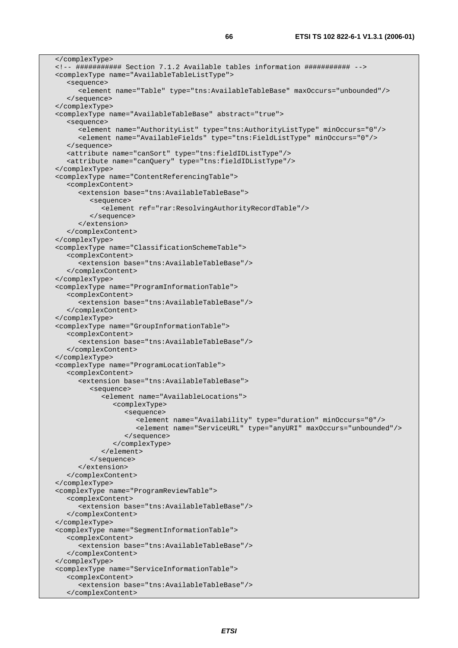</complexType> <!-- ########### Section 7.1.2 Available tables information ########### --> <complexType name="AvailableTableListType"> <sequence> <element name="Table" type="tns:AvailableTableBase" maxOccurs="unbounded"/> </sequence> </complexType> <complexType name="AvailableTableBase" abstract="true"> <sequence> <element name="AuthorityList" type="tns:AuthorityListType" minOccurs="0"/> <element name="AvailableFields" type="tns:FieldListType" minOccurs="0"/> </sequence> <attribute name="canSort" type="tns:fieldIDListType"/> <attribute name="canQuery" type="tns:fieldIDListType"/> </complexType> <complexType name="ContentReferencingTable"> <complexContent> <extension base="tns:AvailableTableBase"> <sequence> <element ref="rar:ResolvingAuthorityRecordTable"/> </sequence> </extension> </complexContent> </complexType> <complexType name="ClassificationSchemeTable"> <complexContent> <extension base="tns:AvailableTableBase"/> </complexContent> </complexType> <complexType name="ProgramInformationTable"> <complexContent> <extension base="tns:AvailableTableBase"/> </complexContent> </complexType> <complexType name="GroupInformationTable"> <complexContent> <extension base="tns:AvailableTableBase"/> </complexContent> </complexType> <complexType name="ProgramLocationTable"> <complexContent> <extension base="tns:AvailableTableBase"> <sequence> <element name="AvailableLocations"> <complexType> <sequence> <element name="Availability" type="duration" minOccurs="0"/> <element name="ServiceURL" type="anyURI" maxOccurs="unbounded"/> </sequence> </complexType> </element> </sequence> </extension> </complexContent> </complexType> <complexType name="ProgramReviewTable"> <complexContent> <extension base="tns:AvailableTableBase"/> </complexContent> </complexType> <complexType name="SegmentInformationTable"> <complexContent> <extension base="tns:AvailableTableBase"/> </complexContent> </complexType> <complexType name="ServiceInformationTable"> <complexContent> <extension base="tns:AvailableTableBase"/> </complexContent>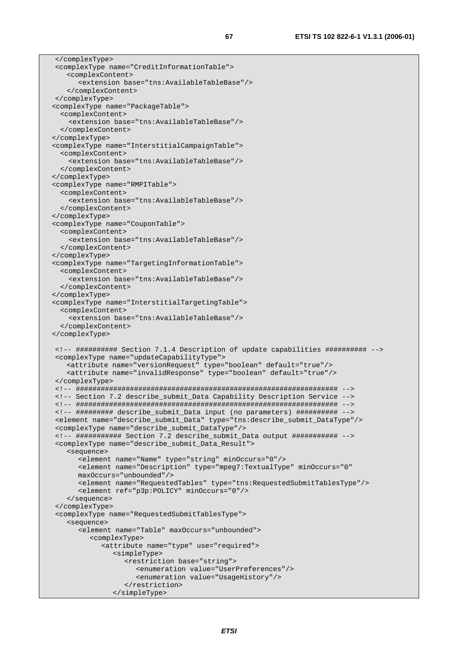```
 </complexType> 
 <complexType name="CreditInformationTable"> 
    <complexContent> 
       <extension base="tns:AvailableTableBase"/> 
    </complexContent> 
 </complexType> 
 <complexType name="PackageTable"> 
   <complexContent> 
     <extension base="tns:AvailableTableBase"/> 
   </complexContent> 
 </complexType> 
 <complexType name="InterstitialCampaignTable"> 
   <complexContent> 
     <extension base="tns:AvailableTableBase"/> 
   </complexContent> 
 </complexType> 
 <complexType name="RMPITable"> 
   <complexContent> 
     <extension base="tns:AvailableTableBase"/> 
  </complexContent> 
 </complexType> 
 <complexType name="CouponTable"> 
   <complexContent> 
     <extension base="tns:AvailableTableBase"/> 
   </complexContent> 
 </complexType> 
 <complexType name="TargetingInformationTable"> 
   <complexContent> 
     <extension base="tns:AvailableTableBase"/> 
   </complexContent> 
 </complexType> 
 <complexType name="InterstitialTargetingTable"> 
   <complexContent> 
     <extension base="tns:AvailableTableBase"/> 
  </complexContent> 
 </complexType> 
 <!-- ########## Section 7.1.4 Description of update capabilities ########## --> 
 <complexType name="updateCapabilityType"> 
    <attribute name="versionRequest" type="boolean" default="true"/> 
    <attribute name="invalidResponse" type="boolean" default="true"/> 
 </complexType> 
 <!-- ############################################################### --> 
 <!-- Section 7.2 describe_submit_Data Capability Description Service --> 
 <!-- ############################################################### --> 
 <!-- ######### describe_submit_Data input (no parameters) ########## --> 
 <element name="describe_submit_Data" type="tns:describe_submit_DataType"/> 
 <complexType name="describe_submit_DataType"/> 
 <!-- ########### Section 7.2 describe_submit_Data output ########### --> 
 <complexType name="describe_submit_Data_Result"> 
    <sequence> 
       <element name="Name" type="string" minOccurs="0"/> 
       <element name="Description" type="mpeg7:TextualType" minOccurs="0" 
       maxOccurs="unbounded"/> 
       <element name="RequestedTables" type="tns:RequestedSubmitTablesType"/> 
       <element ref="p3p:POLICY" minOccurs="0"/> 
    </sequence> 
 </complexType> 
 <complexType name="RequestedSubmitTablesType"> 
    <sequence> 
       <element name="Table" maxOccurs="unbounded"> 
          <complexType> 
             <attribute name="type" use="required"> 
                <simpleType> 
                   <restriction base="string"> 
                      <enumeration value="UserPreferences"/> 
                      <enumeration value="UsageHistory"/> 
                   </restriction> 
                </simpleType>
```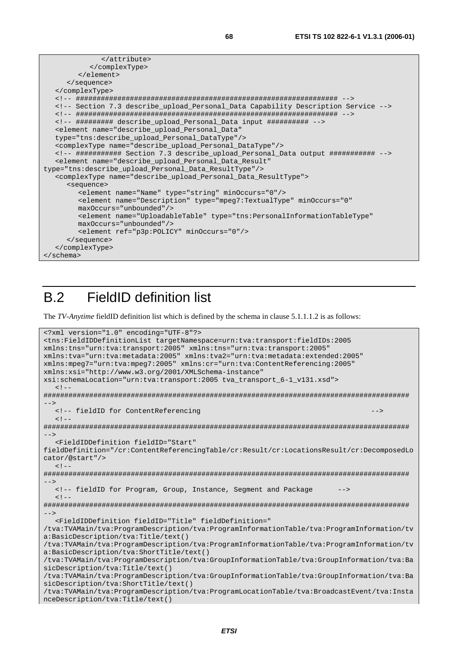```
 </attribute> 
            </complexType> 
         </element> 
      </sequence> 
   </complexType> 
   <!-- ############################################################### --> 
   <!-- Section 7.3 describe_upload_Personal_Data Capability Description Service --> 
   <!-- ############################################################### --> 
   <!-- ######### describe_upload_Personal_Data input ########## --> 
   <element name="describe_upload_Personal_Data" 
   type="tns:describe_upload_Personal_DataType"/> 
   <complexType name="describe_upload_Personal_DataType"/> 
   <!-- ########### Section 7.3 describe_upload_Personal_Data output ########### --> 
   <element name="describe_upload_Personal_Data_Result" 
type="tns:describe_upload_Personal_Data_ResultType"/> 
   <complexType name="describe_upload_Personal_Data_ResultType"> 
       <sequence> 
         <element name="Name" type="string" minOccurs="0"/> 
         <element name="Description" type="mpeg7:TextualType" minOccurs="0" 
         maxOccurs="unbounded"/> 
         <element name="UploadableTable" type="tns:PersonalInformationTableType" 
         maxOccurs="unbounded"/> 
         <element ref="p3p:POLICY" minOccurs="0"/> 
       </sequence> 
   </complexType> 
</schema>
```
# B.2 FieldID definition list

The *TV-Anytime* fieldID definition list which is defined by the schema in clause 5.1.1.1.2 is as follows:

```
<?xml version="1.0" encoding="UTF-8"?> 
<tns:FieldIDDefinitionList targetNamespace=urn:tva:transport:fieldIDs:2005 
xmlns:tns="urn:tva:transport:2005" xmlns:tns="urn:tva:transport:2005" 
xmlns:tva="urn:tva:metadata:2005" xmlns:tva2="urn:tva:metadata:extended:2005" 
xmlns:mpeg7="urn:tva:mpeg7:2005" xmlns:cr="urn:tva:ContentReferencing:2005" 
xmlns:xsi="http://www.w3.org/2001/XMLSchema-instance" 
xsi:schemaLocation="urn:tva:transport:2005 tva_transport_6-1_v131.xsd"> 
  \lt ! -######################################################################################## 
--> 
   <!-- fieldID for ContentReferencing --> 
  \lt 1 - -######################################################################################## 
--> 
   <FieldIDDefinition fieldID="Start" 
fieldDefinition="/cr:ContentReferencingTable/cr:Result/cr:LocationsResult/cr:DecomposedLo
cator/@start"/> 
   \lt ! -
######################################################################################## 
--> 
   <!-- fieldID for Program, Group, Instance, Segment and Package --> 
  < 1 - -######################################################################################## 
--> 
   <FieldIDDefinition fieldID="Title" fieldDefinition=" 
/tva:TVAMain/tva:ProgramDescription/tva:ProgramInformationTable/tva:ProgramInformation/tv
a:BasicDescription/tva:Title/text() 
/tva:TVAMain/tva:ProgramDescription/tva:ProgramInformationTable/tva:ProgramInformation/tv
a:BasicDescription/tva:ShortTitle/text() 
/tva:TVAMain/tva:ProgramDescription/tva:GroupInformationTable/tva:GroupInformation/tva:Ba
sicDescription/tva:Title/text() 
/tva:TVAMain/tva:ProgramDescription/tva:GroupInformationTable/tva:GroupInformation/tva:Ba
sicDescription/tva:ShortTitle/text() 
/tva:TVAMain/tva:ProgramDescription/tva:ProgramLocationTable/tva:BroadcastEvent/tva:Insta
nceDescription/tva:Title/text()
```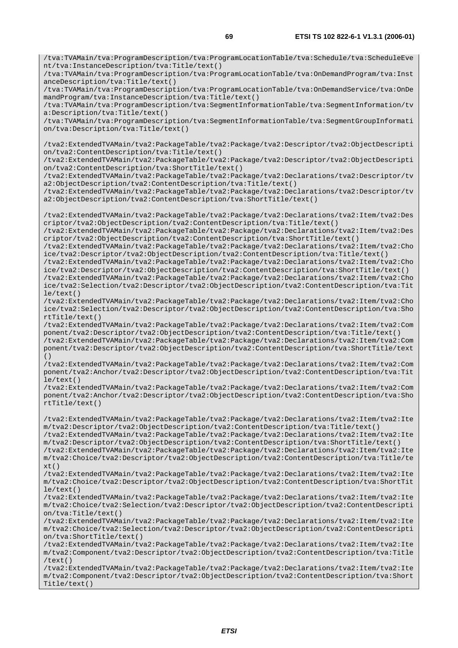/tva:TVAMain/tva:ProgramDescription/tva:ProgramLocationTable/tva:Schedule/tva:ScheduleEve nt/tva:InstanceDescription/tva:Title/text() /tva:TVAMain/tva:ProgramDescription/tva:ProgramLocationTable/tva:OnDemandProgram/tva:Inst anceDescription/tva:Title/text() /tva:TVAMain/tva:ProgramDescription/tva:ProgramLocationTable/tva:OnDemandService/tva:OnDe mandProgram/tva:InstanceDescription/tva:Title/text() /tva:TVAMain/tva:ProgramDescription/tva:SegmentInformationTable/tva:SegmentInformation/tv a:Description/tva:Title/text() /tva:TVAMain/tva:ProgramDescription/tva:SegmentInformationTable/tva:SegmentGroupInformati on/tva:Description/tva:Title/text() /tva2:ExtendedTVAMain/tva2:PackageTable/tva2:Package/tva2:Descriptor/tva2:ObjectDescripti on/tva2:ContentDescription/tva:Title/text() /tva2:ExtendedTVAMain/tva2:PackageTable/tva2:Package/tva2:Descriptor/tva2:ObjectDescripti on/tva2:ContentDescription/tva:ShortTitle/text() /tva2:ExtendedTVAMain/tva2:PackageTable/tva2:Package/tva2:Declarations/tva2:Descriptor/tv a2:ObjectDescription/tva2:ContentDescription/tva:Title/text() /tva2:ExtendedTVAMain/tva2:PackageTable/tva2:Package/tva2:Declarations/tva2:Descriptor/tv a2:ObjectDescription/tva2:ContentDescription/tva:ShortTitle/text() /tva2:ExtendedTVAMain/tva2:PackageTable/tva2:Package/tva2:Declarations/tva2:Item/tva2:Des criptor/tva2:ObjectDescription/tva2:ContentDescription/tva:Title/text() /tva2:ExtendedTVAMain/tva2:PackageTable/tva2:Package/tva2:Declarations/tva2:Item/tva2:Des criptor/tva2:ObjectDescription/tva2:ContentDescription/tva:ShortTitle/text() /tva2:ExtendedTVAMain/tva2:PackageTable/tva2:Package/tva2:Declarations/tva2:Item/tva2:Cho ice/tva2:Descriptor/tva2:ObjectDescription/tva2:ContentDescription/tva:Title/text() /tva2:ExtendedTVAMain/tva2:PackageTable/tva2:Package/tva2:Declarations/tva2:Item/tva2:Cho ice/tva2:Descriptor/tva2:ObjectDescription/tva2:ContentDescription/tva:ShortTitle/text() /tva2:ExtendedTVAMain/tva2:PackageTable/tva2:Package/tva2:Declarations/tva2:Item/tva2:Cho ice/tva2:Selection/tva2:Descriptor/tva2:ObjectDescription/tva2:ContentDescription/tva:Tit le/text() /tva2:ExtendedTVAMain/tva2:PackageTable/tva2:Package/tva2:Declarations/tva2:Item/tva2:Cho ice/tva2:Selection/tva2:Descriptor/tva2:ObjectDescription/tva2:ContentDescription/tva:Sho rtTitle/text() /tva2:ExtendedTVAMain/tva2:PackageTable/tva2:Package/tva2:Declarations/tva2:Item/tva2:Com ponent/tva2:Descriptor/tva2:ObjectDescription/tva2:ContentDescription/tva:Title/text() /tva2:ExtendedTVAMain/tva2:PackageTable/tva2:Package/tva2:Declarations/tva2:Item/tva2:Com ponent/tva2:Descriptor/tva2:ObjectDescription/tva2:ContentDescription/tva:ShortTitle/text  $( )$ /tva2:ExtendedTVAMain/tva2:PackageTable/tva2:Package/tva2:Declarations/tva2:Item/tva2:Com ponent/tva2:Anchor/tva2:Descriptor/tva2:ObjectDescription/tva2:ContentDescription/tva:Tit le/text() /tva2:ExtendedTVAMain/tva2:PackageTable/tva2:Package/tva2:Declarations/tva2:Item/tva2:Com ponent/tva2:Anchor/tva2:Descriptor/tva2:ObjectDescription/tva2:ContentDescription/tva:Sho rtTitle/text() /tva2:ExtendedTVAMain/tva2:PackageTable/tva2:Package/tva2:Declarations/tva2:Item/tva2:Ite m/tva2:Descriptor/tva2:ObjectDescription/tva2:ContentDescription/tva:Title/text() /tva2:ExtendedTVAMain/tva2:PackageTable/tva2:Package/tva2:Declarations/tva2:Item/tva2:Ite m/tva2:Descriptor/tva2:ObjectDescription/tva2:ContentDescription/tva:ShortTitle/text() /tva2:ExtendedTVAMain/tva2:PackageTable/tva2:Package/tva2:Declarations/tva2:Item/tva2:Ite m/tva2:Choice/tva2:Descriptor/tva2:ObjectDescription/tva2:ContentDescription/tva:Title/te xt() /tva2:ExtendedTVAMain/tva2:PackageTable/tva2:Package/tva2:Declarations/tva2:Item/tva2:Ite m/tva2:Choice/tva2:Descriptor/tva2:ObjectDescription/tva2:ContentDescription/tva:ShortTit le/text() /tva2:ExtendedTVAMain/tva2:PackageTable/tva2:Package/tva2:Declarations/tva2:Item/tva2:Ite m/tva2:Choice/tva2:Selection/tva2:Descriptor/tva2:ObjectDescription/tva2:ContentDescripti on/tva:Title/text() /tva2:ExtendedTVAMain/tva2:PackageTable/tva2:Package/tva2:Declarations/tva2:Item/tva2:Ite m/tva2:Choice/tva2:Selection/tva2:Descriptor/tva2:ObjectDescription/tva2:ContentDescripti on/tva:ShortTitle/text() /tva2:ExtendedTVAMain/tva2:PackageTable/tva2:Package/tva2:Declarations/tva2:Item/tva2:Ite m/tva2:Component/tva2:Descriptor/tva2:ObjectDescription/tva2:ContentDescription/tva:Title /text() /tva2:ExtendedTVAMain/tva2:PackageTable/tva2:Package/tva2:Declarations/tva2:Item/tva2:Ite m/tva2:Component/tva2:Descriptor/tva2:ObjectDescription/tva2:ContentDescription/tva:Short Title/text()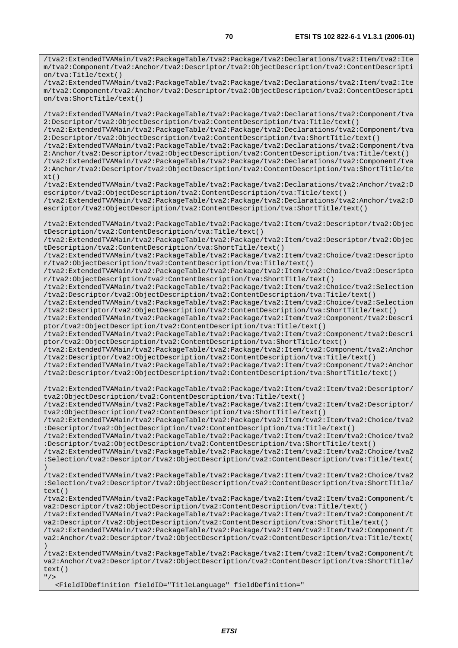/tva2:ExtendedTVAMain/tva2:PackageTable/tva2:Package/tva2:Declarations/tva2:Item/tva2:Ite m/tva2:Component/tva2:Anchor/tva2:Descriptor/tva2:ObjectDescription/tva2:ContentDescripti on/tva:Title/text()

/tva2:ExtendedTVAMain/tva2:PackageTable/tva2:Package/tva2:Declarations/tva2:Item/tva2:Ite m/tva2:Component/tva2:Anchor/tva2:Descriptor/tva2:ObjectDescription/tva2:ContentDescripti on/tva:ShortTitle/text()

/tva2:ExtendedTVAMain/tva2:PackageTable/tva2:Package/tva2:Declarations/tva2:Component/tva 2:Descriptor/tva2:ObjectDescription/tva2:ContentDescription/tva:Title/text() /tva2:ExtendedTVAMain/tva2:PackageTable/tva2:Package/tva2:Declarations/tva2:Component/tva

2:Descriptor/tva2:ObjectDescription/tva2:ContentDescription/tva:ShortTitle/text()

/tva2:ExtendedTVAMain/tva2:PackageTable/tva2:Package/tva2:Declarations/tva2:Component/tva 2:Anchor/tva2:Descriptor/tva2:ObjectDescription/tva2:ContentDescription/tva:Title/text() /tva2:ExtendedTVAMain/tva2:PackageTable/tva2:Package/tva2:Declarations/tva2:Component/tva

2:Anchor/tva2:Descriptor/tva2:ObjectDescription/tva2:ContentDescription/tva:ShortTitle/te xt()

/tva2:ExtendedTVAMain/tva2:PackageTable/tva2:Package/tva2:Declarations/tva2:Anchor/tva2:D escriptor/tva2:ObjectDescription/tva2:ContentDescription/tva:Title/text() /tva2:ExtendedTVAMain/tva2:PackageTable/tva2:Package/tva2:Declarations/tva2:Anchor/tva2:D

escriptor/tva2:ObjectDescription/tva2:ContentDescription/tva:ShortTitle/text()

/tva2:ExtendedTVAMain/tva2:PackageTable/tva2:Package/tva2:Item/tva2:Descriptor/tva2:Objec tDescription/tva2:ContentDescription/tva:Title/text()

/tva2:ExtendedTVAMain/tva2:PackageTable/tva2:Package/tva2:Item/tva2:Descriptor/tva2:Objec tDescription/tva2:ContentDescription/tva:ShortTitle/text()

/tva2:ExtendedTVAMain/tva2:PackageTable/tva2:Package/tva2:Item/tva2:Choice/tva2:Descripto r/tva2:ObjectDescription/tva2:ContentDescription/tva:Title/text()

/tva2:ExtendedTVAMain/tva2:PackageTable/tva2:Package/tva2:Item/tva2:Choice/tva2:Descripto r/tva2:ObjectDescription/tva2:ContentDescription/tva:ShortTitle/text()

/tva2:ExtendedTVAMain/tva2:PackageTable/tva2:Package/tva2:Item/tva2:Choice/tva2:Selection /tva2:Descriptor/tva2:ObjectDescription/tva2:ContentDescription/tva:Title/text()

/tva2:ExtendedTVAMain/tva2:PackageTable/tva2:Package/tva2:Item/tva2:Choice/tva2:Selection /tva2:Descriptor/tva2:ObjectDescription/tva2:ContentDescription/tva:ShortTitle/text() /tva2:ExtendedTVAMain/tva2:PackageTable/tva2:Package/tva2:Item/tva2:Component/tva2:Descri

ptor/tva2:ObjectDescription/tva2:ContentDescription/tva:Title/text() /tva2:ExtendedTVAMain/tva2:PackageTable/tva2:Package/tva2:Item/tva2:Component/tva2:Descri

ptor/tva2:ObjectDescription/tva2:ContentDescription/tva:ShortTitle/text()

/tva2:ExtendedTVAMain/tva2:PackageTable/tva2:Package/tva2:Item/tva2:Component/tva2:Anchor /tva2:Descriptor/tva2:ObjectDescription/tva2:ContentDescription/tva:Title/text()

/tva2:ExtendedTVAMain/tva2:PackageTable/tva2:Package/tva2:Item/tva2:Component/tva2:Anchor /tva2:Descriptor/tva2:ObjectDescription/tva2:ContentDescription/tva:ShortTitle/text()

/tva2:ExtendedTVAMain/tva2:PackageTable/tva2:Package/tva2:Item/tva2:Item/tva2:Descriptor/ tva2:ObjectDescription/tva2:ContentDescription/tva:Title/text()

/tva2:ExtendedTVAMain/tva2:PackageTable/tva2:Package/tva2:Item/tva2:Item/tva2:Descriptor/ tva2:ObjectDescription/tva2:ContentDescription/tva:ShortTitle/text()

/tva2:ExtendedTVAMain/tva2:PackageTable/tva2:Package/tva2:Item/tva2:Item/tva2:Choice/tva2 :Descriptor/tva2:ObjectDescription/tva2:ContentDescription/tva:Title/text()

/tva2:ExtendedTVAMain/tva2:PackageTable/tva2:Package/tva2:Item/tva2:Item/tva2:Choice/tva2 :Descriptor/tva2:ObjectDescription/tva2:ContentDescription/tva:ShortTitle/text()

/tva2:ExtendedTVAMain/tva2:PackageTable/tva2:Package/tva2:Item/tva2:Item/tva2:Choice/tva2 :Selection/tva2:Descriptor/tva2:ObjectDescription/tva2:ContentDescription/tva:Title/text(  $)$ 

/tva2:ExtendedTVAMain/tva2:PackageTable/tva2:Package/tva2:Item/tva2:Item/tva2:Choice/tva2 :Selection/tva2:Descriptor/tva2:ObjectDescription/tva2:ContentDescription/tva:ShortTitle/ text()

/tva2:ExtendedTVAMain/tva2:PackageTable/tva2:Package/tva2:Item/tva2:Item/tva2:Component/t va2:Descriptor/tva2:ObjectDescription/tva2:ContentDescription/tva:Title/text()

/tva2:ExtendedTVAMain/tva2:PackageTable/tva2:Package/tva2:Item/tva2:Item/tva2:Component/t va2:Descriptor/tva2:ObjectDescription/tva2:ContentDescription/tva:ShortTitle/text()

/tva2:ExtendedTVAMain/tva2:PackageTable/tva2:Package/tva2:Item/tva2:Item/tva2:Component/t va2:Anchor/tva2:Descriptor/tva2:ObjectDescription/tva2:ContentDescription/tva:Title/text( )

/tva2:ExtendedTVAMain/tva2:PackageTable/tva2:Package/tva2:Item/tva2:Item/tva2:Component/t va2:Anchor/tva2:Descriptor/tva2:ObjectDescription/tva2:ContentDescription/tva:ShortTitle/ text() "/>

<FieldIDDefinition fieldID="TitleLanguage" fieldDefinition="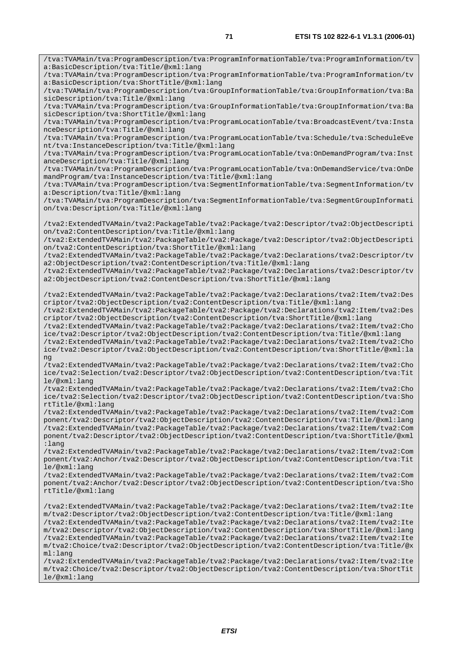/tva:TVAMain/tva:ProgramDescription/tva:ProgramInformationTable/tva:ProgramInformation/tv a:BasicDescription/tva:Title/@xml:lang /tva:TVAMain/tva:ProgramDescription/tva:ProgramInformationTable/tva:ProgramInformation/tv a:BasicDescription/tva:ShortTitle/@xml:lang /tva:TVAMain/tva:ProgramDescription/tva:GroupInformationTable/tva:GroupInformation/tva:Ba sicDescription/tva:Title/@xml:lang /tva:TVAMain/tva:ProgramDescription/tva:GroupInformationTable/tva:GroupInformation/tva:Ba sicDescription/tva:ShortTitle/@xml:lang /tva:TVAMain/tva:ProgramDescription/tva:ProgramLocationTable/tva:BroadcastEvent/tva:Insta nceDescription/tva:Title/@xml:lang /tva:TVAMain/tva:ProgramDescription/tva:ProgramLocationTable/tva:Schedule/tva:ScheduleEve nt/tva:InstanceDescription/tva:Title/@xml:lang /tva:TVAMain/tva:ProgramDescription/tva:ProgramLocationTable/tva:OnDemandProgram/tva:Inst anceDescription/tva:Title/@xml:lang /tva:TVAMain/tva:ProgramDescription/tva:ProgramLocationTable/tva:OnDemandService/tva:OnDe mandProgram/tva:InstanceDescription/tva:Title/@xml:lang /tva:TVAMain/tva:ProgramDescription/tva:SegmentInformationTable/tva:SegmentInformation/tv a:Description/tva:Title/@xml:lang /tva:TVAMain/tva:ProgramDescription/tva:SegmentInformationTable/tva:SegmentGroupInformati on/tva:Description/tva:Title/@xml:lang /tva2:ExtendedTVAMain/tva2:PackageTable/tva2:Package/tva2:Descriptor/tva2:ObjectDescripti on/tva2:ContentDescription/tva:Title/@xml:lang /tva2:ExtendedTVAMain/tva2:PackageTable/tva2:Package/tva2:Descriptor/tva2:ObjectDescripti on/tva2:ContentDescription/tva:ShortTitle/@xml:lang /tva2:ExtendedTVAMain/tva2:PackageTable/tva2:Package/tva2:Declarations/tva2:Descriptor/tv a2:ObjectDescription/tva2:ContentDescription/tva:Title/@xml:lang /tva2:ExtendedTVAMain/tva2:PackageTable/tva2:Package/tva2:Declarations/tva2:Descriptor/tv a2:ObjectDescription/tva2:ContentDescription/tva:ShortTitle/@xml:lang /tva2:ExtendedTVAMain/tva2:PackageTable/tva2:Package/tva2:Declarations/tva2:Item/tva2:Des criptor/tva2:ObjectDescription/tva2:ContentDescription/tva:Title/@xml:lang /tva2:ExtendedTVAMain/tva2:PackageTable/tva2:Package/tva2:Declarations/tva2:Item/tva2:Des criptor/tva2:ObjectDescription/tva2:ContentDescription/tva:ShortTitle/@xml:lang /tva2:ExtendedTVAMain/tva2:PackageTable/tva2:Package/tva2:Declarations/tva2:Item/tva2:Cho ice/tva2:Descriptor/tva2:ObjectDescription/tva2:ContentDescription/tva:Title/@xml:lang /tva2:ExtendedTVAMain/tva2:PackageTable/tva2:Package/tva2:Declarations/tva2:Item/tva2:Cho ice/tva2:Descriptor/tva2:ObjectDescription/tva2:ContentDescription/tva:ShortTitle/@xml:la ng /tva2:ExtendedTVAMain/tva2:PackageTable/tva2:Package/tva2:Declarations/tva2:Item/tva2:Cho ice/tva2:Selection/tva2:Descriptor/tva2:ObjectDescription/tva2:ContentDescription/tva:Tit le/@xml:lang /tva2:ExtendedTVAMain/tva2:PackageTable/tva2:Package/tva2:Declarations/tva2:Item/tva2:Cho ice/tva2:Selection/tva2:Descriptor/tva2:ObjectDescription/tva2:ContentDescription/tva:Sho rtTitle/@xml:lang /tva2:ExtendedTVAMain/tva2:PackageTable/tva2:Package/tva2:Declarations/tva2:Item/tva2:Com ponent/tva2:Descriptor/tva2:ObjectDescription/tva2:ContentDescription/tva:Title/@xml:lang /tva2:ExtendedTVAMain/tva2:PackageTable/tva2:Package/tva2:Declarations/tva2:Item/tva2:Com ponent/tva2:Descriptor/tva2:ObjectDescription/tva2:ContentDescription/tva:ShortTitle/@xml :lang /tva2:ExtendedTVAMain/tva2:PackageTable/tva2:Package/tva2:Declarations/tva2:Item/tva2:Com ponent/tva2:Anchor/tva2:Descriptor/tva2:ObjectDescription/tva2:ContentDescription/tva:Tit le/@xml:lang /tva2:ExtendedTVAMain/tva2:PackageTable/tva2:Package/tva2:Declarations/tva2:Item/tva2:Com ponent/tva2:Anchor/tva2:Descriptor/tva2:ObjectDescription/tva2:ContentDescription/tva:Sho rtTitle/@xml:lang /tva2:ExtendedTVAMain/tva2:PackageTable/tva2:Package/tva2:Declarations/tva2:Item/tva2:Ite m/tva2:Descriptor/tva2:ObjectDescription/tva2:ContentDescription/tva:Title/@xml:lang /tva2:ExtendedTVAMain/tva2:PackageTable/tva2:Package/tva2:Declarations/tva2:Item/tva2:Ite m/tva2:Descriptor/tva2:ObjectDescription/tva2:ContentDescription/tva:ShortTitle/@xml:lang /tva2:ExtendedTVAMain/tva2:PackageTable/tva2:Package/tva2:Declarations/tva2:Item/tva2:Ite m/tva2:Choice/tva2:Descriptor/tva2:ObjectDescription/tva2:ContentDescription/tva:Title/@x ml:lang /tva2:ExtendedTVAMain/tva2:PackageTable/tva2:Package/tva2:Declarations/tva2:Item/tva2:Ite m/tva2:Choice/tva2:Descriptor/tva2:ObjectDescription/tva2:ContentDescription/tva:ShortTit

le/@xml:lang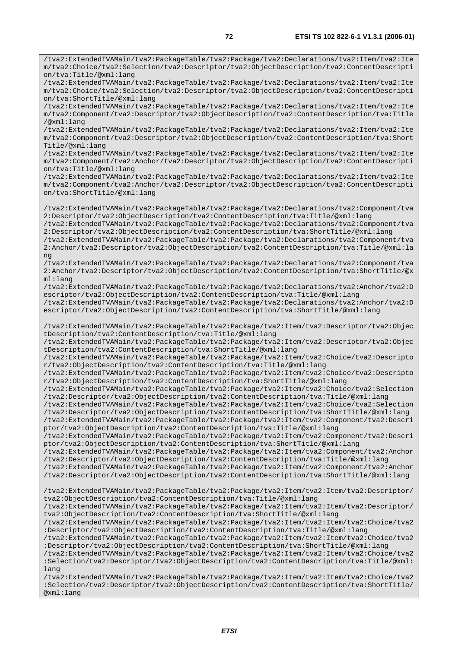/tva2:ExtendedTVAMain/tva2:PackageTable/tva2:Package/tva2:Declarations/tva2:Item/tva2:Ite m/tva2:Choice/tva2:Selection/tva2:Descriptor/tva2:ObjectDescription/tva2:ContentDescripti

on/tva:Title/@xml:lang

/tva2:ExtendedTVAMain/tva2:PackageTable/tva2:Package/tva2:Declarations/tva2:Item/tva2:Ite m/tva2:Choice/tva2:Selection/tva2:Descriptor/tva2:ObjectDescription/tva2:ContentDescripti on/tva:ShortTitle/@xml:lang /tva2:ExtendedTVAMain/tva2:PackageTable/tva2:Package/tva2:Declarations/tva2:Item/tva2:Ite m/tva2:Component/tva2:Descriptor/tva2:ObjectDescription/tva2:ContentDescription/tva:Title /@xml:lang /tva2:ExtendedTVAMain/tva2:PackageTable/tva2:Package/tva2:Declarations/tva2:Item/tva2:Ite m/tva2:Component/tva2:Descriptor/tva2:ObjectDescription/tva2:ContentDescription/tva:Short Title/@xml:lang /tva2:ExtendedTVAMain/tva2:PackageTable/tva2:Package/tva2:Declarations/tva2:Item/tva2:Ite m/tva2:Component/tva2:Anchor/tva2:Descriptor/tva2:ObjectDescription/tva2:ContentDescripti on/tva:Title/@xml:lang /tva2:ExtendedTVAMain/tva2:PackageTable/tva2:Package/tva2:Declarations/tva2:Item/tva2:Ite m/tva2:Component/tva2:Anchor/tva2:Descriptor/tva2:ObjectDescription/tva2:ContentDescripti on/tva:ShortTitle/@xml:lang /tva2:ExtendedTVAMain/tva2:PackageTable/tva2:Package/tva2:Declarations/tva2:Component/tva 2:Descriptor/tva2:ObjectDescription/tva2:ContentDescription/tva:Title/@xml:lang /tva2:ExtendedTVAMain/tva2:PackageTable/tva2:Package/tva2:Declarations/tva2:Component/tva 2:Descriptor/tva2:ObjectDescription/tva2:ContentDescription/tva:ShortTitle/@xml:lang /tva2:ExtendedTVAMain/tva2:PackageTable/tva2:Package/tva2:Declarations/tva2:Component/tva 2:Anchor/tva2:Descriptor/tva2:ObjectDescription/tva2:ContentDescription/tva:Title/@xml:la ng /tva2:ExtendedTVAMain/tva2:PackageTable/tva2:Package/tva2:Declarations/tva2:Component/tva 2:Anchor/tva2:Descriptor/tva2:ObjectDescription/tva2:ContentDescription/tva:ShortTitle/@x ml:lang /tva2:ExtendedTVAMain/tva2:PackageTable/tva2:Package/tva2:Declarations/tva2:Anchor/tva2:D escriptor/tva2:ObjectDescription/tva2:ContentDescription/tva:Title/@xml:lang /tva2:ExtendedTVAMain/tva2:PackageTable/tva2:Package/tva2:Declarations/tva2:Anchor/tva2:D escriptor/tva2:ObjectDescription/tva2:ContentDescription/tva:ShortTitle/@xml:lang /tva2:ExtendedTVAMain/tva2:PackageTable/tva2:Package/tva2:Item/tva2:Descriptor/tva2:Objec tDescription/tva2:ContentDescription/tva:Title/@xml:lang /tva2:ExtendedTVAMain/tva2:PackageTable/tva2:Package/tva2:Item/tva2:Descriptor/tva2:Objec tDescription/tva2:ContentDescription/tva:ShortTitle/@xml:lang /tva2:ExtendedTVAMain/tva2:PackageTable/tva2:Package/tva2:Item/tva2:Choice/tva2:Descripto r/tva2:ObjectDescription/tva2:ContentDescription/tva:Title/@xml:lang /tva2:ExtendedTVAMain/tva2:PackageTable/tva2:Package/tva2:Item/tva2:Choice/tva2:Descripto r/tva2:ObjectDescription/tva2:ContentDescription/tva:ShortTitle/@xml:lang /tva2:ExtendedTVAMain/tva2:PackageTable/tva2:Package/tva2:Item/tva2:Choice/tva2:Selection /tva2:Descriptor/tva2:ObjectDescription/tva2:ContentDescription/tva:Title/@xml:lang /tva2:ExtendedTVAMain/tva2:PackageTable/tva2:Package/tva2:Item/tva2:Choice/tva2:Selection /tva2:Descriptor/tva2:ObjectDescription/tva2:ContentDescription/tva:ShortTitle/@xml:lang /tva2:ExtendedTVAMain/tva2:PackageTable/tva2:Package/tva2:Item/tva2:Component/tva2:Descri ptor/tva2:ObjectDescription/tva2:ContentDescription/tva:Title/@xml:lang /tva2:ExtendedTVAMain/tva2:PackageTable/tva2:Package/tva2:Item/tva2:Component/tva2:Descri ptor/tva2:ObjectDescription/tva2:ContentDescription/tva:ShortTitle/@xml:lang /tva2:ExtendedTVAMain/tva2:PackageTable/tva2:Package/tva2:Item/tva2:Component/tva2:Anchor /tva2:Descriptor/tva2:ObjectDescription/tva2:ContentDescription/tva:Title/@xml:lang /tva2:ExtendedTVAMain/tva2:PackageTable/tva2:Package/tva2:Item/tva2:Component/tva2:Anchor /tva2:Descriptor/tva2:ObjectDescription/tva2:ContentDescription/tva:ShortTitle/@xml:lang /tva2:ExtendedTVAMain/tva2:PackageTable/tva2:Package/tva2:Item/tva2:Item/tva2:Descriptor/ tva2:ObjectDescription/tva2:ContentDescription/tva:Title/@xml:lang /tva2:ExtendedTVAMain/tva2:PackageTable/tva2:Package/tva2:Item/tva2:Item/tva2:Descriptor/ tva2:ObjectDescription/tva2:ContentDescription/tva:ShortTitle/@xml:lang /tva2:ExtendedTVAMain/tva2:PackageTable/tva2:Package/tva2:Item/tva2:Item/tva2:Choice/tva2 :Descriptor/tva2:ObjectDescription/tva2:ContentDescription/tva:Title/@xml:lang /tva2:ExtendedTVAMain/tva2:PackageTable/tva2:Package/tva2:Item/tva2:Item/tva2:Choice/tva2 :Descriptor/tva2:ObjectDescription/tva2:ContentDescription/tva:ShortTitle/@xml:lang /tva2:ExtendedTVAMain/tva2:PackageTable/tva2:Package/tva2:Item/tva2:Item/tva2:Choice/tva2 :Selection/tva2:Descriptor/tva2:ObjectDescription/tva2:ContentDescription/tva:Title/@xml: lang /tva2:ExtendedTVAMain/tva2:PackageTable/tva2:Package/tva2:Item/tva2:Item/tva2:Choice/tva2 :Selection/tva2:Descriptor/tva2:ObjectDescription/tva2:ContentDescription/tva:ShortTitle/ @xml:lang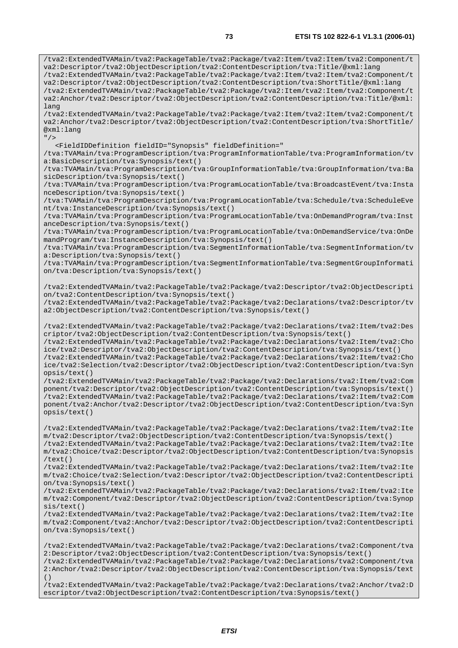/tva2:ExtendedTVAMain/tva2:PackageTable/tva2:Package/tva2:Item/tva2:Item/tva2:Component/t va2:Descriptor/tva2:ObjectDescription/tva2:ContentDescription/tva:Title/@xml:lang /tva2:ExtendedTVAMain/tva2:PackageTable/tva2:Package/tva2:Item/tva2:Item/tva2:Component/t va2:Descriptor/tva2:ObjectDescription/tva2:ContentDescription/tva:ShortTitle/@xml:lang /tva2:ExtendedTVAMain/tva2:PackageTable/tva2:Package/tva2:Item/tva2:Item/tva2:Component/t va2:Anchor/tva2:Descriptor/tva2:ObjectDescription/tva2:ContentDescription/tva:Title/@xml: lang /tva2:ExtendedTVAMain/tva2:PackageTable/tva2:Package/tva2:Item/tva2:Item/tva2:Component/t va2:Anchor/tva2:Descriptor/tva2:ObjectDescription/tva2:ContentDescription/tva:ShortTitle/ @xml:lang  $"$  /> <FieldIDDefinition fieldID="Synopsis" fieldDefinition=" /tva:TVAMain/tva:ProgramDescription/tva:ProgramInformationTable/tva:ProgramInformation/tv a:BasicDescription/tva:Synopsis/text() /tva:TVAMain/tva:ProgramDescription/tva:GroupInformationTable/tva:GroupInformation/tva:Ba sicDescription/tva:Synopsis/text() /tva:TVAMain/tva:ProgramDescription/tva:ProgramLocationTable/tva:BroadcastEvent/tva:Insta nceDescription/tva:Synopsis/text() /tva:TVAMain/tva:ProgramDescription/tva:ProgramLocationTable/tva:Schedule/tva:ScheduleEve nt/tva:InstanceDescription/tva:Synopsis/text() /tva:TVAMain/tva:ProgramDescription/tva:ProgramLocationTable/tva:OnDemandProgram/tva:Inst anceDescription/tva:Synopsis/text() /tva:TVAMain/tva:ProgramDescription/tva:ProgramLocationTable/tva:OnDemandService/tva:OnDe mandProgram/tva:InstanceDescription/tva:Synopsis/text() /tva:TVAMain/tva:ProgramDescription/tva:SegmentInformationTable/tva:SegmentInformation/tv a:Description/tva:Synopsis/text() /tva:TVAMain/tva:ProgramDescription/tva:SegmentInformationTable/tva:SegmentGroupInformati on/tva:Description/tva:Synopsis/text() /tva2:ExtendedTVAMain/tva2:PackageTable/tva2:Package/tva2:Descriptor/tva2:ObjectDescripti on/tva2:ContentDescription/tva:Synopsis/text() /tva2:ExtendedTVAMain/tva2:PackageTable/tva2:Package/tva2:Declarations/tva2:Descriptor/tv a2:ObjectDescription/tva2:ContentDescription/tva:Synopsis/text() /tva2:ExtendedTVAMain/tva2:PackageTable/tva2:Package/tva2:Declarations/tva2:Item/tva2:Des criptor/tva2:ObjectDescription/tva2:ContentDescription/tva:Synopsis/text() /tva2:ExtendedTVAMain/tva2:PackageTable/tva2:Package/tva2:Declarations/tva2:Item/tva2:Cho ice/tva2:Descriptor/tva2:ObjectDescription/tva2:ContentDescription/tva:Synopsis/text() /tva2:ExtendedTVAMain/tva2:PackageTable/tva2:Package/tva2:Declarations/tva2:Item/tva2:Cho ice/tva2:Selection/tva2:Descriptor/tva2:ObjectDescription/tva2:ContentDescription/tva:Syn opsis/text() /tva2:ExtendedTVAMain/tva2:PackageTable/tva2:Package/tva2:Declarations/tva2:Item/tva2:Com ponent/tva2:Descriptor/tva2:ObjectDescription/tva2:ContentDescription/tva:Synopsis/text() /tva2:ExtendedTVAMain/tva2:PackageTable/tva2:Package/tva2:Declarations/tva2:Item/tva2:Com ponent/tva2:Anchor/tva2:Descriptor/tva2:ObjectDescription/tva2:ContentDescription/tva:Syn opsis/text() /tva2:ExtendedTVAMain/tva2:PackageTable/tva2:Package/tva2:Declarations/tva2:Item/tva2:Ite m/tva2:Descriptor/tva2:ObjectDescription/tva2:ContentDescription/tva:Synopsis/text() /tva2:ExtendedTVAMain/tva2:PackageTable/tva2:Package/tva2:Declarations/tva2:Item/tva2:Ite m/tva2:Choice/tva2:Descriptor/tva2:ObjectDescription/tva2:ContentDescription/tva:Synopsis /text() /tva2:ExtendedTVAMain/tva2:PackageTable/tva2:Package/tva2:Declarations/tva2:Item/tva2:Ite m/tva2:Choice/tva2:Selection/tva2:Descriptor/tva2:ObjectDescription/tva2:ContentDescripti on/tva:Synopsis/text() /tva2:ExtendedTVAMain/tva2:PackageTable/tva2:Package/tva2:Declarations/tva2:Item/tva2:Ite m/tva2:Component/tva2:Descriptor/tva2:ObjectDescription/tva2:ContentDescription/tva:Synop sis/text() /tva2:ExtendedTVAMain/tva2:PackageTable/tva2:Package/tva2:Declarations/tva2:Item/tva2:Ite m/tva2:Component/tva2:Anchor/tva2:Descriptor/tva2:ObjectDescription/tva2:ContentDescripti on/tva:Synopsis/text() /tva2:ExtendedTVAMain/tva2:PackageTable/tva2:Package/tva2:Declarations/tva2:Component/tva 2:Descriptor/tva2:ObjectDescription/tva2:ContentDescription/tva:Synopsis/text() /tva2:ExtendedTVAMain/tva2:PackageTable/tva2:Package/tva2:Declarations/tva2:Component/tva

2:Anchor/tva2:Descriptor/tva2:ObjectDescription/tva2:ContentDescription/tva:Synopsis/text ()

/tva2:ExtendedTVAMain/tva2:PackageTable/tva2:Package/tva2:Declarations/tva2:Anchor/tva2:D escriptor/tva2:ObjectDescription/tva2:ContentDescription/tva:Synopsis/text()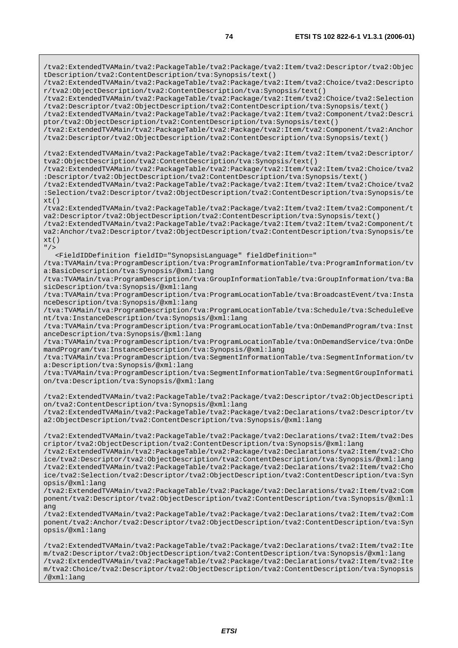/tva2:ExtendedTVAMain/tva2:PackageTable/tva2:Package/tva2:Item/tva2:Descriptor/tva2:Objec tDescription/tva2:ContentDescription/tva:Synopsis/text() /tva2:ExtendedTVAMain/tva2:PackageTable/tva2:Package/tva2:Item/tva2:Choice/tva2:Descripto r/tva2:ObjectDescription/tva2:ContentDescription/tva:Synopsis/text() /tva2:ExtendedTVAMain/tva2:PackageTable/tva2:Package/tva2:Item/tva2:Choice/tva2:Selection /tva2:Descriptor/tva2:ObjectDescription/tva2:ContentDescription/tva:Synopsis/text() /tva2:ExtendedTVAMain/tva2:PackageTable/tva2:Package/tva2:Item/tva2:Component/tva2:Descri ptor/tva2:ObjectDescription/tva2:ContentDescription/tva:Synopsis/text() /tva2:ExtendedTVAMain/tva2:PackageTable/tva2:Package/tva2:Item/tva2:Component/tva2:Anchor /tva2:Descriptor/tva2:ObjectDescription/tva2:ContentDescription/tva:Synopsis/text() /tva2:ExtendedTVAMain/tva2:PackageTable/tva2:Package/tva2:Item/tva2:Item/tva2:Descriptor/ tva2:ObjectDescription/tva2:ContentDescription/tva:Synopsis/text() /tva2:ExtendedTVAMain/tva2:PackageTable/tva2:Package/tva2:Item/tva2:Item/tva2:Choice/tva2 :Descriptor/tva2:ObjectDescription/tva2:ContentDescription/tva:Synopsis/text() /tva2:ExtendedTVAMain/tva2:PackageTable/tva2:Package/tva2:Item/tva2:Item/tva2:Choice/tva2 :Selection/tva2:Descriptor/tva2:ObjectDescription/tva2:ContentDescription/tva:Synopsis/te  $xt()$ /tva2:ExtendedTVAMain/tva2:PackageTable/tva2:Package/tva2:Item/tva2:Item/tva2:Component/t va2:Descriptor/tva2:ObjectDescription/tva2:ContentDescription/tva:Synopsis/text() /tva2:ExtendedTVAMain/tva2:PackageTable/tva2:Package/tva2:Item/tva2:Item/tva2:Component/t va2:Anchor/tva2:Descriptor/tva2:ObjectDescription/tva2:ContentDescription/tva:Synopsis/te xt()  $"$  /> <FieldIDDefinition fieldID="SynopsisLanguage" fieldDefinition=" /tva:TVAMain/tva:ProgramDescription/tva:ProgramInformationTable/tva:ProgramInformation/tv a:BasicDescription/tva:Synopsis/@xml:lang /tva:TVAMain/tva:ProgramDescription/tva:GroupInformationTable/tva:GroupInformation/tva:Ba sicDescription/tva:Synopsis/@xml:lang /tva:TVAMain/tva:ProgramDescription/tva:ProgramLocationTable/tva:BroadcastEvent/tva:Insta nceDescription/tva:Synopsis/@xml:lang /tva:TVAMain/tva:ProgramDescription/tva:ProgramLocationTable/tva:Schedule/tva:ScheduleEve nt/tva:InstanceDescription/tva:Synopsis/@xml:lang /tva:TVAMain/tva:ProgramDescription/tva:ProgramLocationTable/tva:OnDemandProgram/tva:Inst anceDescription/tva:Synopsis/@xml:lang /tva:TVAMain/tva:ProgramDescription/tva:ProgramLocationTable/tva:OnDemandService/tva:OnDe mandProgram/tva:InstanceDescription/tva:Synopsis/@xml:lang /tva:TVAMain/tva:ProgramDescription/tva:SegmentInformationTable/tva:SegmentInformation/tv a:Description/tva:Synopsis/@xml:lang /tva:TVAMain/tva:ProgramDescription/tva:SegmentInformationTable/tva:SegmentGroupInformati on/tva:Description/tva:Synopsis/@xml:lang /tva2:ExtendedTVAMain/tva2:PackageTable/tva2:Package/tva2:Descriptor/tva2:ObjectDescripti on/tva2:ContentDescription/tva:Synopsis/@xml:lang /tva2:ExtendedTVAMain/tva2:PackageTable/tva2:Package/tva2:Declarations/tva2:Descriptor/tv a2:ObjectDescription/tva2:ContentDescription/tva:Synopsis/@xml:lang /tva2:ExtendedTVAMain/tva2:PackageTable/tva2:Package/tva2:Declarations/tva2:Item/tva2:Des criptor/tva2:ObjectDescription/tva2:ContentDescription/tva:Synopsis/@xml:lang /tva2:ExtendedTVAMain/tva2:PackageTable/tva2:Package/tva2:Declarations/tva2:Item/tva2:Cho ice/tva2:Descriptor/tva2:ObjectDescription/tva2:ContentDescription/tva:Synopsis/@xml:lang /tva2:ExtendedTVAMain/tva2:PackageTable/tva2:Package/tva2:Declarations/tva2:Item/tva2:Cho ice/tva2:Selection/tva2:Descriptor/tva2:ObjectDescription/tva2:ContentDescription/tva:Syn opsis/@xml:lang /tva2:ExtendedTVAMain/tva2:PackageTable/tva2:Package/tva2:Declarations/tva2:Item/tva2:Com ponent/tva2:Descriptor/tva2:ObjectDescription/tva2:ContentDescription/tva:Synopsis/@xml:l ang /tva2:ExtendedTVAMain/tva2:PackageTable/tva2:Package/tva2:Declarations/tva2:Item/tva2:Com ponent/tva2:Anchor/tva2:Descriptor/tva2:ObjectDescription/tva2:ContentDescription/tva:Syn opsis/@xml:lang /tva2:ExtendedTVAMain/tva2:PackageTable/tva2:Package/tva2:Declarations/tva2:Item/tva2:Ite m/tva2:Descriptor/tva2:ObjectDescription/tva2:ContentDescription/tva:Synopsis/@xml:lang /tva2:ExtendedTVAMain/tva2:PackageTable/tva2:Package/tva2:Declarations/tva2:Item/tva2:Ite m/tva2:Choice/tva2:Descriptor/tva2:ObjectDescription/tva2:ContentDescription/tva:Synopsis /@xml:lang

**ETSI**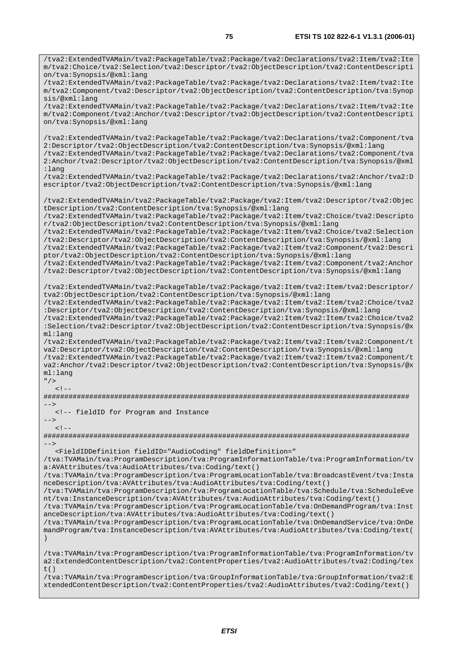/tva2:ExtendedTVAMain/tva2:PackageTable/tva2:Package/tva2:Declarations/tva2:Item/tva2:Ite

m/tva2:Choice/tva2:Selection/tva2:Descriptor/tva2:ObjectDescription/tva2:ContentDescripti on/tva:Synopsis/@xml:lang /tva2:ExtendedTVAMain/tva2:PackageTable/tva2:Package/tva2:Declarations/tva2:Item/tva2:Ite m/tva2:Component/tva2:Descriptor/tva2:ObjectDescription/tva2:ContentDescription/tva:Synop sis/@xml:lang /tva2:ExtendedTVAMain/tva2:PackageTable/tva2:Package/tva2:Declarations/tva2:Item/tva2:Ite m/tva2:Component/tva2:Anchor/tva2:Descriptor/tva2:ObjectDescription/tva2:ContentDescripti on/tva:Synopsis/@xml:lang /tva2:ExtendedTVAMain/tva2:PackageTable/tva2:Package/tva2:Declarations/tva2:Component/tva 2:Descriptor/tva2:ObjectDescription/tva2:ContentDescription/tva:Synopsis/@xml:lang /tva2:ExtendedTVAMain/tva2:PackageTable/tva2:Package/tva2:Declarations/tva2:Component/tva 2:Anchor/tva2:Descriptor/tva2:ObjectDescription/tva2:ContentDescription/tva:Synopsis/@xml :lang /tva2:ExtendedTVAMain/tva2:PackageTable/tva2:Package/tva2:Declarations/tva2:Anchor/tva2:D escriptor/tva2:ObjectDescription/tva2:ContentDescription/tva:Synopsis/@xml:lang /tva2:ExtendedTVAMain/tva2:PackageTable/tva2:Package/tva2:Item/tva2:Descriptor/tva2:Objec tDescription/tva2:ContentDescription/tva:Synopsis/@xml:lang /tva2:ExtendedTVAMain/tva2:PackageTable/tva2:Package/tva2:Item/tva2:Choice/tva2:Descripto r/tva2:ObjectDescription/tva2:ContentDescription/tva:Synopsis/@xml:lang /tva2:ExtendedTVAMain/tva2:PackageTable/tva2:Package/tva2:Item/tva2:Choice/tva2:Selection /tva2:Descriptor/tva2:ObjectDescription/tva2:ContentDescription/tva:Synopsis/@xml:lang /tva2:ExtendedTVAMain/tva2:PackageTable/tva2:Package/tva2:Item/tva2:Component/tva2:Descri ptor/tva2:ObjectDescription/tva2:ContentDescription/tva:Synopsis/@xml:lang /tva2:ExtendedTVAMain/tva2:PackageTable/tva2:Package/tva2:Item/tva2:Component/tva2:Anchor /tva2:Descriptor/tva2:ObjectDescription/tva2:ContentDescription/tva:Synopsis/@xml:lang /tva2:ExtendedTVAMain/tva2:PackageTable/tva2:Package/tva2:Item/tva2:Item/tva2:Descriptor/ tva2:ObjectDescription/tva2:ContentDescription/tva:Synopsis/@xml:lang /tva2:ExtendedTVAMain/tva2:PackageTable/tva2:Package/tva2:Item/tva2:Item/tva2:Choice/tva2 :Descriptor/tva2:ObjectDescription/tva2:ContentDescription/tva:Synopsis/@xml:lang /tva2:ExtendedTVAMain/tva2:PackageTable/tva2:Package/tva2:Item/tva2:Item/tva2:Choice/tva2 :Selection/tva2:Descriptor/tva2:ObjectDescription/tva2:ContentDescription/tva:Synopsis/@x ml:lang /tva2:ExtendedTVAMain/tva2:PackageTable/tva2:Package/tva2:Item/tva2:Item/tva2:Component/t va2:Descriptor/tva2:ObjectDescription/tva2:ContentDescription/tva:Synopsis/@xml:lang /tva2:ExtendedTVAMain/tva2:PackageTable/tva2:Package/tva2:Item/tva2:Item/tva2:Component/t va2:Anchor/tva2:Descriptor/tva2:ObjectDescription/tva2:ContentDescription/tva:Synopsis/@x ml:lang  $"$  />  $\lt$  ! -######################################################################################## --> <!-- fieldID for Program and Instance  $- <$ !  $-$ ######################################################################################## --> <FieldIDDefinition fieldID="AudioCoding" fieldDefinition=" /tva:TVAMain/tva:ProgramDescription/tva:ProgramInformationTable/tva:ProgramInformation/tv a:AVAttributes/tva:AudioAttributes/tva:Coding/text() /tva:TVAMain/tva:ProgramDescription/tva:ProgramLocationTable/tva:BroadcastEvent/tva:Insta nceDescription/tva:AVAttributes/tva:AudioAttributes/tva:Coding/text() /tva:TVAMain/tva:ProgramDescription/tva:ProgramLocationTable/tva:Schedule/tva:ScheduleEve nt/tva:InstanceDescription/tva:AVAttributes/tva:AudioAttributes/tva:Coding/text() /tva:TVAMain/tva:ProgramDescription/tva:ProgramLocationTable/tva:OnDemandProgram/tva:Inst anceDescription/tva:AVAttributes/tva:AudioAttributes/tva:Coding/text() /tva:TVAMain/tva:ProgramDescription/tva:ProgramLocationTable/tva:OnDemandService/tva:OnDe mandProgram/tva:InstanceDescription/tva:AVAttributes/tva:AudioAttributes/tva:Coding/text( ) /tva:TVAMain/tva:ProgramDescription/tva:ProgramInformationTable/tva:ProgramInformation/tv a2:ExtendedContentDescription/tva2:ContentProperties/tva2:AudioAttributes/tva2:Coding/tex t() /tva:TVAMain/tva:ProgramDescription/tva:GroupInformationTable/tva:GroupInformation/tva2:E xtendedContentDescription/tva2:ContentProperties/tva2:AudioAttributes/tva2:Coding/text()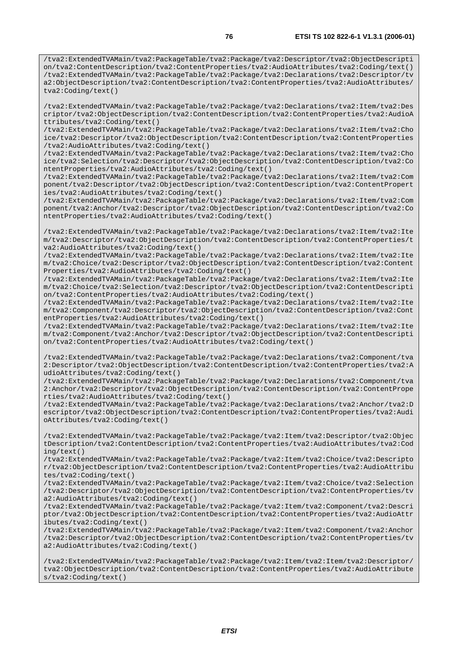/tva2:ExtendedTVAMain/tva2:PackageTable/tva2:Package/tva2:Descriptor/tva2:ObjectDescripti on/tva2:ContentDescription/tva2:ContentProperties/tva2:AudioAttributes/tva2:Coding/text() /tva2:ExtendedTVAMain/tva2:PackageTable/tva2:Package/tva2:Declarations/tva2:Descriptor/tv a2:ObjectDescription/tva2:ContentDescription/tva2:ContentProperties/tva2:AudioAttributes/ tva2:Coding/text()

/tva2:ExtendedTVAMain/tva2:PackageTable/tva2:Package/tva2:Declarations/tva2:Item/tva2:Des criptor/tva2:ObjectDescription/tva2:ContentDescription/tva2:ContentProperties/tva2:AudioA ttributes/tva2:Coding/text()

/tva2:ExtendedTVAMain/tva2:PackageTable/tva2:Package/tva2:Declarations/tva2:Item/tva2:Cho ice/tva2:Descriptor/tva2:ObjectDescription/tva2:ContentDescription/tva2:ContentProperties /tva2:AudioAttributes/tva2:Coding/text()

/tva2:ExtendedTVAMain/tva2:PackageTable/tva2:Package/tva2:Declarations/tva2:Item/tva2:Cho ice/tva2:Selection/tva2:Descriptor/tva2:ObjectDescription/tva2:ContentDescription/tva2:Co ntentProperties/tva2:AudioAttributes/tva2:Coding/text()

/tva2:ExtendedTVAMain/tva2:PackageTable/tva2:Package/tva2:Declarations/tva2:Item/tva2:Com ponent/tva2:Descriptor/tva2:ObjectDescription/tva2:ContentDescription/tva2:ContentPropert ies/tva2:AudioAttributes/tva2:Coding/text()

/tva2:ExtendedTVAMain/tva2:PackageTable/tva2:Package/tva2:Declarations/tva2:Item/tva2:Com ponent/tva2:Anchor/tva2:Descriptor/tva2:ObjectDescription/tva2:ContentDescription/tva2:Co ntentProperties/tva2:AudioAttributes/tva2:Coding/text()

/tva2:ExtendedTVAMain/tva2:PackageTable/tva2:Package/tva2:Declarations/tva2:Item/tva2:Ite m/tva2:Descriptor/tva2:ObjectDescription/tva2:ContentDescription/tva2:ContentProperties/t va2:AudioAttributes/tva2:Coding/text()

/tva2:ExtendedTVAMain/tva2:PackageTable/tva2:Package/tva2:Declarations/tva2:Item/tva2:Ite m/tva2:Choice/tva2:Descriptor/tva2:ObjectDescription/tva2:ContentDescription/tva2:Content Properties/tva2:AudioAttributes/tva2:Coding/text()

/tva2:ExtendedTVAMain/tva2:PackageTable/tva2:Package/tva2:Declarations/tva2:Item/tva2:Ite m/tva2:Choice/tva2:Selection/tva2:Descriptor/tva2:ObjectDescription/tva2:ContentDescripti on/tva2:ContentProperties/tva2:AudioAttributes/tva2:Coding/text()

/tva2:ExtendedTVAMain/tva2:PackageTable/tva2:Package/tva2:Declarations/tva2:Item/tva2:Ite m/tva2:Component/tva2:Descriptor/tva2:ObjectDescription/tva2:ContentDescription/tva2:Cont entProperties/tva2:AudioAttributes/tva2:Coding/text()

/tva2:ExtendedTVAMain/tva2:PackageTable/tva2:Package/tva2:Declarations/tva2:Item/tva2:Ite m/tva2:Component/tva2:Anchor/tva2:Descriptor/tva2:ObjectDescription/tva2:ContentDescripti on/tva2:ContentProperties/tva2:AudioAttributes/tva2:Coding/text()

/tva2:ExtendedTVAMain/tva2:PackageTable/tva2:Package/tva2:Declarations/tva2:Component/tva 2:Descriptor/tva2:ObjectDescription/tva2:ContentDescription/tva2:ContentProperties/tva2:A udioAttributes/tva2:Coding/text()

/tva2:ExtendedTVAMain/tva2:PackageTable/tva2:Package/tva2:Declarations/tva2:Component/tva 2:Anchor/tva2:Descriptor/tva2:ObjectDescription/tva2:ContentDescription/tva2:ContentPrope rties/tva2:AudioAttributes/tva2:Coding/text()

/tva2:ExtendedTVAMain/tva2:PackageTable/tva2:Package/tva2:Declarations/tva2:Anchor/tva2:D escriptor/tva2:ObjectDescription/tva2:ContentDescription/tva2:ContentProperties/tva2:Audi oAttributes/tva2:Coding/text()

/tva2:ExtendedTVAMain/tva2:PackageTable/tva2:Package/tva2:Item/tva2:Descriptor/tva2:Objec tDescription/tva2:ContentDescription/tva2:ContentProperties/tva2:AudioAttributes/tva2:Cod ing/text()

/tva2:ExtendedTVAMain/tva2:PackageTable/tva2:Package/tva2:Item/tva2:Choice/tva2:Descripto r/tva2:ObjectDescription/tva2:ContentDescription/tva2:ContentProperties/tva2:AudioAttribu tes/tva2:Coding/text()

/tva2:ExtendedTVAMain/tva2:PackageTable/tva2:Package/tva2:Item/tva2:Choice/tva2:Selection /tva2:Descriptor/tva2:ObjectDescription/tva2:ContentDescription/tva2:ContentProperties/tv a2:AudioAttributes/tva2:Coding/text()

/tva2:ExtendedTVAMain/tva2:PackageTable/tva2:Package/tva2:Item/tva2:Component/tva2:Descri ptor/tva2:ObjectDescription/tva2:ContentDescription/tva2:ContentProperties/tva2:AudioAttr ibutes/tva2:Coding/text()

/tva2:ExtendedTVAMain/tva2:PackageTable/tva2:Package/tva2:Item/tva2:Component/tva2:Anchor /tva2:Descriptor/tva2:ObjectDescription/tva2:ContentDescription/tva2:ContentProperties/tv a2:AudioAttributes/tva2:Coding/text()

/tva2:ExtendedTVAMain/tva2:PackageTable/tva2:Package/tva2:Item/tva2:Item/tva2:Descriptor/ tva2:ObjectDescription/tva2:ContentDescription/tva2:ContentProperties/tva2:AudioAttribute s/tva2:Coding/text()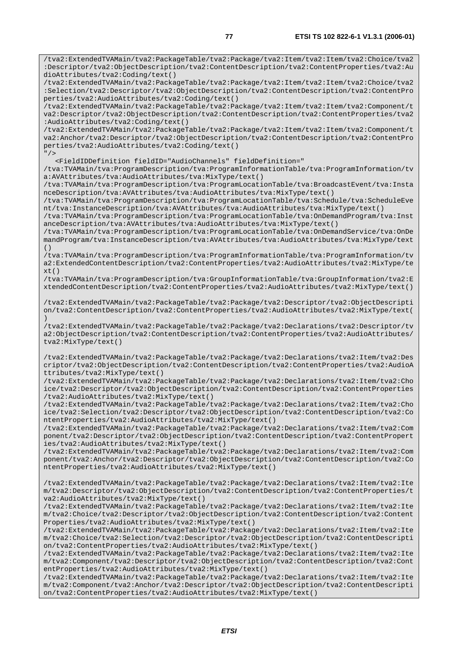/tva2:ExtendedTVAMain/tva2:PackageTable/tva2:Package/tva2:Item/tva2:Item/tva2:Choice/tva2 :Descriptor/tva2:ObjectDescription/tva2:ContentDescription/tva2:ContentProperties/tva2:Au

dioAttributes/tva2:Coding/text() /tva2:ExtendedTVAMain/tva2:PackageTable/tva2:Package/tva2:Item/tva2:Item/tva2:Choice/tva2 :Selection/tva2:Descriptor/tva2:ObjectDescription/tva2:ContentDescription/tva2:ContentPro perties/tva2:AudioAttributes/tva2:Coding/text() /tva2:ExtendedTVAMain/tva2:PackageTable/tva2:Package/tva2:Item/tva2:Item/tva2:Component/t va2:Descriptor/tva2:ObjectDescription/tva2:ContentDescription/tva2:ContentProperties/tva2 :AudioAttributes/tva2:Coding/text() /tva2:ExtendedTVAMain/tva2:PackageTable/tva2:Package/tva2:Item/tva2:Item/tva2:Component/t va2:Anchor/tva2:Descriptor/tva2:ObjectDescription/tva2:ContentDescription/tva2:ContentPro perties/tva2:AudioAttributes/tva2:Coding/text()  $"$  /> <FieldIDDefinition fieldID="AudioChannels" fieldDefinition=" /tva:TVAMain/tva:ProgramDescription/tva:ProgramInformationTable/tva:ProgramInformation/tv a:AVAttributes/tva:AudioAttributes/tva:MixType/text() /tva:TVAMain/tva:ProgramDescription/tva:ProgramLocationTable/tva:BroadcastEvent/tva:Insta nceDescription/tva:AVAttributes/tva:AudioAttributes/tva:MixType/text() /tva:TVAMain/tva:ProgramDescription/tva:ProgramLocationTable/tva:Schedule/tva:ScheduleEve nt/tva:InstanceDescription/tva:AVAttributes/tva:AudioAttributes/tva:MixType/text() /tva:TVAMain/tva:ProgramDescription/tva:ProgramLocationTable/tva:OnDemandProgram/tva:Inst anceDescription/tva:AVAttributes/tva:AudioAttributes/tva:MixType/text() /tva:TVAMain/tva:ProgramDescription/tva:ProgramLocationTable/tva:OnDemandService/tva:OnDe mandProgram/tva:InstanceDescription/tva:AVAttributes/tva:AudioAttributes/tva:MixType/text  $( )$ /tva:TVAMain/tva:ProgramDescription/tva:ProgramInformationTable/tva:ProgramInformation/tv a2:ExtendedContentDescription/tva2:ContentProperties/tva2:AudioAttributes/tva2:MixType/te xt() /tva:TVAMain/tva:ProgramDescription/tva:GroupInformationTable/tva:GroupInformation/tva2:E xtendedContentDescription/tva2:ContentProperties/tva2:AudioAttributes/tva2:MixType/text() /tva2:ExtendedTVAMain/tva2:PackageTable/tva2:Package/tva2:Descriptor/tva2:ObjectDescripti on/tva2:ContentDescription/tva2:ContentProperties/tva2:AudioAttributes/tva2:MixType/text( ) /tva2:ExtendedTVAMain/tva2:PackageTable/tva2:Package/tva2:Declarations/tva2:Descriptor/tv a2:ObjectDescription/tva2:ContentDescription/tva2:ContentProperties/tva2:AudioAttributes/ tva2:MixType/text() /tva2:ExtendedTVAMain/tva2:PackageTable/tva2:Package/tva2:Declarations/tva2:Item/tva2:Des criptor/tva2:ObjectDescription/tva2:ContentDescription/tva2:ContentProperties/tva2:AudioA ttributes/tva2:MixType/text() /tva2:ExtendedTVAMain/tva2:PackageTable/tva2:Package/tva2:Declarations/tva2:Item/tva2:Cho ice/tva2:Descriptor/tva2:ObjectDescription/tva2:ContentDescription/tva2:ContentProperties /tva2:AudioAttributes/tva2:MixType/text() /tva2:ExtendedTVAMain/tva2:PackageTable/tva2:Package/tva2:Declarations/tva2:Item/tva2:Cho ice/tva2:Selection/tva2:Descriptor/tva2:ObjectDescription/tva2:ContentDescription/tva2:Co ntentProperties/tva2:AudioAttributes/tva2:MixType/text() /tva2:ExtendedTVAMain/tva2:PackageTable/tva2:Package/tva2:Declarations/tva2:Item/tva2:Com ponent/tva2:Descriptor/tva2:ObjectDescription/tva2:ContentDescription/tva2:ContentPropert ies/tva2:AudioAttributes/tva2:MixType/text() /tva2:ExtendedTVAMain/tva2:PackageTable/tva2:Package/tva2:Declarations/tva2:Item/tva2:Com ponent/tva2:Anchor/tva2:Descriptor/tva2:ObjectDescription/tva2:ContentDescription/tva2:Co ntentProperties/tva2:AudioAttributes/tva2:MixType/text() /tva2:ExtendedTVAMain/tva2:PackageTable/tva2:Package/tva2:Declarations/tva2:Item/tva2:Ite m/tva2:Descriptor/tva2:ObjectDescription/tva2:ContentDescription/tva2:ContentProperties/t va2:AudioAttributes/tva2:MixType/text() /tva2:ExtendedTVAMain/tva2:PackageTable/tva2:Package/tva2:Declarations/tva2:Item/tva2:Ite m/tva2:Choice/tva2:Descriptor/tva2:ObjectDescription/tva2:ContentDescription/tva2:Content Properties/tva2:AudioAttributes/tva2:MixType/text() /tva2:ExtendedTVAMain/tva2:PackageTable/tva2:Package/tva2:Declarations/tva2:Item/tva2:Ite m/tva2:Choice/tva2:Selection/tva2:Descriptor/tva2:ObjectDescription/tva2:ContentDescripti on/tva2:ContentProperties/tva2:AudioAttributes/tva2:MixType/text() /tva2:ExtendedTVAMain/tva2:PackageTable/tva2:Package/tva2:Declarations/tva2:Item/tva2:Ite

m/tva2:Component/tva2:Descriptor/tva2:ObjectDescription/tva2:ContentDescription/tva2:Cont entProperties/tva2:AudioAttributes/tva2:MixType/text() /tva2:ExtendedTVAMain/tva2:PackageTable/tva2:Package/tva2:Declarations/tva2:Item/tva2:Ite m/tva2:Component/tva2:Anchor/tva2:Descriptor/tva2:ObjectDescription/tva2:ContentDescripti

on/tva2:ContentProperties/tva2:AudioAttributes/tva2:MixType/text()

**ETSI**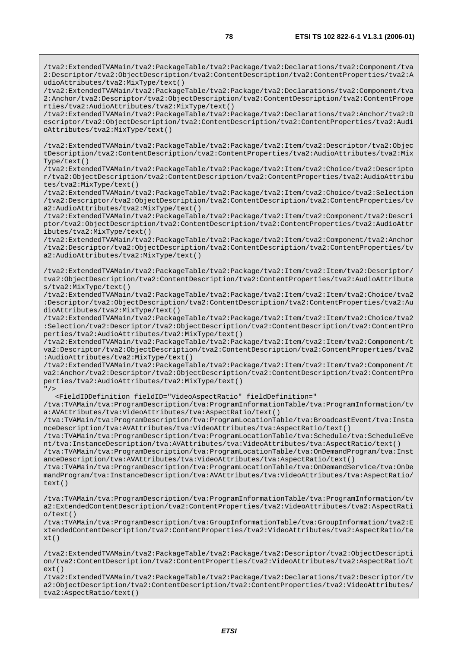/tva2:ExtendedTVAMain/tva2:PackageTable/tva2:Package/tva2:Declarations/tva2:Component/tva 2:Descriptor/tva2:ObjectDescription/tva2:ContentDescription/tva2:ContentProperties/tva2:A udioAttributes/tva2:MixType/text()

/tva2:ExtendedTVAMain/tva2:PackageTable/tva2:Package/tva2:Declarations/tva2:Component/tva 2:Anchor/tva2:Descriptor/tva2:ObjectDescription/tva2:ContentDescription/tva2:ContentPrope rties/tva2:AudioAttributes/tva2:MixType/text()

/tva2:ExtendedTVAMain/tva2:PackageTable/tva2:Package/tva2:Declarations/tva2:Anchor/tva2:D escriptor/tva2:ObjectDescription/tva2:ContentDescription/tva2:ContentProperties/tva2:Audi oAttributes/tva2:MixType/text()

/tva2:ExtendedTVAMain/tva2:PackageTable/tva2:Package/tva2:Item/tva2:Descriptor/tva2:Objec tDescription/tva2:ContentDescription/tva2:ContentProperties/tva2:AudioAttributes/tva2:Mix Type/text()

/tva2:ExtendedTVAMain/tva2:PackageTable/tva2:Package/tva2:Item/tva2:Choice/tva2:Descripto r/tva2:ObjectDescription/tva2:ContentDescription/tva2:ContentProperties/tva2:AudioAttribu tes/tva2:MixType/text()

/tva2:ExtendedTVAMain/tva2:PackageTable/tva2:Package/tva2:Item/tva2:Choice/tva2:Selection /tva2:Descriptor/tva2:ObjectDescription/tva2:ContentDescription/tva2:ContentProperties/tv a2:AudioAttributes/tva2:MixType/text()

/tva2:ExtendedTVAMain/tva2:PackageTable/tva2:Package/tva2:Item/tva2:Component/tva2:Descri ptor/tva2:ObjectDescription/tva2:ContentDescription/tva2:ContentProperties/tva2:AudioAttr ibutes/tva2:MixType/text()

/tva2:ExtendedTVAMain/tva2:PackageTable/tva2:Package/tva2:Item/tva2:Component/tva2:Anchor /tva2:Descriptor/tva2:ObjectDescription/tva2:ContentDescription/tva2:ContentProperties/tv a2:AudioAttributes/tva2:MixType/text()

/tva2:ExtendedTVAMain/tva2:PackageTable/tva2:Package/tva2:Item/tva2:Item/tva2:Descriptor/ tva2:ObjectDescription/tva2:ContentDescription/tva2:ContentProperties/tva2:AudioAttribute s/tva2:MixType/text()

/tva2:ExtendedTVAMain/tva2:PackageTable/tva2:Package/tva2:Item/tva2:Item/tva2:Choice/tva2 :Descriptor/tva2:ObjectDescription/tva2:ContentDescription/tva2:ContentProperties/tva2:Au dioAttributes/tva2:MixType/text()

/tva2:ExtendedTVAMain/tva2:PackageTable/tva2:Package/tva2:Item/tva2:Item/tva2:Choice/tva2 :Selection/tva2:Descriptor/tva2:ObjectDescription/tva2:ContentDescription/tva2:ContentPro perties/tva2:AudioAttributes/tva2:MixType/text()

/tva2:ExtendedTVAMain/tva2:PackageTable/tva2:Package/tva2:Item/tva2:Item/tva2:Component/t va2:Descriptor/tva2:ObjectDescription/tva2:ContentDescription/tva2:ContentProperties/tva2 :AudioAttributes/tva2:MixType/text()

/tva2:ExtendedTVAMain/tva2:PackageTable/tva2:Package/tva2:Item/tva2:Item/tva2:Component/t va2:Anchor/tva2:Descriptor/tva2:ObjectDescription/tva2:ContentDescription/tva2:ContentPro perties/tva2:AudioAttributes/tva2:MixType/text()

<FieldIDDefinition fieldID="VideoAspectRatio" fieldDefinition="

 $"$  /  $>$ 

/tva:TVAMain/tva:ProgramDescription/tva:ProgramInformationTable/tva:ProgramInformation/tv a:AVAttributes/tva:VideoAttributes/tva:AspectRatio/text()

/tva:TVAMain/tva:ProgramDescription/tva:ProgramLocationTable/tva:BroadcastEvent/tva:Insta nceDescription/tva:AVAttributes/tva:VideoAttributes/tva:AspectRatio/text()

/tva:TVAMain/tva:ProgramDescription/tva:ProgramLocationTable/tva:Schedule/tva:ScheduleEve nt/tva:InstanceDescription/tva:AVAttributes/tva:VideoAttributes/tva:AspectRatio/text()

/tva:TVAMain/tva:ProgramDescription/tva:ProgramLocationTable/tva:OnDemandProgram/tva:Inst anceDescription/tva:AVAttributes/tva:VideoAttributes/tva:AspectRatio/text()

/tva:TVAMain/tva:ProgramDescription/tva:ProgramLocationTable/tva:OnDemandService/tva:OnDe mandProgram/tva:InstanceDescription/tva:AVAttributes/tva:VideoAttributes/tva:AspectRatio/ text()

/tva:TVAMain/tva:ProgramDescription/tva:ProgramInformationTable/tva:ProgramInformation/tv a2:ExtendedContentDescription/tva2:ContentProperties/tva2:VideoAttributes/tva2:AspectRati o/text()

/tva:TVAMain/tva:ProgramDescription/tva:GroupInformationTable/tva:GroupInformation/tva2:E xtendedContentDescription/tva2:ContentProperties/tva2:VideoAttributes/tva2:AspectRatio/te xt()

/tva2:ExtendedTVAMain/tva2:PackageTable/tva2:Package/tva2:Descriptor/tva2:ObjectDescripti on/tva2:ContentDescription/tva2:ContentProperties/tva2:VideoAttributes/tva2:AspectRatio/t ext()

/tva2:ExtendedTVAMain/tva2:PackageTable/tva2:Package/tva2:Declarations/tva2:Descriptor/tv a2:ObjectDescription/tva2:ContentDescription/tva2:ContentProperties/tva2:VideoAttributes/ tva2:AspectRatio/text()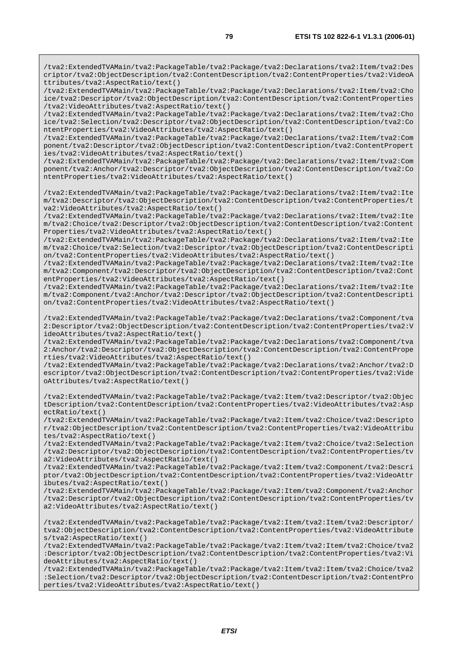/tva2:ExtendedTVAMain/tva2:PackageTable/tva2:Package/tva2:Declarations/tva2:Item/tva2:Des criptor/tva2:ObjectDescription/tva2:ContentDescription/tva2:ContentProperties/tva2:VideoA ttributes/tva2:AspectRatio/text()

/tva2:ExtendedTVAMain/tva2:PackageTable/tva2:Package/tva2:Declarations/tva2:Item/tva2:Cho ice/tva2:Descriptor/tva2:ObjectDescription/tva2:ContentDescription/tva2:ContentProperties /tva2:VideoAttributes/tva2:AspectRatio/text()

/tva2:ExtendedTVAMain/tva2:PackageTable/tva2:Package/tva2:Declarations/tva2:Item/tva2:Cho ice/tva2:Selection/tva2:Descriptor/tva2:ObjectDescription/tva2:ContentDescription/tva2:Co ntentProperties/tva2:VideoAttributes/tva2:AspectRatio/text()

/tva2:ExtendedTVAMain/tva2:PackageTable/tva2:Package/tva2:Declarations/tva2:Item/tva2:Com ponent/tva2:Descriptor/tva2:ObjectDescription/tva2:ContentDescription/tva2:ContentPropert ies/tva2:VideoAttributes/tva2:AspectRatio/text()

/tva2:ExtendedTVAMain/tva2:PackageTable/tva2:Package/tva2:Declarations/tva2:Item/tva2:Com ponent/tva2:Anchor/tva2:Descriptor/tva2:ObjectDescription/tva2:ContentDescription/tva2:Co ntentProperties/tva2:VideoAttributes/tva2:AspectRatio/text()

/tva2:ExtendedTVAMain/tva2:PackageTable/tva2:Package/tva2:Declarations/tva2:Item/tva2:Ite m/tva2:Descriptor/tva2:ObjectDescription/tva2:ContentDescription/tva2:ContentProperties/t va2:VideoAttributes/tva2:AspectRatio/text()

/tva2:ExtendedTVAMain/tva2:PackageTable/tva2:Package/tva2:Declarations/tva2:Item/tva2:Ite m/tva2:Choice/tva2:Descriptor/tva2:ObjectDescription/tva2:ContentDescription/tva2:Content Properties/tva2:VideoAttributes/tva2:AspectRatio/text()

/tva2:ExtendedTVAMain/tva2:PackageTable/tva2:Package/tva2:Declarations/tva2:Item/tva2:Ite m/tva2:Choice/tva2:Selection/tva2:Descriptor/tva2:ObjectDescription/tva2:ContentDescripti on/tva2:ContentProperties/tva2:VideoAttributes/tva2:AspectRatio/text()

/tva2:ExtendedTVAMain/tva2:PackageTable/tva2:Package/tva2:Declarations/tva2:Item/tva2:Ite m/tva2:Component/tva2:Descriptor/tva2:ObjectDescription/tva2:ContentDescription/tva2:Cont entProperties/tva2:VideoAttributes/tva2:AspectRatio/text()

/tva2:ExtendedTVAMain/tva2:PackageTable/tva2:Package/tva2:Declarations/tva2:Item/tva2:Ite m/tva2:Component/tva2:Anchor/tva2:Descriptor/tva2:ObjectDescription/tva2:ContentDescripti on/tva2:ContentProperties/tva2:VideoAttributes/tva2:AspectRatio/text()

/tva2:ExtendedTVAMain/tva2:PackageTable/tva2:Package/tva2:Declarations/tva2:Component/tva 2:Descriptor/tva2:ObjectDescription/tva2:ContentDescription/tva2:ContentProperties/tva2:V ideoAttributes/tva2:AspectRatio/text()

/tva2:ExtendedTVAMain/tva2:PackageTable/tva2:Package/tva2:Declarations/tva2:Component/tva 2:Anchor/tva2:Descriptor/tva2:ObjectDescription/tva2:ContentDescription/tva2:ContentPrope rties/tva2:VideoAttributes/tva2:AspectRatio/text()

/tva2:ExtendedTVAMain/tva2:PackageTable/tva2:Package/tva2:Declarations/tva2:Anchor/tva2:D escriptor/tva2:ObjectDescription/tva2:ContentDescription/tva2:ContentProperties/tva2:Vide oAttributes/tva2:AspectRatio/text()

/tva2:ExtendedTVAMain/tva2:PackageTable/tva2:Package/tva2:Item/tva2:Descriptor/tva2:Objec tDescription/tva2:ContentDescription/tva2:ContentProperties/tva2:VideoAttributes/tva2:Asp ectRatio/text()

/tva2:ExtendedTVAMain/tva2:PackageTable/tva2:Package/tva2:Item/tva2:Choice/tva2:Descripto r/tva2:ObjectDescription/tva2:ContentDescription/tva2:ContentProperties/tva2:VideoAttribu tes/tva2:AspectRatio/text()

/tva2:ExtendedTVAMain/tva2:PackageTable/tva2:Package/tva2:Item/tva2:Choice/tva2:Selection /tva2:Descriptor/tva2:ObjectDescription/tva2:ContentDescription/tva2:ContentProperties/tv a2:VideoAttributes/tva2:AspectRatio/text()

/tva2:ExtendedTVAMain/tva2:PackageTable/tva2:Package/tva2:Item/tva2:Component/tva2:Descri ptor/tva2:ObjectDescription/tva2:ContentDescription/tva2:ContentProperties/tva2:VideoAttr ibutes/tva2:AspectRatio/text()

/tva2:ExtendedTVAMain/tva2:PackageTable/tva2:Package/tva2:Item/tva2:Component/tva2:Anchor /tva2:Descriptor/tva2:ObjectDescription/tva2:ContentDescription/tva2:ContentProperties/tv a2:VideoAttributes/tva2:AspectRatio/text()

/tva2:ExtendedTVAMain/tva2:PackageTable/tva2:Package/tva2:Item/tva2:Item/tva2:Descriptor/ tva2:ObjectDescription/tva2:ContentDescription/tva2:ContentProperties/tva2:VideoAttribute s/tva2:AspectRatio/text()

/tva2:ExtendedTVAMain/tva2:PackageTable/tva2:Package/tva2:Item/tva2:Item/tva2:Choice/tva2 :Descriptor/tva2:ObjectDescription/tva2:ContentDescription/tva2:ContentProperties/tva2:Vi deoAttributes/tva2:AspectRatio/text()

/tva2:ExtendedTVAMain/tva2:PackageTable/tva2:Package/tva2:Item/tva2:Item/tva2:Choice/tva2 :Selection/tva2:Descriptor/tva2:ObjectDescription/tva2:ContentDescription/tva2:ContentPro perties/tva2:VideoAttributes/tva2:AspectRatio/text()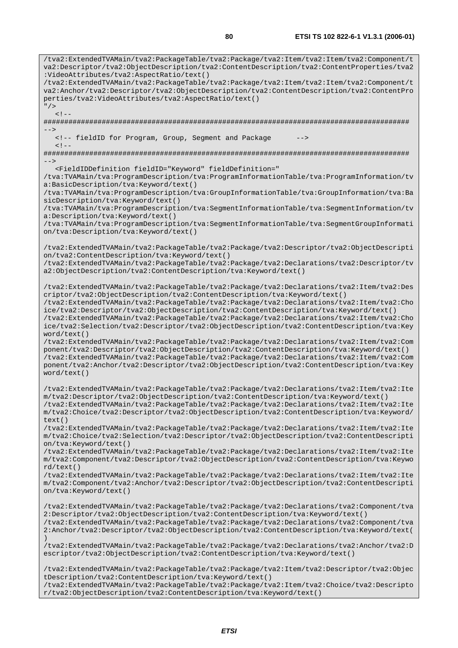/tva2:ExtendedTVAMain/tva2:PackageTable/tva2:Package/tva2:Item/tva2:Item/tva2:Component/t va2:Descriptor/tva2:ObjectDescription/tva2:ContentDescription/tva2:ContentProperties/tva2 :VideoAttributes/tva2:AspectRatio/text() /tva2:ExtendedTVAMain/tva2:PackageTable/tva2:Package/tva2:Item/tva2:Item/tva2:Component/t va2:Anchor/tva2:Descriptor/tva2:ObjectDescription/tva2:ContentDescription/tva2:ContentPro perties/tva2:VideoAttributes/tva2:AspectRatio/text()  $^{\prime\prime}$  /  $>$  $\leq$  !  $-$ ######################################################################################## --> <!-- fieldID for Program, Group, Segment and Package  $< 1 - -$ ######################################################################################## --> <FieldIDDefinition fieldID="Keyword" fieldDefinition=" /tva:TVAMain/tva:ProgramDescription/tva:ProgramInformationTable/tva:ProgramInformation/tv a:BasicDescription/tva:Keyword/text() /tva:TVAMain/tva:ProgramDescription/tva:GroupInformationTable/tva:GroupInformation/tva:Ba sicDescription/tva:Keyword/text() /tva:TVAMain/tva:ProgramDescription/tva:SegmentInformationTable/tva:SegmentInformation/tv a:Description/tva:Keyword/text() /tva:TVAMain/tva:ProgramDescription/tva:SegmentInformationTable/tva:SegmentGroupInformati on/tva:Description/tva:Keyword/text() /tva2:ExtendedTVAMain/tva2:PackageTable/tva2:Package/tva2:Descriptor/tva2:ObjectDescripti on/tva2:ContentDescription/tva:Keyword/text() /tva2:ExtendedTVAMain/tva2:PackageTable/tva2:Package/tva2:Declarations/tva2:Descriptor/tv a2:ObjectDescription/tva2:ContentDescription/tva:Keyword/text() /tva2:ExtendedTVAMain/tva2:PackageTable/tva2:Package/tva2:Declarations/tva2:Item/tva2:Des criptor/tva2:ObjectDescription/tva2:ContentDescription/tva:Keyword/text() /tva2:ExtendedTVAMain/tva2:PackageTable/tva2:Package/tva2:Declarations/tva2:Item/tva2:Cho ice/tva2:Descriptor/tva2:ObjectDescription/tva2:ContentDescription/tva:Keyword/text() /tva2:ExtendedTVAMain/tva2:PackageTable/tva2:Package/tva2:Declarations/tva2:Item/tva2:Cho ice/tva2:Selection/tva2:Descriptor/tva2:ObjectDescription/tva2:ContentDescription/tva:Key word/text() /tva2:ExtendedTVAMain/tva2:PackageTable/tva2:Package/tva2:Declarations/tva2:Item/tva2:Com ponent/tva2:Descriptor/tva2:ObjectDescription/tva2:ContentDescription/tva:Keyword/text() /tva2:ExtendedTVAMain/tva2:PackageTable/tva2:Package/tva2:Declarations/tva2:Item/tva2:Com ponent/tva2:Anchor/tva2:Descriptor/tva2:ObjectDescription/tva2:ContentDescription/tva:Key word/text() /tva2:ExtendedTVAMain/tva2:PackageTable/tva2:Package/tva2:Declarations/tva2:Item/tva2:Ite m/tva2:Descriptor/tva2:ObjectDescription/tva2:ContentDescription/tva:Keyword/text() /tva2:ExtendedTVAMain/tva2:PackageTable/tva2:Package/tva2:Declarations/tva2:Item/tva2:Ite m/tva2:Choice/tva2:Descriptor/tva2:ObjectDescription/tva2:ContentDescription/tva:Keyword/ text() /tva2:ExtendedTVAMain/tva2:PackageTable/tva2:Package/tva2:Declarations/tva2:Item/tva2:Ite m/tva2:Choice/tva2:Selection/tva2:Descriptor/tva2:ObjectDescription/tva2:ContentDescripti on/tva:Keyword/text() /tva2:ExtendedTVAMain/tva2:PackageTable/tva2:Package/tva2:Declarations/tva2:Item/tva2:Ite m/tva2:Component/tva2:Descriptor/tva2:ObjectDescription/tva2:ContentDescription/tva:Keywo rd/text() /tva2:ExtendedTVAMain/tva2:PackageTable/tva2:Package/tva2:Declarations/tva2:Item/tva2:Ite m/tva2:Component/tva2:Anchor/tva2:Descriptor/tva2:ObjectDescription/tva2:ContentDescripti on/tva:Keyword/text() /tva2:ExtendedTVAMain/tva2:PackageTable/tva2:Package/tva2:Declarations/tva2:Component/tva 2:Descriptor/tva2:ObjectDescription/tva2:ContentDescription/tva:Keyword/text() /tva2:ExtendedTVAMain/tva2:PackageTable/tva2:Package/tva2:Declarations/tva2:Component/tva 2:Anchor/tva2:Descriptor/tva2:ObjectDescription/tva2:ContentDescription/tva:Keyword/text( ) /tva2:ExtendedTVAMain/tva2:PackageTable/tva2:Package/tva2:Declarations/tva2:Anchor/tva2:D escriptor/tva2:ObjectDescription/tva2:ContentDescription/tva:Keyword/text() /tva2:ExtendedTVAMain/tva2:PackageTable/tva2:Package/tva2:Item/tva2:Descriptor/tva2:Objec tDescription/tva2:ContentDescription/tva:Keyword/text()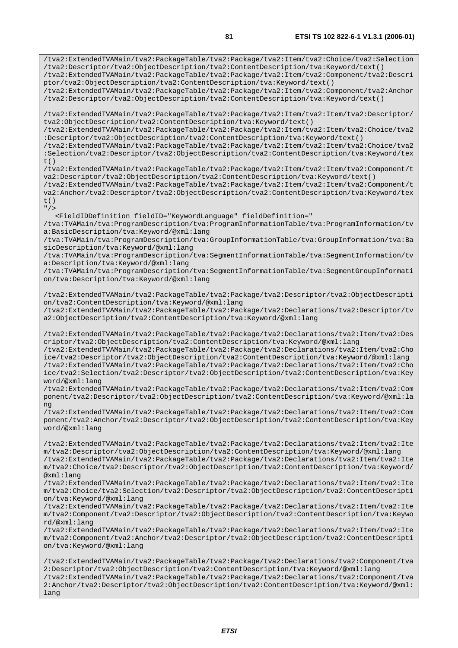/tva2:ExtendedTVAMain/tva2:PackageTable/tva2:Package/tva2:Item/tva2:Choice/tva2:Selection /tva2:Descriptor/tva2:ObjectDescription/tva2:ContentDescription/tva:Keyword/text() /tva2:ExtendedTVAMain/tva2:PackageTable/tva2:Package/tva2:Item/tva2:Component/tva2:Descri ptor/tva2:ObjectDescription/tva2:ContentDescription/tva:Keyword/text() /tva2:ExtendedTVAMain/tva2:PackageTable/tva2:Package/tva2:Item/tva2:Component/tva2:Anchor /tva2:Descriptor/tva2:ObjectDescription/tva2:ContentDescription/tva:Keyword/text() /tva2:ExtendedTVAMain/tva2:PackageTable/tva2:Package/tva2:Item/tva2:Item/tva2:Descriptor/ tva2:ObjectDescription/tva2:ContentDescription/tva:Keyword/text() /tva2:ExtendedTVAMain/tva2:PackageTable/tva2:Package/tva2:Item/tva2:Item/tva2:Choice/tva2 :Descriptor/tva2:ObjectDescription/tva2:ContentDescription/tva:Keyword/text() /tva2:ExtendedTVAMain/tva2:PackageTable/tva2:Package/tva2:Item/tva2:Item/tva2:Choice/tva2 :Selection/tva2:Descriptor/tva2:ObjectDescription/tva2:ContentDescription/tva:Keyword/tex t() /tva2:ExtendedTVAMain/tva2:PackageTable/tva2:Package/tva2:Item/tva2:Item/tva2:Component/t va2:Descriptor/tva2:ObjectDescription/tva2:ContentDescription/tva:Keyword/text() /tva2:ExtendedTVAMain/tva2:PackageTable/tva2:Package/tva2:Item/tva2:Item/tva2:Component/t va2:Anchor/tva2:Descriptor/tva2:ObjectDescription/tva2:ContentDescription/tva:Keyword/tex  $t($ )  $"$ /> <FieldIDDefinition fieldID="KeywordLanguage" fieldDefinition=" /tva:TVAMain/tva:ProgramDescription/tva:ProgramInformationTable/tva:ProgramInformation/tv a:BasicDescription/tva:Keyword/@xml:lang /tva:TVAMain/tva:ProgramDescription/tva:GroupInformationTable/tva:GroupInformation/tva:Ba sicDescription/tva:Keyword/@xml:lang /tva:TVAMain/tva:ProgramDescription/tva:SegmentInformationTable/tva:SegmentInformation/tv a:Description/tva:Keyword/@xml:lang /tva:TVAMain/tva:ProgramDescription/tva:SegmentInformationTable/tva:SegmentGroupInformati on/tva:Description/tva:Keyword/@xml:lang /tva2:ExtendedTVAMain/tva2:PackageTable/tva2:Package/tva2:Descriptor/tva2:ObjectDescripti on/tva2:ContentDescription/tva:Keyword/@xml:lang /tva2:ExtendedTVAMain/tva2:PackageTable/tva2:Package/tva2:Declarations/tva2:Descriptor/tv a2:ObjectDescription/tva2:ContentDescription/tva:Keyword/@xml:lang /tva2:ExtendedTVAMain/tva2:PackageTable/tva2:Package/tva2:Declarations/tva2:Item/tva2:Des criptor/tva2:ObjectDescription/tva2:ContentDescription/tva:Keyword/@xml:lang /tva2:ExtendedTVAMain/tva2:PackageTable/tva2:Package/tva2:Declarations/tva2:Item/tva2:Cho ice/tva2:Descriptor/tva2:ObjectDescription/tva2:ContentDescription/tva:Keyword/@xml:lang /tva2:ExtendedTVAMain/tva2:PackageTable/tva2:Package/tva2:Declarations/tva2:Item/tva2:Cho ice/tva2:Selection/tva2:Descriptor/tva2:ObjectDescription/tva2:ContentDescription/tva:Key word/@xml:lang /tva2:ExtendedTVAMain/tva2:PackageTable/tva2:Package/tva2:Declarations/tva2:Item/tva2:Com ponent/tva2:Descriptor/tva2:ObjectDescription/tva2:ContentDescription/tva:Keyword/@xml:la ng /tva2:ExtendedTVAMain/tva2:PackageTable/tva2:Package/tva2:Declarations/tva2:Item/tva2:Com ponent/tva2:Anchor/tva2:Descriptor/tva2:ObjectDescription/tva2:ContentDescription/tva:Key word/@xml:lang /tva2:ExtendedTVAMain/tva2:PackageTable/tva2:Package/tva2:Declarations/tva2:Item/tva2:Ite m/tva2:Descriptor/tva2:ObjectDescription/tva2:ContentDescription/tva:Keyword/@xml:lang /tva2:ExtendedTVAMain/tva2:PackageTable/tva2:Package/tva2:Declarations/tva2:Item/tva2:Ite m/tva2:Choice/tva2:Descriptor/tva2:ObjectDescription/tva2:ContentDescription/tva:Keyword/ @xml:lang /tva2:ExtendedTVAMain/tva2:PackageTable/tva2:Package/tva2:Declarations/tva2:Item/tva2:Ite m/tva2:Choice/tva2:Selection/tva2:Descriptor/tva2:ObjectDescription/tva2:ContentDescripti on/tva:Keyword/@xml:lang /tva2:ExtendedTVAMain/tva2:PackageTable/tva2:Package/tva2:Declarations/tva2:Item/tva2:Ite m/tva2:Component/tva2:Descriptor/tva2:ObjectDescription/tva2:ContentDescription/tva:Keywo rd/@xml:lang /tva2:ExtendedTVAMain/tva2:PackageTable/tva2:Package/tva2:Declarations/tva2:Item/tva2:Ite m/tva2:Component/tva2:Anchor/tva2:Descriptor/tva2:ObjectDescription/tva2:ContentDescripti on/tva:Keyword/@xml:lang /tva2:ExtendedTVAMain/tva2:PackageTable/tva2:Package/tva2:Declarations/tva2:Component/tva 2:Descriptor/tva2:ObjectDescription/tva2:ContentDescription/tva:Keyword/@xml:lang

/tva2:ExtendedTVAMain/tva2:PackageTable/tva2:Package/tva2:Declarations/tva2:Component/tva 2:Anchor/tva2:Descriptor/tva2:ObjectDescription/tva2:ContentDescription/tva:Keyword/@xml: lang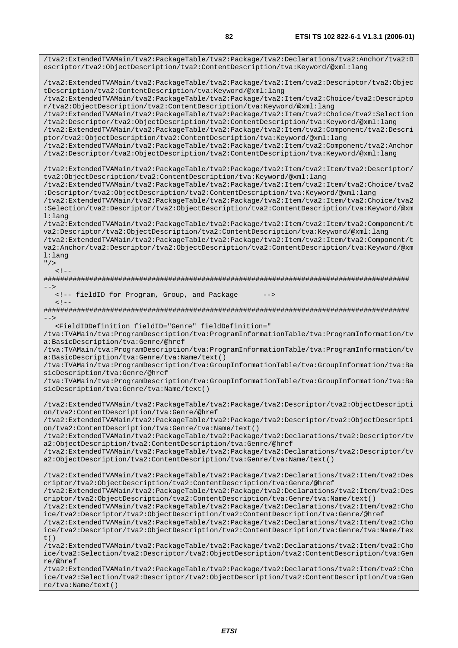/tva2:ExtendedTVAMain/tva2:PackageTable/tva2:Package/tva2:Declarations/tva2:Anchor/tva2:D escriptor/tva2:ObjectDescription/tva2:ContentDescription/tva:Keyword/@xml:lang /tva2:ExtendedTVAMain/tva2:PackageTable/tva2:Package/tva2:Item/tva2:Descriptor/tva2:Objec tDescription/tva2:ContentDescription/tva:Keyword/@xml:lang /tva2:ExtendedTVAMain/tva2:PackageTable/tva2:Package/tva2:Item/tva2:Choice/tva2:Descripto r/tva2:ObjectDescription/tva2:ContentDescription/tva:Keyword/@xml:lang /tva2:ExtendedTVAMain/tva2:PackageTable/tva2:Package/tva2:Item/tva2:Choice/tva2:Selection /tva2:Descriptor/tva2:ObjectDescription/tva2:ContentDescription/tva:Keyword/@xml:lang /tva2:ExtendedTVAMain/tva2:PackageTable/tva2:Package/tva2:Item/tva2:Component/tva2:Descri ptor/tva2:ObjectDescription/tva2:ContentDescription/tva:Keyword/@xml:lang /tva2:ExtendedTVAMain/tva2:PackageTable/tva2:Package/tva2:Item/tva2:Component/tva2:Anchor /tva2:Descriptor/tva2:ObjectDescription/tva2:ContentDescription/tva:Keyword/@xml:lang /tva2:ExtendedTVAMain/tva2:PackageTable/tva2:Package/tva2:Item/tva2:Item/tva2:Descriptor/ tva2:ObjectDescription/tva2:ContentDescription/tva:Keyword/@xml:lang /tva2:ExtendedTVAMain/tva2:PackageTable/tva2:Package/tva2:Item/tva2:Item/tva2:Choice/tva2 :Descriptor/tva2:ObjectDescription/tva2:ContentDescription/tva:Keyword/@xml:lang /tva2:ExtendedTVAMain/tva2:PackageTable/tva2:Package/tva2:Item/tva2:Item/tva2:Choice/tva2 :Selection/tva2:Descriptor/tva2:ObjectDescription/tva2:ContentDescription/tva:Keyword/@xm l:lang /tva2:ExtendedTVAMain/tva2:PackageTable/tva2:Package/tva2:Item/tva2:Item/tva2:Component/t va2:Descriptor/tva2:ObjectDescription/tva2:ContentDescription/tva:Keyword/@xml:lang /tva2:ExtendedTVAMain/tva2:PackageTable/tva2:Package/tva2:Item/tva2:Item/tva2:Component/t va2:Anchor/tva2:Descriptor/tva2:ObjectDescription/tva2:ContentDescription/tva:Keyword/@xm l:lang  $"$  / >  $\lt$   $\vdash$   $\vdash$ ######################################################################################## --> <!-- fieldID for Program, Group, and Package -->  $\lt$   $\vdash$   $\vdash$ ######################################################################################## --> <FieldIDDefinition fieldID="Genre" fieldDefinition=" /tva:TVAMain/tva:ProgramDescription/tva:ProgramInformationTable/tva:ProgramInformation/tv a:BasicDescription/tva:Genre/@href /tva:TVAMain/tva:ProgramDescription/tva:ProgramInformationTable/tva:ProgramInformation/tv a:BasicDescription/tva:Genre/tva:Name/text() /tva:TVAMain/tva:ProgramDescription/tva:GroupInformationTable/tva:GroupInformation/tva:Ba sicDescription/tva:Genre/@href /tva:TVAMain/tva:ProgramDescription/tva:GroupInformationTable/tva:GroupInformation/tva:Ba sicDescription/tva:Genre/tva:Name/text() /tva2:ExtendedTVAMain/tva2:PackageTable/tva2:Package/tva2:Descriptor/tva2:ObjectDescripti on/tva2:ContentDescription/tva:Genre/@href /tva2:ExtendedTVAMain/tva2:PackageTable/tva2:Package/tva2:Descriptor/tva2:ObjectDescripti on/tva2:ContentDescription/tva:Genre/tva:Name/text() /tva2:ExtendedTVAMain/tva2:PackageTable/tva2:Package/tva2:Declarations/tva2:Descriptor/tv a2:ObjectDescription/tva2:ContentDescription/tva:Genre/@href /tva2:ExtendedTVAMain/tva2:PackageTable/tva2:Package/tva2:Declarations/tva2:Descriptor/tv a2:ObjectDescription/tva2:ContentDescription/tva:Genre/tva:Name/text() /tva2:ExtendedTVAMain/tva2:PackageTable/tva2:Package/tva2:Declarations/tva2:Item/tva2:Des criptor/tva2:ObjectDescription/tva2:ContentDescription/tva:Genre/@href /tva2:ExtendedTVAMain/tva2:PackageTable/tva2:Package/tva2:Declarations/tva2:Item/tva2:Des criptor/tva2:ObjectDescription/tva2:ContentDescription/tva:Genre/tva:Name/text() /tva2:ExtendedTVAMain/tva2:PackageTable/tva2:Package/tva2:Declarations/tva2:Item/tva2:Cho ice/tva2:Descriptor/tva2:ObjectDescription/tva2:ContentDescription/tva:Genre/@href /tva2:ExtendedTVAMain/tva2:PackageTable/tva2:Package/tva2:Declarations/tva2:Item/tva2:Cho ice/tva2:Descriptor/tva2:ObjectDescription/tva2:ContentDescription/tva:Genre/tva:Name/tex  $t($ ) /tva2:ExtendedTVAMain/tva2:PackageTable/tva2:Package/tva2:Declarations/tva2:Item/tva2:Cho ice/tva2:Selection/tva2:Descriptor/tva2:ObjectDescription/tva2:ContentDescription/tva:Gen re/@href /tva2:ExtendedTVAMain/tva2:PackageTable/tva2:Package/tva2:Declarations/tva2:Item/tva2:Cho ice/tva2:Selection/tva2:Descriptor/tva2:ObjectDescription/tva2:ContentDescription/tva:Gen re/tva:Name/text()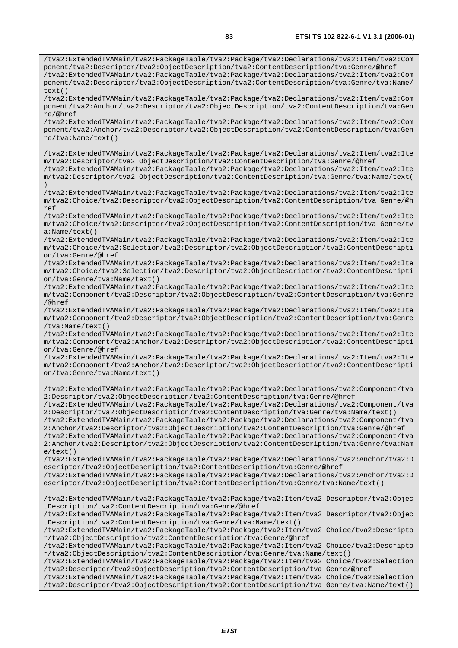/tva2:ExtendedTVAMain/tva2:PackageTable/tva2:Package/tva2:Declarations/tva2:Item/tva2:Com

ponent/tva2:Descriptor/tva2:ObjectDescription/tva2:ContentDescription/tva:Genre/@href /tva2:ExtendedTVAMain/tva2:PackageTable/tva2:Package/tva2:Declarations/tva2:Item/tva2:Com ponent/tva2:Descriptor/tva2:ObjectDescription/tva2:ContentDescription/tva:Genre/tva:Name/  $text()$ /tva2:ExtendedTVAMain/tva2:PackageTable/tva2:Package/tva2:Declarations/tva2:Item/tva2:Com ponent/tva2:Anchor/tva2:Descriptor/tva2:ObjectDescription/tva2:ContentDescription/tva:Gen re/@href /tva2:ExtendedTVAMain/tva2:PackageTable/tva2:Package/tva2:Declarations/tva2:Item/tva2:Com ponent/tva2:Anchor/tva2:Descriptor/tva2:ObjectDescription/tva2:ContentDescription/tva:Gen re/tva:Name/text() /tva2:ExtendedTVAMain/tva2:PackageTable/tva2:Package/tva2:Declarations/tva2:Item/tva2:Ite m/tva2:Descriptor/tva2:ObjectDescription/tva2:ContentDescription/tva:Genre/@href /tva2:ExtendedTVAMain/tva2:PackageTable/tva2:Package/tva2:Declarations/tva2:Item/tva2:Ite m/tva2:Descriptor/tva2:ObjectDescription/tva2:ContentDescription/tva:Genre/tva:Name/text( ) /tva2:ExtendedTVAMain/tva2:PackageTable/tva2:Package/tva2:Declarations/tva2:Item/tva2:Ite m/tva2:Choice/tva2:Descriptor/tva2:ObjectDescription/tva2:ContentDescription/tva:Genre/@h ref /tva2:ExtendedTVAMain/tva2:PackageTable/tva2:Package/tva2:Declarations/tva2:Item/tva2:Ite m/tva2:Choice/tva2:Descriptor/tva2:ObjectDescription/tva2:ContentDescription/tva:Genre/tv a:Name/text() /tva2:ExtendedTVAMain/tva2:PackageTable/tva2:Package/tva2:Declarations/tva2:Item/tva2:Ite m/tva2:Choice/tva2:Selection/tva2:Descriptor/tva2:ObjectDescription/tva2:ContentDescripti on/tva:Genre/@href /tva2:ExtendedTVAMain/tva2:PackageTable/tva2:Package/tva2:Declarations/tva2:Item/tva2:Ite m/tva2:Choice/tva2:Selection/tva2:Descriptor/tva2:ObjectDescription/tva2:ContentDescripti on/tva:Genre/tva:Name/text() /tva2:ExtendedTVAMain/tva2:PackageTable/tva2:Package/tva2:Declarations/tva2:Item/tva2:Ite m/tva2:Component/tva2:Descriptor/tva2:ObjectDescription/tva2:ContentDescription/tva:Genre /@href /tva2:ExtendedTVAMain/tva2:PackageTable/tva2:Package/tva2:Declarations/tva2:Item/tva2:Ite m/tva2:Component/tva2:Descriptor/tva2:ObjectDescription/tva2:ContentDescription/tva:Genre /tva:Name/text() /tva2:ExtendedTVAMain/tva2:PackageTable/tva2:Package/tva2:Declarations/tva2:Item/tva2:Ite m/tva2:Component/tva2:Anchor/tva2:Descriptor/tva2:ObjectDescription/tva2:ContentDescripti on/tva:Genre/@href /tva2:ExtendedTVAMain/tva2:PackageTable/tva2:Package/tva2:Declarations/tva2:Item/tva2:Ite m/tva2:Component/tva2:Anchor/tva2:Descriptor/tva2:ObjectDescription/tva2:ContentDescripti on/tva:Genre/tva:Name/text() /tva2:ExtendedTVAMain/tva2:PackageTable/tva2:Package/tva2:Declarations/tva2:Component/tva 2:Descriptor/tva2:ObjectDescription/tva2:ContentDescription/tva:Genre/@href /tva2:ExtendedTVAMain/tva2:PackageTable/tva2:Package/tva2:Declarations/tva2:Component/tva 2:Descriptor/tva2:ObjectDescription/tva2:ContentDescription/tva:Genre/tva:Name/text() /tva2:ExtendedTVAMain/tva2:PackageTable/tva2:Package/tva2:Declarations/tva2:Component/tva 2:Anchor/tva2:Descriptor/tva2:ObjectDescription/tva2:ContentDescription/tva:Genre/@href /tva2:ExtendedTVAMain/tva2:PackageTable/tva2:Package/tva2:Declarations/tva2:Component/tva 2:Anchor/tva2:Descriptor/tva2:ObjectDescription/tva2:ContentDescription/tva:Genre/tva:Nam e/text() /tva2:ExtendedTVAMain/tva2:PackageTable/tva2:Package/tva2:Declarations/tva2:Anchor/tva2:D escriptor/tva2:ObjectDescription/tva2:ContentDescription/tva:Genre/@href /tva2:ExtendedTVAMain/tva2:PackageTable/tva2:Package/tva2:Declarations/tva2:Anchor/tva2:D escriptor/tva2:ObjectDescription/tva2:ContentDescription/tva:Genre/tva:Name/text() /tva2:ExtendedTVAMain/tva2:PackageTable/tva2:Package/tva2:Item/tva2:Descriptor/tva2:Objec tDescription/tva2:ContentDescription/tva:Genre/@href /tva2:ExtendedTVAMain/tva2:PackageTable/tva2:Package/tva2:Item/tva2:Descriptor/tva2:Objec tDescription/tva2:ContentDescription/tva:Genre/tva:Name/text() /tva2:ExtendedTVAMain/tva2:PackageTable/tva2:Package/tva2:Item/tva2:Choice/tva2:Descripto r/tva2:ObjectDescription/tva2:ContentDescription/tva:Genre/@href /tva2:ExtendedTVAMain/tva2:PackageTable/tva2:Package/tva2:Item/tva2:Choice/tva2:Descripto r/tva2:ObjectDescription/tva2:ContentDescription/tva:Genre/tva:Name/text() /tva2:ExtendedTVAMain/tva2:PackageTable/tva2:Package/tva2:Item/tva2:Choice/tva2:Selection /tva2:Descriptor/tva2:ObjectDescription/tva2:ContentDescription/tva:Genre/@href /tva2:ExtendedTVAMain/tva2:PackageTable/tva2:Package/tva2:Item/tva2:Choice/tva2:Selection /tva2:Descriptor/tva2:ObjectDescription/tva2:ContentDescription/tva:Genre/tva:Name/text()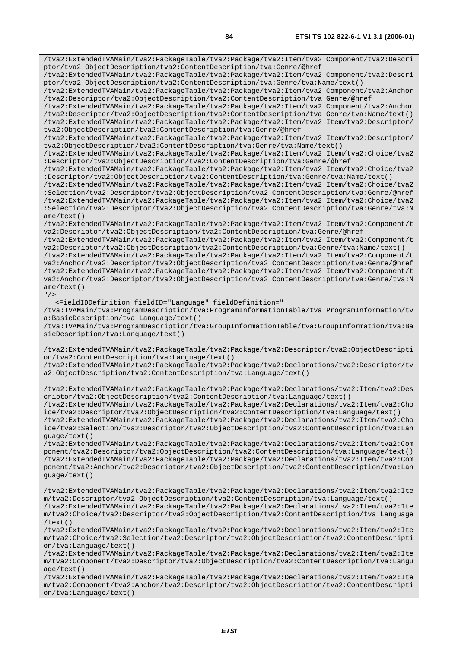/tva2:ExtendedTVAMain/tva2:PackageTable/tva2:Package/tva2:Item/tva2:Component/tva2:Descri ptor/tva2:ObjectDescription/tva2:ContentDescription/tva:Genre/@href /tva2:ExtendedTVAMain/tva2:PackageTable/tva2:Package/tva2:Item/tva2:Component/tva2:Descri ptor/tva2:ObjectDescription/tva2:ContentDescription/tva:Genre/tva:Name/text() /tva2:ExtendedTVAMain/tva2:PackageTable/tva2:Package/tva2:Item/tva2:Component/tva2:Anchor /tva2:Descriptor/tva2:ObjectDescription/tva2:ContentDescription/tva:Genre/@href /tva2:ExtendedTVAMain/tva2:PackageTable/tva2:Package/tva2:Item/tva2:Component/tva2:Anchor /tva2:Descriptor/tva2:ObjectDescription/tva2:ContentDescription/tva:Genre/tva:Name/text() /tva2:ExtendedTVAMain/tva2:PackageTable/tva2:Package/tva2:Item/tva2:Item/tva2:Descriptor/ tva2:ObjectDescription/tva2:ContentDescription/tva:Genre/@href /tva2:ExtendedTVAMain/tva2:PackageTable/tva2:Package/tva2:Item/tva2:Item/tva2:Descriptor/ tva2:ObjectDescription/tva2:ContentDescription/tva:Genre/tva:Name/text() /tva2:ExtendedTVAMain/tva2:PackageTable/tva2:Package/tva2:Item/tva2:Item/tva2:Choice/tva2 :Descriptor/tva2:ObjectDescription/tva2:ContentDescription/tva:Genre/@href /tva2:ExtendedTVAMain/tva2:PackageTable/tva2:Package/tva2:Item/tva2:Item/tva2:Choice/tva2 :Descriptor/tva2:ObjectDescription/tva2:ContentDescription/tva:Genre/tva:Name/text() /tva2:ExtendedTVAMain/tva2:PackageTable/tva2:Package/tva2:Item/tva2:Item/tva2:Choice/tva2 :Selection/tva2:Descriptor/tva2:ObjectDescription/tva2:ContentDescription/tva:Genre/@href /tva2:ExtendedTVAMain/tva2:PackageTable/tva2:Package/tva2:Item/tva2:Item/tva2:Choice/tva2 :Selection/tva2:Descriptor/tva2:ObjectDescription/tva2:ContentDescription/tva:Genre/tva:N ame/text() /tva2:ExtendedTVAMain/tva2:PackageTable/tva2:Package/tva2:Item/tva2:Item/tva2:Component/t va2:Descriptor/tva2:ObjectDescription/tva2:ContentDescription/tva:Genre/@href /tva2:ExtendedTVAMain/tva2:PackageTable/tva2:Package/tva2:Item/tva2:Item/tva2:Component/t va2:Descriptor/tva2:ObjectDescription/tva2:ContentDescription/tva:Genre/tva:Name/text() /tva2:ExtendedTVAMain/tva2:PackageTable/tva2:Package/tva2:Item/tva2:Item/tva2:Component/t va2:Anchor/tva2:Descriptor/tva2:ObjectDescription/tva2:ContentDescription/tva:Genre/@href /tva2:ExtendedTVAMain/tva2:PackageTable/tva2:Package/tva2:Item/tva2:Item/tva2:Component/t va2:Anchor/tva2:Descriptor/tva2:ObjectDescription/tva2:ContentDescription/tva:Genre/tva:N ame/text()  $"$  /> <FieldIDDefinition fieldID="Language" fieldDefinition=" /tva:TVAMain/tva:ProgramDescription/tva:ProgramInformationTable/tva:ProgramInformation/tv a:BasicDescription/tva:Language/text() /tva:TVAMain/tva:ProgramDescription/tva:GroupInformationTable/tva:GroupInformation/tva:Ba sicDescription/tva:Language/text() /tva2:ExtendedTVAMain/tva2:PackageTable/tva2:Package/tva2:Descriptor/tva2:ObjectDescripti on/tva2:ContentDescription/tva:Language/text() /tva2:ExtendedTVAMain/tva2:PackageTable/tva2:Package/tva2:Declarations/tva2:Descriptor/tv a2:ObjectDescription/tva2:ContentDescription/tva:Language/text() /tva2:ExtendedTVAMain/tva2:PackageTable/tva2:Package/tva2:Declarations/tva2:Item/tva2:Des criptor/tva2:ObjectDescription/tva2:ContentDescription/tva:Language/text() /tva2:ExtendedTVAMain/tva2:PackageTable/tva2:Package/tva2:Declarations/tva2:Item/tva2:Cho ice/tva2:Descriptor/tva2:ObjectDescription/tva2:ContentDescription/tva:Language/text() /tva2:ExtendedTVAMain/tva2:PackageTable/tva2:Package/tva2:Declarations/tva2:Item/tva2:Cho ice/tva2:Selection/tva2:Descriptor/tva2:ObjectDescription/tva2:ContentDescription/tva:Lan guage/text() /tva2:ExtendedTVAMain/tva2:PackageTable/tva2:Package/tva2:Declarations/tva2:Item/tva2:Com ponent/tva2:Descriptor/tva2:ObjectDescription/tva2:ContentDescription/tva:Language/text() /tva2:ExtendedTVAMain/tva2:PackageTable/tva2:Package/tva2:Declarations/tva2:Item/tva2:Com ponent/tva2:Anchor/tva2:Descriptor/tva2:ObjectDescription/tva2:ContentDescription/tva:Lan guage/text() /tva2:ExtendedTVAMain/tva2:PackageTable/tva2:Package/tva2:Declarations/tva2:Item/tva2:Ite m/tva2:Descriptor/tva2:ObjectDescription/tva2:ContentDescription/tva:Language/text() /tva2:ExtendedTVAMain/tva2:PackageTable/tva2:Package/tva2:Declarations/tva2:Item/tva2:Ite m/tva2:Choice/tva2:Descriptor/tva2:ObjectDescription/tva2:ContentDescription/tva:Language /text() /tva2:ExtendedTVAMain/tva2:PackageTable/tva2:Package/tva2:Declarations/tva2:Item/tva2:Ite m/tva2:Choice/tva2:Selection/tva2:Descriptor/tva2:ObjectDescription/tva2:ContentDescripti on/tva:Language/text() /tva2:ExtendedTVAMain/tva2:PackageTable/tva2:Package/tva2:Declarations/tva2:Item/tva2:Ite m/tva2:Component/tva2:Descriptor/tva2:ObjectDescription/tva2:ContentDescription/tva:Langu age/text()

/tva2:ExtendedTVAMain/tva2:PackageTable/tva2:Package/tva2:Declarations/tva2:Item/tva2:Ite m/tva2:Component/tva2:Anchor/tva2:Descriptor/tva2:ObjectDescription/tva2:ContentDescripti on/tva:Language/text()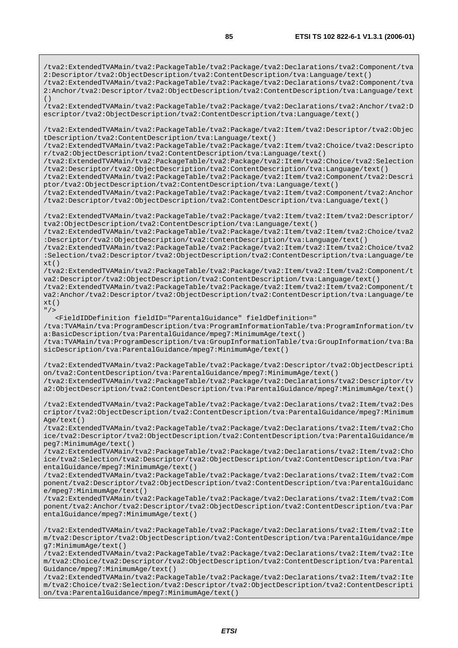/tva2:ExtendedTVAMain/tva2:PackageTable/tva2:Package/tva2:Declarations/tva2:Component/tva 2:Descriptor/tva2:ObjectDescription/tva2:ContentDescription/tva:Language/text() /tva2:ExtendedTVAMain/tva2:PackageTable/tva2:Package/tva2:Declarations/tva2:Component/tva 2:Anchor/tva2:Descriptor/tva2:ObjectDescription/tva2:ContentDescription/tva:Language/text  $( )$ /tva2:ExtendedTVAMain/tva2:PackageTable/tva2:Package/tva2:Declarations/tva2:Anchor/tva2:D escriptor/tva2:ObjectDescription/tva2:ContentDescription/tva:Language/text() /tva2:ExtendedTVAMain/tva2:PackageTable/tva2:Package/tva2:Item/tva2:Descriptor/tva2:Objec tDescription/tva2:ContentDescription/tva:Language/text() /tva2:ExtendedTVAMain/tva2:PackageTable/tva2:Package/tva2:Item/tva2:Choice/tva2:Descripto r/tva2:ObjectDescription/tva2:ContentDescription/tva:Language/text() /tva2:ExtendedTVAMain/tva2:PackageTable/tva2:Package/tva2:Item/tva2:Choice/tva2:Selection /tva2:Descriptor/tva2:ObjectDescription/tva2:ContentDescription/tva:Language/text() /tva2:ExtendedTVAMain/tva2:PackageTable/tva2:Package/tva2:Item/tva2:Component/tva2:Descri ptor/tva2:ObjectDescription/tva2:ContentDescription/tva:Language/text() /tva2:ExtendedTVAMain/tva2:PackageTable/tva2:Package/tva2:Item/tva2:Component/tva2:Anchor /tva2:Descriptor/tva2:ObjectDescription/tva2:ContentDescription/tva:Language/text() /tva2:ExtendedTVAMain/tva2:PackageTable/tva2:Package/tva2:Item/tva2:Item/tva2:Descriptor/ tva2:ObjectDescription/tva2:ContentDescription/tva:Language/text() /tva2:ExtendedTVAMain/tva2:PackageTable/tva2:Package/tva2:Item/tva2:Item/tva2:Choice/tva2 :Descriptor/tva2:ObjectDescription/tva2:ContentDescription/tva:Language/text() /tva2:ExtendedTVAMain/tva2:PackageTable/tva2:Package/tva2:Item/tva2:Item/tva2:Choice/tva2 :Selection/tva2:Descriptor/tva2:ObjectDescription/tva2:ContentDescription/tva:Language/te xt() /tva2:ExtendedTVAMain/tva2:PackageTable/tva2:Package/tva2:Item/tva2:Item/tva2:Component/t va2:Descriptor/tva2:ObjectDescription/tva2:ContentDescription/tva:Language/text() /tva2:ExtendedTVAMain/tva2:PackageTable/tva2:Package/tva2:Item/tva2:Item/tva2:Component/t va2:Anchor/tva2:Descriptor/tva2:ObjectDescription/tva2:ContentDescription/tva:Language/te xt()  $"$  /  $>$  <FieldIDDefinition fieldID="ParentalGuidance" fieldDefinition=" /tva:TVAMain/tva:ProgramDescription/tva:ProgramInformationTable/tva:ProgramInformation/tv a:BasicDescription/tva:ParentalGuidance/mpeg7:MinimumAge/text() /tva:TVAMain/tva:ProgramDescription/tva:GroupInformationTable/tva:GroupInformation/tva:Ba sicDescription/tva:ParentalGuidance/mpeg7:MinimumAge/text() /tva2:ExtendedTVAMain/tva2:PackageTable/tva2:Package/tva2:Descriptor/tva2:ObjectDescripti on/tva2:ContentDescription/tva:ParentalGuidance/mpeg7:MinimumAge/text() /tva2:ExtendedTVAMain/tva2:PackageTable/tva2:Package/tva2:Declarations/tva2:Descriptor/tv a2:ObjectDescription/tva2:ContentDescription/tva:ParentalGuidance/mpeg7:MinimumAge/text() /tva2:ExtendedTVAMain/tva2:PackageTable/tva2:Package/tva2:Declarations/tva2:Item/tva2:Des criptor/tva2:ObjectDescription/tva2:ContentDescription/tva:ParentalGuidance/mpeg7:Minimum Age/text() /tva2:ExtendedTVAMain/tva2:PackageTable/tva2:Package/tva2:Declarations/tva2:Item/tva2:Cho ice/tva2:Descriptor/tva2:ObjectDescription/tva2:ContentDescription/tva:ParentalGuidance/m peg7:MinimumAge/text() /tva2:ExtendedTVAMain/tva2:PackageTable/tva2:Package/tva2:Declarations/tva2:Item/tva2:Cho ice/tva2:Selection/tva2:Descriptor/tva2:ObjectDescription/tva2:ContentDescription/tva:Par entalGuidance/mpeg7:MinimumAge/text() /tva2:ExtendedTVAMain/tva2:PackageTable/tva2:Package/tva2:Declarations/tva2:Item/tva2:Com ponent/tva2:Descriptor/tva2:ObjectDescription/tva2:ContentDescription/tva:ParentalGuidanc e/mpeg7:MinimumAge/text() /tva2:ExtendedTVAMain/tva2:PackageTable/tva2:Package/tva2:Declarations/tva2:Item/tva2:Com ponent/tva2:Anchor/tva2:Descriptor/tva2:ObjectDescription/tva2:ContentDescription/tva:Par entalGuidance/mpeg7:MinimumAge/text() /tva2:ExtendedTVAMain/tva2:PackageTable/tva2:Package/tva2:Declarations/tva2:Item/tva2:Ite m/tva2:Descriptor/tva2:ObjectDescription/tva2:ContentDescription/tva:ParentalGuidance/mpe g7:MinimumAge/text()

/tva2:ExtendedTVAMain/tva2:PackageTable/tva2:Package/tva2:Declarations/tva2:Item/tva2:Ite m/tva2:Choice/tva2:Descriptor/tva2:ObjectDescription/tva2:ContentDescription/tva:Parental Guidance/mpeg7:MinimumAge/text()

/tva2:ExtendedTVAMain/tva2:PackageTable/tva2:Package/tva2:Declarations/tva2:Item/tva2:Ite m/tva2:Choice/tva2:Selection/tva2:Descriptor/tva2:ObjectDescription/tva2:ContentDescripti on/tva:ParentalGuidance/mpeg7:MinimumAge/text()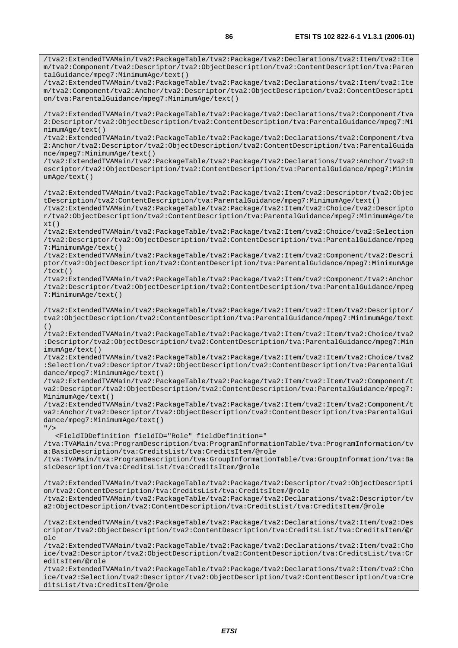/tva2:ExtendedTVAMain/tva2:PackageTable/tva2:Package/tva2:Declarations/tva2:Item/tva2:Ite

m/tva2:Component/tva2:Descriptor/tva2:ObjectDescription/tva2:ContentDescription/tva:Paren talGuidance/mpeg7:MinimumAge/text() /tva2:ExtendedTVAMain/tva2:PackageTable/tva2:Package/tva2:Declarations/tva2:Item/tva2:Ite m/tva2:Component/tva2:Anchor/tva2:Descriptor/tva2:ObjectDescription/tva2:ContentDescripti on/tva:ParentalGuidance/mpeg7:MinimumAge/text() /tva2:ExtendedTVAMain/tva2:PackageTable/tva2:Package/tva2:Declarations/tva2:Component/tva 2:Descriptor/tva2:ObjectDescription/tva2:ContentDescription/tva:ParentalGuidance/mpeg7:Mi nimumAge/text() /tva2:ExtendedTVAMain/tva2:PackageTable/tva2:Package/tva2:Declarations/tva2:Component/tva 2:Anchor/tva2:Descriptor/tva2:ObjectDescription/tva2:ContentDescription/tva:ParentalGuida nce/mpeg7:MinimumAge/text() /tva2:ExtendedTVAMain/tva2:PackageTable/tva2:Package/tva2:Declarations/tva2:Anchor/tva2:D escriptor/tva2:ObjectDescription/tva2:ContentDescription/tva:ParentalGuidance/mpeg7:Minim umAge/text() /tva2:ExtendedTVAMain/tva2:PackageTable/tva2:Package/tva2:Item/tva2:Descriptor/tva2:Objec tDescription/tva2:ContentDescription/tva:ParentalGuidance/mpeg7:MinimumAge/text() /tva2:ExtendedTVAMain/tva2:PackageTable/tva2:Package/tva2:Item/tva2:Choice/tva2:Descripto r/tva2:ObjectDescription/tva2:ContentDescription/tva:ParentalGuidance/mpeg7:MinimumAge/te xt() /tva2:ExtendedTVAMain/tva2:PackageTable/tva2:Package/tva2:Item/tva2:Choice/tva2:Selection /tva2:Descriptor/tva2:ObjectDescription/tva2:ContentDescription/tva:ParentalGuidance/mpeg 7:MinimumAge/text() /tva2:ExtendedTVAMain/tva2:PackageTable/tva2:Package/tva2:Item/tva2:Component/tva2:Descri ptor/tva2:ObjectDescription/tva2:ContentDescription/tva:ParentalGuidance/mpeg7:MinimumAge /text() /tva2:ExtendedTVAMain/tva2:PackageTable/tva2:Package/tva2:Item/tva2:Component/tva2:Anchor /tva2:Descriptor/tva2:ObjectDescription/tva2:ContentDescription/tva:ParentalGuidance/mpeg 7:MinimumAge/text() /tva2:ExtendedTVAMain/tva2:PackageTable/tva2:Package/tva2:Item/tva2:Item/tva2:Descriptor/ tva2:ObjectDescription/tva2:ContentDescription/tva:ParentalGuidance/mpeg7:MinimumAge/text  $( )$ /tva2:ExtendedTVAMain/tva2:PackageTable/tva2:Package/tva2:Item/tva2:Item/tva2:Choice/tva2 :Descriptor/tva2:ObjectDescription/tva2:ContentDescription/tva:ParentalGuidance/mpeg7:Min imumAge/text() /tva2:ExtendedTVAMain/tva2:PackageTable/tva2:Package/tva2:Item/tva2:Item/tva2:Choice/tva2 :Selection/tva2:Descriptor/tva2:ObjectDescription/tva2:ContentDescription/tva:ParentalGui dance/mpeg7:MinimumAge/text() /tva2:ExtendedTVAMain/tva2:PackageTable/tva2:Package/tva2:Item/tva2:Item/tva2:Component/t va2:Descriptor/tva2:ObjectDescription/tva2:ContentDescription/tva:ParentalGuidance/mpeg7: MinimumAge/text() /tva2:ExtendedTVAMain/tva2:PackageTable/tva2:Package/tva2:Item/tva2:Item/tva2:Component/t va2:Anchor/tva2:Descriptor/tva2:ObjectDescription/tva2:ContentDescription/tva:ParentalGui dance/mpeg7:MinimumAge/text()  $"$  /> <FieldIDDefinition fieldID="Role" fieldDefinition=" /tva:TVAMain/tva:ProgramDescription/tva:ProgramInformationTable/tva:ProgramInformation/tv a:BasicDescription/tva:CreditsList/tva:CreditsItem/@role /tva:TVAMain/tva:ProgramDescription/tva:GroupInformationTable/tva:GroupInformation/tva:Ba sicDescription/tva:CreditsList/tva:CreditsItem/@role /tva2:ExtendedTVAMain/tva2:PackageTable/tva2:Package/tva2:Descriptor/tva2:ObjectDescripti on/tva2:ContentDescription/tva:CreditsList/tva:CreditsItem/@role /tva2:ExtendedTVAMain/tva2:PackageTable/tva2:Package/tva2:Declarations/tva2:Descriptor/tv a2:ObjectDescription/tva2:ContentDescription/tva:CreditsList/tva:CreditsItem/@role /tva2:ExtendedTVAMain/tva2:PackageTable/tva2:Package/tva2:Declarations/tva2:Item/tva2:Des criptor/tva2:ObjectDescription/tva2:ContentDescription/tva:CreditsList/tva:CreditsItem/@r ole /tva2:ExtendedTVAMain/tva2:PackageTable/tva2:Package/tva2:Declarations/tva2:Item/tva2:Cho ice/tva2:Descriptor/tva2:ObjectDescription/tva2:ContentDescription/tva:CreditsList/tva:Cr editsItem/@role /tva2:ExtendedTVAMain/tva2:PackageTable/tva2:Package/tva2:Declarations/tva2:Item/tva2:Cho

ice/tva2:Selection/tva2:Descriptor/tva2:ObjectDescription/tva2:ContentDescription/tva:Cre ditsList/tva:CreditsItem/@role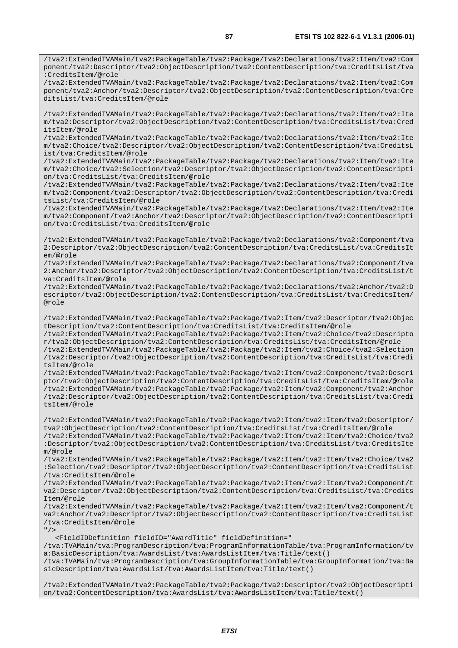/tva2:ExtendedTVAMain/tva2:PackageTable/tva2:Package/tva2:Declarations/tva2:Item/tva2:Com ponent/tva2:Descriptor/tva2:ObjectDescription/tva2:ContentDescription/tva:CreditsList/tva :CreditsItem/@role

/tva2:ExtendedTVAMain/tva2:PackageTable/tva2:Package/tva2:Declarations/tva2:Item/tva2:Com ponent/tva2:Anchor/tva2:Descriptor/tva2:ObjectDescription/tva2:ContentDescription/tva:Cre ditsList/tva:CreditsItem/@role

/tva2:ExtendedTVAMain/tva2:PackageTable/tva2:Package/tva2:Declarations/tva2:Item/tva2:Ite m/tva2:Descriptor/tva2:ObjectDescription/tva2:ContentDescription/tva:CreditsList/tva:Cred itsItem/@role

/tva2:ExtendedTVAMain/tva2:PackageTable/tva2:Package/tva2:Declarations/tva2:Item/tva2:Ite m/tva2:Choice/tva2:Descriptor/tva2:ObjectDescription/tva2:ContentDescription/tva:CreditsL ist/tva:CreditsItem/@role

/tva2:ExtendedTVAMain/tva2:PackageTable/tva2:Package/tva2:Declarations/tva2:Item/tva2:Ite m/tva2:Choice/tva2:Selection/tva2:Descriptor/tva2:ObjectDescription/tva2:ContentDescripti on/tva:CreditsList/tva:CreditsItem/@role

/tva2:ExtendedTVAMain/tva2:PackageTable/tva2:Package/tva2:Declarations/tva2:Item/tva2:Ite m/tva2:Component/tva2:Descriptor/tva2:ObjectDescription/tva2:ContentDescription/tva:Credi tsList/tva:CreditsItem/@role

/tva2:ExtendedTVAMain/tva2:PackageTable/tva2:Package/tva2:Declarations/tva2:Item/tva2:Ite m/tva2:Component/tva2:Anchor/tva2:Descriptor/tva2:ObjectDescription/tva2:ContentDescripti on/tva:CreditsList/tva:CreditsItem/@role

/tva2:ExtendedTVAMain/tva2:PackageTable/tva2:Package/tva2:Declarations/tva2:Component/tva 2:Descriptor/tva2:ObjectDescription/tva2:ContentDescription/tva:CreditsList/tva:CreditsIt em/@role

/tva2:ExtendedTVAMain/tva2:PackageTable/tva2:Package/tva2:Declarations/tva2:Component/tva 2:Anchor/tva2:Descriptor/tva2:ObjectDescription/tva2:ContentDescription/tva:CreditsList/t va:CreditsItem/@role

/tva2:ExtendedTVAMain/tva2:PackageTable/tva2:Package/tva2:Declarations/tva2:Anchor/tva2:D escriptor/tva2:ObjectDescription/tva2:ContentDescription/tva:CreditsList/tva:CreditsItem/ @role

/tva2:ExtendedTVAMain/tva2:PackageTable/tva2:Package/tva2:Item/tva2:Descriptor/tva2:Objec tDescription/tva2:ContentDescription/tva:CreditsList/tva:CreditsItem/@role

/tva2:ExtendedTVAMain/tva2:PackageTable/tva2:Package/tva2:Item/tva2:Choice/tva2:Descripto r/tva2:ObjectDescription/tva2:ContentDescription/tva:CreditsList/tva:CreditsItem/@role /tva2:ExtendedTVAMain/tva2:PackageTable/tva2:Package/tva2:Item/tva2:Choice/tva2:Selection /tva2:Descriptor/tva2:ObjectDescription/tva2:ContentDescription/tva:CreditsList/tva:Credi tsItem/@role

/tva2:ExtendedTVAMain/tva2:PackageTable/tva2:Package/tva2:Item/tva2:Component/tva2:Descri ptor/tva2:ObjectDescription/tva2:ContentDescription/tva:CreditsList/tva:CreditsItem/@role /tva2:ExtendedTVAMain/tva2:PackageTable/tva2:Package/tva2:Item/tva2:Component/tva2:Anchor /tva2:Descriptor/tva2:ObjectDescription/tva2:ContentDescription/tva:CreditsList/tva:Credi tsItem/@role

/tva2:ExtendedTVAMain/tva2:PackageTable/tva2:Package/tva2:Item/tva2:Item/tva2:Descriptor/ tva2:ObjectDescription/tva2:ContentDescription/tva:CreditsList/tva:CreditsItem/@role /tva2:ExtendedTVAMain/tva2:PackageTable/tva2:Package/tva2:Item/tva2:Item/tva2:Choice/tva2 :Descriptor/tva2:ObjectDescription/tva2:ContentDescription/tva:CreditsList/tva:CreditsIte m/@role

/tva2:ExtendedTVAMain/tva2:PackageTable/tva2:Package/tva2:Item/tva2:Item/tva2:Choice/tva2 :Selection/tva2:Descriptor/tva2:ObjectDescription/tva2:ContentDescription/tva:CreditsList /tva:CreditsItem/@role

/tva2:ExtendedTVAMain/tva2:PackageTable/tva2:Package/tva2:Item/tva2:Item/tva2:Component/t va2:Descriptor/tva2:ObjectDescription/tva2:ContentDescription/tva:CreditsList/tva:Credits Item/@role

/tva2:ExtendedTVAMain/tva2:PackageTable/tva2:Package/tva2:Item/tva2:Item/tva2:Component/t va2:Anchor/tva2:Descriptor/tva2:ObjectDescription/tva2:ContentDescription/tva:CreditsList /tva:CreditsItem/@role

 $"$  />

<FieldIDDefinition fieldID="AwardTitle" fieldDefinition="

/tva:TVAMain/tva:ProgramDescription/tva:ProgramInformationTable/tva:ProgramInformation/tv a:BasicDescription/tva:AwardsList/tva:AwardsListItem/tva:Title/text()

/tva:TVAMain/tva:ProgramDescription/tva:GroupInformationTable/tva:GroupInformation/tva:Ba sicDescription/tva:AwardsList/tva:AwardsListItem/tva:Title/text()

/tva2:ExtendedTVAMain/tva2:PackageTable/tva2:Package/tva2:Descriptor/tva2:ObjectDescripti on/tva2:ContentDescription/tva:AwardsList/tva:AwardsListItem/tva:Title/text()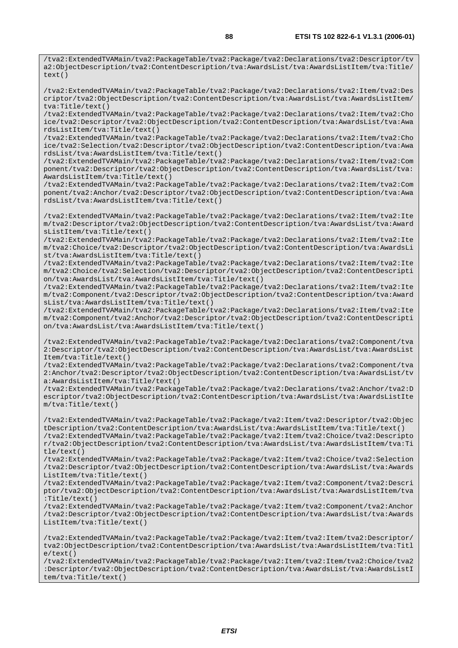/tva2:ExtendedTVAMain/tva2:PackageTable/tva2:Package/tva2:Declarations/tva2:Descriptor/tv a2:ObjectDescription/tva2:ContentDescription/tva:AwardsList/tva:AwardsListItem/tva:Title/ text()

/tva2:ExtendedTVAMain/tva2:PackageTable/tva2:Package/tva2:Declarations/tva2:Item/tva2:Des criptor/tva2:ObjectDescription/tva2:ContentDescription/tva:AwardsList/tva:AwardsListItem/ tva:Title/text()

/tva2:ExtendedTVAMain/tva2:PackageTable/tva2:Package/tva2:Declarations/tva2:Item/tva2:Cho ice/tva2:Descriptor/tva2:ObjectDescription/tva2:ContentDescription/tva:AwardsList/tva:Awa rdsListItem/tva:Title/text()

/tva2:ExtendedTVAMain/tva2:PackageTable/tva2:Package/tva2:Declarations/tva2:Item/tva2:Cho ice/tva2:Selection/tva2:Descriptor/tva2:ObjectDescription/tva2:ContentDescription/tva:Awa rdsList/tva:AwardsListItem/tva:Title/text()

/tva2:ExtendedTVAMain/tva2:PackageTable/tva2:Package/tva2:Declarations/tva2:Item/tva2:Com ponent/tva2:Descriptor/tva2:ObjectDescription/tva2:ContentDescription/tva:AwardsList/tva: AwardsListItem/tva:Title/text()

/tva2:ExtendedTVAMain/tva2:PackageTable/tva2:Package/tva2:Declarations/tva2:Item/tva2:Com ponent/tva2:Anchor/tva2:Descriptor/tva2:ObjectDescription/tva2:ContentDescription/tva:Awa rdsList/tva:AwardsListItem/tva:Title/text()

/tva2:ExtendedTVAMain/tva2:PackageTable/tva2:Package/tva2:Declarations/tva2:Item/tva2:Ite m/tva2:Descriptor/tva2:ObjectDescription/tva2:ContentDescription/tva:AwardsList/tva:Award sListItem/tva:Title/text()

/tva2:ExtendedTVAMain/tva2:PackageTable/tva2:Package/tva2:Declarations/tva2:Item/tva2:Ite m/tva2:Choice/tva2:Descriptor/tva2:ObjectDescription/tva2:ContentDescription/tva:AwardsLi st/tva:AwardsListItem/tva:Title/text()

/tva2:ExtendedTVAMain/tva2:PackageTable/tva2:Package/tva2:Declarations/tva2:Item/tva2:Ite m/tva2:Choice/tva2:Selection/tva2:Descriptor/tva2:ObjectDescription/tva2:ContentDescripti on/tva:AwardsList/tva:AwardsListItem/tva:Title/text()

/tva2:ExtendedTVAMain/tva2:PackageTable/tva2:Package/tva2:Declarations/tva2:Item/tva2:Ite m/tva2:Component/tva2:Descriptor/tva2:ObjectDescription/tva2:ContentDescription/tva:Award sList/tva:AwardsListItem/tva:Title/text()

/tva2:ExtendedTVAMain/tva2:PackageTable/tva2:Package/tva2:Declarations/tva2:Item/tva2:Ite m/tva2:Component/tva2:Anchor/tva2:Descriptor/tva2:ObjectDescription/tva2:ContentDescripti on/tva:AwardsList/tva:AwardsListItem/tva:Title/text()

/tva2:ExtendedTVAMain/tva2:PackageTable/tva2:Package/tva2:Declarations/tva2:Component/tva 2:Descriptor/tva2:ObjectDescription/tva2:ContentDescription/tva:AwardsList/tva:AwardsList Item/tva:Title/text()

/tva2:ExtendedTVAMain/tva2:PackageTable/tva2:Package/tva2:Declarations/tva2:Component/tva 2:Anchor/tva2:Descriptor/tva2:ObjectDescription/tva2:ContentDescription/tva:AwardsList/tv a:AwardsListItem/tva:Title/text()

/tva2:ExtendedTVAMain/tva2:PackageTable/tva2:Package/tva2:Declarations/tva2:Anchor/tva2:D escriptor/tva2:ObjectDescription/tva2:ContentDescription/tva:AwardsList/tva:AwardsListIte m/tva:Title/text()

/tva2:ExtendedTVAMain/tva2:PackageTable/tva2:Package/tva2:Item/tva2:Descriptor/tva2:Objec tDescription/tva2:ContentDescription/tva:AwardsList/tva:AwardsListItem/tva:Title/text() /tva2:ExtendedTVAMain/tva2:PackageTable/tva2:Package/tva2:Item/tva2:Choice/tva2:Descripto r/tva2:ObjectDescription/tva2:ContentDescription/tva:AwardsList/tva:AwardsListItem/tva:Ti tle/text()

/tva2:ExtendedTVAMain/tva2:PackageTable/tva2:Package/tva2:Item/tva2:Choice/tva2:Selection /tva2:Descriptor/tva2:ObjectDescription/tva2:ContentDescription/tva:AwardsList/tva:Awards ListItem/tva:Title/text()

/tva2:ExtendedTVAMain/tva2:PackageTable/tva2:Package/tva2:Item/tva2:Component/tva2:Descri ptor/tva2:ObjectDescription/tva2:ContentDescription/tva:AwardsList/tva:AwardsListItem/tva :Title/text()

/tva2:ExtendedTVAMain/tva2:PackageTable/tva2:Package/tva2:Item/tva2:Component/tva2:Anchor /tva2:Descriptor/tva2:ObjectDescription/tva2:ContentDescription/tva:AwardsList/tva:Awards ListItem/tva:Title/text()

/tva2:ExtendedTVAMain/tva2:PackageTable/tva2:Package/tva2:Item/tva2:Item/tva2:Descriptor/ tva2:ObjectDescription/tva2:ContentDescription/tva:AwardsList/tva:AwardsListItem/tva:Titl  $e$ /text()

/tva2:ExtendedTVAMain/tva2:PackageTable/tva2:Package/tva2:Item/tva2:Item/tva2:Choice/tva2 :Descriptor/tva2:ObjectDescription/tva2:ContentDescription/tva:AwardsList/tva:AwardsListI tem/tva:Title/text()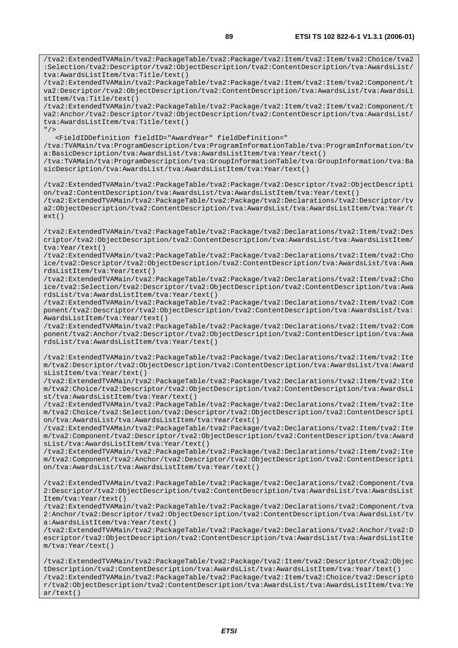/tva2:ExtendedTVAMain/tva2:PackageTable/tva2:Package/tva2:Item/tva2:Item/tva2:Choice/tva2 :Selection/tva2:Descriptor/tva2:ObjectDescription/tva2:ContentDescription/tva:AwardsList/ tva:AwardsListItem/tva:Title/text() /tva2:ExtendedTVAMain/tva2:PackageTable/tva2:Package/tva2:Item/tva2:Item/tva2:Component/t va2:Descriptor/tva2:ObjectDescription/tva2:ContentDescription/tva:AwardsList/tva:AwardsLi stItem/tva:Title/text() /tva2:ExtendedTVAMain/tva2:PackageTable/tva2:Package/tva2:Item/tva2:Item/tva2:Component/t va2:Anchor/tva2:Descriptor/tva2:ObjectDescription/tva2:ContentDescription/tva:AwardsList/ tva:AwardsListItem/tva:Title/text()  $"$ /> <FieldIDDefinition fieldID="AwardYear" fieldDefinition=" /tva:TVAMain/tva:ProgramDescription/tva:ProgramInformationTable/tva:ProgramInformation/tv a:BasicDescription/tva:AwardsList/tva:AwardsListItem/tva:Year/text() /tva:TVAMain/tva:ProgramDescription/tva:GroupInformationTable/tva:GroupInformation/tva:Ba sicDescription/tva:AwardsList/tva:AwardsListItem/tva:Year/text() /tva2:ExtendedTVAMain/tva2:PackageTable/tva2:Package/tva2:Descriptor/tva2:ObjectDescripti on/tva2:ContentDescription/tva:AwardsList/tva:AwardsListItem/tva:Year/text() /tva2:ExtendedTVAMain/tva2:PackageTable/tva2:Package/tva2:Declarations/tva2:Descriptor/tv a2:ObjectDescription/tva2:ContentDescription/tva:AwardsList/tva:AwardsListItem/tva:Year/t ext() /tva2:ExtendedTVAMain/tva2:PackageTable/tva2:Package/tva2:Declarations/tva2:Item/tva2:Des criptor/tva2:ObjectDescription/tva2:ContentDescription/tva:AwardsList/tva:AwardsListItem/ tva:Year/text() /tva2:ExtendedTVAMain/tva2:PackageTable/tva2:Package/tva2:Declarations/tva2:Item/tva2:Cho ice/tva2:Descriptor/tva2:ObjectDescription/tva2:ContentDescription/tva:AwardsList/tva:Awa rdsListItem/tva:Year/text() /tva2:ExtendedTVAMain/tva2:PackageTable/tva2:Package/tva2:Declarations/tva2:Item/tva2:Cho ice/tva2:Selection/tva2:Descriptor/tva2:ObjectDescription/tva2:ContentDescription/tva:Awa rdsList/tva:AwardsListItem/tva:Year/text() /tva2:ExtendedTVAMain/tva2:PackageTable/tva2:Package/tva2:Declarations/tva2:Item/tva2:Com ponent/tva2:Descriptor/tva2:ObjectDescription/tva2:ContentDescription/tva:AwardsList/tva: AwardsListItem/tva:Year/text() /tva2:ExtendedTVAMain/tva2:PackageTable/tva2:Package/tva2:Declarations/tva2:Item/tva2:Com ponent/tva2:Anchor/tva2:Descriptor/tva2:ObjectDescription/tva2:ContentDescription/tva:Awa rdsList/tva:AwardsListItem/tva:Year/text() /tva2:ExtendedTVAMain/tva2:PackageTable/tva2:Package/tva2:Declarations/tva2:Item/tva2:Ite m/tva2:Descriptor/tva2:ObjectDescription/tva2:ContentDescription/tva:AwardsList/tva:Award sListItem/tva:Year/text() /tva2:ExtendedTVAMain/tva2:PackageTable/tva2:Package/tva2:Declarations/tva2:Item/tva2:Ite m/tva2:Choice/tva2:Descriptor/tva2:ObjectDescription/tva2:ContentDescription/tva:AwardsLi st/tva:AwardsListItem/tva:Year/text() /tva2:ExtendedTVAMain/tva2:PackageTable/tva2:Package/tva2:Declarations/tva2:Item/tva2:Ite m/tva2:Choice/tva2:Selection/tva2:Descriptor/tva2:ObjectDescription/tva2:ContentDescripti on/tva:AwardsList/tva:AwardsListItem/tva:Year/text() /tva2:ExtendedTVAMain/tva2:PackageTable/tva2:Package/tva2:Declarations/tva2:Item/tva2:Ite m/tva2:Component/tva2:Descriptor/tva2:ObjectDescription/tva2:ContentDescription/tva:Award sList/tva:AwardsListItem/tva:Year/text() /tva2:ExtendedTVAMain/tva2:PackageTable/tva2:Package/tva2:Declarations/tva2:Item/tva2:Ite m/tva2:Component/tva2:Anchor/tva2:Descriptor/tva2:ObjectDescription/tva2:ContentDescripti on/tva:AwardsList/tva:AwardsListItem/tva:Year/text() /tva2:ExtendedTVAMain/tva2:PackageTable/tva2:Package/tva2:Declarations/tva2:Component/tva 2:Descriptor/tva2:ObjectDescription/tva2:ContentDescription/tva:AwardsList/tva:AwardsList Item/tva:Year/text() /tva2:ExtendedTVAMain/tva2:PackageTable/tva2:Package/tva2:Declarations/tva2:Component/tva 2:Anchor/tva2:Descriptor/tva2:ObjectDescription/tva2:ContentDescription/tva:AwardsList/tv a:AwardsListItem/tva:Year/text() /tva2:ExtendedTVAMain/tva2:PackageTable/tva2:Package/tva2:Declarations/tva2:Anchor/tva2:D escriptor/tva2:ObjectDescription/tva2:ContentDescription/tva:AwardsList/tva:AwardsListIte m/tva:Year/text() /tva2:ExtendedTVAMain/tva2:PackageTable/tva2:Package/tva2:Item/tva2:Descriptor/tva2:Objec tDescription/tva2:ContentDescription/tva:AwardsList/tva:AwardsListItem/tva:Year/text() /tva2:ExtendedTVAMain/tva2:PackageTable/tva2:Package/tva2:Item/tva2:Choice/tva2:Descripto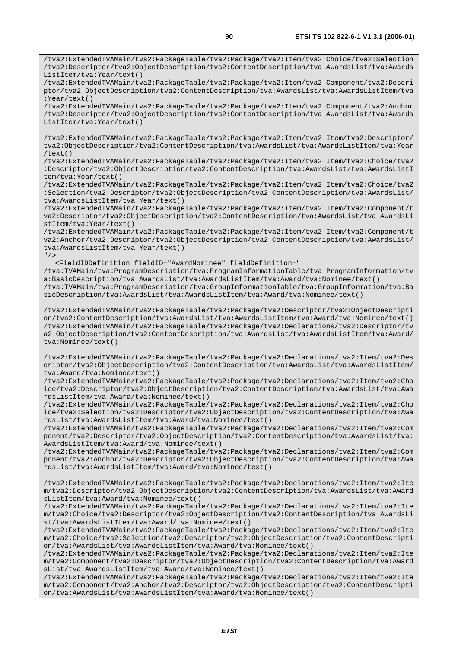/tva2:ExtendedTVAMain/tva2:PackageTable/tva2:Package/tva2:Item/tva2:Choice/tva2:Selection /tva2:Descriptor/tva2:ObjectDescription/tva2:ContentDescription/tva:AwardsList/tva:Awards ListItem/tva:Year/text() /tva2:ExtendedTVAMain/tva2:PackageTable/tva2:Package/tva2:Item/tva2:Component/tva2:Descri ptor/tva2:ObjectDescription/tva2:ContentDescription/tva:AwardsList/tva:AwardsListItem/tva :Year/text() /tva2:ExtendedTVAMain/tva2:PackageTable/tva2:Package/tva2:Item/tva2:Component/tva2:Anchor

/tva2:Descriptor/tva2:ObjectDescription/tva2:ContentDescription/tva:AwardsList/tva:Awards ListItem/tva:Year/text()

/tva2:ExtendedTVAMain/tva2:PackageTable/tva2:Package/tva2:Item/tva2:Item/tva2:Descriptor/ tva2:ObjectDescription/tva2:ContentDescription/tva:AwardsList/tva:AwardsListItem/tva:Year /text()

/tva2:ExtendedTVAMain/tva2:PackageTable/tva2:Package/tva2:Item/tva2:Item/tva2:Choice/tva2 :Descriptor/tva2:ObjectDescription/tva2:ContentDescription/tva:AwardsList/tva:AwardsListI tem/tva:Year/text()

/tva2:ExtendedTVAMain/tva2:PackageTable/tva2:Package/tva2:Item/tva2:Item/tva2:Choice/tva2 :Selection/tva2:Descriptor/tva2:ObjectDescription/tva2:ContentDescription/tva:AwardsList/ tva:AwardsListItem/tva:Year/text()

/tva2:ExtendedTVAMain/tva2:PackageTable/tva2:Package/tva2:Item/tva2:Item/tva2:Component/t va2:Descriptor/tva2:ObjectDescription/tva2:ContentDescription/tva:AwardsList/tva:AwardsLi stItem/tva:Year/text()

/tva2:ExtendedTVAMain/tva2:PackageTable/tva2:Package/tva2:Item/tva2:Item/tva2:Component/t va2:Anchor/tva2:Descriptor/tva2:ObjectDescription/tva2:ContentDescription/tva:AwardsList/ tva:AwardsListItem/tva:Year/text()  $"$  />

 <FieldIDDefinition fieldID="AwardNominee" fieldDefinition=" /tva:TVAMain/tva:ProgramDescription/tva:ProgramInformationTable/tva:ProgramInformation/tv a:BasicDescription/tva:AwardsList/tva:AwardsListItem/tva:Award/tva:Nominee/text()

/tva:TVAMain/tva:ProgramDescription/tva:GroupInformationTable/tva:GroupInformation/tva:Ba sicDescription/tva:AwardsList/tva:AwardsListItem/tva:Award/tva:Nominee/text()

/tva2:ExtendedTVAMain/tva2:PackageTable/tva2:Package/tva2:Descriptor/tva2:ObjectDescripti on/tva2:ContentDescription/tva:AwardsList/tva:AwardsListItem/tva:Award/tva:Nominee/text() /tva2:ExtendedTVAMain/tva2:PackageTable/tva2:Package/tva2:Declarations/tva2:Descriptor/tv a2:ObjectDescription/tva2:ContentDescription/tva:AwardsList/tva:AwardsListItem/tva:Award/ tva:Nominee/text()

/tva2:ExtendedTVAMain/tva2:PackageTable/tva2:Package/tva2:Declarations/tva2:Item/tva2:Des criptor/tva2:ObjectDescription/tva2:ContentDescription/tva:AwardsList/tva:AwardsListItem/ tva:Award/tva:Nominee/text()

/tva2:ExtendedTVAMain/tva2:PackageTable/tva2:Package/tva2:Declarations/tva2:Item/tva2:Cho ice/tva2:Descriptor/tva2:ObjectDescription/tva2:ContentDescription/tva:AwardsList/tva:Awa rdsListItem/tva:Award/tva:Nominee/text()

/tva2:ExtendedTVAMain/tva2:PackageTable/tva2:Package/tva2:Declarations/tva2:Item/tva2:Cho ice/tva2:Selection/tva2:Descriptor/tva2:ObjectDescription/tva2:ContentDescription/tva:Awa rdsList/tva:AwardsListItem/tva:Award/tva:Nominee/text()

/tva2:ExtendedTVAMain/tva2:PackageTable/tva2:Package/tva2:Declarations/tva2:Item/tva2:Com ponent/tva2:Descriptor/tva2:ObjectDescription/tva2:ContentDescription/tva:AwardsList/tva: AwardsListItem/tva:Award/tva:Nominee/text()

/tva2:ExtendedTVAMain/tva2:PackageTable/tva2:Package/tva2:Declarations/tva2:Item/tva2:Com ponent/tva2:Anchor/tva2:Descriptor/tva2:ObjectDescription/tva2:ContentDescription/tva:Awa rdsList/tva:AwardsListItem/tva:Award/tva:Nominee/text()

/tva2:ExtendedTVAMain/tva2:PackageTable/tva2:Package/tva2:Declarations/tva2:Item/tva2:Ite m/tva2:Descriptor/tva2:ObjectDescription/tva2:ContentDescription/tva:AwardsList/tva:Award sListItem/tva:Award/tva:Nominee/text()

/tva2:ExtendedTVAMain/tva2:PackageTable/tva2:Package/tva2:Declarations/tva2:Item/tva2:Ite m/tva2:Choice/tva2:Descriptor/tva2:ObjectDescription/tva2:ContentDescription/tva:AwardsLi st/tva:AwardsListItem/tva:Award/tva:Nominee/text()

/tva2:ExtendedTVAMain/tva2:PackageTable/tva2:Package/tva2:Declarations/tva2:Item/tva2:Ite m/tva2:Choice/tva2:Selection/tva2:Descriptor/tva2:ObjectDescription/tva2:ContentDescripti on/tva:AwardsList/tva:AwardsListItem/tva:Award/tva:Nominee/text()

/tva2:ExtendedTVAMain/tva2:PackageTable/tva2:Package/tva2:Declarations/tva2:Item/tva2:Ite m/tva2:Component/tva2:Descriptor/tva2:ObjectDescription/tva2:ContentDescription/tva:Award sList/tva:AwardsListItem/tva:Award/tva:Nominee/text()

/tva2:ExtendedTVAMain/tva2:PackageTable/tva2:Package/tva2:Declarations/tva2:Item/tva2:Ite m/tva2:Component/tva2:Anchor/tva2:Descriptor/tva2:ObjectDescription/tva2:ContentDescripti on/tva:AwardsList/tva:AwardsListItem/tva:Award/tva:Nominee/text()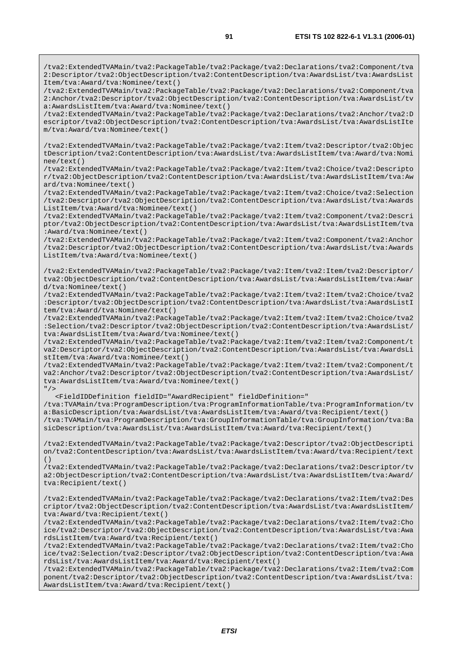/tva2:ExtendedTVAMain/tva2:PackageTable/tva2:Package/tva2:Declarations/tva2:Component/tva 2:Descriptor/tva2:ObjectDescription/tva2:ContentDescription/tva:AwardsList/tva:AwardsList Item/tva:Award/tva:Nominee/text()

/tva2:ExtendedTVAMain/tva2:PackageTable/tva2:Package/tva2:Declarations/tva2:Component/tva 2:Anchor/tva2:Descriptor/tva2:ObjectDescription/tva2:ContentDescription/tva:AwardsList/tv a:AwardsListItem/tva:Award/tva:Nominee/text()

/tva2:ExtendedTVAMain/tva2:PackageTable/tva2:Package/tva2:Declarations/tva2:Anchor/tva2:D escriptor/tva2:ObjectDescription/tva2:ContentDescription/tva:AwardsList/tva:AwardsListIte m/tva:Award/tva:Nominee/text()

/tva2:ExtendedTVAMain/tva2:PackageTable/tva2:Package/tva2:Item/tva2:Descriptor/tva2:Objec tDescription/tva2:ContentDescription/tva:AwardsList/tva:AwardsListItem/tva:Award/tva:Nomi nee/text()

/tva2:ExtendedTVAMain/tva2:PackageTable/tva2:Package/tva2:Item/tva2:Choice/tva2:Descripto r/tva2:ObjectDescription/tva2:ContentDescription/tva:AwardsList/tva:AwardsListItem/tva:Aw ard/tva:Nominee/text()

/tva2:ExtendedTVAMain/tva2:PackageTable/tva2:Package/tva2:Item/tva2:Choice/tva2:Selection /tva2:Descriptor/tva2:ObjectDescription/tva2:ContentDescription/tva:AwardsList/tva:Awards ListItem/tva:Award/tva:Nominee/text()

/tva2:ExtendedTVAMain/tva2:PackageTable/tva2:Package/tva2:Item/tva2:Component/tva2:Descri ptor/tva2:ObjectDescription/tva2:ContentDescription/tva:AwardsList/tva:AwardsListItem/tva :Award/tva:Nominee/text()

/tva2:ExtendedTVAMain/tva2:PackageTable/tva2:Package/tva2:Item/tva2:Component/tva2:Anchor /tva2:Descriptor/tva2:ObjectDescription/tva2:ContentDescription/tva:AwardsList/tva:Awards ListItem/tva:Award/tva:Nominee/text()

/tva2:ExtendedTVAMain/tva2:PackageTable/tva2:Package/tva2:Item/tva2:Item/tva2:Descriptor/ tva2:ObjectDescription/tva2:ContentDescription/tva:AwardsList/tva:AwardsListItem/tva:Awar d/tva:Nominee/text()

/tva2:ExtendedTVAMain/tva2:PackageTable/tva2:Package/tva2:Item/tva2:Item/tva2:Choice/tva2 :Descriptor/tva2:ObjectDescription/tva2:ContentDescription/tva:AwardsList/tva:AwardsListI tem/tva:Award/tva:Nominee/text()

/tva2:ExtendedTVAMain/tva2:PackageTable/tva2:Package/tva2:Item/tva2:Item/tva2:Choice/tva2 :Selection/tva2:Descriptor/tva2:ObjectDescription/tva2:ContentDescription/tva:AwardsList/ tva:AwardsListItem/tva:Award/tva:Nominee/text()

/tva2:ExtendedTVAMain/tva2:PackageTable/tva2:Package/tva2:Item/tva2:Item/tva2:Component/t va2:Descriptor/tva2:ObjectDescription/tva2:ContentDescription/tva:AwardsList/tva:AwardsLi stItem/tva:Award/tva:Nominee/text()

/tva2:ExtendedTVAMain/tva2:PackageTable/tva2:Package/tva2:Item/tva2:Item/tva2:Component/t va2:Anchor/tva2:Descriptor/tva2:ObjectDescription/tva2:ContentDescription/tva:AwardsList/ tva:AwardsListItem/tva:Award/tva:Nominee/text()  $"$  / >

<FieldIDDefinition fieldID="AwardRecipient" fieldDefinition="

/tva:TVAMain/tva:ProgramDescription/tva:ProgramInformationTable/tva:ProgramInformation/tv a:BasicDescription/tva:AwardsList/tva:AwardsListItem/tva:Award/tva:Recipient/text() /tva:TVAMain/tva:ProgramDescription/tva:GroupInformationTable/tva:GroupInformation/tva:Ba sicDescription/tva:AwardsList/tva:AwardsListItem/tva:Award/tva:Recipient/text()

/tva2:ExtendedTVAMain/tva2:PackageTable/tva2:Package/tva2:Descriptor/tva2:ObjectDescripti on/tva2:ContentDescription/tva:AwardsList/tva:AwardsListItem/tva:Award/tva:Recipient/text ()

/tva2:ExtendedTVAMain/tva2:PackageTable/tva2:Package/tva2:Declarations/tva2:Descriptor/tv a2:ObjectDescription/tva2:ContentDescription/tva:AwardsList/tva:AwardsListItem/tva:Award/ tva:Recipient/text()

/tva2:ExtendedTVAMain/tva2:PackageTable/tva2:Package/tva2:Declarations/tva2:Item/tva2:Des criptor/tva2:ObjectDescription/tva2:ContentDescription/tva:AwardsList/tva:AwardsListItem/ tva:Award/tva:Recipient/text()

/tva2:ExtendedTVAMain/tva2:PackageTable/tva2:Package/tva2:Declarations/tva2:Item/tva2:Cho ice/tva2:Descriptor/tva2:ObjectDescription/tva2:ContentDescription/tva:AwardsList/tva:Awa rdsListItem/tva:Award/tva:Recipient/text()

/tva2:ExtendedTVAMain/tva2:PackageTable/tva2:Package/tva2:Declarations/tva2:Item/tva2:Cho ice/tva2:Selection/tva2:Descriptor/tva2:ObjectDescription/tva2:ContentDescription/tva:Awa rdsList/tva:AwardsListItem/tva:Award/tva:Recipient/text()

/tva2:ExtendedTVAMain/tva2:PackageTable/tva2:Package/tva2:Declarations/tva2:Item/tva2:Com ponent/tva2:Descriptor/tva2:ObjectDescription/tva2:ContentDescription/tva:AwardsList/tva: AwardsListItem/tva:Award/tva:Recipient/text()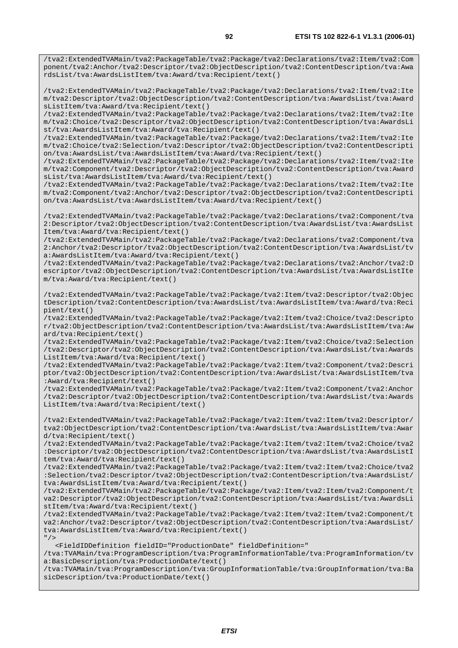/tva2:ExtendedTVAMain/tva2:PackageTable/tva2:Package/tva2:Declarations/tva2:Item/tva2:Ite m/tva2:Descriptor/tva2:ObjectDescription/tva2:ContentDescription/tva:AwardsList/tva:Award sListItem/tva:Award/tva:Recipient/text()

/tva2:ExtendedTVAMain/tva2:PackageTable/tva2:Package/tva2:Declarations/tva2:Item/tva2:Ite m/tva2:Choice/tva2:Descriptor/tva2:ObjectDescription/tva2:ContentDescription/tva:AwardsLi st/tva:AwardsListItem/tva:Award/tva:Recipient/text()

/tva2:ExtendedTVAMain/tva2:PackageTable/tva2:Package/tva2:Declarations/tva2:Item/tva2:Ite m/tva2:Choice/tva2:Selection/tva2:Descriptor/tva2:ObjectDescription/tva2:ContentDescripti on/tva:AwardsList/tva:AwardsListItem/tva:Award/tva:Recipient/text()

/tva2:ExtendedTVAMain/tva2:PackageTable/tva2:Package/tva2:Declarations/tva2:Item/tva2:Ite m/tva2:Component/tva2:Descriptor/tva2:ObjectDescription/tva2:ContentDescription/tva:Award sList/tva:AwardsListItem/tva:Award/tva:Recipient/text()

/tva2:ExtendedTVAMain/tva2:PackageTable/tva2:Package/tva2:Declarations/tva2:Item/tva2:Ite m/tva2:Component/tva2:Anchor/tva2:Descriptor/tva2:ObjectDescription/tva2:ContentDescripti on/tva:AwardsList/tva:AwardsListItem/tva:Award/tva:Recipient/text()

/tva2:ExtendedTVAMain/tva2:PackageTable/tva2:Package/tva2:Declarations/tva2:Component/tva 2:Descriptor/tva2:ObjectDescription/tva2:ContentDescription/tva:AwardsList/tva:AwardsList Item/tva:Award/tva:Recipient/text()

/tva2:ExtendedTVAMain/tva2:PackageTable/tva2:Package/tva2:Declarations/tva2:Component/tva 2:Anchor/tva2:Descriptor/tva2:ObjectDescription/tva2:ContentDescription/tva:AwardsList/tv a:AwardsListItem/tva:Award/tva:Recipient/text()

/tva2:ExtendedTVAMain/tva2:PackageTable/tva2:Package/tva2:Declarations/tva2:Anchor/tva2:D escriptor/tva2:ObjectDescription/tva2:ContentDescription/tva:AwardsList/tva:AwardsListIte m/tva:Award/tva:Recipient/text()

/tva2:ExtendedTVAMain/tva2:PackageTable/tva2:Package/tva2:Item/tva2:Descriptor/tva2:Objec tDescription/tva2:ContentDescription/tva:AwardsList/tva:AwardsListItem/tva:Award/tva:Reci pient/text()

/tva2:ExtendedTVAMain/tva2:PackageTable/tva2:Package/tva2:Item/tva2:Choice/tva2:Descripto r/tva2:ObjectDescription/tva2:ContentDescription/tva:AwardsList/tva:AwardsListItem/tva:Aw ard/tva:Recipient/text()

/tva2:ExtendedTVAMain/tva2:PackageTable/tva2:Package/tva2:Item/tva2:Choice/tva2:Selection /tva2:Descriptor/tva2:ObjectDescription/tva2:ContentDescription/tva:AwardsList/tva:Awards ListItem/tva:Award/tva:Recipient/text()

/tva2:ExtendedTVAMain/tva2:PackageTable/tva2:Package/tva2:Item/tva2:Component/tva2:Descri ptor/tva2:ObjectDescription/tva2:ContentDescription/tva:AwardsList/tva:AwardsListItem/tva :Award/tva:Recipient/text()

/tva2:ExtendedTVAMain/tva2:PackageTable/tva2:Package/tva2:Item/tva2:Component/tva2:Anchor /tva2:Descriptor/tva2:ObjectDescription/tva2:ContentDescription/tva:AwardsList/tva:Awards ListItem/tva:Award/tva:Recipient/text()

/tva2:ExtendedTVAMain/tva2:PackageTable/tva2:Package/tva2:Item/tva2:Item/tva2:Descriptor/ tva2:ObjectDescription/tva2:ContentDescription/tva:AwardsList/tva:AwardsListItem/tva:Awar d/tva:Recipient/text()

/tva2:ExtendedTVAMain/tva2:PackageTable/tva2:Package/tva2:Item/tva2:Item/tva2:Choice/tva2 :Descriptor/tva2:ObjectDescription/tva2:ContentDescription/tva:AwardsList/tva:AwardsListI tem/tva:Award/tva:Recipient/text()

/tva2:ExtendedTVAMain/tva2:PackageTable/tva2:Package/tva2:Item/tva2:Item/tva2:Choice/tva2 :Selection/tva2:Descriptor/tva2:ObjectDescription/tva2:ContentDescription/tva:AwardsList/ tva:AwardsListItem/tva:Award/tva:Recipient/text()

/tva2:ExtendedTVAMain/tva2:PackageTable/tva2:Package/tva2:Item/tva2:Item/tva2:Component/t va2:Descriptor/tva2:ObjectDescription/tva2:ContentDescription/tva:AwardsList/tva:AwardsLi stItem/tva:Award/tva:Recipient/text()

/tva2:ExtendedTVAMain/tva2:PackageTable/tva2:Package/tva2:Item/tva2:Item/tva2:Component/t va2:Anchor/tva2:Descriptor/tva2:ObjectDescription/tva2:ContentDescription/tva:AwardsList/ tva:AwardsListItem/tva:Award/tva:Recipient/text()  $"$ />

<FieldIDDefinition fieldID="ProductionDate" fieldDefinition="

/tva:TVAMain/tva:ProgramDescription/tva:ProgramInformationTable/tva:ProgramInformation/tv a:BasicDescription/tva:ProductionDate/text()

/tva:TVAMain/tva:ProgramDescription/tva:GroupInformationTable/tva:GroupInformation/tva:Ba sicDescription/tva:ProductionDate/text()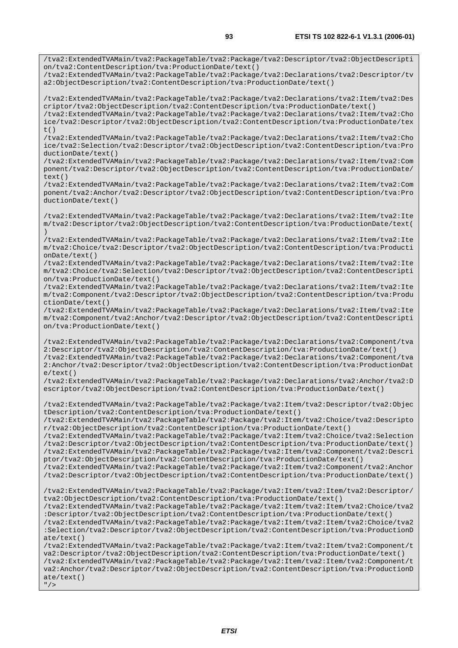/tva2:ExtendedTVAMain/tva2:PackageTable/tva2:Package/tva2:Descriptor/tva2:ObjectDescripti on/tva2:ContentDescription/tva:ProductionDate/text() /tva2:ExtendedTVAMain/tva2:PackageTable/tva2:Package/tva2:Declarations/tva2:Descriptor/tv a2:ObjectDescription/tva2:ContentDescription/tva:ProductionDate/text() /tva2:ExtendedTVAMain/tva2:PackageTable/tva2:Package/tva2:Declarations/tva2:Item/tva2:Des criptor/tva2:ObjectDescription/tva2:ContentDescription/tva:ProductionDate/text() /tva2:ExtendedTVAMain/tva2:PackageTable/tva2:Package/tva2:Declarations/tva2:Item/tva2:Cho ice/tva2:Descriptor/tva2:ObjectDescription/tva2:ContentDescription/tva:ProductionDate/tex  $t($ ) /tva2:ExtendedTVAMain/tva2:PackageTable/tva2:Package/tva2:Declarations/tva2:Item/tva2:Cho ice/tva2:Selection/tva2:Descriptor/tva2:ObjectDescription/tva2:ContentDescription/tva:Pro ductionDate/text() /tva2:ExtendedTVAMain/tva2:PackageTable/tva2:Package/tva2:Declarations/tva2:Item/tva2:Com ponent/tva2:Descriptor/tva2:ObjectDescription/tva2:ContentDescription/tva:ProductionDate/ text() /tva2:ExtendedTVAMain/tva2:PackageTable/tva2:Package/tva2:Declarations/tva2:Item/tva2:Com ponent/tva2:Anchor/tva2:Descriptor/tva2:ObjectDescription/tva2:ContentDescription/tva:Pro ductionDate/text() /tva2:ExtendedTVAMain/tva2:PackageTable/tva2:Package/tva2:Declarations/tva2:Item/tva2:Ite m/tva2:Descriptor/tva2:ObjectDescription/tva2:ContentDescription/tva:ProductionDate/text( ) /tva2:ExtendedTVAMain/tva2:PackageTable/tva2:Package/tva2:Declarations/tva2:Item/tva2:Ite m/tva2:Choice/tva2:Descriptor/tva2:ObjectDescription/tva2:ContentDescription/tva:Producti onDate/text() /tva2:ExtendedTVAMain/tva2:PackageTable/tva2:Package/tva2:Declarations/tva2:Item/tva2:Ite m/tva2:Choice/tva2:Selection/tva2:Descriptor/tva2:ObjectDescription/tva2:ContentDescripti on/tva:ProductionDate/text() /tva2:ExtendedTVAMain/tva2:PackageTable/tva2:Package/tva2:Declarations/tva2:Item/tva2:Ite m/tva2:Component/tva2:Descriptor/tva2:ObjectDescription/tva2:ContentDescription/tva:Produ ctionDate/text() /tva2:ExtendedTVAMain/tva2:PackageTable/tva2:Package/tva2:Declarations/tva2:Item/tva2:Ite m/tva2:Component/tva2:Anchor/tva2:Descriptor/tva2:ObjectDescription/tva2:ContentDescripti on/tva:ProductionDate/text() /tva2:ExtendedTVAMain/tva2:PackageTable/tva2:Package/tva2:Declarations/tva2:Component/tva 2:Descriptor/tva2:ObjectDescription/tva2:ContentDescription/tva:ProductionDate/text() /tva2:ExtendedTVAMain/tva2:PackageTable/tva2:Package/tva2:Declarations/tva2:Component/tva 2:Anchor/tva2:Descriptor/tva2:ObjectDescription/tva2:ContentDescription/tva:ProductionDat e/text() /tva2:ExtendedTVAMain/tva2:PackageTable/tva2:Package/tva2:Declarations/tva2:Anchor/tva2:D escriptor/tva2:ObjectDescription/tva2:ContentDescription/tva:ProductionDate/text() /tva2:ExtendedTVAMain/tva2:PackageTable/tva2:Package/tva2:Item/tva2:Descriptor/tva2:Objec tDescription/tva2:ContentDescription/tva:ProductionDate/text() /tva2:ExtendedTVAMain/tva2:PackageTable/tva2:Package/tva2:Item/tva2:Choice/tva2:Descripto r/tva2:ObjectDescription/tva2:ContentDescription/tva:ProductionDate/text() /tva2:ExtendedTVAMain/tva2:PackageTable/tva2:Package/tva2:Item/tva2:Choice/tva2:Selection /tva2:Descriptor/tva2:ObjectDescription/tva2:ContentDescription/tva:ProductionDate/text() /tva2:ExtendedTVAMain/tva2:PackageTable/tva2:Package/tva2:Item/tva2:Component/tva2:Descri ptor/tva2:ObjectDescription/tva2:ContentDescription/tva:ProductionDate/text() /tva2:ExtendedTVAMain/tva2:PackageTable/tva2:Package/tva2:Item/tva2:Component/tva2:Anchor /tva2:Descriptor/tva2:ObjectDescription/tva2:ContentDescription/tva:ProductionDate/text() /tva2:ExtendedTVAMain/tva2:PackageTable/tva2:Package/tva2:Item/tva2:Item/tva2:Descriptor/ tva2:ObjectDescription/tva2:ContentDescription/tva:ProductionDate/text() /tva2:ExtendedTVAMain/tva2:PackageTable/tva2:Package/tva2:Item/tva2:Item/tva2:Choice/tva2 :Descriptor/tva2:ObjectDescription/tva2:ContentDescription/tva:ProductionDate/text() /tva2:ExtendedTVAMain/tva2:PackageTable/tva2:Package/tva2:Item/tva2:Item/tva2:Choice/tva2 :Selection/tva2:Descriptor/tva2:ObjectDescription/tva2:ContentDescription/tva:ProductionD ate/text() /tva2:ExtendedTVAMain/tva2:PackageTable/tva2:Package/tva2:Item/tva2:Item/tva2:Component/t va2:Descriptor/tva2:ObjectDescription/tva2:ContentDescription/tva:ProductionDate/text() /tva2:ExtendedTVAMain/tva2:PackageTable/tva2:Package/tva2:Item/tva2:Item/tva2:Component/t va2:Anchor/tva2:Descriptor/tva2:ObjectDescription/tva2:ContentDescription/tva:ProductionD ate/text()  $"$ />

**ETSI**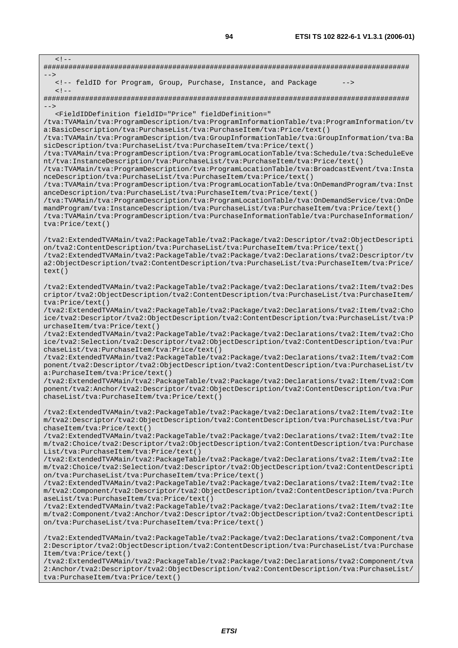| $<$ ! --                                                                                                                                                                                                                                                                                                                                                                                                                                                                                                                                                                                                                                                                                                                                                                                                                                                                                                                                                                                                                                                                                                                                                                                                                                                                                                                                                           |
|--------------------------------------------------------------------------------------------------------------------------------------------------------------------------------------------------------------------------------------------------------------------------------------------------------------------------------------------------------------------------------------------------------------------------------------------------------------------------------------------------------------------------------------------------------------------------------------------------------------------------------------------------------------------------------------------------------------------------------------------------------------------------------------------------------------------------------------------------------------------------------------------------------------------------------------------------------------------------------------------------------------------------------------------------------------------------------------------------------------------------------------------------------------------------------------------------------------------------------------------------------------------------------------------------------------------------------------------------------------------|
| $--$                                                                                                                                                                                                                                                                                                                                                                                                                                                                                                                                                                                                                                                                                                                                                                                                                                                                                                                                                                                                                                                                                                                                                                                                                                                                                                                                                               |
| feldID for Program, Group, Purchase, Instance, and Package<br><math>--</math><br><math><</math>! --</td></tr><tr><td></td></tr><tr><td><br><FieldIDDefinition fieldID="Price" fieldDefinition="<br>/tva:TVAMain/tva:ProgramDescription/tva:ProgramInformationTable/tva:ProgramInformation/tv<br>a:BasicDescription/tva:PurchaseList/tva:PurchaseItem/tva:Price/text()<br>/tva:TVAMain/tva:ProgramDescription/tva:GroupInformationTable/tva:GroupInformation/tva:Ba<br>sicDescription/tva:PurchaseList/tva:PurchaseItem/tva:Price/text()<br>/tva:TVAMain/tva:ProgramDescription/tva:ProgramLocationTable/tva:Schedule/tva:ScheduleEve<br>nt/tva:InstanceDescription/tva:PurchaseList/tva:PurchaseItem/tva:Price/text()<br>/tva:TVAMain/tva:ProgramDescription/tva:ProgramLocationTable/tva:BroadcastEvent/tva:Insta<br>nceDescription/tva:PurchaseList/tva:PurchaseItem/tva:Price/text()<br>/tva:TVAMain/tva:ProgramDescription/tva:ProgramLocationTable/tva:OnDemandProgram/tva:Inst<br>anceDescription/tva:PurchaseList/tva:PurchaseItem/tva:Price/text()<br>/tva:TVAMain/tva:ProgramDescription/tva:ProgramLocationTable/tva:OnDemandService/tva:OnDe<br>mandProgram/tva:InstanceDescription/tva:PurchaseList/tva:PurchaseItem/tva:Price/text()<br>/tva:TVAMain/tva:ProgramDescription/tva:PurchaseInformationTable/tva:PurchaseInformation/<br>tva:Price/text() |
| /tva2:ExtendedTVAMain/tva2:PackageTable/tva2:Package/tva2:Descriptor/tva2:ObjectDescripti<br>on/tva2:ContentDescription/tva:PurchaseList/tva:PurchaseItem/tva:Price/text()<br>/tva2:ExtendedTVAMain/tva2:PackageTable/tva2:Package/tva2:Declarations/tva2:Descriptor/tv<br>a2:ObjectDescription/tva2:ContentDescription/tva:PurchaseList/tva:PurchaseItem/tva:Price/<br>text()                                                                                                                                                                                                                                                                                                                                                                                                                                                                                                                                                                                                                                                                                                                                                                                                                                                                                                                                                                                     |
| /tva2:ExtendedTVAMain/tva2:PackageTable/tva2:Package/tva2:Declarations/tva2:Item/tva2:Des<br>criptor/tva2:ObjectDescription/tva2:ContentDescription/tva:PurchaseList/tva:PurchaseItem/<br>tva:Price/text()<br>/tva2:ExtendedTVAMain/tva2:PackageTable/tva2:Package/tva2:Declarations/tva2:Item/tva2:Cho<br>ice/tva2:Descriptor/tva2:ObjectDescription/tva2:ContentDescription/tva:PurchaseList/tva:P<br>urchaseItem/tva:Price/text()<br>/tva2:ExtendedTVAMain/tva2:PackageTable/tva2:Package/tva2:Declarations/tva2:Item/tva2:Cho<br>ice/tva2:Selection/tva2:Descriptor/tva2:ObjectDescription/tva2:ContentDescription/tva:Pur<br>chaseList/tva:PurchaseItem/tva:Price/text()<br>/tva2:ExtendedTVAMain/tva2:PackageTable/tva2:Package/tva2:Declarations/tva2:Item/tva2:Com<br>ponent/tva2:Descriptor/tva2:ObjectDescription/tva2:ContentDescription/tva:PurchaseList/tv<br>a: PurchaseItem/tva:Price/text()<br>/tva2:ExtendedTVAMain/tva2:PackageTable/tva2:Package/tva2:Declarations/tva2:Item/tva2:Com<br>ponent/tva2:Anchor/tva2:Descriptor/tva2:ObjectDescription/tva2:ContentDescription/tva:Pur                                                                                                                                                                                                                                                              |
| chaseList/tva:PurchaseItem/tva:Price/text()                                                                                                                                                                                                                                                                                                                                                                                                                                                                                                                                                                                                                                                                                                                                                                                                                                                                                                                                                                                                                                                                                                                                                                                                                                                                                                                        |
| /tva2:ExtendedTVAMain/tva2:PackageTable/tva2:Package/tva2:Declarations/tva2:Item/tva2:Ite<br>m/tva2:Descriptor/tva2:ObjectDescription/tva2:ContentDescription/tva:PurchaseList/tva:Pur<br>chaseItem/tva:Price/text()                                                                                                                                                                                                                                                                                                                                                                                                                                                                                                                                                                                                                                                                                                                                                                                                                                                                                                                                                                                                                                                                                                                                               |
| /tva2:ExtendedTVAMain/tva2:PackageTable/tva2:Package/tva2:Declarations/tva2:Item/tva2:Ite<br>m/tva2:Choice/tva2:Descriptor/tva2:ObjectDescription/tva2:ContentDescription/tva:Purchase<br>List/tva:PurchaseItem/tva:Price/text()<br>/tva2:ExtendedTVAMain/tva2:PackageTable/tva2:Package/tva2:Declarations/tva2:Item/tva2:Ite<br>m/tva2:Choice/tva2:Selection/tva2:Descriptor/tva2:ObjectDescription/tva2:ContentDescripti<br>on/tva:PurchaseList/tva:PurchaseItem/tva:Price/text()<br>/tva2:ExtendedTVAMain/tva2:PackageTable/tva2:Package/tva2:Declarations/tva2:Item/tva2:Ite<br>m/tva2:Component/tva2:Descriptor/tva2:ObjectDescription/tva2:ContentDescription/tva:Purch<br>aseList/tva:PurchaseItem/tva:Price/text()<br>/tva2:ExtendedTVAMain/tva2:PackageTable/tva2:Package/tva2:Declarations/tva2:Item/tva2:Ite<br>m/tva2:Component/tva2:Anchor/tva2:Descriptor/tva2:ObjectDescription/tva2:ContentDescripti<br>on/tva:PurchaseList/tva:PurchaseItem/tva:Price/text()                                                                                                                                                                                                                                                                                                                                                                                      |
| /tva2:ExtendedTVAMain/tva2:PackageTable/tva2:Package/tva2:Declarations/tva2:Component/tva<br>2:Descriptor/tva2:ObjectDescription/tva2:ContentDescription/tva:PurchaseList/tva:Purchase<br>Item/tva:Price/text()<br>/tva2:ExtendedTVAMain/tva2:PackageTable/tva2:Package/tva2:Declarations/tva2:Component/tva<br>2:Anchor/tva2:Descriptor/tva2:ObjectDescription/tva2:ContentDescription/tva:PurchaseList/<br>tva:PurchaseItem/tva:Price/text()                                                                                                                                                                                                                                                                                                                                                                                                                                                                                                                                                                                                                                                                                                                                                                                                                                                                                                                     |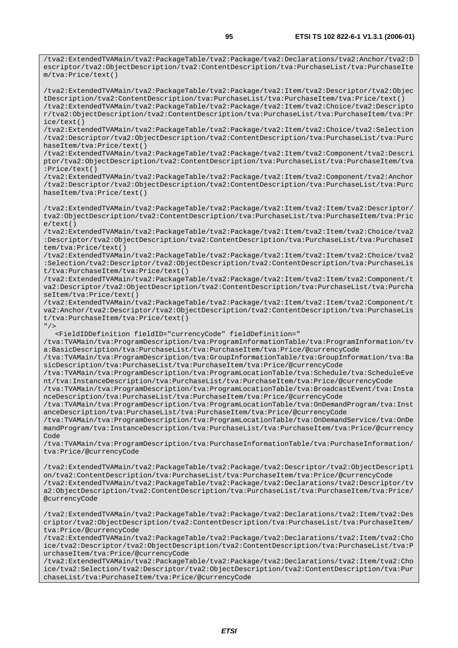/tva2:ExtendedTVAMain/tva2:PackageTable/tva2:Package/tva2:Declarations/tva2:Anchor/tva2:D escriptor/tva2:ObjectDescription/tva2:ContentDescription/tva:PurchaseList/tva:PurchaseIte m/tva:Price/text()

/tva2:ExtendedTVAMain/tva2:PackageTable/tva2:Package/tva2:Item/tva2:Descriptor/tva2:Objec tDescription/tva2:ContentDescription/tva:PurchaseList/tva:PurchaseItem/tva:Price/text() /tva2:ExtendedTVAMain/tva2:PackageTable/tva2:Package/tva2:Item/tva2:Choice/tva2:Descripto r/tva2:ObjectDescription/tva2:ContentDescription/tva:PurchaseList/tva:PurchaseItem/tva:Pr ice/text()

/tva2:ExtendedTVAMain/tva2:PackageTable/tva2:Package/tva2:Item/tva2:Choice/tva2:Selection /tva2:Descriptor/tva2:ObjectDescription/tva2:ContentDescription/tva:PurchaseList/tva:Purc haseItem/tva:Price/text()

/tva2:ExtendedTVAMain/tva2:PackageTable/tva2:Package/tva2:Item/tva2:Component/tva2:Descri ptor/tva2:ObjectDescription/tva2:ContentDescription/tva:PurchaseList/tva:PurchaseItem/tva :Price/text()

/tva2:ExtendedTVAMain/tva2:PackageTable/tva2:Package/tva2:Item/tva2:Component/tva2:Anchor /tva2:Descriptor/tva2:ObjectDescription/tva2:ContentDescription/tva:PurchaseList/tva:Purc haseItem/tva:Price/text()

/tva2:ExtendedTVAMain/tva2:PackageTable/tva2:Package/tva2:Item/tva2:Item/tva2:Descriptor/ tva2:ObjectDescription/tva2:ContentDescription/tva:PurchaseList/tva:PurchaseItem/tva:Pric e/text()

/tva2:ExtendedTVAMain/tva2:PackageTable/tva2:Package/tva2:Item/tva2:Item/tva2:Choice/tva2 :Descriptor/tva2:ObjectDescription/tva2:ContentDescription/tva:PurchaseList/tva:PurchaseI tem/tva:Price/text()

/tva2:ExtendedTVAMain/tva2:PackageTable/tva2:Package/tva2:Item/tva2:Item/tva2:Choice/tva2 :Selection/tva2:Descriptor/tva2:ObjectDescription/tva2:ContentDescription/tva:PurchaseLis t/tva:PurchaseItem/tva:Price/text()

/tva2:ExtendedTVAMain/tva2:PackageTable/tva2:Package/tva2:Item/tva2:Item/tva2:Component/t va2:Descriptor/tva2:ObjectDescription/tva2:ContentDescription/tva:PurchaseList/tva:Purcha seItem/tva:Price/text()

/tva2:ExtendedTVAMain/tva2:PackageTable/tva2:Package/tva2:Item/tva2:Item/tva2:Component/t va2:Anchor/tva2:Descriptor/tva2:ObjectDescription/tva2:ContentDescription/tva:PurchaseLis t/tva:PurchaseItem/tva:Price/text()

 $"$ />

<FieldIDDefinition fieldID="currencyCode" fieldDefinition="

/tva:TVAMain/tva:ProgramDescription/tva:ProgramInformationTable/tva:ProgramInformation/tv a:BasicDescription/tva:PurchaseList/tva:PurchaseItem/tva:Price/@currencyCode

/tva:TVAMain/tva:ProgramDescription/tva:GroupInformationTable/tva:GroupInformation/tva:Ba sicDescription/tva:PurchaseList/tva:PurchaseItem/tva:Price/@currencyCode

/tva:TVAMain/tva:ProgramDescription/tva:ProgramLocationTable/tva:Schedule/tva:ScheduleEve nt/tva:InstanceDescription/tva:PurchaseList/tva:PurchaseItem/tva:Price/@currencyCode

/tva:TVAMain/tva:ProgramDescription/tva:ProgramLocationTable/tva:BroadcastEvent/tva:Insta nceDescription/tva:PurchaseList/tva:PurchaseItem/tva:Price/@currencyCode

/tva:TVAMain/tva:ProgramDescription/tva:ProgramLocationTable/tva:OnDemandProgram/tva:Inst anceDescription/tva:PurchaseList/tva:PurchaseItem/tva:Price/@currencyCode

/tva:TVAMain/tva:ProgramDescription/tva:ProgramLocationTable/tva:OnDemandService/tva:OnDe mandProgram/tva:InstanceDescription/tva:PurchaseList/tva:PurchaseItem/tva:Price/@currency Code

/tva:TVAMain/tva:ProgramDescription/tva:PurchaseInformationTable/tva:PurchaseInformation/ tva:Price/@currencyCode

/tva2:ExtendedTVAMain/tva2:PackageTable/tva2:Package/tva2:Descriptor/tva2:ObjectDescripti on/tva2:ContentDescription/tva:PurchaseList/tva:PurchaseItem/tva:Price/@currencyCode /tva2:ExtendedTVAMain/tva2:PackageTable/tva2:Package/tva2:Declarations/tva2:Descriptor/tv a2:ObjectDescription/tva2:ContentDescription/tva:PurchaseList/tva:PurchaseItem/tva:Price/ @currencyCode

/tva2:ExtendedTVAMain/tva2:PackageTable/tva2:Package/tva2:Declarations/tva2:Item/tva2:Des criptor/tva2:ObjectDescription/tva2:ContentDescription/tva:PurchaseList/tva:PurchaseItem/ tva:Price/@currencyCode

/tva2:ExtendedTVAMain/tva2:PackageTable/tva2:Package/tva2:Declarations/tva2:Item/tva2:Cho ice/tva2:Descriptor/tva2:ObjectDescription/tva2:ContentDescription/tva:PurchaseList/tva:P urchaseItem/tva:Price/@currencyCode

/tva2:ExtendedTVAMain/tva2:PackageTable/tva2:Package/tva2:Declarations/tva2:Item/tva2:Cho ice/tva2:Selection/tva2:Descriptor/tva2:ObjectDescription/tva2:ContentDescription/tva:Pur chaseList/tva:PurchaseItem/tva:Price/@currencyCode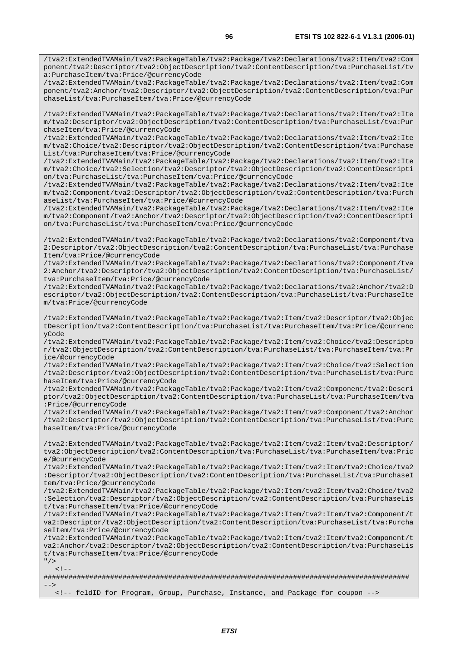/tva2:ExtendedTVAMain/tva2:PackageTable/tva2:Package/tva2:Declarations/tva2:Item/tva2:Com ponent/tva2:Descriptor/tva2:ObjectDescription/tva2:ContentDescription/tva:PurchaseList/tv a:PurchaseItem/tva:Price/@currencyCode

/tva2:ExtendedTVAMain/tva2:PackageTable/tva2:Package/tva2:Declarations/tva2:Item/tva2:Com ponent/tva2:Anchor/tva2:Descriptor/tva2:ObjectDescription/tva2:ContentDescription/tva:Pur chaseList/tva:PurchaseItem/tva:Price/@currencyCode

/tva2:ExtendedTVAMain/tva2:PackageTable/tva2:Package/tva2:Declarations/tva2:Item/tva2:Ite m/tva2:Descriptor/tva2:ObjectDescription/tva2:ContentDescription/tva:PurchaseList/tva:Pur chaseItem/tva:Price/@currencyCode

/tva2:ExtendedTVAMain/tva2:PackageTable/tva2:Package/tva2:Declarations/tva2:Item/tva2:Ite m/tva2:Choice/tva2:Descriptor/tva2:ObjectDescription/tva2:ContentDescription/tva:Purchase List/tva:PurchaseItem/tva:Price/@currencyCode

/tva2:ExtendedTVAMain/tva2:PackageTable/tva2:Package/tva2:Declarations/tva2:Item/tva2:Ite m/tva2:Choice/tva2:Selection/tva2:Descriptor/tva2:ObjectDescription/tva2:ContentDescripti on/tva:PurchaseList/tva:PurchaseItem/tva:Price/@currencyCode

/tva2:ExtendedTVAMain/tva2:PackageTable/tva2:Package/tva2:Declarations/tva2:Item/tva2:Ite m/tva2:Component/tva2:Descriptor/tva2:ObjectDescription/tva2:ContentDescription/tva:Purch aseList/tva:PurchaseItem/tva:Price/@currencyCode

/tva2:ExtendedTVAMain/tva2:PackageTable/tva2:Package/tva2:Declarations/tva2:Item/tva2:Ite m/tva2:Component/tva2:Anchor/tva2:Descriptor/tva2:ObjectDescription/tva2:ContentDescripti on/tva:PurchaseList/tva:PurchaseItem/tva:Price/@currencyCode

/tva2:ExtendedTVAMain/tva2:PackageTable/tva2:Package/tva2:Declarations/tva2:Component/tva 2:Descriptor/tva2:ObjectDescription/tva2:ContentDescription/tva:PurchaseList/tva:Purchase Item/tva:Price/@currencyCode

/tva2:ExtendedTVAMain/tva2:PackageTable/tva2:Package/tva2:Declarations/tva2:Component/tva 2:Anchor/tva2:Descriptor/tva2:ObjectDescription/tva2:ContentDescription/tva:PurchaseList/ tva:PurchaseItem/tva:Price/@currencyCode

/tva2:ExtendedTVAMain/tva2:PackageTable/tva2:Package/tva2:Declarations/tva2:Anchor/tva2:D escriptor/tva2:ObjectDescription/tva2:ContentDescription/tva:PurchaseList/tva:PurchaseIte m/tva:Price/@currencyCode

/tva2:ExtendedTVAMain/tva2:PackageTable/tva2:Package/tva2:Item/tva2:Descriptor/tva2:Objec tDescription/tva2:ContentDescription/tva:PurchaseList/tva:PurchaseItem/tva:Price/@currenc yCode

/tva2:ExtendedTVAMain/tva2:PackageTable/tva2:Package/tva2:Item/tva2:Choice/tva2:Descripto r/tva2:ObjectDescription/tva2:ContentDescription/tva:PurchaseList/tva:PurchaseItem/tva:Pr ice/@currencyCode

/tva2:ExtendedTVAMain/tva2:PackageTable/tva2:Package/tva2:Item/tva2:Choice/tva2:Selection /tva2:Descriptor/tva2:ObjectDescription/tva2:ContentDescription/tva:PurchaseList/tva:Purc haseItem/tva:Price/@currencyCode

/tva2:ExtendedTVAMain/tva2:PackageTable/tva2:Package/tva2:Item/tva2:Component/tva2:Descri ptor/tva2:ObjectDescription/tva2:ContentDescription/tva:PurchaseList/tva:PurchaseItem/tva :Price/@currencyCode

/tva2:ExtendedTVAMain/tva2:PackageTable/tva2:Package/tva2:Item/tva2:Component/tva2:Anchor /tva2:Descriptor/tva2:ObjectDescription/tva2:ContentDescription/tva:PurchaseList/tva:Purc haseItem/tva:Price/@currencyCode

/tva2:ExtendedTVAMain/tva2:PackageTable/tva2:Package/tva2:Item/tva2:Item/tva2:Descriptor/ tva2:ObjectDescription/tva2:ContentDescription/tva:PurchaseList/tva:PurchaseItem/tva:Pric e/@currencyCode

/tva2:ExtendedTVAMain/tva2:PackageTable/tva2:Package/tva2:Item/tva2:Item/tva2:Choice/tva2 :Descriptor/tva2:ObjectDescription/tva2:ContentDescription/tva:PurchaseList/tva:PurchaseI tem/tva:Price/@currencyCode

/tva2:ExtendedTVAMain/tva2:PackageTable/tva2:Package/tva2:Item/tva2:Item/tva2:Choice/tva2 :Selection/tva2:Descriptor/tva2:ObjectDescription/tva2:ContentDescription/tva:PurchaseLis t/tva:PurchaseItem/tva:Price/@currencyCode

/tva2:ExtendedTVAMain/tva2:PackageTable/tva2:Package/tva2:Item/tva2:Item/tva2:Component/t va2:Descriptor/tva2:ObjectDescription/tva2:ContentDescription/tva:PurchaseList/tva:Purcha seItem/tva:Price/@currencyCode

/tva2:ExtendedTVAMain/tva2:PackageTable/tva2:Package/tva2:Item/tva2:Item/tva2:Component/t va2:Anchor/tva2:Descriptor/tva2:ObjectDescription/tva2:ContentDescription/tva:PurchaseLis t/tva:PurchaseItem/tva:Price/@currencyCode

 $"$  />  $\geq 1$ 

######################################################################################## -->

<!-- feldID for Program, Group, Purchase, Instance, and Package for coupon -->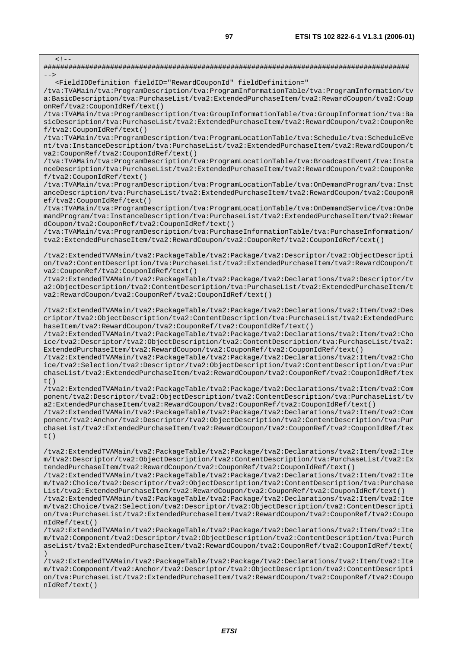$\leq$   $\perp$ ######################################################################################## --> <FieldIDDefinition fieldID="RewardCouponId" fieldDefinition=" /tva:TVAMain/tva:ProgramDescription/tva:ProgramInformationTable/tva:ProgramInformation/tv a:BasicDescription/tva:PurchaseList/tva2:ExtendedPurchaseItem/tva2:RewardCoupon/tva2:Coup onRef/tva2:CouponIdRef/text() /tva:TVAMain/tva:ProgramDescription/tva:GroupInformationTable/tva:GroupInformation/tva:Ba sicDescription/tva:PurchaseList/tva2:ExtendedPurchaseItem/tva2:RewardCoupon/tva2:CouponRe f/tva2:CouponIdRef/text() /tva:TVAMain/tva:ProgramDescription/tva:ProgramLocationTable/tva:Schedule/tva:ScheduleEve nt/tva:InstanceDescription/tva:PurchaseList/tva2:ExtendedPurchaseItem/tva2:RewardCoupon/t va2:CouponRef/tva2:CouponIdRef/text() /tva:TVAMain/tva:ProgramDescription/tva:ProgramLocationTable/tva:BroadcastEvent/tva:Insta nceDescription/tva:PurchaseList/tva2:ExtendedPurchaseItem/tva2:RewardCoupon/tva2:CouponRe f/tva2:CouponIdRef/text() /tva:TVAMain/tva:ProgramDescription/tva:ProgramLocationTable/tva:OnDemandProgram/tva:Inst anceDescription/tva:PurchaseList/tva2:ExtendedPurchaseItem/tva2:RewardCoupon/tva2:CouponR ef/tva2:CouponIdRef/text() /tva:TVAMain/tva:ProgramDescription/tva:ProgramLocationTable/tva:OnDemandService/tva:OnDe mandProgram/tva:InstanceDescription/tva:PurchaseList/tva2:ExtendedPurchaseItem/tva2:Rewar dCoupon/tva2:CouponRef/tva2:CouponIdRef/text() /tva:TVAMain/tva:ProgramDescription/tva:PurchaseInformationTable/tva:PurchaseInformation/ tva2:ExtendedPurchaseItem/tva2:RewardCoupon/tva2:CouponRef/tva2:CouponIdRef/text() /tva2:ExtendedTVAMain/tva2:PackageTable/tva2:Package/tva2:Descriptor/tva2:ObjectDescripti on/tva2:ContentDescription/tva:PurchaseList/tva2:ExtendedPurchaseItem/tva2:RewardCoupon/t va2:CouponRef/tva2:CouponIdRef/text() /tva2:ExtendedTVAMain/tva2:PackageTable/tva2:Package/tva2:Declarations/tva2:Descriptor/tv a2:ObjectDescription/tva2:ContentDescription/tva:PurchaseList/tva2:ExtendedPurchaseItem/t va2:RewardCoupon/tva2:CouponRef/tva2:CouponIdRef/text() /tva2:ExtendedTVAMain/tva2:PackageTable/tva2:Package/tva2:Declarations/tva2:Item/tva2:Des criptor/tva2:ObjectDescription/tva2:ContentDescription/tva:PurchaseList/tva2:ExtendedPurc haseItem/tva2:RewardCoupon/tva2:CouponRef/tva2:CouponIdRef/text() /tva2:ExtendedTVAMain/tva2:PackageTable/tva2:Package/tva2:Declarations/tva2:Item/tva2:Cho ice/tva2:Descriptor/tva2:ObjectDescription/tva2:ContentDescription/tva:PurchaseList/tva2: ExtendedPurchaseItem/tva2:RewardCoupon/tva2:CouponRef/tva2:CouponIdRef/text() /tva2:ExtendedTVAMain/tva2:PackageTable/tva2:Package/tva2:Declarations/tva2:Item/tva2:Cho ice/tva2:Selection/tva2:Descriptor/tva2:ObjectDescription/tva2:ContentDescription/tva:Pur chaseList/tva2:ExtendedPurchaseItem/tva2:RewardCoupon/tva2:CouponRef/tva2:CouponIdRef/tex  $t($ ) /tva2:ExtendedTVAMain/tva2:PackageTable/tva2:Package/tva2:Declarations/tva2:Item/tva2:Com ponent/tva2:Descriptor/tva2:ObjectDescription/tva2:ContentDescription/tva:PurchaseList/tv a2:ExtendedPurchaseItem/tva2:RewardCoupon/tva2:CouponRef/tva2:CouponIdRef/text() /tva2:ExtendedTVAMain/tva2:PackageTable/tva2:Package/tva2:Declarations/tva2:Item/tva2:Com ponent/tva2:Anchor/tva2:Descriptor/tva2:ObjectDescription/tva2:ContentDescription/tva:Pur chaseList/tva2:ExtendedPurchaseItem/tva2:RewardCoupon/tva2:CouponRef/tva2:CouponIdRef/tex t() /tva2:ExtendedTVAMain/tva2:PackageTable/tva2:Package/tva2:Declarations/tva2:Item/tva2:Ite m/tva2:Descriptor/tva2:ObjectDescription/tva2:ContentDescription/tva:PurchaseList/tva2:Ex tendedPurchaseItem/tva2:RewardCoupon/tva2:CouponRef/tva2:CouponIdRef/text() /tva2:ExtendedTVAMain/tva2:PackageTable/tva2:Package/tva2:Declarations/tva2:Item/tva2:Ite m/tva2:Choice/tva2:Descriptor/tva2:ObjectDescription/tva2:ContentDescription/tva:Purchase List/tva2:ExtendedPurchaseItem/tva2:RewardCoupon/tva2:CouponRef/tva2:CouponIdRef/text() /tva2:ExtendedTVAMain/tva2:PackageTable/tva2:Package/tva2:Declarations/tva2:Item/tva2:Ite m/tva2:Choice/tva2:Selection/tva2:Descriptor/tva2:ObjectDescription/tva2:ContentDescripti on/tva:PurchaseList/tva2:ExtendedPurchaseItem/tva2:RewardCoupon/tva2:CouponRef/tva2:Coupo nIdRef/text()

/tva2:ExtendedTVAMain/tva2:PackageTable/tva2:Package/tva2:Declarations/tva2:Item/tva2:Ite m/tva2:Component/tva2:Descriptor/tva2:ObjectDescription/tva2:ContentDescription/tva:Purch aseList/tva2:ExtendedPurchaseItem/tva2:RewardCoupon/tva2:CouponRef/tva2:CouponIdRef/text(  $)$ 

/tva2:ExtendedTVAMain/tva2:PackageTable/tva2:Package/tva2:Declarations/tva2:Item/tva2:Ite m/tva2:Component/tva2:Anchor/tva2:Descriptor/tva2:ObjectDescription/tva2:ContentDescripti on/tva:PurchaseList/tva2:ExtendedPurchaseItem/tva2:RewardCoupon/tva2:CouponRef/tva2:Coupo nIdRef/text()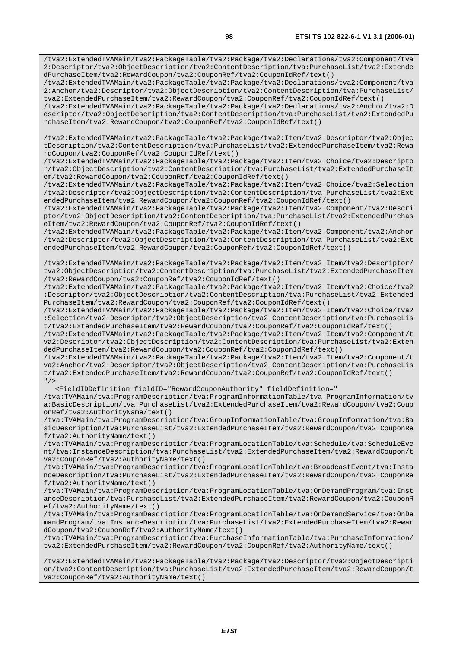/tva2:ExtendedTVAMain/tva2:PackageTable/tva2:Package/tva2:Declarations/tva2:Component/tva 2:Descriptor/tva2:ObjectDescription/tva2:ContentDescription/tva:PurchaseList/tva2:Extende dPurchaseItem/tva2:RewardCoupon/tva2:CouponRef/tva2:CouponIdRef/text()

/tva2:ExtendedTVAMain/tva2:PackageTable/tva2:Package/tva2:Declarations/tva2:Component/tva 2:Anchor/tva2:Descriptor/tva2:ObjectDescription/tva2:ContentDescription/tva:PurchaseList/ tva2:ExtendedPurchaseItem/tva2:RewardCoupon/tva2:CouponRef/tva2:CouponIdRef/text()

/tva2:ExtendedTVAMain/tva2:PackageTable/tva2:Package/tva2:Declarations/tva2:Anchor/tva2:D escriptor/tva2:ObjectDescription/tva2:ContentDescription/tva:PurchaseList/tva2:ExtendedPu rchaseItem/tva2:RewardCoupon/tva2:CouponRef/tva2:CouponIdRef/text()

/tva2:ExtendedTVAMain/tva2:PackageTable/tva2:Package/tva2:Item/tva2:Descriptor/tva2:Objec tDescription/tva2:ContentDescription/tva:PurchaseList/tva2:ExtendedPurchaseItem/tva2:Rewa rdCoupon/tva2:CouponRef/tva2:CouponIdRef/text()

/tva2:ExtendedTVAMain/tva2:PackageTable/tva2:Package/tva2:Item/tva2:Choice/tva2:Descripto r/tva2:ObjectDescription/tva2:ContentDescription/tva:PurchaseList/tva2:ExtendedPurchaseIt em/tva2:RewardCoupon/tva2:CouponRef/tva2:CouponIdRef/text()

/tva2:ExtendedTVAMain/tva2:PackageTable/tva2:Package/tva2:Item/tva2:Choice/tva2:Selection /tva2:Descriptor/tva2:ObjectDescription/tva2:ContentDescription/tva:PurchaseList/tva2:Ext endedPurchaseItem/tva2:RewardCoupon/tva2:CouponRef/tva2:CouponIdRef/text()

/tva2:ExtendedTVAMain/tva2:PackageTable/tva2:Package/tva2:Item/tva2:Component/tva2:Descri ptor/tva2:ObjectDescription/tva2:ContentDescription/tva:PurchaseList/tva2:ExtendedPurchas eItem/tva2:RewardCoupon/tva2:CouponRef/tva2:CouponIdRef/text()

/tva2:ExtendedTVAMain/tva2:PackageTable/tva2:Package/tva2:Item/tva2:Component/tva2:Anchor /tva2:Descriptor/tva2:ObjectDescription/tva2:ContentDescription/tva:PurchaseList/tva2:Ext endedPurchaseItem/tva2:RewardCoupon/tva2:CouponRef/tva2:CouponIdRef/text()

/tva2:ExtendedTVAMain/tva2:PackageTable/tva2:Package/tva2:Item/tva2:Item/tva2:Descriptor/ tva2:ObjectDescription/tva2:ContentDescription/tva:PurchaseList/tva2:ExtendedPurchaseItem /tva2:RewardCoupon/tva2:CouponRef/tva2:CouponIdRef/text()

/tva2:ExtendedTVAMain/tva2:PackageTable/tva2:Package/tva2:Item/tva2:Item/tva2:Choice/tva2 :Descriptor/tva2:ObjectDescription/tva2:ContentDescription/tva:PurchaseList/tva2:Extended PurchaseItem/tva2:RewardCoupon/tva2:CouponRef/tva2:CouponIdRef/text()

/tva2:ExtendedTVAMain/tva2:PackageTable/tva2:Package/tva2:Item/tva2:Item/tva2:Choice/tva2 :Selection/tva2:Descriptor/tva2:ObjectDescription/tva2:ContentDescription/tva:PurchaseLis t/tva2:ExtendedPurchaseItem/tva2:RewardCoupon/tva2:CouponRef/tva2:CouponIdRef/text()

/tva2:ExtendedTVAMain/tva2:PackageTable/tva2:Package/tva2:Item/tva2:Item/tva2:Component/t va2:Descriptor/tva2:ObjectDescription/tva2:ContentDescription/tva:PurchaseList/tva2:Exten dedPurchaseItem/tva2:RewardCoupon/tva2:CouponRef/tva2:CouponIdRef/text()

/tva2:ExtendedTVAMain/tva2:PackageTable/tva2:Package/tva2:Item/tva2:Item/tva2:Component/t va2:Anchor/tva2:Descriptor/tva2:ObjectDescription/tva2:ContentDescription/tva:PurchaseLis t/tva2:ExtendedPurchaseItem/tva2:RewardCoupon/tva2:CouponRef/tva2:CouponIdRef/text()  $"$ />

 <FieldIDDefinition fieldID="RewardCouponAuthority" fieldDefinition=" /tva:TVAMain/tva:ProgramDescription/tva:ProgramInformationTable/tva:ProgramInformation/tv a:BasicDescription/tva:PurchaseList/tva2:ExtendedPurchaseItem/tva2:RewardCoupon/tva2:Coup onRef/tva2:AuthorityName/text()

/tva:TVAMain/tva:ProgramDescription/tva:GroupInformationTable/tva:GroupInformation/tva:Ba sicDescription/tva:PurchaseList/tva2:ExtendedPurchaseItem/tva2:RewardCoupon/tva2:CouponRe f/tva2:AuthorityName/text()

/tva:TVAMain/tva:ProgramDescription/tva:ProgramLocationTable/tva:Schedule/tva:ScheduleEve nt/tva:InstanceDescription/tva:PurchaseList/tva2:ExtendedPurchaseItem/tva2:RewardCoupon/t va2:CouponRef/tva2:AuthorityName/text()

/tva:TVAMain/tva:ProgramDescription/tva:ProgramLocationTable/tva:BroadcastEvent/tva:Insta nceDescription/tva:PurchaseList/tva2:ExtendedPurchaseItem/tva2:RewardCoupon/tva2:CouponRe f/tva2:AuthorityName/text()

/tva:TVAMain/tva:ProgramDescription/tva:ProgramLocationTable/tva:OnDemandProgram/tva:Inst anceDescription/tva:PurchaseList/tva2:ExtendedPurchaseItem/tva2:RewardCoupon/tva2:CouponR ef/tva2:AuthorityName/text()

/tva:TVAMain/tva:ProgramDescription/tva:ProgramLocationTable/tva:OnDemandService/tva:OnDe mandProgram/tva:InstanceDescription/tva:PurchaseList/tva2:ExtendedPurchaseItem/tva2:Rewar dCoupon/tva2:CouponRef/tva2:AuthorityName/text()

/tva:TVAMain/tva:ProgramDescription/tva:PurchaseInformationTable/tva:PurchaseInformation/ tva2:ExtendedPurchaseItem/tva2:RewardCoupon/tva2:CouponRef/tva2:AuthorityName/text()

/tva2:ExtendedTVAMain/tva2:PackageTable/tva2:Package/tva2:Descriptor/tva2:ObjectDescripti on/tva2:ContentDescription/tva:PurchaseList/tva2:ExtendedPurchaseItem/tva2:RewardCoupon/t va2:CouponRef/tva2:AuthorityName/text()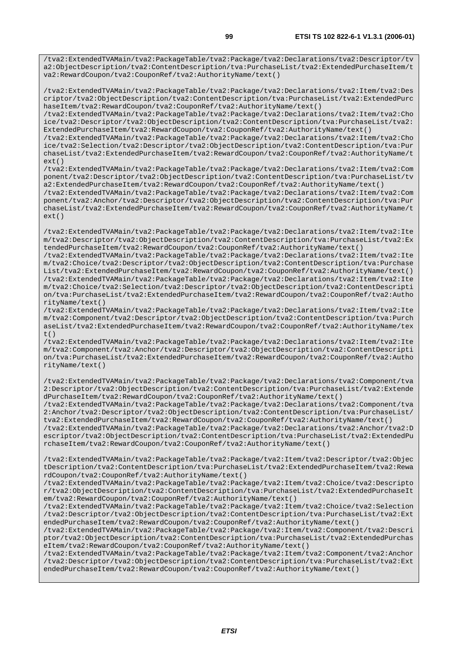/tva2:ExtendedTVAMain/tva2:PackageTable/tva2:Package/tva2:Declarations/tva2:Descriptor/tv a2:ObjectDescription/tva2:ContentDescription/tva:PurchaseList/tva2:ExtendedPurchaseItem/t va2:RewardCoupon/tva2:CouponRef/tva2:AuthorityName/text()

/tva2:ExtendedTVAMain/tva2:PackageTable/tva2:Package/tva2:Declarations/tva2:Item/tva2:Des criptor/tva2:ObjectDescription/tva2:ContentDescription/tva:PurchaseList/tva2:ExtendedPurc haseItem/tva2:RewardCoupon/tva2:CouponRef/tva2:AuthorityName/text()

/tva2:ExtendedTVAMain/tva2:PackageTable/tva2:Package/tva2:Declarations/tva2:Item/tva2:Cho ice/tva2:Descriptor/tva2:ObjectDescription/tva2:ContentDescription/tva:PurchaseList/tva2: ExtendedPurchaseItem/tva2:RewardCoupon/tva2:CouponRef/tva2:AuthorityName/text()

/tva2:ExtendedTVAMain/tva2:PackageTable/tva2:Package/tva2:Declarations/tva2:Item/tva2:Cho ice/tva2:Selection/tva2:Descriptor/tva2:ObjectDescription/tva2:ContentDescription/tva:Pur chaseList/tva2:ExtendedPurchaseItem/tva2:RewardCoupon/tva2:CouponRef/tva2:AuthorityName/t ext()

/tva2:ExtendedTVAMain/tva2:PackageTable/tva2:Package/tva2:Declarations/tva2:Item/tva2:Com ponent/tva2:Descriptor/tva2:ObjectDescription/tva2:ContentDescription/tva:PurchaseList/tv a2:ExtendedPurchaseItem/tva2:RewardCoupon/tva2:CouponRef/tva2:AuthorityName/text()

/tva2:ExtendedTVAMain/tva2:PackageTable/tva2:Package/tva2:Declarations/tva2:Item/tva2:Com ponent/tva2:Anchor/tva2:Descriptor/tva2:ObjectDescription/tva2:ContentDescription/tva:Pur chaseList/tva2:ExtendedPurchaseItem/tva2:RewardCoupon/tva2:CouponRef/tva2:AuthorityName/t ext()

/tva2:ExtendedTVAMain/tva2:PackageTable/tva2:Package/tva2:Declarations/tva2:Item/tva2:Ite m/tva2:Descriptor/tva2:ObjectDescription/tva2:ContentDescription/tva:PurchaseList/tva2:Ex tendedPurchaseItem/tva2:RewardCoupon/tva2:CouponRef/tva2:AuthorityName/text()

/tva2:ExtendedTVAMain/tva2:PackageTable/tva2:Package/tva2:Declarations/tva2:Item/tva2:Ite m/tva2:Choice/tva2:Descriptor/tva2:ObjectDescription/tva2:ContentDescription/tva:Purchase List/tva2:ExtendedPurchaseItem/tva2:RewardCoupon/tva2:CouponRef/tva2:AuthorityName/text() /tva2:ExtendedTVAMain/tva2:PackageTable/tva2:Package/tva2:Declarations/tva2:Item/tva2:Ite m/tva2:Choice/tva2:Selection/tva2:Descriptor/tva2:ObjectDescription/tva2:ContentDescripti on/tva:PurchaseList/tva2:ExtendedPurchaseItem/tva2:RewardCoupon/tva2:CouponRef/tva2:Autho rityName/text()

/tva2:ExtendedTVAMain/tva2:PackageTable/tva2:Package/tva2:Declarations/tva2:Item/tva2:Ite m/tva2:Component/tva2:Descriptor/tva2:ObjectDescription/tva2:ContentDescription/tva:Purch aseList/tva2:ExtendedPurchaseItem/tva2:RewardCoupon/tva2:CouponRef/tva2:AuthorityName/tex t()

/tva2:ExtendedTVAMain/tva2:PackageTable/tva2:Package/tva2:Declarations/tva2:Item/tva2:Ite m/tva2:Component/tva2:Anchor/tva2:Descriptor/tva2:ObjectDescription/tva2:ContentDescripti on/tva:PurchaseList/tva2:ExtendedPurchaseItem/tva2:RewardCoupon/tva2:CouponRef/tva2:Autho rityName/text()

/tva2:ExtendedTVAMain/tva2:PackageTable/tva2:Package/tva2:Declarations/tva2:Component/tva 2:Descriptor/tva2:ObjectDescription/tva2:ContentDescription/tva:PurchaseList/tva2:Extende dPurchaseItem/tva2:RewardCoupon/tva2:CouponRef/tva2:AuthorityName/text()

/tva2:ExtendedTVAMain/tva2:PackageTable/tva2:Package/tva2:Declarations/tva2:Component/tva 2:Anchor/tva2:Descriptor/tva2:ObjectDescription/tva2:ContentDescription/tva:PurchaseList/ tva2:ExtendedPurchaseItem/tva2:RewardCoupon/tva2:CouponRef/tva2:AuthorityName/text()

/tva2:ExtendedTVAMain/tva2:PackageTable/tva2:Package/tva2:Declarations/tva2:Anchor/tva2:D escriptor/tva2:ObjectDescription/tva2:ContentDescription/tva:PurchaseList/tva2:ExtendedPu rchaseItem/tva2:RewardCoupon/tva2:CouponRef/tva2:AuthorityName/text()

/tva2:ExtendedTVAMain/tva2:PackageTable/tva2:Package/tva2:Item/tva2:Descriptor/tva2:Objec tDescription/tva2:ContentDescription/tva:PurchaseList/tva2:ExtendedPurchaseItem/tva2:Rewa rdCoupon/tva2:CouponRef/tva2:AuthorityName/text()

/tva2:ExtendedTVAMain/tva2:PackageTable/tva2:Package/tva2:Item/tva2:Choice/tva2:Descripto r/tva2:ObjectDescription/tva2:ContentDescription/tva:PurchaseList/tva2:ExtendedPurchaseIt em/tva2:RewardCoupon/tva2:CouponRef/tva2:AuthorityName/text()

/tva2:ExtendedTVAMain/tva2:PackageTable/tva2:Package/tva2:Item/tva2:Choice/tva2:Selection /tva2:Descriptor/tva2:ObjectDescription/tva2:ContentDescription/tva:PurchaseList/tva2:Ext endedPurchaseItem/tva2:RewardCoupon/tva2:CouponRef/tva2:AuthorityName/text()

/tva2:ExtendedTVAMain/tva2:PackageTable/tva2:Package/tva2:Item/tva2:Component/tva2:Descri ptor/tva2:ObjectDescription/tva2:ContentDescription/tva:PurchaseList/tva2:ExtendedPurchas eItem/tva2:RewardCoupon/tva2:CouponRef/tva2:AuthorityName/text()

/tva2:ExtendedTVAMain/tva2:PackageTable/tva2:Package/tva2:Item/tva2:Component/tva2:Anchor /tva2:Descriptor/tva2:ObjectDescription/tva2:ContentDescription/tva:PurchaseList/tva2:Ext endedPurchaseItem/tva2:RewardCoupon/tva2:CouponRef/tva2:AuthorityName/text()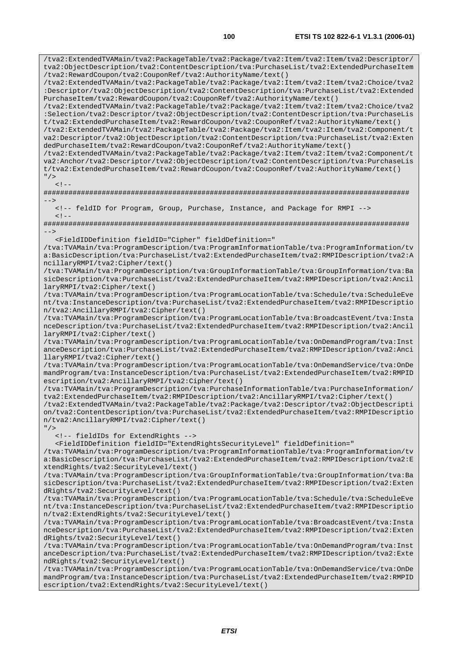/tva2:ExtendedTVAMain/tva2:PackageTable/tva2:Package/tva2:Item/tva2:Item/tva2:Descriptor/ tva2:ObjectDescription/tva2:ContentDescription/tva:PurchaseList/tva2:ExtendedPurchaseItem /tva2:RewardCoupon/tva2:CouponRef/tva2:AuthorityName/text()

/tva2:ExtendedTVAMain/tva2:PackageTable/tva2:Package/tva2:Item/tva2:Item/tva2:Choice/tva2 :Descriptor/tva2:ObjectDescription/tva2:ContentDescription/tva:PurchaseList/tva2:Extended PurchaseItem/tva2:RewardCoupon/tva2:CouponRef/tva2:AuthorityName/text()

/tva2:ExtendedTVAMain/tva2:PackageTable/tva2:Package/tva2:Item/tva2:Item/tva2:Choice/tva2 :Selection/tva2:Descriptor/tva2:ObjectDescription/tva2:ContentDescription/tva:PurchaseLis t/tva2:ExtendedPurchaseItem/tva2:RewardCoupon/tva2:CouponRef/tva2:AuthorityName/text()

/tva2:ExtendedTVAMain/tva2:PackageTable/tva2:Package/tva2:Item/tva2:Item/tva2:Component/t va2:Descriptor/tva2:ObjectDescription/tva2:ContentDescription/tva:PurchaseList/tva2:Exten dedPurchaseItem/tva2:RewardCoupon/tva2:CouponRef/tva2:AuthorityName/text()

/tva2:ExtendedTVAMain/tva2:PackageTable/tva2:Package/tva2:Item/tva2:Item/tva2:Component/t va2:Anchor/tva2:Descriptor/tva2:ObjectDescription/tva2:ContentDescription/tva:PurchaseLis t/tva2:ExtendedPurchaseItem/tva2:RewardCoupon/tva2:CouponRef/tva2:AuthorityName/text()  $"$  />

 $\leq 1$ 

 $<$ ! --

######################################################################################## -->

<!-- feldID for Program, Group, Purchase, Instance, and Package for RMPI -->

######################################################################################## -->

<FieldIDDefinition fieldID="Cipher" fieldDefinition="

/tva:TVAMain/tva:ProgramDescription/tva:ProgramInformationTable/tva:ProgramInformation/tv a:BasicDescription/tva:PurchaseList/tva2:ExtendedPurchaseItem/tva2:RMPIDescription/tva2:A ncillaryRMPI/tva2:Cipher/text()

/tva:TVAMain/tva:ProgramDescription/tva:GroupInformationTable/tva:GroupInformation/tva:Ba sicDescription/tva:PurchaseList/tva2:ExtendedPurchaseItem/tva2:RMPIDescription/tva2:Ancil laryRMPI/tva2:Cipher/text()

/tva:TVAMain/tva:ProgramDescription/tva:ProgramLocationTable/tva:Schedule/tva:ScheduleEve nt/tva:InstanceDescription/tva:PurchaseList/tva2:ExtendedPurchaseItem/tva2:RMPIDescriptio n/tva2:AncillaryRMPI/tva2:Cipher/text()

/tva:TVAMain/tva:ProgramDescription/tva:ProgramLocationTable/tva:BroadcastEvent/tva:Insta nceDescription/tva:PurchaseList/tva2:ExtendedPurchaseItem/tva2:RMPIDescription/tva2:Ancil laryRMPI/tva2:Cipher/text()

/tva:TVAMain/tva:ProgramDescription/tva:ProgramLocationTable/tva:OnDemandProgram/tva:Inst anceDescription/tva:PurchaseList/tva2:ExtendedPurchaseItem/tva2:RMPIDescription/tva2:Anci llaryRMPI/tva2:Cipher/text()

/tva:TVAMain/tva:ProgramDescription/tva:ProgramLocationTable/tva:OnDemandService/tva:OnDe mandProgram/tva:InstanceDescription/tva:PurchaseList/tva2:ExtendedPurchaseItem/tva2:RMPID escription/tva2:AncillaryRMPI/tva2:Cipher/text()

/tva:TVAMain/tva:ProgramDescription/tva:PurchaseInformationTable/tva:PurchaseInformation/ tva2:ExtendedPurchaseItem/tva2:RMPIDescription/tva2:AncillaryRMPI/tva2:Cipher/text()

/tva2:ExtendedTVAMain/tva2:PackageTable/tva2:Package/tva2:Descriptor/tva2:ObjectDescripti on/tva2:ContentDescription/tva:PurchaseList/tva2:ExtendedPurchaseItem/tva2:RMPIDescriptio n/tva2:AncillaryRMPI/tva2:Cipher/text()

"/>

<!-- fieldIDs for ExtendRights -->

<FieldIDDefinition fieldID="ExtendRightsSecurityLevel" fieldDefinition="

/tva:TVAMain/tva:ProgramDescription/tva:ProgramInformationTable/tva:ProgramInformation/tv a:BasicDescription/tva:PurchaseList/tva2:ExtendedPurchaseItem/tva2:RMPIDescription/tva2:E xtendRights/tva2:SecurityLevel/text()

/tva:TVAMain/tva:ProgramDescription/tva:GroupInformationTable/tva:GroupInformation/tva:Ba sicDescription/tva:PurchaseList/tva2:ExtendedPurchaseItem/tva2:RMPIDescription/tva2:Exten dRights/tva2:SecurityLevel/text()

/tva:TVAMain/tva:ProgramDescription/tva:ProgramLocationTable/tva:Schedule/tva:ScheduleEve nt/tva:InstanceDescription/tva:PurchaseList/tva2:ExtendedPurchaseItem/tva2:RMPIDescriptio n/tva2:ExtendRights/tva2:SecurityLevel/text()

/tva:TVAMain/tva:ProgramDescription/tva:ProgramLocationTable/tva:BroadcastEvent/tva:Insta nceDescription/tva:PurchaseList/tva2:ExtendedPurchaseItem/tva2:RMPIDescription/tva2:Exten dRights/tva2:SecurityLevel/text()

/tva:TVAMain/tva:ProgramDescription/tva:ProgramLocationTable/tva:OnDemandProgram/tva:Inst anceDescription/tva:PurchaseList/tva2:ExtendedPurchaseItem/tva2:RMPIDescription/tva2:Exte ndRights/tva2:SecurityLevel/text()

/tva:TVAMain/tva:ProgramDescription/tva:ProgramLocationTable/tva:OnDemandService/tva:OnDe mandProgram/tva:InstanceDescription/tva:PurchaseList/tva2:ExtendedPurchaseItem/tva2:RMPID escription/tva2:ExtendRights/tva2:SecurityLevel/text()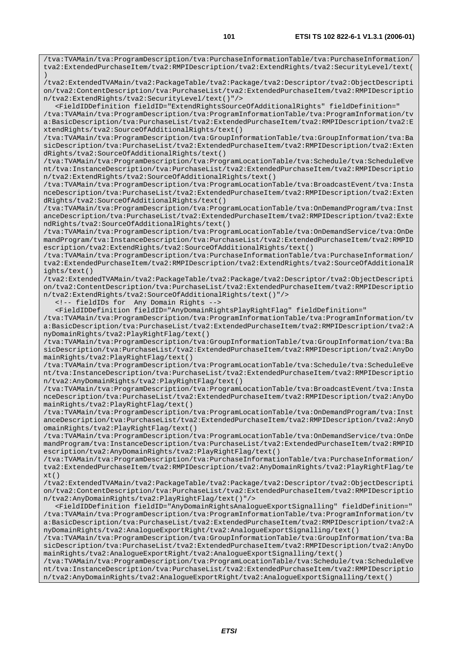/tva:TVAMain/tva:ProgramDescription/tva:PurchaseInformationTable/tva:PurchaseInformation/ tva2:ExtendedPurchaseItem/tva2:RMPIDescription/tva2:ExtendRights/tva2:SecurityLevel/text( )

/tva2:ExtendedTVAMain/tva2:PackageTable/tva2:Package/tva2:Descriptor/tva2:ObjectDescripti on/tva2:ContentDescription/tva:PurchaseList/tva2:ExtendedPurchaseItem/tva2:RMPIDescriptio n/tva2:ExtendRights/tva2:SecurityLevel/text()"/>

 <FieldIDDefinition fieldID="ExtendRightsSourceOfAdditionalRights" fieldDefinition=" /tva:TVAMain/tva:ProgramDescription/tva:ProgramInformationTable/tva:ProgramInformation/tv a:BasicDescription/tva:PurchaseList/tva2:ExtendedPurchaseItem/tva2:RMPIDescription/tva2:E xtendRights/tva2:SourceOfAdditionalRights/text()

/tva:TVAMain/tva:ProgramDescription/tva:GroupInformationTable/tva:GroupInformation/tva:Ba sicDescription/tva:PurchaseList/tva2:ExtendedPurchaseItem/tva2:RMPIDescription/tva2:Exten dRights/tva2:SourceOfAdditionalRights/text()

/tva:TVAMain/tva:ProgramDescription/tva:ProgramLocationTable/tva:Schedule/tva:ScheduleEve nt/tva:InstanceDescription/tva:PurchaseList/tva2:ExtendedPurchaseItem/tva2:RMPIDescriptio n/tva2:ExtendRights/tva2:SourceOfAdditionalRights/text()

/tva:TVAMain/tva:ProgramDescription/tva:ProgramLocationTable/tva:BroadcastEvent/tva:Insta nceDescription/tva:PurchaseList/tva2:ExtendedPurchaseItem/tva2:RMPIDescription/tva2:Exten dRights/tva2:SourceOfAdditionalRights/text()

/tva:TVAMain/tva:ProgramDescription/tva:ProgramLocationTable/tva:OnDemandProgram/tva:Inst anceDescription/tva:PurchaseList/tva2:ExtendedPurchaseItem/tva2:RMPIDescription/tva2:Exte ndRights/tva2:SourceOfAdditionalRights/text()

/tva:TVAMain/tva:ProgramDescription/tva:ProgramLocationTable/tva:OnDemandService/tva:OnDe mandProgram/tva:InstanceDescription/tva:PurchaseList/tva2:ExtendedPurchaseItem/tva2:RMPID escription/tva2:ExtendRights/tva2:SourceOfAdditionalRights/text()

/tva:TVAMain/tva:ProgramDescription/tva:PurchaseInformationTable/tva:PurchaseInformation/ tva2:ExtendedPurchaseItem/tva2:RMPIDescription/tva2:ExtendRights/tva2:SourceOfAdditionalR ights/text()

/tva2:ExtendedTVAMain/tva2:PackageTable/tva2:Package/tva2:Descriptor/tva2:ObjectDescripti on/tva2:ContentDescription/tva:PurchaseList/tva2:ExtendedPurchaseItem/tva2:RMPIDescriptio n/tva2:ExtendRights/tva2:SourceOfAdditionalRights/text()"/>

<!-- fieldIDs for Any Domain Rights -->

<FieldIDDefinition fieldID="AnyDomainRightsPlayRightFlag" fieldDefinition="

/tva:TVAMain/tva:ProgramDescription/tva:ProgramInformationTable/tva:ProgramInformation/tv a:BasicDescription/tva:PurchaseList/tva2:ExtendedPurchaseItem/tva2:RMPIDescription/tva2:A nyDomainRights/tva2:PlayRightFlag/text()

/tva:TVAMain/tva:ProgramDescription/tva:GroupInformationTable/tva:GroupInformation/tva:Ba sicDescription/tva:PurchaseList/tva2:ExtendedPurchaseItem/tva2:RMPIDescription/tva2:AnyDo mainRights/tva2:PlayRightFlag/text()

/tva:TVAMain/tva:ProgramDescription/tva:ProgramLocationTable/tva:Schedule/tva:ScheduleEve nt/tva:InstanceDescription/tva:PurchaseList/tva2:ExtendedPurchaseItem/tva2:RMPIDescriptio n/tva2:AnyDomainRights/tva2:PlayRightFlag/text()

/tva:TVAMain/tva:ProgramDescription/tva:ProgramLocationTable/tva:BroadcastEvent/tva:Insta nceDescription/tva:PurchaseList/tva2:ExtendedPurchaseItem/tva2:RMPIDescription/tva2:AnyDo mainRights/tva2:PlayRightFlag/text()

/tva:TVAMain/tva:ProgramDescription/tva:ProgramLocationTable/tva:OnDemandProgram/tva:Inst anceDescription/tva:PurchaseList/tva2:ExtendedPurchaseItem/tva2:RMPIDescription/tva2:AnyD omainRights/tva2:PlayRightFlag/text()

/tva:TVAMain/tva:ProgramDescription/tva:ProgramLocationTable/tva:OnDemandService/tva:OnDe mandProgram/tva:InstanceDescription/tva:PurchaseList/tva2:ExtendedPurchaseItem/tva2:RMPID escription/tva2:AnyDomainRights/tva2:PlayRightFlag/text()

/tva:TVAMain/tva:ProgramDescription/tva:PurchaseInformationTable/tva:PurchaseInformation/ tva2:ExtendedPurchaseItem/tva2:RMPIDescription/tva2:AnyDomainRights/tva2:PlayRightFlag/te  $x_t(t)$ 

/tva2:ExtendedTVAMain/tva2:PackageTable/tva2:Package/tva2:Descriptor/tva2:ObjectDescripti on/tva2:ContentDescription/tva:PurchaseList/tva2:ExtendedPurchaseItem/tva2:RMPIDescriptio n/tva2:AnyDomainRights/tva2:PlayRightFlag/text()"/>

 <FieldIDDefinition fieldID="AnyDomainRightsAnalogueExportSignalling" fieldDefinition=" /tva:TVAMain/tva:ProgramDescription/tva:ProgramInformationTable/tva:ProgramInformation/tv a:BasicDescription/tva:PurchaseList/tva2:ExtendedPurchaseItem/tva2:RMPIDescription/tva2:A nyDomainRights/tva2:AnalogueExportRight/tva2:AnalogueExportSignalling/text()

/tva:TVAMain/tva:ProgramDescription/tva:GroupInformationTable/tva:GroupInformation/tva:Ba sicDescription/tva:PurchaseList/tva2:ExtendedPurchaseItem/tva2:RMPIDescription/tva2:AnyDo mainRights/tva2:AnalogueExportRight/tva2:AnalogueExportSignalling/text()

/tva:TVAMain/tva:ProgramDescription/tva:ProgramLocationTable/tva:Schedule/tva:ScheduleEve nt/tva:InstanceDescription/tva:PurchaseList/tva2:ExtendedPurchaseItem/tva2:RMPIDescriptio n/tva2:AnyDomainRights/tva2:AnalogueExportRight/tva2:AnalogueExportSignalling/text()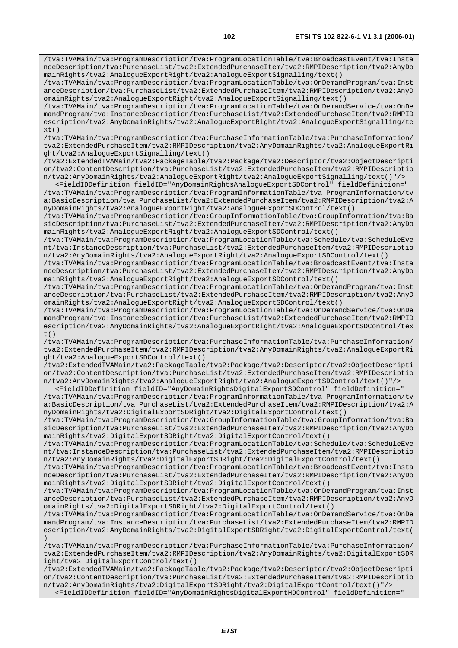/tva:TVAMain/tva:ProgramDescription/tva:ProgramLocationTable/tva:BroadcastEvent/tva:Insta nceDescription/tva:PurchaseList/tva2:ExtendedPurchaseItem/tva2:RMPIDescription/tva2:AnyDo mainRights/tva2:AnalogueExportRight/tva2:AnalogueExportSignalling/text()

/tva:TVAMain/tva:ProgramDescription/tva:ProgramLocationTable/tva:OnDemandProgram/tva:Inst anceDescription/tva:PurchaseList/tva2:ExtendedPurchaseItem/tva2:RMPIDescription/tva2:AnyD omainRights/tva2:AnalogueExportRight/tva2:AnalogueExportSignalling/text()

/tva:TVAMain/tva:ProgramDescription/tva:ProgramLocationTable/tva:OnDemandService/tva:OnDe mandProgram/tva:InstanceDescription/tva:PurchaseList/tva2:ExtendedPurchaseItem/tva2:RMPID escription/tva2:AnyDomainRights/tva2:AnalogueExportRight/tva2:AnalogueExportSignalling/te  $xt()$ 

/tva:TVAMain/tva:ProgramDescription/tva:PurchaseInformationTable/tva:PurchaseInformation/ tva2:ExtendedPurchaseItem/tva2:RMPIDescription/tva2:AnyDomainRights/tva2:AnalogueExportRi ght/tva2:AnalogueExportSignalling/text()

/tva2:ExtendedTVAMain/tva2:PackageTable/tva2:Package/tva2:Descriptor/tva2:ObjectDescripti on/tva2:ContentDescription/tva:PurchaseList/tva2:ExtendedPurchaseItem/tva2:RMPIDescriptio n/tva2:AnyDomainRights/tva2:AnalogueExportRight/tva2:AnalogueExportSignalling/text()"/> <FieldIDDefinition fieldID="AnyDomainRightsAnalogueExportSDControl" fieldDefinition="

/tva:TVAMain/tva:ProgramDescription/tva:ProgramInformationTable/tva:ProgramInformation/tv a:BasicDescription/tva:PurchaseList/tva2:ExtendedPurchaseItem/tva2:RMPIDescription/tva2:A nyDomainRights/tva2:AnalogueExportRight/tva2:AnalogueExportSDControl/text()

/tva:TVAMain/tva:ProgramDescription/tva:GroupInformationTable/tva:GroupInformation/tva:Ba sicDescription/tva:PurchaseList/tva2:ExtendedPurchaseItem/tva2:RMPIDescription/tva2:AnyDo mainRights/tva2:AnalogueExportRight/tva2:AnalogueExportSDControl/text()

/tva:TVAMain/tva:ProgramDescription/tva:ProgramLocationTable/tva:Schedule/tva:ScheduleEve nt/tva:InstanceDescription/tva:PurchaseList/tva2:ExtendedPurchaseItem/tva2:RMPIDescriptio n/tva2:AnyDomainRights/tva2:AnalogueExportRight/tva2:AnalogueExportSDControl/text()

/tva:TVAMain/tva:ProgramDescription/tva:ProgramLocationTable/tva:BroadcastEvent/tva:Insta nceDescription/tva:PurchaseList/tva2:ExtendedPurchaseItem/tva2:RMPIDescription/tva2:AnyDo mainRights/tva2:AnalogueExportRight/tva2:AnalogueExportSDControl/text()

/tva:TVAMain/tva:ProgramDescription/tva:ProgramLocationTable/tva:OnDemandProgram/tva:Inst anceDescription/tva:PurchaseList/tva2:ExtendedPurchaseItem/tva2:RMPIDescription/tva2:AnyD omainRights/tva2:AnalogueExportRight/tva2:AnalogueExportSDControl/text()

/tva:TVAMain/tva:ProgramDescription/tva:ProgramLocationTable/tva:OnDemandService/tva:OnDe mandProgram/tva:InstanceDescription/tva:PurchaseList/tva2:ExtendedPurchaseItem/tva2:RMPID escription/tva2:AnyDomainRights/tva2:AnalogueExportRight/tva2:AnalogueExportSDControl/tex t()

/tva:TVAMain/tva:ProgramDescription/tva:PurchaseInformationTable/tva:PurchaseInformation/ tva2:ExtendedPurchaseItem/tva2:RMPIDescription/tva2:AnyDomainRights/tva2:AnalogueExportRi ght/tva2:AnalogueExportSDControl/text()

/tva2:ExtendedTVAMain/tva2:PackageTable/tva2:Package/tva2:Descriptor/tva2:ObjectDescripti on/tva2:ContentDescription/tva:PurchaseList/tva2:ExtendedPurchaseItem/tva2:RMPIDescriptio n/tva2:AnyDomainRights/tva2:AnalogueExportRight/tva2:AnalogueExportSDControl/text()"/>

 <FieldIDDefinition fieldID="AnyDomainRightsDigitalExportSDControl" fieldDefinition=" /tva:TVAMain/tva:ProgramDescription/tva:ProgramInformationTable/tva:ProgramInformation/tv a:BasicDescription/tva:PurchaseList/tva2:ExtendedPurchaseItem/tva2:RMPIDescription/tva2:A nyDomainRights/tva2:DigitalExportSDRight/tva2:DigitalExportControl/text()

/tva:TVAMain/tva:ProgramDescription/tva:GroupInformationTable/tva:GroupInformation/tva:Ba sicDescription/tva:PurchaseList/tva2:ExtendedPurchaseItem/tva2:RMPIDescription/tva2:AnyDo mainRights/tva2:DigitalExportSDRight/tva2:DigitalExportControl/text()

/tva:TVAMain/tva:ProgramDescription/tva:ProgramLocationTable/tva:Schedule/tva:ScheduleEve nt/tva:InstanceDescription/tva:PurchaseList/tva2:ExtendedPurchaseItem/tva2:RMPIDescriptio n/tva2:AnyDomainRights/tva2:DigitalExportSDRight/tva2:DigitalExportControl/text()

/tva:TVAMain/tva:ProgramDescription/tva:ProgramLocationTable/tva:BroadcastEvent/tva:Insta nceDescription/tva:PurchaseList/tva2:ExtendedPurchaseItem/tva2:RMPIDescription/tva2:AnyDo mainRights/tva2:DigitalExportSDRight/tva2:DigitalExportControl/text()

/tva:TVAMain/tva:ProgramDescription/tva:ProgramLocationTable/tva:OnDemandProgram/tva:Inst anceDescription/tva:PurchaseList/tva2:ExtendedPurchaseItem/tva2:RMPIDescription/tva2:AnyD omainRights/tva2:DigitalExportSDRight/tva2:DigitalExportControl/text()

/tva:TVAMain/tva:ProgramDescription/tva:ProgramLocationTable/tva:OnDemandService/tva:OnDe mandProgram/tva:InstanceDescription/tva:PurchaseList/tva2:ExtendedPurchaseItem/tva2:RMPID escription/tva2:AnyDomainRights/tva2:DigitalExportSDRight/tva2:DigitalExportControl/text( )

/tva:TVAMain/tva:ProgramDescription/tva:PurchaseInformationTable/tva:PurchaseInformation/ tva2:ExtendedPurchaseItem/tva2:RMPIDescription/tva2:AnyDomainRights/tva2:DigitalExportSDR ight/tva2:DigitalExportControl/text()

/tva2:ExtendedTVAMain/tva2:PackageTable/tva2:Package/tva2:Descriptor/tva2:ObjectDescripti on/tva2:ContentDescription/tva:PurchaseList/tva2:ExtendedPurchaseItem/tva2:RMPIDescriptio n/tva2:AnyDomainRights/tva2:DigitalExportSDRight/tva2:DigitalExportControl/text()"/> <FieldIDDefinition fieldID="AnyDomainRightsDigitalExportHDControl" fieldDefinition="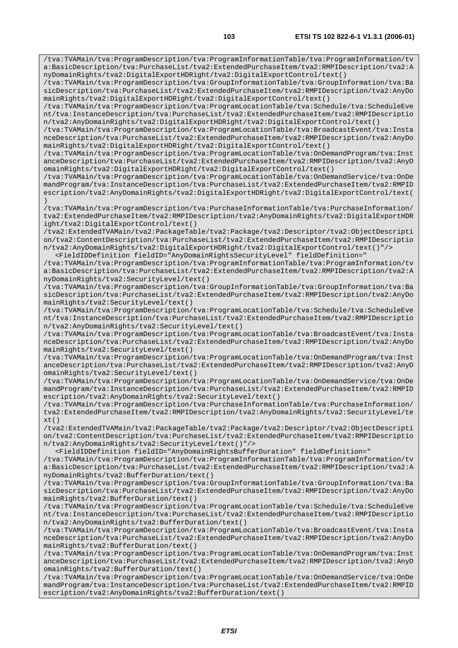/tva:TVAMain/tva:ProgramDescription/tva:ProgramInformationTable/tva:ProgramInformation/tv a:BasicDescription/tva:PurchaseList/tva2:ExtendedPurchaseItem/tva2:RMPIDescription/tva2:A nyDomainRights/tva2:DigitalExportHDRight/tva2:DigitalExportControl/text()

/tva:TVAMain/tva:ProgramDescription/tva:GroupInformationTable/tva:GroupInformation/tva:Ba sicDescription/tva:PurchaseList/tva2:ExtendedPurchaseItem/tva2:RMPIDescription/tva2:AnyDo mainRights/tva2:DigitalExportHDRight/tva2:DigitalExportControl/text()

/tva:TVAMain/tva:ProgramDescription/tva:ProgramLocationTable/tva:Schedule/tva:ScheduleEve nt/tva:InstanceDescription/tva:PurchaseList/tva2:ExtendedPurchaseItem/tva2:RMPIDescriptio n/tva2:AnyDomainRights/tva2:DigitalExportHDRight/tva2:DigitalExportControl/text()

/tva:TVAMain/tva:ProgramDescription/tva:ProgramLocationTable/tva:BroadcastEvent/tva:Insta nceDescription/tva:PurchaseList/tva2:ExtendedPurchaseItem/tva2:RMPIDescription/tva2:AnyDo mainRights/tva2:DigitalExportHDRight/tva2:DigitalExportControl/text()

/tva:TVAMain/tva:ProgramDescription/tva:ProgramLocationTable/tva:OnDemandProgram/tva:Inst anceDescription/tva:PurchaseList/tva2:ExtendedPurchaseItem/tva2:RMPIDescription/tva2:AnyD omainRights/tva2:DigitalExportHDRight/tva2:DigitalExportControl/text()

/tva:TVAMain/tva:ProgramDescription/tva:ProgramLocationTable/tva:OnDemandService/tva:OnDe mandProgram/tva:InstanceDescription/tva:PurchaseList/tva2:ExtendedPurchaseItem/tva2:RMPID escription/tva2:AnyDomainRights/tva2:DigitalExportHDRight/tva2:DigitalExportControl/text( )

/tva:TVAMain/tva:ProgramDescription/tva:PurchaseInformationTable/tva:PurchaseInformation/ tva2:ExtendedPurchaseItem/tva2:RMPIDescription/tva2:AnyDomainRights/tva2:DigitalExportHDR ight/tva2:DigitalExportControl/text()

/tva2:ExtendedTVAMain/tva2:PackageTable/tva2:Package/tva2:Descriptor/tva2:ObjectDescripti on/tva2:ContentDescription/tva:PurchaseList/tva2:ExtendedPurchaseItem/tva2:RMPIDescriptio n/tva2:AnyDomainRights/tva2:DigitalExportHDRight/tva2:DigitalExportControl/text()"/> <FieldIDDefinition fieldID="AnyDomainRightsSecurityLevel" fieldDefinition="

/tva:TVAMain/tva:ProgramDescription/tva:ProgramInformationTable/tva:ProgramInformation/tv a:BasicDescription/tva:PurchaseList/tva2:ExtendedPurchaseItem/tva2:RMPIDescription/tva2:A nyDomainRights/tva2:SecurityLevel/text()

/tva:TVAMain/tva:ProgramDescription/tva:GroupInformationTable/tva:GroupInformation/tva:Ba sicDescription/tva:PurchaseList/tva2:ExtendedPurchaseItem/tva2:RMPIDescription/tva2:AnyDo mainRights/tva2:SecurityLevel/text()

/tva:TVAMain/tva:ProgramDescription/tva:ProgramLocationTable/tva:Schedule/tva:ScheduleEve nt/tva:InstanceDescription/tva:PurchaseList/tva2:ExtendedPurchaseItem/tva2:RMPIDescriptio n/tva2:AnyDomainRights/tva2:SecurityLevel/text()

/tva:TVAMain/tva:ProgramDescription/tva:ProgramLocationTable/tva:BroadcastEvent/tva:Insta nceDescription/tva:PurchaseList/tva2:ExtendedPurchaseItem/tva2:RMPIDescription/tva2:AnyDo mainRights/tva2:SecurityLevel/text()

/tva:TVAMain/tva:ProgramDescription/tva:ProgramLocationTable/tva:OnDemandProgram/tva:Inst anceDescription/tva:PurchaseList/tva2:ExtendedPurchaseItem/tva2:RMPIDescription/tva2:AnyD omainRights/tva2:SecurityLevel/text()

/tva:TVAMain/tva:ProgramDescription/tva:ProgramLocationTable/tva:OnDemandService/tva:OnDe mandProgram/tva:InstanceDescription/tva:PurchaseList/tva2:ExtendedPurchaseItem/tva2:RMPID escription/tva2:AnyDomainRights/tva2:SecurityLevel/text()

/tva:TVAMain/tva:ProgramDescription/tva:PurchaseInformationTable/tva:PurchaseInformation/ tva2:ExtendedPurchaseItem/tva2:RMPIDescription/tva2:AnyDomainRights/tva2:SecurityLevel/te xt()

/tva2:ExtendedTVAMain/tva2:PackageTable/tva2:Package/tva2:Descriptor/tva2:ObjectDescripti on/tva2:ContentDescription/tva:PurchaseList/tva2:ExtendedPurchaseItem/tva2:RMPIDescriptio n/tva2:AnyDomainRights/tva2:SecurityLevel/text()"/>

<FieldIDDefinition fieldID="AnyDomainRightsBufferDuration" fieldDefinition="

/tva:TVAMain/tva:ProgramDescription/tva:ProgramInformationTable/tva:ProgramInformation/tv a:BasicDescription/tva:PurchaseList/tva2:ExtendedPurchaseItem/tva2:RMPIDescription/tva2:A nyDomainRights/tva2:BufferDuration/text()

/tva:TVAMain/tva:ProgramDescription/tva:GroupInformationTable/tva:GroupInformation/tva:Ba sicDescription/tva:PurchaseList/tva2:ExtendedPurchaseItem/tva2:RMPIDescription/tva2:AnyDo mainRights/tva2:BufferDuration/text()

/tva:TVAMain/tva:ProgramDescription/tva:ProgramLocationTable/tva:Schedule/tva:ScheduleEve nt/tva:InstanceDescription/tva:PurchaseList/tva2:ExtendedPurchaseItem/tva2:RMPIDescriptio n/tva2:AnyDomainRights/tva2:BufferDuration/text()

/tva:TVAMain/tva:ProgramDescription/tva:ProgramLocationTable/tva:BroadcastEvent/tva:Insta nceDescription/tva:PurchaseList/tva2:ExtendedPurchaseItem/tva2:RMPIDescription/tva2:AnyDo mainRights/tva2:BufferDuration/text()

/tva:TVAMain/tva:ProgramDescription/tva:ProgramLocationTable/tva:OnDemandProgram/tva:Inst anceDescription/tva:PurchaseList/tva2:ExtendedPurchaseItem/tva2:RMPIDescription/tva2:AnyD omainRights/tva2:BufferDuration/text()

/tva:TVAMain/tva:ProgramDescription/tva:ProgramLocationTable/tva:OnDemandService/tva:OnDe mandProgram/tva:InstanceDescription/tva:PurchaseList/tva2:ExtendedPurchaseItem/tva2:RMPID escription/tva2:AnyDomainRights/tva2:BufferDuration/text()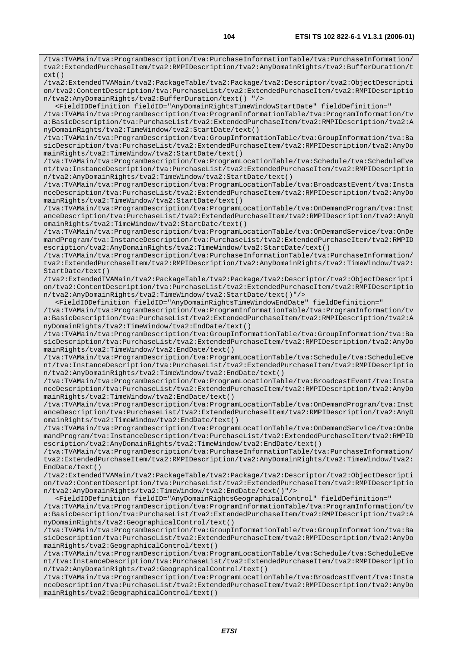/tva:TVAMain/tva:ProgramDescription/tva:PurchaseInformationTable/tva:PurchaseInformation/ tva2:ExtendedPurchaseItem/tva2:RMPIDescription/tva2:AnyDomainRights/tva2:BufferDuration/t ext()

/tva2:ExtendedTVAMain/tva2:PackageTable/tva2:Package/tva2:Descriptor/tva2:ObjectDescripti on/tva2:ContentDescription/tva:PurchaseList/tva2:ExtendedPurchaseItem/tva2:RMPIDescriptio n/tva2:AnyDomainRights/tva2:BufferDuration/text() "/>

 <FieldIDDefinition fieldID="AnyDomainRightsTimeWindowStartDate" fieldDefinition=" /tva:TVAMain/tva:ProgramDescription/tva:ProgramInformationTable/tva:ProgramInformation/tv a:BasicDescription/tva:PurchaseList/tva2:ExtendedPurchaseItem/tva2:RMPIDescription/tva2:A nyDomainRights/tva2:TimeWindow/tva2:StartDate/text()

/tva:TVAMain/tva:ProgramDescription/tva:GroupInformationTable/tva:GroupInformation/tva:Ba sicDescription/tva:PurchaseList/tva2:ExtendedPurchaseItem/tva2:RMPIDescription/tva2:AnyDo mainRights/tva2:TimeWindow/tva2:StartDate/text()

/tva:TVAMain/tva:ProgramDescription/tva:ProgramLocationTable/tva:Schedule/tva:ScheduleEve nt/tva:InstanceDescription/tva:PurchaseList/tva2:ExtendedPurchaseItem/tva2:RMPIDescriptio n/tva2:AnyDomainRights/tva2:TimeWindow/tva2:StartDate/text()

/tva:TVAMain/tva:ProgramDescription/tva:ProgramLocationTable/tva:BroadcastEvent/tva:Insta nceDescription/tva:PurchaseList/tva2:ExtendedPurchaseItem/tva2:RMPIDescription/tva2:AnyDo mainRights/tva2:TimeWindow/tva2:StartDate/text()

/tva:TVAMain/tva:ProgramDescription/tva:ProgramLocationTable/tva:OnDemandProgram/tva:Inst anceDescription/tva:PurchaseList/tva2:ExtendedPurchaseItem/tva2:RMPIDescription/tva2:AnyD omainRights/tva2:TimeWindow/tva2:StartDate/text()

/tva:TVAMain/tva:ProgramDescription/tva:ProgramLocationTable/tva:OnDemandService/tva:OnDe mandProgram/tva:InstanceDescription/tva:PurchaseList/tva2:ExtendedPurchaseItem/tva2:RMPID escription/tva2:AnyDomainRights/tva2:TimeWindow/tva2:StartDate/text()

/tva:TVAMain/tva:ProgramDescription/tva:PurchaseInformationTable/tva:PurchaseInformation/ tva2:ExtendedPurchaseItem/tva2:RMPIDescription/tva2:AnyDomainRights/tva2:TimeWindow/tva2: StartDate/text()

/tva2:ExtendedTVAMain/tva2:PackageTable/tva2:Package/tva2:Descriptor/tva2:ObjectDescripti on/tva2:ContentDescription/tva:PurchaseList/tva2:ExtendedPurchaseItem/tva2:RMPIDescriptio n/tva2:AnyDomainRights/tva2:TimeWindow/tva2:StartDate/text()"/>

 <FieldIDDefinition fieldID="AnyDomainRightsTimeWindowEndDate" fieldDefinition=" /tva:TVAMain/tva:ProgramDescription/tva:ProgramInformationTable/tva:ProgramInformation/tv a:BasicDescription/tva:PurchaseList/tva2:ExtendedPurchaseItem/tva2:RMPIDescription/tva2:A nyDomainRights/tva2:TimeWindow/tva2:EndDate/text()

/tva:TVAMain/tva:ProgramDescription/tva:GroupInformationTable/tva:GroupInformation/tva:Ba sicDescription/tva:PurchaseList/tva2:ExtendedPurchaseItem/tva2:RMPIDescription/tva2:AnyDo mainRights/tva2:TimeWindow/tva2:EndDate/text()

/tva:TVAMain/tva:ProgramDescription/tva:ProgramLocationTable/tva:Schedule/tva:ScheduleEve nt/tva:InstanceDescription/tva:PurchaseList/tva2:ExtendedPurchaseItem/tva2:RMPIDescriptio n/tva2:AnyDomainRights/tva2:TimeWindow/tva2:EndDate/text()

/tva:TVAMain/tva:ProgramDescription/tva:ProgramLocationTable/tva:BroadcastEvent/tva:Insta nceDescription/tva:PurchaseList/tva2:ExtendedPurchaseItem/tva2:RMPIDescription/tva2:AnyDo mainRights/tva2:TimeWindow/tva2:EndDate/text()

/tva:TVAMain/tva:ProgramDescription/tva:ProgramLocationTable/tva:OnDemandProgram/tva:Inst anceDescription/tva:PurchaseList/tva2:ExtendedPurchaseItem/tva2:RMPIDescription/tva2:AnyD omainRights/tva2:TimeWindow/tva2:EndDate/text()

/tva:TVAMain/tva:ProgramDescription/tva:ProgramLocationTable/tva:OnDemandService/tva:OnDe mandProgram/tva:InstanceDescription/tva:PurchaseList/tva2:ExtendedPurchaseItem/tva2:RMPID escription/tva2:AnyDomainRights/tva2:TimeWindow/tva2:EndDate/text()

/tva:TVAMain/tva:ProgramDescription/tva:PurchaseInformationTable/tva:PurchaseInformation/ tva2:ExtendedPurchaseItem/tva2:RMPIDescription/tva2:AnyDomainRights/tva2:TimeWindow/tva2: EndDate/text()

/tva2:ExtendedTVAMain/tva2:PackageTable/tva2:Package/tva2:Descriptor/tva2:ObjectDescripti on/tva2:ContentDescription/tva:PurchaseList/tva2:ExtendedPurchaseItem/tva2:RMPIDescriptio n/tva2:AnyDomainRights/tva2:TimeWindow/tva2:EndDate/text()"/>

 <FieldIDDefinition fieldID="AnyDomainRightsGeographicalControl" fieldDefinition=" /tva:TVAMain/tva:ProgramDescription/tva:ProgramInformationTable/tva:ProgramInformation/tv a:BasicDescription/tva:PurchaseList/tva2:ExtendedPurchaseItem/tva2:RMPIDescription/tva2:A nyDomainRights/tva2:GeographicalControl/text()

/tva:TVAMain/tva:ProgramDescription/tva:GroupInformationTable/tva:GroupInformation/tva:Ba sicDescription/tva:PurchaseList/tva2:ExtendedPurchaseItem/tva2:RMPIDescription/tva2:AnyDo mainRights/tva2:GeographicalControl/text()

/tva:TVAMain/tva:ProgramDescription/tva:ProgramLocationTable/tva:Schedule/tva:ScheduleEve nt/tva:InstanceDescription/tva:PurchaseList/tva2:ExtendedPurchaseItem/tva2:RMPIDescriptio n/tva2:AnyDomainRights/tva2:GeographicalControl/text()

/tva:TVAMain/tva:ProgramDescription/tva:ProgramLocationTable/tva:BroadcastEvent/tva:Insta nceDescription/tva:PurchaseList/tva2:ExtendedPurchaseItem/tva2:RMPIDescription/tva2:AnyDo mainRights/tva2:GeographicalControl/text()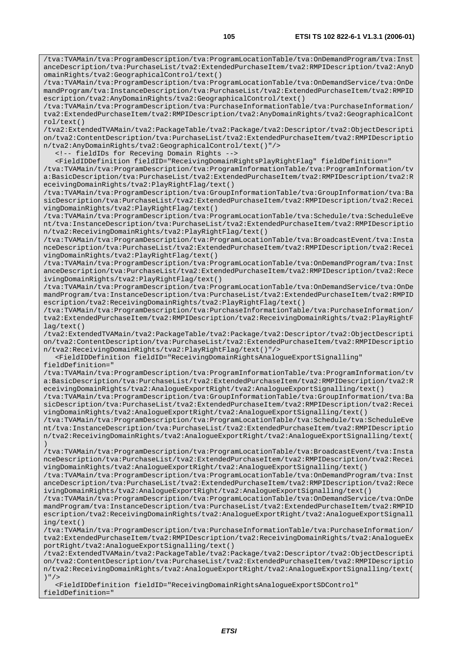/tva:TVAMain/tva:ProgramDescription/tva:ProgramLocationTable/tva:OnDemandProgram/tva:Inst anceDescription/tva:PurchaseList/tva2:ExtendedPurchaseItem/tva2:RMPIDescription/tva2:AnyD omainRights/tva2:GeographicalControl/text()

/tva:TVAMain/tva:ProgramDescription/tva:ProgramLocationTable/tva:OnDemandService/tva:OnDe mandProgram/tva:InstanceDescription/tva:PurchaseList/tva2:ExtendedPurchaseItem/tva2:RMPID escription/tva2:AnyDomainRights/tva2:GeographicalControl/text()

/tva:TVAMain/tva:ProgramDescription/tva:PurchaseInformationTable/tva:PurchaseInformation/ tva2:ExtendedPurchaseItem/tva2:RMPIDescription/tva2:AnyDomainRights/tva2:GeographicalCont rol/text()

/tva2:ExtendedTVAMain/tva2:PackageTable/tva2:Package/tva2:Descriptor/tva2:ObjectDescripti on/tva2:ContentDescription/tva:PurchaseList/tva2:ExtendedPurchaseItem/tva2:RMPIDescriptio n/tva2:AnyDomainRights/tva2:GeographicalControl/text()"/>

<!-- fieldIDs for Receving Domain Rights -->

 <FieldIDDefinition fieldID="ReceivingDomainRightsPlayRightFlag" fieldDefinition=" /tva:TVAMain/tva:ProgramDescription/tva:ProgramInformationTable/tva:ProgramInformation/tv a:BasicDescription/tva:PurchaseList/tva2:ExtendedPurchaseItem/tva2:RMPIDescription/tva2:R eceivingDomainRights/tva2:PlayRightFlag/text()

/tva:TVAMain/tva:ProgramDescription/tva:GroupInformationTable/tva:GroupInformation/tva:Ba sicDescription/tva:PurchaseList/tva2:ExtendedPurchaseItem/tva2:RMPIDescription/tva2:Recei vingDomainRights/tva2:PlayRightFlag/text()

/tva:TVAMain/tva:ProgramDescription/tva:ProgramLocationTable/tva:Schedule/tva:ScheduleEve nt/tva:InstanceDescription/tva:PurchaseList/tva2:ExtendedPurchaseItem/tva2:RMPIDescriptio n/tva2:ReceivingDomainRights/tva2:PlayRightFlag/text()

/tva:TVAMain/tva:ProgramDescription/tva:ProgramLocationTable/tva:BroadcastEvent/tva:Insta nceDescription/tva:PurchaseList/tva2:ExtendedPurchaseItem/tva2:RMPIDescription/tva2:Recei vingDomainRights/tva2:PlayRightFlag/text()

/tva:TVAMain/tva:ProgramDescription/tva:ProgramLocationTable/tva:OnDemandProgram/tva:Inst anceDescription/tva:PurchaseList/tva2:ExtendedPurchaseItem/tva2:RMPIDescription/tva2:Rece ivingDomainRights/tva2:PlayRightFlag/text()

/tva:TVAMain/tva:ProgramDescription/tva:ProgramLocationTable/tva:OnDemandService/tva:OnDe mandProgram/tva:InstanceDescription/tva:PurchaseList/tva2:ExtendedPurchaseItem/tva2:RMPID escription/tva2:ReceivingDomainRights/tva2:PlayRightFlag/text()

/tva:TVAMain/tva:ProgramDescription/tva:PurchaseInformationTable/tva:PurchaseInformation/ tva2:ExtendedPurchaseItem/tva2:RMPIDescription/tva2:ReceivingDomainRights/tva2:PlayRightF lag/text()

/tva2:ExtendedTVAMain/tva2:PackageTable/tva2:Package/tva2:Descriptor/tva2:ObjectDescripti on/tva2:ContentDescription/tva:PurchaseList/tva2:ExtendedPurchaseItem/tva2:RMPIDescriptio n/tva2:ReceivingDomainRights/tva2:PlayRightFlag/text()"/>

 <FieldIDDefinition fieldID="ReceivingDomainRightsAnalogueExportSignalling" fieldDefinition="

/tva:TVAMain/tva:ProgramDescription/tva:ProgramInformationTable/tva:ProgramInformation/tv a:BasicDescription/tva:PurchaseList/tva2:ExtendedPurchaseItem/tva2:RMPIDescription/tva2:R eceivingDomainRights/tva2:AnalogueExportRight/tva2:AnalogueExportSignalling/text()

/tva:TVAMain/tva:ProgramDescription/tva:GroupInformationTable/tva:GroupInformation/tva:Ba sicDescription/tva:PurchaseList/tva2:ExtendedPurchaseItem/tva2:RMPIDescription/tva2:Recei vingDomainRights/tva2:AnalogueExportRight/tva2:AnalogueExportSignalling/text()

/tva:TVAMain/tva:ProgramDescription/tva:ProgramLocationTable/tva:Schedule/tva:ScheduleEve nt/tva:InstanceDescription/tva:PurchaseList/tva2:ExtendedPurchaseItem/tva2:RMPIDescriptio n/tva2:ReceivingDomainRights/tva2:AnalogueExportRight/tva2:AnalogueExportSignalling/text( )

/tva:TVAMain/tva:ProgramDescription/tva:ProgramLocationTable/tva:BroadcastEvent/tva:Insta nceDescription/tva:PurchaseList/tva2:ExtendedPurchaseItem/tva2:RMPIDescription/tva2:Recei vingDomainRights/tva2:AnalogueExportRight/tva2:AnalogueExportSignalling/text()

/tva:TVAMain/tva:ProgramDescription/tva:ProgramLocationTable/tva:OnDemandProgram/tva:Inst anceDescription/tva:PurchaseList/tva2:ExtendedPurchaseItem/tva2:RMPIDescription/tva2:Rece ivingDomainRights/tva2:AnalogueExportRight/tva2:AnalogueExportSignalling/text()

/tva:TVAMain/tva:ProgramDescription/tva:ProgramLocationTable/tva:OnDemandService/tva:OnDe mandProgram/tva:InstanceDescription/tva:PurchaseList/tva2:ExtendedPurchaseItem/tva2:RMPID escription/tva2:ReceivingDomainRights/tva2:AnalogueExportRight/tva2:AnalogueExportSignall ing/text()

/tva:TVAMain/tva:ProgramDescription/tva:PurchaseInformationTable/tva:PurchaseInformation/ tva2:ExtendedPurchaseItem/tva2:RMPIDescription/tva2:ReceivingDomainRights/tva2:AnalogueEx portRight/tva2:AnalogueExportSignalling/text()

/tva2:ExtendedTVAMain/tva2:PackageTable/tva2:Package/tva2:Descriptor/tva2:ObjectDescripti on/tva2:ContentDescription/tva:PurchaseList/tva2:ExtendedPurchaseItem/tva2:RMPIDescriptio n/tva2:ReceivingDomainRights/tva2:AnalogueExportRight/tva2:AnalogueExportSignalling/text( )"/>

 <FieldIDDefinition fieldID="ReceivingDomainRightsAnalogueExportSDControl" fieldDefinition="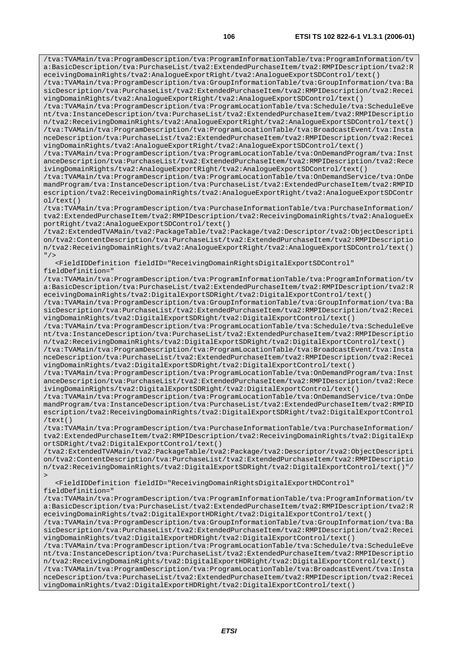/tva:TVAMain/tva:ProgramDescription/tva:ProgramInformationTable/tva:ProgramInformation/tv a:BasicDescription/tva:PurchaseList/tva2:ExtendedPurchaseItem/tva2:RMPIDescription/tva2:R eceivingDomainRights/tva2:AnalogueExportRight/tva2:AnalogueExportSDControl/text()

/tva:TVAMain/tva:ProgramDescription/tva:GroupInformationTable/tva:GroupInformation/tva:Ba sicDescription/tva:PurchaseList/tva2:ExtendedPurchaseItem/tva2:RMPIDescription/tva2:Recei vingDomainRights/tva2:AnalogueExportRight/tva2:AnalogueExportSDControl/text()

/tva:TVAMain/tva:ProgramDescription/tva:ProgramLocationTable/tva:Schedule/tva:ScheduleEve nt/tva:InstanceDescription/tva:PurchaseList/tva2:ExtendedPurchaseItem/tva2:RMPIDescriptio n/tva2:ReceivingDomainRights/tva2:AnalogueExportRight/tva2:AnalogueExportSDControl/text() /tva:TVAMain/tva:ProgramDescription/tva:ProgramLocationTable/tva:BroadcastEvent/tva:Insta nceDescription/tva:PurchaseList/tva2:ExtendedPurchaseItem/tva2:RMPIDescription/tva2:Recei vingDomainRights/tva2:AnalogueExportRight/tva2:AnalogueExportSDControl/text()

/tva:TVAMain/tva:ProgramDescription/tva:ProgramLocationTable/tva:OnDemandProgram/tva:Inst anceDescription/tva:PurchaseList/tva2:ExtendedPurchaseItem/tva2:RMPIDescription/tva2:Rece ivingDomainRights/tva2:AnalogueExportRight/tva2:AnalogueExportSDControl/text()

/tva:TVAMain/tva:ProgramDescription/tva:ProgramLocationTable/tva:OnDemandService/tva:OnDe mandProgram/tva:InstanceDescription/tva:PurchaseList/tva2:ExtendedPurchaseItem/tva2:RMPID escription/tva2:ReceivingDomainRights/tva2:AnalogueExportRight/tva2:AnalogueExportSDContr ol/text()

/tva:TVAMain/tva:ProgramDescription/tva:PurchaseInformationTable/tva:PurchaseInformation/ tva2:ExtendedPurchaseItem/tva2:RMPIDescription/tva2:ReceivingDomainRights/tva2:AnalogueEx portRight/tva2:AnalogueExportSDControl/text()

/tva2:ExtendedTVAMain/tva2:PackageTable/tva2:Package/tva2:Descriptor/tva2:ObjectDescripti on/tva2:ContentDescription/tva:PurchaseList/tva2:ExtendedPurchaseItem/tva2:RMPIDescriptio n/tva2:ReceivingDomainRights/tva2:AnalogueExportRight/tva2:AnalogueExportSDControl/text()  $"$  / >

 <FieldIDDefinition fieldID="ReceivingDomainRightsDigitalExportSDControl" fieldDefinition="

/tva:TVAMain/tva:ProgramDescription/tva:ProgramInformationTable/tva:ProgramInformation/tv a:BasicDescription/tva:PurchaseList/tva2:ExtendedPurchaseItem/tva2:RMPIDescription/tva2:R eceivingDomainRights/tva2:DigitalExportSDRight/tva2:DigitalExportControl/text()

/tva:TVAMain/tva:ProgramDescription/tva:GroupInformationTable/tva:GroupInformation/tva:Ba sicDescription/tva:PurchaseList/tva2:ExtendedPurchaseItem/tva2:RMPIDescription/tva2:Recei vingDomainRights/tva2:DigitalExportSDRight/tva2:DigitalExportControl/text()

/tva:TVAMain/tva:ProgramDescription/tva:ProgramLocationTable/tva:Schedule/tva:ScheduleEve nt/tva:InstanceDescription/tva:PurchaseList/tva2:ExtendedPurchaseItem/tva2:RMPIDescriptio n/tva2:ReceivingDomainRights/tva2:DigitalExportSDRight/tva2:DigitalExportControl/text()

/tva:TVAMain/tva:ProgramDescription/tva:ProgramLocationTable/tva:BroadcastEvent/tva:Insta nceDescription/tva:PurchaseList/tva2:ExtendedPurchaseItem/tva2:RMPIDescription/tva2:Recei vingDomainRights/tva2:DigitalExportSDRight/tva2:DigitalExportControl/text()

/tva:TVAMain/tva:ProgramDescription/tva:ProgramLocationTable/tva:OnDemandProgram/tva:Inst anceDescription/tva:PurchaseList/tva2:ExtendedPurchaseItem/tva2:RMPIDescription/tva2:Rece ivingDomainRights/tva2:DigitalExportSDRight/tva2:DigitalExportControl/text()

/tva:TVAMain/tva:ProgramDescription/tva:ProgramLocationTable/tva:OnDemandService/tva:OnDe mandProgram/tva:InstanceDescription/tva:PurchaseList/tva2:ExtendedPurchaseItem/tva2:RMPID escription/tva2:ReceivingDomainRights/tva2:DigitalExportSDRight/tva2:DigitalExportControl /text()

/tva:TVAMain/tva:ProgramDescription/tva:PurchaseInformationTable/tva:PurchaseInformation/ tva2:ExtendedPurchaseItem/tva2:RMPIDescription/tva2:ReceivingDomainRights/tva2:DigitalExp ortSDRight/tva2:DigitalExportControl/text()

/tva2:ExtendedTVAMain/tva2:PackageTable/tva2:Package/tva2:Descriptor/tva2:ObjectDescripti on/tva2:ContentDescription/tva:PurchaseList/tva2:ExtendedPurchaseItem/tva2:RMPIDescriptio n/tva2:ReceivingDomainRights/tva2:DigitalExportSDRight/tva2:DigitalExportControl/text()"/  $>$ 

 <FieldIDDefinition fieldID="ReceivingDomainRightsDigitalExportHDControl" fieldDefinition="

/tva:TVAMain/tva:ProgramDescription/tva:ProgramInformationTable/tva:ProgramInformation/tv a:BasicDescription/tva:PurchaseList/tva2:ExtendedPurchaseItem/tva2:RMPIDescription/tva2:R eceivingDomainRights/tva2:DigitalExportHDRight/tva2:DigitalExportControl/text()

/tva:TVAMain/tva:ProgramDescription/tva:GroupInformationTable/tva:GroupInformation/tva:Ba sicDescription/tva:PurchaseList/tva2:ExtendedPurchaseItem/tva2:RMPIDescription/tva2:Recei vingDomainRights/tva2:DigitalExportHDRight/tva2:DigitalExportControl/text()

/tva:TVAMain/tva:ProgramDescription/tva:ProgramLocationTable/tva:Schedule/tva:ScheduleEve nt/tva:InstanceDescription/tva:PurchaseList/tva2:ExtendedPurchaseItem/tva2:RMPIDescriptio n/tva2:ReceivingDomainRights/tva2:DigitalExportHDRight/tva2:DigitalExportControl/text() /tva:TVAMain/tva:ProgramDescription/tva:ProgramLocationTable/tva:BroadcastEvent/tva:Insta

nceDescription/tva:PurchaseList/tva2:ExtendedPurchaseItem/tva2:RMPIDescription/tva2:Recei vingDomainRights/tva2:DigitalExportHDRight/tva2:DigitalExportControl/text()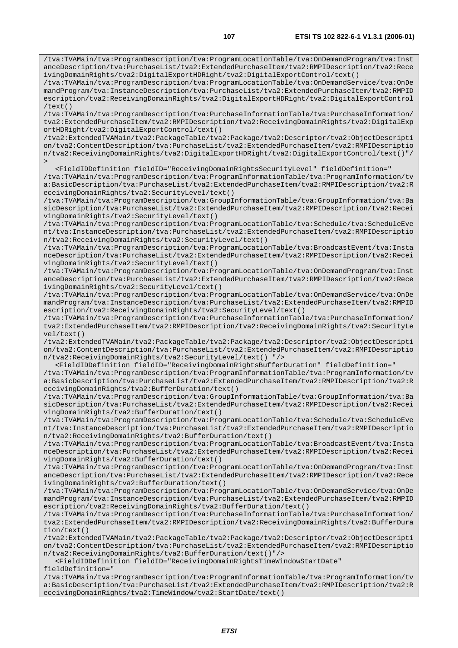/tva:TVAMain/tva:ProgramDescription/tva:ProgramLocationTable/tva:OnDemandProgram/tva:Inst anceDescription/tva:PurchaseList/tva2:ExtendedPurchaseItem/tva2:RMPIDescription/tva2:Rece ivingDomainRights/tva2:DigitalExportHDRight/tva2:DigitalExportControl/text()

/tva:TVAMain/tva:ProgramDescription/tva:ProgramLocationTable/tva:OnDemandService/tva:OnDe mandProgram/tva:InstanceDescription/tva:PurchaseList/tva2:ExtendedPurchaseItem/tva2:RMPID escription/tva2:ReceivingDomainRights/tva2:DigitalExportHDRight/tva2:DigitalExportControl /text()

/tva:TVAMain/tva:ProgramDescription/tva:PurchaseInformationTable/tva:PurchaseInformation/ tva2:ExtendedPurchaseItem/tva2:RMPIDescription/tva2:ReceivingDomainRights/tva2:DigitalExp ortHDRight/tva2:DigitalExportControl/text()

/tva2:ExtendedTVAMain/tva2:PackageTable/tva2:Package/tva2:Descriptor/tva2:ObjectDescripti on/tva2:ContentDescription/tva:PurchaseList/tva2:ExtendedPurchaseItem/tva2:RMPIDescriptio n/tva2:ReceivingDomainRights/tva2:DigitalExportHDRight/tva2:DigitalExportControl/text()"/  $\overline{\phantom{a}}$ 

 <FieldIDDefinition fieldID="ReceivingDomainRightsSecurityLevel" fieldDefinition=" /tva:TVAMain/tva:ProgramDescription/tva:ProgramInformationTable/tva:ProgramInformation/tv a:BasicDescription/tva:PurchaseList/tva2:ExtendedPurchaseItem/tva2:RMPIDescription/tva2:R eceivingDomainRights/tva2:SecurityLevel/text()

/tva:TVAMain/tva:ProgramDescription/tva:GroupInformationTable/tva:GroupInformation/tva:Ba sicDescription/tva:PurchaseList/tva2:ExtendedPurchaseItem/tva2:RMPIDescription/tva2:Recei vingDomainRights/tva2:SecurityLevel/text()

/tva:TVAMain/tva:ProgramDescription/tva:ProgramLocationTable/tva:Schedule/tva:ScheduleEve nt/tva:InstanceDescription/tva:PurchaseList/tva2:ExtendedPurchaseItem/tva2:RMPIDescriptio n/tva2:ReceivingDomainRights/tva2:SecurityLevel/text()

/tva:TVAMain/tva:ProgramDescription/tva:ProgramLocationTable/tva:BroadcastEvent/tva:Insta nceDescription/tva:PurchaseList/tva2:ExtendedPurchaseItem/tva2:RMPIDescription/tva2:Recei vingDomainRights/tva2:SecurityLevel/text()

/tva:TVAMain/tva:ProgramDescription/tva:ProgramLocationTable/tva:OnDemandProgram/tva:Inst anceDescription/tva:PurchaseList/tva2:ExtendedPurchaseItem/tva2:RMPIDescription/tva2:Rece ivingDomainRights/tva2:SecurityLevel/text()

/tva:TVAMain/tva:ProgramDescription/tva:ProgramLocationTable/tva:OnDemandService/tva:OnDe mandProgram/tva:InstanceDescription/tva:PurchaseList/tva2:ExtendedPurchaseItem/tva2:RMPID escription/tva2:ReceivingDomainRights/tva2:SecurityLevel/text()

/tva:TVAMain/tva:ProgramDescription/tva:PurchaseInformationTable/tva:PurchaseInformation/ tva2:ExtendedPurchaseItem/tva2:RMPIDescription/tva2:ReceivingDomainRights/tva2:SecurityLe vel/text()

/tva2:ExtendedTVAMain/tva2:PackageTable/tva2:Package/tva2:Descriptor/tva2:ObjectDescripti on/tva2:ContentDescription/tva:PurchaseList/tva2:ExtendedPurchaseItem/tva2:RMPIDescriptio n/tva2:ReceivingDomainRights/tva2:SecurityLevel/text() "/>

 <FieldIDDefinition fieldID="ReceivingDomainRightsBufferDuration" fieldDefinition=" /tva:TVAMain/tva:ProgramDescription/tva:ProgramInformationTable/tva:ProgramInformation/tv a:BasicDescription/tva:PurchaseList/tva2:ExtendedPurchaseItem/tva2:RMPIDescription/tva2:R eceivingDomainRights/tva2:BufferDuration/text()

/tva:TVAMain/tva:ProgramDescription/tva:GroupInformationTable/tva:GroupInformation/tva:Ba sicDescription/tva:PurchaseList/tva2:ExtendedPurchaseItem/tva2:RMPIDescription/tva2:Recei vingDomainRights/tva2:BufferDuration/text()

/tva:TVAMain/tva:ProgramDescription/tva:ProgramLocationTable/tva:Schedule/tva:ScheduleEve nt/tva:InstanceDescription/tva:PurchaseList/tva2:ExtendedPurchaseItem/tva2:RMPIDescriptio n/tva2:ReceivingDomainRights/tva2:BufferDuration/text()

/tva:TVAMain/tva:ProgramDescription/tva:ProgramLocationTable/tva:BroadcastEvent/tva:Insta nceDescription/tva:PurchaseList/tva2:ExtendedPurchaseItem/tva2:RMPIDescription/tva2:Recei vingDomainRights/tva2:BufferDuration/text()

/tva:TVAMain/tva:ProgramDescription/tva:ProgramLocationTable/tva:OnDemandProgram/tva:Inst anceDescription/tva:PurchaseList/tva2:ExtendedPurchaseItem/tva2:RMPIDescription/tva2:Rece ivingDomainRights/tva2:BufferDuration/text()

/tva:TVAMain/tva:ProgramDescription/tva:ProgramLocationTable/tva:OnDemandService/tva:OnDe mandProgram/tva:InstanceDescription/tva:PurchaseList/tva2:ExtendedPurchaseItem/tva2:RMPID escription/tva2:ReceivingDomainRights/tva2:BufferDuration/text()

/tva:TVAMain/tva:ProgramDescription/tva:PurchaseInformationTable/tva:PurchaseInformation/ tva2:ExtendedPurchaseItem/tva2:RMPIDescription/tva2:ReceivingDomainRights/tva2:BufferDura tion/text()

/tva2:ExtendedTVAMain/tva2:PackageTable/tva2:Package/tva2:Descriptor/tva2:ObjectDescripti on/tva2:ContentDescription/tva:PurchaseList/tva2:ExtendedPurchaseItem/tva2:RMPIDescriptio n/tva2:ReceivingDomainRights/tva2:BufferDuration/text()"/>

<FieldIDDefinition fieldID="ReceivingDomainRightsTimeWindowStartDate"

fieldDefinition="

/tva:TVAMain/tva:ProgramDescription/tva:ProgramInformationTable/tva:ProgramInformation/tv a:BasicDescription/tva:PurchaseList/tva2:ExtendedPurchaseItem/tva2:RMPIDescription/tva2:R eceivingDomainRights/tva2:TimeWindow/tva2:StartDate/text()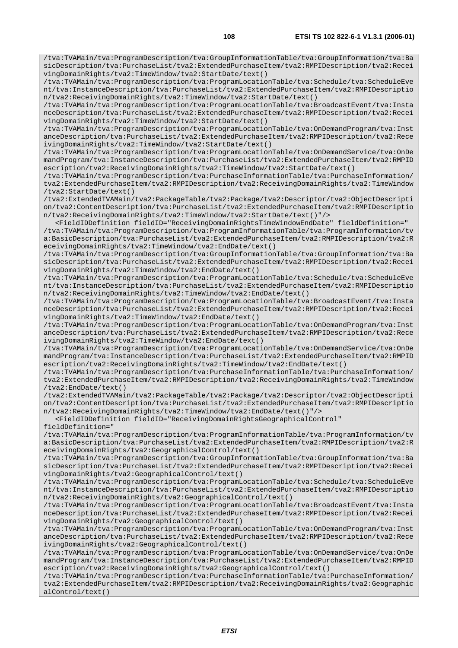/tva:TVAMain/tva:ProgramDescription/tva:GroupInformationTable/tva:GroupInformation/tva:Ba sicDescription/tva:PurchaseList/tva2:ExtendedPurchaseItem/tva2:RMPIDescription/tva2:Recei vingDomainRights/tva2:TimeWindow/tva2:StartDate/text()

/tva:TVAMain/tva:ProgramDescription/tva:ProgramLocationTable/tva:Schedule/tva:ScheduleEve nt/tva:InstanceDescription/tva:PurchaseList/tva2:ExtendedPurchaseItem/tva2:RMPIDescriptio n/tva2:ReceivingDomainRights/tva2:TimeWindow/tva2:StartDate/text()

/tva:TVAMain/tva:ProgramDescription/tva:ProgramLocationTable/tva:BroadcastEvent/tva:Insta nceDescription/tva:PurchaseList/tva2:ExtendedPurchaseItem/tva2:RMPIDescription/tva2:Recei vingDomainRights/tva2:TimeWindow/tva2:StartDate/text()

/tva:TVAMain/tva:ProgramDescription/tva:ProgramLocationTable/tva:OnDemandProgram/tva:Inst anceDescription/tva:PurchaseList/tva2:ExtendedPurchaseItem/tva2:RMPIDescription/tva2:Rece ivingDomainRights/tva2:TimeWindow/tva2:StartDate/text()

/tva:TVAMain/tva:ProgramDescription/tva:ProgramLocationTable/tva:OnDemandService/tva:OnDe mandProgram/tva:InstanceDescription/tva:PurchaseList/tva2:ExtendedPurchaseItem/tva2:RMPID escription/tva2:ReceivingDomainRights/tva2:TimeWindow/tva2:StartDate/text()

/tva:TVAMain/tva:ProgramDescription/tva:PurchaseInformationTable/tva:PurchaseInformation/ tva2:ExtendedPurchaseItem/tva2:RMPIDescription/tva2:ReceivingDomainRights/tva2:TimeWindow /tva2:StartDate/text()

/tva2:ExtendedTVAMain/tva2:PackageTable/tva2:Package/tva2:Descriptor/tva2:ObjectDescripti on/tva2:ContentDescription/tva:PurchaseList/tva2:ExtendedPurchaseItem/tva2:RMPIDescriptio n/tva2:ReceivingDomainRights/tva2:TimeWindow/tva2:StartDate/text()"/>

 <FieldIDDefinition fieldID="ReceivingDomainRightsTimeWindowEndDate" fieldDefinition=" /tva:TVAMain/tva:ProgramDescription/tva:ProgramInformationTable/tva:ProgramInformation/tv a:BasicDescription/tva:PurchaseList/tva2:ExtendedPurchaseItem/tva2:RMPIDescription/tva2:R eceivingDomainRights/tva2:TimeWindow/tva2:EndDate/text()

/tva:TVAMain/tva:ProgramDescription/tva:GroupInformationTable/tva:GroupInformation/tva:Ba sicDescription/tva:PurchaseList/tva2:ExtendedPurchaseItem/tva2:RMPIDescription/tva2:Recei vingDomainRights/tva2:TimeWindow/tva2:EndDate/text()

/tva:TVAMain/tva:ProgramDescription/tva:ProgramLocationTable/tva:Schedule/tva:ScheduleEve nt/tva:InstanceDescription/tva:PurchaseList/tva2:ExtendedPurchaseItem/tva2:RMPIDescriptio n/tva2:ReceivingDomainRights/tva2:TimeWindow/tva2:EndDate/text()

/tva:TVAMain/tva:ProgramDescription/tva:ProgramLocationTable/tva:BroadcastEvent/tva:Insta nceDescription/tva:PurchaseList/tva2:ExtendedPurchaseItem/tva2:RMPIDescription/tva2:Recei vingDomainRights/tva2:TimeWindow/tva2:EndDate/text()

/tva:TVAMain/tva:ProgramDescription/tva:ProgramLocationTable/tva:OnDemandProgram/tva:Inst anceDescription/tva:PurchaseList/tva2:ExtendedPurchaseItem/tva2:RMPIDescription/tva2:Rece ivingDomainRights/tva2:TimeWindow/tva2:EndDate/text()

/tva:TVAMain/tva:ProgramDescription/tva:ProgramLocationTable/tva:OnDemandService/tva:OnDe mandProgram/tva:InstanceDescription/tva:PurchaseList/tva2:ExtendedPurchaseItem/tva2:RMPID escription/tva2:ReceivingDomainRights/tva2:TimeWindow/tva2:EndDate/text()

/tva:TVAMain/tva:ProgramDescription/tva:PurchaseInformationTable/tva:PurchaseInformation/ tva2:ExtendedPurchaseItem/tva2:RMPIDescription/tva2:ReceivingDomainRights/tva2:TimeWindow /tva2:EndDate/text()

/tva2:ExtendedTVAMain/tva2:PackageTable/tva2:Package/tva2:Descriptor/tva2:ObjectDescripti on/tva2:ContentDescription/tva:PurchaseList/tva2:ExtendedPurchaseItem/tva2:RMPIDescriptio n/tva2:ReceivingDomainRights/tva2:TimeWindow/tva2:EndDate/text()"/>

<FieldIDDefinition fieldID="ReceivingDomainRightsGeographicalControl"

fieldDefinition="

/tva:TVAMain/tva:ProgramDescription/tva:ProgramInformationTable/tva:ProgramInformation/tv a:BasicDescription/tva:PurchaseList/tva2:ExtendedPurchaseItem/tva2:RMPIDescription/tva2:R eceivingDomainRights/tva2:GeographicalControl/text()

/tva:TVAMain/tva:ProgramDescription/tva:GroupInformationTable/tva:GroupInformation/tva:Ba sicDescription/tva:PurchaseList/tva2:ExtendedPurchaseItem/tva2:RMPIDescription/tva2:Recei vingDomainRights/tva2:GeographicalControl/text()

/tva:TVAMain/tva:ProgramDescription/tva:ProgramLocationTable/tva:Schedule/tva:ScheduleEve nt/tva:InstanceDescription/tva:PurchaseList/tva2:ExtendedPurchaseItem/tva2:RMPIDescriptio n/tva2:ReceivingDomainRights/tva2:GeographicalControl/text()

/tva:TVAMain/tva:ProgramDescription/tva:ProgramLocationTable/tva:BroadcastEvent/tva:Insta nceDescription/tva:PurchaseList/tva2:ExtendedPurchaseItem/tva2:RMPIDescription/tva2:Recei vingDomainRights/tva2:GeographicalControl/text()

/tva:TVAMain/tva:ProgramDescription/tva:ProgramLocationTable/tva:OnDemandProgram/tva:Inst anceDescription/tva:PurchaseList/tva2:ExtendedPurchaseItem/tva2:RMPIDescription/tva2:Rece ivingDomainRights/tva2:GeographicalControl/text()

/tva:TVAMain/tva:ProgramDescription/tva:ProgramLocationTable/tva:OnDemandService/tva:OnDe mandProgram/tva:InstanceDescription/tva:PurchaseList/tva2:ExtendedPurchaseItem/tva2:RMPID escription/tva2:ReceivingDomainRights/tva2:GeographicalControl/text()

/tva:TVAMain/tva:ProgramDescription/tva:PurchaseInformationTable/tva:PurchaseInformation/ tva2:ExtendedPurchaseItem/tva2:RMPIDescription/tva2:ReceivingDomainRights/tva2:Geographic alControl/text()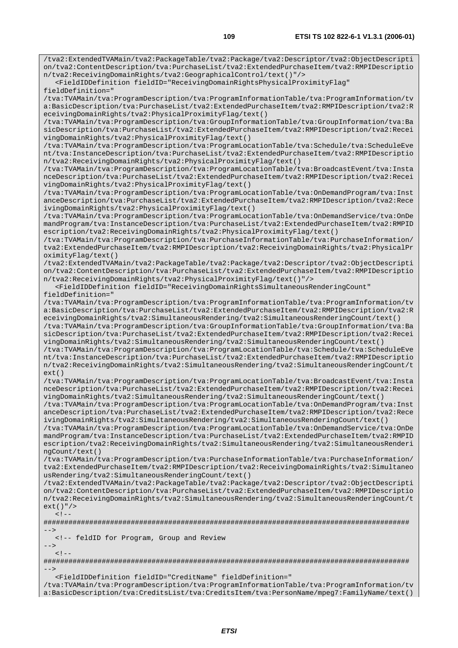on/tva2:ContentDescription/tva:PurchaseList/tva2:ExtendedPurchaseItem/tva2:RMPIDescriptio n/tva2:ReceivingDomainRights/tva2:GeographicalControl/text()"/> <FieldIDDefinition fieldID="ReceivingDomainRightsPhysicalProximityFlag" fieldDefinition=" /tva:TVAMain/tva:ProgramDescription/tva:ProgramInformationTable/tva:ProgramInformation/tv a:BasicDescription/tva:PurchaseList/tva2:ExtendedPurchaseItem/tva2:RMPIDescription/tva2:R eceivingDomainRights/tva2:PhysicalProximityFlag/text() /tva:TVAMain/tva:ProgramDescription/tva:GroupInformationTable/tva:GroupInformation/tva:Ba sicDescription/tva:PurchaseList/tva2:ExtendedPurchaseItem/tva2:RMPIDescription/tva2:Recei vingDomainRights/tva2:PhysicalProximityFlag/text() /tva:TVAMain/tva:ProgramDescription/tva:ProgramLocationTable/tva:Schedule/tva:ScheduleEve nt/tva:InstanceDescription/tva:PurchaseList/tva2:ExtendedPurchaseItem/tva2:RMPIDescriptio n/tva2:ReceivingDomainRights/tva2:PhysicalProximityFlag/text() /tva:TVAMain/tva:ProgramDescription/tva:ProgramLocationTable/tva:BroadcastEvent/tva:Insta nceDescription/tva:PurchaseList/tva2:ExtendedPurchaseItem/tva2:RMPIDescription/tva2:Recei vingDomainRights/tva2:PhysicalProximityFlag/text() /tva:TVAMain/tva:ProgramDescription/tva:ProgramLocationTable/tva:OnDemandProgram/tva:Inst anceDescription/tva:PurchaseList/tva2:ExtendedPurchaseItem/tva2:RMPIDescription/tva2:Rece ivingDomainRights/tva2:PhysicalProximityFlag/text() /tva:TVAMain/tva:ProgramDescription/tva:ProgramLocationTable/tva:OnDemandService/tva:OnDe mandProgram/tva:InstanceDescription/tva:PurchaseList/tva2:ExtendedPurchaseItem/tva2:RMPID escription/tva2:ReceivingDomainRights/tva2:PhysicalProximityFlag/text() /tva:TVAMain/tva:ProgramDescription/tva:PurchaseInformationTable/tva:PurchaseInformation/ tva2:ExtendedPurchaseItem/tva2:RMPIDescription/tva2:ReceivingDomainRights/tva2:PhysicalPr oximityFlag/text() /tva2:ExtendedTVAMain/tva2:PackageTable/tva2:Package/tva2:Descriptor/tva2:ObjectDescripti on/tva2:ContentDescription/tva:PurchaseList/tva2:ExtendedPurchaseItem/tva2:RMPIDescriptio n/tva2:ReceivingDomainRights/tva2:PhysicalProximityFlag/text()"/> <FieldIDDefinition fieldID="ReceivingDomainRightsSimultaneousRenderingCount" fieldDefinition=" /tva:TVAMain/tva:ProgramDescription/tva:ProgramInformationTable/tva:ProgramInformation/tv a:BasicDescription/tva:PurchaseList/tva2:ExtendedPurchaseItem/tva2:RMPIDescription/tva2:R eceivingDomainRights/tva2:SimultaneousRendering/tva2:SimultaneousRenderingCount/text() /tva:TVAMain/tva:ProgramDescription/tva:GroupInformationTable/tva:GroupInformation/tva:Ba sicDescription/tva:PurchaseList/tva2:ExtendedPurchaseItem/tva2:RMPIDescription/tva2:Recei vingDomainRights/tva2:SimultaneousRendering/tva2:SimultaneousRenderingCount/text() /tva:TVAMain/tva:ProgramDescription/tva:ProgramLocationTable/tva:Schedule/tva:ScheduleEve nt/tva:InstanceDescription/tva:PurchaseList/tva2:ExtendedPurchaseItem/tva2:RMPIDescriptio n/tva2:ReceivingDomainRights/tva2:SimultaneousRendering/tva2:SimultaneousRenderingCount/t ext() /tva:TVAMain/tva:ProgramDescription/tva:ProgramLocationTable/tva:BroadcastEvent/tva:Insta nceDescription/tva:PurchaseList/tva2:ExtendedPurchaseItem/tva2:RMPIDescription/tva2:Recei vingDomainRights/tva2:SimultaneousRendering/tva2:SimultaneousRenderingCount/text() /tva:TVAMain/tva:ProgramDescription/tva:ProgramLocationTable/tva:OnDemandProgram/tva:Inst anceDescription/tva:PurchaseList/tva2:ExtendedPurchaseItem/tva2:RMPIDescription/tva2:Rece ivingDomainRights/tva2:SimultaneousRendering/tva2:SimultaneousRenderingCount/text() /tva:TVAMain/tva:ProgramDescription/tva:ProgramLocationTable/tva:OnDemandService/tva:OnDe mandProgram/tva:InstanceDescription/tva:PurchaseList/tva2:ExtendedPurchaseItem/tva2:RMPID escription/tva2:ReceivingDomainRights/tva2:SimultaneousRendering/tva2:SimultaneousRenderi ngCount/text() /tva:TVAMain/tva:ProgramDescription/tva:PurchaseInformationTable/tva:PurchaseInformation/ tva2:ExtendedPurchaseItem/tva2:RMPIDescription/tva2:ReceivingDomainRights/tva2:Simultaneo usRendering/tva2:SimultaneousRenderingCount/text() /tva2:ExtendedTVAMain/tva2:PackageTable/tva2:Package/tva2:Descriptor/tva2:ObjectDescripti on/tva2:ContentDescription/tva:PurchaseList/tva2:ExtendedPurchaseItem/tva2:RMPIDescriptio n/tva2:ReceivingDomainRights/tva2:SimultaneousRendering/tva2:SimultaneousRenderingCount/t ext()"/>  $\leq$   $\perp$ ######################################################################################## --> <!-- feldID for Program, Group and Review -->  $< 1 - -$ 

######################################################################################## -->

<FieldIDDefinition fieldID="CreditName" fieldDefinition="

/tva:TVAMain/tva:ProgramDescription/tva:ProgramInformationTable/tva:ProgramInformation/tv a:BasicDescription/tva:CreditsList/tva:CreditsItem/tva:PersonName/mpeg7:FamilyName/text()

/tva2:ExtendedTVAMain/tva2:PackageTable/tva2:Package/tva2:Descriptor/tva2:ObjectDescripti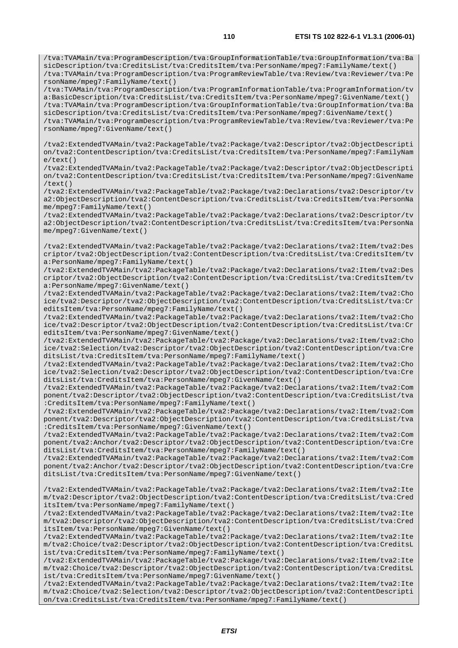/tva:TVAMain/tva:ProgramDescription/tva:GroupInformationTable/tva:GroupInformation/tva:Ba sicDescription/tva:CreditsList/tva:CreditsItem/tva:PersonName/mpeg7:FamilyName/text() /tva:TVAMain/tva:ProgramDescription/tva:ProgramReviewTable/tva:Review/tva:Reviewer/tva:Pe rsonName/mpeg7:FamilyName/text()

/tva:TVAMain/tva:ProgramDescription/tva:ProgramInformationTable/tva:ProgramInformation/tv a:BasicDescription/tva:CreditsList/tva:CreditsItem/tva:PersonName/mpeg7:GivenName/text() /tva:TVAMain/tva:ProgramDescription/tva:GroupInformationTable/tva:GroupInformation/tva:Ba sicDescription/tva:CreditsList/tva:CreditsItem/tva:PersonName/mpeg7:GivenName/text() /tva:TVAMain/tva:ProgramDescription/tva:ProgramReviewTable/tva:Review/tva:Reviewer/tva:Pe rsonName/mpeg7:GivenName/text()

/tva2:ExtendedTVAMain/tva2:PackageTable/tva2:Package/tva2:Descriptor/tva2:ObjectDescripti on/tva2:ContentDescription/tva:CreditsList/tva:CreditsItem/tva:PersonName/mpeg7:FamilyNam e/text()

/tva2:ExtendedTVAMain/tva2:PackageTable/tva2:Package/tva2:Descriptor/tva2:ObjectDescripti on/tva2:ContentDescription/tva:CreditsList/tva:CreditsItem/tva:PersonName/mpeg7:GivenName  $/$ text $()$ 

/tva2:ExtendedTVAMain/tva2:PackageTable/tva2:Package/tva2:Declarations/tva2:Descriptor/tv a2:ObjectDescription/tva2:ContentDescription/tva:CreditsList/tva:CreditsItem/tva:PersonNa me/mpeg7:FamilyName/text()

/tva2:ExtendedTVAMain/tva2:PackageTable/tva2:Package/tva2:Declarations/tva2:Descriptor/tv a2:ObjectDescription/tva2:ContentDescription/tva:CreditsList/tva:CreditsItem/tva:PersonNa me/mpeg7:GivenName/text()

/tva2:ExtendedTVAMain/tva2:PackageTable/tva2:Package/tva2:Declarations/tva2:Item/tva2:Des criptor/tva2:ObjectDescription/tva2:ContentDescription/tva:CreditsList/tva:CreditsItem/tv a:PersonName/mpeg7:FamilyName/text()

/tva2:ExtendedTVAMain/tva2:PackageTable/tva2:Package/tva2:Declarations/tva2:Item/tva2:Des criptor/tva2:ObjectDescription/tva2:ContentDescription/tva:CreditsList/tva:CreditsItem/tv a:PersonName/mpeg7:GivenName/text()

/tva2:ExtendedTVAMain/tva2:PackageTable/tva2:Package/tva2:Declarations/tva2:Item/tva2:Cho ice/tva2:Descriptor/tva2:ObjectDescription/tva2:ContentDescription/tva:CreditsList/tva:Cr editsItem/tva:PersonName/mpeg7:FamilyName/text()

/tva2:ExtendedTVAMain/tva2:PackageTable/tva2:Package/tva2:Declarations/tva2:Item/tva2:Cho ice/tva2:Descriptor/tva2:ObjectDescription/tva2:ContentDescription/tva:CreditsList/tva:Cr editsItem/tva:PersonName/mpeg7:GivenName/text()

/tva2:ExtendedTVAMain/tva2:PackageTable/tva2:Package/tva2:Declarations/tva2:Item/tva2:Cho ice/tva2:Selection/tva2:Descriptor/tva2:ObjectDescription/tva2:ContentDescription/tva:Cre ditsList/tva:CreditsItem/tva:PersonName/mpeg7:FamilyName/text()

/tva2:ExtendedTVAMain/tva2:PackageTable/tva2:Package/tva2:Declarations/tva2:Item/tva2:Cho ice/tva2:Selection/tva2:Descriptor/tva2:ObjectDescription/tva2:ContentDescription/tva:Cre ditsList/tva:CreditsItem/tva:PersonName/mpeg7:GivenName/text()

/tva2:ExtendedTVAMain/tva2:PackageTable/tva2:Package/tva2:Declarations/tva2:Item/tva2:Com ponent/tva2:Descriptor/tva2:ObjectDescription/tva2:ContentDescription/tva:CreditsList/tva :CreditsItem/tva:PersonName/mpeg7:FamilyName/text()

/tva2:ExtendedTVAMain/tva2:PackageTable/tva2:Package/tva2:Declarations/tva2:Item/tva2:Com ponent/tva2:Descriptor/tva2:ObjectDescription/tva2:ContentDescription/tva:CreditsList/tva :CreditsItem/tva:PersonName/mpeg7:GivenName/text()

/tva2:ExtendedTVAMain/tva2:PackageTable/tva2:Package/tva2:Declarations/tva2:Item/tva2:Com ponent/tva2:Anchor/tva2:Descriptor/tva2:ObjectDescription/tva2:ContentDescription/tva:Cre ditsList/tva:CreditsItem/tva:PersonName/mpeg7:FamilyName/text()

/tva2:ExtendedTVAMain/tva2:PackageTable/tva2:Package/tva2:Declarations/tva2:Item/tva2:Com ponent/tva2:Anchor/tva2:Descriptor/tva2:ObjectDescription/tva2:ContentDescription/tva:Cre ditsList/tva:CreditsItem/tva:PersonName/mpeg7:GivenName/text()

/tva2:ExtendedTVAMain/tva2:PackageTable/tva2:Package/tva2:Declarations/tva2:Item/tva2:Ite m/tva2:Descriptor/tva2:ObjectDescription/tva2:ContentDescription/tva:CreditsList/tva:Cred itsItem/tva:PersonName/mpeg7:FamilyName/text()

/tva2:ExtendedTVAMain/tva2:PackageTable/tva2:Package/tva2:Declarations/tva2:Item/tva2:Ite m/tva2:Descriptor/tva2:ObjectDescription/tva2:ContentDescription/tva:CreditsList/tva:Cred itsItem/tva:PersonName/mpeg7:GivenName/text()

/tva2:ExtendedTVAMain/tva2:PackageTable/tva2:Package/tva2:Declarations/tva2:Item/tva2:Ite m/tva2:Choice/tva2:Descriptor/tva2:ObjectDescription/tva2:ContentDescription/tva:CreditsL ist/tva:CreditsItem/tva:PersonName/mpeg7:FamilyName/text()

/tva2:ExtendedTVAMain/tva2:PackageTable/tva2:Package/tva2:Declarations/tva2:Item/tva2:Ite m/tva2:Choice/tva2:Descriptor/tva2:ObjectDescription/tva2:ContentDescription/tva:CreditsL ist/tva:CreditsItem/tva:PersonName/mpeg7:GivenName/text()

/tva2:ExtendedTVAMain/tva2:PackageTable/tva2:Package/tva2:Declarations/tva2:Item/tva2:Ite m/tva2:Choice/tva2:Selection/tva2:Descriptor/tva2:ObjectDescription/tva2:ContentDescripti on/tva:CreditsList/tva:CreditsItem/tva:PersonName/mpeg7:FamilyName/text()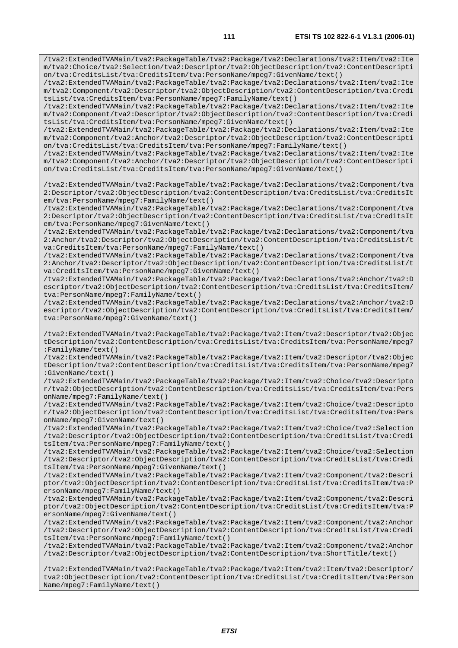/tva2:ExtendedTVAMain/tva2:PackageTable/tva2:Package/tva2:Declarations/tva2:Item/tva2:Ite m/tva2:Choice/tva2:Selection/tva2:Descriptor/tva2:ObjectDescription/tva2:ContentDescripti on/tva:CreditsList/tva:CreditsItem/tva:PersonName/mpeg7:GivenName/text()

/tva2:ExtendedTVAMain/tva2:PackageTable/tva2:Package/tva2:Declarations/tva2:Item/tva2:Ite m/tva2:Component/tva2:Descriptor/tva2:ObjectDescription/tva2:ContentDescription/tva:Credi tsList/tva:CreditsItem/tva:PersonName/mpeg7:FamilyName/text()

/tva2:ExtendedTVAMain/tva2:PackageTable/tva2:Package/tva2:Declarations/tva2:Item/tva2:Ite m/tva2:Component/tva2:Descriptor/tva2:ObjectDescription/tva2:ContentDescription/tva:Credi tsList/tva:CreditsItem/tva:PersonName/mpeg7:GivenName/text()

/tva2:ExtendedTVAMain/tva2:PackageTable/tva2:Package/tva2:Declarations/tva2:Item/tva2:Ite m/tva2:Component/tva2:Anchor/tva2:Descriptor/tva2:ObjectDescription/tva2:ContentDescripti on/tva:CreditsList/tva:CreditsItem/tva:PersonName/mpeg7:FamilyName/text()

/tva2:ExtendedTVAMain/tva2:PackageTable/tva2:Package/tva2:Declarations/tva2:Item/tva2:Ite m/tva2:Component/tva2:Anchor/tva2:Descriptor/tva2:ObjectDescription/tva2:ContentDescripti on/tva:CreditsList/tva:CreditsItem/tva:PersonName/mpeg7:GivenName/text()

/tva2:ExtendedTVAMain/tva2:PackageTable/tva2:Package/tva2:Declarations/tva2:Component/tva 2:Descriptor/tva2:ObjectDescription/tva2:ContentDescription/tva:CreditsList/tva:CreditsIt em/tva:PersonName/mpeg7:FamilyName/text()

/tva2:ExtendedTVAMain/tva2:PackageTable/tva2:Package/tva2:Declarations/tva2:Component/tva 2:Descriptor/tva2:ObjectDescription/tva2:ContentDescription/tva:CreditsList/tva:CreditsIt em/tva:PersonName/mpeg7:GivenName/text()

/tva2:ExtendedTVAMain/tva2:PackageTable/tva2:Package/tva2:Declarations/tva2:Component/tva 2:Anchor/tva2:Descriptor/tva2:ObjectDescription/tva2:ContentDescription/tva:CreditsList/t va:CreditsItem/tva:PersonName/mpeg7:FamilyName/text()

/tva2:ExtendedTVAMain/tva2:PackageTable/tva2:Package/tva2:Declarations/tva2:Component/tva 2:Anchor/tva2:Descriptor/tva2:ObjectDescription/tva2:ContentDescription/tva:CreditsList/t va:CreditsItem/tva:PersonName/mpeg7:GivenName/text()

/tva2:ExtendedTVAMain/tva2:PackageTable/tva2:Package/tva2:Declarations/tva2:Anchor/tva2:D escriptor/tva2:ObjectDescription/tva2:ContentDescription/tva:CreditsList/tva:CreditsItem/ tva:PersonName/mpeg7:FamilyName/text()

/tva2:ExtendedTVAMain/tva2:PackageTable/tva2:Package/tva2:Declarations/tva2:Anchor/tva2:D escriptor/tva2:ObjectDescription/tva2:ContentDescription/tva:CreditsList/tva:CreditsItem/ tva:PersonName/mpeg7:GivenName/text()

/tva2:ExtendedTVAMain/tva2:PackageTable/tva2:Package/tva2:Item/tva2:Descriptor/tva2:Objec tDescription/tva2:ContentDescription/tva:CreditsList/tva:CreditsItem/tva:PersonName/mpeg7 :FamilyName/text()

/tva2:ExtendedTVAMain/tva2:PackageTable/tva2:Package/tva2:Item/tva2:Descriptor/tva2:Objec tDescription/tva2:ContentDescription/tva:CreditsList/tva:CreditsItem/tva:PersonName/mpeg7 :GivenName/text()

/tva2:ExtendedTVAMain/tva2:PackageTable/tva2:Package/tva2:Item/tva2:Choice/tva2:Descripto r/tva2:ObjectDescription/tva2:ContentDescription/tva:CreditsList/tva:CreditsItem/tva:Pers onName/mpeg7:FamilyName/text()

/tva2:ExtendedTVAMain/tva2:PackageTable/tva2:Package/tva2:Item/tva2:Choice/tva2:Descripto r/tva2:ObjectDescription/tva2:ContentDescription/tva:CreditsList/tva:CreditsItem/tva:Pers onName/mpeg7:GivenName/text()

/tva2:ExtendedTVAMain/tva2:PackageTable/tva2:Package/tva2:Item/tva2:Choice/tva2:Selection /tva2:Descriptor/tva2:ObjectDescription/tva2:ContentDescription/tva:CreditsList/tva:Credi tsItem/tva:PersonName/mpeg7:FamilyName/text()

/tva2:ExtendedTVAMain/tva2:PackageTable/tva2:Package/tva2:Item/tva2:Choice/tva2:Selection /tva2:Descriptor/tva2:ObjectDescription/tva2:ContentDescription/tva:CreditsList/tva:Credi tsItem/tva:PersonName/mpeg7:GivenName/text()

/tva2:ExtendedTVAMain/tva2:PackageTable/tva2:Package/tva2:Item/tva2:Component/tva2:Descri ptor/tva2:ObjectDescription/tva2:ContentDescription/tva:CreditsList/tva:CreditsItem/tva:P ersonName/mpeg7:FamilyName/text()

/tva2:ExtendedTVAMain/tva2:PackageTable/tva2:Package/tva2:Item/tva2:Component/tva2:Descri ptor/tva2:ObjectDescription/tva2:ContentDescription/tva:CreditsList/tva:CreditsItem/tva:P ersonName/mpeg7:GivenName/text()

/tva2:ExtendedTVAMain/tva2:PackageTable/tva2:Package/tva2:Item/tva2:Component/tva2:Anchor /tva2:Descriptor/tva2:ObjectDescription/tva2:ContentDescription/tva:CreditsList/tva:Credi tsItem/tva:PersonName/mpeg7:FamilyName/text()

/tva2:ExtendedTVAMain/tva2:PackageTable/tva2:Package/tva2:Item/tva2:Component/tva2:Anchor /tva2:Descriptor/tva2:ObjectDescription/tva2:ContentDescription/tva:ShortTitle/text()

/tva2:ExtendedTVAMain/tva2:PackageTable/tva2:Package/tva2:Item/tva2:Item/tva2:Descriptor/ tva2:ObjectDescription/tva2:ContentDescription/tva:CreditsList/tva:CreditsItem/tva:Person Name/mpeg7:FamilyName/text()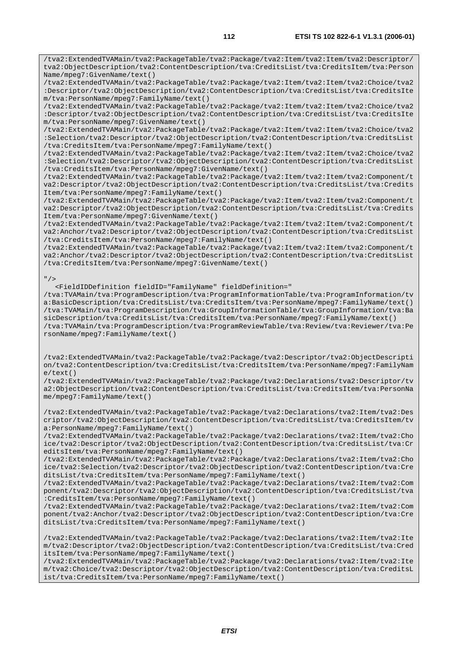/tva2:ExtendedTVAMain/tva2:PackageTable/tva2:Package/tva2:Item/tva2:Item/tva2:Descriptor/ tva2:ObjectDescription/tva2:ContentDescription/tva:CreditsList/tva:CreditsItem/tva:Person Name/mpeg7:GivenName/text()

/tva2:ExtendedTVAMain/tva2:PackageTable/tva2:Package/tva2:Item/tva2:Item/tva2:Choice/tva2 :Descriptor/tva2:ObjectDescription/tva2:ContentDescription/tva:CreditsList/tva:CreditsIte m/tva:PersonName/mpeg7:FamilyName/text()

/tva2:ExtendedTVAMain/tva2:PackageTable/tva2:Package/tva2:Item/tva2:Item/tva2:Choice/tva2 :Descriptor/tva2:ObjectDescription/tva2:ContentDescription/tva:CreditsList/tva:CreditsIte m/tva:PersonName/mpeg7:GivenName/text()

/tva2:ExtendedTVAMain/tva2:PackageTable/tva2:Package/tva2:Item/tva2:Item/tva2:Choice/tva2 :Selection/tva2:Descriptor/tva2:ObjectDescription/tva2:ContentDescription/tva:CreditsList /tva:CreditsItem/tva:PersonName/mpeg7:FamilyName/text()

/tva2:ExtendedTVAMain/tva2:PackageTable/tva2:Package/tva2:Item/tva2:Item/tva2:Choice/tva2 :Selection/tva2:Descriptor/tva2:ObjectDescription/tva2:ContentDescription/tva:CreditsList /tva:CreditsItem/tva:PersonName/mpeg7:GivenName/text()

/tva2:ExtendedTVAMain/tva2:PackageTable/tva2:Package/tva2:Item/tva2:Item/tva2:Component/t va2:Descriptor/tva2:ObjectDescription/tva2:ContentDescription/tva:CreditsList/tva:Credits Item/tva:PersonName/mpeg7:FamilyName/text()

/tva2:ExtendedTVAMain/tva2:PackageTable/tva2:Package/tva2:Item/tva2:Item/tva2:Component/t va2:Descriptor/tva2:ObjectDescription/tva2:ContentDescription/tva:CreditsList/tva:Credits Item/tva:PersonName/mpeg7:GivenName/text()

/tva2:ExtendedTVAMain/tva2:PackageTable/tva2:Package/tva2:Item/tva2:Item/tva2:Component/t va2:Anchor/tva2:Descriptor/tva2:ObjectDescription/tva2:ContentDescription/tva:CreditsList /tva:CreditsItem/tva:PersonName/mpeg7:FamilyName/text()

/tva2:ExtendedTVAMain/tva2:PackageTable/tva2:Package/tva2:Item/tva2:Item/tva2:Component/t va2:Anchor/tva2:Descriptor/tva2:ObjectDescription/tva2:ContentDescription/tva:CreditsList /tva:CreditsItem/tva:PersonName/mpeg7:GivenName/text()

## $"$ />

<FieldIDDefinition fieldID="FamilyName" fieldDefinition="

/tva:TVAMain/tva:ProgramDescription/tva:ProgramInformationTable/tva:ProgramInformation/tv a:BasicDescription/tva:CreditsList/tva:CreditsItem/tva:PersonName/mpeg7:FamilyName/text() /tva:TVAMain/tva:ProgramDescription/tva:GroupInformationTable/tva:GroupInformation/tva:Ba sicDescription/tva:CreditsList/tva:CreditsItem/tva:PersonName/mpeg7:FamilyName/text() /tva:TVAMain/tva:ProgramDescription/tva:ProgramReviewTable/tva:Review/tva:Reviewer/tva:Pe rsonName/mpeg7:FamilyName/text()

/tva2:ExtendedTVAMain/tva2:PackageTable/tva2:Package/tva2:Descriptor/tva2:ObjectDescripti on/tva2:ContentDescription/tva:CreditsList/tva:CreditsItem/tva:PersonName/mpeg7:FamilyNam e/text()

/tva2:ExtendedTVAMain/tva2:PackageTable/tva2:Package/tva2:Declarations/tva2:Descriptor/tv a2:ObjectDescription/tva2:ContentDescription/tva:CreditsList/tva:CreditsItem/tva:PersonNa me/mpeg7:FamilyName/text()

/tva2:ExtendedTVAMain/tva2:PackageTable/tva2:Package/tva2:Declarations/tva2:Item/tva2:Des criptor/tva2:ObjectDescription/tva2:ContentDescription/tva:CreditsList/tva:CreditsItem/tv a:PersonName/mpeg7:FamilyName/text()

/tva2:ExtendedTVAMain/tva2:PackageTable/tva2:Package/tva2:Declarations/tva2:Item/tva2:Cho ice/tva2:Descriptor/tva2:ObjectDescription/tva2:ContentDescription/tva:CreditsList/tva:Cr editsItem/tva:PersonName/mpeg7:FamilyName/text()

/tva2:ExtendedTVAMain/tva2:PackageTable/tva2:Package/tva2:Declarations/tva2:Item/tva2:Cho ice/tva2:Selection/tva2:Descriptor/tva2:ObjectDescription/tva2:ContentDescription/tva:Cre ditsList/tva:CreditsItem/tva:PersonName/mpeg7:FamilyName/text()

/tva2:ExtendedTVAMain/tva2:PackageTable/tva2:Package/tva2:Declarations/tva2:Item/tva2:Com ponent/tva2:Descriptor/tva2:ObjectDescription/tva2:ContentDescription/tva:CreditsList/tva :CreditsItem/tva:PersonName/mpeg7:FamilyName/text()

/tva2:ExtendedTVAMain/tva2:PackageTable/tva2:Package/tva2:Declarations/tva2:Item/tva2:Com ponent/tva2:Anchor/tva2:Descriptor/tva2:ObjectDescription/tva2:ContentDescription/tva:Cre ditsList/tva:CreditsItem/tva:PersonName/mpeg7:FamilyName/text()

/tva2:ExtendedTVAMain/tva2:PackageTable/tva2:Package/tva2:Declarations/tva2:Item/tva2:Ite m/tva2:Descriptor/tva2:ObjectDescription/tva2:ContentDescription/tva:CreditsList/tva:Cred itsItem/tva:PersonName/mpeg7:FamilyName/text()

/tva2:ExtendedTVAMain/tva2:PackageTable/tva2:Package/tva2:Declarations/tva2:Item/tva2:Ite m/tva2:Choice/tva2:Descriptor/tva2:ObjectDescription/tva2:ContentDescription/tva:CreditsL ist/tva:CreditsItem/tva:PersonName/mpeg7:FamilyName/text()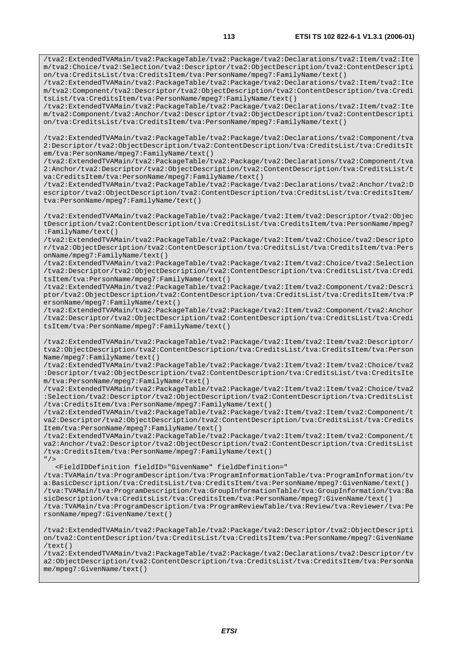/tva2:ExtendedTVAMain/tva2:PackageTable/tva2:Package/tva2:Declarations/tva2:Item/tva2:Ite m/tva2:Choice/tva2:Selection/tva2:Descriptor/tva2:ObjectDescription/tva2:ContentDescripti on/tva:CreditsList/tva:CreditsItem/tva:PersonName/mpeg7:FamilyName/text()

/tva2:ExtendedTVAMain/tva2:PackageTable/tva2:Package/tva2:Declarations/tva2:Item/tva2:Ite m/tva2:Component/tva2:Descriptor/tva2:ObjectDescription/tva2:ContentDescription/tva:Credi tsList/tva:CreditsItem/tva:PersonName/mpeg7:FamilyName/text()

/tva2:ExtendedTVAMain/tva2:PackageTable/tva2:Package/tva2:Declarations/tva2:Item/tva2:Ite m/tva2:Component/tva2:Anchor/tva2:Descriptor/tva2:ObjectDescription/tva2:ContentDescripti on/tva:CreditsList/tva:CreditsItem/tva:PersonName/mpeg7:FamilyName/text()

/tva2:ExtendedTVAMain/tva2:PackageTable/tva2:Package/tva2:Declarations/tva2:Component/tva 2:Descriptor/tva2:ObjectDescription/tva2:ContentDescription/tva:CreditsList/tva:CreditsIt em/tva:PersonName/mpeg7:FamilyName/text()

/tva2:ExtendedTVAMain/tva2:PackageTable/tva2:Package/tva2:Declarations/tva2:Component/tva 2:Anchor/tva2:Descriptor/tva2:ObjectDescription/tva2:ContentDescription/tva:CreditsList/t va:CreditsItem/tva:PersonName/mpeg7:FamilyName/text()

/tva2:ExtendedTVAMain/tva2:PackageTable/tva2:Package/tva2:Declarations/tva2:Anchor/tva2:D escriptor/tva2:ObjectDescription/tva2:ContentDescription/tva:CreditsList/tva:CreditsItem/ tva:PersonName/mpeg7:FamilyName/text()

/tva2:ExtendedTVAMain/tva2:PackageTable/tva2:Package/tva2:Item/tva2:Descriptor/tva2:Objec tDescription/tva2:ContentDescription/tva:CreditsList/tva:CreditsItem/tva:PersonName/mpeg7 :FamilyName/text()

/tva2:ExtendedTVAMain/tva2:PackageTable/tva2:Package/tva2:Item/tva2:Choice/tva2:Descripto r/tva2:ObjectDescription/tva2:ContentDescription/tva:CreditsList/tva:CreditsItem/tva:Pers onName/mpeg7:FamilyName/text()

/tva2:ExtendedTVAMain/tva2:PackageTable/tva2:Package/tva2:Item/tva2:Choice/tva2:Selection /tva2:Descriptor/tva2:ObjectDescription/tva2:ContentDescription/tva:CreditsList/tva:Credi tsItem/tva:PersonName/mpeg7:FamilyName/text()

/tva2:ExtendedTVAMain/tva2:PackageTable/tva2:Package/tva2:Item/tva2:Component/tva2:Descri ptor/tva2:ObjectDescription/tva2:ContentDescription/tva:CreditsList/tva:CreditsItem/tva:P ersonName/mpeg7:FamilyName/text()

/tva2:ExtendedTVAMain/tva2:PackageTable/tva2:Package/tva2:Item/tva2:Component/tva2:Anchor /tva2:Descriptor/tva2:ObjectDescription/tva2:ContentDescription/tva:CreditsList/tva:Credi tsItem/tva:PersonName/mpeg7:FamilyName/text()

/tva2:ExtendedTVAMain/tva2:PackageTable/tva2:Package/tva2:Item/tva2:Item/tva2:Descriptor/ tva2:ObjectDescription/tva2:ContentDescription/tva:CreditsList/tva:CreditsItem/tva:Person Name/mpeg7:FamilyName/text()

/tva2:ExtendedTVAMain/tva2:PackageTable/tva2:Package/tva2:Item/tva2:Item/tva2:Choice/tva2 :Descriptor/tva2:ObjectDescription/tva2:ContentDescription/tva:CreditsList/tva:CreditsIte m/tva:PersonName/mpeg7:FamilyName/text()

/tva2:ExtendedTVAMain/tva2:PackageTable/tva2:Package/tva2:Item/tva2:Item/tva2:Choice/tva2 :Selection/tva2:Descriptor/tva2:ObjectDescription/tva2:ContentDescription/tva:CreditsList /tva:CreditsItem/tva:PersonName/mpeg7:FamilyName/text()

/tva2:ExtendedTVAMain/tva2:PackageTable/tva2:Package/tva2:Item/tva2:Item/tva2:Component/t va2:Descriptor/tva2:ObjectDescription/tva2:ContentDescription/tva:CreditsList/tva:Credits Item/tva:PersonName/mpeg7:FamilyName/text()

/tva2:ExtendedTVAMain/tva2:PackageTable/tva2:Package/tva2:Item/tva2:Item/tva2:Component/t va2:Anchor/tva2:Descriptor/tva2:ObjectDescription/tva2:ContentDescription/tva:CreditsList /tva:CreditsItem/tva:PersonName/mpeg7:FamilyName/text()  $"$  />

<FieldIDDefinition fieldID="GivenName" fieldDefinition="

/tva:TVAMain/tva:ProgramDescription/tva:ProgramInformationTable/tva:ProgramInformation/tv a:BasicDescription/tva:CreditsList/tva:CreditsItem/tva:PersonName/mpeg7:GivenName/text() /tva:TVAMain/tva:ProgramDescription/tva:GroupInformationTable/tva:GroupInformation/tva:Ba sicDescription/tva:CreditsList/tva:CreditsItem/tva:PersonName/mpeg7:GivenName/text() /tva:TVAMain/tva:ProgramDescription/tva:ProgramReviewTable/tva:Review/tva:Reviewer/tva:Pe rsonName/mpeg7:GivenName/text()

/tva2:ExtendedTVAMain/tva2:PackageTable/tva2:Package/tva2:Descriptor/tva2:ObjectDescripti on/tva2:ContentDescription/tva:CreditsList/tva:CreditsItem/tva:PersonName/mpeg7:GivenName /text()

/tva2:ExtendedTVAMain/tva2:PackageTable/tva2:Package/tva2:Declarations/tva2:Descriptor/tv a2:ObjectDescription/tva2:ContentDescription/tva:CreditsList/tva:CreditsItem/tva:PersonNa me/mpeg7:GivenName/text()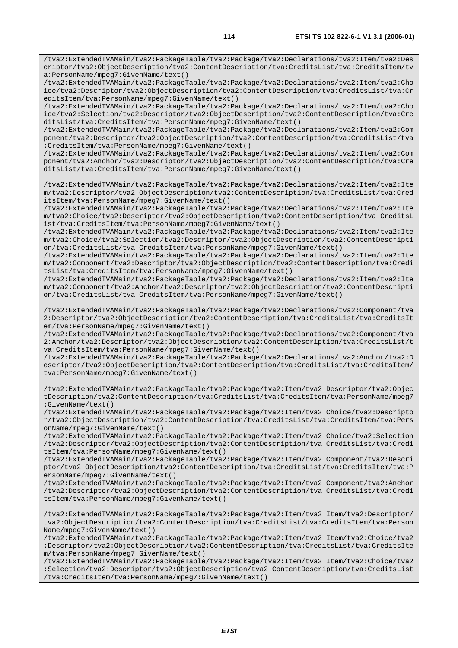/tva2:ExtendedTVAMain/tva2:PackageTable/tva2:Package/tva2:Declarations/tva2:Item/tva2:Des criptor/tva2:ObjectDescription/tva2:ContentDescription/tva:CreditsList/tva:CreditsItem/tv a:PersonName/mpeg7:GivenName/text()

/tva2:ExtendedTVAMain/tva2:PackageTable/tva2:Package/tva2:Declarations/tva2:Item/tva2:Cho ice/tva2:Descriptor/tva2:ObjectDescription/tva2:ContentDescription/tva:CreditsList/tva:Cr editsItem/tva:PersonName/mpeg7:GivenName/text()

/tva2:ExtendedTVAMain/tva2:PackageTable/tva2:Package/tva2:Declarations/tva2:Item/tva2:Cho ice/tva2:Selection/tva2:Descriptor/tva2:ObjectDescription/tva2:ContentDescription/tva:Cre ditsList/tva:CreditsItem/tva:PersonName/mpeg7:GivenName/text()

/tva2:ExtendedTVAMain/tva2:PackageTable/tva2:Package/tva2:Declarations/tva2:Item/tva2:Com ponent/tva2:Descriptor/tva2:ObjectDescription/tva2:ContentDescription/tva:CreditsList/tva :CreditsItem/tva:PersonName/mpeg7:GivenName/text()

/tva2:ExtendedTVAMain/tva2:PackageTable/tva2:Package/tva2:Declarations/tva2:Item/tva2:Com ponent/tva2:Anchor/tva2:Descriptor/tva2:ObjectDescription/tva2:ContentDescription/tva:Cre ditsList/tva:CreditsItem/tva:PersonName/mpeg7:GivenName/text()

/tva2:ExtendedTVAMain/tva2:PackageTable/tva2:Package/tva2:Declarations/tva2:Item/tva2:Ite m/tva2:Descriptor/tva2:ObjectDescription/tva2:ContentDescription/tva:CreditsList/tva:Cred itsItem/tva:PersonName/mpeg7:GivenName/text()

/tva2:ExtendedTVAMain/tva2:PackageTable/tva2:Package/tva2:Declarations/tva2:Item/tva2:Ite m/tva2:Choice/tva2:Descriptor/tva2:ObjectDescription/tva2:ContentDescription/tva:CreditsL ist/tva:CreditsItem/tva:PersonName/mpeg7:GivenName/text()

/tva2:ExtendedTVAMain/tva2:PackageTable/tva2:Package/tva2:Declarations/tva2:Item/tva2:Ite m/tva2:Choice/tva2:Selection/tva2:Descriptor/tva2:ObjectDescription/tva2:ContentDescripti on/tva:CreditsList/tva:CreditsItem/tva:PersonName/mpeg7:GivenName/text()

/tva2:ExtendedTVAMain/tva2:PackageTable/tva2:Package/tva2:Declarations/tva2:Item/tva2:Ite m/tva2:Component/tva2:Descriptor/tva2:ObjectDescription/tva2:ContentDescription/tva:Credi tsList/tva:CreditsItem/tva:PersonName/mpeg7:GivenName/text()

/tva2:ExtendedTVAMain/tva2:PackageTable/tva2:Package/tva2:Declarations/tva2:Item/tva2:Ite m/tva2:Component/tva2:Anchor/tva2:Descriptor/tva2:ObjectDescription/tva2:ContentDescripti on/tva:CreditsList/tva:CreditsItem/tva:PersonName/mpeg7:GivenName/text()

/tva2:ExtendedTVAMain/tva2:PackageTable/tva2:Package/tva2:Declarations/tva2:Component/tva 2:Descriptor/tva2:ObjectDescription/tva2:ContentDescription/tva:CreditsList/tva:CreditsIt em/tva:PersonName/mpeg7:GivenName/text()

/tva2:ExtendedTVAMain/tva2:PackageTable/tva2:Package/tva2:Declarations/tva2:Component/tva 2:Anchor/tva2:Descriptor/tva2:ObjectDescription/tva2:ContentDescription/tva:CreditsList/t va:CreditsItem/tva:PersonName/mpeg7:GivenName/text()

/tva2:ExtendedTVAMain/tva2:PackageTable/tva2:Package/tva2:Declarations/tva2:Anchor/tva2:D escriptor/tva2:ObjectDescription/tva2:ContentDescription/tva:CreditsList/tva:CreditsItem/ tva:PersonName/mpeg7:GivenName/text()

/tva2:ExtendedTVAMain/tva2:PackageTable/tva2:Package/tva2:Item/tva2:Descriptor/tva2:Objec tDescription/tva2:ContentDescription/tva:CreditsList/tva:CreditsItem/tva:PersonName/mpeg7 :GivenName/text()

/tva2:ExtendedTVAMain/tva2:PackageTable/tva2:Package/tva2:Item/tva2:Choice/tva2:Descripto r/tva2:ObjectDescription/tva2:ContentDescription/tva:CreditsList/tva:CreditsItem/tva:Pers onName/mpeg7:GivenName/text()

/tva2:ExtendedTVAMain/tva2:PackageTable/tva2:Package/tva2:Item/tva2:Choice/tva2:Selection /tva2:Descriptor/tva2:ObjectDescription/tva2:ContentDescription/tva:CreditsList/tva:Credi tsItem/tva:PersonName/mpeg7:GivenName/text()

/tva2:ExtendedTVAMain/tva2:PackageTable/tva2:Package/tva2:Item/tva2:Component/tva2:Descri ptor/tva2:ObjectDescription/tva2:ContentDescription/tva:CreditsList/tva:CreditsItem/tva:P ersonName/mpeg7:GivenName/text()

/tva2:ExtendedTVAMain/tva2:PackageTable/tva2:Package/tva2:Item/tva2:Component/tva2:Anchor /tva2:Descriptor/tva2:ObjectDescription/tva2:ContentDescription/tva:CreditsList/tva:Credi tsItem/tva:PersonName/mpeg7:GivenName/text()

/tva2:ExtendedTVAMain/tva2:PackageTable/tva2:Package/tva2:Item/tva2:Item/tva2:Descriptor/ tva2:ObjectDescription/tva2:ContentDescription/tva:CreditsList/tva:CreditsItem/tva:Person Name/mpeg7:GivenName/text()

/tva2:ExtendedTVAMain/tva2:PackageTable/tva2:Package/tva2:Item/tva2:Item/tva2:Choice/tva2 :Descriptor/tva2:ObjectDescription/tva2:ContentDescription/tva:CreditsList/tva:CreditsIte m/tva:PersonName/mpeg7:GivenName/text()

/tva2:ExtendedTVAMain/tva2:PackageTable/tva2:Package/tva2:Item/tva2:Item/tva2:Choice/tva2 :Selection/tva2:Descriptor/tva2:ObjectDescription/tva2:ContentDescription/tva:CreditsList /tva:CreditsItem/tva:PersonName/mpeg7:GivenName/text()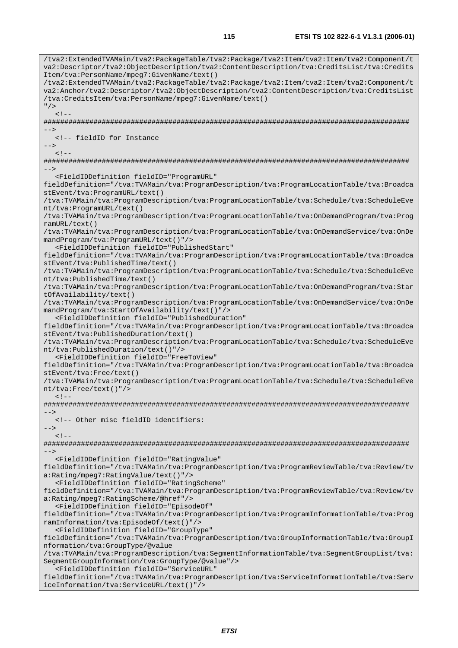/tva2:ExtendedTVAMain/tva2:PackageTable/tva2:Package/tva2:Item/tva2:Item/tva2:Component/t va2:Descriptor/tva2:ObjectDescription/tva2:ContentDescription/tva:CreditsList/tva:Credits Item/tva:PersonName/mpeg7:GivenName/text() /tva2:ExtendedTVAMain/tva2:PackageTable/tva2:Package/tva2:Item/tva2:Item/tva2:Component/t va2:Anchor/tva2:Descriptor/tva2:ObjectDescription/tva2:ContentDescription/tva:CreditsList /tva:CreditsItem/tva:PersonName/mpeg7:GivenName/text()  $''$  />  $< ! -$ ######################################################################################## --> <!-- fieldID for Instance  $- \lt$  ! -######################################################################################## --> <FieldIDDefinition fieldID="ProgramURL" fieldDefinition="/tva:TVAMain/tva:ProgramDescription/tva:ProgramLocationTable/tva:Broadca stEvent/tva:ProgramURL/text() /tva:TVAMain/tva:ProgramDescription/tva:ProgramLocationTable/tva:Schedule/tva:ScheduleEve nt/tva:ProgramURL/text() /tva:TVAMain/tva:ProgramDescription/tva:ProgramLocationTable/tva:OnDemandProgram/tva:Prog ramURL/text() /tva:TVAMain/tva:ProgramDescription/tva:ProgramLocationTable/tva:OnDemandService/tva:OnDe mandProgram/tva:ProgramURL/text()"/> <FieldIDDefinition fieldID="PublishedStart" fieldDefinition="/tva:TVAMain/tva:ProgramDescription/tva:ProgramLocationTable/tva:Broadca stEvent/tva:PublishedTime/text() /tva:TVAMain/tva:ProgramDescription/tva:ProgramLocationTable/tva:Schedule/tva:ScheduleEve nt/tva:PublishedTime/text() /tva:TVAMain/tva:ProgramDescription/tva:ProgramLocationTable/tva:OnDemandProgram/tva:Star tOfAvailability/text() /tva:TVAMain/tva:ProgramDescription/tva:ProgramLocationTable/tva:OnDemandService/tva:OnDe mandProgram/tva:StartOfAvailability/text()"/> <FieldIDDefinition fieldID="PublishedDuration" fieldDefinition="/tva:TVAMain/tva:ProgramDescription/tva:ProgramLocationTable/tva:Broadca stEvent/tva:PublishedDuration/text() /tva:TVAMain/tva:ProgramDescription/tva:ProgramLocationTable/tva:Schedule/tva:ScheduleEve nt/tva:PublishedDuration/text()"/> <FieldIDDefinition fieldID="FreeToView" fieldDefinition="/tva:TVAMain/tva:ProgramDescription/tva:ProgramLocationTable/tva:Broadca stEvent/tva:Free/text() /tva:TVAMain/tva:ProgramDescription/tva:ProgramLocationTable/tva:Schedule/tva:ScheduleEve nt/tva:Free/text()"/>  $\geq$  1  $-$ ######################################################################################## --> <!-- Other misc fieldID identifiers: -->  $2 - 1 - 1$ ######################################################################################## --> <FieldIDDefinition fieldID="RatingValue" fieldDefinition="/tva:TVAMain/tva:ProgramDescription/tva:ProgramReviewTable/tva:Review/tv a:Rating/mpeg7:RatingValue/text()"/> <FieldIDDefinition fieldID="RatingScheme" fieldDefinition="/tva:TVAMain/tva:ProgramDescription/tva:ProgramReviewTable/tva:Review/tv a:Rating/mpeg7:RatingScheme/@href"/> <FieldIDDefinition fieldID="EpisodeOf" fieldDefinition="/tva:TVAMain/tva:ProgramDescription/tva:ProgramInformationTable/tva:Prog ramInformation/tva:EpisodeOf/text()"/> <FieldIDDefinition fieldID="GroupType" fieldDefinition="/tva:TVAMain/tva:ProgramDescription/tva:GroupInformationTable/tva:GroupI nformation/tva:GroupType/@value /tva:TVAMain/tva:ProgramDescription/tva:SegmentInformationTable/tva:SegmentGroupList/tva: SegmentGroupInformation/tva:GroupType/@value"/> <FieldIDDefinition fieldID="ServiceURL" fieldDefinition="/tva:TVAMain/tva:ProgramDescription/tva:ServiceInformationTable/tva:Serv iceInformation/tva:ServiceURL/text()"/>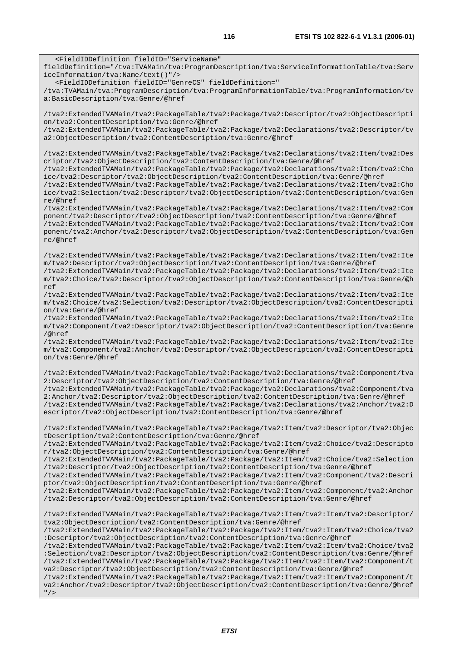<FieldIDDefinition fieldID="ServiceName"

fieldDefinition="/tva:TVAMain/tva:ProgramDescription/tva:ServiceInformationTable/tva:Serv iceInformation/tva:Name/text()"/> <FieldIDDefinition fieldID="GenreCS" fieldDefinition=" /tva:TVAMain/tva:ProgramDescription/tva:ProgramInformationTable/tva:ProgramInformation/tv a:BasicDescription/tva:Genre/@href /tva2:ExtendedTVAMain/tva2:PackageTable/tva2:Package/tva2:Descriptor/tva2:ObjectDescripti on/tva2:ContentDescription/tva:Genre/@href /tva2:ExtendedTVAMain/tva2:PackageTable/tva2:Package/tva2:Declarations/tva2:Descriptor/tv a2:ObjectDescription/tva2:ContentDescription/tva:Genre/@href /tva2:ExtendedTVAMain/tva2:PackageTable/tva2:Package/tva2:Declarations/tva2:Item/tva2:Des criptor/tva2:ObjectDescription/tva2:ContentDescription/tva:Genre/@href /tva2:ExtendedTVAMain/tva2:PackageTable/tva2:Package/tva2:Declarations/tva2:Item/tva2:Cho ice/tva2:Descriptor/tva2:ObjectDescription/tva2:ContentDescription/tva:Genre/@href /tva2:ExtendedTVAMain/tva2:PackageTable/tva2:Package/tva2:Declarations/tva2:Item/tva2:Cho ice/tva2:Selection/tva2:Descriptor/tva2:ObjectDescription/tva2:ContentDescription/tva:Gen re/@href /tva2:ExtendedTVAMain/tva2:PackageTable/tva2:Package/tva2:Declarations/tva2:Item/tva2:Com ponent/tva2:Descriptor/tva2:ObjectDescription/tva2:ContentDescription/tva:Genre/@href /tva2:ExtendedTVAMain/tva2:PackageTable/tva2:Package/tva2:Declarations/tva2:Item/tva2:Com ponent/tva2:Anchor/tva2:Descriptor/tva2:ObjectDescription/tva2:ContentDescription/tva:Gen re/@href /tva2:ExtendedTVAMain/tva2:PackageTable/tva2:Package/tva2:Declarations/tva2:Item/tva2:Ite m/tva2:Descriptor/tva2:ObjectDescription/tva2:ContentDescription/tva:Genre/@href /tva2:ExtendedTVAMain/tva2:PackageTable/tva2:Package/tva2:Declarations/tva2:Item/tva2:Ite m/tva2:Choice/tva2:Descriptor/tva2:ObjectDescription/tva2:ContentDescription/tva:Genre/@h ref /tva2:ExtendedTVAMain/tva2:PackageTable/tva2:Package/tva2:Declarations/tva2:Item/tva2:Ite m/tva2:Choice/tva2:Selection/tva2:Descriptor/tva2:ObjectDescription/tva2:ContentDescripti on/tva:Genre/@href /tva2:ExtendedTVAMain/tva2:PackageTable/tva2:Package/tva2:Declarations/tva2:Item/tva2:Ite m/tva2:Component/tva2:Descriptor/tva2:ObjectDescription/tva2:ContentDescription/tva:Genre /@href /tva2:ExtendedTVAMain/tva2:PackageTable/tva2:Package/tva2:Declarations/tva2:Item/tva2:Ite m/tva2:Component/tva2:Anchor/tva2:Descriptor/tva2:ObjectDescription/tva2:ContentDescripti on/tva:Genre/@href /tva2:ExtendedTVAMain/tva2:PackageTable/tva2:Package/tva2:Declarations/tva2:Component/tva 2:Descriptor/tva2:ObjectDescription/tva2:ContentDescription/tva:Genre/@href /tva2:ExtendedTVAMain/tva2:PackageTable/tva2:Package/tva2:Declarations/tva2:Component/tva 2:Anchor/tva2:Descriptor/tva2:ObjectDescription/tva2:ContentDescription/tva:Genre/@href /tva2:ExtendedTVAMain/tva2:PackageTable/tva2:Package/tva2:Declarations/tva2:Anchor/tva2:D escriptor/tva2:ObjectDescription/tva2:ContentDescription/tva:Genre/@href /tva2:ExtendedTVAMain/tva2:PackageTable/tva2:Package/tva2:Item/tva2:Descriptor/tva2:Objec tDescription/tva2:ContentDescription/tva:Genre/@href /tva2:ExtendedTVAMain/tva2:PackageTable/tva2:Package/tva2:Item/tva2:Choice/tva2:Descripto r/tva2:ObjectDescription/tva2:ContentDescription/tva:Genre/@href /tva2:ExtendedTVAMain/tva2:PackageTable/tva2:Package/tva2:Item/tva2:Choice/tva2:Selection /tva2:Descriptor/tva2:ObjectDescription/tva2:ContentDescription/tva:Genre/@href /tva2:ExtendedTVAMain/tva2:PackageTable/tva2:Package/tva2:Item/tva2:Component/tva2:Descri ptor/tva2:ObjectDescription/tva2:ContentDescription/tva:Genre/@href /tva2:ExtendedTVAMain/tva2:PackageTable/tva2:Package/tva2:Item/tva2:Component/tva2:Anchor /tva2:Descriptor/tva2:ObjectDescription/tva2:ContentDescription/tva:Genre/@href /tva2:ExtendedTVAMain/tva2:PackageTable/tva2:Package/tva2:Item/tva2:Item/tva2:Descriptor/ tva2:ObjectDescription/tva2:ContentDescription/tva:Genre/@href /tva2:ExtendedTVAMain/tva2:PackageTable/tva2:Package/tva2:Item/tva2:Item/tva2:Choice/tva2 :Descriptor/tva2:ObjectDescription/tva2:ContentDescription/tva:Genre/@href /tva2:ExtendedTVAMain/tva2:PackageTable/tva2:Package/tva2:Item/tva2:Item/tva2:Choice/tva2 :Selection/tva2:Descriptor/tva2:ObjectDescription/tva2:ContentDescription/tva:Genre/@href /tva2:ExtendedTVAMain/tva2:PackageTable/tva2:Package/tva2:Item/tva2:Item/tva2:Component/t va2:Descriptor/tva2:ObjectDescription/tva2:ContentDescription/tva:Genre/@href /tva2:ExtendedTVAMain/tva2:PackageTable/tva2:Package/tva2:Item/tva2:Item/tva2:Component/t va2:Anchor/tva2:Descriptor/tva2:ObjectDescription/tva2:ContentDescription/tva:Genre/@href  $"$  />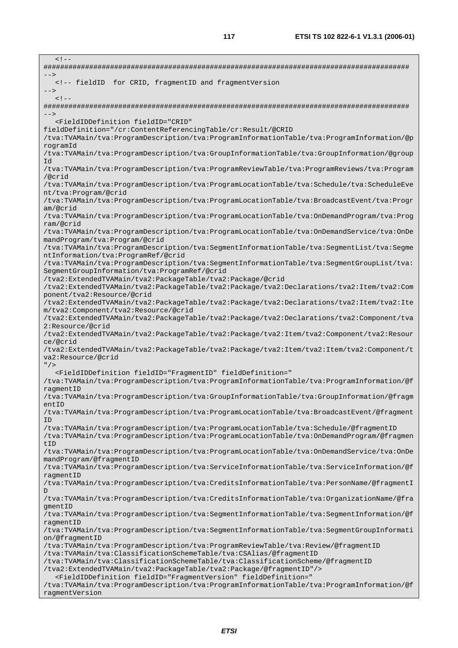$\lt$   $\vdash$ ######################################################################################## --> <!-- fieldID for CRID, fragmentID and fragmentVersion -->  $<$ ! --######################################################################################## --> <FieldIDDefinition fieldID="CRID" fieldDefinition="/cr:ContentReferencingTable/cr:Result/@CRID /tva:TVAMain/tva:ProgramDescription/tva:ProgramInformationTable/tva:ProgramInformation/@p rogramId /tva:TVAMain/tva:ProgramDescription/tva:GroupInformationTable/tva:GroupInformation/@group Id /tva:TVAMain/tva:ProgramDescription/tva:ProgramReviewTable/tva:ProgramReviews/tva:Program /@crid /tva:TVAMain/tva:ProgramDescription/tva:ProgramLocationTable/tva:Schedule/tva:ScheduleEve nt/tva:Program/@crid /tva:TVAMain/tva:ProgramDescription/tva:ProgramLocationTable/tva:BroadcastEvent/tva:Progr am/@crid /tva:TVAMain/tva:ProgramDescription/tva:ProgramLocationTable/tva:OnDemandProgram/tva:Prog ram/@crid /tva:TVAMain/tva:ProgramDescription/tva:ProgramLocationTable/tva:OnDemandService/tva:OnDe mandProgram/tva:Program/@crid /tva:TVAMain/tva:ProgramDescription/tva:SegmentInformationTable/tva:SegmentList/tva:Segme ntInformation/tva:ProgramRef/@crid /tva:TVAMain/tva:ProgramDescription/tva:SegmentInformationTable/tva:SegmentGroupList/tva: SegmentGroupInformation/tva:ProgramRef/@crid /tva2:ExtendedTVAMain/tva2:PackageTable/tva2:Package/@crid /tva2:ExtendedTVAMain/tva2:PackageTable/tva2:Package/tva2:Declarations/tva2:Item/tva2:Com ponent/tva2:Resource/@crid /tva2:ExtendedTVAMain/tva2:PackageTable/tva2:Package/tva2:Declarations/tva2:Item/tva2:Ite m/tva2:Component/tva2:Resource/@crid /tva2:ExtendedTVAMain/tva2:PackageTable/tva2:Package/tva2:Declarations/tva2:Component/tva 2:Resource/@crid /tva2:ExtendedTVAMain/tva2:PackageTable/tva2:Package/tva2:Item/tva2:Component/tva2:Resour ce/@crid /tva2:ExtendedTVAMain/tva2:PackageTable/tva2:Package/tva2:Item/tva2:Item/tva2:Component/t va2:Resource/@crid  $"$  /> <FieldIDDefinition fieldID="FragmentID" fieldDefinition=" /tva:TVAMain/tva:ProgramDescription/tva:ProgramInformationTable/tva:ProgramInformation/@f ragmentID /tva:TVAMain/tva:ProgramDescription/tva:GroupInformationTable/tva:GroupInformation/@fragm  $entID$ /tva:TVAMain/tva:ProgramDescription/tva:ProgramLocationTable/tva:BroadcastEvent/@fragment ID /tva:TVAMain/tva:ProgramDescription/tva:ProgramLocationTable/tva:Schedule/@fragmentID /tva:TVAMain/tva:ProgramDescription/tva:ProgramLocationTable/tva:OnDemandProgram/@fragmen t.TD /tva:TVAMain/tva:ProgramDescription/tva:ProgramLocationTable/tva:OnDemandService/tva:OnDe mandProgram/@fragmentID /tva:TVAMain/tva:ProgramDescription/tva:ServiceInformationTable/tva:ServiceInformation/@f ragmentID /tva:TVAMain/tva:ProgramDescription/tva:CreditsInformationTable/tva:PersonName/@fragmentI D /tva:TVAMain/tva:ProgramDescription/tva:CreditsInformationTable/tva:OrganizationName/@fra gmentID /tva:TVAMain/tva:ProgramDescription/tva:SegmentInformationTable/tva:SegmentInformation/@f ragmentID /tva:TVAMain/tva:ProgramDescription/tva:SegmentInformationTable/tva:SegmentGroupInformati on/@fragmentID /tva:TVAMain/tva:ProgramDescription/tva:ProgramReviewTable/tva:Review/@fragmentID /tva:TVAMain/tva:ClassificationSchemeTable/tva:CSAlias/@fragmentID /tva:TVAMain/tva:ClassificationSchemeTable/tva:ClassificationScheme/@fragmentID /tva2:ExtendedTVAMain/tva2:PackageTable/tva2:Package/@fragmentID"/> <FieldIDDefinition fieldID="FragmentVersion" fieldDefinition=" /tva:TVAMain/tva:ProgramDescription/tva:ProgramInformationTable/tva:ProgramInformation/@f ragmentVersion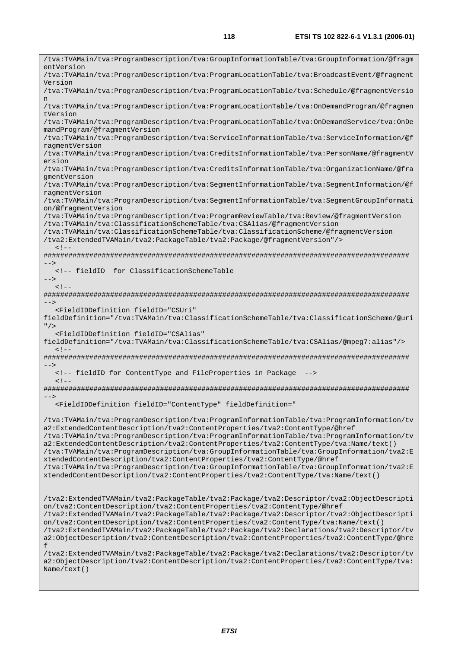/tva:TVAMain/tva:ProgramDescription/tva:GroupInformationTable/tva:GroupInformation/@fragm entVersion /tva:TVAMain/tva:ProgramDescription/tva:ProgramLocationTable/tva:BroadcastEvent/@fragment Version /tva:TVAMain/tva:ProgramDescription/tva:ProgramLocationTable/tva:Schedule/@fragmentVersio n /tva:TVAMain/tva:ProgramDescription/tva:ProgramLocationTable/tva:OnDemandProgram/@fragmen tVersion /tva:TVAMain/tva:ProgramDescription/tva:ProgramLocationTable/tva:OnDemandService/tva:OnDe mandProgram/@fragmentVersion /tva:TVAMain/tva:ProgramDescription/tva:ServiceInformationTable/tva:ServiceInformation/@f ragmentVersion /tva:TVAMain/tva:ProgramDescription/tva:CreditsInformationTable/tva:PersonName/@fragmentV ersion /tva:TVAMain/tva:ProgramDescription/tva:CreditsInformationTable/tva:OrganizationName/@fra gmentVersion /tva:TVAMain/tva:ProgramDescription/tva:SegmentInformationTable/tva:SegmentInformation/@f ragmentVersion /tva:TVAMain/tva:ProgramDescription/tva:SegmentInformationTable/tva:SegmentGroupInformati on/@fragmentVersion /tva:TVAMain/tva:ProgramDescription/tva:ProgramReviewTable/tva:Review/@fragmentVersion /tva:TVAMain/tva:ClassificationSchemeTable/tva:CSAlias/@fragmentVersion /tva:TVAMain/tva:ClassificationSchemeTable/tva:ClassificationScheme/@fragmentVersion /tva2:ExtendedTVAMain/tva2:PackageTable/tva2:Package/@fragmentVersion"/>  $< ! -$ ######################################################################################## --> <!-- fieldID for ClassificationSchemeTable  $--&>$  $<$ ! --######################################################################################## --> <FieldIDDefinition fieldID="CSUri" fieldDefinition="/tva:TVAMain/tva:ClassificationSchemeTable/tva:ClassificationScheme/@uri  $"$  /> <FieldIDDefinition fieldID="CSAlias" fieldDefinition="/tva:TVAMain/tva:ClassificationSchemeTable/tva:CSAlias/@mpeg7:alias"/>  $\lt$  !  $-$ ######################################################################################## --> <!-- fieldID for ContentType and FileProperties in Package -->  $< 1 - -$ ######################################################################################## --> <FieldIDDefinition fieldID="ContentType" fieldDefinition=" /tva:TVAMain/tva:ProgramDescription/tva:ProgramInformationTable/tva:ProgramInformation/tv a2:ExtendedContentDescription/tva2:ContentProperties/tva2:ContentType/@href /tva:TVAMain/tva:ProgramDescription/tva:ProgramInformationTable/tva:ProgramInformation/tv a2:ExtendedContentDescription/tva2:ContentProperties/tva2:ContentType/tva:Name/text() /tva:TVAMain/tva:ProgramDescription/tva:GroupInformationTable/tva:GroupInformation/tva2:E xtendedContentDescription/tva2:ContentProperties/tva2:ContentType/@href /tva:TVAMain/tva:ProgramDescription/tva:GroupInformationTable/tva:GroupInformation/tva2:E xtendedContentDescription/tva2:ContentProperties/tva2:ContentType/tva:Name/text() /tva2:ExtendedTVAMain/tva2:PackageTable/tva2:Package/tva2:Descriptor/tva2:ObjectDescripti on/tva2:ContentDescription/tva2:ContentProperties/tva2:ContentType/@href /tva2:ExtendedTVAMain/tva2:PackageTable/tva2:Package/tva2:Descriptor/tva2:ObjectDescripti on/tva2:ContentDescription/tva2:ContentProperties/tva2:ContentType/tva:Name/text() /tva2:ExtendedTVAMain/tva2:PackageTable/tva2:Package/tva2:Declarations/tva2:Descriptor/tv a2:ObjectDescription/tva2:ContentDescription/tva2:ContentProperties/tva2:ContentType/@hre f /tva2:ExtendedTVAMain/tva2:PackageTable/tva2:Package/tva2:Declarations/tva2:Descriptor/tv a2:ObjectDescription/tva2:ContentDescription/tva2:ContentProperties/tva2:ContentType/tva: Name/text()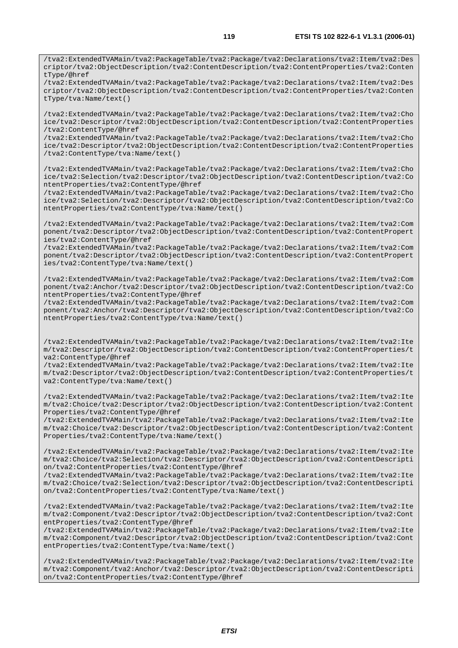/tva2:ExtendedTVAMain/tva2:PackageTable/tva2:Package/tva2:Declarations/tva2:Item/tva2:Des criptor/tva2:ObjectDescription/tva2:ContentDescription/tva2:ContentProperties/tva2:Conten tType/@href

/tva2:ExtendedTVAMain/tva2:PackageTable/tva2:Package/tva2:Declarations/tva2:Item/tva2:Des criptor/tva2:ObjectDescription/tva2:ContentDescription/tva2:ContentProperties/tva2:Conten tType/tva:Name/text()

/tva2:ExtendedTVAMain/tva2:PackageTable/tva2:Package/tva2:Declarations/tva2:Item/tva2:Cho ice/tva2:Descriptor/tva2:ObjectDescription/tva2:ContentDescription/tva2:ContentProperties /tva2:ContentType/@href

/tva2:ExtendedTVAMain/tva2:PackageTable/tva2:Package/tva2:Declarations/tva2:Item/tva2:Cho ice/tva2:Descriptor/tva2:ObjectDescription/tva2:ContentDescription/tva2:ContentProperties /tva2:ContentType/tva:Name/text()

/tva2:ExtendedTVAMain/tva2:PackageTable/tva2:Package/tva2:Declarations/tva2:Item/tva2:Cho ice/tva2:Selection/tva2:Descriptor/tva2:ObjectDescription/tva2:ContentDescription/tva2:Co ntentProperties/tva2:ContentType/@href

/tva2:ExtendedTVAMain/tva2:PackageTable/tva2:Package/tva2:Declarations/tva2:Item/tva2:Cho ice/tva2:Selection/tva2:Descriptor/tva2:ObjectDescription/tva2:ContentDescription/tva2:Co ntentProperties/tva2:ContentType/tva:Name/text()

/tva2:ExtendedTVAMain/tva2:PackageTable/tva2:Package/tva2:Declarations/tva2:Item/tva2:Com ponent/tva2:Descriptor/tva2:ObjectDescription/tva2:ContentDescription/tva2:ContentPropert ies/tva2:ContentType/@href

/tva2:ExtendedTVAMain/tva2:PackageTable/tva2:Package/tva2:Declarations/tva2:Item/tva2:Com ponent/tva2:Descriptor/tva2:ObjectDescription/tva2:ContentDescription/tva2:ContentPropert ies/tva2:ContentType/tva:Name/text()

/tva2:ExtendedTVAMain/tva2:PackageTable/tva2:Package/tva2:Declarations/tva2:Item/tva2:Com ponent/tva2:Anchor/tva2:Descriptor/tva2:ObjectDescription/tva2:ContentDescription/tva2:Co ntentProperties/tva2:ContentType/@href

/tva2:ExtendedTVAMain/tva2:PackageTable/tva2:Package/tva2:Declarations/tva2:Item/tva2:Com ponent/tva2:Anchor/tva2:Descriptor/tva2:ObjectDescription/tva2:ContentDescription/tva2:Co ntentProperties/tva2:ContentType/tva:Name/text()

/tva2:ExtendedTVAMain/tva2:PackageTable/tva2:Package/tva2:Declarations/tva2:Item/tva2:Ite m/tva2:Descriptor/tva2:ObjectDescription/tva2:ContentDescription/tva2:ContentProperties/t va2:ContentType/@href

/tva2:ExtendedTVAMain/tva2:PackageTable/tva2:Package/tva2:Declarations/tva2:Item/tva2:Ite m/tva2:Descriptor/tva2:ObjectDescription/tva2:ContentDescription/tva2:ContentProperties/t va2:ContentType/tva:Name/text()

/tva2:ExtendedTVAMain/tva2:PackageTable/tva2:Package/tva2:Declarations/tva2:Item/tva2:Ite m/tva2:Choice/tva2:Descriptor/tva2:ObjectDescription/tva2:ContentDescription/tva2:Content Properties/tva2:ContentType/@href

/tva2:ExtendedTVAMain/tva2:PackageTable/tva2:Package/tva2:Declarations/tva2:Item/tva2:Ite m/tva2:Choice/tva2:Descriptor/tva2:ObjectDescription/tva2:ContentDescription/tva2:Content Properties/tva2:ContentType/tva:Name/text()

/tva2:ExtendedTVAMain/tva2:PackageTable/tva2:Package/tva2:Declarations/tva2:Item/tva2:Ite m/tva2:Choice/tva2:Selection/tva2:Descriptor/tva2:ObjectDescription/tva2:ContentDescripti on/tva2:ContentProperties/tva2:ContentType/@href

/tva2:ExtendedTVAMain/tva2:PackageTable/tva2:Package/tva2:Declarations/tva2:Item/tva2:Ite m/tva2:Choice/tva2:Selection/tva2:Descriptor/tva2:ObjectDescription/tva2:ContentDescripti on/tva2:ContentProperties/tva2:ContentType/tva:Name/text()

/tva2:ExtendedTVAMain/tva2:PackageTable/tva2:Package/tva2:Declarations/tva2:Item/tva2:Ite m/tva2:Component/tva2:Descriptor/tva2:ObjectDescription/tva2:ContentDescription/tva2:Cont entProperties/tva2:ContentType/@href

/tva2:ExtendedTVAMain/tva2:PackageTable/tva2:Package/tva2:Declarations/tva2:Item/tva2:Ite m/tva2:Component/tva2:Descriptor/tva2:ObjectDescription/tva2:ContentDescription/tva2:Cont entProperties/tva2:ContentType/tva:Name/text()

/tva2:ExtendedTVAMain/tva2:PackageTable/tva2:Package/tva2:Declarations/tva2:Item/tva2:Ite m/tva2:Component/tva2:Anchor/tva2:Descriptor/tva2:ObjectDescription/tva2:ContentDescripti on/tva2:ContentProperties/tva2:ContentType/@href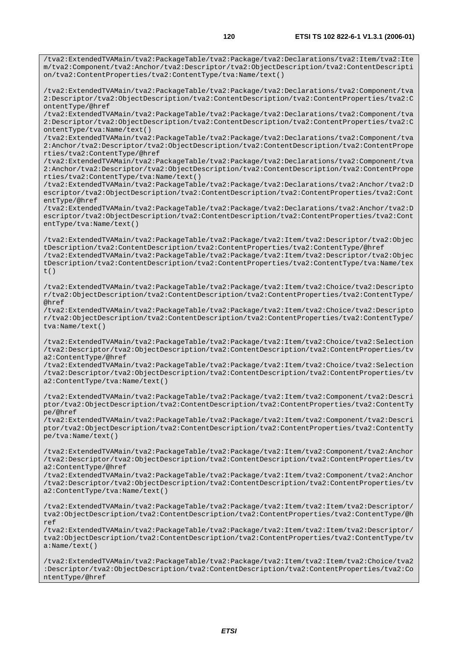/tva2:ExtendedTVAMain/tva2:PackageTable/tva2:Package/tva2:Declarations/tva2:Component/tva 2:Descriptor/tva2:ObjectDescription/tva2:ContentDescription/tva2:ContentProperties/tva2:C ontentType/@href

on/tva2:ContentProperties/tva2:ContentType/tva:Name/text()

/tva2:ExtendedTVAMain/tva2:PackageTable/tva2:Package/tva2:Declarations/tva2:Component/tva 2:Descriptor/tva2:ObjectDescription/tva2:ContentDescription/tva2:ContentProperties/tva2:C ontentType/tva:Name/text()

/tva2:ExtendedTVAMain/tva2:PackageTable/tva2:Package/tva2:Declarations/tva2:Component/tva 2:Anchor/tva2:Descriptor/tva2:ObjectDescription/tva2:ContentDescription/tva2:ContentPrope rties/tva2:ContentType/@href

/tva2:ExtendedTVAMain/tva2:PackageTable/tva2:Package/tva2:Declarations/tva2:Component/tva 2:Anchor/tva2:Descriptor/tva2:ObjectDescription/tva2:ContentDescription/tva2:ContentPrope rties/tva2:ContentType/tva:Name/text()

/tva2:ExtendedTVAMain/tva2:PackageTable/tva2:Package/tva2:Declarations/tva2:Anchor/tva2:D escriptor/tva2:ObjectDescription/tva2:ContentDescription/tva2:ContentProperties/tva2:Cont entType/@href

/tva2:ExtendedTVAMain/tva2:PackageTable/tva2:Package/tva2:Declarations/tva2:Anchor/tva2:D escriptor/tva2:ObjectDescription/tva2:ContentDescription/tva2:ContentProperties/tva2:Cont entType/tva:Name/text()

/tva2:ExtendedTVAMain/tva2:PackageTable/tva2:Package/tva2:Item/tva2:Descriptor/tva2:Objec tDescription/tva2:ContentDescription/tva2:ContentProperties/tva2:ContentType/@href /tva2:ExtendedTVAMain/tva2:PackageTable/tva2:Package/tva2:Item/tva2:Descriptor/tva2:Objec tDescription/tva2:ContentDescription/tva2:ContentProperties/tva2:ContentType/tva:Name/tex t()

/tva2:ExtendedTVAMain/tva2:PackageTable/tva2:Package/tva2:Item/tva2:Choice/tva2:Descripto r/tva2:ObjectDescription/tva2:ContentDescription/tva2:ContentProperties/tva2:ContentType/ @href

/tva2:ExtendedTVAMain/tva2:PackageTable/tva2:Package/tva2:Item/tva2:Choice/tva2:Descripto r/tva2:ObjectDescription/tva2:ContentDescription/tva2:ContentProperties/tva2:ContentType/ tva:Name/text()

/tva2:ExtendedTVAMain/tva2:PackageTable/tva2:Package/tva2:Item/tva2:Choice/tva2:Selection /tva2:Descriptor/tva2:ObjectDescription/tva2:ContentDescription/tva2:ContentProperties/tv a2:ContentType/@href

/tva2:ExtendedTVAMain/tva2:PackageTable/tva2:Package/tva2:Item/tva2:Choice/tva2:Selection /tva2:Descriptor/tva2:ObjectDescription/tva2:ContentDescription/tva2:ContentProperties/tv a2:ContentType/tva:Name/text()

/tva2:ExtendedTVAMain/tva2:PackageTable/tva2:Package/tva2:Item/tva2:Component/tva2:Descri ptor/tva2:ObjectDescription/tva2:ContentDescription/tva2:ContentProperties/tva2:ContentTy pe/@href

/tva2:ExtendedTVAMain/tva2:PackageTable/tva2:Package/tva2:Item/tva2:Component/tva2:Descri ptor/tva2:ObjectDescription/tva2:ContentDescription/tva2:ContentProperties/tva2:ContentTy pe/tva:Name/text()

/tva2:ExtendedTVAMain/tva2:PackageTable/tva2:Package/tva2:Item/tva2:Component/tva2:Anchor /tva2:Descriptor/tva2:ObjectDescription/tva2:ContentDescription/tva2:ContentProperties/tv a2:ContentType/@href

/tva2:ExtendedTVAMain/tva2:PackageTable/tva2:Package/tva2:Item/tva2:Component/tva2:Anchor /tva2:Descriptor/tva2:ObjectDescription/tva2:ContentDescription/tva2:ContentProperties/tv a2:ContentType/tva:Name/text()

/tva2:ExtendedTVAMain/tva2:PackageTable/tva2:Package/tva2:Item/tva2:Item/tva2:Descriptor/ tva2:ObjectDescription/tva2:ContentDescription/tva2:ContentProperties/tva2:ContentType/@h ref

/tva2:ExtendedTVAMain/tva2:PackageTable/tva2:Package/tva2:Item/tva2:Item/tva2:Descriptor/ tva2:ObjectDescription/tva2:ContentDescription/tva2:ContentProperties/tva2:ContentType/tv a:Name/text()

/tva2:ExtendedTVAMain/tva2:PackageTable/tva2:Package/tva2:Item/tva2:Item/tva2:Choice/tva2 :Descriptor/tva2:ObjectDescription/tva2:ContentDescription/tva2:ContentProperties/tva2:Co ntentType/@href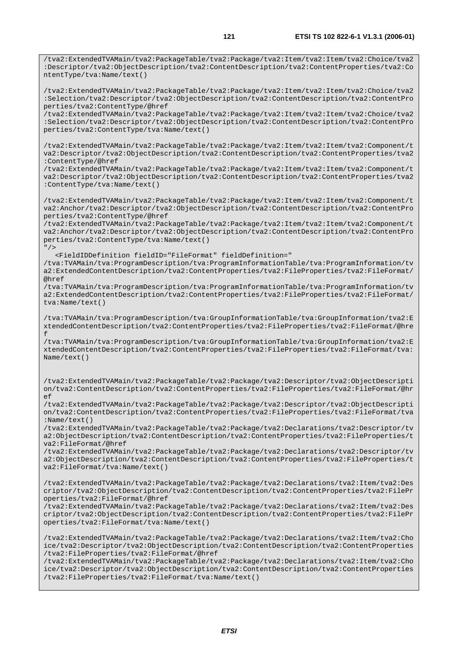/tva2:ExtendedTVAMain/tva2:PackageTable/tva2:Package/tva2:Item/tva2:Item/tva2:Choice/tva2 :Selection/tva2:Descriptor/tva2:ObjectDescription/tva2:ContentDescription/tva2:ContentPro perties/tva2:ContentType/@href

/tva2:ExtendedTVAMain/tva2:PackageTable/tva2:Package/tva2:Item/tva2:Item/tva2:Choice/tva2 :Selection/tva2:Descriptor/tva2:ObjectDescription/tva2:ContentDescription/tva2:ContentPro perties/tva2:ContentType/tva:Name/text()

/tva2:ExtendedTVAMain/tva2:PackageTable/tva2:Package/tva2:Item/tva2:Item/tva2:Component/t va2:Descriptor/tva2:ObjectDescription/tva2:ContentDescription/tva2:ContentProperties/tva2 :ContentType/@href

/tva2:ExtendedTVAMain/tva2:PackageTable/tva2:Package/tva2:Item/tva2:Item/tva2:Component/t va2:Descriptor/tva2:ObjectDescription/tva2:ContentDescription/tva2:ContentProperties/tva2 :ContentType/tva:Name/text()

/tva2:ExtendedTVAMain/tva2:PackageTable/tva2:Package/tva2:Item/tva2:Item/tva2:Component/t va2:Anchor/tva2:Descriptor/tva2:ObjectDescription/tva2:ContentDescription/tva2:ContentPro perties/tva2:ContentType/@href

/tva2:ExtendedTVAMain/tva2:PackageTable/tva2:Package/tva2:Item/tva2:Item/tva2:Component/t va2:Anchor/tva2:Descriptor/tva2:ObjectDescription/tva2:ContentDescription/tva2:ContentPro perties/tva2:ContentType/tva:Name/text()  $"$  />

<FieldIDDefinition fieldID="FileFormat" fieldDefinition="

/tva:TVAMain/tva:ProgramDescription/tva:ProgramInformationTable/tva:ProgramInformation/tv a2:ExtendedContentDescription/tva2:ContentProperties/tva2:FileProperties/tva2:FileFormat/ @href

/tva:TVAMain/tva:ProgramDescription/tva:ProgramInformationTable/tva:ProgramInformation/tv a2:ExtendedContentDescription/tva2:ContentProperties/tva2:FileProperties/tva2:FileFormat/ tva:Name/text()

/tva:TVAMain/tva:ProgramDescription/tva:GroupInformationTable/tva:GroupInformation/tva2:E xtendedContentDescription/tva2:ContentProperties/tva2:FileProperties/tva2:FileFormat/@hre f

/tva:TVAMain/tva:ProgramDescription/tva:GroupInformationTable/tva:GroupInformation/tva2:E xtendedContentDescription/tva2:ContentProperties/tva2:FileProperties/tva2:FileFormat/tva: Name/text()

/tva2:ExtendedTVAMain/tva2:PackageTable/tva2:Package/tva2:Descriptor/tva2:ObjectDescripti on/tva2:ContentDescription/tva2:ContentProperties/tva2:FileProperties/tva2:FileFormat/@hr ef

/tva2:ExtendedTVAMain/tva2:PackageTable/tva2:Package/tva2:Descriptor/tva2:ObjectDescripti on/tva2:ContentDescription/tva2:ContentProperties/tva2:FileProperties/tva2:FileFormat/tva :Name/text()

/tva2:ExtendedTVAMain/tva2:PackageTable/tva2:Package/tva2:Declarations/tva2:Descriptor/tv a2:ObjectDescription/tva2:ContentDescription/tva2:ContentProperties/tva2:FileProperties/t va2:FileFormat/@href

/tva2:ExtendedTVAMain/tva2:PackageTable/tva2:Package/tva2:Declarations/tva2:Descriptor/tv a2:ObjectDescription/tva2:ContentDescription/tva2:ContentProperties/tva2:FileProperties/t va2:FileFormat/tva:Name/text()

/tva2:ExtendedTVAMain/tva2:PackageTable/tva2:Package/tva2:Declarations/tva2:Item/tva2:Des criptor/tva2:ObjectDescription/tva2:ContentDescription/tva2:ContentProperties/tva2:FilePr operties/tva2:FileFormat/@href

/tva2:ExtendedTVAMain/tva2:PackageTable/tva2:Package/tva2:Declarations/tva2:Item/tva2:Des criptor/tva2:ObjectDescription/tva2:ContentDescription/tva2:ContentProperties/tva2:FilePr operties/tva2:FileFormat/tva:Name/text()

/tva2:ExtendedTVAMain/tva2:PackageTable/tva2:Package/tva2:Declarations/tva2:Item/tva2:Cho ice/tva2:Descriptor/tva2:ObjectDescription/tva2:ContentDescription/tva2:ContentProperties /tva2:FileProperties/tva2:FileFormat/@href

/tva2:ExtendedTVAMain/tva2:PackageTable/tva2:Package/tva2:Declarations/tva2:Item/tva2:Cho ice/tva2:Descriptor/tva2:ObjectDescription/tva2:ContentDescription/tva2:ContentProperties /tva2:FileProperties/tva2:FileFormat/tva:Name/text()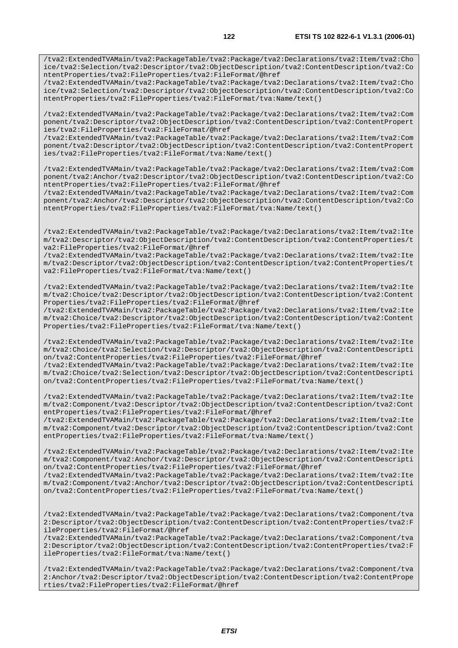/tva2:ExtendedTVAMain/tva2:PackageTable/tva2:Package/tva2:Declarations/tva2:Item/tva2:Cho ice/tva2:Selection/tva2:Descriptor/tva2:ObjectDescription/tva2:ContentDescription/tva2:Co ntentProperties/tva2:FileProperties/tva2:FileFormat/@href

/tva2:ExtendedTVAMain/tva2:PackageTable/tva2:Package/tva2:Declarations/tva2:Item/tva2:Cho ice/tva2:Selection/tva2:Descriptor/tva2:ObjectDescription/tva2:ContentDescription/tva2:Co ntentProperties/tva2:FileProperties/tva2:FileFormat/tva:Name/text()

/tva2:ExtendedTVAMain/tva2:PackageTable/tva2:Package/tva2:Declarations/tva2:Item/tva2:Com ponent/tva2:Descriptor/tva2:ObjectDescription/tva2:ContentDescription/tva2:ContentPropert ies/tva2:FileProperties/tva2:FileFormat/@href

/tva2:ExtendedTVAMain/tva2:PackageTable/tva2:Package/tva2:Declarations/tva2:Item/tva2:Com ponent/tva2:Descriptor/tva2:ObjectDescription/tva2:ContentDescription/tva2:ContentPropert ies/tva2:FileProperties/tva2:FileFormat/tva:Name/text()

/tva2:ExtendedTVAMain/tva2:PackageTable/tva2:Package/tva2:Declarations/tva2:Item/tva2:Com ponent/tva2:Anchor/tva2:Descriptor/tva2:ObjectDescription/tva2:ContentDescription/tva2:Co ntentProperties/tva2:FileProperties/tva2:FileFormat/@href

/tva2:ExtendedTVAMain/tva2:PackageTable/tva2:Package/tva2:Declarations/tva2:Item/tva2:Com ponent/tva2:Anchor/tva2:Descriptor/tva2:ObjectDescription/tva2:ContentDescription/tva2:Co ntentProperties/tva2:FileProperties/tva2:FileFormat/tva:Name/text()

/tva2:ExtendedTVAMain/tva2:PackageTable/tva2:Package/tva2:Declarations/tva2:Item/tva2:Ite m/tva2:Descriptor/tva2:ObjectDescription/tva2:ContentDescription/tva2:ContentProperties/t va2:FileProperties/tva2:FileFormat/@href

/tva2:ExtendedTVAMain/tva2:PackageTable/tva2:Package/tva2:Declarations/tva2:Item/tva2:Ite m/tva2:Descriptor/tva2:ObjectDescription/tva2:ContentDescription/tva2:ContentProperties/t va2:FileProperties/tva2:FileFormat/tva:Name/text()

/tva2:ExtendedTVAMain/tva2:PackageTable/tva2:Package/tva2:Declarations/tva2:Item/tva2:Ite m/tva2:Choice/tva2:Descriptor/tva2:ObjectDescription/tva2:ContentDescription/tva2:Content Properties/tva2:FileProperties/tva2:FileFormat/@href

/tva2:ExtendedTVAMain/tva2:PackageTable/tva2:Package/tva2:Declarations/tva2:Item/tva2:Ite m/tva2:Choice/tva2:Descriptor/tva2:ObjectDescription/tva2:ContentDescription/tva2:Content Properties/tva2:FileProperties/tva2:FileFormat/tva:Name/text()

/tva2:ExtendedTVAMain/tva2:PackageTable/tva2:Package/tva2:Declarations/tva2:Item/tva2:Ite m/tva2:Choice/tva2:Selection/tva2:Descriptor/tva2:ObjectDescription/tva2:ContentDescripti on/tva2:ContentProperties/tva2:FileProperties/tva2:FileFormat/@href /tva2:ExtendedTVAMain/tva2:PackageTable/tva2:Package/tva2:Declarations/tva2:Item/tva2:Ite m/tva2:Choice/tva2:Selection/tva2:Descriptor/tva2:ObjectDescription/tva2:ContentDescripti

on/tva2:ContentProperties/tva2:FileProperties/tva2:FileFormat/tva:Name/text()

/tva2:ExtendedTVAMain/tva2:PackageTable/tva2:Package/tva2:Declarations/tva2:Item/tva2:Ite m/tva2:Component/tva2:Descriptor/tva2:ObjectDescription/tva2:ContentDescription/tva2:Cont entProperties/tva2:FileProperties/tva2:FileFormat/@href

/tva2:ExtendedTVAMain/tva2:PackageTable/tva2:Package/tva2:Declarations/tva2:Item/tva2:Ite m/tva2:Component/tva2:Descriptor/tva2:ObjectDescription/tva2:ContentDescription/tva2:Cont entProperties/tva2:FileProperties/tva2:FileFormat/tva:Name/text()

/tva2:ExtendedTVAMain/tva2:PackageTable/tva2:Package/tva2:Declarations/tva2:Item/tva2:Ite m/tva2:Component/tva2:Anchor/tva2:Descriptor/tva2:ObjectDescription/tva2:ContentDescripti on/tva2:ContentProperties/tva2:FileProperties/tva2:FileFormat/@href /tva2:ExtendedTVAMain/tva2:PackageTable/tva2:Package/tva2:Declarations/tva2:Item/tva2:Ite m/tva2:Component/tva2:Anchor/tva2:Descriptor/tva2:ObjectDescription/tva2:ContentDescripti

on/tva2:ContentProperties/tva2:FileProperties/tva2:FileFormat/tva:Name/text()

/tva2:ExtendedTVAMain/tva2:PackageTable/tva2:Package/tva2:Declarations/tva2:Component/tva 2:Descriptor/tva2:ObjectDescription/tva2:ContentDescription/tva2:ContentProperties/tva2:F ileProperties/tva2:FileFormat/@href

/tva2:ExtendedTVAMain/tva2:PackageTable/tva2:Package/tva2:Declarations/tva2:Component/tva 2:Descriptor/tva2:ObjectDescription/tva2:ContentDescription/tva2:ContentProperties/tva2:F ileProperties/tva2:FileFormat/tva:Name/text()

/tva2:ExtendedTVAMain/tva2:PackageTable/tva2:Package/tva2:Declarations/tva2:Component/tva 2:Anchor/tva2:Descriptor/tva2:ObjectDescription/tva2:ContentDescription/tva2:ContentPrope rties/tva2:FileProperties/tva2:FileFormat/@href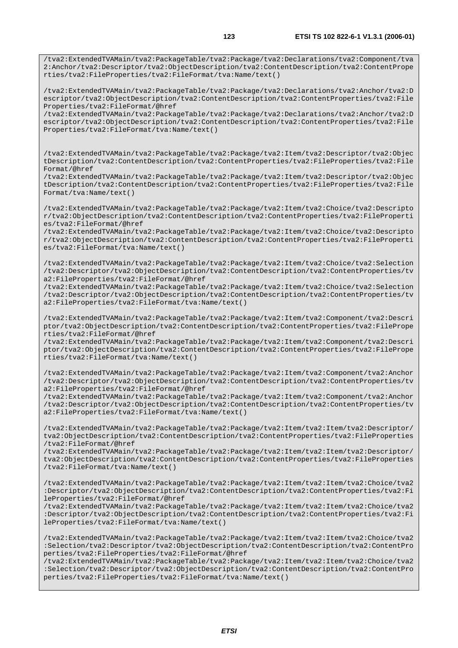/tva2:ExtendedTVAMain/tva2:PackageTable/tva2:Package/tva2:Declarations/tva2:Component/tva 2:Anchor/tva2:Descriptor/tva2:ObjectDescription/tva2:ContentDescription/tva2:ContentPrope rties/tva2:FileProperties/tva2:FileFormat/tva:Name/text()

/tva2:ExtendedTVAMain/tva2:PackageTable/tva2:Package/tva2:Declarations/tva2:Anchor/tva2:D escriptor/tva2:ObjectDescription/tva2:ContentDescription/tva2:ContentProperties/tva2:File Properties/tva2:FileFormat/@href

/tva2:ExtendedTVAMain/tva2:PackageTable/tva2:Package/tva2:Declarations/tva2:Anchor/tva2:D escriptor/tva2:ObjectDescription/tva2:ContentDescription/tva2:ContentProperties/tva2:File Properties/tva2:FileFormat/tva:Name/text()

/tva2:ExtendedTVAMain/tva2:PackageTable/tva2:Package/tva2:Item/tva2:Descriptor/tva2:Objec tDescription/tva2:ContentDescription/tva2:ContentProperties/tva2:FileProperties/tva2:File Format/@href

/tva2:ExtendedTVAMain/tva2:PackageTable/tva2:Package/tva2:Item/tva2:Descriptor/tva2:Objec tDescription/tva2:ContentDescription/tva2:ContentProperties/tva2:FileProperties/tva2:File Format/tva:Name/text()

/tva2:ExtendedTVAMain/tva2:PackageTable/tva2:Package/tva2:Item/tva2:Choice/tva2:Descripto r/tva2:ObjectDescription/tva2:ContentDescription/tva2:ContentProperties/tva2:FileProperti es/tva2:FileFormat/@href

/tva2:ExtendedTVAMain/tva2:PackageTable/tva2:Package/tva2:Item/tva2:Choice/tva2:Descripto r/tva2:ObjectDescription/tva2:ContentDescription/tva2:ContentProperties/tva2:FileProperti es/tva2:FileFormat/tva:Name/text()

/tva2:ExtendedTVAMain/tva2:PackageTable/tva2:Package/tva2:Item/tva2:Choice/tva2:Selection /tva2:Descriptor/tva2:ObjectDescription/tva2:ContentDescription/tva2:ContentProperties/tv a2:FileProperties/tva2:FileFormat/@href

/tva2:ExtendedTVAMain/tva2:PackageTable/tva2:Package/tva2:Item/tva2:Choice/tva2:Selection /tva2:Descriptor/tva2:ObjectDescription/tva2:ContentDescription/tva2:ContentProperties/tv a2:FileProperties/tva2:FileFormat/tva:Name/text()

/tva2:ExtendedTVAMain/tva2:PackageTable/tva2:Package/tva2:Item/tva2:Component/tva2:Descri ptor/tva2:ObjectDescription/tva2:ContentDescription/tva2:ContentProperties/tva2:FilePrope rties/tva2:FileFormat/@href

/tva2:ExtendedTVAMain/tva2:PackageTable/tva2:Package/tva2:Item/tva2:Component/tva2:Descri ptor/tva2:ObjectDescription/tva2:ContentDescription/tva2:ContentProperties/tva2:FilePrope rties/tva2:FileFormat/tva:Name/text()

/tva2:ExtendedTVAMain/tva2:PackageTable/tva2:Package/tva2:Item/tva2:Component/tva2:Anchor /tva2:Descriptor/tva2:ObjectDescription/tva2:ContentDescription/tva2:ContentProperties/tv a2:FileProperties/tva2:FileFormat/@href

/tva2:ExtendedTVAMain/tva2:PackageTable/tva2:Package/tva2:Item/tva2:Component/tva2:Anchor /tva2:Descriptor/tva2:ObjectDescription/tva2:ContentDescription/tva2:ContentProperties/tv a2:FileProperties/tva2:FileFormat/tva:Name/text()

/tva2:ExtendedTVAMain/tva2:PackageTable/tva2:Package/tva2:Item/tva2:Item/tva2:Descriptor/ tva2:ObjectDescription/tva2:ContentDescription/tva2:ContentProperties/tva2:FileProperties /tva2:FileFormat/@href

/tva2:ExtendedTVAMain/tva2:PackageTable/tva2:Package/tva2:Item/tva2:Item/tva2:Descriptor/ tva2:ObjectDescription/tva2:ContentDescription/tva2:ContentProperties/tva2:FileProperties /tva2:FileFormat/tva:Name/text()

/tva2:ExtendedTVAMain/tva2:PackageTable/tva2:Package/tva2:Item/tva2:Item/tva2:Choice/tva2 :Descriptor/tva2:ObjectDescription/tva2:ContentDescription/tva2:ContentProperties/tva2:Fi leProperties/tva2:FileFormat/@href

/tva2:ExtendedTVAMain/tva2:PackageTable/tva2:Package/tva2:Item/tva2:Item/tva2:Choice/tva2 :Descriptor/tva2:ObjectDescription/tva2:ContentDescription/tva2:ContentProperties/tva2:Fi leProperties/tva2:FileFormat/tva:Name/text()

/tva2:ExtendedTVAMain/tva2:PackageTable/tva2:Package/tva2:Item/tva2:Item/tva2:Choice/tva2 :Selection/tva2:Descriptor/tva2:ObjectDescription/tva2:ContentDescription/tva2:ContentPro perties/tva2:FileProperties/tva2:FileFormat/@href

/tva2:ExtendedTVAMain/tva2:PackageTable/tva2:Package/tva2:Item/tva2:Item/tva2:Choice/tva2 :Selection/tva2:Descriptor/tva2:ObjectDescription/tva2:ContentDescription/tva2:ContentPro perties/tva2:FileProperties/tva2:FileFormat/tva:Name/text()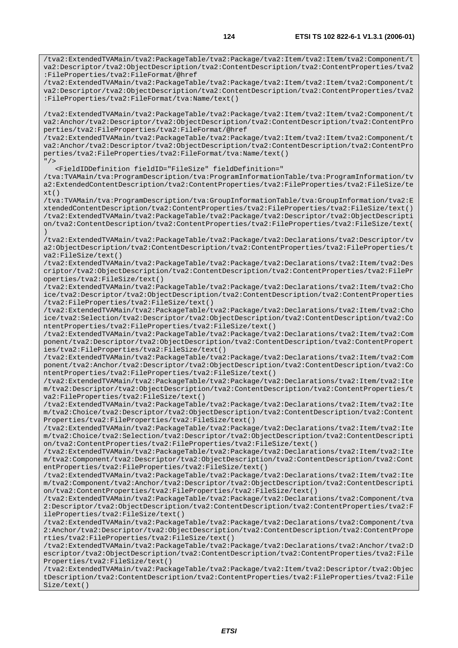/tva2:ExtendedTVAMain/tva2:PackageTable/tva2:Package/tva2:Item/tva2:Item/tva2:Component/t va2:Descriptor/tva2:ObjectDescription/tva2:ContentDescription/tva2:ContentProperties/tva2

/tva2:ExtendedTVAMain/tva2:PackageTable/tva2:Package/tva2:Item/tva2:Item/tva2:Component/t va2:Descriptor/tva2:ObjectDescription/tva2:ContentDescription/tva2:ContentProperties/tva2

/tva2:ExtendedTVAMain/tva2:PackageTable/tva2:Package/tva2:Item/tva2:Item/tva2:Component/t

:FileProperties/tva2:FileFormat/@href

:FileProperties/tva2:FileFormat/tva:Name/text()

va2:Anchor/tva2:Descriptor/tva2:ObjectDescription/tva2:ContentDescription/tva2:ContentPro perties/tva2:FileProperties/tva2:FileFormat/@href /tva2:ExtendedTVAMain/tva2:PackageTable/tva2:Package/tva2:Item/tva2:Item/tva2:Component/t va2:Anchor/tva2:Descriptor/tva2:ObjectDescription/tva2:ContentDescription/tva2:ContentPro perties/tva2:FileProperties/tva2:FileFormat/tva:Name/text()  $/$  <FieldIDDefinition fieldID="FileSize" fieldDefinition=" /tva:TVAMain/tva:ProgramDescription/tva:ProgramInformationTable/tva:ProgramInformation/tv a2:ExtendedContentDescription/tva2:ContentProperties/tva2:FileProperties/tva2:FileSize/te  $xt()$ /tva:TVAMain/tva:ProgramDescription/tva:GroupInformationTable/tva:GroupInformation/tva2:E xtendedContentDescription/tva2:ContentProperties/tva2:FileProperties/tva2:FileSize/text() /tva2:ExtendedTVAMain/tva2:PackageTable/tva2:Package/tva2:Descriptor/tva2:ObjectDescripti on/tva2:ContentDescription/tva2:ContentProperties/tva2:FileProperties/tva2:FileSize/text( ) /tva2:ExtendedTVAMain/tva2:PackageTable/tva2:Package/tva2:Declarations/tva2:Descriptor/tv a2:ObjectDescription/tva2:ContentDescription/tva2:ContentProperties/tva2:FileProperties/t va2:FileSize/text() /tva2:ExtendedTVAMain/tva2:PackageTable/tva2:Package/tva2:Declarations/tva2:Item/tva2:Des criptor/tva2:ObjectDescription/tva2:ContentDescription/tva2:ContentProperties/tva2:FilePr operties/tva2:FileSize/text() /tva2:ExtendedTVAMain/tva2:PackageTable/tva2:Package/tva2:Declarations/tva2:Item/tva2:Cho ice/tva2:Descriptor/tva2:ObjectDescription/tva2:ContentDescription/tva2:ContentProperties /tva2:FileProperties/tva2:FileSize/text() /tva2:ExtendedTVAMain/tva2:PackageTable/tva2:Package/tva2:Declarations/tva2:Item/tva2:Cho ice/tva2:Selection/tva2:Descriptor/tva2:ObjectDescription/tva2:ContentDescription/tva2:Co ntentProperties/tva2:FileProperties/tva2:FileSize/text() /tva2:ExtendedTVAMain/tva2:PackageTable/tva2:Package/tva2:Declarations/tva2:Item/tva2:Com ponent/tva2:Descriptor/tva2:ObjectDescription/tva2:ContentDescription/tva2:ContentPropert ies/tva2:FileProperties/tva2:FileSize/text() /tva2:ExtendedTVAMain/tva2:PackageTable/tva2:Package/tva2:Declarations/tva2:Item/tva2:Com ponent/tva2:Anchor/tva2:Descriptor/tva2:ObjectDescription/tva2:ContentDescription/tva2:Co ntentProperties/tva2:FileProperties/tva2:FileSize/text() /tva2:ExtendedTVAMain/tva2:PackageTable/tva2:Package/tva2:Declarations/tva2:Item/tva2:Ite m/tva2:Descriptor/tva2:ObjectDescription/tva2:ContentDescription/tva2:ContentProperties/t va2:FileProperties/tva2:FileSize/text() /tva2:ExtendedTVAMain/tva2:PackageTable/tva2:Package/tva2:Declarations/tva2:Item/tva2:Ite m/tva2:Choice/tva2:Descriptor/tva2:ObjectDescription/tva2:ContentDescription/tva2:Content Properties/tva2:FileProperties/tva2:FileSize/text() /tva2:ExtendedTVAMain/tva2:PackageTable/tva2:Package/tva2:Declarations/tva2:Item/tva2:Ite m/tva2:Choice/tva2:Selection/tva2:Descriptor/tva2:ObjectDescription/tva2:ContentDescripti on/tva2:ContentProperties/tva2:FileProperties/tva2:FileSize/text() /tva2:ExtendedTVAMain/tva2:PackageTable/tva2:Package/tva2:Declarations/tva2:Item/tva2:Ite m/tva2:Component/tva2:Descriptor/tva2:ObjectDescription/tva2:ContentDescription/tva2:Cont entProperties/tva2:FileProperties/tva2:FileSize/text() /tva2:ExtendedTVAMain/tva2:PackageTable/tva2:Package/tva2:Declarations/tva2:Item/tva2:Ite m/tva2:Component/tva2:Anchor/tva2:Descriptor/tva2:ObjectDescription/tva2:ContentDescripti on/tva2:ContentProperties/tva2:FileProperties/tva2:FileSize/text() /tva2:ExtendedTVAMain/tva2:PackageTable/tva2:Package/tva2:Declarations/tva2:Component/tva 2:Descriptor/tva2:ObjectDescription/tva2:ContentDescription/tva2:ContentProperties/tva2:F ileProperties/tva2:FileSize/text() /tva2:ExtendedTVAMain/tva2:PackageTable/tva2:Package/tva2:Declarations/tva2:Component/tva 2:Anchor/tva2:Descriptor/tva2:ObjectDescription/tva2:ContentDescription/tva2:ContentPrope rties/tva2:FileProperties/tva2:FileSize/text() /tva2:ExtendedTVAMain/tva2:PackageTable/tva2:Package/tva2:Declarations/tva2:Anchor/tva2:D escriptor/tva2:ObjectDescription/tva2:ContentDescription/tva2:ContentProperties/tva2:File Properties/tva2:FileSize/text() /tva2:ExtendedTVAMain/tva2:PackageTable/tva2:Package/tva2:Item/tva2:Descriptor/tva2:Objec tDescription/tva2:ContentDescription/tva2:ContentProperties/tva2:FileProperties/tva2:File Size/text()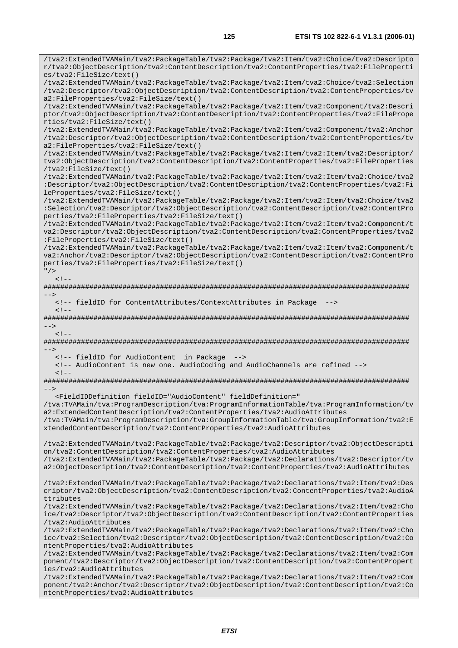/tva2:ExtendedTVAMain/tva2:PackageTable/tva2:Package/tva2:Item/tva2:Choice/tva2:Descripto r/tva2:ObjectDescription/tva2:ContentDescription/tva2:ContentProperties/tva2:FileProperti

es/tva2:FileSize/text() /tva2:ExtendedTVAMain/tva2:PackageTable/tva2:Package/tva2:Item/tva2:Choice/tva2:Selection /tva2:Descriptor/tva2:ObjectDescription/tva2:ContentDescription/tva2:ContentProperties/tv a2:FileProperties/tva2:FileSize/text() /tva2:ExtendedTVAMain/tva2:PackageTable/tva2:Package/tva2:Item/tva2:Component/tva2:Descri ptor/tva2:ObjectDescription/tva2:ContentDescription/tva2:ContentProperties/tva2:FilePrope rties/tva2:FileSize/text() /tva2:ExtendedTVAMain/tva2:PackageTable/tva2:Package/tva2:Item/tva2:Component/tva2:Anchor /tva2:Descriptor/tva2:ObjectDescription/tva2:ContentDescription/tva2:ContentProperties/tv a2:FileProperties/tva2:FileSize/text() /tva2:ExtendedTVAMain/tva2:PackageTable/tva2:Package/tva2:Item/tva2:Item/tva2:Descriptor/ tva2:ObjectDescription/tva2:ContentDescription/tva2:ContentProperties/tva2:FileProperties /tva2:FileSize/text() /tva2:ExtendedTVAMain/tva2:PackageTable/tva2:Package/tva2:Item/tva2:Item/tva2:Choice/tva2 :Descriptor/tva2:ObjectDescription/tva2:ContentDescription/tva2:ContentProperties/tva2:Fi leProperties/tva2:FileSize/text() /tva2:ExtendedTVAMain/tva2:PackageTable/tva2:Package/tva2:Item/tva2:Item/tva2:Choice/tva2 :Selection/tva2:Descriptor/tva2:ObjectDescription/tva2:ContentDescription/tva2:ContentPro perties/tva2:FileProperties/tva2:FileSize/text() /tva2:ExtendedTVAMain/tva2:PackageTable/tva2:Package/tva2:Item/tva2:Item/tva2:Component/t va2:Descriptor/tva2:ObjectDescription/tva2:ContentDescription/tva2:ContentProperties/tva2 :FileProperties/tva2:FileSize/text() /tva2:ExtendedTVAMain/tva2:PackageTable/tva2:Package/tva2:Item/tva2:Item/tva2:Component/t va2:Anchor/tva2:Descriptor/tva2:ObjectDescription/tva2:ContentDescription/tva2:ContentPro perties/tva2:FileProperties/tva2:FileSize/text()  $"$  />  $\lt$   $\vdash$ ######################################################################################## --> <!-- fieldID for ContentAttributes/ContextAttributes in Package -->  $\lt$   $\vdash$ ######################################################################################## -->  $< ! - -$ ######################################################################################## --> <!-- fieldID for AudioContent in Package --> <!-- AudioContent is new one. AudioCoding and AudioChannels are refined -->  $\lt$  !  $-$ ######################################################################################## --> <FieldIDDefinition fieldID="AudioContent" fieldDefinition=" /tva:TVAMain/tva:ProgramDescription/tva:ProgramInformationTable/tva:ProgramInformation/tv a2:ExtendedContentDescription/tva2:ContentProperties/tva2:AudioAttributes /tva:TVAMain/tva:ProgramDescription/tva:GroupInformationTable/tva:GroupInformation/tva2:E xtendedContentDescription/tva2:ContentProperties/tva2:AudioAttributes /tva2:ExtendedTVAMain/tva2:PackageTable/tva2:Package/tva2:Descriptor/tva2:ObjectDescripti on/tva2:ContentDescription/tva2:ContentProperties/tva2:AudioAttributes /tva2:ExtendedTVAMain/tva2:PackageTable/tva2:Package/tva2:Declarations/tva2:Descriptor/tv a2:ObjectDescription/tva2:ContentDescription/tva2:ContentProperties/tva2:AudioAttributes /tva2:ExtendedTVAMain/tva2:PackageTable/tva2:Package/tva2:Declarations/tva2:Item/tva2:Des criptor/tva2:ObjectDescription/tva2:ContentDescription/tva2:ContentProperties/tva2:AudioA ttributes /tva2:ExtendedTVAMain/tva2:PackageTable/tva2:Package/tva2:Declarations/tva2:Item/tva2:Cho ice/tva2:Descriptor/tva2:ObjectDescription/tva2:ContentDescription/tva2:ContentProperties /tva2:AudioAttributes /tva2:ExtendedTVAMain/tva2:PackageTable/tva2:Package/tva2:Declarations/tva2:Item/tva2:Cho ice/tva2:Selection/tva2:Descriptor/tva2:ObjectDescription/tva2:ContentDescription/tva2:Co ntentProperties/tva2:AudioAttributes /tva2:ExtendedTVAMain/tva2:PackageTable/tva2:Package/tva2:Declarations/tva2:Item/tva2:Com ponent/tva2:Descriptor/tva2:ObjectDescription/tva2:ContentDescription/tva2:ContentPropert ies/tva2:AudioAttributes /tva2:ExtendedTVAMain/tva2:PackageTable/tva2:Package/tva2:Declarations/tva2:Item/tva2:Com ponent/tva2:Anchor/tva2:Descriptor/tva2:ObjectDescription/tva2:ContentDescription/tva2:Co ntentProperties/tva2:AudioAttributes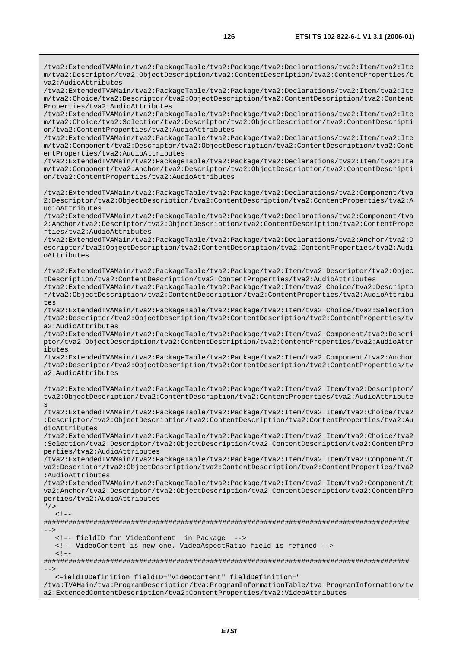/tva2:ExtendedTVAMain/tva2:PackageTable/tva2:Package/tva2:Declarations/tva2:Item/tva2:Ite m/tva2:Descriptor/tva2:ObjectDescription/tva2:ContentDescription/tva2:ContentProperties/t va2:AudioAttributes /tva2:ExtendedTVAMain/tva2:PackageTable/tva2:Package/tva2:Declarations/tva2:Item/tva2:Ite m/tva2:Choice/tva2:Descriptor/tva2:ObjectDescription/tva2:ContentDescription/tva2:Content Properties/tva2:AudioAttributes /tva2:ExtendedTVAMain/tva2:PackageTable/tva2:Package/tva2:Declarations/tva2:Item/tva2:Ite m/tva2:Choice/tva2:Selection/tva2:Descriptor/tva2:ObjectDescription/tva2:ContentDescripti on/tva2:ContentProperties/tva2:AudioAttributes /tva2:ExtendedTVAMain/tva2:PackageTable/tva2:Package/tva2:Declarations/tva2:Item/tva2:Ite m/tva2:Component/tva2:Descriptor/tva2:ObjectDescription/tva2:ContentDescription/tva2:Cont entProperties/tva2:AudioAttributes /tva2:ExtendedTVAMain/tva2:PackageTable/tva2:Package/tva2:Declarations/tva2:Item/tva2:Ite m/tva2:Component/tva2:Anchor/tva2:Descriptor/tva2:ObjectDescription/tva2:ContentDescripti on/tva2:ContentProperties/tva2:AudioAttributes /tva2:ExtendedTVAMain/tva2:PackageTable/tva2:Package/tva2:Declarations/tva2:Component/tva 2:Descriptor/tva2:ObjectDescription/tva2:ContentDescription/tva2:ContentProperties/tva2:A udioAttributes /tva2:ExtendedTVAMain/tva2:PackageTable/tva2:Package/tva2:Declarations/tva2:Component/tva 2:Anchor/tva2:Descriptor/tva2:ObjectDescription/tva2:ContentDescription/tva2:ContentPrope rties/tva2:AudioAttributes /tva2:ExtendedTVAMain/tva2:PackageTable/tva2:Package/tva2:Declarations/tva2:Anchor/tva2:D escriptor/tva2:ObjectDescription/tva2:ContentDescription/tva2:ContentProperties/tva2:Audi oAttributes /tva2:ExtendedTVAMain/tva2:PackageTable/tva2:Package/tva2:Item/tva2:Descriptor/tva2:Objec tDescription/tva2:ContentDescription/tva2:ContentProperties/tva2:AudioAttributes /tva2:ExtendedTVAMain/tva2:PackageTable/tva2:Package/tva2:Item/tva2:Choice/tva2:Descripto r/tva2:ObjectDescription/tva2:ContentDescription/tva2:ContentProperties/tva2:AudioAttribu tes /tva2:ExtendedTVAMain/tva2:PackageTable/tva2:Package/tva2:Item/tva2:Choice/tva2:Selection /tva2:Descriptor/tva2:ObjectDescription/tva2:ContentDescription/tva2:ContentProperties/tv a2:AudioAttributes /tva2:ExtendedTVAMain/tva2:PackageTable/tva2:Package/tva2:Item/tva2:Component/tva2:Descri ptor/tva2:ObjectDescription/tva2:ContentDescription/tva2:ContentProperties/tva2:AudioAttr ibutes /tva2:ExtendedTVAMain/tva2:PackageTable/tva2:Package/tva2:Item/tva2:Component/tva2:Anchor /tva2:Descriptor/tva2:ObjectDescription/tva2:ContentDescription/tva2:ContentProperties/tv a2:AudioAttributes /tva2:ExtendedTVAMain/tva2:PackageTable/tva2:Package/tva2:Item/tva2:Item/tva2:Descriptor/ tva2:ObjectDescription/tva2:ContentDescription/tva2:ContentProperties/tva2:AudioAttribute s /tva2:ExtendedTVAMain/tva2:PackageTable/tva2:Package/tva2:Item/tva2:Item/tva2:Choice/tva2 :Descriptor/tva2:ObjectDescription/tva2:ContentDescription/tva2:ContentProperties/tva2:Au dioAttributes /tva2:ExtendedTVAMain/tva2:PackageTable/tva2:Package/tva2:Item/tva2:Item/tva2:Choice/tva2 :Selection/tva2:Descriptor/tva2:ObjectDescription/tva2:ContentDescription/tva2:ContentPro perties/tva2:AudioAttributes /tva2:ExtendedTVAMain/tva2:PackageTable/tva2:Package/tva2:Item/tva2:Item/tva2:Component/t va2:Descriptor/tva2:ObjectDescription/tva2:ContentDescription/tva2:ContentProperties/tva2 :AudioAttributes /tva2:ExtendedTVAMain/tva2:PackageTable/tva2:Package/tva2:Item/tva2:Item/tva2:Component/t va2:Anchor/tva2:Descriptor/tva2:ObjectDescription/tva2:ContentDescription/tva2:ContentPro perties/tva2:AudioAttributes  $"$  />  $\leq$   $\vert$   $-$ ######################################################################################## --> <!-- fieldID for VideoContent in Package --> <!-- VideoContent is new one. VideoAspectRatio field is refined -->  $< 1 - -$ ######################################################################################## --> <FieldIDDefinition fieldID="VideoContent" fieldDefinition=" /tva:TVAMain/tva:ProgramDescription/tva:ProgramInformationTable/tva:ProgramInformation/tv a2:ExtendedContentDescription/tva2:ContentProperties/tva2:VideoAttributes

**ETSI**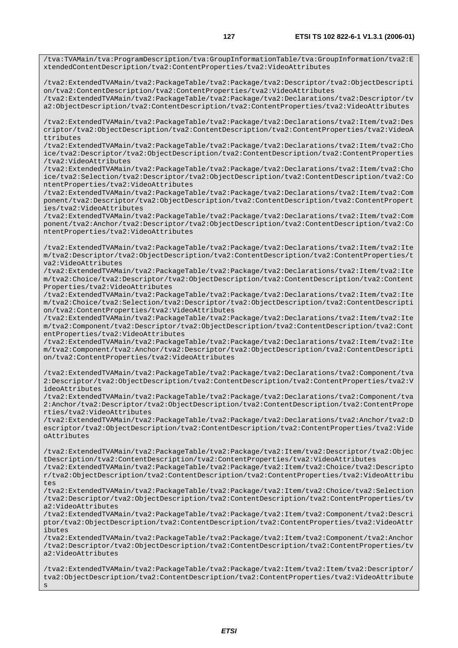/tva:TVAMain/tva:ProgramDescription/tva:GroupInformationTable/tva:GroupInformation/tva2:E xtendedContentDescription/tva2:ContentProperties/tva2:VideoAttributes

/tva2:ExtendedTVAMain/tva2:PackageTable/tva2:Package/tva2:Descriptor/tva2:ObjectDescripti on/tva2:ContentDescription/tva2:ContentProperties/tva2:VideoAttributes /tva2:ExtendedTVAMain/tva2:PackageTable/tva2:Package/tva2:Declarations/tva2:Descriptor/tv

a2:ObjectDescription/tva2:ContentDescription/tva2:ContentProperties/tva2:VideoAttributes

/tva2:ExtendedTVAMain/tva2:PackageTable/tva2:Package/tva2:Declarations/tva2:Item/tva2:Des criptor/tva2:ObjectDescription/tva2:ContentDescription/tva2:ContentProperties/tva2:VideoA ttributes

/tva2:ExtendedTVAMain/tva2:PackageTable/tva2:Package/tva2:Declarations/tva2:Item/tva2:Cho ice/tva2:Descriptor/tva2:ObjectDescription/tva2:ContentDescription/tva2:ContentProperties /tva2:VideoAttributes

/tva2:ExtendedTVAMain/tva2:PackageTable/tva2:Package/tva2:Declarations/tva2:Item/tva2:Cho ice/tva2:Selection/tva2:Descriptor/tva2:ObjectDescription/tva2:ContentDescription/tva2:Co ntentProperties/tva2:VideoAttributes

/tva2:ExtendedTVAMain/tva2:PackageTable/tva2:Package/tva2:Declarations/tva2:Item/tva2:Com ponent/tva2:Descriptor/tva2:ObjectDescription/tva2:ContentDescription/tva2:ContentPropert ies/tva2:VideoAttributes

/tva2:ExtendedTVAMain/tva2:PackageTable/tva2:Package/tva2:Declarations/tva2:Item/tva2:Com ponent/tva2:Anchor/tva2:Descriptor/tva2:ObjectDescription/tva2:ContentDescription/tva2:Co ntentProperties/tva2:VideoAttributes

/tva2:ExtendedTVAMain/tva2:PackageTable/tva2:Package/tva2:Declarations/tva2:Item/tva2:Ite m/tva2:Descriptor/tva2:ObjectDescription/tva2:ContentDescription/tva2:ContentProperties/t va2:VideoAttributes

/tva2:ExtendedTVAMain/tva2:PackageTable/tva2:Package/tva2:Declarations/tva2:Item/tva2:Ite m/tva2:Choice/tva2:Descriptor/tva2:ObjectDescription/tva2:ContentDescription/tva2:Content Properties/tva2:VideoAttributes

/tva2:ExtendedTVAMain/tva2:PackageTable/tva2:Package/tva2:Declarations/tva2:Item/tva2:Ite m/tva2:Choice/tva2:Selection/tva2:Descriptor/tva2:ObjectDescription/tva2:ContentDescripti on/tva2:ContentProperties/tva2:VideoAttributes

/tva2:ExtendedTVAMain/tva2:PackageTable/tva2:Package/tva2:Declarations/tva2:Item/tva2:Ite m/tva2:Component/tva2:Descriptor/tva2:ObjectDescription/tva2:ContentDescription/tva2:Cont entProperties/tva2:VideoAttributes

/tva2:ExtendedTVAMain/tva2:PackageTable/tva2:Package/tva2:Declarations/tva2:Item/tva2:Ite m/tva2:Component/tva2:Anchor/tva2:Descriptor/tva2:ObjectDescription/tva2:ContentDescripti on/tva2:ContentProperties/tva2:VideoAttributes

/tva2:ExtendedTVAMain/tva2:PackageTable/tva2:Package/tva2:Declarations/tva2:Component/tva 2:Descriptor/tva2:ObjectDescription/tva2:ContentDescription/tva2:ContentProperties/tva2:V ideoAttributes

/tva2:ExtendedTVAMain/tva2:PackageTable/tva2:Package/tva2:Declarations/tva2:Component/tva 2:Anchor/tva2:Descriptor/tva2:ObjectDescription/tva2:ContentDescription/tva2:ContentPrope rties/tva2:VideoAttributes

/tva2:ExtendedTVAMain/tva2:PackageTable/tva2:Package/tva2:Declarations/tva2:Anchor/tva2:D escriptor/tva2:ObjectDescription/tva2:ContentDescription/tva2:ContentProperties/tva2:Vide oAttributes

/tva2:ExtendedTVAMain/tva2:PackageTable/tva2:Package/tva2:Item/tva2:Descriptor/tva2:Objec tDescription/tva2:ContentDescription/tva2:ContentProperties/tva2:VideoAttributes

/tva2:ExtendedTVAMain/tva2:PackageTable/tva2:Package/tva2:Item/tva2:Choice/tva2:Descripto r/tva2:ObjectDescription/tva2:ContentDescription/tva2:ContentProperties/tva2:VideoAttribu tes

/tva2:ExtendedTVAMain/tva2:PackageTable/tva2:Package/tva2:Item/tva2:Choice/tva2:Selection /tva2:Descriptor/tva2:ObjectDescription/tva2:ContentDescription/tva2:ContentProperties/tv a2:VideoAttributes

/tva2:ExtendedTVAMain/tva2:PackageTable/tva2:Package/tva2:Item/tva2:Component/tva2:Descri ptor/tva2:ObjectDescription/tva2:ContentDescription/tva2:ContentProperties/tva2:VideoAttr ibutes

/tva2:ExtendedTVAMain/tva2:PackageTable/tva2:Package/tva2:Item/tva2:Component/tva2:Anchor /tva2:Descriptor/tva2:ObjectDescription/tva2:ContentDescription/tva2:ContentProperties/tv a2:VideoAttributes

/tva2:ExtendedTVAMain/tva2:PackageTable/tva2:Package/tva2:Item/tva2:Item/tva2:Descriptor/ tva2:ObjectDescription/tva2:ContentDescription/tva2:ContentProperties/tva2:VideoAttribute s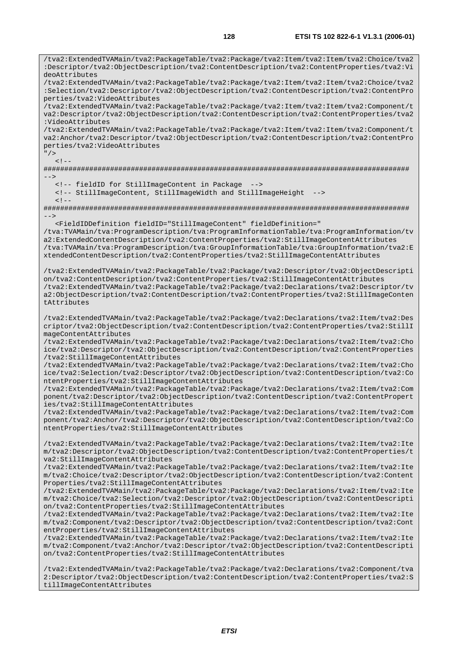/tva2:ExtendedTVAMain/tva2:PackageTable/tva2:Package/tva2:Item/tva2:Item/tva2:Choice/tva2 :Descriptor/tva2:ObjectDescription/tva2:ContentDescription/tva2:ContentProperties/tva2:Vi deoAttributes /tva2:ExtendedTVAMain/tva2:PackageTable/tva2:Package/tva2:Item/tva2:Item/tva2:Choice/tva2 :Selection/tva2:Descriptor/tva2:ObjectDescription/tva2:ContentDescription/tva2:ContentPro perties/tva2:VideoAttributes /tva2:ExtendedTVAMain/tva2:PackageTable/tva2:Package/tva2:Item/tva2:Item/tva2:Component/t va2:Descriptor/tva2:ObjectDescription/tva2:ContentDescription/tva2:ContentProperties/tva2 :VideoAttributes /tva2:ExtendedTVAMain/tva2:PackageTable/tva2:Package/tva2:Item/tva2:Item/tva2:Component/t va2:Anchor/tva2:Descriptor/tva2:ObjectDescription/tva2:ContentDescription/tva2:ContentPro perties/tva2:VideoAttributes "/>  $\geq 1$ ######################################################################################## --> <!-- fieldID for StillImageContent in Package --> <!-- StillImageContent, StillImageWidth and StillImageHeight -->  $< !$   $-$ ######################################################################################## --> <FieldIDDefinition fieldID="StillImageContent" fieldDefinition=" /tva:TVAMain/tva:ProgramDescription/tva:ProgramInformationTable/tva:ProgramInformation/tv a2:ExtendedContentDescription/tva2:ContentProperties/tva2:StillImageContentAttributes /tva:TVAMain/tva:ProgramDescription/tva:GroupInformationTable/tva:GroupInformation/tva2:E xtendedContentDescription/tva2:ContentProperties/tva2:StillImageContentAttributes /tva2:ExtendedTVAMain/tva2:PackageTable/tva2:Package/tva2:Descriptor/tva2:ObjectDescripti on/tva2:ContentDescription/tva2:ContentProperties/tva2:StillImageContentAttributes /tva2:ExtendedTVAMain/tva2:PackageTable/tva2:Package/tva2:Declarations/tva2:Descriptor/tv a2:ObjectDescription/tva2:ContentDescription/tva2:ContentProperties/tva2:StillImageConten tAttributes /tva2:ExtendedTVAMain/tva2:PackageTable/tva2:Package/tva2:Declarations/tva2:Item/tva2:Des criptor/tva2:ObjectDescription/tva2:ContentDescription/tva2:ContentProperties/tva2:StillI mageContentAttributes /tva2:ExtendedTVAMain/tva2:PackageTable/tva2:Package/tva2:Declarations/tva2:Item/tva2:Cho ice/tva2:Descriptor/tva2:ObjectDescription/tva2:ContentDescription/tva2:ContentProperties /tva2:StillImageContentAttributes /tva2:ExtendedTVAMain/tva2:PackageTable/tva2:Package/tva2:Declarations/tva2:Item/tva2:Cho ice/tva2:Selection/tva2:Descriptor/tva2:ObjectDescription/tva2:ContentDescription/tva2:Co ntentProperties/tva2:StillImageContentAttributes /tva2:ExtendedTVAMain/tva2:PackageTable/tva2:Package/tva2:Declarations/tva2:Item/tva2:Com ponent/tva2:Descriptor/tva2:ObjectDescription/tva2:ContentDescription/tva2:ContentPropert ies/tva2:StillImageContentAttributes /tva2:ExtendedTVAMain/tva2:PackageTable/tva2:Package/tva2:Declarations/tva2:Item/tva2:Com ponent/tva2:Anchor/tva2:Descriptor/tva2:ObjectDescription/tva2:ContentDescription/tva2:Co ntentProperties/tva2:StillImageContentAttributes /tva2:ExtendedTVAMain/tva2:PackageTable/tva2:Package/tva2:Declarations/tva2:Item/tva2:Ite m/tva2:Descriptor/tva2:ObjectDescription/tva2:ContentDescription/tva2:ContentProperties/t va2:StillImageContentAttributes /tva2:ExtendedTVAMain/tva2:PackageTable/tva2:Package/tva2:Declarations/tva2:Item/tva2:Ite m/tva2:Choice/tva2:Descriptor/tva2:ObjectDescription/tva2:ContentDescription/tva2:Content Properties/tva2:StillImageContentAttributes /tva2:ExtendedTVAMain/tva2:PackageTable/tva2:Package/tva2:Declarations/tva2:Item/tva2:Ite m/tva2:Choice/tva2:Selection/tva2:Descriptor/tva2:ObjectDescription/tva2:ContentDescripti on/tva2:ContentProperties/tva2:StillImageContentAttributes /tva2:ExtendedTVAMain/tva2:PackageTable/tva2:Package/tva2:Declarations/tva2:Item/tva2:Ite m/tva2:Component/tva2:Descriptor/tva2:ObjectDescription/tva2:ContentDescription/tva2:Cont entProperties/tva2:StillImageContentAttributes /tva2:ExtendedTVAMain/tva2:PackageTable/tva2:Package/tva2:Declarations/tva2:Item/tva2:Ite m/tva2:Component/tva2:Anchor/tva2:Descriptor/tva2:ObjectDescription/tva2:ContentDescripti on/tva2:ContentProperties/tva2:StillImageContentAttributes

/tva2:ExtendedTVAMain/tva2:PackageTable/tva2:Package/tva2:Declarations/tva2:Component/tva 2:Descriptor/tva2:ObjectDescription/tva2:ContentDescription/tva2:ContentProperties/tva2:S tillImageContentAttributes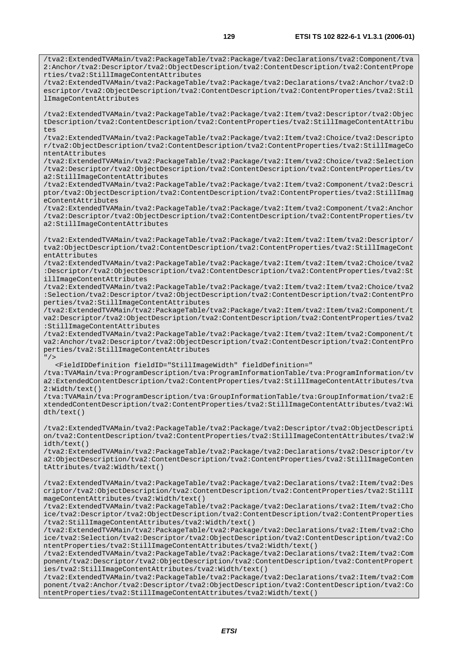/tva2:ExtendedTVAMain/tva2:PackageTable/tva2:Package/tva2:Declarations/tva2:Component/tva 2:Anchor/tva2:Descriptor/tva2:ObjectDescription/tva2:ContentDescription/tva2:ContentPrope rties/tva2:StillImageContentAttributes

/tva2:ExtendedTVAMain/tva2:PackageTable/tva2:Package/tva2:Declarations/tva2:Anchor/tva2:D escriptor/tva2:ObjectDescription/tva2:ContentDescription/tva2:ContentProperties/tva2:Stil lImageContentAttributes

/tva2:ExtendedTVAMain/tva2:PackageTable/tva2:Package/tva2:Item/tva2:Descriptor/tva2:Objec tDescription/tva2:ContentDescription/tva2:ContentProperties/tva2:StillImageContentAttribu tes

/tva2:ExtendedTVAMain/tva2:PackageTable/tva2:Package/tva2:Item/tva2:Choice/tva2:Descripto r/tva2:ObjectDescription/tva2:ContentDescription/tva2:ContentProperties/tva2:StillImageCo ntentAttributes

/tva2:ExtendedTVAMain/tva2:PackageTable/tva2:Package/tva2:Item/tva2:Choice/tva2:Selection /tva2:Descriptor/tva2:ObjectDescription/tva2:ContentDescription/tva2:ContentProperties/tv a2:StillImageContentAttributes

/tva2:ExtendedTVAMain/tva2:PackageTable/tva2:Package/tva2:Item/tva2:Component/tva2:Descri ptor/tva2:ObjectDescription/tva2:ContentDescription/tva2:ContentProperties/tva2:StillImag eContentAttributes

/tva2:ExtendedTVAMain/tva2:PackageTable/tva2:Package/tva2:Item/tva2:Component/tva2:Anchor /tva2:Descriptor/tva2:ObjectDescription/tva2:ContentDescription/tva2:ContentProperties/tv a2:StillImageContentAttributes

/tva2:ExtendedTVAMain/tva2:PackageTable/tva2:Package/tva2:Item/tva2:Item/tva2:Descriptor/ tva2:ObjectDescription/tva2:ContentDescription/tva2:ContentProperties/tva2:StillImageCont entAttributes

/tva2:ExtendedTVAMain/tva2:PackageTable/tva2:Package/tva2:Item/tva2:Item/tva2:Choice/tva2 :Descriptor/tva2:ObjectDescription/tva2:ContentDescription/tva2:ContentProperties/tva2:St illImageContentAttributes

/tva2:ExtendedTVAMain/tva2:PackageTable/tva2:Package/tva2:Item/tva2:Item/tva2:Choice/tva2 :Selection/tva2:Descriptor/tva2:ObjectDescription/tva2:ContentDescription/tva2:ContentPro perties/tva2:StillImageContentAttributes

/tva2:ExtendedTVAMain/tva2:PackageTable/tva2:Package/tva2:Item/tva2:Item/tva2:Component/t va2:Descriptor/tva2:ObjectDescription/tva2:ContentDescription/tva2:ContentProperties/tva2 :StillImageContentAttributes

/tva2:ExtendedTVAMain/tva2:PackageTable/tva2:Package/tva2:Item/tva2:Item/tva2:Component/t va2:Anchor/tva2:Descriptor/tva2:ObjectDescription/tva2:ContentDescription/tva2:ContentPro perties/tva2:StillImageContentAttributes  $"$  />

<FieldIDDefinition fieldID="StillImageWidth" fieldDefinition="

/tva:TVAMain/tva:ProgramDescription/tva:ProgramInformationTable/tva:ProgramInformation/tv a2:ExtendedContentDescription/tva2:ContentProperties/tva2:StillImageContentAttributes/tva 2:Width/text()

/tva:TVAMain/tva:ProgramDescription/tva:GroupInformationTable/tva:GroupInformation/tva2:E xtendedContentDescription/tva2:ContentProperties/tva2:StillImageContentAttributes/tva2:Wi dth/text()

/tva2:ExtendedTVAMain/tva2:PackageTable/tva2:Package/tva2:Descriptor/tva2:ObjectDescripti on/tva2:ContentDescription/tva2:ContentProperties/tva2:StillImageContentAttributes/tva2:W idth/text()

/tva2:ExtendedTVAMain/tva2:PackageTable/tva2:Package/tva2:Declarations/tva2:Descriptor/tv a2:ObjectDescription/tva2:ContentDescription/tva2:ContentProperties/tva2:StillImageConten tAttributes/tva2:Width/text()

/tva2:ExtendedTVAMain/tva2:PackageTable/tva2:Package/tva2:Declarations/tva2:Item/tva2:Des criptor/tva2:ObjectDescription/tva2:ContentDescription/tva2:ContentProperties/tva2:StillI mageContentAttributes/tva2:Width/text()

/tva2:ExtendedTVAMain/tva2:PackageTable/tva2:Package/tva2:Declarations/tva2:Item/tva2:Cho ice/tva2:Descriptor/tva2:ObjectDescription/tva2:ContentDescription/tva2:ContentProperties /tva2:StillImageContentAttributes/tva2:Width/text()

/tva2:ExtendedTVAMain/tva2:PackageTable/tva2:Package/tva2:Declarations/tva2:Item/tva2:Cho ice/tva2:Selection/tva2:Descriptor/tva2:ObjectDescription/tva2:ContentDescription/tva2:Co ntentProperties/tva2:StillImageContentAttributes/tva2:Width/text()

/tva2:ExtendedTVAMain/tva2:PackageTable/tva2:Package/tva2:Declarations/tva2:Item/tva2:Com ponent/tva2:Descriptor/tva2:ObjectDescription/tva2:ContentDescription/tva2:ContentPropert ies/tva2:StillImageContentAttributes/tva2:Width/text()

/tva2:ExtendedTVAMain/tva2:PackageTable/tva2:Package/tva2:Declarations/tva2:Item/tva2:Com ponent/tva2:Anchor/tva2:Descriptor/tva2:ObjectDescription/tva2:ContentDescription/tva2:Co ntentProperties/tva2:StillImageContentAttributes/tva2:Width/text()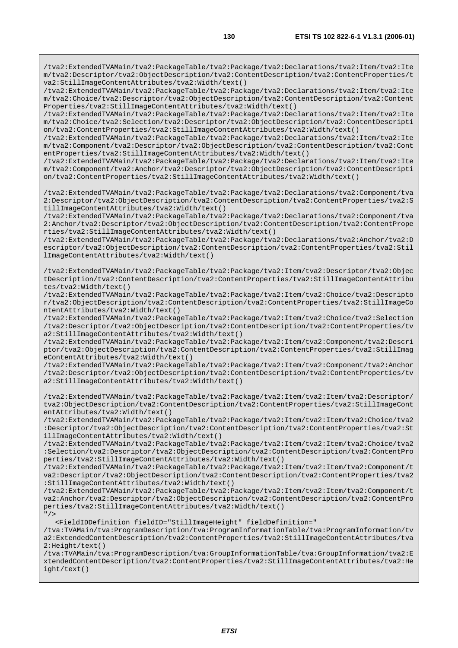/tva2:ExtendedTVAMain/tva2:PackageTable/tva2:Package/tva2:Declarations/tva2:Item/tva2:Ite m/tva2:Descriptor/tva2:ObjectDescription/tva2:ContentDescription/tva2:ContentProperties/t va2:StillImageContentAttributes/tva2:Width/text()

/tva2:ExtendedTVAMain/tva2:PackageTable/tva2:Package/tva2:Declarations/tva2:Item/tva2:Ite m/tva2:Choice/tva2:Descriptor/tva2:ObjectDescription/tva2:ContentDescription/tva2:Content Properties/tva2:StillImageContentAttributes/tva2:Width/text()

/tva2:ExtendedTVAMain/tva2:PackageTable/tva2:Package/tva2:Declarations/tva2:Item/tva2:Ite m/tva2:Choice/tva2:Selection/tva2:Descriptor/tva2:ObjectDescription/tva2:ContentDescripti on/tva2:ContentProperties/tva2:StillImageContentAttributes/tva2:Width/text()

/tva2:ExtendedTVAMain/tva2:PackageTable/tva2:Package/tva2:Declarations/tva2:Item/tva2:Ite m/tva2:Component/tva2:Descriptor/tva2:ObjectDescription/tva2:ContentDescription/tva2:Cont entProperties/tva2:StillImageContentAttributes/tva2:Width/text()

/tva2:ExtendedTVAMain/tva2:PackageTable/tva2:Package/tva2:Declarations/tva2:Item/tva2:Ite m/tva2:Component/tva2:Anchor/tva2:Descriptor/tva2:ObjectDescription/tva2:ContentDescripti on/tva2:ContentProperties/tva2:StillImageContentAttributes/tva2:Width/text()

/tva2:ExtendedTVAMain/tva2:PackageTable/tva2:Package/tva2:Declarations/tva2:Component/tva 2:Descriptor/tva2:ObjectDescription/tva2:ContentDescription/tva2:ContentProperties/tva2:S tillImageContentAttributes/tva2:Width/text()

/tva2:ExtendedTVAMain/tva2:PackageTable/tva2:Package/tva2:Declarations/tva2:Component/tva 2:Anchor/tva2:Descriptor/tva2:ObjectDescription/tva2:ContentDescription/tva2:ContentPrope rties/tva2:StillImageContentAttributes/tva2:Width/text()

/tva2:ExtendedTVAMain/tva2:PackageTable/tva2:Package/tva2:Declarations/tva2:Anchor/tva2:D escriptor/tva2:ObjectDescription/tva2:ContentDescription/tva2:ContentProperties/tva2:Stil lImageContentAttributes/tva2:Width/text()

/tva2:ExtendedTVAMain/tva2:PackageTable/tva2:Package/tva2:Item/tva2:Descriptor/tva2:Objec tDescription/tva2:ContentDescription/tva2:ContentProperties/tva2:StillImageContentAttribu tes/tva2:Width/text()

/tva2:ExtendedTVAMain/tva2:PackageTable/tva2:Package/tva2:Item/tva2:Choice/tva2:Descripto r/tva2:ObjectDescription/tva2:ContentDescription/tva2:ContentProperties/tva2:StillImageCo ntentAttributes/tva2:Width/text()

/tva2:ExtendedTVAMain/tva2:PackageTable/tva2:Package/tva2:Item/tva2:Choice/tva2:Selection /tva2:Descriptor/tva2:ObjectDescription/tva2:ContentDescription/tva2:ContentProperties/tv a2:StillImageContentAttributes/tva2:Width/text()

/tva2:ExtendedTVAMain/tva2:PackageTable/tva2:Package/tva2:Item/tva2:Component/tva2:Descri ptor/tva2:ObjectDescription/tva2:ContentDescription/tva2:ContentProperties/tva2:StillImag eContentAttributes/tva2:Width/text()

/tva2:ExtendedTVAMain/tva2:PackageTable/tva2:Package/tva2:Item/tva2:Component/tva2:Anchor /tva2:Descriptor/tva2:ObjectDescription/tva2:ContentDescription/tva2:ContentProperties/tv a2:StillImageContentAttributes/tva2:Width/text()

/tva2:ExtendedTVAMain/tva2:PackageTable/tva2:Package/tva2:Item/tva2:Item/tva2:Descriptor/ tva2:ObjectDescription/tva2:ContentDescription/tva2:ContentProperties/tva2:StillImageCont entAttributes/tva2:Width/text()

/tva2:ExtendedTVAMain/tva2:PackageTable/tva2:Package/tva2:Item/tva2:Item/tva2:Choice/tva2 :Descriptor/tva2:ObjectDescription/tva2:ContentDescription/tva2:ContentProperties/tva2:St illImageContentAttributes/tva2:Width/text()

/tva2:ExtendedTVAMain/tva2:PackageTable/tva2:Package/tva2:Item/tva2:Item/tva2:Choice/tva2 :Selection/tva2:Descriptor/tva2:ObjectDescription/tva2:ContentDescription/tva2:ContentPro perties/tva2:StillImageContentAttributes/tva2:Width/text()

/tva2:ExtendedTVAMain/tva2:PackageTable/tva2:Package/tva2:Item/tva2:Item/tva2:Component/t va2:Descriptor/tva2:ObjectDescription/tva2:ContentDescription/tva2:ContentProperties/tva2 :StillImageContentAttributes/tva2:Width/text()

/tva2:ExtendedTVAMain/tva2:PackageTable/tva2:Package/tva2:Item/tva2:Item/tva2:Component/t va2:Anchor/tva2:Descriptor/tva2:ObjectDescription/tva2:ContentDescription/tva2:ContentPro perties/tva2:StillImageContentAttributes/tva2:Width/text() "/>

<FieldIDDefinition fieldID="StillImageHeight" fieldDefinition="

/tva:TVAMain/tva:ProgramDescription/tva:ProgramInformationTable/tva:ProgramInformation/tv a2:ExtendedContentDescription/tva2:ContentProperties/tva2:StillImageContentAttributes/tva 2:Height/text()

/tva:TVAMain/tva:ProgramDescription/tva:GroupInformationTable/tva:GroupInformation/tva2:E xtendedContentDescription/tva2:ContentProperties/tva2:StillImageContentAttributes/tva2:He ight/text()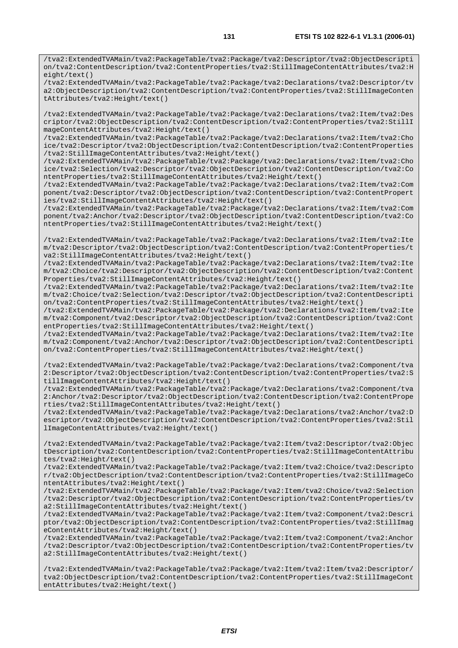/tva2:ExtendedTVAMain/tva2:PackageTable/tva2:Package/tva2:Declarations/tva2:Descriptor/tv a2:ObjectDescription/tva2:ContentDescription/tva2:ContentProperties/tva2:StillImageConten tAttributes/tva2:Height/text()

/tva2:ExtendedTVAMain/tva2:PackageTable/tva2:Package/tva2:Declarations/tva2:Item/tva2:Des criptor/tva2:ObjectDescription/tva2:ContentDescription/tva2:ContentProperties/tva2:StillI mageContentAttributes/tva2:Height/text()

/tva2:ExtendedTVAMain/tva2:PackageTable/tva2:Package/tva2:Declarations/tva2:Item/tva2:Cho ice/tva2:Descriptor/tva2:ObjectDescription/tva2:ContentDescription/tva2:ContentProperties /tva2:StillImageContentAttributes/tva2:Height/text()

/tva2:ExtendedTVAMain/tva2:PackageTable/tva2:Package/tva2:Declarations/tva2:Item/tva2:Cho ice/tva2:Selection/tva2:Descriptor/tva2:ObjectDescription/tva2:ContentDescription/tva2:Co ntentProperties/tva2:StillImageContentAttributes/tva2:Height/text()

/tva2:ExtendedTVAMain/tva2:PackageTable/tva2:Package/tva2:Declarations/tva2:Item/tva2:Com ponent/tva2:Descriptor/tva2:ObjectDescription/tva2:ContentDescription/tva2:ContentPropert ies/tva2:StillImageContentAttributes/tva2:Height/text()

/tva2:ExtendedTVAMain/tva2:PackageTable/tva2:Package/tva2:Declarations/tva2:Item/tva2:Com ponent/tva2:Anchor/tva2:Descriptor/tva2:ObjectDescription/tva2:ContentDescription/tva2:Co ntentProperties/tva2:StillImageContentAttributes/tva2:Height/text()

/tva2:ExtendedTVAMain/tva2:PackageTable/tva2:Package/tva2:Declarations/tva2:Item/tva2:Ite m/tva2:Descriptor/tva2:ObjectDescription/tva2:ContentDescription/tva2:ContentProperties/t va2:StillImageContentAttributes/tva2:Height/text()

/tva2:ExtendedTVAMain/tva2:PackageTable/tva2:Package/tva2:Declarations/tva2:Item/tva2:Ite m/tva2:Choice/tva2:Descriptor/tva2:ObjectDescription/tva2:ContentDescription/tva2:Content Properties/tva2:StillImageContentAttributes/tva2:Height/text()

/tva2:ExtendedTVAMain/tva2:PackageTable/tva2:Package/tva2:Declarations/tva2:Item/tva2:Ite m/tva2:Choice/tva2:Selection/tva2:Descriptor/tva2:ObjectDescription/tva2:ContentDescripti on/tva2:ContentProperties/tva2:StillImageContentAttributes/tva2:Height/text()

/tva2:ExtendedTVAMain/tva2:PackageTable/tva2:Package/tva2:Declarations/tva2:Item/tva2:Ite m/tva2:Component/tva2:Descriptor/tva2:ObjectDescription/tva2:ContentDescription/tva2:Cont entProperties/tva2:StillImageContentAttributes/tva2:Height/text()

/tva2:ExtendedTVAMain/tva2:PackageTable/tva2:Package/tva2:Declarations/tva2:Item/tva2:Ite m/tva2:Component/tva2:Anchor/tva2:Descriptor/tva2:ObjectDescription/tva2:ContentDescripti on/tva2:ContentProperties/tva2:StillImageContentAttributes/tva2:Height/text()

/tva2:ExtendedTVAMain/tva2:PackageTable/tva2:Package/tva2:Declarations/tva2:Component/tva 2:Descriptor/tva2:ObjectDescription/tva2:ContentDescription/tva2:ContentProperties/tva2:S tillImageContentAttributes/tva2:Height/text()

/tva2:ExtendedTVAMain/tva2:PackageTable/tva2:Package/tva2:Declarations/tva2:Component/tva 2:Anchor/tva2:Descriptor/tva2:ObjectDescription/tva2:ContentDescription/tva2:ContentPrope rties/tva2:StillImageContentAttributes/tva2:Height/text()

/tva2:ExtendedTVAMain/tva2:PackageTable/tva2:Package/tva2:Declarations/tva2:Anchor/tva2:D escriptor/tva2:ObjectDescription/tva2:ContentDescription/tva2:ContentProperties/tva2:Stil lImageContentAttributes/tva2:Height/text()

/tva2:ExtendedTVAMain/tva2:PackageTable/tva2:Package/tva2:Item/tva2:Descriptor/tva2:Objec tDescription/tva2:ContentDescription/tva2:ContentProperties/tva2:StillImageContentAttribu tes/tva2:Height/text()

/tva2:ExtendedTVAMain/tva2:PackageTable/tva2:Package/tva2:Item/tva2:Choice/tva2:Descripto r/tva2:ObjectDescription/tva2:ContentDescription/tva2:ContentProperties/tva2:StillImageCo ntentAttributes/tva2:Height/text()

/tva2:ExtendedTVAMain/tva2:PackageTable/tva2:Package/tva2:Item/tva2:Choice/tva2:Selection /tva2:Descriptor/tva2:ObjectDescription/tva2:ContentDescription/tva2:ContentProperties/tv a2:StillImageContentAttributes/tva2:Height/text()

/tva2:ExtendedTVAMain/tva2:PackageTable/tva2:Package/tva2:Item/tva2:Component/tva2:Descri ptor/tva2:ObjectDescription/tva2:ContentDescription/tva2:ContentProperties/tva2:StillImag eContentAttributes/tva2:Height/text()

/tva2:ExtendedTVAMain/tva2:PackageTable/tva2:Package/tva2:Item/tva2:Component/tva2:Anchor /tva2:Descriptor/tva2:ObjectDescription/tva2:ContentDescription/tva2:ContentProperties/tv a2:StillImageContentAttributes/tva2:Height/text()

/tva2:ExtendedTVAMain/tva2:PackageTable/tva2:Package/tva2:Item/tva2:Item/tva2:Descriptor/ tva2:ObjectDescription/tva2:ContentDescription/tva2:ContentProperties/tva2:StillImageCont entAttributes/tva2:Height/text()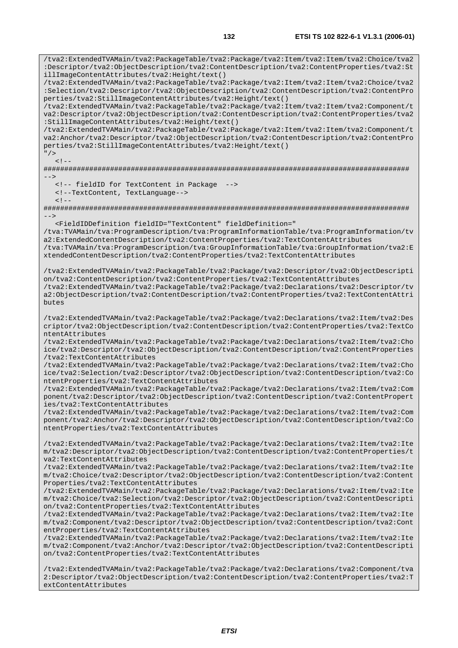/tva2:ExtendedTVAMain/tva2:PackageTable/tva2:Package/tva2:Item/tva2:Item/tva2:Choice/tva2 :Descriptor/tva2:ObjectDescription/tva2:ContentDescription/tva2:ContentProperties/tva2:St illImageContentAttributes/tva2:Height/text() /tva2:ExtendedTVAMain/tva2:PackageTable/tva2:Package/tva2:Item/tva2:Item/tva2:Choice/tva2 :Selection/tva2:Descriptor/tva2:ObjectDescription/tva2:ContentDescription/tva2:ContentPro perties/tva2:StillImageContentAttributes/tva2:Height/text() /tva2:ExtendedTVAMain/tva2:PackageTable/tva2:Package/tva2:Item/tva2:Item/tva2:Component/t va2:Descriptor/tva2:ObjectDescription/tva2:ContentDescription/tva2:ContentProperties/tva2 :StillImageContentAttributes/tva2:Height/text() /tva2:ExtendedTVAMain/tva2:PackageTable/tva2:Package/tva2:Item/tva2:Item/tva2:Component/t va2:Anchor/tva2:Descriptor/tva2:ObjectDescription/tva2:ContentDescription/tva2:ContentPro perties/tva2:StillImageContentAttributes/tva2:Height/text() "/>  $\geq 1$ ######################################################################################## --> <!-- fieldID for TextContent in Package --> <!--TextContent, TextLanguage-->  $< !$   $-$ ######################################################################################## --> <FieldIDDefinition fieldID="TextContent" fieldDefinition=" /tva:TVAMain/tva:ProgramDescription/tva:ProgramInformationTable/tva:ProgramInformation/tv a2:ExtendedContentDescription/tva2:ContentProperties/tva2:TextContentAttributes /tva:TVAMain/tva:ProgramDescription/tva:GroupInformationTable/tva:GroupInformation/tva2:E xtendedContentDescription/tva2:ContentProperties/tva2:TextContentAttributes /tva2:ExtendedTVAMain/tva2:PackageTable/tva2:Package/tva2:Descriptor/tva2:ObjectDescripti on/tva2:ContentDescription/tva2:ContentProperties/tva2:TextContentAttributes /tva2:ExtendedTVAMain/tva2:PackageTable/tva2:Package/tva2:Declarations/tva2:Descriptor/tv a2:ObjectDescription/tva2:ContentDescription/tva2:ContentProperties/tva2:TextContentAttri butes /tva2:ExtendedTVAMain/tva2:PackageTable/tva2:Package/tva2:Declarations/tva2:Item/tva2:Des criptor/tva2:ObjectDescription/tva2:ContentDescription/tva2:ContentProperties/tva2:TextCo ntentAttributes /tva2:ExtendedTVAMain/tva2:PackageTable/tva2:Package/tva2:Declarations/tva2:Item/tva2:Cho ice/tva2:Descriptor/tva2:ObjectDescription/tva2:ContentDescription/tva2:ContentProperties /tva2:TextContentAttributes /tva2:ExtendedTVAMain/tva2:PackageTable/tva2:Package/tva2:Declarations/tva2:Item/tva2:Cho ice/tva2:Selection/tva2:Descriptor/tva2:ObjectDescription/tva2:ContentDescription/tva2:Co ntentProperties/tva2:TextContentAttributes /tva2:ExtendedTVAMain/tva2:PackageTable/tva2:Package/tva2:Declarations/tva2:Item/tva2:Com ponent/tva2:Descriptor/tva2:ObjectDescription/tva2:ContentDescription/tva2:ContentPropert ies/tva2:TextContentAttributes /tva2:ExtendedTVAMain/tva2:PackageTable/tva2:Package/tva2:Declarations/tva2:Item/tva2:Com ponent/tva2:Anchor/tva2:Descriptor/tva2:ObjectDescription/tva2:ContentDescription/tva2:Co ntentProperties/tva2:TextContentAttributes /tva2:ExtendedTVAMain/tva2:PackageTable/tva2:Package/tva2:Declarations/tva2:Item/tva2:Ite m/tva2:Descriptor/tva2:ObjectDescription/tva2:ContentDescription/tva2:ContentProperties/t va2:TextContentAttributes /tva2:ExtendedTVAMain/tva2:PackageTable/tva2:Package/tva2:Declarations/tva2:Item/tva2:Ite m/tva2:Choice/tva2:Descriptor/tva2:ObjectDescription/tva2:ContentDescription/tva2:Content Properties/tva2:TextContentAttributes /tva2:ExtendedTVAMain/tva2:PackageTable/tva2:Package/tva2:Declarations/tva2:Item/tva2:Ite m/tva2:Choice/tva2:Selection/tva2:Descriptor/tva2:ObjectDescription/tva2:ContentDescripti on/tva2:ContentProperties/tva2:TextContentAttributes /tva2:ExtendedTVAMain/tva2:PackageTable/tva2:Package/tva2:Declarations/tva2:Item/tva2:Ite m/tva2:Component/tva2:Descriptor/tva2:ObjectDescription/tva2:ContentDescription/tva2:Cont entProperties/tva2:TextContentAttributes /tva2:ExtendedTVAMain/tva2:PackageTable/tva2:Package/tva2:Declarations/tva2:Item/tva2:Ite m/tva2:Component/tva2:Anchor/tva2:Descriptor/tva2:ObjectDescription/tva2:ContentDescripti on/tva2:ContentProperties/tva2:TextContentAttributes /tva2:ExtendedTVAMain/tva2:PackageTable/tva2:Package/tva2:Declarations/tva2:Component/tva

2:Descriptor/tva2:ObjectDescription/tva2:ContentDescription/tva2:ContentProperties/tva2:T extContentAttributes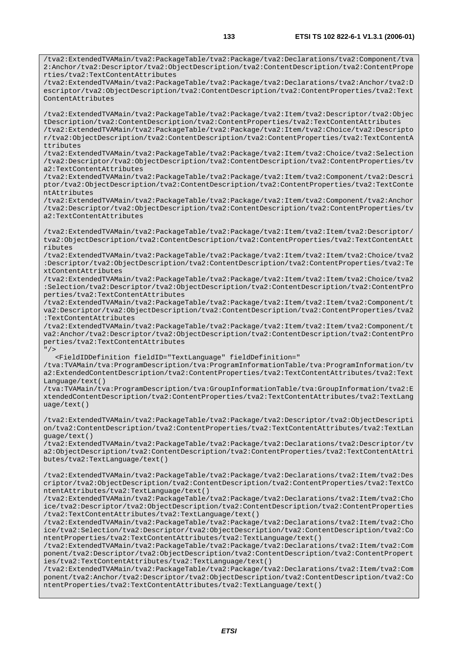/tva2:ExtendedTVAMain/tva2:PackageTable/tva2:Package/tva2:Declarations/tva2:Component/tva 2:Anchor/tva2:Descriptor/tva2:ObjectDescription/tva2:ContentDescription/tva2:ContentPrope rties/tva2:TextContentAttributes /tva2:ExtendedTVAMain/tva2:PackageTable/tva2:Package/tva2:Declarations/tva2:Anchor/tva2:D escriptor/tva2:ObjectDescription/tva2:ContentDescription/tva2:ContentProperties/tva2:Text ContentAttributes /tva2:ExtendedTVAMain/tva2:PackageTable/tva2:Package/tva2:Item/tva2:Descriptor/tva2:Objec tDescription/tva2:ContentDescription/tva2:ContentProperties/tva2:TextContentAttributes /tva2:ExtendedTVAMain/tva2:PackageTable/tva2:Package/tva2:Item/tva2:Choice/tva2:Descripto r/tva2:ObjectDescription/tva2:ContentDescription/tva2:ContentProperties/tva2:TextContentA ttributes /tva2:ExtendedTVAMain/tva2:PackageTable/tva2:Package/tva2:Item/tva2:Choice/tva2:Selection /tva2:Descriptor/tva2:ObjectDescription/tva2:ContentDescription/tva2:ContentProperties/tv a2:TextContentAttributes /tva2:ExtendedTVAMain/tva2:PackageTable/tva2:Package/tva2:Item/tva2:Component/tva2:Descri ptor/tva2:ObjectDescription/tva2:ContentDescription/tva2:ContentProperties/tva2:TextConte ntAttributes /tva2:ExtendedTVAMain/tva2:PackageTable/tva2:Package/tva2:Item/tva2:Component/tva2:Anchor /tva2:Descriptor/tva2:ObjectDescription/tva2:ContentDescription/tva2:ContentProperties/tv a2:TextContentAttributes /tva2:ExtendedTVAMain/tva2:PackageTable/tva2:Package/tva2:Item/tva2:Item/tva2:Descriptor/ tva2:ObjectDescription/tva2:ContentDescription/tva2:ContentProperties/tva2:TextContentAtt ributes /tva2:ExtendedTVAMain/tva2:PackageTable/tva2:Package/tva2:Item/tva2:Item/tva2:Choice/tva2 :Descriptor/tva2:ObjectDescription/tva2:ContentDescription/tva2:ContentProperties/tva2:Te xtContentAttributes /tva2:ExtendedTVAMain/tva2:PackageTable/tva2:Package/tva2:Item/tva2:Item/tva2:Choice/tva2 :Selection/tva2:Descriptor/tva2:ObjectDescription/tva2:ContentDescription/tva2:ContentPro perties/tva2:TextContentAttributes /tva2:ExtendedTVAMain/tva2:PackageTable/tva2:Package/tva2:Item/tva2:Item/tva2:Component/t va2:Descriptor/tva2:ObjectDescription/tva2:ContentDescription/tva2:ContentProperties/tva2 :TextContentAttributes /tva2:ExtendedTVAMain/tva2:PackageTable/tva2:Package/tva2:Item/tva2:Item/tva2:Component/t va2:Anchor/tva2:Descriptor/tva2:ObjectDescription/tva2:ContentDescription/tva2:ContentPro perties/tva2:TextContentAttributes  $"$  /> <FieldIDDefinition fieldID="TextLanguage" fieldDefinition=" /tva:TVAMain/tva:ProgramDescription/tva:ProgramInformationTable/tva:ProgramInformation/tv a2:ExtendedContentDescription/tva2:ContentProperties/tva2:TextContentAttributes/tva2:Text Language/text() /tva:TVAMain/tva:ProgramDescription/tva:GroupInformationTable/tva:GroupInformation/tva2:E xtendedContentDescription/tva2:ContentProperties/tva2:TextContentAttributes/tva2:TextLang uage/text() /tva2:ExtendedTVAMain/tva2:PackageTable/tva2:Package/tva2:Descriptor/tva2:ObjectDescripti on/tva2:ContentDescription/tva2:ContentProperties/tva2:TextContentAttributes/tva2:TextLan guage/text() /tva2:ExtendedTVAMain/tva2:PackageTable/tva2:Package/tva2:Declarations/tva2:Descriptor/tv a2:ObjectDescription/tva2:ContentDescription/tva2:ContentProperties/tva2:TextContentAttri butes/tva2:TextLanguage/text() /tva2:ExtendedTVAMain/tva2:PackageTable/tva2:Package/tva2:Declarations/tva2:Item/tva2:Des criptor/tva2:ObjectDescription/tva2:ContentDescription/tva2:ContentProperties/tva2:TextCo ntentAttributes/tva2:TextLanguage/text() /tva2:ExtendedTVAMain/tva2:PackageTable/tva2:Package/tva2:Declarations/tva2:Item/tva2:Cho ice/tva2:Descriptor/tva2:ObjectDescription/tva2:ContentDescription/tva2:ContentProperties /tva2:TextContentAttributes/tva2:TextLanguage/text() /tva2:ExtendedTVAMain/tva2:PackageTable/tva2:Package/tva2:Declarations/tva2:Item/tva2:Cho ice/tva2:Selection/tva2:Descriptor/tva2:ObjectDescription/tva2:ContentDescription/tva2:Co ntentProperties/tva2:TextContentAttributes/tva2:TextLanguage/text() /tva2:ExtendedTVAMain/tva2:PackageTable/tva2:Package/tva2:Declarations/tva2:Item/tva2:Com ponent/tva2:Descriptor/tva2:ObjectDescription/tva2:ContentDescription/tva2:ContentPropert ies/tva2:TextContentAttributes/tva2:TextLanguage/text() /tva2:ExtendedTVAMain/tva2:PackageTable/tva2:Package/tva2:Declarations/tva2:Item/tva2:Com ponent/tva2:Anchor/tva2:Descriptor/tva2:ObjectDescription/tva2:ContentDescription/tva2:Co ntentProperties/tva2:TextContentAttributes/tva2:TextLanguage/text()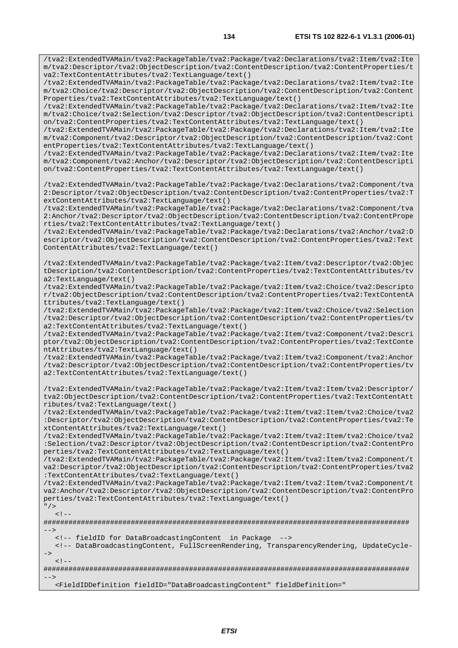/tva2:ExtendedTVAMain/tva2:PackageTable/tva2:Package/tva2:Declarations/tva2:Item/tva2:Ite m/tva2:Descriptor/tva2:ObjectDescription/tva2:ContentDescription/tva2:ContentProperties/t va2:TextContentAttributes/tva2:TextLanguage/text() /tva2:ExtendedTVAMain/tva2:PackageTable/tva2:Package/tva2:Declarations/tva2:Item/tva2:Ite

m/tva2:Choice/tva2:Descriptor/tva2:ObjectDescription/tva2:ContentDescription/tva2:Content Properties/tva2:TextContentAttributes/tva2:TextLanguage/text()

/tva2:ExtendedTVAMain/tva2:PackageTable/tva2:Package/tva2:Declarations/tva2:Item/tva2:Ite m/tva2:Choice/tva2:Selection/tva2:Descriptor/tva2:ObjectDescription/tva2:ContentDescripti on/tva2:ContentProperties/tva2:TextContentAttributes/tva2:TextLanguage/text()

/tva2:ExtendedTVAMain/tva2:PackageTable/tva2:Package/tva2:Declarations/tva2:Item/tva2:Ite m/tva2:Component/tva2:Descriptor/tva2:ObjectDescription/tva2:ContentDescription/tva2:Cont entProperties/tva2:TextContentAttributes/tva2:TextLanguage/text()

/tva2:ExtendedTVAMain/tva2:PackageTable/tva2:Package/tva2:Declarations/tva2:Item/tva2:Ite m/tva2:Component/tva2:Anchor/tva2:Descriptor/tva2:ObjectDescription/tva2:ContentDescripti on/tva2:ContentProperties/tva2:TextContentAttributes/tva2:TextLanguage/text()

/tva2:ExtendedTVAMain/tva2:PackageTable/tva2:Package/tva2:Declarations/tva2:Component/tva 2:Descriptor/tva2:ObjectDescription/tva2:ContentDescription/tva2:ContentProperties/tva2:T extContentAttributes/tva2:TextLanguage/text()

/tva2:ExtendedTVAMain/tva2:PackageTable/tva2:Package/tva2:Declarations/tva2:Component/tva 2:Anchor/tva2:Descriptor/tva2:ObjectDescription/tva2:ContentDescription/tva2:ContentPrope rties/tva2:TextContentAttributes/tva2:TextLanguage/text()

/tva2:ExtendedTVAMain/tva2:PackageTable/tva2:Package/tva2:Declarations/tva2:Anchor/tva2:D escriptor/tva2:ObjectDescription/tva2:ContentDescription/tva2:ContentProperties/tva2:Text ContentAttributes/tva2:TextLanguage/text()

/tva2:ExtendedTVAMain/tva2:PackageTable/tva2:Package/tva2:Item/tva2:Descriptor/tva2:Objec tDescription/tva2:ContentDescription/tva2:ContentProperties/tva2:TextContentAttributes/tv a2:TextLanguage/text()

/tva2:ExtendedTVAMain/tva2:PackageTable/tva2:Package/tva2:Item/tva2:Choice/tva2:Descripto r/tva2:ObjectDescription/tva2:ContentDescription/tva2:ContentProperties/tva2:TextContentA ttributes/tva2:TextLanguage/text()

/tva2:ExtendedTVAMain/tva2:PackageTable/tva2:Package/tva2:Item/tva2:Choice/tva2:Selection /tva2:Descriptor/tva2:ObjectDescription/tva2:ContentDescription/tva2:ContentProperties/tv a2:TextContentAttributes/tva2:TextLanguage/text()

/tva2:ExtendedTVAMain/tva2:PackageTable/tva2:Package/tva2:Item/tva2:Component/tva2:Descri ptor/tva2:ObjectDescription/tva2:ContentDescription/tva2:ContentProperties/tva2:TextConte ntAttributes/tva2:TextLanguage/text()

/tva2:ExtendedTVAMain/tva2:PackageTable/tva2:Package/tva2:Item/tva2:Component/tva2:Anchor /tva2:Descriptor/tva2:ObjectDescription/tva2:ContentDescription/tva2:ContentProperties/tv a2:TextContentAttributes/tva2:TextLanguage/text()

/tva2:ExtendedTVAMain/tva2:PackageTable/tva2:Package/tva2:Item/tva2:Item/tva2:Descriptor/ tva2:ObjectDescription/tva2:ContentDescription/tva2:ContentProperties/tva2:TextContentAtt ributes/tva2:TextLanguage/text()

/tva2:ExtendedTVAMain/tva2:PackageTable/tva2:Package/tva2:Item/tva2:Item/tva2:Choice/tva2 :Descriptor/tva2:ObjectDescription/tva2:ContentDescription/tva2:ContentProperties/tva2:Te xtContentAttributes/tva2:TextLanguage/text()

/tva2:ExtendedTVAMain/tva2:PackageTable/tva2:Package/tva2:Item/tva2:Item/tva2:Choice/tva2 :Selection/tva2:Descriptor/tva2:ObjectDescription/tva2:ContentDescription/tva2:ContentPro perties/tva2:TextContentAttributes/tva2:TextLanguage/text()

/tva2:ExtendedTVAMain/tva2:PackageTable/tva2:Package/tva2:Item/tva2:Item/tva2:Component/t va2:Descriptor/tva2:ObjectDescription/tva2:ContentDescription/tva2:ContentProperties/tva2 :TextContentAttributes/tva2:TextLanguage/text()

/tva2:ExtendedTVAMain/tva2:PackageTable/tva2:Package/tva2:Item/tva2:Item/tva2:Component/t va2:Anchor/tva2:Descriptor/tva2:ObjectDescription/tva2:ContentDescription/tva2:ContentPro perties/tva2:TextContentAttributes/tva2:TextLanguage/text()

```
" />
```
 $\leq$   $\perp$ 

######################################################################################## -->

<!-- fieldID for DataBroadcastingContent in Package -->

 <!-- DataBroadcastingContent, FullScreenRendering, TransparencyRendering, UpdateCycle- ->  $\lt$ !

######################################################################################## -->

<FieldIDDefinition fieldID="DataBroadcastingContent" fieldDefinition="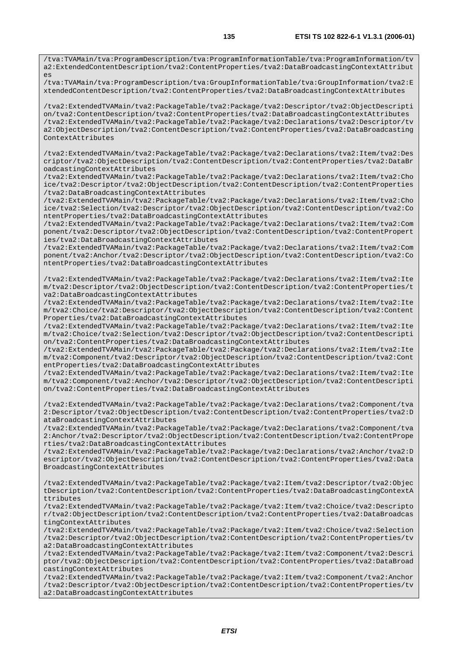/tva:TVAMain/tva:ProgramDescription/tva:ProgramInformationTable/tva:ProgramInformation/tv a2:ExtendedContentDescription/tva2:ContentProperties/tva2:DataBroadcastingContextAttribut es

/tva:TVAMain/tva:ProgramDescription/tva:GroupInformationTable/tva:GroupInformation/tva2:E xtendedContentDescription/tva2:ContentProperties/tva2:DataBroadcastingContextAttributes

/tva2:ExtendedTVAMain/tva2:PackageTable/tva2:Package/tva2:Descriptor/tva2:ObjectDescripti on/tva2:ContentDescription/tva2:ContentProperties/tva2:DataBroadcastingContextAttributes /tva2:ExtendedTVAMain/tva2:PackageTable/tva2:Package/tva2:Declarations/tva2:Descriptor/tv a2:ObjectDescription/tva2:ContentDescription/tva2:ContentProperties/tva2:DataBroadcasting ContextAttributes

/tva2:ExtendedTVAMain/tva2:PackageTable/tva2:Package/tva2:Declarations/tva2:Item/tva2:Des criptor/tva2:ObjectDescription/tva2:ContentDescription/tva2:ContentProperties/tva2:DataBr oadcastingContextAttributes

/tva2:ExtendedTVAMain/tva2:PackageTable/tva2:Package/tva2:Declarations/tva2:Item/tva2:Cho ice/tva2:Descriptor/tva2:ObjectDescription/tva2:ContentDescription/tva2:ContentProperties /tva2:DataBroadcastingContextAttributes

/tva2:ExtendedTVAMain/tva2:PackageTable/tva2:Package/tva2:Declarations/tva2:Item/tva2:Cho ice/tva2:Selection/tva2:Descriptor/tva2:ObjectDescription/tva2:ContentDescription/tva2:Co ntentProperties/tva2:DataBroadcastingContextAttributes

/tva2:ExtendedTVAMain/tva2:PackageTable/tva2:Package/tva2:Declarations/tva2:Item/tva2:Com ponent/tva2:Descriptor/tva2:ObjectDescription/tva2:ContentDescription/tva2:ContentPropert ies/tva2:DataBroadcastingContextAttributes

/tva2:ExtendedTVAMain/tva2:PackageTable/tva2:Package/tva2:Declarations/tva2:Item/tva2:Com ponent/tva2:Anchor/tva2:Descriptor/tva2:ObjectDescription/tva2:ContentDescription/tva2:Co ntentProperties/tva2:DataBroadcastingContextAttributes

/tva2:ExtendedTVAMain/tva2:PackageTable/tva2:Package/tva2:Declarations/tva2:Item/tva2:Ite m/tva2:Descriptor/tva2:ObjectDescription/tva2:ContentDescription/tva2:ContentProperties/t va2:DataBroadcastingContextAttributes

/tva2:ExtendedTVAMain/tva2:PackageTable/tva2:Package/tva2:Declarations/tva2:Item/tva2:Ite m/tva2:Choice/tva2:Descriptor/tva2:ObjectDescription/tva2:ContentDescription/tva2:Content Properties/tva2:DataBroadcastingContextAttributes

/tva2:ExtendedTVAMain/tva2:PackageTable/tva2:Package/tva2:Declarations/tva2:Item/tva2:Ite m/tva2:Choice/tva2:Selection/tva2:Descriptor/tva2:ObjectDescription/tva2:ContentDescripti on/tva2:ContentProperties/tva2:DataBroadcastingContextAttributes

/tva2:ExtendedTVAMain/tva2:PackageTable/tva2:Package/tva2:Declarations/tva2:Item/tva2:Ite m/tva2:Component/tva2:Descriptor/tva2:ObjectDescription/tva2:ContentDescription/tva2:Cont entProperties/tva2:DataBroadcastingContextAttributes

/tva2:ExtendedTVAMain/tva2:PackageTable/tva2:Package/tva2:Declarations/tva2:Item/tva2:Ite m/tva2:Component/tva2:Anchor/tva2:Descriptor/tva2:ObjectDescription/tva2:ContentDescripti on/tva2:ContentProperties/tva2:DataBroadcastingContextAttributes

/tva2:ExtendedTVAMain/tva2:PackageTable/tva2:Package/tva2:Declarations/tva2:Component/tva 2:Descriptor/tva2:ObjectDescription/tva2:ContentDescription/tva2:ContentProperties/tva2:D ataBroadcastingContextAttributes

/tva2:ExtendedTVAMain/tva2:PackageTable/tva2:Package/tva2:Declarations/tva2:Component/tva 2:Anchor/tva2:Descriptor/tva2:ObjectDescription/tva2:ContentDescription/tva2:ContentPrope rties/tva2:DataBroadcastingContextAttributes

/tva2:ExtendedTVAMain/tva2:PackageTable/tva2:Package/tva2:Declarations/tva2:Anchor/tva2:D escriptor/tva2:ObjectDescription/tva2:ContentDescription/tva2:ContentProperties/tva2:Data BroadcastingContextAttributes

/tva2:ExtendedTVAMain/tva2:PackageTable/tva2:Package/tva2:Item/tva2:Descriptor/tva2:Objec tDescription/tva2:ContentDescription/tva2:ContentProperties/tva2:DataBroadcastingContextA ttributes

/tva2:ExtendedTVAMain/tva2:PackageTable/tva2:Package/tva2:Item/tva2:Choice/tva2:Descripto r/tva2:ObjectDescription/tva2:ContentDescription/tva2:ContentProperties/tva2:DataBroadcas tingContextAttributes

/tva2:ExtendedTVAMain/tva2:PackageTable/tva2:Package/tva2:Item/tva2:Choice/tva2:Selection /tva2:Descriptor/tva2:ObjectDescription/tva2:ContentDescription/tva2:ContentProperties/tv a2:DataBroadcastingContextAttributes

/tva2:ExtendedTVAMain/tva2:PackageTable/tva2:Package/tva2:Item/tva2:Component/tva2:Descri ptor/tva2:ObjectDescription/tva2:ContentDescription/tva2:ContentProperties/tva2:DataBroad castingContextAttributes

/tva2:ExtendedTVAMain/tva2:PackageTable/tva2:Package/tva2:Item/tva2:Component/tva2:Anchor /tva2:Descriptor/tva2:ObjectDescription/tva2:ContentDescription/tva2:ContentProperties/tv a2:DataBroadcastingContextAttributes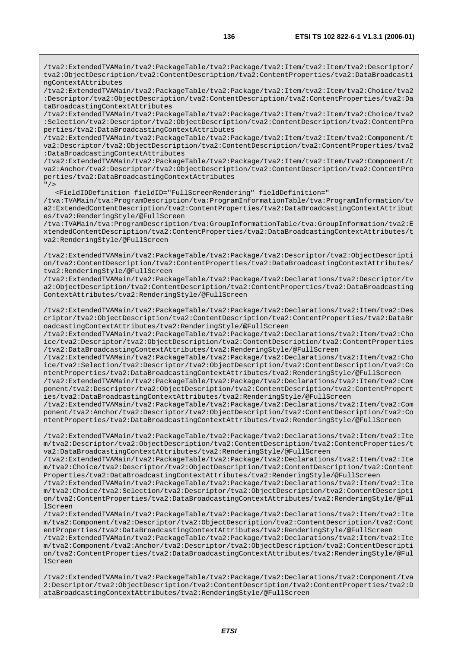/tva2:ExtendedTVAMain/tva2:PackageTable/tva2:Package/tva2:Item/tva2:Item/tva2:Descriptor/ tva2:ObjectDescription/tva2:ContentDescription/tva2:ContentProperties/tva2:DataBroadcasti ngContextAttributes

/tva2:ExtendedTVAMain/tva2:PackageTable/tva2:Package/tva2:Item/tva2:Item/tva2:Choice/tva2 :Descriptor/tva2:ObjectDescription/tva2:ContentDescription/tva2:ContentProperties/tva2:Da taBroadcastingContextAttributes

/tva2:ExtendedTVAMain/tva2:PackageTable/tva2:Package/tva2:Item/tva2:Item/tva2:Choice/tva2 :Selection/tva2:Descriptor/tva2:ObjectDescription/tva2:ContentDescription/tva2:ContentPro perties/tva2:DataBroadcastingContextAttributes

/tva2:ExtendedTVAMain/tva2:PackageTable/tva2:Package/tva2:Item/tva2:Item/tva2:Component/t va2:Descriptor/tva2:ObjectDescription/tva2:ContentDescription/tva2:ContentProperties/tva2 :DataBroadcastingContextAttributes

/tva2:ExtendedTVAMain/tva2:PackageTable/tva2:Package/tva2:Item/tva2:Item/tva2:Component/t va2:Anchor/tva2:Descriptor/tva2:ObjectDescription/tva2:ContentDescription/tva2:ContentPro perties/tva2:DataBroadcastingContextAttributes

 $"$  />

<FieldIDDefinition fieldID="FullScreenRendering" fieldDefinition="

/tva:TVAMain/tva:ProgramDescription/tva:ProgramInformationTable/tva:ProgramInformation/tv a2:ExtendedContentDescription/tva2:ContentProperties/tva2:DataBroadcastingContextAttribut es/tva2:RenderingStyle/@FullScreen

/tva:TVAMain/tva:ProgramDescription/tva:GroupInformationTable/tva:GroupInformation/tva2:E xtendedContentDescription/tva2:ContentProperties/tva2:DataBroadcastingContextAttributes/t va2:RenderingStyle/@FullScreen

/tva2:ExtendedTVAMain/tva2:PackageTable/tva2:Package/tva2:Descriptor/tva2:ObjectDescripti on/tva2:ContentDescription/tva2:ContentProperties/tva2:DataBroadcastingContextAttributes/ tva2:RenderingStyle/@FullScreen

/tva2:ExtendedTVAMain/tva2:PackageTable/tva2:Package/tva2:Declarations/tva2:Descriptor/tv a2:ObjectDescription/tva2:ContentDescription/tva2:ContentProperties/tva2:DataBroadcasting ContextAttributes/tva2:RenderingStyle/@FullScreen

/tva2:ExtendedTVAMain/tva2:PackageTable/tva2:Package/tva2:Declarations/tva2:Item/tva2:Des criptor/tva2:ObjectDescription/tva2:ContentDescription/tva2:ContentProperties/tva2:DataBr oadcastingContextAttributes/tva2:RenderingStyle/@FullScreen

/tva2:ExtendedTVAMain/tva2:PackageTable/tva2:Package/tva2:Declarations/tva2:Item/tva2:Cho ice/tva2:Descriptor/tva2:ObjectDescription/tva2:ContentDescription/tva2:ContentProperties /tva2:DataBroadcastingContextAttributes/tva2:RenderingStyle/@FullScreen

/tva2:ExtendedTVAMain/tva2:PackageTable/tva2:Package/tva2:Declarations/tva2:Item/tva2:Cho ice/tva2:Selection/tva2:Descriptor/tva2:ObjectDescription/tva2:ContentDescription/tva2:Co ntentProperties/tva2:DataBroadcastingContextAttributes/tva2:RenderingStyle/@FullScreen

/tva2:ExtendedTVAMain/tva2:PackageTable/tva2:Package/tva2:Declarations/tva2:Item/tva2:Com ponent/tva2:Descriptor/tva2:ObjectDescription/tva2:ContentDescription/tva2:ContentPropert ies/tva2:DataBroadcastingContextAttributes/tva2:RenderingStyle/@FullScreen

/tva2:ExtendedTVAMain/tva2:PackageTable/tva2:Package/tva2:Declarations/tva2:Item/tva2:Com ponent/tva2:Anchor/tva2:Descriptor/tva2:ObjectDescription/tva2:ContentDescription/tva2:Co ntentProperties/tva2:DataBroadcastingContextAttributes/tva2:RenderingStyle/@FullScreen

/tva2:ExtendedTVAMain/tva2:PackageTable/tva2:Package/tva2:Declarations/tva2:Item/tva2:Ite m/tva2:Descriptor/tva2:ObjectDescription/tva2:ContentDescription/tva2:ContentProperties/t va2:DataBroadcastingContextAttributes/tva2:RenderingStyle/@FullScreen

/tva2:ExtendedTVAMain/tva2:PackageTable/tva2:Package/tva2:Declarations/tva2:Item/tva2:Ite m/tva2:Choice/tva2:Descriptor/tva2:ObjectDescription/tva2:ContentDescription/tva2:Content Properties/tva2:DataBroadcastingContextAttributes/tva2:RenderingStyle/@FullScreen

/tva2:ExtendedTVAMain/tva2:PackageTable/tva2:Package/tva2:Declarations/tva2:Item/tva2:Ite m/tva2:Choice/tva2:Selection/tva2:Descriptor/tva2:ObjectDescription/tva2:ContentDescripti on/tva2:ContentProperties/tva2:DataBroadcastingContextAttributes/tva2:RenderingStyle/@Ful lScreen

/tva2:ExtendedTVAMain/tva2:PackageTable/tva2:Package/tva2:Declarations/tva2:Item/tva2:Ite m/tva2:Component/tva2:Descriptor/tva2:ObjectDescription/tva2:ContentDescription/tva2:Cont entProperties/tva2:DataBroadcastingContextAttributes/tva2:RenderingStyle/@FullScreen /tva2:ExtendedTVAMain/tva2:PackageTable/tva2:Package/tva2:Declarations/tva2:Item/tva2:Ite

m/tva2:Component/tva2:Anchor/tva2:Descriptor/tva2:ObjectDescription/tva2:ContentDescripti on/tva2:ContentProperties/tva2:DataBroadcastingContextAttributes/tva2:RenderingStyle/@Ful lScreen

/tva2:ExtendedTVAMain/tva2:PackageTable/tva2:Package/tva2:Declarations/tva2:Component/tva 2:Descriptor/tva2:ObjectDescription/tva2:ContentDescription/tva2:ContentProperties/tva2:D ataBroadcastingContextAttributes/tva2:RenderingStyle/@FullScreen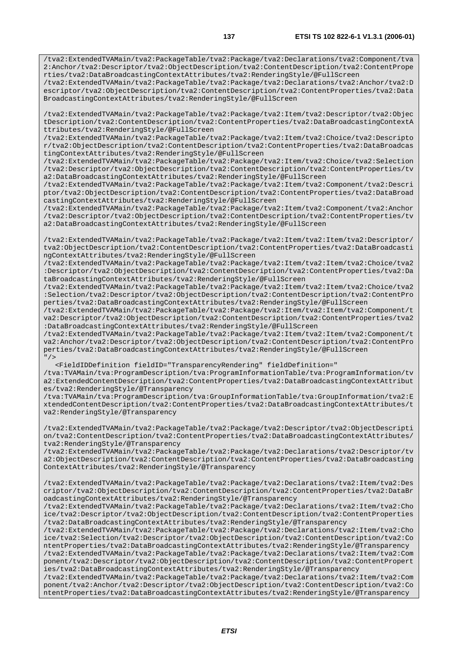/tva2:ExtendedTVAMain/tva2:PackageTable/tva2:Package/tva2:Declarations/tva2:Anchor/tva2:D escriptor/tva2:ObjectDescription/tva2:ContentDescription/tva2:ContentProperties/tva2:Data BroadcastingContextAttributes/tva2:RenderingStyle/@FullScreen

/tva2:ExtendedTVAMain/tva2:PackageTable/tva2:Package/tva2:Item/tva2:Descriptor/tva2:Objec tDescription/tva2:ContentDescription/tva2:ContentProperties/tva2:DataBroadcastingContextA ttributes/tva2:RenderingStyle/@FullScreen

/tva2:ExtendedTVAMain/tva2:PackageTable/tva2:Package/tva2:Item/tva2:Choice/tva2:Descripto r/tva2:ObjectDescription/tva2:ContentDescription/tva2:ContentProperties/tva2:DataBroadcas tingContextAttributes/tva2:RenderingStyle/@FullScreen

/tva2:ExtendedTVAMain/tva2:PackageTable/tva2:Package/tva2:Item/tva2:Choice/tva2:Selection /tva2:Descriptor/tva2:ObjectDescription/tva2:ContentDescription/tva2:ContentProperties/tv a2:DataBroadcastingContextAttributes/tva2:RenderingStyle/@FullScreen

/tva2:ExtendedTVAMain/tva2:PackageTable/tva2:Package/tva2:Item/tva2:Component/tva2:Descri ptor/tva2:ObjectDescription/tva2:ContentDescription/tva2:ContentProperties/tva2:DataBroad castingContextAttributes/tva2:RenderingStyle/@FullScreen

/tva2:ExtendedTVAMain/tva2:PackageTable/tva2:Package/tva2:Item/tva2:Component/tva2:Anchor /tva2:Descriptor/tva2:ObjectDescription/tva2:ContentDescription/tva2:ContentProperties/tv a2:DataBroadcastingContextAttributes/tva2:RenderingStyle/@FullScreen

/tva2:ExtendedTVAMain/tva2:PackageTable/tva2:Package/tva2:Item/tva2:Item/tva2:Descriptor/ tva2:ObjectDescription/tva2:ContentDescription/tva2:ContentProperties/tva2:DataBroadcasti ngContextAttributes/tva2:RenderingStyle/@FullScreen

/tva2:ExtendedTVAMain/tva2:PackageTable/tva2:Package/tva2:Item/tva2:Item/tva2:Choice/tva2 :Descriptor/tva2:ObjectDescription/tva2:ContentDescription/tva2:ContentProperties/tva2:Da taBroadcastingContextAttributes/tva2:RenderingStyle/@FullScreen

/tva2:ExtendedTVAMain/tva2:PackageTable/tva2:Package/tva2:Item/tva2:Item/tva2:Choice/tva2 :Selection/tva2:Descriptor/tva2:ObjectDescription/tva2:ContentDescription/tva2:ContentPro perties/tva2:DataBroadcastingContextAttributes/tva2:RenderingStyle/@FullScreen

/tva2:ExtendedTVAMain/tva2:PackageTable/tva2:Package/tva2:Item/tva2:Item/tva2:Component/t va2:Descriptor/tva2:ObjectDescription/tva2:ContentDescription/tva2:ContentProperties/tva2 :DataBroadcastingContextAttributes/tva2:RenderingStyle/@FullScreen

/tva2:ExtendedTVAMain/tva2:PackageTable/tva2:Package/tva2:Item/tva2:Item/tva2:Component/t va2:Anchor/tva2:Descriptor/tva2:ObjectDescription/tva2:ContentDescription/tva2:ContentPro perties/tva2:DataBroadcastingContextAttributes/tva2:RenderingStyle/@FullScreen  $"$  />

<FieldIDDefinition fieldID="TransparencyRendering" fieldDefinition="

/tva:TVAMain/tva:ProgramDescription/tva:ProgramInformationTable/tva:ProgramInformation/tv a2:ExtendedContentDescription/tva2:ContentProperties/tva2:DataBroadcastingContextAttribut es/tva2:RenderingStyle/@Transparency

/tva:TVAMain/tva:ProgramDescription/tva:GroupInformationTable/tva:GroupInformation/tva2:E xtendedContentDescription/tva2:ContentProperties/tva2:DataBroadcastingContextAttributes/t va2:RenderingStyle/@Transparency

/tva2:ExtendedTVAMain/tva2:PackageTable/tva2:Package/tva2:Descriptor/tva2:ObjectDescripti on/tva2:ContentDescription/tva2:ContentProperties/tva2:DataBroadcastingContextAttributes/ tva2:RenderingStyle/@Transparency

/tva2:ExtendedTVAMain/tva2:PackageTable/tva2:Package/tva2:Declarations/tva2:Descriptor/tv a2:ObjectDescription/tva2:ContentDescription/tva2:ContentProperties/tva2:DataBroadcasting ContextAttributes/tva2:RenderingStyle/@Transparency

/tva2:ExtendedTVAMain/tva2:PackageTable/tva2:Package/tva2:Declarations/tva2:Item/tva2:Des criptor/tva2:ObjectDescription/tva2:ContentDescription/tva2:ContentProperties/tva2:DataBr oadcastingContextAttributes/tva2:RenderingStyle/@Transparency

/tva2:ExtendedTVAMain/tva2:PackageTable/tva2:Package/tva2:Declarations/tva2:Item/tva2:Cho ice/tva2:Descriptor/tva2:ObjectDescription/tva2:ContentDescription/tva2:ContentProperties /tva2:DataBroadcastingContextAttributes/tva2:RenderingStyle/@Transparency

/tva2:ExtendedTVAMain/tva2:PackageTable/tva2:Package/tva2:Declarations/tva2:Item/tva2:Cho ice/tva2:Selection/tva2:Descriptor/tva2:ObjectDescription/tva2:ContentDescription/tva2:Co ntentProperties/tva2:DataBroadcastingContextAttributes/tva2:RenderingStyle/@Transparency /tva2:ExtendedTVAMain/tva2:PackageTable/tva2:Package/tva2:Declarations/tva2:Item/tva2:Com

ponent/tva2:Descriptor/tva2:ObjectDescription/tva2:ContentDescription/tva2:ContentPropert ies/tva2:DataBroadcastingContextAttributes/tva2:RenderingStyle/@Transparency

/tva2:ExtendedTVAMain/tva2:PackageTable/tva2:Package/tva2:Declarations/tva2:Item/tva2:Com ponent/tva2:Anchor/tva2:Descriptor/tva2:ObjectDescription/tva2:ContentDescription/tva2:Co ntentProperties/tva2:DataBroadcastingContextAttributes/tva2:RenderingStyle/@Transparency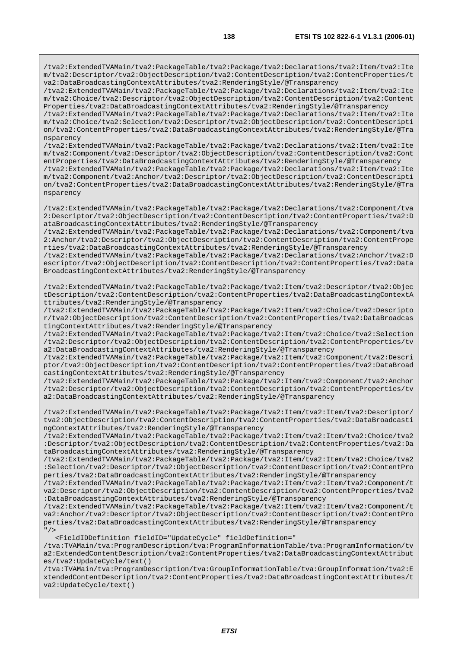/tva2:ExtendedTVAMain/tva2:PackageTable/tva2:Package/tva2:Declarations/tva2:Item/tva2:Ite m/tva2:Descriptor/tva2:ObjectDescription/tva2:ContentDescription/tva2:ContentProperties/t va2:DataBroadcastingContextAttributes/tva2:RenderingStyle/@Transparency

/tva2:ExtendedTVAMain/tva2:PackageTable/tva2:Package/tva2:Declarations/tva2:Item/tva2:Ite m/tva2:Choice/tva2:Descriptor/tva2:ObjectDescription/tva2:ContentDescription/tva2:Content Properties/tva2:DataBroadcastingContextAttributes/tva2:RenderingStyle/@Transparency

/tva2:ExtendedTVAMain/tva2:PackageTable/tva2:Package/tva2:Declarations/tva2:Item/tva2:Ite m/tva2:Choice/tva2:Selection/tva2:Descriptor/tva2:ObjectDescription/tva2:ContentDescripti on/tva2:ContentProperties/tva2:DataBroadcastingContextAttributes/tva2:RenderingStyle/@Tra nsparency

/tva2:ExtendedTVAMain/tva2:PackageTable/tva2:Package/tva2:Declarations/tva2:Item/tva2:Ite m/tva2:Component/tva2:Descriptor/tva2:ObjectDescription/tva2:ContentDescription/tva2:Cont entProperties/tva2:DataBroadcastingContextAttributes/tva2:RenderingStyle/@Transparency

/tva2:ExtendedTVAMain/tva2:PackageTable/tva2:Package/tva2:Declarations/tva2:Item/tva2:Ite m/tva2:Component/tva2:Anchor/tva2:Descriptor/tva2:ObjectDescription/tva2:ContentDescripti on/tva2:ContentProperties/tva2:DataBroadcastingContextAttributes/tva2:RenderingStyle/@Tra nsparency

/tva2:ExtendedTVAMain/tva2:PackageTable/tva2:Package/tva2:Declarations/tva2:Component/tva 2:Descriptor/tva2:ObjectDescription/tva2:ContentDescription/tva2:ContentProperties/tva2:D ataBroadcastingContextAttributes/tva2:RenderingStyle/@Transparency

/tva2:ExtendedTVAMain/tva2:PackageTable/tva2:Package/tva2:Declarations/tva2:Component/tva 2:Anchor/tva2:Descriptor/tva2:ObjectDescription/tva2:ContentDescription/tva2:ContentPrope rties/tva2:DataBroadcastingContextAttributes/tva2:RenderingStyle/@Transparency

/tva2:ExtendedTVAMain/tva2:PackageTable/tva2:Package/tva2:Declarations/tva2:Anchor/tva2:D escriptor/tva2:ObjectDescription/tva2:ContentDescription/tva2:ContentProperties/tva2:Data BroadcastingContextAttributes/tva2:RenderingStyle/@Transparency

/tva2:ExtendedTVAMain/tva2:PackageTable/tva2:Package/tva2:Item/tva2:Descriptor/tva2:Objec tDescription/tva2:ContentDescription/tva2:ContentProperties/tva2:DataBroadcastingContextA ttributes/tva2:RenderingStyle/@Transparency

/tva2:ExtendedTVAMain/tva2:PackageTable/tva2:Package/tva2:Item/tva2:Choice/tva2:Descripto r/tva2:ObjectDescription/tva2:ContentDescription/tva2:ContentProperties/tva2:DataBroadcas tingContextAttributes/tva2:RenderingStyle/@Transparency

/tva2:ExtendedTVAMain/tva2:PackageTable/tva2:Package/tva2:Item/tva2:Choice/tva2:Selection /tva2:Descriptor/tva2:ObjectDescription/tva2:ContentDescription/tva2:ContentProperties/tv a2:DataBroadcastingContextAttributes/tva2:RenderingStyle/@Transparency

/tva2:ExtendedTVAMain/tva2:PackageTable/tva2:Package/tva2:Item/tva2:Component/tva2:Descri ptor/tva2:ObjectDescription/tva2:ContentDescription/tva2:ContentProperties/tva2:DataBroad castingContextAttributes/tva2:RenderingStyle/@Transparency

/tva2:ExtendedTVAMain/tva2:PackageTable/tva2:Package/tva2:Item/tva2:Component/tva2:Anchor /tva2:Descriptor/tva2:ObjectDescription/tva2:ContentDescription/tva2:ContentProperties/tv a2:DataBroadcastingContextAttributes/tva2:RenderingStyle/@Transparency

/tva2:ExtendedTVAMain/tva2:PackageTable/tva2:Package/tva2:Item/tva2:Item/tva2:Descriptor/ tva2:ObjectDescription/tva2:ContentDescription/tva2:ContentProperties/tva2:DataBroadcasti ngContextAttributes/tva2:RenderingStyle/@Transparency

/tva2:ExtendedTVAMain/tva2:PackageTable/tva2:Package/tva2:Item/tva2:Item/tva2:Choice/tva2 :Descriptor/tva2:ObjectDescription/tva2:ContentDescription/tva2:ContentProperties/tva2:Da taBroadcastingContextAttributes/tva2:RenderingStyle/@Transparency

/tva2:ExtendedTVAMain/tva2:PackageTable/tva2:Package/tva2:Item/tva2:Item/tva2:Choice/tva2 :Selection/tva2:Descriptor/tva2:ObjectDescription/tva2:ContentDescription/tva2:ContentPro perties/tva2:DataBroadcastingContextAttributes/tva2:RenderingStyle/@Transparency

/tva2:ExtendedTVAMain/tva2:PackageTable/tva2:Package/tva2:Item/tva2:Item/tva2:Component/t va2:Descriptor/tva2:ObjectDescription/tva2:ContentDescription/tva2:ContentProperties/tva2 :DataBroadcastingContextAttributes/tva2:RenderingStyle/@Transparency

/tva2:ExtendedTVAMain/tva2:PackageTable/tva2:Package/tva2:Item/tva2:Item/tva2:Component/t va2:Anchor/tva2:Descriptor/tva2:ObjectDescription/tva2:ContentDescription/tva2:ContentPro perties/tva2:DataBroadcastingContextAttributes/tva2:RenderingStyle/@Transparency  $"$  />

<FieldIDDefinition fieldID="UpdateCycle" fieldDefinition="

/tva:TVAMain/tva:ProgramDescription/tva:ProgramInformationTable/tva:ProgramInformation/tv a2:ExtendedContentDescription/tva2:ContentProperties/tva2:DataBroadcastingContextAttribut es/tva2:UpdateCycle/text()

/tva:TVAMain/tva:ProgramDescription/tva:GroupInformationTable/tva:GroupInformation/tva2:E xtendedContentDescription/tva2:ContentProperties/tva2:DataBroadcastingContextAttributes/t va2:UpdateCycle/text()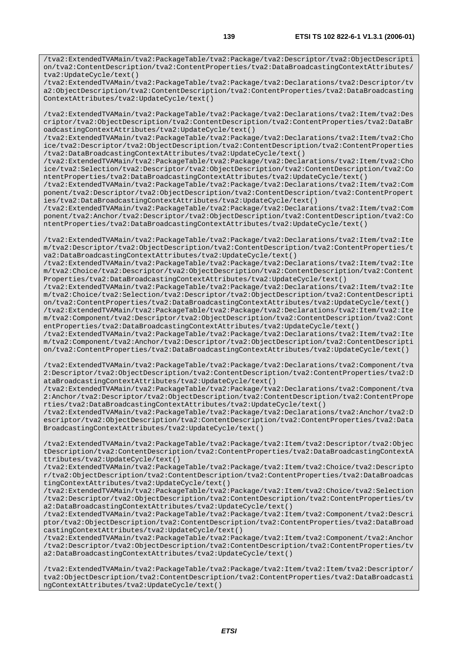/tva2:ExtendedTVAMain/tva2:PackageTable/tva2:Package/tva2:Descriptor/tva2:ObjectDescripti on/tva2:ContentDescription/tva2:ContentProperties/tva2:DataBroadcastingContextAttributes/ tva2:UpdateCycle/text()

/tva2:ExtendedTVAMain/tva2:PackageTable/tva2:Package/tva2:Declarations/tva2:Descriptor/tv a2:ObjectDescription/tva2:ContentDescription/tva2:ContentProperties/tva2:DataBroadcasting ContextAttributes/tva2:UpdateCycle/text()

/tva2:ExtendedTVAMain/tva2:PackageTable/tva2:Package/tva2:Declarations/tva2:Item/tva2:Des criptor/tva2:ObjectDescription/tva2:ContentDescription/tva2:ContentProperties/tva2:DataBr oadcastingContextAttributes/tva2:UpdateCycle/text()

/tva2:ExtendedTVAMain/tva2:PackageTable/tva2:Package/tva2:Declarations/tva2:Item/tva2:Cho ice/tva2:Descriptor/tva2:ObjectDescription/tva2:ContentDescription/tva2:ContentProperties /tva2:DataBroadcastingContextAttributes/tva2:UpdateCycle/text()

/tva2:ExtendedTVAMain/tva2:PackageTable/tva2:Package/tva2:Declarations/tva2:Item/tva2:Cho ice/tva2:Selection/tva2:Descriptor/tva2:ObjectDescription/tva2:ContentDescription/tva2:Co ntentProperties/tva2:DataBroadcastingContextAttributes/tva2:UpdateCycle/text()

/tva2:ExtendedTVAMain/tva2:PackageTable/tva2:Package/tva2:Declarations/tva2:Item/tva2:Com ponent/tva2:Descriptor/tva2:ObjectDescription/tva2:ContentDescription/tva2:ContentPropert ies/tva2:DataBroadcastingContextAttributes/tva2:UpdateCycle/text()

/tva2:ExtendedTVAMain/tva2:PackageTable/tva2:Package/tva2:Declarations/tva2:Item/tva2:Com ponent/tva2:Anchor/tva2:Descriptor/tva2:ObjectDescription/tva2:ContentDescription/tva2:Co ntentProperties/tva2:DataBroadcastingContextAttributes/tva2:UpdateCycle/text()

/tva2:ExtendedTVAMain/tva2:PackageTable/tva2:Package/tva2:Declarations/tva2:Item/tva2:Ite m/tva2:Descriptor/tva2:ObjectDescription/tva2:ContentDescription/tva2:ContentProperties/t va2:DataBroadcastingContextAttributes/tva2:UpdateCycle/text()

/tva2:ExtendedTVAMain/tva2:PackageTable/tva2:Package/tva2:Declarations/tva2:Item/tva2:Ite m/tva2:Choice/tva2:Descriptor/tva2:ObjectDescription/tva2:ContentDescription/tva2:Content Properties/tva2:DataBroadcastingContextAttributes/tva2:UpdateCycle/text()

/tva2:ExtendedTVAMain/tva2:PackageTable/tva2:Package/tva2:Declarations/tva2:Item/tva2:Ite m/tva2:Choice/tva2:Selection/tva2:Descriptor/tva2:ObjectDescription/tva2:ContentDescripti on/tva2:ContentProperties/tva2:DataBroadcastingContextAttributes/tva2:UpdateCycle/text()

/tva2:ExtendedTVAMain/tva2:PackageTable/tva2:Package/tva2:Declarations/tva2:Item/tva2:Ite m/tva2:Component/tva2:Descriptor/tva2:ObjectDescription/tva2:ContentDescription/tva2:Cont entProperties/tva2:DataBroadcastingContextAttributes/tva2:UpdateCycle/text()

/tva2:ExtendedTVAMain/tva2:PackageTable/tva2:Package/tva2:Declarations/tva2:Item/tva2:Ite m/tva2:Component/tva2:Anchor/tva2:Descriptor/tva2:ObjectDescription/tva2:ContentDescripti on/tva2:ContentProperties/tva2:DataBroadcastingContextAttributes/tva2:UpdateCycle/text()

/tva2:ExtendedTVAMain/tva2:PackageTable/tva2:Package/tva2:Declarations/tva2:Component/tva 2:Descriptor/tva2:ObjectDescription/tva2:ContentDescription/tva2:ContentProperties/tva2:D ataBroadcastingContextAttributes/tva2:UpdateCycle/text()

/tva2:ExtendedTVAMain/tva2:PackageTable/tva2:Package/tva2:Declarations/tva2:Component/tva 2:Anchor/tva2:Descriptor/tva2:ObjectDescription/tva2:ContentDescription/tva2:ContentPrope rties/tva2:DataBroadcastingContextAttributes/tva2:UpdateCycle/text()

/tva2:ExtendedTVAMain/tva2:PackageTable/tva2:Package/tva2:Declarations/tva2:Anchor/tva2:D escriptor/tva2:ObjectDescription/tva2:ContentDescription/tva2:ContentProperties/tva2:Data BroadcastingContextAttributes/tva2:UpdateCycle/text()

/tva2:ExtendedTVAMain/tva2:PackageTable/tva2:Package/tva2:Item/tva2:Descriptor/tva2:Objec tDescription/tva2:ContentDescription/tva2:ContentProperties/tva2:DataBroadcastingContextA ttributes/tva2:UpdateCycle/text()

/tva2:ExtendedTVAMain/tva2:PackageTable/tva2:Package/tva2:Item/tva2:Choice/tva2:Descripto r/tva2:ObjectDescription/tva2:ContentDescription/tva2:ContentProperties/tva2:DataBroadcas tingContextAttributes/tva2:UpdateCycle/text()

/tva2:ExtendedTVAMain/tva2:PackageTable/tva2:Package/tva2:Item/tva2:Choice/tva2:Selection /tva2:Descriptor/tva2:ObjectDescription/tva2:ContentDescription/tva2:ContentProperties/tv a2:DataBroadcastingContextAttributes/tva2:UpdateCycle/text()

/tva2:ExtendedTVAMain/tva2:PackageTable/tva2:Package/tva2:Item/tva2:Component/tva2:Descri ptor/tva2:ObjectDescription/tva2:ContentDescription/tva2:ContentProperties/tva2:DataBroad castingContextAttributes/tva2:UpdateCycle/text()

/tva2:ExtendedTVAMain/tva2:PackageTable/tva2:Package/tva2:Item/tva2:Component/tva2:Anchor /tva2:Descriptor/tva2:ObjectDescription/tva2:ContentDescription/tva2:ContentProperties/tv a2:DataBroadcastingContextAttributes/tva2:UpdateCycle/text()

/tva2:ExtendedTVAMain/tva2:PackageTable/tva2:Package/tva2:Item/tva2:Item/tva2:Descriptor/ tva2:ObjectDescription/tva2:ContentDescription/tva2:ContentProperties/tva2:DataBroadcasti ngContextAttributes/tva2:UpdateCycle/text()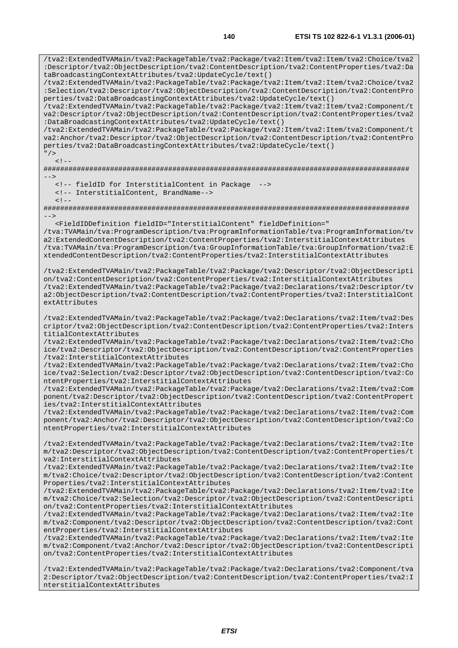/tva2:ExtendedTVAMain/tva2:PackageTable/tva2:Package/tva2:Item/tva2:Item/tva2:Choice/tva2 :Descriptor/tva2:ObjectDescription/tva2:ContentDescription/tva2:ContentProperties/tva2:Da taBroadcastingContextAttributes/tva2:UpdateCycle/text() /tva2:ExtendedTVAMain/tva2:PackageTable/tva2:Package/tva2:Item/tva2:Item/tva2:Choice/tva2 :Selection/tva2:Descriptor/tva2:ObjectDescription/tva2:ContentDescription/tva2:ContentPro perties/tva2:DataBroadcastingContextAttributes/tva2:UpdateCycle/text() /tva2:ExtendedTVAMain/tva2:PackageTable/tva2:Package/tva2:Item/tva2:Item/tva2:Component/t va2:Descriptor/tva2:ObjectDescription/tva2:ContentDescription/tva2:ContentProperties/tva2 :DataBroadcastingContextAttributes/tva2:UpdateCycle/text() /tva2:ExtendedTVAMain/tva2:PackageTable/tva2:Package/tva2:Item/tva2:Item/tva2:Component/t va2:Anchor/tva2:Descriptor/tva2:ObjectDescription/tva2:ContentDescription/tva2:ContentPro perties/tva2:DataBroadcastingContextAttributes/tva2:UpdateCycle/text() "/>  $\geq 1$ ######################################################################################## --> <!-- fieldID for InterstitialContent in Package --> <!-- InterstitialContent, BrandName-->  $\left\langle 1 - - \right\rangle$ ######################################################################################## --> <FieldIDDefinition fieldID="InterstitialContent" fieldDefinition=" /tva:TVAMain/tva:ProgramDescription/tva:ProgramInformationTable/tva:ProgramInformation/tv a2:ExtendedContentDescription/tva2:ContentProperties/tva2:InterstitialContextAttributes /tva:TVAMain/tva:ProgramDescription/tva:GroupInformationTable/tva:GroupInformation/tva2:E xtendedContentDescription/tva2:ContentProperties/tva2:InterstitialContextAttributes /tva2:ExtendedTVAMain/tva2:PackageTable/tva2:Package/tva2:Descriptor/tva2:ObjectDescripti on/tva2:ContentDescription/tva2:ContentProperties/tva2:InterstitialContextAttributes /tva2:ExtendedTVAMain/tva2:PackageTable/tva2:Package/tva2:Declarations/tva2:Descriptor/tv a2:ObjectDescription/tva2:ContentDescription/tva2:ContentProperties/tva2:InterstitialCont extAttributes /tva2:ExtendedTVAMain/tva2:PackageTable/tva2:Package/tva2:Declarations/tva2:Item/tva2:Des criptor/tva2:ObjectDescription/tva2:ContentDescription/tva2:ContentProperties/tva2:Inters titialContextAttributes /tva2:ExtendedTVAMain/tva2:PackageTable/tva2:Package/tva2:Declarations/tva2:Item/tva2:Cho ice/tva2:Descriptor/tva2:ObjectDescription/tva2:ContentDescription/tva2:ContentProperties /tva2:InterstitialContextAttributes /tva2:ExtendedTVAMain/tva2:PackageTable/tva2:Package/tva2:Declarations/tva2:Item/tva2:Cho ice/tva2:Selection/tva2:Descriptor/tva2:ObjectDescription/tva2:ContentDescription/tva2:Co ntentProperties/tva2:InterstitialContextAttributes /tva2:ExtendedTVAMain/tva2:PackageTable/tva2:Package/tva2:Declarations/tva2:Item/tva2:Com ponent/tva2:Descriptor/tva2:ObjectDescription/tva2:ContentDescription/tva2:ContentPropert ies/tva2:InterstitialContextAttributes /tva2:ExtendedTVAMain/tva2:PackageTable/tva2:Package/tva2:Declarations/tva2:Item/tva2:Com ponent/tva2:Anchor/tva2:Descriptor/tva2:ObjectDescription/tva2:ContentDescription/tva2:Co ntentProperties/tva2:InterstitialContextAttributes /tva2:ExtendedTVAMain/tva2:PackageTable/tva2:Package/tva2:Declarations/tva2:Item/tva2:Ite m/tva2:Descriptor/tva2:ObjectDescription/tva2:ContentDescription/tva2:ContentProperties/t va2:InterstitialContextAttributes /tva2:ExtendedTVAMain/tva2:PackageTable/tva2:Package/tva2:Declarations/tva2:Item/tva2:Ite m/tva2:Choice/tva2:Descriptor/tva2:ObjectDescription/tva2:ContentDescription/tva2:Content Properties/tva2:InterstitialContextAttributes /tva2:ExtendedTVAMain/tva2:PackageTable/tva2:Package/tva2:Declarations/tva2:Item/tva2:Ite m/tva2:Choice/tva2:Selection/tva2:Descriptor/tva2:ObjectDescription/tva2:ContentDescripti on/tva2:ContentProperties/tva2:InterstitialContextAttributes /tva2:ExtendedTVAMain/tva2:PackageTable/tva2:Package/tva2:Declarations/tva2:Item/tva2:Ite m/tva2:Component/tva2:Descriptor/tva2:ObjectDescription/tva2:ContentDescription/tva2:Cont entProperties/tva2:InterstitialContextAttributes /tva2:ExtendedTVAMain/tva2:PackageTable/tva2:Package/tva2:Declarations/tva2:Item/tva2:Ite m/tva2:Component/tva2:Anchor/tva2:Descriptor/tva2:ObjectDescription/tva2:ContentDescripti on/tva2:ContentProperties/tva2:InterstitialContextAttributes

/tva2:ExtendedTVAMain/tva2:PackageTable/tva2:Package/tva2:Declarations/tva2:Component/tva 2:Descriptor/tva2:ObjectDescription/tva2:ContentDescription/tva2:ContentProperties/tva2:I nterstitialContextAttributes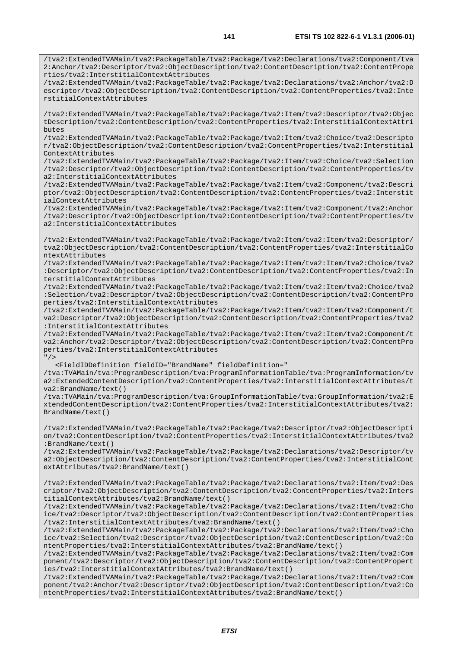/tva2:ExtendedTVAMain/tva2:PackageTable/tva2:Package/tva2:Declarations/tva2:Component/tva 2:Anchor/tva2:Descriptor/tva2:ObjectDescription/tva2:ContentDescription/tva2:ContentPrope rties/tva2:InterstitialContextAttributes

/tva2:ExtendedTVAMain/tva2:PackageTable/tva2:Package/tva2:Declarations/tva2:Anchor/tva2:D escriptor/tva2:ObjectDescription/tva2:ContentDescription/tva2:ContentProperties/tva2:Inte rstitialContextAttributes

/tva2:ExtendedTVAMain/tva2:PackageTable/tva2:Package/tva2:Item/tva2:Descriptor/tva2:Objec tDescription/tva2:ContentDescription/tva2:ContentProperties/tva2:InterstitialContextAttri butes

/tva2:ExtendedTVAMain/tva2:PackageTable/tva2:Package/tva2:Item/tva2:Choice/tva2:Descripto r/tva2:ObjectDescription/tva2:ContentDescription/tva2:ContentProperties/tva2:Interstitial ContextAttributes

/tva2:ExtendedTVAMain/tva2:PackageTable/tva2:Package/tva2:Item/tva2:Choice/tva2:Selection /tva2:Descriptor/tva2:ObjectDescription/tva2:ContentDescription/tva2:ContentProperties/tv a2:InterstitialContextAttributes

/tva2:ExtendedTVAMain/tva2:PackageTable/tva2:Package/tva2:Item/tva2:Component/tva2:Descri ptor/tva2:ObjectDescription/tva2:ContentDescription/tva2:ContentProperties/tva2:Interstit ialContextAttributes

/tva2:ExtendedTVAMain/tva2:PackageTable/tva2:Package/tva2:Item/tva2:Component/tva2:Anchor /tva2:Descriptor/tva2:ObjectDescription/tva2:ContentDescription/tva2:ContentProperties/tv a2:InterstitialContextAttributes

/tva2:ExtendedTVAMain/tva2:PackageTable/tva2:Package/tva2:Item/tva2:Item/tva2:Descriptor/ tva2:ObjectDescription/tva2:ContentDescription/tva2:ContentProperties/tva2:InterstitialCo ntextAttributes

/tva2:ExtendedTVAMain/tva2:PackageTable/tva2:Package/tva2:Item/tva2:Item/tva2:Choice/tva2 :Descriptor/tva2:ObjectDescription/tva2:ContentDescription/tva2:ContentProperties/tva2:In terstitialContextAttributes

/tva2:ExtendedTVAMain/tva2:PackageTable/tva2:Package/tva2:Item/tva2:Item/tva2:Choice/tva2 :Selection/tva2:Descriptor/tva2:ObjectDescription/tva2:ContentDescription/tva2:ContentPro perties/tva2:InterstitialContextAttributes

/tva2:ExtendedTVAMain/tva2:PackageTable/tva2:Package/tva2:Item/tva2:Item/tva2:Component/t va2:Descriptor/tva2:ObjectDescription/tva2:ContentDescription/tva2:ContentProperties/tva2 :InterstitialContextAttributes

/tva2:ExtendedTVAMain/tva2:PackageTable/tva2:Package/tva2:Item/tva2:Item/tva2:Component/t va2:Anchor/tva2:Descriptor/tva2:ObjectDescription/tva2:ContentDescription/tva2:ContentPro perties/tva2:InterstitialContextAttributes  $"$  />

<FieldIDDefinition fieldID="BrandName" fieldDefinition="

/tva:TVAMain/tva:ProgramDescription/tva:ProgramInformationTable/tva:ProgramInformation/tv a2:ExtendedContentDescription/tva2:ContentProperties/tva2:InterstitialContextAttributes/t va2:BrandName/text()

/tva:TVAMain/tva:ProgramDescription/tva:GroupInformationTable/tva:GroupInformation/tva2:E xtendedContentDescription/tva2:ContentProperties/tva2:InterstitialContextAttributes/tva2: BrandName/text()

/tva2:ExtendedTVAMain/tva2:PackageTable/tva2:Package/tva2:Descriptor/tva2:ObjectDescripti on/tva2:ContentDescription/tva2:ContentProperties/tva2:InterstitialContextAttributes/tva2 :BrandName/text()

/tva2:ExtendedTVAMain/tva2:PackageTable/tva2:Package/tva2:Declarations/tva2:Descriptor/tv a2:ObjectDescription/tva2:ContentDescription/tva2:ContentProperties/tva2:InterstitialCont extAttributes/tva2:BrandName/text()

/tva2:ExtendedTVAMain/tva2:PackageTable/tva2:Package/tva2:Declarations/tva2:Item/tva2:Des criptor/tva2:ObjectDescription/tva2:ContentDescription/tva2:ContentProperties/tva2:Inters titialContextAttributes/tva2:BrandName/text()

/tva2:ExtendedTVAMain/tva2:PackageTable/tva2:Package/tva2:Declarations/tva2:Item/tva2:Cho ice/tva2:Descriptor/tva2:ObjectDescription/tva2:ContentDescription/tva2:ContentProperties /tva2:InterstitialContextAttributes/tva2:BrandName/text()

/tva2:ExtendedTVAMain/tva2:PackageTable/tva2:Package/tva2:Declarations/tva2:Item/tva2:Cho ice/tva2:Selection/tva2:Descriptor/tva2:ObjectDescription/tva2:ContentDescription/tva2:Co ntentProperties/tva2:InterstitialContextAttributes/tva2:BrandName/text()

/tva2:ExtendedTVAMain/tva2:PackageTable/tva2:Package/tva2:Declarations/tva2:Item/tva2:Com ponent/tva2:Descriptor/tva2:ObjectDescription/tva2:ContentDescription/tva2:ContentPropert ies/tva2:InterstitialContextAttributes/tva2:BrandName/text()

/tva2:ExtendedTVAMain/tva2:PackageTable/tva2:Package/tva2:Declarations/tva2:Item/tva2:Com ponent/tva2:Anchor/tva2:Descriptor/tva2:ObjectDescription/tva2:ContentDescription/tva2:Co ntentProperties/tva2:InterstitialContextAttributes/tva2:BrandName/text()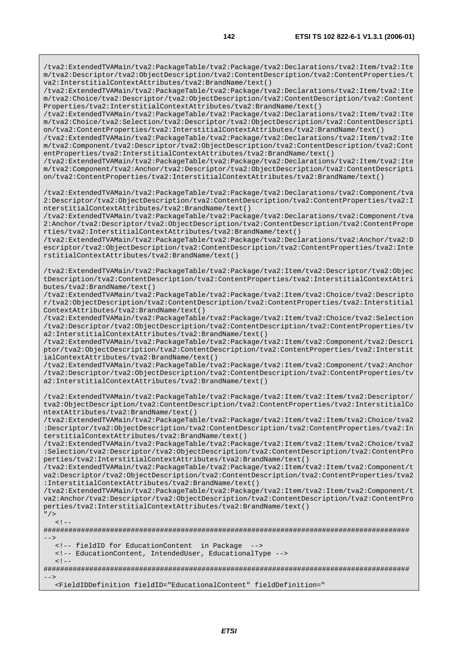/tva2:ExtendedTVAMain/tva2:PackageTable/tva2:Package/tva2:Declarations/tva2:Item/tva2:Ite m/tva2:Descriptor/tva2:ObjectDescription/tva2:ContentDescription/tva2:ContentProperties/t va2:InterstitialContextAttributes/tva2:BrandName/text()

/tva2:ExtendedTVAMain/tva2:PackageTable/tva2:Package/tva2:Declarations/tva2:Item/tva2:Ite m/tva2:Choice/tva2:Descriptor/tva2:ObjectDescription/tva2:ContentDescription/tva2:Content Properties/tva2:InterstitialContextAttributes/tva2:BrandName/text()

/tva2:ExtendedTVAMain/tva2:PackageTable/tva2:Package/tva2:Declarations/tva2:Item/tva2:Ite m/tva2:Choice/tva2:Selection/tva2:Descriptor/tva2:ObjectDescription/tva2:ContentDescripti on/tva2:ContentProperties/tva2:InterstitialContextAttributes/tva2:BrandName/text()

/tva2:ExtendedTVAMain/tva2:PackageTable/tva2:Package/tva2:Declarations/tva2:Item/tva2:Ite m/tva2:Component/tva2:Descriptor/tva2:ObjectDescription/tva2:ContentDescription/tva2:Cont entProperties/tva2:InterstitialContextAttributes/tva2:BrandName/text()

/tva2:ExtendedTVAMain/tva2:PackageTable/tva2:Package/tva2:Declarations/tva2:Item/tva2:Ite m/tva2:Component/tva2:Anchor/tva2:Descriptor/tva2:ObjectDescription/tva2:ContentDescripti on/tva2:ContentProperties/tva2:InterstitialContextAttributes/tva2:BrandName/text()

/tva2:ExtendedTVAMain/tva2:PackageTable/tva2:Package/tva2:Declarations/tva2:Component/tva 2:Descriptor/tva2:ObjectDescription/tva2:ContentDescription/tva2:ContentProperties/tva2:I nterstitialContextAttributes/tva2:BrandName/text()

/tva2:ExtendedTVAMain/tva2:PackageTable/tva2:Package/tva2:Declarations/tva2:Component/tva 2:Anchor/tva2:Descriptor/tva2:ObjectDescription/tva2:ContentDescription/tva2:ContentPrope rties/tva2:InterstitialContextAttributes/tva2:BrandName/text()

/tva2:ExtendedTVAMain/tva2:PackageTable/tva2:Package/tva2:Declarations/tva2:Anchor/tva2:D escriptor/tva2:ObjectDescription/tva2:ContentDescription/tva2:ContentProperties/tva2:Inte rstitialContextAttributes/tva2:BrandName/text()

/tva2:ExtendedTVAMain/tva2:PackageTable/tva2:Package/tva2:Item/tva2:Descriptor/tva2:Objec tDescription/tva2:ContentDescription/tva2:ContentProperties/tva2:InterstitialContextAttri butes/tva2:BrandName/text()

/tva2:ExtendedTVAMain/tva2:PackageTable/tva2:Package/tva2:Item/tva2:Choice/tva2:Descripto r/tva2:ObjectDescription/tva2:ContentDescription/tva2:ContentProperties/tva2:Interstitial ContextAttributes/tva2:BrandName/text()

/tva2:ExtendedTVAMain/tva2:PackageTable/tva2:Package/tva2:Item/tva2:Choice/tva2:Selection /tva2:Descriptor/tva2:ObjectDescription/tva2:ContentDescription/tva2:ContentProperties/tv a2:InterstitialContextAttributes/tva2:BrandName/text()

/tva2:ExtendedTVAMain/tva2:PackageTable/tva2:Package/tva2:Item/tva2:Component/tva2:Descri ptor/tva2:ObjectDescription/tva2:ContentDescription/tva2:ContentProperties/tva2:Interstit ialContextAttributes/tva2:BrandName/text()

/tva2:ExtendedTVAMain/tva2:PackageTable/tva2:Package/tva2:Item/tva2:Component/tva2:Anchor /tva2:Descriptor/tva2:ObjectDescription/tva2:ContentDescription/tva2:ContentProperties/tv a2:InterstitialContextAttributes/tva2:BrandName/text()

/tva2:ExtendedTVAMain/tva2:PackageTable/tva2:Package/tva2:Item/tva2:Item/tva2:Descriptor/ tva2:ObjectDescription/tva2:ContentDescription/tva2:ContentProperties/tva2:InterstitialCo ntextAttributes/tva2:BrandName/text()

/tva2:ExtendedTVAMain/tva2:PackageTable/tva2:Package/tva2:Item/tva2:Item/tva2:Choice/tva2 :Descriptor/tva2:ObjectDescription/tva2:ContentDescription/tva2:ContentProperties/tva2:In terstitialContextAttributes/tva2:BrandName/text()

/tva2:ExtendedTVAMain/tva2:PackageTable/tva2:Package/tva2:Item/tva2:Item/tva2:Choice/tva2 :Selection/tva2:Descriptor/tva2:ObjectDescription/tva2:ContentDescription/tva2:ContentPro perties/tva2:InterstitialContextAttributes/tva2:BrandName/text()

/tva2:ExtendedTVAMain/tva2:PackageTable/tva2:Package/tva2:Item/tva2:Item/tva2:Component/t va2:Descriptor/tva2:ObjectDescription/tva2:ContentDescription/tva2:ContentProperties/tva2 :InterstitialContextAttributes/tva2:BrandName/text()

/tva2:ExtendedTVAMain/tva2:PackageTable/tva2:Package/tva2:Item/tva2:Item/tva2:Component/t va2:Anchor/tva2:Descriptor/tva2:ObjectDescription/tva2:ContentDescription/tva2:ContentPro perties/tva2:InterstitialContextAttributes/tva2:BrandName/text()

```
<! --
```
"/>

######################################################################################## -->

<!-- fieldID for EducationContent in Package -->

<!-- EducationContent, IntendedUser, EducationalType -->

 $\lt$  !  $-$ 

######################################################################################## -->

<FieldIDDefinition fieldID="EducationalContent" fieldDefinition="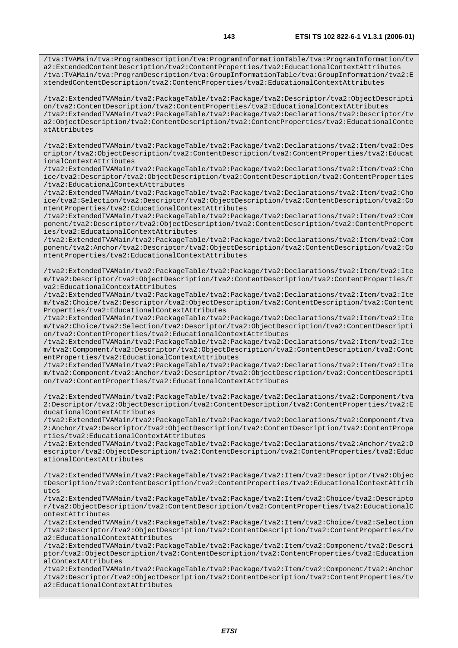/tva:TVAMain/tva:ProgramDescription/tva:ProgramInformationTable/tva:ProgramInformation/tv a2:ExtendedContentDescription/tva2:ContentProperties/tva2:EducationalContextAttributes /tva:TVAMain/tva:ProgramDescription/tva:GroupInformationTable/tva:GroupInformation/tva2:E xtendedContentDescription/tva2:ContentProperties/tva2:EducationalContextAttributes

/tva2:ExtendedTVAMain/tva2:PackageTable/tva2:Package/tva2:Descriptor/tva2:ObjectDescripti on/tva2:ContentDescription/tva2:ContentProperties/tva2:EducationalContextAttributes /tva2:ExtendedTVAMain/tva2:PackageTable/tva2:Package/tva2:Declarations/tva2:Descriptor/tv a2:ObjectDescription/tva2:ContentDescription/tva2:ContentProperties/tva2:EducationalConte xtAttributes

/tva2:ExtendedTVAMain/tva2:PackageTable/tva2:Package/tva2:Declarations/tva2:Item/tva2:Des criptor/tva2:ObjectDescription/tva2:ContentDescription/tva2:ContentProperties/tva2:Educat ionalContextAttributes

/tva2:ExtendedTVAMain/tva2:PackageTable/tva2:Package/tva2:Declarations/tva2:Item/tva2:Cho ice/tva2:Descriptor/tva2:ObjectDescription/tva2:ContentDescription/tva2:ContentProperties /tva2:EducationalContextAttributes

/tva2:ExtendedTVAMain/tva2:PackageTable/tva2:Package/tva2:Declarations/tva2:Item/tva2:Cho ice/tva2:Selection/tva2:Descriptor/tva2:ObjectDescription/tva2:ContentDescription/tva2:Co ntentProperties/tva2:EducationalContextAttributes

/tva2:ExtendedTVAMain/tva2:PackageTable/tva2:Package/tva2:Declarations/tva2:Item/tva2:Com ponent/tva2:Descriptor/tva2:ObjectDescription/tva2:ContentDescription/tva2:ContentPropert ies/tva2:EducationalContextAttributes

/tva2:ExtendedTVAMain/tva2:PackageTable/tva2:Package/tva2:Declarations/tva2:Item/tva2:Com ponent/tva2:Anchor/tva2:Descriptor/tva2:ObjectDescription/tva2:ContentDescription/tva2:Co ntentProperties/tva2:EducationalContextAttributes

/tva2:ExtendedTVAMain/tva2:PackageTable/tva2:Package/tva2:Declarations/tva2:Item/tva2:Ite m/tva2:Descriptor/tva2:ObjectDescription/tva2:ContentDescription/tva2:ContentProperties/t va2:EducationalContextAttributes

/tva2:ExtendedTVAMain/tva2:PackageTable/tva2:Package/tva2:Declarations/tva2:Item/tva2:Ite m/tva2:Choice/tva2:Descriptor/tva2:ObjectDescription/tva2:ContentDescription/tva2:Content Properties/tva2:EducationalContextAttributes

/tva2:ExtendedTVAMain/tva2:PackageTable/tva2:Package/tva2:Declarations/tva2:Item/tva2:Ite m/tva2:Choice/tva2:Selection/tva2:Descriptor/tva2:ObjectDescription/tva2:ContentDescripti on/tva2:ContentProperties/tva2:EducationalContextAttributes

/tva2:ExtendedTVAMain/tva2:PackageTable/tva2:Package/tva2:Declarations/tva2:Item/tva2:Ite m/tva2:Component/tva2:Descriptor/tva2:ObjectDescription/tva2:ContentDescription/tva2:Cont entProperties/tva2:EducationalContextAttributes

/tva2:ExtendedTVAMain/tva2:PackageTable/tva2:Package/tva2:Declarations/tva2:Item/tva2:Ite m/tva2:Component/tva2:Anchor/tva2:Descriptor/tva2:ObjectDescription/tva2:ContentDescripti on/tva2:ContentProperties/tva2:EducationalContextAttributes

/tva2:ExtendedTVAMain/tva2:PackageTable/tva2:Package/tva2:Declarations/tva2:Component/tva 2:Descriptor/tva2:ObjectDescription/tva2:ContentDescription/tva2:ContentProperties/tva2:E ducationalContextAttributes

/tva2:ExtendedTVAMain/tva2:PackageTable/tva2:Package/tva2:Declarations/tva2:Component/tva 2:Anchor/tva2:Descriptor/tva2:ObjectDescription/tva2:ContentDescription/tva2:ContentPrope rties/tva2:EducationalContextAttributes

/tva2:ExtendedTVAMain/tva2:PackageTable/tva2:Package/tva2:Declarations/tva2:Anchor/tva2:D escriptor/tva2:ObjectDescription/tva2:ContentDescription/tva2:ContentProperties/tva2:Educ ationalContextAttributes

/tva2:ExtendedTVAMain/tva2:PackageTable/tva2:Package/tva2:Item/tva2:Descriptor/tva2:Objec tDescription/tva2:ContentDescription/tva2:ContentProperties/tva2:EducationalContextAttrib utes

/tva2:ExtendedTVAMain/tva2:PackageTable/tva2:Package/tva2:Item/tva2:Choice/tva2:Descripto r/tva2:ObjectDescription/tva2:ContentDescription/tva2:ContentProperties/tva2:EducationalC ontextAttributes

/tva2:ExtendedTVAMain/tva2:PackageTable/tva2:Package/tva2:Item/tva2:Choice/tva2:Selection /tva2:Descriptor/tva2:ObjectDescription/tva2:ContentDescription/tva2:ContentProperties/tv a2:EducationalContextAttributes

/tva2:ExtendedTVAMain/tva2:PackageTable/tva2:Package/tva2:Item/tva2:Component/tva2:Descri ptor/tva2:ObjectDescription/tva2:ContentDescription/tva2:ContentProperties/tva2:Education alContextAttributes

/tva2:ExtendedTVAMain/tva2:PackageTable/tva2:Package/tva2:Item/tva2:Component/tva2:Anchor /tva2:Descriptor/tva2:ObjectDescription/tva2:ContentDescription/tva2:ContentProperties/tv a2:EducationalContextAttributes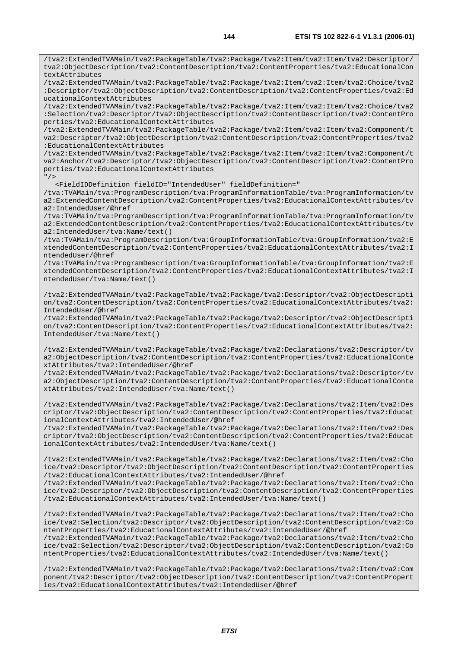/tva2:ExtendedTVAMain/tva2:PackageTable/tva2:Package/tva2:Item/tva2:Item/tva2:Descriptor/ tva2:ObjectDescription/tva2:ContentDescription/tva2:ContentProperties/tva2:EducationalCon textAttributes

/tva2:ExtendedTVAMain/tva2:PackageTable/tva2:Package/tva2:Item/tva2:Item/tva2:Choice/tva2 :Descriptor/tva2:ObjectDescription/tva2:ContentDescription/tva2:ContentProperties/tva2:Ed ucationalContextAttributes

/tva2:ExtendedTVAMain/tva2:PackageTable/tva2:Package/tva2:Item/tva2:Item/tva2:Choice/tva2 :Selection/tva2:Descriptor/tva2:ObjectDescription/tva2:ContentDescription/tva2:ContentPro perties/tva2:EducationalContextAttributes

/tva2:ExtendedTVAMain/tva2:PackageTable/tva2:Package/tva2:Item/tva2:Item/tva2:Component/t va2:Descriptor/tva2:ObjectDescription/tva2:ContentDescription/tva2:ContentProperties/tva2 :EducationalContextAttributes

/tva2:ExtendedTVAMain/tva2:PackageTable/tva2:Package/tva2:Item/tva2:Item/tva2:Component/t va2:Anchor/tva2:Descriptor/tva2:ObjectDescription/tva2:ContentDescription/tva2:ContentPro perties/tva2:EducationalContextAttributes

"/>

<FieldIDDefinition fieldID="IntendedUser" fieldDefinition="

/tva:TVAMain/tva:ProgramDescription/tva:ProgramInformationTable/tva:ProgramInformation/tv a2:ExtendedContentDescription/tva2:ContentProperties/tva2:EducationalContextAttributes/tv a2:IntendedUser/@href

/tva:TVAMain/tva:ProgramDescription/tva:ProgramInformationTable/tva:ProgramInformation/tv a2:ExtendedContentDescription/tva2:ContentProperties/tva2:EducationalContextAttributes/tv a2:IntendedUser/tva:Name/text()

/tva:TVAMain/tva:ProgramDescription/tva:GroupInformationTable/tva:GroupInformation/tva2:E xtendedContentDescription/tva2:ContentProperties/tva2:EducationalContextAttributes/tva2:I ntendedUser/@href

/tva:TVAMain/tva:ProgramDescription/tva:GroupInformationTable/tva:GroupInformation/tva2:E xtendedContentDescription/tva2:ContentProperties/tva2:EducationalContextAttributes/tva2:I ntendedUser/tva:Name/text()

/tva2:ExtendedTVAMain/tva2:PackageTable/tva2:Package/tva2:Descriptor/tva2:ObjectDescripti on/tva2:ContentDescription/tva2:ContentProperties/tva2:EducationalContextAttributes/tva2: IntendedUser/@href

/tva2:ExtendedTVAMain/tva2:PackageTable/tva2:Package/tva2:Descriptor/tva2:ObjectDescripti on/tva2:ContentDescription/tva2:ContentProperties/tva2:EducationalContextAttributes/tva2: IntendedUser/tva:Name/text()

/tva2:ExtendedTVAMain/tva2:PackageTable/tva2:Package/tva2:Declarations/tva2:Descriptor/tv a2:ObjectDescription/tva2:ContentDescription/tva2:ContentProperties/tva2:EducationalConte xtAttributes/tva2:IntendedUser/@href

/tva2:ExtendedTVAMain/tva2:PackageTable/tva2:Package/tva2:Declarations/tva2:Descriptor/tv a2:ObjectDescription/tva2:ContentDescription/tva2:ContentProperties/tva2:EducationalConte xtAttributes/tva2:IntendedUser/tva:Name/text()

/tva2:ExtendedTVAMain/tva2:PackageTable/tva2:Package/tva2:Declarations/tva2:Item/tva2:Des criptor/tva2:ObjectDescription/tva2:ContentDescription/tva2:ContentProperties/tva2:Educat ionalContextAttributes/tva2:IntendedUser/@href

/tva2:ExtendedTVAMain/tva2:PackageTable/tva2:Package/tva2:Declarations/tva2:Item/tva2:Des criptor/tva2:ObjectDescription/tva2:ContentDescription/tva2:ContentProperties/tva2:Educat ionalContextAttributes/tva2:IntendedUser/tva:Name/text()

/tva2:ExtendedTVAMain/tva2:PackageTable/tva2:Package/tva2:Declarations/tva2:Item/tva2:Cho ice/tva2:Descriptor/tva2:ObjectDescription/tva2:ContentDescription/tva2:ContentProperties /tva2:EducationalContextAttributes/tva2:IntendedUser/@href

/tva2:ExtendedTVAMain/tva2:PackageTable/tva2:Package/tva2:Declarations/tva2:Item/tva2:Cho ice/tva2:Descriptor/tva2:ObjectDescription/tva2:ContentDescription/tva2:ContentProperties /tva2:EducationalContextAttributes/tva2:IntendedUser/tva:Name/text()

/tva2:ExtendedTVAMain/tva2:PackageTable/tva2:Package/tva2:Declarations/tva2:Item/tva2:Cho ice/tva2:Selection/tva2:Descriptor/tva2:ObjectDescription/tva2:ContentDescription/tva2:Co ntentProperties/tva2:EducationalContextAttributes/tva2:IntendedUser/@href /tva2:ExtendedTVAMain/tva2:PackageTable/tva2:Package/tva2:Declarations/tva2:Item/tva2:Cho

ice/tva2:Selection/tva2:Descriptor/tva2:ObjectDescription/tva2:ContentDescription/tva2:Co ntentProperties/tva2:EducationalContextAttributes/tva2:IntendedUser/tva:Name/text()

/tva2:ExtendedTVAMain/tva2:PackageTable/tva2:Package/tva2:Declarations/tva2:Item/tva2:Com ponent/tva2:Descriptor/tva2:ObjectDescription/tva2:ContentDescription/tva2:ContentPropert ies/tva2:EducationalContextAttributes/tva2:IntendedUser/@href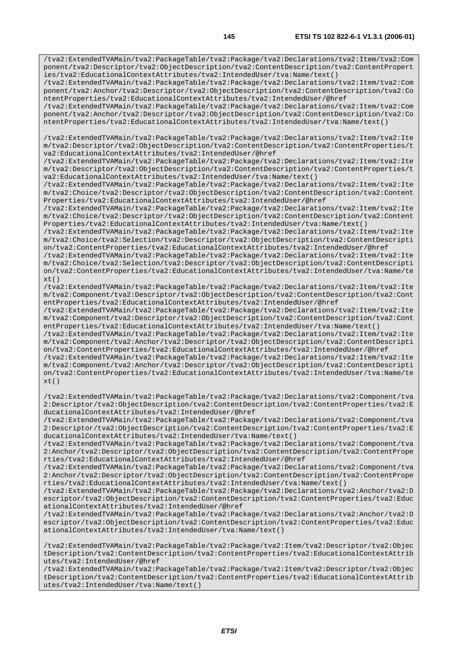/tva2:ExtendedTVAMain/tva2:PackageTable/tva2:Package/tva2:Declarations/tva2:Item/tva2:Com ponent/tva2:Anchor/tva2:Descriptor/tva2:ObjectDescription/tva2:ContentDescription/tva2:Co ntentProperties/tva2:EducationalContextAttributes/tva2:IntendedUser/@href

/tva2:ExtendedTVAMain/tva2:PackageTable/tva2:Package/tva2:Declarations/tva2:Item/tva2:Com ponent/tva2:Anchor/tva2:Descriptor/tva2:ObjectDescription/tva2:ContentDescription/tva2:Co ntentProperties/tva2:EducationalContextAttributes/tva2:IntendedUser/tva:Name/text()

/tva2:ExtendedTVAMain/tva2:PackageTable/tva2:Package/tva2:Declarations/tva2:Item/tva2:Ite m/tva2:Descriptor/tva2:ObjectDescription/tva2:ContentDescription/tva2:ContentProperties/t va2:EducationalContextAttributes/tva2:IntendedUser/@href

/tva2:ExtendedTVAMain/tva2:PackageTable/tva2:Package/tva2:Declarations/tva2:Item/tva2:Ite m/tva2:Descriptor/tva2:ObjectDescription/tva2:ContentDescription/tva2:ContentProperties/t va2:EducationalContextAttributes/tva2:IntendedUser/tva:Name/text()

/tva2:ExtendedTVAMain/tva2:PackageTable/tva2:Package/tva2:Declarations/tva2:Item/tva2:Ite m/tva2:Choice/tva2:Descriptor/tva2:ObjectDescription/tva2:ContentDescription/tva2:Content Properties/tva2:EducationalContextAttributes/tva2:IntendedUser/@href

/tva2:ExtendedTVAMain/tva2:PackageTable/tva2:Package/tva2:Declarations/tva2:Item/tva2:Ite m/tva2:Choice/tva2:Descriptor/tva2:ObjectDescription/tva2:ContentDescription/tva2:Content Properties/tva2:EducationalContextAttributes/tva2:IntendedUser/tva:Name/text()

/tva2:ExtendedTVAMain/tva2:PackageTable/tva2:Package/tva2:Declarations/tva2:Item/tva2:Ite m/tva2:Choice/tva2:Selection/tva2:Descriptor/tva2:ObjectDescription/tva2:ContentDescripti on/tva2:ContentProperties/tva2:EducationalContextAttributes/tva2:IntendedUser/@href

/tva2:ExtendedTVAMain/tva2:PackageTable/tva2:Package/tva2:Declarations/tva2:Item/tva2:Ite m/tva2:Choice/tva2:Selection/tva2:Descriptor/tva2:ObjectDescription/tva2:ContentDescripti on/tva2:ContentProperties/tva2:EducationalContextAttributes/tva2:IntendedUser/tva:Name/te  $xt()$ 

/tva2:ExtendedTVAMain/tva2:PackageTable/tva2:Package/tva2:Declarations/tva2:Item/tva2:Ite m/tva2:Component/tva2:Descriptor/tva2:ObjectDescription/tva2:ContentDescription/tva2:Cont entProperties/tva2:EducationalContextAttributes/tva2:IntendedUser/@href

/tva2:ExtendedTVAMain/tva2:PackageTable/tva2:Package/tva2:Declarations/tva2:Item/tva2:Ite m/tva2:Component/tva2:Descriptor/tva2:ObjectDescription/tva2:ContentDescription/tva2:Cont entProperties/tva2:EducationalContextAttributes/tva2:IntendedUser/tva:Name/text()

/tva2:ExtendedTVAMain/tva2:PackageTable/tva2:Package/tva2:Declarations/tva2:Item/tva2:Ite m/tva2:Component/tva2:Anchor/tva2:Descriptor/tva2:ObjectDescription/tva2:ContentDescripti on/tva2:ContentProperties/tva2:EducationalContextAttributes/tva2:IntendedUser/@href

/tva2:ExtendedTVAMain/tva2:PackageTable/tva2:Package/tva2:Declarations/tva2:Item/tva2:Ite m/tva2:Component/tva2:Anchor/tva2:Descriptor/tva2:ObjectDescription/tva2:ContentDescripti on/tva2:ContentProperties/tva2:EducationalContextAttributes/tva2:IntendedUser/tva:Name/te xt()

/tva2:ExtendedTVAMain/tva2:PackageTable/tva2:Package/tva2:Declarations/tva2:Component/tva 2:Descriptor/tva2:ObjectDescription/tva2:ContentDescription/tva2:ContentProperties/tva2:E ducationalContextAttributes/tva2:IntendedUser/@href

/tva2:ExtendedTVAMain/tva2:PackageTable/tva2:Package/tva2:Declarations/tva2:Component/tva 2:Descriptor/tva2:ObjectDescription/tva2:ContentDescription/tva2:ContentProperties/tva2:E ducationalContextAttributes/tva2:IntendedUser/tva:Name/text()

/tva2:ExtendedTVAMain/tva2:PackageTable/tva2:Package/tva2:Declarations/tva2:Component/tva 2:Anchor/tva2:Descriptor/tva2:ObjectDescription/tva2:ContentDescription/tva2:ContentPrope rties/tva2:EducationalContextAttributes/tva2:IntendedUser/@href

/tva2:ExtendedTVAMain/tva2:PackageTable/tva2:Package/tva2:Declarations/tva2:Component/tva 2:Anchor/tva2:Descriptor/tva2:ObjectDescription/tva2:ContentDescription/tva2:ContentPrope rties/tva2:EducationalContextAttributes/tva2:IntendedUser/tva:Name/text()

/tva2:ExtendedTVAMain/tva2:PackageTable/tva2:Package/tva2:Declarations/tva2:Anchor/tva2:D escriptor/tva2:ObjectDescription/tva2:ContentDescription/tva2:ContentProperties/tva2:Educ ationalContextAttributes/tva2:IntendedUser/@href

/tva2:ExtendedTVAMain/tva2:PackageTable/tva2:Package/tva2:Declarations/tva2:Anchor/tva2:D escriptor/tva2:ObjectDescription/tva2:ContentDescription/tva2:ContentProperties/tva2:Educ ationalContextAttributes/tva2:IntendedUser/tva:Name/text()

/tva2:ExtendedTVAMain/tva2:PackageTable/tva2:Package/tva2:Item/tva2:Descriptor/tva2:Objec tDescription/tva2:ContentDescription/tva2:ContentProperties/tva2:EducationalContextAttrib utes/tva2:IntendedUser/@href

/tva2:ExtendedTVAMain/tva2:PackageTable/tva2:Package/tva2:Item/tva2:Descriptor/tva2:Objec tDescription/tva2:ContentDescription/tva2:ContentProperties/tva2:EducationalContextAttrib utes/tva2:IntendedUser/tva:Name/text()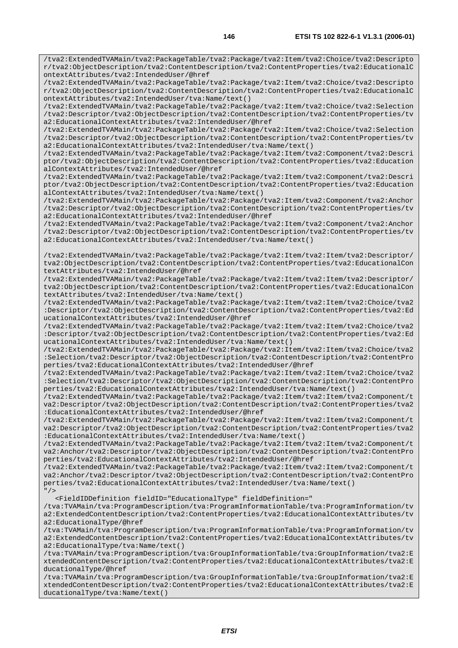/tva2:ExtendedTVAMain/tva2:PackageTable/tva2:Package/tva2:Item/tva2:Choice/tva2:Descripto

r/tva2:ObjectDescription/tva2:ContentDescription/tva2:ContentProperties/tva2:EducationalC ontextAttributes/tva2:IntendedUser/@href /tva2:ExtendedTVAMain/tva2:PackageTable/tva2:Package/tva2:Item/tva2:Choice/tva2:Descripto r/tva2:ObjectDescription/tva2:ContentDescription/tva2:ContentProperties/tva2:EducationalC ontextAttributes/tva2:IntendedUser/tva:Name/text() /tva2:ExtendedTVAMain/tva2:PackageTable/tva2:Package/tva2:Item/tva2:Choice/tva2:Selection /tva2:Descriptor/tva2:ObjectDescription/tva2:ContentDescription/tva2:ContentProperties/tv a2:EducationalContextAttributes/tva2:IntendedUser/@href /tva2:ExtendedTVAMain/tva2:PackageTable/tva2:Package/tva2:Item/tva2:Choice/tva2:Selection /tva2:Descriptor/tva2:ObjectDescription/tva2:ContentDescription/tva2:ContentProperties/tv a2:EducationalContextAttributes/tva2:IntendedUser/tva:Name/text() /tva2:ExtendedTVAMain/tva2:PackageTable/tva2:Package/tva2:Item/tva2:Component/tva2:Descri ptor/tva2:ObjectDescription/tva2:ContentDescription/tva2:ContentProperties/tva2:Education alContextAttributes/tva2:IntendedUser/@href /tva2:ExtendedTVAMain/tva2:PackageTable/tva2:Package/tva2:Item/tva2:Component/tva2:Descri ptor/tva2:ObjectDescription/tva2:ContentDescription/tva2:ContentProperties/tva2:Education alContextAttributes/tva2:IntendedUser/tva:Name/text() /tva2:ExtendedTVAMain/tva2:PackageTable/tva2:Package/tva2:Item/tva2:Component/tva2:Anchor /tva2:Descriptor/tva2:ObjectDescription/tva2:ContentDescription/tva2:ContentProperties/tv a2:EducationalContextAttributes/tva2:IntendedUser/@href /tva2:ExtendedTVAMain/tva2:PackageTable/tva2:Package/tva2:Item/tva2:Component/tva2:Anchor /tva2:Descriptor/tva2:ObjectDescription/tva2:ContentDescription/tva2:ContentProperties/tv a2:EducationalContextAttributes/tva2:IntendedUser/tva:Name/text() /tva2:ExtendedTVAMain/tva2:PackageTable/tva2:Package/tva2:Item/tva2:Item/tva2:Descriptor/ tva2:ObjectDescription/tva2:ContentDescription/tva2:ContentProperties/tva2:EducationalCon textAttributes/tva2:IntendedUser/@href /tva2:ExtendedTVAMain/tva2:PackageTable/tva2:Package/tva2:Item/tva2:Item/tva2:Descriptor/ tva2:ObjectDescription/tva2:ContentDescription/tva2:ContentProperties/tva2:EducationalCon textAttributes/tva2:IntendedUser/tva:Name/text() /tva2:ExtendedTVAMain/tva2:PackageTable/tva2:Package/tva2:Item/tva2:Item/tva2:Choice/tva2 :Descriptor/tva2:ObjectDescription/tva2:ContentDescription/tva2:ContentProperties/tva2:Ed ucationalContextAttributes/tva2:IntendedUser/@href /tva2:ExtendedTVAMain/tva2:PackageTable/tva2:Package/tva2:Item/tva2:Item/tva2:Choice/tva2 :Descriptor/tva2:ObjectDescription/tva2:ContentDescription/tva2:ContentProperties/tva2:Ed ucationalContextAttributes/tva2:IntendedUser/tva:Name/text() /tva2:ExtendedTVAMain/tva2:PackageTable/tva2:Package/tva2:Item/tva2:Item/tva2:Choice/tva2 :Selection/tva2:Descriptor/tva2:ObjectDescription/tva2:ContentDescription/tva2:ContentPro perties/tva2:EducationalContextAttributes/tva2:IntendedUser/@href /tva2:ExtendedTVAMain/tva2:PackageTable/tva2:Package/tva2:Item/tva2:Item/tva2:Choice/tva2 :Selection/tva2:Descriptor/tva2:ObjectDescription/tva2:ContentDescription/tva2:ContentPro perties/tva2:EducationalContextAttributes/tva2:IntendedUser/tva:Name/text() /tva2:ExtendedTVAMain/tva2:PackageTable/tva2:Package/tva2:Item/tva2:Item/tva2:Component/t va2:Descriptor/tva2:ObjectDescription/tva2:ContentDescription/tva2:ContentProperties/tva2 :EducationalContextAttributes/tva2:IntendedUser/@href /tva2:ExtendedTVAMain/tva2:PackageTable/tva2:Package/tva2:Item/tva2:Item/tva2:Component/t va2:Descriptor/tva2:ObjectDescription/tva2:ContentDescription/tva2:ContentProperties/tva2 :EducationalContextAttributes/tva2:IntendedUser/tva:Name/text()

/tva2:ExtendedTVAMain/tva2:PackageTable/tva2:Package/tva2:Item/tva2:Item/tva2:Component/t va2:Anchor/tva2:Descriptor/tva2:ObjectDescription/tva2:ContentDescription/tva2:ContentPro perties/tva2:EducationalContextAttributes/tva2:IntendedUser/@href

/tva2:ExtendedTVAMain/tva2:PackageTable/tva2:Package/tva2:Item/tva2:Item/tva2:Component/t va2:Anchor/tva2:Descriptor/tva2:ObjectDescription/tva2:ContentDescription/tva2:ContentPro perties/tva2:EducationalContextAttributes/tva2:IntendedUser/tva:Name/text() "/>

<FieldIDDefinition fieldID="EducationalType" fieldDefinition="

/tva:TVAMain/tva:ProgramDescription/tva:ProgramInformationTable/tva:ProgramInformation/tv a2:ExtendedContentDescription/tva2:ContentProperties/tva2:EducationalContextAttributes/tv a2:EducationalType/@href

/tva:TVAMain/tva:ProgramDescription/tva:ProgramInformationTable/tva:ProgramInformation/tv a2:ExtendedContentDescription/tva2:ContentProperties/tva2:EducationalContextAttributes/tv a2:EducationalType/tva:Name/text()

/tva:TVAMain/tva:ProgramDescription/tva:GroupInformationTable/tva:GroupInformation/tva2:E xtendedContentDescription/tva2:ContentProperties/tva2:EducationalContextAttributes/tva2:E ducationalType/@href

/tva:TVAMain/tva:ProgramDescription/tva:GroupInformationTable/tva:GroupInformation/tva2:E xtendedContentDescription/tva2:ContentProperties/tva2:EducationalContextAttributes/tva2:E ducationalType/tva:Name/text()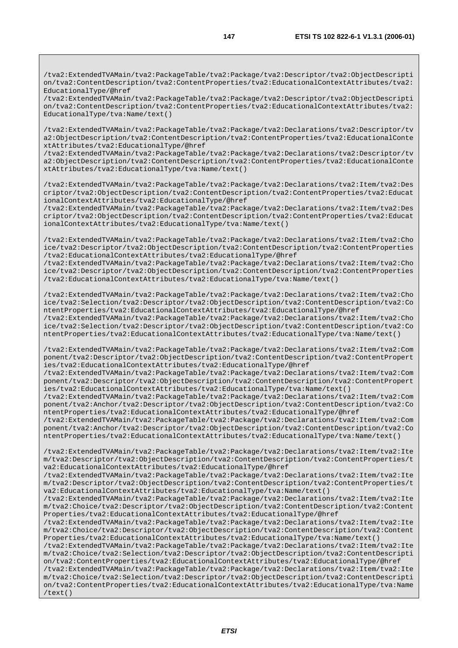/tva2:ExtendedTVAMain/tva2:PackageTable/tva2:Package/tva2:Descriptor/tva2:ObjectDescripti on/tva2:ContentDescription/tva2:ContentProperties/tva2:EducationalContextAttributes/tva2: EducationalType/@href

/tva2:ExtendedTVAMain/tva2:PackageTable/tva2:Package/tva2:Descriptor/tva2:ObjectDescripti on/tva2:ContentDescription/tva2:ContentProperties/tva2:EducationalContextAttributes/tva2: EducationalType/tva:Name/text()

/tva2:ExtendedTVAMain/tva2:PackageTable/tva2:Package/tva2:Declarations/tva2:Descriptor/tv a2:ObjectDescription/tva2:ContentDescription/tva2:ContentProperties/tva2:EducationalConte xtAttributes/tva2:EducationalType/@href

/tva2:ExtendedTVAMain/tva2:PackageTable/tva2:Package/tva2:Declarations/tva2:Descriptor/tv a2:ObjectDescription/tva2:ContentDescription/tva2:ContentProperties/tva2:EducationalConte xtAttributes/tva2:EducationalType/tva:Name/text()

/tva2:ExtendedTVAMain/tva2:PackageTable/tva2:Package/tva2:Declarations/tva2:Item/tva2:Des criptor/tva2:ObjectDescription/tva2:ContentDescription/tva2:ContentProperties/tva2:Educat ionalContextAttributes/tva2:EducationalType/@href

/tva2:ExtendedTVAMain/tva2:PackageTable/tva2:Package/tva2:Declarations/tva2:Item/tva2:Des criptor/tva2:ObjectDescription/tva2:ContentDescription/tva2:ContentProperties/tva2:Educat ionalContextAttributes/tva2:EducationalType/tva:Name/text()

/tva2:ExtendedTVAMain/tva2:PackageTable/tva2:Package/tva2:Declarations/tva2:Item/tva2:Cho ice/tva2:Descriptor/tva2:ObjectDescription/tva2:ContentDescription/tva2:ContentProperties /tva2:EducationalContextAttributes/tva2:EducationalType/@href /tva2:ExtendedTVAMain/tva2:PackageTable/tva2:Package/tva2:Declarations/tva2:Item/tva2:Cho

ice/tva2:Descriptor/tva2:ObjectDescription/tva2:ContentDescription/tva2:ContentProperties /tva2:EducationalContextAttributes/tva2:EducationalType/tva:Name/text()

/tva2:ExtendedTVAMain/tva2:PackageTable/tva2:Package/tva2:Declarations/tva2:Item/tva2:Cho ice/tva2:Selection/tva2:Descriptor/tva2:ObjectDescription/tva2:ContentDescription/tva2:Co ntentProperties/tva2:EducationalContextAttributes/tva2:EducationalType/@href /tva2:ExtendedTVAMain/tva2:PackageTable/tva2:Package/tva2:Declarations/tva2:Item/tva2:Cho ice/tva2:Selection/tva2:Descriptor/tva2:ObjectDescription/tva2:ContentDescription/tva2:Co ntentProperties/tva2:EducationalContextAttributes/tva2:EducationalType/tva:Name/text()

/tva2:ExtendedTVAMain/tva2:PackageTable/tva2:Package/tva2:Declarations/tva2:Item/tva2:Com ponent/tva2:Descriptor/tva2:ObjectDescription/tva2:ContentDescription/tva2:ContentPropert ies/tva2:EducationalContextAttributes/tva2:EducationalType/@href

/tva2:ExtendedTVAMain/tva2:PackageTable/tva2:Package/tva2:Declarations/tva2:Item/tva2:Com ponent/tva2:Descriptor/tva2:ObjectDescription/tva2:ContentDescription/tva2:ContentPropert ies/tva2:EducationalContextAttributes/tva2:EducationalType/tva:Name/text()

/tva2:ExtendedTVAMain/tva2:PackageTable/tva2:Package/tva2:Declarations/tva2:Item/tva2:Com ponent/tva2:Anchor/tva2:Descriptor/tva2:ObjectDescription/tva2:ContentDescription/tva2:Co ntentProperties/tva2:EducationalContextAttributes/tva2:EducationalType/@href

/tva2:ExtendedTVAMain/tva2:PackageTable/tva2:Package/tva2:Declarations/tva2:Item/tva2:Com ponent/tva2:Anchor/tva2:Descriptor/tva2:ObjectDescription/tva2:ContentDescription/tva2:Co ntentProperties/tva2:EducationalContextAttributes/tva2:EducationalType/tva:Name/text()

/tva2:ExtendedTVAMain/tva2:PackageTable/tva2:Package/tva2:Declarations/tva2:Item/tva2:Ite m/tva2:Descriptor/tva2:ObjectDescription/tva2:ContentDescription/tva2:ContentProperties/t va2:EducationalContextAttributes/tva2:EducationalType/@href

/tva2:ExtendedTVAMain/tva2:PackageTable/tva2:Package/tva2:Declarations/tva2:Item/tva2:Ite m/tva2:Descriptor/tva2:ObjectDescription/tva2:ContentDescription/tva2:ContentProperties/t va2:EducationalContextAttributes/tva2:EducationalType/tva:Name/text()

/tva2:ExtendedTVAMain/tva2:PackageTable/tva2:Package/tva2:Declarations/tva2:Item/tva2:Ite m/tva2:Choice/tva2:Descriptor/tva2:ObjectDescription/tva2:ContentDescription/tva2:Content Properties/tva2:EducationalContextAttributes/tva2:EducationalType/@href

/tva2:ExtendedTVAMain/tva2:PackageTable/tva2:Package/tva2:Declarations/tva2:Item/tva2:Ite m/tva2:Choice/tva2:Descriptor/tva2:ObjectDescription/tva2:ContentDescription/tva2:Content Properties/tva2:EducationalContextAttributes/tva2:EducationalType/tva:Name/text()

/tva2:ExtendedTVAMain/tva2:PackageTable/tva2:Package/tva2:Declarations/tva2:Item/tva2:Ite m/tva2:Choice/tva2:Selection/tva2:Descriptor/tva2:ObjectDescription/tva2:ContentDescripti on/tva2:ContentProperties/tva2:EducationalContextAttributes/tva2:EducationalType/@href

/tva2:ExtendedTVAMain/tva2:PackageTable/tva2:Package/tva2:Declarations/tva2:Item/tva2:Ite m/tva2:Choice/tva2:Selection/tva2:Descriptor/tva2:ObjectDescription/tva2:ContentDescripti on/tva2:ContentProperties/tva2:EducationalContextAttributes/tva2:EducationalType/tva:Name /text()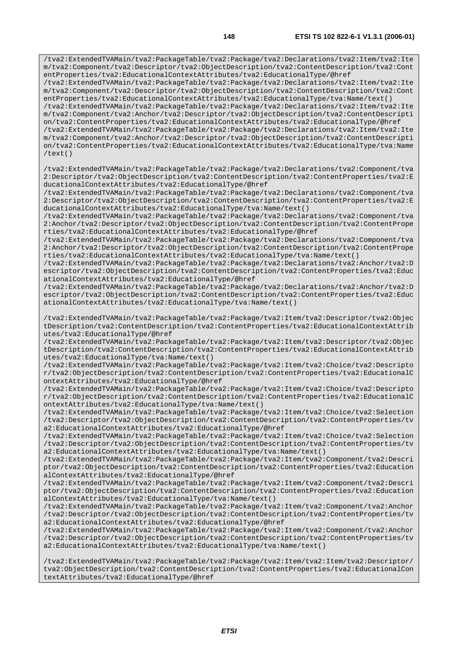/tva2:ExtendedTVAMain/tva2:PackageTable/tva2:Package/tva2:Declarations/tva2:Item/tva2:Ite m/tva2:Component/tva2:Descriptor/tva2:ObjectDescription/tva2:ContentDescription/tva2:Cont entProperties/tva2:EducationalContextAttributes/tva2:EducationalType/@href /tva2:ExtendedTVAMain/tva2:PackageTable/tva2:Package/tva2:Declarations/tva2:Item/tva2:Ite m/tva2:Component/tva2:Descriptor/tva2:ObjectDescription/tva2:ContentDescription/tva2:Cont entProperties/tva2:EducationalContextAttributes/tva2:EducationalType/tva:Name/text() /tva2:ExtendedTVAMain/tva2:PackageTable/tva2:Package/tva2:Declarations/tva2:Item/tva2:Ite m/tva2:Component/tva2:Anchor/tva2:Descriptor/tva2:ObjectDescription/tva2:ContentDescripti on/tva2:ContentProperties/tva2:EducationalContextAttributes/tva2:EducationalType/@href /tva2:ExtendedTVAMain/tva2:PackageTable/tva2:Package/tva2:Declarations/tva2:Item/tva2:Ite m/tva2:Component/tva2:Anchor/tva2:Descriptor/tva2:ObjectDescription/tva2:ContentDescripti on/tva2:ContentProperties/tva2:EducationalContextAttributes/tva2:EducationalType/tva:Name /text() /tva2:ExtendedTVAMain/tva2:PackageTable/tva2:Package/tva2:Declarations/tva2:Component/tva 2:Descriptor/tva2:ObjectDescription/tva2:ContentDescription/tva2:ContentProperties/tva2:E ducationalContextAttributes/tva2:EducationalType/@href /tva2:ExtendedTVAMain/tva2:PackageTable/tva2:Package/tva2:Declarations/tva2:Component/tva 2:Descriptor/tva2:ObjectDescription/tva2:ContentDescription/tva2:ContentProperties/tva2:E ducationalContextAttributes/tva2:EducationalType/tva:Name/text() /tva2:ExtendedTVAMain/tva2:PackageTable/tva2:Package/tva2:Declarations/tva2:Component/tva 2:Anchor/tva2:Descriptor/tva2:ObjectDescription/tva2:ContentDescription/tva2:ContentPrope rties/tva2:EducationalContextAttributes/tva2:EducationalType/@href /tva2:ExtendedTVAMain/tva2:PackageTable/tva2:Package/tva2:Declarations/tva2:Component/tva 2:Anchor/tva2:Descriptor/tva2:ObjectDescription/tva2:ContentDescription/tva2:ContentPrope rties/tva2:EducationalContextAttributes/tva2:EducationalType/tva:Name/text() /tva2:ExtendedTVAMain/tva2:PackageTable/tva2:Package/tva2:Declarations/tva2:Anchor/tva2:D escriptor/tva2:ObjectDescription/tva2:ContentDescription/tva2:ContentProperties/tva2:Educ ationalContextAttributes/tva2:EducationalType/@href /tva2:ExtendedTVAMain/tva2:PackageTable/tva2:Package/tva2:Declarations/tva2:Anchor/tva2:D escriptor/tva2:ObjectDescription/tva2:ContentDescription/tva2:ContentProperties/tva2:Educ ationalContextAttributes/tva2:EducationalType/tva:Name/text() /tva2:ExtendedTVAMain/tva2:PackageTable/tva2:Package/tva2:Item/tva2:Descriptor/tva2:Objec tDescription/tva2:ContentDescription/tva2:ContentProperties/tva2:EducationalContextAttrib utes/tva2:EducationalType/@href /tva2:ExtendedTVAMain/tva2:PackageTable/tva2:Package/tva2:Item/tva2:Descriptor/tva2:Objec tDescription/tva2:ContentDescription/tva2:ContentProperties/tva2:EducationalContextAttrib utes/tva2:EducationalType/tva:Name/text() /tva2:ExtendedTVAMain/tva2:PackageTable/tva2:Package/tva2:Item/tva2:Choice/tva2:Descripto r/tva2:ObjectDescription/tva2:ContentDescription/tva2:ContentProperties/tva2:EducationalC ontextAttributes/tva2:EducationalType/@href /tva2:ExtendedTVAMain/tva2:PackageTable/tva2:Package/tva2:Item/tva2:Choice/tva2:Descripto r/tva2:ObjectDescription/tva2:ContentDescription/tva2:ContentProperties/tva2:EducationalC ontextAttributes/tva2:EducationalType/tva:Name/text() /tva2:ExtendedTVAMain/tva2:PackageTable/tva2:Package/tva2:Item/tva2:Choice/tva2:Selection /tva2:Descriptor/tva2:ObjectDescription/tva2:ContentDescription/tva2:ContentProperties/tv a2:EducationalContextAttributes/tva2:EducationalType/@href /tva2:ExtendedTVAMain/tva2:PackageTable/tva2:Package/tva2:Item/tva2:Choice/tva2:Selection /tva2:Descriptor/tva2:ObjectDescription/tva2:ContentDescription/tva2:ContentProperties/tv a2:EducationalContextAttributes/tva2:EducationalType/tva:Name/text() /tva2:ExtendedTVAMain/tva2:PackageTable/tva2:Package/tva2:Item/tva2:Component/tva2:Descri ptor/tva2:ObjectDescription/tva2:ContentDescription/tva2:ContentProperties/tva2:Education alContextAttributes/tva2:EducationalType/@href /tva2:ExtendedTVAMain/tva2:PackageTable/tva2:Package/tva2:Item/tva2:Component/tva2:Descri ptor/tva2:ObjectDescription/tva2:ContentDescription/tva2:ContentProperties/tva2:Education alContextAttributes/tva2:EducationalType/tva:Name/text() /tva2:ExtendedTVAMain/tva2:PackageTable/tva2:Package/tva2:Item/tva2:Component/tva2:Anchor /tva2:Descriptor/tva2:ObjectDescription/tva2:ContentDescription/tva2:ContentProperties/tv a2:EducationalContextAttributes/tva2:EducationalType/@href /tva2:ExtendedTVAMain/tva2:PackageTable/tva2:Package/tva2:Item/tva2:Component/tva2:Anchor /tva2:Descriptor/tva2:ObjectDescription/tva2:ContentDescription/tva2:ContentProperties/tv a2:EducationalContextAttributes/tva2:EducationalType/tva:Name/text()

/tva2:ExtendedTVAMain/tva2:PackageTable/tva2:Package/tva2:Item/tva2:Item/tva2:Descriptor/ tva2:ObjectDescription/tva2:ContentDescription/tva2:ContentProperties/tva2:EducationalCon textAttributes/tva2:EducationalType/@href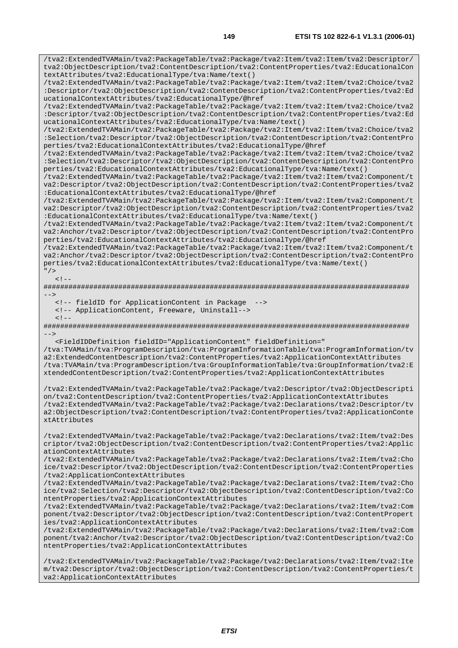/tva2:ExtendedTVAMain/tva2:PackageTable/tva2:Package/tva2:Item/tva2:Item/tva2:Descriptor/ tva2:ObjectDescription/tva2:ContentDescription/tva2:ContentProperties/tva2:EducationalCon textAttributes/tva2:EducationalType/tva:Name/text()

/tva2:ExtendedTVAMain/tva2:PackageTable/tva2:Package/tva2:Item/tva2:Item/tva2:Choice/tva2 :Descriptor/tva2:ObjectDescription/tva2:ContentDescription/tva2:ContentProperties/tva2:Ed ucationalContextAttributes/tva2:EducationalType/@href

/tva2:ExtendedTVAMain/tva2:PackageTable/tva2:Package/tva2:Item/tva2:Item/tva2:Choice/tva2 :Descriptor/tva2:ObjectDescription/tva2:ContentDescription/tva2:ContentProperties/tva2:Ed ucationalContextAttributes/tva2:EducationalType/tva:Name/text()

/tva2:ExtendedTVAMain/tva2:PackageTable/tva2:Package/tva2:Item/tva2:Item/tva2:Choice/tva2 :Selection/tva2:Descriptor/tva2:ObjectDescription/tva2:ContentDescription/tva2:ContentPro perties/tva2:EducationalContextAttributes/tva2:EducationalType/@href

/tva2:ExtendedTVAMain/tva2:PackageTable/tva2:Package/tva2:Item/tva2:Item/tva2:Choice/tva2 :Selection/tva2:Descriptor/tva2:ObjectDescription/tva2:ContentDescription/tva2:ContentPro perties/tva2:EducationalContextAttributes/tva2:EducationalType/tva:Name/text()

/tva2:ExtendedTVAMain/tva2:PackageTable/tva2:Package/tva2:Item/tva2:Item/tva2:Component/t va2:Descriptor/tva2:ObjectDescription/tva2:ContentDescription/tva2:ContentProperties/tva2 :EducationalContextAttributes/tva2:EducationalType/@href

/tva2:ExtendedTVAMain/tva2:PackageTable/tva2:Package/tva2:Item/tva2:Item/tva2:Component/t va2:Descriptor/tva2:ObjectDescription/tva2:ContentDescription/tva2:ContentProperties/tva2 :EducationalContextAttributes/tva2:EducationalType/tva:Name/text()

/tva2:ExtendedTVAMain/tva2:PackageTable/tva2:Package/tva2:Item/tva2:Item/tva2:Component/t va2:Anchor/tva2:Descriptor/tva2:ObjectDescription/tva2:ContentDescription/tva2:ContentPro perties/tva2:EducationalContextAttributes/tva2:EducationalType/@href

/tva2:ExtendedTVAMain/tva2:PackageTable/tva2:Package/tva2:Item/tva2:Item/tva2:Component/t va2:Anchor/tva2:Descriptor/tva2:ObjectDescription/tva2:ContentDescription/tva2:ContentPro perties/tva2:EducationalContextAttributes/tva2:EducationalType/tva:Name/text()  $"$  />

 $\lt$   $\vdash$   $\vdash$ 

######################################################################################## -->

<!-- fieldID for ApplicationContent in Package -->

<!-- ApplicationContent, Freeware, Uninstall-->

 $\leq$  !  $-$ 

######################################################################################## -->

<FieldIDDefinition fieldID="ApplicationContent" fieldDefinition="

/tva:TVAMain/tva:ProgramDescription/tva:ProgramInformationTable/tva:ProgramInformation/tv a2:ExtendedContentDescription/tva2:ContentProperties/tva2:ApplicationContextAttributes /tva:TVAMain/tva:ProgramDescription/tva:GroupInformationTable/tva:GroupInformation/tva2:E xtendedContentDescription/tva2:ContentProperties/tva2:ApplicationContextAttributes

/tva2:ExtendedTVAMain/tva2:PackageTable/tva2:Package/tva2:Descriptor/tva2:ObjectDescripti on/tva2:ContentDescription/tva2:ContentProperties/tva2:ApplicationContextAttributes /tva2:ExtendedTVAMain/tva2:PackageTable/tva2:Package/tva2:Declarations/tva2:Descriptor/tv a2:ObjectDescription/tva2:ContentDescription/tva2:ContentProperties/tva2:ApplicationConte xtAttributes

/tva2:ExtendedTVAMain/tva2:PackageTable/tva2:Package/tva2:Declarations/tva2:Item/tva2:Des criptor/tva2:ObjectDescription/tva2:ContentDescription/tva2:ContentProperties/tva2:Applic ationContextAttributes

/tva2:ExtendedTVAMain/tva2:PackageTable/tva2:Package/tva2:Declarations/tva2:Item/tva2:Cho ice/tva2:Descriptor/tva2:ObjectDescription/tva2:ContentDescription/tva2:ContentProperties /tva2:ApplicationContextAttributes

/tva2:ExtendedTVAMain/tva2:PackageTable/tva2:Package/tva2:Declarations/tva2:Item/tva2:Cho ice/tva2:Selection/tva2:Descriptor/tva2:ObjectDescription/tva2:ContentDescription/tva2:Co ntentProperties/tva2:ApplicationContextAttributes

/tva2:ExtendedTVAMain/tva2:PackageTable/tva2:Package/tva2:Declarations/tva2:Item/tva2:Com ponent/tva2:Descriptor/tva2:ObjectDescription/tva2:ContentDescription/tva2:ContentPropert ies/tva2:ApplicationContextAttributes

/tva2:ExtendedTVAMain/tva2:PackageTable/tva2:Package/tva2:Declarations/tva2:Item/tva2:Com ponent/tva2:Anchor/tva2:Descriptor/tva2:ObjectDescription/tva2:ContentDescription/tva2:Co ntentProperties/tva2:ApplicationContextAttributes

/tva2:ExtendedTVAMain/tva2:PackageTable/tva2:Package/tva2:Declarations/tva2:Item/tva2:Ite m/tva2:Descriptor/tva2:ObjectDescription/tva2:ContentDescription/tva2:ContentProperties/t va2:ApplicationContextAttributes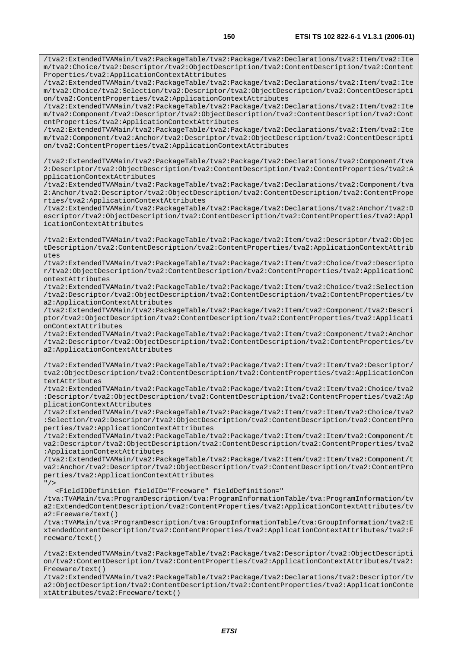/tva2:ExtendedTVAMain/tva2:PackageTable/tva2:Package/tva2:Declarations/tva2:Item/tva2:Ite m/tva2:Choice/tva2:Descriptor/tva2:ObjectDescription/tva2:ContentDescription/tva2:Content Properties/tva2:ApplicationContextAttributes

/tva2:ExtendedTVAMain/tva2:PackageTable/tva2:Package/tva2:Declarations/tva2:Item/tva2:Ite m/tva2:Choice/tva2:Selection/tva2:Descriptor/tva2:ObjectDescription/tva2:ContentDescripti on/tva2:ContentProperties/tva2:ApplicationContextAttributes

/tva2:ExtendedTVAMain/tva2:PackageTable/tva2:Package/tva2:Declarations/tva2:Item/tva2:Ite m/tva2:Component/tva2:Descriptor/tva2:ObjectDescription/tva2:ContentDescription/tva2:Cont entProperties/tva2:ApplicationContextAttributes

/tva2:ExtendedTVAMain/tva2:PackageTable/tva2:Package/tva2:Declarations/tva2:Item/tva2:Ite m/tva2:Component/tva2:Anchor/tva2:Descriptor/tva2:ObjectDescription/tva2:ContentDescripti on/tva2:ContentProperties/tva2:ApplicationContextAttributes

/tva2:ExtendedTVAMain/tva2:PackageTable/tva2:Package/tva2:Declarations/tva2:Component/tva 2:Descriptor/tva2:ObjectDescription/tva2:ContentDescription/tva2:ContentProperties/tva2:A pplicationContextAttributes

/tva2:ExtendedTVAMain/tva2:PackageTable/tva2:Package/tva2:Declarations/tva2:Component/tva 2:Anchor/tva2:Descriptor/tva2:ObjectDescription/tva2:ContentDescription/tva2:ContentPrope rties/tva2:ApplicationContextAttributes

/tva2:ExtendedTVAMain/tva2:PackageTable/tva2:Package/tva2:Declarations/tva2:Anchor/tva2:D escriptor/tva2:ObjectDescription/tva2:ContentDescription/tva2:ContentProperties/tva2:Appl icationContextAttributes

/tva2:ExtendedTVAMain/tva2:PackageTable/tva2:Package/tva2:Item/tva2:Descriptor/tva2:Objec tDescription/tva2:ContentDescription/tva2:ContentProperties/tva2:ApplicationContextAttrib utes

/tva2:ExtendedTVAMain/tva2:PackageTable/tva2:Package/tva2:Item/tva2:Choice/tva2:Descripto r/tva2:ObjectDescription/tva2:ContentDescription/tva2:ContentProperties/tva2:ApplicationC ontextAttributes

/tva2:ExtendedTVAMain/tva2:PackageTable/tva2:Package/tva2:Item/tva2:Choice/tva2:Selection /tva2:Descriptor/tva2:ObjectDescription/tva2:ContentDescription/tva2:ContentProperties/tv a2:ApplicationContextAttributes

/tva2:ExtendedTVAMain/tva2:PackageTable/tva2:Package/tva2:Item/tva2:Component/tva2:Descri ptor/tva2:ObjectDescription/tva2:ContentDescription/tva2:ContentProperties/tva2:Applicati onContextAttributes

/tva2:ExtendedTVAMain/tva2:PackageTable/tva2:Package/tva2:Item/tva2:Component/tva2:Anchor /tva2:Descriptor/tva2:ObjectDescription/tva2:ContentDescription/tva2:ContentProperties/tv a2:ApplicationContextAttributes

/tva2:ExtendedTVAMain/tva2:PackageTable/tva2:Package/tva2:Item/tva2:Item/tva2:Descriptor/ tva2:ObjectDescription/tva2:ContentDescription/tva2:ContentProperties/tva2:ApplicationCon textAttributes

/tva2:ExtendedTVAMain/tva2:PackageTable/tva2:Package/tva2:Item/tva2:Item/tva2:Choice/tva2 :Descriptor/tva2:ObjectDescription/tva2:ContentDescription/tva2:ContentProperties/tva2:Ap plicationContextAttributes

/tva2:ExtendedTVAMain/tva2:PackageTable/tva2:Package/tva2:Item/tva2:Item/tva2:Choice/tva2 :Selection/tva2:Descriptor/tva2:ObjectDescription/tva2:ContentDescription/tva2:ContentPro perties/tva2:ApplicationContextAttributes

/tva2:ExtendedTVAMain/tva2:PackageTable/tva2:Package/tva2:Item/tva2:Item/tva2:Component/t va2:Descriptor/tva2:ObjectDescription/tva2:ContentDescription/tva2:ContentProperties/tva2 :ApplicationContextAttributes

/tva2:ExtendedTVAMain/tva2:PackageTable/tva2:Package/tva2:Item/tva2:Item/tva2:Component/t va2:Anchor/tva2:Descriptor/tva2:ObjectDescription/tva2:ContentDescription/tva2:ContentPro perties/tva2:ApplicationContextAttributes

 $"$  />

<FieldIDDefinition fieldID="Freeware" fieldDefinition="

/tva:TVAMain/tva:ProgramDescription/tva:ProgramInformationTable/tva:ProgramInformation/tv a2:ExtendedContentDescription/tva2:ContentProperties/tva2:ApplicationContextAttributes/tv a2:Freeware/text()

/tva:TVAMain/tva:ProgramDescription/tva:GroupInformationTable/tva:GroupInformation/tva2:E xtendedContentDescription/tva2:ContentProperties/tva2:ApplicationContextAttributes/tva2:F reeware/text()

/tva2:ExtendedTVAMain/tva2:PackageTable/tva2:Package/tva2:Descriptor/tva2:ObjectDescripti on/tva2:ContentDescription/tva2:ContentProperties/tva2:ApplicationContextAttributes/tva2: Freeware/text()

/tva2:ExtendedTVAMain/tva2:PackageTable/tva2:Package/tva2:Declarations/tva2:Descriptor/tv a2:ObjectDescription/tva2:ContentDescription/tva2:ContentProperties/tva2:ApplicationConte xtAttributes/tva2:Freeware/text()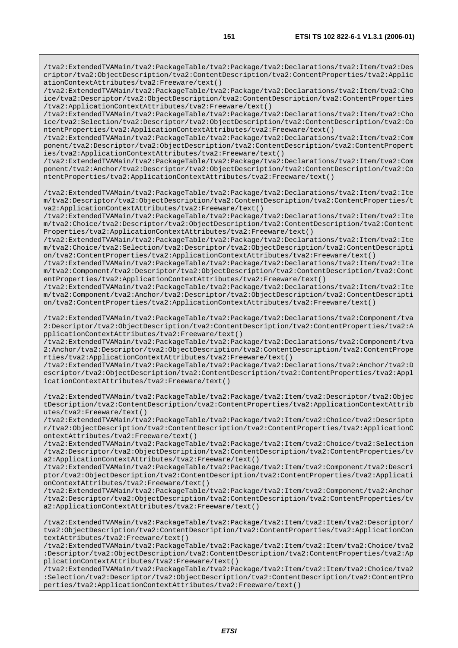/tva2:ExtendedTVAMain/tva2:PackageTable/tva2:Package/tva2:Declarations/tva2:Item/tva2:Des criptor/tva2:ObjectDescription/tva2:ContentDescription/tva2:ContentProperties/tva2:Applic ationContextAttributes/tva2:Freeware/text()

/tva2:ExtendedTVAMain/tva2:PackageTable/tva2:Package/tva2:Declarations/tva2:Item/tva2:Cho ice/tva2:Descriptor/tva2:ObjectDescription/tva2:ContentDescription/tva2:ContentProperties /tva2:ApplicationContextAttributes/tva2:Freeware/text()

/tva2:ExtendedTVAMain/tva2:PackageTable/tva2:Package/tva2:Declarations/tva2:Item/tva2:Cho ice/tva2:Selection/tva2:Descriptor/tva2:ObjectDescription/tva2:ContentDescription/tva2:Co ntentProperties/tva2:ApplicationContextAttributes/tva2:Freeware/text()

/tva2:ExtendedTVAMain/tva2:PackageTable/tva2:Package/tva2:Declarations/tva2:Item/tva2:Com ponent/tva2:Descriptor/tva2:ObjectDescription/tva2:ContentDescription/tva2:ContentPropert ies/tva2:ApplicationContextAttributes/tva2:Freeware/text()

/tva2:ExtendedTVAMain/tva2:PackageTable/tva2:Package/tva2:Declarations/tva2:Item/tva2:Com ponent/tva2:Anchor/tva2:Descriptor/tva2:ObjectDescription/tva2:ContentDescription/tva2:Co ntentProperties/tva2:ApplicationContextAttributes/tva2:Freeware/text()

/tva2:ExtendedTVAMain/tva2:PackageTable/tva2:Package/tva2:Declarations/tva2:Item/tva2:Ite m/tva2:Descriptor/tva2:ObjectDescription/tva2:ContentDescription/tva2:ContentProperties/t va2:ApplicationContextAttributes/tva2:Freeware/text()

/tva2:ExtendedTVAMain/tva2:PackageTable/tva2:Package/tva2:Declarations/tva2:Item/tva2:Ite m/tva2:Choice/tva2:Descriptor/tva2:ObjectDescription/tva2:ContentDescription/tva2:Content Properties/tva2:ApplicationContextAttributes/tva2:Freeware/text()

/tva2:ExtendedTVAMain/tva2:PackageTable/tva2:Package/tva2:Declarations/tva2:Item/tva2:Ite m/tva2:Choice/tva2:Selection/tva2:Descriptor/tva2:ObjectDescription/tva2:ContentDescripti on/tva2:ContentProperties/tva2:ApplicationContextAttributes/tva2:Freeware/text()

/tva2:ExtendedTVAMain/tva2:PackageTable/tva2:Package/tva2:Declarations/tva2:Item/tva2:Ite m/tva2:Component/tva2:Descriptor/tva2:ObjectDescription/tva2:ContentDescription/tva2:Cont entProperties/tva2:ApplicationContextAttributes/tva2:Freeware/text()

/tva2:ExtendedTVAMain/tva2:PackageTable/tva2:Package/tva2:Declarations/tva2:Item/tva2:Ite m/tva2:Component/tva2:Anchor/tva2:Descriptor/tva2:ObjectDescription/tva2:ContentDescripti on/tva2:ContentProperties/tva2:ApplicationContextAttributes/tva2:Freeware/text()

/tva2:ExtendedTVAMain/tva2:PackageTable/tva2:Package/tva2:Declarations/tva2:Component/tva 2:Descriptor/tva2:ObjectDescription/tva2:ContentDescription/tva2:ContentProperties/tva2:A pplicationContextAttributes/tva2:Freeware/text()

/tva2:ExtendedTVAMain/tva2:PackageTable/tva2:Package/tva2:Declarations/tva2:Component/tva 2:Anchor/tva2:Descriptor/tva2:ObjectDescription/tva2:ContentDescription/tva2:ContentPrope rties/tva2:ApplicationContextAttributes/tva2:Freeware/text()

/tva2:ExtendedTVAMain/tva2:PackageTable/tva2:Package/tva2:Declarations/tva2:Anchor/tva2:D escriptor/tva2:ObjectDescription/tva2:ContentDescription/tva2:ContentProperties/tva2:Appl icationContextAttributes/tva2:Freeware/text()

/tva2:ExtendedTVAMain/tva2:PackageTable/tva2:Package/tva2:Item/tva2:Descriptor/tva2:Objec tDescription/tva2:ContentDescription/tva2:ContentProperties/tva2:ApplicationContextAttrib utes/tva2:Freeware/text()

/tva2:ExtendedTVAMain/tva2:PackageTable/tva2:Package/tva2:Item/tva2:Choice/tva2:Descripto r/tva2:ObjectDescription/tva2:ContentDescription/tva2:ContentProperties/tva2:ApplicationC ontextAttributes/tva2:Freeware/text()

/tva2:ExtendedTVAMain/tva2:PackageTable/tva2:Package/tva2:Item/tva2:Choice/tva2:Selection /tva2:Descriptor/tva2:ObjectDescription/tva2:ContentDescription/tva2:ContentProperties/tv a2:ApplicationContextAttributes/tva2:Freeware/text()

/tva2:ExtendedTVAMain/tva2:PackageTable/tva2:Package/tva2:Item/tva2:Component/tva2:Descri ptor/tva2:ObjectDescription/tva2:ContentDescription/tva2:ContentProperties/tva2:Applicati onContextAttributes/tva2:Freeware/text()

/tva2:ExtendedTVAMain/tva2:PackageTable/tva2:Package/tva2:Item/tva2:Component/tva2:Anchor /tva2:Descriptor/tva2:ObjectDescription/tva2:ContentDescription/tva2:ContentProperties/tv a2:ApplicationContextAttributes/tva2:Freeware/text()

/tva2:ExtendedTVAMain/tva2:PackageTable/tva2:Package/tva2:Item/tva2:Item/tva2:Descriptor/ tva2:ObjectDescription/tva2:ContentDescription/tva2:ContentProperties/tva2:ApplicationCon textAttributes/tva2:Freeware/text()

/tva2:ExtendedTVAMain/tva2:PackageTable/tva2:Package/tva2:Item/tva2:Item/tva2:Choice/tva2 :Descriptor/tva2:ObjectDescription/tva2:ContentDescription/tva2:ContentProperties/tva2:Ap plicationContextAttributes/tva2:Freeware/text()

/tva2:ExtendedTVAMain/tva2:PackageTable/tva2:Package/tva2:Item/tva2:Item/tva2:Choice/tva2 :Selection/tva2:Descriptor/tva2:ObjectDescription/tva2:ContentDescription/tva2:ContentPro perties/tva2:ApplicationContextAttributes/tva2:Freeware/text()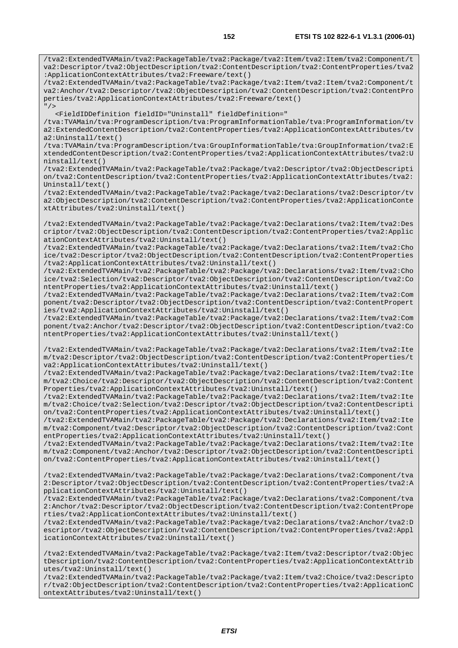/tva2:ExtendedTVAMain/tva2:PackageTable/tva2:Package/tva2:Item/tva2:Item/tva2:Component/t va2:Descriptor/tva2:ObjectDescription/tva2:ContentDescription/tva2:ContentProperties/tva2 :ApplicationContextAttributes/tva2:Freeware/text()

/tva2:ExtendedTVAMain/tva2:PackageTable/tva2:Package/tva2:Item/tva2:Item/tva2:Component/t va2:Anchor/tva2:Descriptor/tva2:ObjectDescription/tva2:ContentDescription/tva2:ContentPro perties/tva2:ApplicationContextAttributes/tva2:Freeware/text()  $"$  />

<FieldIDDefinition fieldID="Uninstall" fieldDefinition="

/tva:TVAMain/tva:ProgramDescription/tva:ProgramInformationTable/tva:ProgramInformation/tv a2:ExtendedContentDescription/tva2:ContentProperties/tva2:ApplicationContextAttributes/tv a2:Uninstall/text()

/tva:TVAMain/tva:ProgramDescription/tva:GroupInformationTable/tva:GroupInformation/tva2:E xtendedContentDescription/tva2:ContentProperties/tva2:ApplicationContextAttributes/tva2:U ninstall/text()

/tva2:ExtendedTVAMain/tva2:PackageTable/tva2:Package/tva2:Descriptor/tva2:ObjectDescripti on/tva2:ContentDescription/tva2:ContentProperties/tva2:ApplicationContextAttributes/tva2: Uninstall/text()

/tva2:ExtendedTVAMain/tva2:PackageTable/tva2:Package/tva2:Declarations/tva2:Descriptor/tv a2:ObjectDescription/tva2:ContentDescription/tva2:ContentProperties/tva2:ApplicationConte xtAttributes/tva2:Uninstall/text()

/tva2:ExtendedTVAMain/tva2:PackageTable/tva2:Package/tva2:Declarations/tva2:Item/tva2:Des criptor/tva2:ObjectDescription/tva2:ContentDescription/tva2:ContentProperties/tva2:Applic ationContextAttributes/tva2:Uninstall/text()

/tva2:ExtendedTVAMain/tva2:PackageTable/tva2:Package/tva2:Declarations/tva2:Item/tva2:Cho ice/tva2:Descriptor/tva2:ObjectDescription/tva2:ContentDescription/tva2:ContentProperties /tva2:ApplicationContextAttributes/tva2:Uninstall/text()

/tva2:ExtendedTVAMain/tva2:PackageTable/tva2:Package/tva2:Declarations/tva2:Item/tva2:Cho ice/tva2:Selection/tva2:Descriptor/tva2:ObjectDescription/tva2:ContentDescription/tva2:Co ntentProperties/tva2:ApplicationContextAttributes/tva2:Uninstall/text()

/tva2:ExtendedTVAMain/tva2:PackageTable/tva2:Package/tva2:Declarations/tva2:Item/tva2:Com ponent/tva2:Descriptor/tva2:ObjectDescription/tva2:ContentDescription/tva2:ContentPropert ies/tva2:ApplicationContextAttributes/tva2:Uninstall/text()

/tva2:ExtendedTVAMain/tva2:PackageTable/tva2:Package/tva2:Declarations/tva2:Item/tva2:Com ponent/tva2:Anchor/tva2:Descriptor/tva2:ObjectDescription/tva2:ContentDescription/tva2:Co ntentProperties/tva2:ApplicationContextAttributes/tva2:Uninstall/text()

/tva2:ExtendedTVAMain/tva2:PackageTable/tva2:Package/tva2:Declarations/tva2:Item/tva2:Ite m/tva2:Descriptor/tva2:ObjectDescription/tva2:ContentDescription/tva2:ContentProperties/t va2:ApplicationContextAttributes/tva2:Uninstall/text()

/tva2:ExtendedTVAMain/tva2:PackageTable/tva2:Package/tva2:Declarations/tva2:Item/tva2:Ite m/tva2:Choice/tva2:Descriptor/tva2:ObjectDescription/tva2:ContentDescription/tva2:Content Properties/tva2:ApplicationContextAttributes/tva2:Uninstall/text()

/tva2:ExtendedTVAMain/tva2:PackageTable/tva2:Package/tva2:Declarations/tva2:Item/tva2:Ite m/tva2:Choice/tva2:Selection/tva2:Descriptor/tva2:ObjectDescription/tva2:ContentDescripti on/tva2:ContentProperties/tva2:ApplicationContextAttributes/tva2:Uninstall/text()

/tva2:ExtendedTVAMain/tva2:PackageTable/tva2:Package/tva2:Declarations/tva2:Item/tva2:Ite m/tva2:Component/tva2:Descriptor/tva2:ObjectDescription/tva2:ContentDescription/tva2:Cont entProperties/tva2:ApplicationContextAttributes/tva2:Uninstall/text()

/tva2:ExtendedTVAMain/tva2:PackageTable/tva2:Package/tva2:Declarations/tva2:Item/tva2:Ite m/tva2:Component/tva2:Anchor/tva2:Descriptor/tva2:ObjectDescription/tva2:ContentDescripti on/tva2:ContentProperties/tva2:ApplicationContextAttributes/tva2:Uninstall/text()

/tva2:ExtendedTVAMain/tva2:PackageTable/tva2:Package/tva2:Declarations/tva2:Component/tva 2:Descriptor/tva2:ObjectDescription/tva2:ContentDescription/tva2:ContentProperties/tva2:A pplicationContextAttributes/tva2:Uninstall/text()

/tva2:ExtendedTVAMain/tva2:PackageTable/tva2:Package/tva2:Declarations/tva2:Component/tva 2:Anchor/tva2:Descriptor/tva2:ObjectDescription/tva2:ContentDescription/tva2:ContentPrope rties/tva2:ApplicationContextAttributes/tva2:Uninstall/text()

/tva2:ExtendedTVAMain/tva2:PackageTable/tva2:Package/tva2:Declarations/tva2:Anchor/tva2:D escriptor/tva2:ObjectDescription/tva2:ContentDescription/tva2:ContentProperties/tva2:Appl icationContextAttributes/tva2:Uninstall/text()

/tva2:ExtendedTVAMain/tva2:PackageTable/tva2:Package/tva2:Item/tva2:Descriptor/tva2:Objec tDescription/tva2:ContentDescription/tva2:ContentProperties/tva2:ApplicationContextAttrib utes/tva2:Uninstall/text()

/tva2:ExtendedTVAMain/tva2:PackageTable/tva2:Package/tva2:Item/tva2:Choice/tva2:Descripto r/tva2:ObjectDescription/tva2:ContentDescription/tva2:ContentProperties/tva2:ApplicationC ontextAttributes/tva2:Uninstall/text()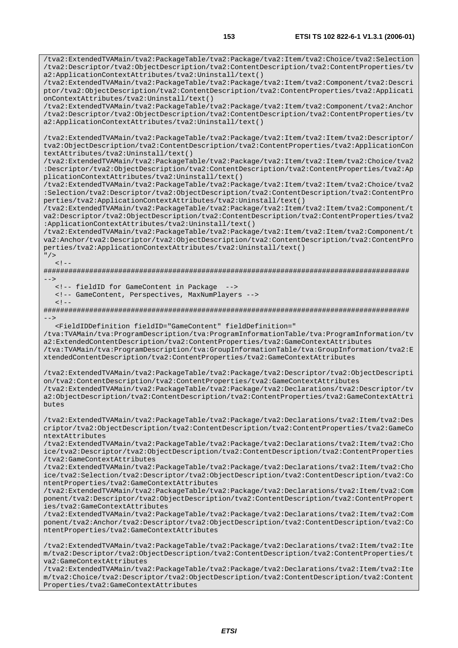/tva2:ExtendedTVAMain/tva2:PackageTable/tva2:Package/tva2:Item/tva2:Choice/tva2:Selection /tva2:Descriptor/tva2:ObjectDescription/tva2:ContentDescription/tva2:ContentProperties/tv

/tva2:ExtendedTVAMain/tva2:PackageTable/tva2:Package/tva2:Item/tva2:Component/tva2:Descri ptor/tva2:ObjectDescription/tva2:ContentDescription/tva2:ContentProperties/tva2:Applicati

a2:ApplicationContextAttributes/tva2:Uninstall/text()

onContextAttributes/tva2:Uninstall/text() /tva2:ExtendedTVAMain/tva2:PackageTable/tva2:Package/tva2:Item/tva2:Component/tva2:Anchor /tva2:Descriptor/tva2:ObjectDescription/tva2:ContentDescription/tva2:ContentProperties/tv a2:ApplicationContextAttributes/tva2:Uninstall/text() /tva2:ExtendedTVAMain/tva2:PackageTable/tva2:Package/tva2:Item/tva2:Item/tva2:Descriptor/ tva2:ObjectDescription/tva2:ContentDescription/tva2:ContentProperties/tva2:ApplicationCon textAttributes/tva2:Uninstall/text() /tva2:ExtendedTVAMain/tva2:PackageTable/tva2:Package/tva2:Item/tva2:Item/tva2:Choice/tva2 :Descriptor/tva2:ObjectDescription/tva2:ContentDescription/tva2:ContentProperties/tva2:Ap plicationContextAttributes/tva2:Uninstall/text() /tva2:ExtendedTVAMain/tva2:PackageTable/tva2:Package/tva2:Item/tva2:Item/tva2:Choice/tva2 :Selection/tva2:Descriptor/tva2:ObjectDescription/tva2:ContentDescription/tva2:ContentPro perties/tva2:ApplicationContextAttributes/tva2:Uninstall/text() /tva2:ExtendedTVAMain/tva2:PackageTable/tva2:Package/tva2:Item/tva2:Item/tva2:Component/t va2:Descriptor/tva2:ObjectDescription/tva2:ContentDescription/tva2:ContentProperties/tva2 :ApplicationContextAttributes/tva2:Uninstall/text() /tva2:ExtendedTVAMain/tva2:PackageTable/tva2:Package/tva2:Item/tva2:Item/tva2:Component/t va2:Anchor/tva2:Descriptor/tva2:ObjectDescription/tva2:ContentDescription/tva2:ContentPro perties/tva2:ApplicationContextAttributes/tva2:Uninstall/text()  $"$  />  $<$ ! --########################################################################################  $-$  <!-- fieldID for GameContent in Package --> <!-- GameContent, Perspectives, MaxNumPlayers -->  $\lt$   $\vdash$   $-$ ######################################################################################## --> <FieldIDDefinition fieldID="GameContent" fieldDefinition=" /tva:TVAMain/tva:ProgramDescription/tva:ProgramInformationTable/tva:ProgramInformation/tv a2:ExtendedContentDescription/tva2:ContentProperties/tva2:GameContextAttributes /tva:TVAMain/tva:ProgramDescription/tva:GroupInformationTable/tva:GroupInformation/tva2:E xtendedContentDescription/tva2:ContentProperties/tva2:GameContextAttributes /tva2:ExtendedTVAMain/tva2:PackageTable/tva2:Package/tva2:Descriptor/tva2:ObjectDescripti on/tva2:ContentDescription/tva2:ContentProperties/tva2:GameContextAttributes /tva2:ExtendedTVAMain/tva2:PackageTable/tva2:Package/tva2:Declarations/tva2:Descriptor/tv a2:ObjectDescription/tva2:ContentDescription/tva2:ContentProperties/tva2:GameContextAttri butes /tva2:ExtendedTVAMain/tva2:PackageTable/tva2:Package/tva2:Declarations/tva2:Item/tva2:Des criptor/tva2:ObjectDescription/tva2:ContentDescription/tva2:ContentProperties/tva2:GameCo ntextAttributes /tva2:ExtendedTVAMain/tva2:PackageTable/tva2:Package/tva2:Declarations/tva2:Item/tva2:Cho ice/tva2:Descriptor/tva2:ObjectDescription/tva2:ContentDescription/tva2:ContentProperties /tva2:GameContextAttributes /tva2:ExtendedTVAMain/tva2:PackageTable/tva2:Package/tva2:Declarations/tva2:Item/tva2:Cho ice/tva2:Selection/tva2:Descriptor/tva2:ObjectDescription/tva2:ContentDescription/tva2:Co ntentProperties/tva2:GameContextAttributes /tva2:ExtendedTVAMain/tva2:PackageTable/tva2:Package/tva2:Declarations/tva2:Item/tva2:Com ponent/tva2:Descriptor/tva2:ObjectDescription/tva2:ContentDescription/tva2:ContentPropert ies/tva2:GameContextAttributes /tva2:ExtendedTVAMain/tva2:PackageTable/tva2:Package/tva2:Declarations/tva2:Item/tva2:Com ponent/tva2:Anchor/tva2:Descriptor/tva2:ObjectDescription/tva2:ContentDescription/tva2:Co ntentProperties/tva2:GameContextAttributes /tva2:ExtendedTVAMain/tva2:PackageTable/tva2:Package/tva2:Declarations/tva2:Item/tva2:Ite m/tva2:Descriptor/tva2:ObjectDescription/tva2:ContentDescription/tva2:ContentProperties/t va2:GameContextAttributes /tva2:ExtendedTVAMain/tva2:PackageTable/tva2:Package/tva2:Declarations/tva2:Item/tva2:Ite m/tva2:Choice/tva2:Descriptor/tva2:ObjectDescription/tva2:ContentDescription/tva2:Content Properties/tva2:GameContextAttributes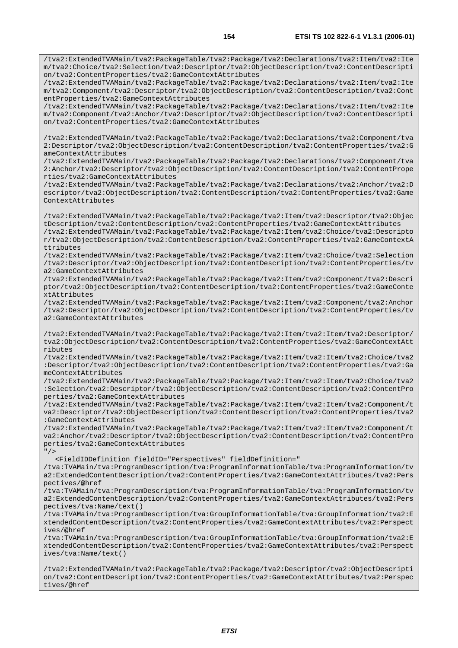/tva2:ExtendedTVAMain/tva2:PackageTable/tva2:Package/tva2:Declarations/tva2:Item/tva2:Ite m/tva2:Choice/tva2:Selection/tva2:Descriptor/tva2:ObjectDescription/tva2:ContentDescripti

/tva2:ExtendedTVAMain/tva2:PackageTable/tva2:Package/tva2:Declarations/tva2:Item/tva2:Ite

on/tva2:ContentProperties/tva2:GameContextAttributes

m/tva2:Component/tva2:Descriptor/tva2:ObjectDescription/tva2:ContentDescription/tva2:Cont entProperties/tva2:GameContextAttributes /tva2:ExtendedTVAMain/tva2:PackageTable/tva2:Package/tva2:Declarations/tva2:Item/tva2:Ite m/tva2:Component/tva2:Anchor/tva2:Descriptor/tva2:ObjectDescription/tva2:ContentDescripti on/tva2:ContentProperties/tva2:GameContextAttributes /tva2:ExtendedTVAMain/tva2:PackageTable/tva2:Package/tva2:Declarations/tva2:Component/tva 2:Descriptor/tva2:ObjectDescription/tva2:ContentDescription/tva2:ContentProperties/tva2:G ameContextAttributes /tva2:ExtendedTVAMain/tva2:PackageTable/tva2:Package/tva2:Declarations/tva2:Component/tva 2:Anchor/tva2:Descriptor/tva2:ObjectDescription/tva2:ContentDescription/tva2:ContentPrope rties/tva2:GameContextAttributes /tva2:ExtendedTVAMain/tva2:PackageTable/tva2:Package/tva2:Declarations/tva2:Anchor/tva2:D escriptor/tva2:ObjectDescription/tva2:ContentDescription/tva2:ContentProperties/tva2:Game ContextAttributes /tva2:ExtendedTVAMain/tva2:PackageTable/tva2:Package/tva2:Item/tva2:Descriptor/tva2:Objec tDescription/tva2:ContentDescription/tva2:ContentProperties/tva2:GameContextAttributes /tva2:ExtendedTVAMain/tva2:PackageTable/tva2:Package/tva2:Item/tva2:Choice/tva2:Descripto r/tva2:ObjectDescription/tva2:ContentDescription/tva2:ContentProperties/tva2:GameContextA ttributes /tva2:ExtendedTVAMain/tva2:PackageTable/tva2:Package/tva2:Item/tva2:Choice/tva2:Selection /tva2:Descriptor/tva2:ObjectDescription/tva2:ContentDescription/tva2:ContentProperties/tv a2:GameContextAttributes /tva2:ExtendedTVAMain/tva2:PackageTable/tva2:Package/tva2:Item/tva2:Component/tva2:Descri ptor/tva2:ObjectDescription/tva2:ContentDescription/tva2:ContentProperties/tva2:GameConte xtAttributes /tva2:ExtendedTVAMain/tva2:PackageTable/tva2:Package/tva2:Item/tva2:Component/tva2:Anchor /tva2:Descriptor/tva2:ObjectDescription/tva2:ContentDescription/tva2:ContentProperties/tv a2:GameContextAttributes /tva2:ExtendedTVAMain/tva2:PackageTable/tva2:Package/tva2:Item/tva2:Item/tva2:Descriptor/ tva2:ObjectDescription/tva2:ContentDescription/tva2:ContentProperties/tva2:GameContextAtt ributes /tva2:ExtendedTVAMain/tva2:PackageTable/tva2:Package/tva2:Item/tva2:Item/tva2:Choice/tva2 :Descriptor/tva2:ObjectDescription/tva2:ContentDescription/tva2:ContentProperties/tva2:Ga meContextAttributes /tva2:ExtendedTVAMain/tva2:PackageTable/tva2:Package/tva2:Item/tva2:Item/tva2:Choice/tva2 :Selection/tva2:Descriptor/tva2:ObjectDescription/tva2:ContentDescription/tva2:ContentPro perties/tva2:GameContextAttributes /tva2:ExtendedTVAMain/tva2:PackageTable/tva2:Package/tva2:Item/tva2:Item/tva2:Component/t va2:Descriptor/tva2:ObjectDescription/tva2:ContentDescription/tva2:ContentProperties/tva2 :GameContextAttributes /tva2:ExtendedTVAMain/tva2:PackageTable/tva2:Package/tva2:Item/tva2:Item/tva2:Component/t va2:Anchor/tva2:Descriptor/tva2:ObjectDescription/tva2:ContentDescription/tva2:ContentPro perties/tva2:GameContextAttributes  $"$  /> <FieldIDDefinition fieldID="Perspectives" fieldDefinition=" /tva:TVAMain/tva:ProgramDescription/tva:ProgramInformationTable/tva:ProgramInformation/tv a2:ExtendedContentDescription/tva2:ContentProperties/tva2:GameContextAttributes/tva2:Pers pectives/@href /tva:TVAMain/tva:ProgramDescription/tva:ProgramInformationTable/tva:ProgramInformation/tv a2:ExtendedContentDescription/tva2:ContentProperties/tva2:GameContextAttributes/tva2:Pers pectives/tva:Name/text() /tva:TVAMain/tva:ProgramDescription/tva:GroupInformationTable/tva:GroupInformation/tva2:E xtendedContentDescription/tva2:ContentProperties/tva2:GameContextAttributes/tva2:Perspect ives/@href /tva:TVAMain/tva:ProgramDescription/tva:GroupInformationTable/tva:GroupInformation/tva2:E xtendedContentDescription/tva2:ContentProperties/tva2:GameContextAttributes/tva2:Perspect ives/tva:Name/text() /tva2:ExtendedTVAMain/tva2:PackageTable/tva2:Package/tva2:Descriptor/tva2:ObjectDescripti on/tva2:ContentDescription/tva2:ContentProperties/tva2:GameContextAttributes/tva2:Perspec tives/@href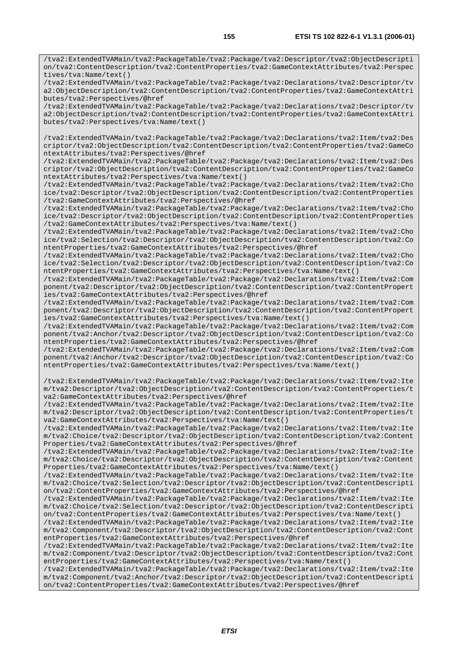/tva2:ExtendedTVAMain/tva2:PackageTable/tva2:Package/tva2:Descriptor/tva2:ObjectDescripti on/tva2:ContentDescription/tva2:ContentProperties/tva2:GameContextAttributes/tva2:Perspec tives/tva:Name/text()

/tva2:ExtendedTVAMain/tva2:PackageTable/tva2:Package/tva2:Declarations/tva2:Descriptor/tv a2:ObjectDescription/tva2:ContentDescription/tva2:ContentProperties/tva2:GameContextAttri butes/tva2:Perspectives/@href

/tva2:ExtendedTVAMain/tva2:PackageTable/tva2:Package/tva2:Declarations/tva2:Descriptor/tv a2:ObjectDescription/tva2:ContentDescription/tva2:ContentProperties/tva2:GameContextAttri butes/tva2:Perspectives/tva:Name/text()

/tva2:ExtendedTVAMain/tva2:PackageTable/tva2:Package/tva2:Declarations/tva2:Item/tva2:Des criptor/tva2:ObjectDescription/tva2:ContentDescription/tva2:ContentProperties/tva2:GameCo ntextAttributes/tva2:Perspectives/@href

/tva2:ExtendedTVAMain/tva2:PackageTable/tva2:Package/tva2:Declarations/tva2:Item/tva2:Des criptor/tva2:ObjectDescription/tva2:ContentDescription/tva2:ContentProperties/tva2:GameCo ntextAttributes/tva2:Perspectives/tva:Name/text()

/tva2:ExtendedTVAMain/tva2:PackageTable/tva2:Package/tva2:Declarations/tva2:Item/tva2:Cho ice/tva2:Descriptor/tva2:ObjectDescription/tva2:ContentDescription/tva2:ContentProperties /tva2:GameContextAttributes/tva2:Perspectives/@href

/tva2:ExtendedTVAMain/tva2:PackageTable/tva2:Package/tva2:Declarations/tva2:Item/tva2:Cho ice/tva2:Descriptor/tva2:ObjectDescription/tva2:ContentDescription/tva2:ContentProperties /tva2:GameContextAttributes/tva2:Perspectives/tva:Name/text()

/tva2:ExtendedTVAMain/tva2:PackageTable/tva2:Package/tva2:Declarations/tva2:Item/tva2:Cho ice/tva2:Selection/tva2:Descriptor/tva2:ObjectDescription/tva2:ContentDescription/tva2:Co ntentProperties/tva2:GameContextAttributes/tva2:Perspectives/@href

/tva2:ExtendedTVAMain/tva2:PackageTable/tva2:Package/tva2:Declarations/tva2:Item/tva2:Cho ice/tva2:Selection/tva2:Descriptor/tva2:ObjectDescription/tva2:ContentDescription/tva2:Co ntentProperties/tva2:GameContextAttributes/tva2:Perspectives/tva:Name/text()

/tva2:ExtendedTVAMain/tva2:PackageTable/tva2:Package/tva2:Declarations/tva2:Item/tva2:Com ponent/tva2:Descriptor/tva2:ObjectDescription/tva2:ContentDescription/tva2:ContentPropert ies/tva2:GameContextAttributes/tva2:Perspectives/@href

/tva2:ExtendedTVAMain/tva2:PackageTable/tva2:Package/tva2:Declarations/tva2:Item/tva2:Com ponent/tva2:Descriptor/tva2:ObjectDescription/tva2:ContentDescription/tva2:ContentPropert ies/tva2:GameContextAttributes/tva2:Perspectives/tva:Name/text()

/tva2:ExtendedTVAMain/tva2:PackageTable/tva2:Package/tva2:Declarations/tva2:Item/tva2:Com ponent/tva2:Anchor/tva2:Descriptor/tva2:ObjectDescription/tva2:ContentDescription/tva2:Co ntentProperties/tva2:GameContextAttributes/tva2:Perspectives/@href

/tva2:ExtendedTVAMain/tva2:PackageTable/tva2:Package/tva2:Declarations/tva2:Item/tva2:Com ponent/tva2:Anchor/tva2:Descriptor/tva2:ObjectDescription/tva2:ContentDescription/tva2:Co ntentProperties/tva2:GameContextAttributes/tva2:Perspectives/tva:Name/text()

/tva2:ExtendedTVAMain/tva2:PackageTable/tva2:Package/tva2:Declarations/tva2:Item/tva2:Ite m/tva2:Descriptor/tva2:ObjectDescription/tva2:ContentDescription/tva2:ContentProperties/t va2:GameContextAttributes/tva2:Perspectives/@href

/tva2:ExtendedTVAMain/tva2:PackageTable/tva2:Package/tva2:Declarations/tva2:Item/tva2:Ite m/tva2:Descriptor/tva2:ObjectDescription/tva2:ContentDescription/tva2:ContentProperties/t va2:GameContextAttributes/tva2:Perspectives/tva:Name/text()

/tva2:ExtendedTVAMain/tva2:PackageTable/tva2:Package/tva2:Declarations/tva2:Item/tva2:Ite m/tva2:Choice/tva2:Descriptor/tva2:ObjectDescription/tva2:ContentDescription/tva2:Content Properties/tva2:GameContextAttributes/tva2:Perspectives/@href

/tva2:ExtendedTVAMain/tva2:PackageTable/tva2:Package/tva2:Declarations/tva2:Item/tva2:Ite m/tva2:Choice/tva2:Descriptor/tva2:ObjectDescription/tva2:ContentDescription/tva2:Content Properties/tva2:GameContextAttributes/tva2:Perspectives/tva:Name/text()

/tva2:ExtendedTVAMain/tva2:PackageTable/tva2:Package/tva2:Declarations/tva2:Item/tva2:Ite m/tva2:Choice/tva2:Selection/tva2:Descriptor/tva2:ObjectDescription/tva2:ContentDescripti on/tva2:ContentProperties/tva2:GameContextAttributes/tva2:Perspectives/@href

/tva2:ExtendedTVAMain/tva2:PackageTable/tva2:Package/tva2:Declarations/tva2:Item/tva2:Ite m/tva2:Choice/tva2:Selection/tva2:Descriptor/tva2:ObjectDescription/tva2:ContentDescripti on/tva2:ContentProperties/tva2:GameContextAttributes/tva2:Perspectives/tva:Name/text()

/tva2:ExtendedTVAMain/tva2:PackageTable/tva2:Package/tva2:Declarations/tva2:Item/tva2:Ite m/tva2:Component/tva2:Descriptor/tva2:ObjectDescription/tva2:ContentDescription/tva2:Cont entProperties/tva2:GameContextAttributes/tva2:Perspectives/@href

/tva2:ExtendedTVAMain/tva2:PackageTable/tva2:Package/tva2:Declarations/tva2:Item/tva2:Ite m/tva2:Component/tva2:Descriptor/tva2:ObjectDescription/tva2:ContentDescription/tva2:Cont entProperties/tva2:GameContextAttributes/tva2:Perspectives/tva:Name/text()

/tva2:ExtendedTVAMain/tva2:PackageTable/tva2:Package/tva2:Declarations/tva2:Item/tva2:Ite m/tva2:Component/tva2:Anchor/tva2:Descriptor/tva2:ObjectDescription/tva2:ContentDescripti on/tva2:ContentProperties/tva2:GameContextAttributes/tva2:Perspectives/@href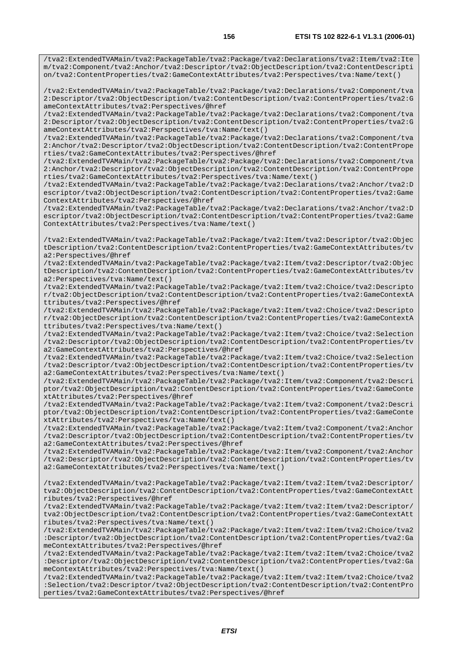/tva2:ExtendedTVAMain/tva2:PackageTable/tva2:Package/tva2:Declarations/tva2:Item/tva2:Ite m/tva2:Component/tva2:Anchor/tva2:Descriptor/tva2:ObjectDescription/tva2:ContentDescripti on/tva2:ContentProperties/tva2:GameContextAttributes/tva2:Perspectives/tva:Name/text()

/tva2:ExtendedTVAMain/tva2:PackageTable/tva2:Package/tva2:Declarations/tva2:Component/tva 2:Descriptor/tva2:ObjectDescription/tva2:ContentDescription/tva2:ContentProperties/tva2:G ameContextAttributes/tva2:Perspectives/@href

/tva2:ExtendedTVAMain/tva2:PackageTable/tva2:Package/tva2:Declarations/tva2:Component/tva 2:Descriptor/tva2:ObjectDescription/tva2:ContentDescription/tva2:ContentProperties/tva2:G ameContextAttributes/tva2:Perspectives/tva:Name/text()

/tva2:ExtendedTVAMain/tva2:PackageTable/tva2:Package/tva2:Declarations/tva2:Component/tva 2:Anchor/tva2:Descriptor/tva2:ObjectDescription/tva2:ContentDescription/tva2:ContentPrope rties/tva2:GameContextAttributes/tva2:Perspectives/@href

/tva2:ExtendedTVAMain/tva2:PackageTable/tva2:Package/tva2:Declarations/tva2:Component/tva 2:Anchor/tva2:Descriptor/tva2:ObjectDescription/tva2:ContentDescription/tva2:ContentPrope rties/tva2:GameContextAttributes/tva2:Perspectives/tva:Name/text()

/tva2:ExtendedTVAMain/tva2:PackageTable/tva2:Package/tva2:Declarations/tva2:Anchor/tva2:D escriptor/tva2:ObjectDescription/tva2:ContentDescription/tva2:ContentProperties/tva2:Game ContextAttributes/tva2:Perspectives/@href

/tva2:ExtendedTVAMain/tva2:PackageTable/tva2:Package/tva2:Declarations/tva2:Anchor/tva2:D escriptor/tva2:ObjectDescription/tva2:ContentDescription/tva2:ContentProperties/tva2:Game ContextAttributes/tva2:Perspectives/tva:Name/text()

/tva2:ExtendedTVAMain/tva2:PackageTable/tva2:Package/tva2:Item/tva2:Descriptor/tva2:Objec tDescription/tva2:ContentDescription/tva2:ContentProperties/tva2:GameContextAttributes/tv a2:Perspectives/@href

/tva2:ExtendedTVAMain/tva2:PackageTable/tva2:Package/tva2:Item/tva2:Descriptor/tva2:Objec tDescription/tva2:ContentDescription/tva2:ContentProperties/tva2:GameContextAttributes/tv a2:Perspectives/tva:Name/text()

/tva2:ExtendedTVAMain/tva2:PackageTable/tva2:Package/tva2:Item/tva2:Choice/tva2:Descripto r/tva2:ObjectDescription/tva2:ContentDescription/tva2:ContentProperties/tva2:GameContextA ttributes/tva2:Perspectives/@href

/tva2:ExtendedTVAMain/tva2:PackageTable/tva2:Package/tva2:Item/tva2:Choice/tva2:Descripto r/tva2:ObjectDescription/tva2:ContentDescription/tva2:ContentProperties/tva2:GameContextA ttributes/tva2:Perspectives/tva:Name/text()

/tva2:ExtendedTVAMain/tva2:PackageTable/tva2:Package/tva2:Item/tva2:Choice/tva2:Selection /tva2:Descriptor/tva2:ObjectDescription/tva2:ContentDescription/tva2:ContentProperties/tv a2:GameContextAttributes/tva2:Perspectives/@href

/tva2:ExtendedTVAMain/tva2:PackageTable/tva2:Package/tva2:Item/tva2:Choice/tva2:Selection /tva2:Descriptor/tva2:ObjectDescription/tva2:ContentDescription/tva2:ContentProperties/tv a2:GameContextAttributes/tva2:Perspectives/tva:Name/text()

/tva2:ExtendedTVAMain/tva2:PackageTable/tva2:Package/tva2:Item/tva2:Component/tva2:Descri ptor/tva2:ObjectDescription/tva2:ContentDescription/tva2:ContentProperties/tva2:GameConte xtAttributes/tva2:Perspectives/@href

/tva2:ExtendedTVAMain/tva2:PackageTable/tva2:Package/tva2:Item/tva2:Component/tva2:Descri ptor/tva2:ObjectDescription/tva2:ContentDescription/tva2:ContentProperties/tva2:GameConte xtAttributes/tva2:Perspectives/tva:Name/text()

/tva2:ExtendedTVAMain/tva2:PackageTable/tva2:Package/tva2:Item/tva2:Component/tva2:Anchor /tva2:Descriptor/tva2:ObjectDescription/tva2:ContentDescription/tva2:ContentProperties/tv a2:GameContextAttributes/tva2:Perspectives/@href

/tva2:ExtendedTVAMain/tva2:PackageTable/tva2:Package/tva2:Item/tva2:Component/tva2:Anchor /tva2:Descriptor/tva2:ObjectDescription/tva2:ContentDescription/tva2:ContentProperties/tv a2:GameContextAttributes/tva2:Perspectives/tva:Name/text()

/tva2:ExtendedTVAMain/tva2:PackageTable/tva2:Package/tva2:Item/tva2:Item/tva2:Descriptor/ tva2:ObjectDescription/tva2:ContentDescription/tva2:ContentProperties/tva2:GameContextAtt ributes/tva2:Perspectives/@href

/tva2:ExtendedTVAMain/tva2:PackageTable/tva2:Package/tva2:Item/tva2:Item/tva2:Descriptor/ tva2:ObjectDescription/tva2:ContentDescription/tva2:ContentProperties/tva2:GameContextAtt ributes/tva2:Perspectives/tva:Name/text()

/tva2:ExtendedTVAMain/tva2:PackageTable/tva2:Package/tva2:Item/tva2:Item/tva2:Choice/tva2 :Descriptor/tva2:ObjectDescription/tva2:ContentDescription/tva2:ContentProperties/tva2:Ga meContextAttributes/tva2:Perspectives/@href

/tva2:ExtendedTVAMain/tva2:PackageTable/tva2:Package/tva2:Item/tva2:Item/tva2:Choice/tva2 :Descriptor/tva2:ObjectDescription/tva2:ContentDescription/tva2:ContentProperties/tva2:Ga meContextAttributes/tva2:Perspectives/tva:Name/text()

/tva2:ExtendedTVAMain/tva2:PackageTable/tva2:Package/tva2:Item/tva2:Item/tva2:Choice/tva2 :Selection/tva2:Descriptor/tva2:ObjectDescription/tva2:ContentDescription/tva2:ContentPro perties/tva2:GameContextAttributes/tva2:Perspectives/@href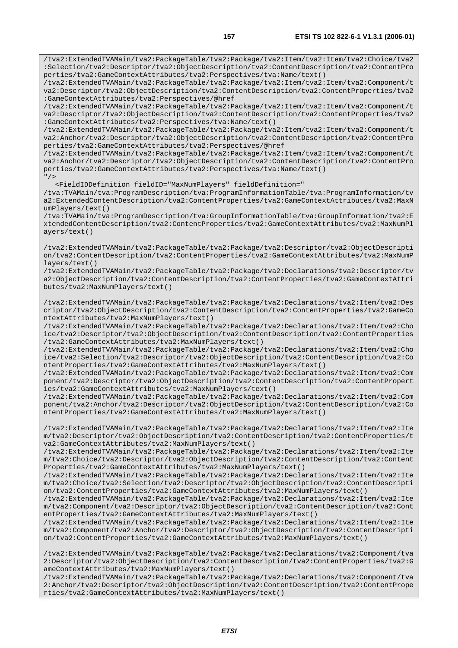/tva2:ExtendedTVAMain/tva2:PackageTable/tva2:Package/tva2:Item/tva2:Item/tva2:Component/t va2:Descriptor/tva2:ObjectDescription/tva2:ContentDescription/tva2:ContentProperties/tva2 :GameContextAttributes/tva2:Perspectives/@href

/tva2:ExtendedTVAMain/tva2:PackageTable/tva2:Package/tva2:Item/tva2:Item/tva2:Component/t va2:Descriptor/tva2:ObjectDescription/tva2:ContentDescription/tva2:ContentProperties/tva2 :GameContextAttributes/tva2:Perspectives/tva:Name/text()

/tva2:ExtendedTVAMain/tva2:PackageTable/tva2:Package/tva2:Item/tva2:Item/tva2:Component/t va2:Anchor/tva2:Descriptor/tva2:ObjectDescription/tva2:ContentDescription/tva2:ContentPro perties/tva2:GameContextAttributes/tva2:Perspectives/@href

/tva2:ExtendedTVAMain/tva2:PackageTable/tva2:Package/tva2:Item/tva2:Item/tva2:Component/t va2:Anchor/tva2:Descriptor/tva2:ObjectDescription/tva2:ContentDescription/tva2:ContentPro perties/tva2:GameContextAttributes/tva2:Perspectives/tva:Name/text() "/>

<FieldIDDefinition fieldID="MaxNumPlayers" fieldDefinition="

/tva:TVAMain/tva:ProgramDescription/tva:ProgramInformationTable/tva:ProgramInformation/tv a2:ExtendedContentDescription/tva2:ContentProperties/tva2:GameContextAttributes/tva2:MaxN umPlayers/text()

/tva:TVAMain/tva:ProgramDescription/tva:GroupInformationTable/tva:GroupInformation/tva2:E xtendedContentDescription/tva2:ContentProperties/tva2:GameContextAttributes/tva2:MaxNumPl ayers/text()

/tva2:ExtendedTVAMain/tva2:PackageTable/tva2:Package/tva2:Descriptor/tva2:ObjectDescripti on/tva2:ContentDescription/tva2:ContentProperties/tva2:GameContextAttributes/tva2:MaxNumP layers/text()

/tva2:ExtendedTVAMain/tva2:PackageTable/tva2:Package/tva2:Declarations/tva2:Descriptor/tv a2:ObjectDescription/tva2:ContentDescription/tva2:ContentProperties/tva2:GameContextAttri butes/tva2:MaxNumPlayers/text()

/tva2:ExtendedTVAMain/tva2:PackageTable/tva2:Package/tva2:Declarations/tva2:Item/tva2:Des criptor/tva2:ObjectDescription/tva2:ContentDescription/tva2:ContentProperties/tva2:GameCo ntextAttributes/tva2:MaxNumPlayers/text()

/tva2:ExtendedTVAMain/tva2:PackageTable/tva2:Package/tva2:Declarations/tva2:Item/tva2:Cho ice/tva2:Descriptor/tva2:ObjectDescription/tva2:ContentDescription/tva2:ContentProperties /tva2:GameContextAttributes/tva2:MaxNumPlayers/text()

/tva2:ExtendedTVAMain/tva2:PackageTable/tva2:Package/tva2:Declarations/tva2:Item/tva2:Cho ice/tva2:Selection/tva2:Descriptor/tva2:ObjectDescription/tva2:ContentDescription/tva2:Co ntentProperties/tva2:GameContextAttributes/tva2:MaxNumPlayers/text()

/tva2:ExtendedTVAMain/tva2:PackageTable/tva2:Package/tva2:Declarations/tva2:Item/tva2:Com ponent/tva2:Descriptor/tva2:ObjectDescription/tva2:ContentDescription/tva2:ContentPropert ies/tva2:GameContextAttributes/tva2:MaxNumPlayers/text()

/tva2:ExtendedTVAMain/tva2:PackageTable/tva2:Package/tva2:Declarations/tva2:Item/tva2:Com ponent/tva2:Anchor/tva2:Descriptor/tva2:ObjectDescription/tva2:ContentDescription/tva2:Co ntentProperties/tva2:GameContextAttributes/tva2:MaxNumPlayers/text()

/tva2:ExtendedTVAMain/tva2:PackageTable/tva2:Package/tva2:Declarations/tva2:Item/tva2:Ite m/tva2:Descriptor/tva2:ObjectDescription/tva2:ContentDescription/tva2:ContentProperties/t va2:GameContextAttributes/tva2:MaxNumPlayers/text()

/tva2:ExtendedTVAMain/tva2:PackageTable/tva2:Package/tva2:Declarations/tva2:Item/tva2:Ite m/tva2:Choice/tva2:Descriptor/tva2:ObjectDescription/tva2:ContentDescription/tva2:Content Properties/tva2:GameContextAttributes/tva2:MaxNumPlayers/text()

/tva2:ExtendedTVAMain/tva2:PackageTable/tva2:Package/tva2:Declarations/tva2:Item/tva2:Ite m/tva2:Choice/tva2:Selection/tva2:Descriptor/tva2:ObjectDescription/tva2:ContentDescripti on/tva2:ContentProperties/tva2:GameContextAttributes/tva2:MaxNumPlayers/text()

/tva2:ExtendedTVAMain/tva2:PackageTable/tva2:Package/tva2:Declarations/tva2:Item/tva2:Ite m/tva2:Component/tva2:Descriptor/tva2:ObjectDescription/tva2:ContentDescription/tva2:Cont entProperties/tva2:GameContextAttributes/tva2:MaxNumPlayers/text()

/tva2:ExtendedTVAMain/tva2:PackageTable/tva2:Package/tva2:Declarations/tva2:Item/tva2:Ite m/tva2:Component/tva2:Anchor/tva2:Descriptor/tva2:ObjectDescription/tva2:ContentDescripti on/tva2:ContentProperties/tva2:GameContextAttributes/tva2:MaxNumPlayers/text()

/tva2:ExtendedTVAMain/tva2:PackageTable/tva2:Package/tva2:Declarations/tva2:Component/tva 2:Descriptor/tva2:ObjectDescription/tva2:ContentDescription/tva2:ContentProperties/tva2:G ameContextAttributes/tva2:MaxNumPlayers/text()

/tva2:ExtendedTVAMain/tva2:PackageTable/tva2:Package/tva2:Declarations/tva2:Component/tva 2:Anchor/tva2:Descriptor/tva2:ObjectDescription/tva2:ContentDescription/tva2:ContentPrope rties/tva2:GameContextAttributes/tva2:MaxNumPlayers/text()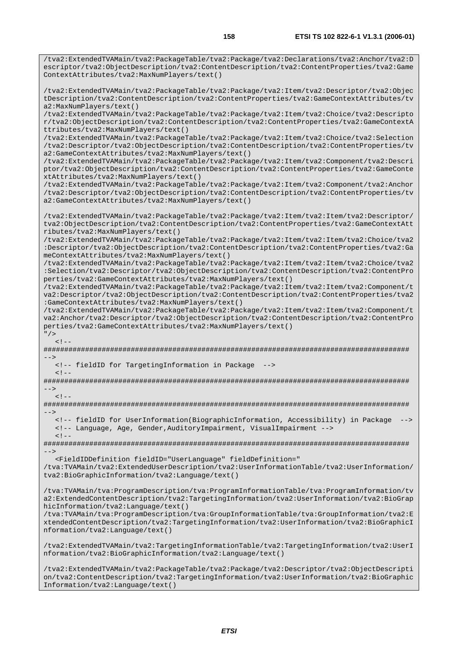/tva2:ExtendedTVAMain/tva2:PackageTable/tva2:Package/tva2:Declarations/tva2:Anchor/tva2:D escriptor/tva2:ObjectDescription/tva2:ContentDescription/tva2:ContentProperties/tva2:Game

/tva2:ExtendedTVAMain/tva2:PackageTable/tva2:Package/tva2:Item/tva2:Descriptor/tva2:Objec tDescription/tva2:ContentDescription/tva2:ContentProperties/tva2:GameContextAttributes/tv

ContextAttributes/tva2:MaxNumPlayers/text()

a2:MaxNumPlayers/text()

/tva2:ExtendedTVAMain/tva2:PackageTable/tva2:Package/tva2:Item/tva2:Choice/tva2:Descripto r/tva2:ObjectDescription/tva2:ContentDescription/tva2:ContentProperties/tva2:GameContextA ttributes/tva2:MaxNumPlayers/text() /tva2:ExtendedTVAMain/tva2:PackageTable/tva2:Package/tva2:Item/tva2:Choice/tva2:Selection /tva2:Descriptor/tva2:ObjectDescription/tva2:ContentDescription/tva2:ContentProperties/tv a2:GameContextAttributes/tva2:MaxNumPlayers/text() /tva2:ExtendedTVAMain/tva2:PackageTable/tva2:Package/tva2:Item/tva2:Component/tva2:Descri ptor/tva2:ObjectDescription/tva2:ContentDescription/tva2:ContentProperties/tva2:GameConte xtAttributes/tva2:MaxNumPlayers/text() /tva2:ExtendedTVAMain/tva2:PackageTable/tva2:Package/tva2:Item/tva2:Component/tva2:Anchor /tva2:Descriptor/tva2:ObjectDescription/tva2:ContentDescription/tva2:ContentProperties/tv a2:GameContextAttributes/tva2:MaxNumPlayers/text() /tva2:ExtendedTVAMain/tva2:PackageTable/tva2:Package/tva2:Item/tva2:Item/tva2:Descriptor/ tva2:ObjectDescription/tva2:ContentDescription/tva2:ContentProperties/tva2:GameContextAtt ributes/tva2:MaxNumPlayers/text() /tva2:ExtendedTVAMain/tva2:PackageTable/tva2:Package/tva2:Item/tva2:Item/tva2:Choice/tva2 :Descriptor/tva2:ObjectDescription/tva2:ContentDescription/tva2:ContentProperties/tva2:Ga meContextAttributes/tva2:MaxNumPlayers/text() /tva2:ExtendedTVAMain/tva2:PackageTable/tva2:Package/tva2:Item/tva2:Item/tva2:Choice/tva2 :Selection/tva2:Descriptor/tva2:ObjectDescription/tva2:ContentDescription/tva2:ContentPro perties/tva2:GameContextAttributes/tva2:MaxNumPlayers/text() /tva2:ExtendedTVAMain/tva2:PackageTable/tva2:Package/tva2:Item/tva2:Item/tva2:Component/t va2:Descriptor/tva2:ObjectDescription/tva2:ContentDescription/tva2:ContentProperties/tva2 :GameContextAttributes/tva2:MaxNumPlayers/text() /tva2:ExtendedTVAMain/tva2:PackageTable/tva2:Package/tva2:Item/tva2:Item/tva2:Component/t va2:Anchor/tva2:Descriptor/tva2:ObjectDescription/tva2:ContentDescription/tva2:ContentPro perties/tva2:GameContextAttributes/tva2:MaxNumPlayers/text()  $"$  / >  $\leq$  !  $-$ ######################################################################################## --> <!-- fieldID for TargetingInformation in Package -->  $\leq$  !  $-$ ######################################################################################## -->  $\geq 1$ ######################################################################################## --> <!-- fieldID for UserInformation(BiographicInformation, Accessibility) in Package --> <!-- Language, Age, Gender,AuditoryImpairment, VisualImpairment -->  $< !$   $-$ ######################################################################################## --> <FieldIDDefinition fieldID="UserLanguage" fieldDefinition=" /tva:TVAMain/tva2:ExtendedUserDescription/tva2:UserInformationTable/tva2:UserInformation/ tva2:BioGraphicInformation/tva2:Language/text() /tva:TVAMain/tva:ProgramDescription/tva:ProgramInformationTable/tva:ProgramInformation/tv a2:ExtendedContentDescription/tva2:TargetingInformation/tva2:UserInformation/tva2:BioGrap hicInformation/tva2:Language/text() /tva:TVAMain/tva:ProgramDescription/tva:GroupInformationTable/tva:GroupInformation/tva2:E xtendedContentDescription/tva2:TargetingInformation/tva2:UserInformation/tva2:BioGraphicI nformation/tva2:Language/text() /tva2:ExtendedTVAMain/tva2:TargetingInformationTable/tva2:TargetingInformation/tva2:UserI nformation/tva2:BioGraphicInformation/tva2:Language/text() /tva2:ExtendedTVAMain/tva2:PackageTable/tva2:Package/tva2:Descriptor/tva2:ObjectDescripti

on/tva2:ContentDescription/tva2:TargetingInformation/tva2:UserInformation/tva2:BioGraphic Information/tva2:Language/text()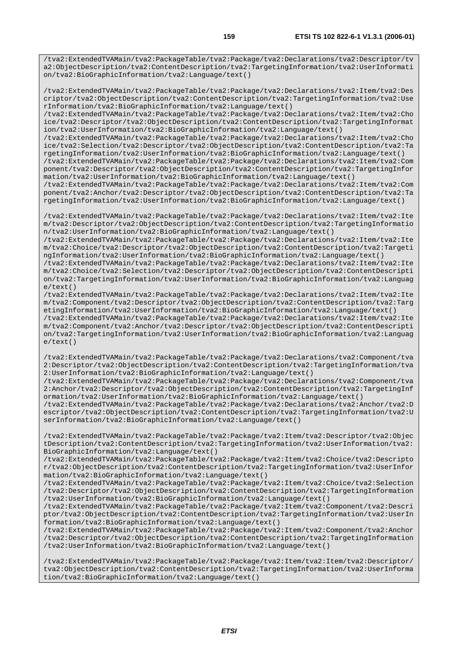/tva2:ExtendedTVAMain/tva2:PackageTable/tva2:Package/tva2:Declarations/tva2:Item/tva2:Des criptor/tva2:ObjectDescription/tva2:ContentDescription/tva2:TargetingInformation/tva2:Use rInformation/tva2:BioGraphicInformation/tva2:Language/text()

/tva2:ExtendedTVAMain/tva2:PackageTable/tva2:Package/tva2:Declarations/tva2:Item/tva2:Cho ice/tva2:Descriptor/tva2:ObjectDescription/tva2:ContentDescription/tva2:TargetingInformat ion/tva2:UserInformation/tva2:BioGraphicInformation/tva2:Language/text()

/tva2:ExtendedTVAMain/tva2:PackageTable/tva2:Package/tva2:Declarations/tva2:Item/tva2:Cho ice/tva2:Selection/tva2:Descriptor/tva2:ObjectDescription/tva2:ContentDescription/tva2:Ta rgetingInformation/tva2:UserInformation/tva2:BioGraphicInformation/tva2:Language/text()

/tva2:ExtendedTVAMain/tva2:PackageTable/tva2:Package/tva2:Declarations/tva2:Item/tva2:Com ponent/tva2:Descriptor/tva2:ObjectDescription/tva2:ContentDescription/tva2:TargetingInfor mation/tva2:UserInformation/tva2:BioGraphicInformation/tva2:Language/text()

/tva2:ExtendedTVAMain/tva2:PackageTable/tva2:Package/tva2:Declarations/tva2:Item/tva2:Com ponent/tva2:Anchor/tva2:Descriptor/tva2:ObjectDescription/tva2:ContentDescription/tva2:Ta rgetingInformation/tva2:UserInformation/tva2:BioGraphicInformation/tva2:Language/text()

/tva2:ExtendedTVAMain/tva2:PackageTable/tva2:Package/tva2:Declarations/tva2:Item/tva2:Ite m/tva2:Descriptor/tva2:ObjectDescription/tva2:ContentDescription/tva2:TargetingInformatio n/tva2:UserInformation/tva2:BioGraphicInformation/tva2:Language/text()

/tva2:ExtendedTVAMain/tva2:PackageTable/tva2:Package/tva2:Declarations/tva2:Item/tva2:Ite m/tva2:Choice/tva2:Descriptor/tva2:ObjectDescription/tva2:ContentDescription/tva2:Targeti ngInformation/tva2:UserInformation/tva2:BioGraphicInformation/tva2:Language/text()

/tva2:ExtendedTVAMain/tva2:PackageTable/tva2:Package/tva2:Declarations/tva2:Item/tva2:Ite m/tva2:Choice/tva2:Selection/tva2:Descriptor/tva2:ObjectDescription/tva2:ContentDescripti on/tva2:TargetingInformation/tva2:UserInformation/tva2:BioGraphicInformation/tva2:Languag e/text()

/tva2:ExtendedTVAMain/tva2:PackageTable/tva2:Package/tva2:Declarations/tva2:Item/tva2:Ite m/tva2:Component/tva2:Descriptor/tva2:ObjectDescription/tva2:ContentDescription/tva2:Targ etingInformation/tva2:UserInformation/tva2:BioGraphicInformation/tva2:Language/text() /tva2:ExtendedTVAMain/tva2:PackageTable/tva2:Package/tva2:Declarations/tva2:Item/tva2:Ite

m/tva2:Component/tva2:Anchor/tva2:Descriptor/tva2:ObjectDescription/tva2:ContentDescripti on/tva2:TargetingInformation/tva2:UserInformation/tva2:BioGraphicInformation/tva2:Languag e/text()

/tva2:ExtendedTVAMain/tva2:PackageTable/tva2:Package/tva2:Declarations/tva2:Component/tva 2:Descriptor/tva2:ObjectDescription/tva2:ContentDescription/tva2:TargetingInformation/tva 2:UserInformation/tva2:BioGraphicInformation/tva2:Language/text()

/tva2:ExtendedTVAMain/tva2:PackageTable/tva2:Package/tva2:Declarations/tva2:Component/tva 2:Anchor/tva2:Descriptor/tva2:ObjectDescription/tva2:ContentDescription/tva2:TargetingInf ormation/tva2:UserInformation/tva2:BioGraphicInformation/tva2:Language/text()

/tva2:ExtendedTVAMain/tva2:PackageTable/tva2:Package/tva2:Declarations/tva2:Anchor/tva2:D escriptor/tva2:ObjectDescription/tva2:ContentDescription/tva2:TargetingInformation/tva2:U serInformation/tva2:BioGraphicInformation/tva2:Language/text()

/tva2:ExtendedTVAMain/tva2:PackageTable/tva2:Package/tva2:Item/tva2:Descriptor/tva2:Objec tDescription/tva2:ContentDescription/tva2:TargetingInformation/tva2:UserInformation/tva2: BioGraphicInformation/tva2:Language/text()

/tva2:ExtendedTVAMain/tva2:PackageTable/tva2:Package/tva2:Item/tva2:Choice/tva2:Descripto r/tva2:ObjectDescription/tva2:ContentDescription/tva2:TargetingInformation/tva2:UserInfor mation/tva2:BioGraphicInformation/tva2:Language/text()

/tva2:ExtendedTVAMain/tva2:PackageTable/tva2:Package/tva2:Item/tva2:Choice/tva2:Selection /tva2:Descriptor/tva2:ObjectDescription/tva2:ContentDescription/tva2:TargetingInformation /tva2:UserInformation/tva2:BioGraphicInformation/tva2:Language/text()

/tva2:ExtendedTVAMain/tva2:PackageTable/tva2:Package/tva2:Item/tva2:Component/tva2:Descri ptor/tva2:ObjectDescription/tva2:ContentDescription/tva2:TargetingInformation/tva2:UserIn formation/tva2:BioGraphicInformation/tva2:Language/text()

/tva2:ExtendedTVAMain/tva2:PackageTable/tva2:Package/tva2:Item/tva2:Component/tva2:Anchor /tva2:Descriptor/tva2:ObjectDescription/tva2:ContentDescription/tva2:TargetingInformation /tva2:UserInformation/tva2:BioGraphicInformation/tva2:Language/text()

/tva2:ExtendedTVAMain/tva2:PackageTable/tva2:Package/tva2:Item/tva2:Item/tva2:Descriptor/ tva2:ObjectDescription/tva2:ContentDescription/tva2:TargetingInformation/tva2:UserInforma tion/tva2:BioGraphicInformation/tva2:Language/text()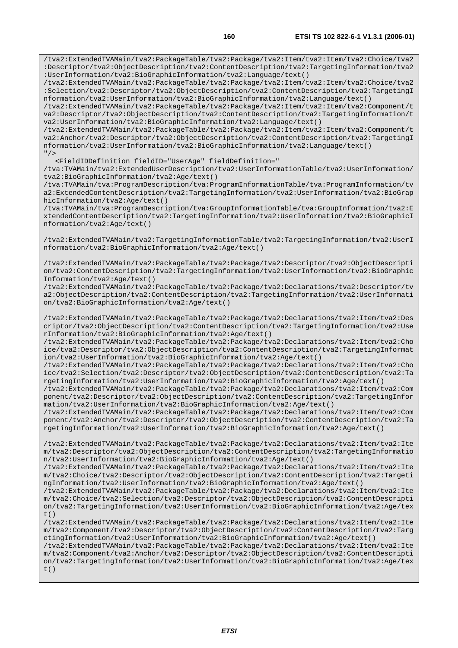/tva2:ExtendedTVAMain/tva2:PackageTable/tva2:Package/tva2:Item/tva2:Item/tva2:Choice/tva2 :Descriptor/tva2:ObjectDescription/tva2:ContentDescription/tva2:TargetingInformation/tva2 :UserInformation/tva2:BioGraphicInformation/tva2:Language/text()

/tva2:ExtendedTVAMain/tva2:PackageTable/tva2:Package/tva2:Item/tva2:Item/tva2:Choice/tva2 :Selection/tva2:Descriptor/tva2:ObjectDescription/tva2:ContentDescription/tva2:TargetingI nformation/tva2:UserInformation/tva2:BioGraphicInformation/tva2:Language/text()

/tva2:ExtendedTVAMain/tva2:PackageTable/tva2:Package/tva2:Item/tva2:Item/tva2:Component/t va2:Descriptor/tva2:ObjectDescription/tva2:ContentDescription/tva2:TargetingInformation/t va2:UserInformation/tva2:BioGraphicInformation/tva2:Language/text()

/tva2:ExtendedTVAMain/tva2:PackageTable/tva2:Package/tva2:Item/tva2:Item/tva2:Component/t va2:Anchor/tva2:Descriptor/tva2:ObjectDescription/tva2:ContentDescription/tva2:TargetingI nformation/tva2:UserInformation/tva2:BioGraphicInformation/tva2:Language/text()  $"$  />

<FieldIDDefinition fieldID="UserAge" fieldDefinition="

/tva:TVAMain/tva2:ExtendedUserDescription/tva2:UserInformationTable/tva2:UserInformation/ tva2:BioGraphicInformation/tva2:Age/text()

/tva:TVAMain/tva:ProgramDescription/tva:ProgramInformationTable/tva:ProgramInformation/tv a2:ExtendedContentDescription/tva2:TargetingInformation/tva2:UserInformation/tva2:BioGrap hicInformation/tva2:Age/text()

/tva:TVAMain/tva:ProgramDescription/tva:GroupInformationTable/tva:GroupInformation/tva2:E xtendedContentDescription/tva2:TargetingInformation/tva2:UserInformation/tva2:BioGraphicI nformation/tva2:Age/text()

/tva2:ExtendedTVAMain/tva2:TargetingInformationTable/tva2:TargetingInformation/tva2:UserI nformation/tva2:BioGraphicInformation/tva2:Age/text()

/tva2:ExtendedTVAMain/tva2:PackageTable/tva2:Package/tva2:Descriptor/tva2:ObjectDescripti on/tva2:ContentDescription/tva2:TargetingInformation/tva2:UserInformation/tva2:BioGraphic Information/tva2:Age/text()

/tva2:ExtendedTVAMain/tva2:PackageTable/tva2:Package/tva2:Declarations/tva2:Descriptor/tv a2:ObjectDescription/tva2:ContentDescription/tva2:TargetingInformation/tva2:UserInformati on/tva2:BioGraphicInformation/tva2:Age/text()

/tva2:ExtendedTVAMain/tva2:PackageTable/tva2:Package/tva2:Declarations/tva2:Item/tva2:Des criptor/tva2:ObjectDescription/tva2:ContentDescription/tva2:TargetingInformation/tva2:Use rInformation/tva2:BioGraphicInformation/tva2:Age/text()

/tva2:ExtendedTVAMain/tva2:PackageTable/tva2:Package/tva2:Declarations/tva2:Item/tva2:Cho ice/tva2:Descriptor/tva2:ObjectDescription/tva2:ContentDescription/tva2:TargetingInformat ion/tva2:UserInformation/tva2:BioGraphicInformation/tva2:Age/text()

/tva2:ExtendedTVAMain/tva2:PackageTable/tva2:Package/tva2:Declarations/tva2:Item/tva2:Cho ice/tva2:Selection/tva2:Descriptor/tva2:ObjectDescription/tva2:ContentDescription/tva2:Ta rgetingInformation/tva2:UserInformation/tva2:BioGraphicInformation/tva2:Age/text()

/tva2:ExtendedTVAMain/tva2:PackageTable/tva2:Package/tva2:Declarations/tva2:Item/tva2:Com ponent/tva2:Descriptor/tva2:ObjectDescription/tva2:ContentDescription/tva2:TargetingInfor mation/tva2:UserInformation/tva2:BioGraphicInformation/tva2:Age/text()

/tva2:ExtendedTVAMain/tva2:PackageTable/tva2:Package/tva2:Declarations/tva2:Item/tva2:Com ponent/tva2:Anchor/tva2:Descriptor/tva2:ObjectDescription/tva2:ContentDescription/tva2:Ta rgetingInformation/tva2:UserInformation/tva2:BioGraphicInformation/tva2:Age/text()

/tva2:ExtendedTVAMain/tva2:PackageTable/tva2:Package/tva2:Declarations/tva2:Item/tva2:Ite m/tva2:Descriptor/tva2:ObjectDescription/tva2:ContentDescription/tva2:TargetingInformatio n/tva2:UserInformation/tva2:BioGraphicInformation/tva2:Age/text()

/tva2:ExtendedTVAMain/tva2:PackageTable/tva2:Package/tva2:Declarations/tva2:Item/tva2:Ite m/tva2:Choice/tva2:Descriptor/tva2:ObjectDescription/tva2:ContentDescription/tva2:Targeti ngInformation/tva2:UserInformation/tva2:BioGraphicInformation/tva2:Age/text()

/tva2:ExtendedTVAMain/tva2:PackageTable/tva2:Package/tva2:Declarations/tva2:Item/tva2:Ite m/tva2:Choice/tva2:Selection/tva2:Descriptor/tva2:ObjectDescription/tva2:ContentDescripti on/tva2:TargetingInformation/tva2:UserInformation/tva2:BioGraphicInformation/tva2:Age/tex  $t($ )

/tva2:ExtendedTVAMain/tva2:PackageTable/tva2:Package/tva2:Declarations/tva2:Item/tva2:Ite m/tva2:Component/tva2:Descriptor/tva2:ObjectDescription/tva2:ContentDescription/tva2:Targ etingInformation/tva2:UserInformation/tva2:BioGraphicInformation/tva2:Age/text()

/tva2:ExtendedTVAMain/tva2:PackageTable/tva2:Package/tva2:Declarations/tva2:Item/tva2:Ite m/tva2:Component/tva2:Anchor/tva2:Descriptor/tva2:ObjectDescription/tva2:ContentDescripti on/tva2:TargetingInformation/tva2:UserInformation/tva2:BioGraphicInformation/tva2:Age/tex t()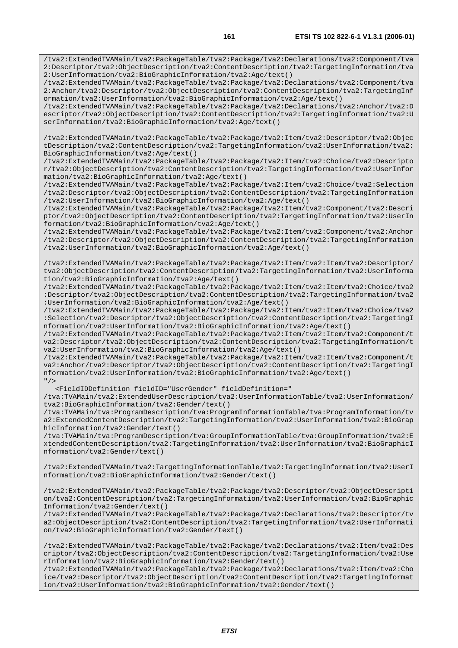/tva2:ExtendedTVAMain/tva2:PackageTable/tva2:Package/tva2:Declarations/tva2:Component/tva 2:Descriptor/tva2:ObjectDescription/tva2:ContentDescription/tva2:TargetingInformation/tva 2:UserInformation/tva2:BioGraphicInformation/tva2:Age/text()

/tva2:ExtendedTVAMain/tva2:PackageTable/tva2:Package/tva2:Declarations/tva2:Component/tva 2:Anchor/tva2:Descriptor/tva2:ObjectDescription/tva2:ContentDescription/tva2:TargetingInf ormation/tva2:UserInformation/tva2:BioGraphicInformation/tva2:Age/text()

/tva2:ExtendedTVAMain/tva2:PackageTable/tva2:Package/tva2:Declarations/tva2:Anchor/tva2:D escriptor/tva2:ObjectDescription/tva2:ContentDescription/tva2:TargetingInformation/tva2:U serInformation/tva2:BioGraphicInformation/tva2:Age/text()

/tva2:ExtendedTVAMain/tva2:PackageTable/tva2:Package/tva2:Item/tva2:Descriptor/tva2:Objec tDescription/tva2:ContentDescription/tva2:TargetingInformation/tva2:UserInformation/tva2: BioGraphicInformation/tva2:Age/text()

/tva2:ExtendedTVAMain/tva2:PackageTable/tva2:Package/tva2:Item/tva2:Choice/tva2:Descripto r/tva2:ObjectDescription/tva2:ContentDescription/tva2:TargetingInformation/tva2:UserInfor mation/tva2:BioGraphicInformation/tva2:Age/text()

/tva2:ExtendedTVAMain/tva2:PackageTable/tva2:Package/tva2:Item/tva2:Choice/tva2:Selection /tva2:Descriptor/tva2:ObjectDescription/tva2:ContentDescription/tva2:TargetingInformation /tva2:UserInformation/tva2:BioGraphicInformation/tva2:Age/text()

/tva2:ExtendedTVAMain/tva2:PackageTable/tva2:Package/tva2:Item/tva2:Component/tva2:Descri ptor/tva2:ObjectDescription/tva2:ContentDescription/tva2:TargetingInformation/tva2:UserIn formation/tva2:BioGraphicInformation/tva2:Age/text()

/tva2:ExtendedTVAMain/tva2:PackageTable/tva2:Package/tva2:Item/tva2:Component/tva2:Anchor /tva2:Descriptor/tva2:ObjectDescription/tva2:ContentDescription/tva2:TargetingInformation /tva2:UserInformation/tva2:BioGraphicInformation/tva2:Age/text()

/tva2:ExtendedTVAMain/tva2:PackageTable/tva2:Package/tva2:Item/tva2:Item/tva2:Descriptor/ tva2:ObjectDescription/tva2:ContentDescription/tva2:TargetingInformation/tva2:UserInforma tion/tva2:BioGraphicInformation/tva2:Age/text()

/tva2:ExtendedTVAMain/tva2:PackageTable/tva2:Package/tva2:Item/tva2:Item/tva2:Choice/tva2 :Descriptor/tva2:ObjectDescription/tva2:ContentDescription/tva2:TargetingInformation/tva2 :UserInformation/tva2:BioGraphicInformation/tva2:Age/text()

/tva2:ExtendedTVAMain/tva2:PackageTable/tva2:Package/tva2:Item/tva2:Item/tva2:Choice/tva2 :Selection/tva2:Descriptor/tva2:ObjectDescription/tva2:ContentDescription/tva2:TargetingI nformation/tva2:UserInformation/tva2:BioGraphicInformation/tva2:Age/text()

/tva2:ExtendedTVAMain/tva2:PackageTable/tva2:Package/tva2:Item/tva2:Item/tva2:Component/t va2:Descriptor/tva2:ObjectDescription/tva2:ContentDescription/tva2:TargetingInformation/t va2:UserInformation/tva2:BioGraphicInformation/tva2:Age/text()

/tva2:ExtendedTVAMain/tva2:PackageTable/tva2:Package/tva2:Item/tva2:Item/tva2:Component/t va2:Anchor/tva2:Descriptor/tva2:ObjectDescription/tva2:ContentDescription/tva2:TargetingI nformation/tva2:UserInformation/tva2:BioGraphicInformation/tva2:Age/text()  $"$ />

<FieldIDDefinition fieldID="UserGender" fieldDefinition="

/tva:TVAMain/tva2:ExtendedUserDescription/tva2:UserInformationTable/tva2:UserInformation/ tva2:BioGraphicInformation/tva2:Gender/text()

/tva:TVAMain/tva:ProgramDescription/tva:ProgramInformationTable/tva:ProgramInformation/tv a2:ExtendedContentDescription/tva2:TargetingInformation/tva2:UserInformation/tva2:BioGrap hicInformation/tva2:Gender/text()

/tva:TVAMain/tva:ProgramDescription/tva:GroupInformationTable/tva:GroupInformation/tva2:E xtendedContentDescription/tva2:TargetingInformation/tva2:UserInformation/tva2:BioGraphicI nformation/tva2:Gender/text()

/tva2:ExtendedTVAMain/tva2:TargetingInformationTable/tva2:TargetingInformation/tva2:UserI nformation/tva2:BioGraphicInformation/tva2:Gender/text()

/tva2:ExtendedTVAMain/tva2:PackageTable/tva2:Package/tva2:Descriptor/tva2:ObjectDescripti on/tva2:ContentDescription/tva2:TargetingInformation/tva2:UserInformation/tva2:BioGraphic Information/tva2:Gender/text()

/tva2:ExtendedTVAMain/tva2:PackageTable/tva2:Package/tva2:Declarations/tva2:Descriptor/tv a2:ObjectDescription/tva2:ContentDescription/tva2:TargetingInformation/tva2:UserInformati on/tva2:BioGraphicInformation/tva2:Gender/text()

/tva2:ExtendedTVAMain/tva2:PackageTable/tva2:Package/tva2:Declarations/tva2:Item/tva2:Des criptor/tva2:ObjectDescription/tva2:ContentDescription/tva2:TargetingInformation/tva2:Use rInformation/tva2:BioGraphicInformation/tva2:Gender/text()

/tva2:ExtendedTVAMain/tva2:PackageTable/tva2:Package/tva2:Declarations/tva2:Item/tva2:Cho ice/tva2:Descriptor/tva2:ObjectDescription/tva2:ContentDescription/tva2:TargetingInformat ion/tva2:UserInformation/tva2:BioGraphicInformation/tva2:Gender/text()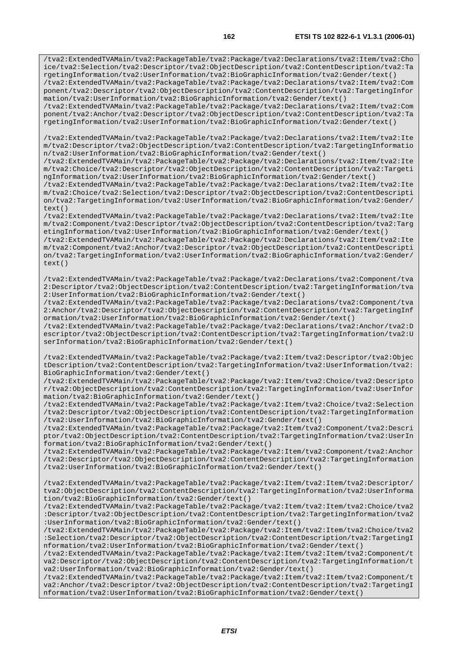/tva2:ExtendedTVAMain/tva2:PackageTable/tva2:Package/tva2:Declarations/tva2:Item/tva2:Cho ice/tva2:Selection/tva2:Descriptor/tva2:ObjectDescription/tva2:ContentDescription/tva2:Ta rgetingInformation/tva2:UserInformation/tva2:BioGraphicInformation/tva2:Gender/text() /tva2:ExtendedTVAMain/tva2:PackageTable/tva2:Package/tva2:Declarations/tva2:Item/tva2:Com ponent/tva2:Descriptor/tva2:ObjectDescription/tva2:ContentDescription/tva2:TargetingInfor mation/tva2:UserInformation/tva2:BioGraphicInformation/tva2:Gender/text() /tva2:ExtendedTVAMain/tva2:PackageTable/tva2:Package/tva2:Declarations/tva2:Item/tva2:Com ponent/tva2:Anchor/tva2:Descriptor/tva2:ObjectDescription/tva2:ContentDescription/tva2:Ta

rgetingInformation/tva2:UserInformation/tva2:BioGraphicInformation/tva2:Gender/text()

/tva2:ExtendedTVAMain/tva2:PackageTable/tva2:Package/tva2:Declarations/tva2:Item/tva2:Ite m/tva2:Descriptor/tva2:ObjectDescription/tva2:ContentDescription/tva2:TargetingInformatio n/tva2:UserInformation/tva2:BioGraphicInformation/tva2:Gender/text()

/tva2:ExtendedTVAMain/tva2:PackageTable/tva2:Package/tva2:Declarations/tva2:Item/tva2:Ite m/tva2:Choice/tva2:Descriptor/tva2:ObjectDescription/tva2:ContentDescription/tva2:Targeti ngInformation/tva2:UserInformation/tva2:BioGraphicInformation/tva2:Gender/text()

/tva2:ExtendedTVAMain/tva2:PackageTable/tva2:Package/tva2:Declarations/tva2:Item/tva2:Ite m/tva2:Choice/tva2:Selection/tva2:Descriptor/tva2:ObjectDescription/tva2:ContentDescripti on/tva2:TargetingInformation/tva2:UserInformation/tva2:BioGraphicInformation/tva2:Gender/ text()

/tva2:ExtendedTVAMain/tva2:PackageTable/tva2:Package/tva2:Declarations/tva2:Item/tva2:Ite m/tva2:Component/tva2:Descriptor/tva2:ObjectDescription/tva2:ContentDescription/tva2:Targ etingInformation/tva2:UserInformation/tva2:BioGraphicInformation/tva2:Gender/text()

/tva2:ExtendedTVAMain/tva2:PackageTable/tva2:Package/tva2:Declarations/tva2:Item/tva2:Ite m/tva2:Component/tva2:Anchor/tva2:Descriptor/tva2:ObjectDescription/tva2:ContentDescripti on/tva2:TargetingInformation/tva2:UserInformation/tva2:BioGraphicInformation/tva2:Gender/ text()

/tva2:ExtendedTVAMain/tva2:PackageTable/tva2:Package/tva2:Declarations/tva2:Component/tva 2:Descriptor/tva2:ObjectDescription/tva2:ContentDescription/tva2:TargetingInformation/tva 2:UserInformation/tva2:BioGraphicInformation/tva2:Gender/text()

/tva2:ExtendedTVAMain/tva2:PackageTable/tva2:Package/tva2:Declarations/tva2:Component/tva 2:Anchor/tva2:Descriptor/tva2:ObjectDescription/tva2:ContentDescription/tva2:TargetingInf ormation/tva2:UserInformation/tva2:BioGraphicInformation/tva2:Gender/text()

/tva2:ExtendedTVAMain/tva2:PackageTable/tva2:Package/tva2:Declarations/tva2:Anchor/tva2:D escriptor/tva2:ObjectDescription/tva2:ContentDescription/tva2:TargetingInformation/tva2:U serInformation/tva2:BioGraphicInformation/tva2:Gender/text()

/tva2:ExtendedTVAMain/tva2:PackageTable/tva2:Package/tva2:Item/tva2:Descriptor/tva2:Objec tDescription/tva2:ContentDescription/tva2:TargetingInformation/tva2:UserInformation/tva2: BioGraphicInformation/tva2:Gender/text()

/tva2:ExtendedTVAMain/tva2:PackageTable/tva2:Package/tva2:Item/tva2:Choice/tva2:Descripto r/tva2:ObjectDescription/tva2:ContentDescription/tva2:TargetingInformation/tva2:UserInfor mation/tva2:BioGraphicInformation/tva2:Gender/text()

/tva2:ExtendedTVAMain/tva2:PackageTable/tva2:Package/tva2:Item/tva2:Choice/tva2:Selection /tva2:Descriptor/tva2:ObjectDescription/tva2:ContentDescription/tva2:TargetingInformation /tva2:UserInformation/tva2:BioGraphicInformation/tva2:Gender/text()

/tva2:ExtendedTVAMain/tva2:PackageTable/tva2:Package/tva2:Item/tva2:Component/tva2:Descri ptor/tva2:ObjectDescription/tva2:ContentDescription/tva2:TargetingInformation/tva2:UserIn formation/tva2:BioGraphicInformation/tva2:Gender/text()

/tva2:ExtendedTVAMain/tva2:PackageTable/tva2:Package/tva2:Item/tva2:Component/tva2:Anchor /tva2:Descriptor/tva2:ObjectDescription/tva2:ContentDescription/tva2:TargetingInformation /tva2:UserInformation/tva2:BioGraphicInformation/tva2:Gender/text()

/tva2:ExtendedTVAMain/tva2:PackageTable/tva2:Package/tva2:Item/tva2:Item/tva2:Descriptor/ tva2:ObjectDescription/tva2:ContentDescription/tva2:TargetingInformation/tva2:UserInforma tion/tva2:BioGraphicInformation/tva2:Gender/text()

/tva2:ExtendedTVAMain/tva2:PackageTable/tva2:Package/tva2:Item/tva2:Item/tva2:Choice/tva2 :Descriptor/tva2:ObjectDescription/tva2:ContentDescription/tva2:TargetingInformation/tva2 :UserInformation/tva2:BioGraphicInformation/tva2:Gender/text()

/tva2:ExtendedTVAMain/tva2:PackageTable/tva2:Package/tva2:Item/tva2:Item/tva2:Choice/tva2 :Selection/tva2:Descriptor/tva2:ObjectDescription/tva2:ContentDescription/tva2:TargetingI nformation/tva2:UserInformation/tva2:BioGraphicInformation/tva2:Gender/text()

/tva2:ExtendedTVAMain/tva2:PackageTable/tva2:Package/tva2:Item/tva2:Item/tva2:Component/t va2:Descriptor/tva2:ObjectDescription/tva2:ContentDescription/tva2:TargetingInformation/t va2:UserInformation/tva2:BioGraphicInformation/tva2:Gender/text()

/tva2:ExtendedTVAMain/tva2:PackageTable/tva2:Package/tva2:Item/tva2:Item/tva2:Component/t va2:Anchor/tva2:Descriptor/tva2:ObjectDescription/tva2:ContentDescription/tva2:TargetingI nformation/tva2:UserInformation/tva2:BioGraphicInformation/tva2:Gender/text()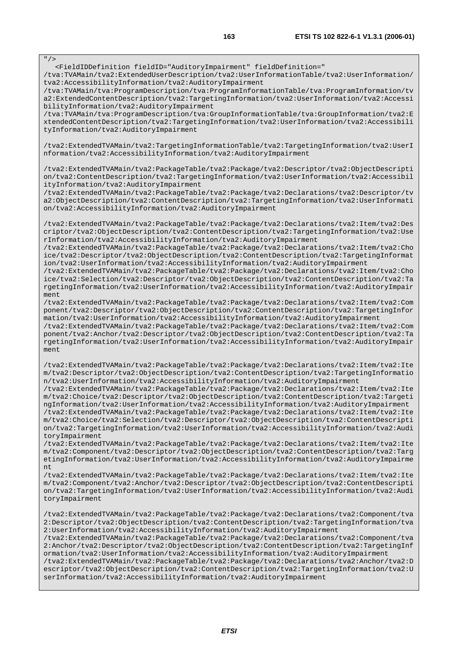"/>

<FieldIDDefinition fieldID="AuditoryImpairment" fieldDefinition="

/tva:TVAMain/tva2:ExtendedUserDescription/tva2:UserInformationTable/tva2:UserInformation/ tva2:AccessibilityInformation/tva2:AuditoryImpairment

/tva:TVAMain/tva:ProgramDescription/tva:ProgramInformationTable/tva:ProgramInformation/tv a2:ExtendedContentDescription/tva2:TargetingInformation/tva2:UserInformation/tva2:Accessi bilityInformation/tva2:AuditoryImpairment

/tva:TVAMain/tva:ProgramDescription/tva:GroupInformationTable/tva:GroupInformation/tva2:E xtendedContentDescription/tva2:TargetingInformation/tva2:UserInformation/tva2:Accessibili tyInformation/tva2:AuditoryImpairment

/tva2:ExtendedTVAMain/tva2:TargetingInformationTable/tva2:TargetingInformation/tva2:UserI nformation/tva2:AccessibilityInformation/tva2:AuditoryImpairment

/tva2:ExtendedTVAMain/tva2:PackageTable/tva2:Package/tva2:Descriptor/tva2:ObjectDescripti on/tva2:ContentDescription/tva2:TargetingInformation/tva2:UserInformation/tva2:Accessibil ityInformation/tva2:AuditoryImpairment

/tva2:ExtendedTVAMain/tva2:PackageTable/tva2:Package/tva2:Declarations/tva2:Descriptor/tv a2:ObjectDescription/tva2:ContentDescription/tva2:TargetingInformation/tva2:UserInformati on/tva2:AccessibilityInformation/tva2:AuditoryImpairment

/tva2:ExtendedTVAMain/tva2:PackageTable/tva2:Package/tva2:Declarations/tva2:Item/tva2:Des criptor/tva2:ObjectDescription/tva2:ContentDescription/tva2:TargetingInformation/tva2:Use rInformation/tva2:AccessibilityInformation/tva2:AuditoryImpairment

/tva2:ExtendedTVAMain/tva2:PackageTable/tva2:Package/tva2:Declarations/tva2:Item/tva2:Cho ice/tva2:Descriptor/tva2:ObjectDescription/tva2:ContentDescription/tva2:TargetingInformat ion/tva2:UserInformation/tva2:AccessibilityInformation/tva2:AuditoryImpairment

/tva2:ExtendedTVAMain/tva2:PackageTable/tva2:Package/tva2:Declarations/tva2:Item/tva2:Cho ice/tva2:Selection/tva2:Descriptor/tva2:ObjectDescription/tva2:ContentDescription/tva2:Ta rgetingInformation/tva2:UserInformation/tva2:AccessibilityInformation/tva2:AuditoryImpair ment

/tva2:ExtendedTVAMain/tva2:PackageTable/tva2:Package/tva2:Declarations/tva2:Item/tva2:Com ponent/tva2:Descriptor/tva2:ObjectDescription/tva2:ContentDescription/tva2:TargetingInfor mation/tva2:UserInformation/tva2:AccessibilityInformation/tva2:AuditoryImpairment

/tva2:ExtendedTVAMain/tva2:PackageTable/tva2:Package/tva2:Declarations/tva2:Item/tva2:Com ponent/tva2:Anchor/tva2:Descriptor/tva2:ObjectDescription/tva2:ContentDescription/tva2:Ta rgetingInformation/tva2:UserInformation/tva2:AccessibilityInformation/tva2:AuditoryImpair ment

/tva2:ExtendedTVAMain/tva2:PackageTable/tva2:Package/tva2:Declarations/tva2:Item/tva2:Ite m/tva2:Descriptor/tva2:ObjectDescription/tva2:ContentDescription/tva2:TargetingInformatio n/tva2:UserInformation/tva2:AccessibilityInformation/tva2:AuditoryImpairment

/tva2:ExtendedTVAMain/tva2:PackageTable/tva2:Package/tva2:Declarations/tva2:Item/tva2:Ite m/tva2:Choice/tva2:Descriptor/tva2:ObjectDescription/tva2:ContentDescription/tva2:Targeti ngInformation/tva2:UserInformation/tva2:AccessibilityInformation/tva2:AuditoryImpairment /tva2:ExtendedTVAMain/tva2:PackageTable/tva2:Package/tva2:Declarations/tva2:Item/tva2:Ite m/tva2:Choice/tva2:Selection/tva2:Descriptor/tva2:ObjectDescription/tva2:ContentDescripti on/tva2:TargetingInformation/tva2:UserInformation/tva2:AccessibilityInformation/tva2:Audi toryImpairment

/tva2:ExtendedTVAMain/tva2:PackageTable/tva2:Package/tva2:Declarations/tva2:Item/tva2:Ite m/tva2:Component/tva2:Descriptor/tva2:ObjectDescription/tva2:ContentDescription/tva2:Targ etingInformation/tva2:UserInformation/tva2:AccessibilityInformation/tva2:AuditoryImpairme nt

/tva2:ExtendedTVAMain/tva2:PackageTable/tva2:Package/tva2:Declarations/tva2:Item/tva2:Ite m/tva2:Component/tva2:Anchor/tva2:Descriptor/tva2:ObjectDescription/tva2:ContentDescripti on/tva2:TargetingInformation/tva2:UserInformation/tva2:AccessibilityInformation/tva2:Audi toryImpairment

/tva2:ExtendedTVAMain/tva2:PackageTable/tva2:Package/tva2:Declarations/tva2:Component/tva 2:Descriptor/tva2:ObjectDescription/tva2:ContentDescription/tva2:TargetingInformation/tva 2:UserInformation/tva2:AccessibilityInformation/tva2:AuditoryImpairment

/tva2:ExtendedTVAMain/tva2:PackageTable/tva2:Package/tva2:Declarations/tva2:Component/tva 2:Anchor/tva2:Descriptor/tva2:ObjectDescription/tva2:ContentDescription/tva2:TargetingInf ormation/tva2:UserInformation/tva2:AccessibilityInformation/tva2:AuditoryImpairment

/tva2:ExtendedTVAMain/tva2:PackageTable/tva2:Package/tva2:Declarations/tva2:Anchor/tva2:D escriptor/tva2:ObjectDescription/tva2:ContentDescription/tva2:TargetingInformation/tva2:U serInformation/tva2:AccessibilityInformation/tva2:AuditoryImpairment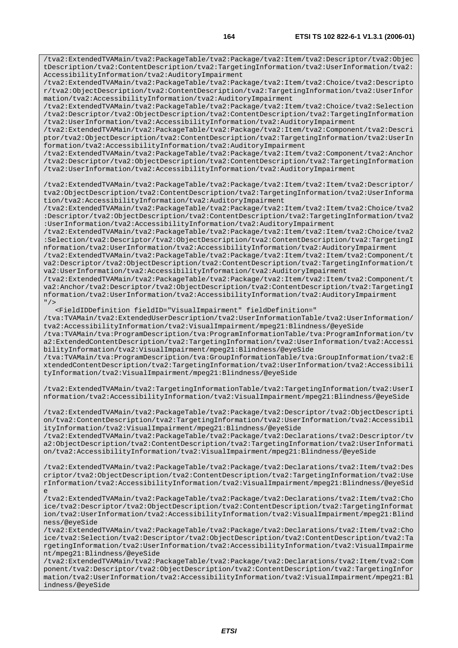/tva2:ExtendedTVAMain/tva2:PackageTable/tva2:Package/tva2:Item/tva2:Descriptor/tva2:Objec tDescription/tva2:ContentDescription/tva2:TargetingInformation/tva2:UserInformation/tva2: AccessibilityInformation/tva2:AuditoryImpairment

/tva2:ExtendedTVAMain/tva2:PackageTable/tva2:Package/tva2:Item/tva2:Choice/tva2:Descripto r/tva2:ObjectDescription/tva2:ContentDescription/tva2:TargetingInformation/tva2:UserInfor mation/tva2:AccessibilityInformation/tva2:AuditoryImpairment

/tva2:ExtendedTVAMain/tva2:PackageTable/tva2:Package/tva2:Item/tva2:Choice/tva2:Selection /tva2:Descriptor/tva2:ObjectDescription/tva2:ContentDescription/tva2:TargetingInformation /tva2:UserInformation/tva2:AccessibilityInformation/tva2:AuditoryImpairment

/tva2:ExtendedTVAMain/tva2:PackageTable/tva2:Package/tva2:Item/tva2:Component/tva2:Descri ptor/tva2:ObjectDescription/tva2:ContentDescription/tva2:TargetingInformation/tva2:UserIn formation/tva2:AccessibilityInformation/tva2:AuditoryImpairment

/tva2:ExtendedTVAMain/tva2:PackageTable/tva2:Package/tva2:Item/tva2:Component/tva2:Anchor /tva2:Descriptor/tva2:ObjectDescription/tva2:ContentDescription/tva2:TargetingInformation /tva2:UserInformation/tva2:AccessibilityInformation/tva2:AuditoryImpairment

/tva2:ExtendedTVAMain/tva2:PackageTable/tva2:Package/tva2:Item/tva2:Item/tva2:Descriptor/ tva2:ObjectDescription/tva2:ContentDescription/tva2:TargetingInformation/tva2:UserInforma tion/tva2:AccessibilityInformation/tva2:AuditoryImpairment

/tva2:ExtendedTVAMain/tva2:PackageTable/tva2:Package/tva2:Item/tva2:Item/tva2:Choice/tva2 :Descriptor/tva2:ObjectDescription/tva2:ContentDescription/tva2:TargetingInformation/tva2 :UserInformation/tva2:AccessibilityInformation/tva2:AuditoryImpairment

/tva2:ExtendedTVAMain/tva2:PackageTable/tva2:Package/tva2:Item/tva2:Item/tva2:Choice/tva2 :Selection/tva2:Descriptor/tva2:ObjectDescription/tva2:ContentDescription/tva2:TargetingI nformation/tva2:UserInformation/tva2:AccessibilityInformation/tva2:AuditoryImpairment

/tva2:ExtendedTVAMain/tva2:PackageTable/tva2:Package/tva2:Item/tva2:Item/tva2:Component/t va2:Descriptor/tva2:ObjectDescription/tva2:ContentDescription/tva2:TargetingInformation/t va2:UserInformation/tva2:AccessibilityInformation/tva2:AuditoryImpairment

/tva2:ExtendedTVAMain/tva2:PackageTable/tva2:Package/tva2:Item/tva2:Item/tva2:Component/t va2:Anchor/tva2:Descriptor/tva2:ObjectDescription/tva2:ContentDescription/tva2:TargetingI nformation/tva2:UserInformation/tva2:AccessibilityInformation/tva2:AuditoryImpairment  $"$  / >

<FieldIDDefinition fieldID="VisualImpairment" fieldDefinition="

/tva:TVAMain/tva2:ExtendedUserDescription/tva2:UserInformationTable/tva2:UserInformation/ tva2:AccessibilityInformation/tva2:VisualImpairment/mpeg21:Blindness/@eyeSide

/tva:TVAMain/tva:ProgramDescription/tva:ProgramInformationTable/tva:ProgramInformation/tv a2:ExtendedContentDescription/tva2:TargetingInformation/tva2:UserInformation/tva2:Accessi bilityInformation/tva2:VisualImpairment/mpeg21:Blindness/@eyeSide

/tva:TVAMain/tva:ProgramDescription/tva:GroupInformationTable/tva:GroupInformation/tva2:E xtendedContentDescription/tva2:TargetingInformation/tva2:UserInformation/tva2:Accessibili tyInformation/tva2:VisualImpairment/mpeg21:Blindness/@eyeSide

/tva2:ExtendedTVAMain/tva2:TargetingInformationTable/tva2:TargetingInformation/tva2:UserI nformation/tva2:AccessibilityInformation/tva2:VisualImpairment/mpeg21:Blindness/@eyeSide

/tva2:ExtendedTVAMain/tva2:PackageTable/tva2:Package/tva2:Descriptor/tva2:ObjectDescripti on/tva2:ContentDescription/tva2:TargetingInformation/tva2:UserInformation/tva2:Accessibil ityInformation/tva2:VisualImpairment/mpeg21:Blindness/@eyeSide

/tva2:ExtendedTVAMain/tva2:PackageTable/tva2:Package/tva2:Declarations/tva2:Descriptor/tv a2:ObjectDescription/tva2:ContentDescription/tva2:TargetingInformation/tva2:UserInformati on/tva2:AccessibilityInformation/tva2:VisualImpairment/mpeg21:Blindness/@eyeSide

/tva2:ExtendedTVAMain/tva2:PackageTable/tva2:Package/tva2:Declarations/tva2:Item/tva2:Des criptor/tva2:ObjectDescription/tva2:ContentDescription/tva2:TargetingInformation/tva2:Use rInformation/tva2:AccessibilityInformation/tva2:VisualImpairment/mpeg21:Blindness/@eyeSid e

/tva2:ExtendedTVAMain/tva2:PackageTable/tva2:Package/tva2:Declarations/tva2:Item/tva2:Cho ice/tva2:Descriptor/tva2:ObjectDescription/tva2:ContentDescription/tva2:TargetingInformat ion/tva2:UserInformation/tva2:AccessibilityInformation/tva2:VisualImpairment/mpeg21:Blind ness/@eyeSide

/tva2:ExtendedTVAMain/tva2:PackageTable/tva2:Package/tva2:Declarations/tva2:Item/tva2:Cho ice/tva2:Selection/tva2:Descriptor/tva2:ObjectDescription/tva2:ContentDescription/tva2:Ta rgetingInformation/tva2:UserInformation/tva2:AccessibilityInformation/tva2:VisualImpairme nt/mpeg21:Blindness/@eyeSide

/tva2:ExtendedTVAMain/tva2:PackageTable/tva2:Package/tva2:Declarations/tva2:Item/tva2:Com ponent/tva2:Descriptor/tva2:ObjectDescription/tva2:ContentDescription/tva2:TargetingInfor mation/tva2:UserInformation/tva2:AccessibilityInformation/tva2:VisualImpairment/mpeg21:Bl indness/@eyeSide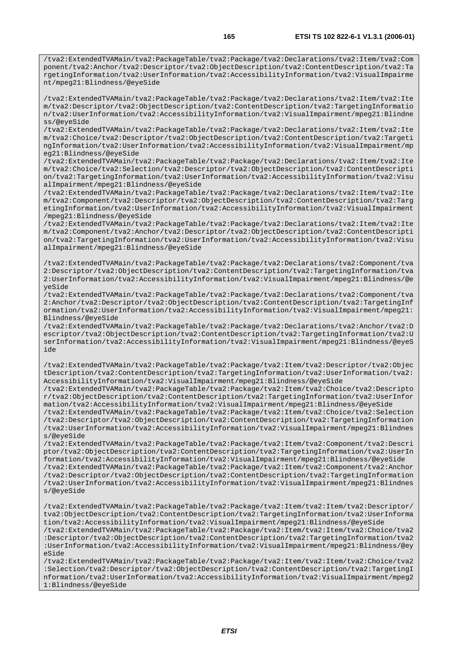/tva2:ExtendedTVAMain/tva2:PackageTable/tva2:Package/tva2:Declarations/tva2:Item/tva2:Com ponent/tva2:Anchor/tva2:Descriptor/tva2:ObjectDescription/tva2:ContentDescription/tva2:Ta rgetingInformation/tva2:UserInformation/tva2:AccessibilityInformation/tva2:VisualImpairme nt/mpeg21:Blindness/@eyeSide

/tva2:ExtendedTVAMain/tva2:PackageTable/tva2:Package/tva2:Declarations/tva2:Item/tva2:Ite m/tva2:Descriptor/tva2:ObjectDescription/tva2:ContentDescription/tva2:TargetingInformatio n/tva2:UserInformation/tva2:AccessibilityInformation/tva2:VisualImpairment/mpeg21:Blindne ss/@eyeSide

/tva2:ExtendedTVAMain/tva2:PackageTable/tva2:Package/tva2:Declarations/tva2:Item/tva2:Ite m/tva2:Choice/tva2:Descriptor/tva2:ObjectDescription/tva2:ContentDescription/tva2:Targeti ngInformation/tva2:UserInformation/tva2:AccessibilityInformation/tva2:VisualImpairment/mp eg21:Blindness/@eyeSide

/tva2:ExtendedTVAMain/tva2:PackageTable/tva2:Package/tva2:Declarations/tva2:Item/tva2:Ite m/tva2:Choice/tva2:Selection/tva2:Descriptor/tva2:ObjectDescription/tva2:ContentDescripti on/tva2:TargetingInformation/tva2:UserInformation/tva2:AccessibilityInformation/tva2:Visu alImpairment/mpeg21:Blindness/@eyeSide

/tva2:ExtendedTVAMain/tva2:PackageTable/tva2:Package/tva2:Declarations/tva2:Item/tva2:Ite m/tva2:Component/tva2:Descriptor/tva2:ObjectDescription/tva2:ContentDescription/tva2:Targ etingInformation/tva2:UserInformation/tva2:AccessibilityInformation/tva2:VisualImpairment /mpeg21:Blindness/@eyeSide

/tva2:ExtendedTVAMain/tva2:PackageTable/tva2:Package/tva2:Declarations/tva2:Item/tva2:Ite m/tva2:Component/tva2:Anchor/tva2:Descriptor/tva2:ObjectDescription/tva2:ContentDescripti on/tva2:TargetingInformation/tva2:UserInformation/tva2:AccessibilityInformation/tva2:Visu alImpairment/mpeg21:Blindness/@eyeSide

/tva2:ExtendedTVAMain/tva2:PackageTable/tva2:Package/tva2:Declarations/tva2:Component/tva 2:Descriptor/tva2:ObjectDescription/tva2:ContentDescription/tva2:TargetingInformation/tva 2:UserInformation/tva2:AccessibilityInformation/tva2:VisualImpairment/mpeg21:Blindness/@e yeSide

/tva2:ExtendedTVAMain/tva2:PackageTable/tva2:Package/tva2:Declarations/tva2:Component/tva 2:Anchor/tva2:Descriptor/tva2:ObjectDescription/tva2:ContentDescription/tva2:TargetingInf ormation/tva2:UserInformation/tva2:AccessibilityInformation/tva2:VisualImpairment/mpeg21: Blindness/@eyeSide

/tva2:ExtendedTVAMain/tva2:PackageTable/tva2:Package/tva2:Declarations/tva2:Anchor/tva2:D escriptor/tva2:ObjectDescription/tva2:ContentDescription/tva2:TargetingInformation/tva2:U serInformation/tva2:AccessibilityInformation/tva2:VisualImpairment/mpeg21:Blindness/@eyeS ide

/tva2:ExtendedTVAMain/tva2:PackageTable/tva2:Package/tva2:Item/tva2:Descriptor/tva2:Objec tDescription/tva2:ContentDescription/tva2:TargetingInformation/tva2:UserInformation/tva2: AccessibilityInformation/tva2:VisualImpairment/mpeg21:Blindness/@eyeSide

/tva2:ExtendedTVAMain/tva2:PackageTable/tva2:Package/tva2:Item/tva2:Choice/tva2:Descripto r/tva2:ObjectDescription/tva2:ContentDescription/tva2:TargetingInformation/tva2:UserInfor mation/tva2:AccessibilityInformation/tva2:VisualImpairment/mpeg21:Blindness/@eyeSide

/tva2:ExtendedTVAMain/tva2:PackageTable/tva2:Package/tva2:Item/tva2:Choice/tva2:Selection /tva2:Descriptor/tva2:ObjectDescription/tva2:ContentDescription/tva2:TargetingInformation /tva2:UserInformation/tva2:AccessibilityInformation/tva2:VisualImpairment/mpeg21:Blindnes s/@eyeSide

/tva2:ExtendedTVAMain/tva2:PackageTable/tva2:Package/tva2:Item/tva2:Component/tva2:Descri ptor/tva2:ObjectDescription/tva2:ContentDescription/tva2:TargetingInformation/tva2:UserIn formation/tva2:AccessibilityInformation/tva2:VisualImpairment/mpeg21:Blindness/@eyeSide /tva2:ExtendedTVAMain/tva2:PackageTable/tva2:Package/tva2:Item/tva2:Component/tva2:Anchor

/tva2:Descriptor/tva2:ObjectDescription/tva2:ContentDescription/tva2:TargetingInformation /tva2:UserInformation/tva2:AccessibilityInformation/tva2:VisualImpairment/mpeg21:Blindnes s/@eyeSide

/tva2:ExtendedTVAMain/tva2:PackageTable/tva2:Package/tva2:Item/tva2:Item/tva2:Descriptor/ tva2:ObjectDescription/tva2:ContentDescription/tva2:TargetingInformation/tva2:UserInforma tion/tva2:AccessibilityInformation/tva2:VisualImpairment/mpeg21:Blindness/@eyeSide /tva2:ExtendedTVAMain/tva2:PackageTable/tva2:Package/tva2:Item/tva2:Item/tva2:Choice/tva2 :Descriptor/tva2:ObjectDescription/tva2:ContentDescription/tva2:TargetingInformation/tva2

:UserInformation/tva2:AccessibilityInformation/tva2:VisualImpairment/mpeg21:Blindness/@ey eSide /tva2:ExtendedTVAMain/tva2:PackageTable/tva2:Package/tva2:Item/tva2:Item/tva2:Choice/tva2

:Selection/tva2:Descriptor/tva2:ObjectDescription/tva2:ContentDescription/tva2:TargetingI nformation/tva2:UserInformation/tva2:AccessibilityInformation/tva2:VisualImpairment/mpeg2 1:Blindness/@eyeSide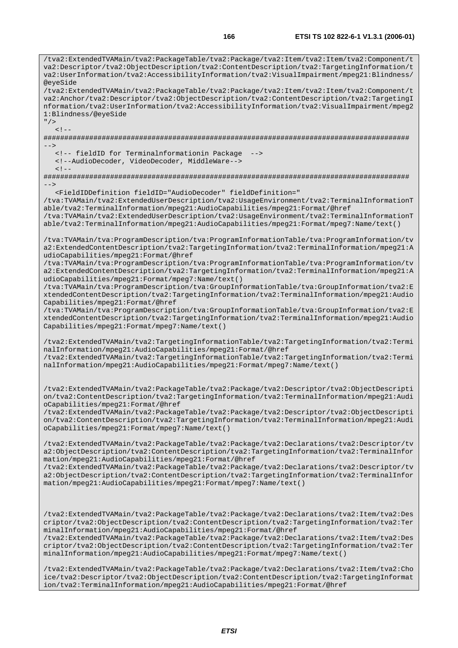va2:Descriptor/tva2:ObjectDescription/tva2:ContentDescription/tva2:TargetingInformation/t va2:UserInformation/tva2:AccessibilityInformation/tva2:VisualImpairment/mpeg21:Blindness/ @eyeSide /tva2:ExtendedTVAMain/tva2:PackageTable/tva2:Package/tva2:Item/tva2:Item/tva2:Component/t va2:Anchor/tva2:Descriptor/tva2:ObjectDescription/tva2:ContentDescription/tva2:TargetingI nformation/tva2:UserInformation/tva2:AccessibilityInformation/tva2:VisualImpairment/mpeg2 1:Blindness/@eyeSide  $"$  />  $\leq$  !  $-$ ######################################################################################## --> <!-- fieldID for Terminalnformationin Package --> <!--AudioDecoder, VideoDecoder, MiddleWare-->  $< 1 -$ ######################################################################################## --> <FieldIDDefinition fieldID="AudioDecoder" fieldDefinition=" /tva:TVAMain/tva2:ExtendedUserDescription/tva2:UsageEnvironment/tva2:TerminalInformationT able/tva2:TerminalInformation/mpeg21:AudioCapabilities/mpeg21:Format/@href /tva:TVAMain/tva2:ExtendedUserDescription/tva2:UsageEnvironment/tva2:TerminalInformationT able/tva2:TerminalInformation/mpeg21:AudioCapabilities/mpeg21:Format/mpeg7:Name/text() /tva:TVAMain/tva:ProgramDescription/tva:ProgramInformationTable/tva:ProgramInformation/tv a2:ExtendedContentDescription/tva2:TargetingInformation/tva2:TerminalInformation/mpeg21:A udioCapabilities/mpeg21:Format/@href /tva:TVAMain/tva:ProgramDescription/tva:ProgramInformationTable/tva:ProgramInformation/tv a2:ExtendedContentDescription/tva2:TargetingInformation/tva2:TerminalInformation/mpeg21:A udioCapabilities/mpeg21:Format/mpeg7:Name/text() /tva:TVAMain/tva:ProgramDescription/tva:GroupInformationTable/tva:GroupInformation/tva2:E xtendedContentDescription/tva2:TargetingInformation/tva2:TerminalInformation/mpeg21:Audio Capabilities/mpeg21:Format/@href /tva:TVAMain/tva:ProgramDescription/tva:GroupInformationTable/tva:GroupInformation/tva2:E xtendedContentDescription/tva2:TargetingInformation/tva2:TerminalInformation/mpeg21:Audio Capabilities/mpeg21:Format/mpeg7:Name/text() /tva2:ExtendedTVAMain/tva2:TargetingInformationTable/tva2:TargetingInformation/tva2:Termi nalInformation/mpeg21:AudioCapabilities/mpeg21:Format/@href /tva2:ExtendedTVAMain/tva2:TargetingInformationTable/tva2:TargetingInformation/tva2:Termi nalInformation/mpeg21:AudioCapabilities/mpeg21:Format/mpeg7:Name/text() /tva2:ExtendedTVAMain/tva2:PackageTable/tva2:Package/tva2:Descriptor/tva2:ObjectDescripti on/tva2:ContentDescription/tva2:TargetingInformation/tva2:TerminalInformation/mpeg21:Audi oCapabilities/mpeg21:Format/@href /tva2:ExtendedTVAMain/tva2:PackageTable/tva2:Package/tva2:Descriptor/tva2:ObjectDescripti on/tva2:ContentDescription/tva2:TargetingInformation/tva2:TerminalInformation/mpeg21:Audi oCapabilities/mpeg21:Format/mpeg7:Name/text() /tva2:ExtendedTVAMain/tva2:PackageTable/tva2:Package/tva2:Declarations/tva2:Descriptor/tv a2:ObjectDescription/tva2:ContentDescription/tva2:TargetingInformation/tva2:TerminalInfor mation/mpeg21:AudioCapabilities/mpeg21:Format/@href /tva2:ExtendedTVAMain/tva2:PackageTable/tva2:Package/tva2:Declarations/tva2:Descriptor/tv a2:ObjectDescription/tva2:ContentDescription/tva2:TargetingInformation/tva2:TerminalInfor mation/mpeg21:AudioCapabilities/mpeg21:Format/mpeg7:Name/text() /tva2:ExtendedTVAMain/tva2:PackageTable/tva2:Package/tva2:Declarations/tva2:Item/tva2:Des criptor/tva2:ObjectDescription/tva2:ContentDescription/tva2:TargetingInformation/tva2:Ter minalInformation/mpeg21:AudioCapabilities/mpeg21:Format/@href /tva2:ExtendedTVAMain/tva2:PackageTable/tva2:Package/tva2:Declarations/tva2:Item/tva2:Des criptor/tva2:ObjectDescription/tva2:ContentDescription/tva2:TargetingInformation/tva2:Ter minalInformation/mpeg21:AudioCapabilities/mpeg21:Format/mpeg7:Name/text() /tva2:ExtendedTVAMain/tva2:PackageTable/tva2:Package/tva2:Declarations/tva2:Item/tva2:Cho ice/tva2:Descriptor/tva2:ObjectDescription/tva2:ContentDescription/tva2:TargetingInformat

/tva2:ExtendedTVAMain/tva2:PackageTable/tva2:Package/tva2:Item/tva2:Item/tva2:Component/t

ion/tva2:TerminalInformation/mpeg21:AudioCapabilities/mpeg21:Format/@href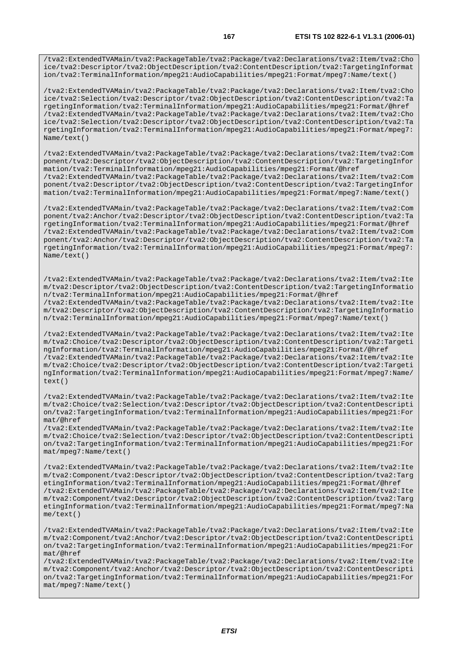/tva2:ExtendedTVAMain/tva2:PackageTable/tva2:Package/tva2:Declarations/tva2:Item/tva2:Cho ice/tva2:Descriptor/tva2:ObjectDescription/tva2:ContentDescription/tva2:TargetingInformat ion/tva2:TerminalInformation/mpeg21:AudioCapabilities/mpeg21:Format/mpeg7:Name/text()

/tva2:ExtendedTVAMain/tva2:PackageTable/tva2:Package/tva2:Declarations/tva2:Item/tva2:Cho ice/tva2:Selection/tva2:Descriptor/tva2:ObjectDescription/tva2:ContentDescription/tva2:Ta rgetingInformation/tva2:TerminalInformation/mpeg21:AudioCapabilities/mpeg21:Format/@href /tva2:ExtendedTVAMain/tva2:PackageTable/tva2:Package/tva2:Declarations/tva2:Item/tva2:Cho ice/tva2:Selection/tva2:Descriptor/tva2:ObjectDescription/tva2:ContentDescription/tva2:Ta rgetingInformation/tva2:TerminalInformation/mpeg21:AudioCapabilities/mpeg21:Format/mpeg7: Name/text()

/tva2:ExtendedTVAMain/tva2:PackageTable/tva2:Package/tva2:Declarations/tva2:Item/tva2:Com ponent/tva2:Descriptor/tva2:ObjectDescription/tva2:ContentDescription/tva2:TargetingInfor mation/tva2:TerminalInformation/mpeg21:AudioCapabilities/mpeg21:Format/@href /tva2:ExtendedTVAMain/tva2:PackageTable/tva2:Package/tva2:Declarations/tva2:Item/tva2:Com ponent/tva2:Descriptor/tva2:ObjectDescription/tva2:ContentDescription/tva2:TargetingInfor mation/tva2:TerminalInformation/mpeg21:AudioCapabilities/mpeg21:Format/mpeg7:Name/text()

/tva2:ExtendedTVAMain/tva2:PackageTable/tva2:Package/tva2:Declarations/tva2:Item/tva2:Com ponent/tva2:Anchor/tva2:Descriptor/tva2:ObjectDescription/tva2:ContentDescription/tva2:Ta rgetingInformation/tva2:TerminalInformation/mpeg21:AudioCapabilities/mpeg21:Format/@href /tva2:ExtendedTVAMain/tva2:PackageTable/tva2:Package/tva2:Declarations/tva2:Item/tva2:Com ponent/tva2:Anchor/tva2:Descriptor/tva2:ObjectDescription/tva2:ContentDescription/tva2:Ta rgetingInformation/tva2:TerminalInformation/mpeg21:AudioCapabilities/mpeg21:Format/mpeg7: Name/text()

/tva2:ExtendedTVAMain/tva2:PackageTable/tva2:Package/tva2:Declarations/tva2:Item/tva2:Ite m/tva2:Descriptor/tva2:ObjectDescription/tva2:ContentDescription/tva2:TargetingInformatio n/tva2:TerminalInformation/mpeg21:AudioCapabilities/mpeg21:Format/@href /tva2:ExtendedTVAMain/tva2:PackageTable/tva2:Package/tva2:Declarations/tva2:Item/tva2:Ite m/tva2:Descriptor/tva2:ObjectDescription/tva2:ContentDescription/tva2:TargetingInformatio n/tva2:TerminalInformation/mpeg21:AudioCapabilities/mpeg21:Format/mpeg7:Name/text()

/tva2:ExtendedTVAMain/tva2:PackageTable/tva2:Package/tva2:Declarations/tva2:Item/tva2:Ite m/tva2:Choice/tva2:Descriptor/tva2:ObjectDescription/tva2:ContentDescription/tva2:Targeti ngInformation/tva2:TerminalInformation/mpeg21:AudioCapabilities/mpeg21:Format/@href /tva2:ExtendedTVAMain/tva2:PackageTable/tva2:Package/tva2:Declarations/tva2:Item/tva2:Ite m/tva2:Choice/tva2:Descriptor/tva2:ObjectDescription/tva2:ContentDescription/tva2:Targeti ngInformation/tva2:TerminalInformation/mpeg21:AudioCapabilities/mpeg21:Format/mpeg7:Name/  $text()$ 

/tva2:ExtendedTVAMain/tva2:PackageTable/tva2:Package/tva2:Declarations/tva2:Item/tva2:Ite m/tva2:Choice/tva2:Selection/tva2:Descriptor/tva2:ObjectDescription/tva2:ContentDescripti on/tva2:TargetingInformation/tva2:TerminalInformation/mpeg21:AudioCapabilities/mpeg21:For mat/@href

/tva2:ExtendedTVAMain/tva2:PackageTable/tva2:Package/tva2:Declarations/tva2:Item/tva2:Ite m/tva2:Choice/tva2:Selection/tva2:Descriptor/tva2:ObjectDescription/tva2:ContentDescripti on/tva2:TargetingInformation/tva2:TerminalInformation/mpeg21:AudioCapabilities/mpeg21:For mat/mpeg7:Name/text()

/tva2:ExtendedTVAMain/tva2:PackageTable/tva2:Package/tva2:Declarations/tva2:Item/tva2:Ite m/tva2:Component/tva2:Descriptor/tva2:ObjectDescription/tva2:ContentDescription/tva2:Targ etingInformation/tva2:TerminalInformation/mpeg21:AudioCapabilities/mpeg21:Format/@href /tva2:ExtendedTVAMain/tva2:PackageTable/tva2:Package/tva2:Declarations/tva2:Item/tva2:Ite m/tva2:Component/tva2:Descriptor/tva2:ObjectDescription/tva2:ContentDescription/tva2:Targ etingInformation/tva2:TerminalInformation/mpeg21:AudioCapabilities/mpeg21:Format/mpeg7:Na me/text()

/tva2:ExtendedTVAMain/tva2:PackageTable/tva2:Package/tva2:Declarations/tva2:Item/tva2:Ite m/tva2:Component/tva2:Anchor/tva2:Descriptor/tva2:ObjectDescription/tva2:ContentDescripti on/tva2:TargetingInformation/tva2:TerminalInformation/mpeg21:AudioCapabilities/mpeg21:For mat/@href

/tva2:ExtendedTVAMain/tva2:PackageTable/tva2:Package/tva2:Declarations/tva2:Item/tva2:Ite m/tva2:Component/tva2:Anchor/tva2:Descriptor/tva2:ObjectDescription/tva2:ContentDescripti on/tva2:TargetingInformation/tva2:TerminalInformation/mpeg21:AudioCapabilities/mpeg21:For mat/mpeg7:Name/text()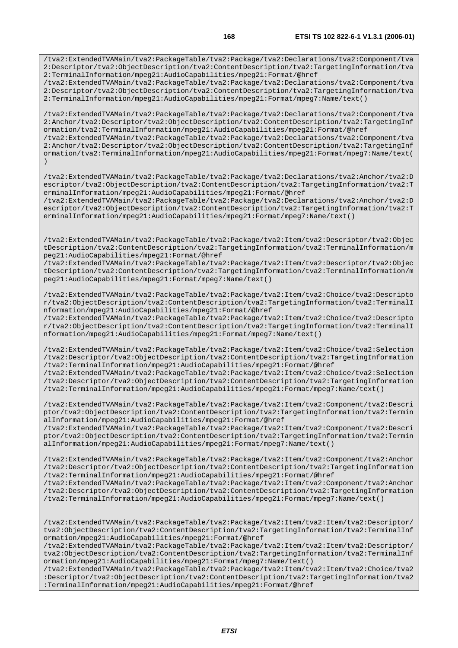/tva2:ExtendedTVAMain/tva2:PackageTable/tva2:Package/tva2:Declarations/tva2:Component/tva 2:Descriptor/tva2:ObjectDescription/tva2:ContentDescription/tva2:TargetingInformation/tva 2:TerminalInformation/mpeg21:AudioCapabilities/mpeg21:Format/@href

/tva2:ExtendedTVAMain/tva2:PackageTable/tva2:Package/tva2:Declarations/tva2:Component/tva 2:Descriptor/tva2:ObjectDescription/tva2:ContentDescription/tva2:TargetingInformation/tva 2:TerminalInformation/mpeg21:AudioCapabilities/mpeg21:Format/mpeg7:Name/text()

/tva2:ExtendedTVAMain/tva2:PackageTable/tva2:Package/tva2:Declarations/tva2:Component/tva 2:Anchor/tva2:Descriptor/tva2:ObjectDescription/tva2:ContentDescription/tva2:TargetingInf ormation/tva2:TerminalInformation/mpeg21:AudioCapabilities/mpeg21:Format/@href /tva2:ExtendedTVAMain/tva2:PackageTable/tva2:Package/tva2:Declarations/tva2:Component/tva

2:Anchor/tva2:Descriptor/tva2:ObjectDescription/tva2:ContentDescription/tva2:TargetingInf ormation/tva2:TerminalInformation/mpeg21:AudioCapabilities/mpeg21:Format/mpeg7:Name/text( )

/tva2:ExtendedTVAMain/tva2:PackageTable/tva2:Package/tva2:Declarations/tva2:Anchor/tva2:D escriptor/tva2:ObjectDescription/tva2:ContentDescription/tva2:TargetingInformation/tva2:T erminalInformation/mpeg21:AudioCapabilities/mpeg21:Format/@href

/tva2:ExtendedTVAMain/tva2:PackageTable/tva2:Package/tva2:Declarations/tva2:Anchor/tva2:D escriptor/tva2:ObjectDescription/tva2:ContentDescription/tva2:TargetingInformation/tva2:T erminalInformation/mpeg21:AudioCapabilities/mpeg21:Format/mpeg7:Name/text()

/tva2:ExtendedTVAMain/tva2:PackageTable/tva2:Package/tva2:Item/tva2:Descriptor/tva2:Objec tDescription/tva2:ContentDescription/tva2:TargetingInformation/tva2:TerminalInformation/m peg21:AudioCapabilities/mpeg21:Format/@href

/tva2:ExtendedTVAMain/tva2:PackageTable/tva2:Package/tva2:Item/tva2:Descriptor/tva2:Objec tDescription/tva2:ContentDescription/tva2:TargetingInformation/tva2:TerminalInformation/m peg21:AudioCapabilities/mpeg21:Format/mpeg7:Name/text()

/tva2:ExtendedTVAMain/tva2:PackageTable/tva2:Package/tva2:Item/tva2:Choice/tva2:Descripto r/tva2:ObjectDescription/tva2:ContentDescription/tva2:TargetingInformation/tva2:TerminalI nformation/mpeg21:AudioCapabilities/mpeg21:Format/@href

/tva2:ExtendedTVAMain/tva2:PackageTable/tva2:Package/tva2:Item/tva2:Choice/tva2:Descripto r/tva2:ObjectDescription/tva2:ContentDescription/tva2:TargetingInformation/tva2:TerminalI nformation/mpeg21:AudioCapabilities/mpeg21:Format/mpeg7:Name/text()

/tva2:ExtendedTVAMain/tva2:PackageTable/tva2:Package/tva2:Item/tva2:Choice/tva2:Selection /tva2:Descriptor/tva2:ObjectDescription/tva2:ContentDescription/tva2:TargetingInformation /tva2:TerminalInformation/mpeg21:AudioCapabilities/mpeg21:Format/@href

/tva2:ExtendedTVAMain/tva2:PackageTable/tva2:Package/tva2:Item/tva2:Choice/tva2:Selection /tva2:Descriptor/tva2:ObjectDescription/tva2:ContentDescription/tva2:TargetingInformation /tva2:TerminalInformation/mpeg21:AudioCapabilities/mpeg21:Format/mpeg7:Name/text()

/tva2:ExtendedTVAMain/tva2:PackageTable/tva2:Package/tva2:Item/tva2:Component/tva2:Descri ptor/tva2:ObjectDescription/tva2:ContentDescription/tva2:TargetingInformation/tva2:Termin alInformation/mpeg21:AudioCapabilities/mpeg21:Format/@href

/tva2:ExtendedTVAMain/tva2:PackageTable/tva2:Package/tva2:Item/tva2:Component/tva2:Descri ptor/tva2:ObjectDescription/tva2:ContentDescription/tva2:TargetingInformation/tva2:Termin alInformation/mpeg21:AudioCapabilities/mpeg21:Format/mpeg7:Name/text()

/tva2:ExtendedTVAMain/tva2:PackageTable/tva2:Package/tva2:Item/tva2:Component/tva2:Anchor /tva2:Descriptor/tva2:ObjectDescription/tva2:ContentDescription/tva2:TargetingInformation /tva2:TerminalInformation/mpeg21:AudioCapabilities/mpeg21:Format/@href

/tva2:ExtendedTVAMain/tva2:PackageTable/tva2:Package/tva2:Item/tva2:Component/tva2:Anchor /tva2:Descriptor/tva2:ObjectDescription/tva2:ContentDescription/tva2:TargetingInformation /tva2:TerminalInformation/mpeg21:AudioCapabilities/mpeg21:Format/mpeg7:Name/text()

/tva2:ExtendedTVAMain/tva2:PackageTable/tva2:Package/tva2:Item/tva2:Item/tva2:Descriptor/ tva2:ObjectDescription/tva2:ContentDescription/tva2:TargetingInformation/tva2:TerminalInf ormation/mpeg21:AudioCapabilities/mpeg21:Format/@href

/tva2:ExtendedTVAMain/tva2:PackageTable/tva2:Package/tva2:Item/tva2:Item/tva2:Descriptor/ tva2:ObjectDescription/tva2:ContentDescription/tva2:TargetingInformation/tva2:TerminalInf ormation/mpeg21:AudioCapabilities/mpeg21:Format/mpeg7:Name/text()

/tva2:ExtendedTVAMain/tva2:PackageTable/tva2:Package/tva2:Item/tva2:Item/tva2:Choice/tva2 :Descriptor/tva2:ObjectDescription/tva2:ContentDescription/tva2:TargetingInformation/tva2 :TerminalInformation/mpeg21:AudioCapabilities/mpeg21:Format/@href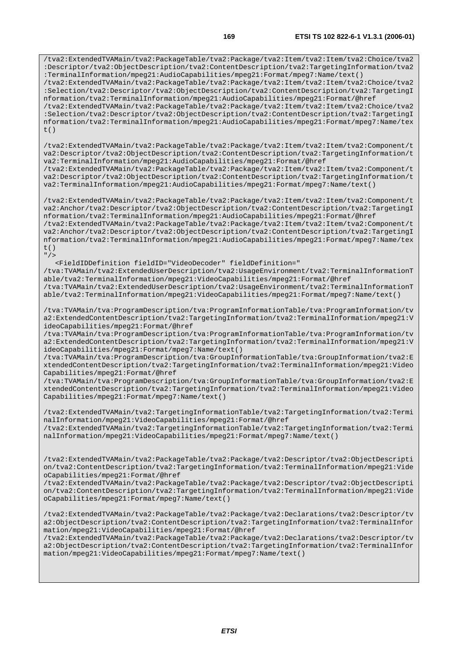/tva2:ExtendedTVAMain/tva2:PackageTable/tva2:Package/tva2:Item/tva2:Item/tva2:Choice/tva2 :Descriptor/tva2:ObjectDescription/tva2:ContentDescription/tva2:TargetingInformation/tva2 :TerminalInformation/mpeg21:AudioCapabilities/mpeg21:Format/mpeg7:Name/text() /tva2:ExtendedTVAMain/tva2:PackageTable/tva2:Package/tva2:Item/tva2:Item/tva2:Choice/tva2 :Selection/tva2:Descriptor/tva2:ObjectDescription/tva2:ContentDescription/tva2:TargetingI nformation/tva2:TerminalInformation/mpeg21:AudioCapabilities/mpeg21:Format/@href /tva2:ExtendedTVAMain/tva2:PackageTable/tva2:Package/tva2:Item/tva2:Item/tva2:Choice/tva2

:Selection/tva2:Descriptor/tva2:ObjectDescription/tva2:ContentDescription/tva2:TargetingI nformation/tva2:TerminalInformation/mpeg21:AudioCapabilities/mpeg21:Format/mpeg7:Name/tex t()

/tva2:ExtendedTVAMain/tva2:PackageTable/tva2:Package/tva2:Item/tva2:Item/tva2:Component/t va2:Descriptor/tva2:ObjectDescription/tva2:ContentDescription/tva2:TargetingInformation/t va2:TerminalInformation/mpeg21:AudioCapabilities/mpeg21:Format/@href

/tva2:ExtendedTVAMain/tva2:PackageTable/tva2:Package/tva2:Item/tva2:Item/tva2:Component/t va2:Descriptor/tva2:ObjectDescription/tva2:ContentDescription/tva2:TargetingInformation/t va2:TerminalInformation/mpeg21:AudioCapabilities/mpeg21:Format/mpeg7:Name/text()

/tva2:ExtendedTVAMain/tva2:PackageTable/tva2:Package/tva2:Item/tva2:Item/tva2:Component/t va2:Anchor/tva2:Descriptor/tva2:ObjectDescription/tva2:ContentDescription/tva2:TargetingI nformation/tva2:TerminalInformation/mpeg21:AudioCapabilities/mpeg21:Format/@href /tva2:ExtendedTVAMain/tva2:PackageTable/tva2:Package/tva2:Item/tva2:Item/tva2:Component/t va2:Anchor/tva2:Descriptor/tva2:ObjectDescription/tva2:ContentDescription/tva2:TargetingI nformation/tva2:TerminalInformation/mpeg21:AudioCapabilities/mpeg21:Format/mpeg7:Name/tex t()

 $"$  / >

 <FieldIDDefinition fieldID="VideoDecoder" fieldDefinition=" /tva:TVAMain/tva2:ExtendedUserDescription/tva2:UsageEnvironment/tva2:TerminalInformationT able/tva2:TerminalInformation/mpeg21:VideoCapabilities/mpeg21:Format/@href /tva:TVAMain/tva2:ExtendedUserDescription/tva2:UsageEnvironment/tva2:TerminalInformationT able/tva2:TerminalInformation/mpeg21:VideoCapabilities/mpeg21:Format/mpeg7:Name/text()

/tva:TVAMain/tva:ProgramDescription/tva:ProgramInformationTable/tva:ProgramInformation/tv a2:ExtendedContentDescription/tva2:TargetingInformation/tva2:TerminalInformation/mpeg21:V ideoCapabilities/mpeg21:Format/@href

/tva:TVAMain/tva:ProgramDescription/tva:ProgramInformationTable/tva:ProgramInformation/tv a2:ExtendedContentDescription/tva2:TargetingInformation/tva2:TerminalInformation/mpeg21:V ideoCapabilities/mpeg21:Format/mpeg7:Name/text()

/tva:TVAMain/tva:ProgramDescription/tva:GroupInformationTable/tva:GroupInformation/tva2:E xtendedContentDescription/tva2:TargetingInformation/tva2:TerminalInformation/mpeg21:Video Capabilities/mpeg21:Format/@href

/tva:TVAMain/tva:ProgramDescription/tva:GroupInformationTable/tva:GroupInformation/tva2:E xtendedContentDescription/tva2:TargetingInformation/tva2:TerminalInformation/mpeg21:Video Capabilities/mpeg21:Format/mpeg7:Name/text()

/tva2:ExtendedTVAMain/tva2:TargetingInformationTable/tva2:TargetingInformation/tva2:Termi nalInformation/mpeg21:VideoCapabilities/mpeg21:Format/@href /tva2:ExtendedTVAMain/tva2:TargetingInformationTable/tva2:TargetingInformation/tva2:Termi nalInformation/mpeg21:VideoCapabilities/mpeg21:Format/mpeg7:Name/text()

/tva2:ExtendedTVAMain/tva2:PackageTable/tva2:Package/tva2:Descriptor/tva2:ObjectDescripti on/tva2:ContentDescription/tva2:TargetingInformation/tva2:TerminalInformation/mpeg21:Vide oCapabilities/mpeg21:Format/@href

/tva2:ExtendedTVAMain/tva2:PackageTable/tva2:Package/tva2:Descriptor/tva2:ObjectDescripti on/tva2:ContentDescription/tva2:TargetingInformation/tva2:TerminalInformation/mpeg21:Vide oCapabilities/mpeg21:Format/mpeg7:Name/text()

/tva2:ExtendedTVAMain/tva2:PackageTable/tva2:Package/tva2:Declarations/tva2:Descriptor/tv a2:ObjectDescription/tva2:ContentDescription/tva2:TargetingInformation/tva2:TerminalInfor mation/mpeg21:VideoCapabilities/mpeg21:Format/@href

/tva2:ExtendedTVAMain/tva2:PackageTable/tva2:Package/tva2:Declarations/tva2:Descriptor/tv a2:ObjectDescription/tva2:ContentDescription/tva2:TargetingInformation/tva2:TerminalInfor mation/mpeg21:VideoCapabilities/mpeg21:Format/mpeg7:Name/text()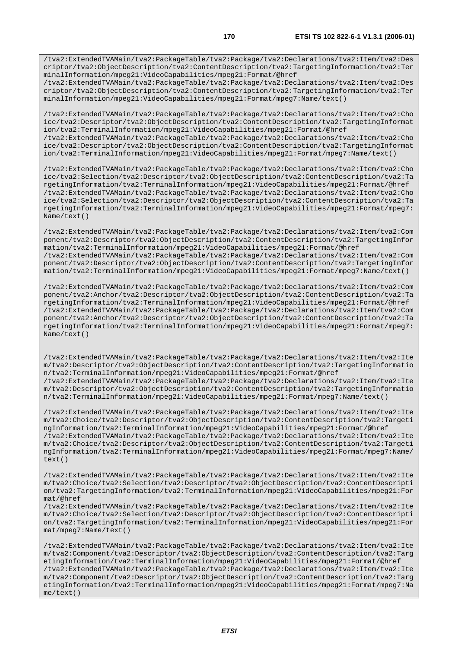/tva2:ExtendedTVAMain/tva2:PackageTable/tva2:Package/tva2:Declarations/tva2:Item/tva2:Des criptor/tva2:ObjectDescription/tva2:ContentDescription/tva2:TargetingInformation/tva2:Ter minalInformation/mpeg21:VideoCapabilities/mpeg21:Format/@href

/tva2:ExtendedTVAMain/tva2:PackageTable/tva2:Package/tva2:Declarations/tva2:Item/tva2:Des criptor/tva2:ObjectDescription/tva2:ContentDescription/tva2:TargetingInformation/tva2:Ter minalInformation/mpeg21:VideoCapabilities/mpeg21:Format/mpeg7:Name/text()

/tva2:ExtendedTVAMain/tva2:PackageTable/tva2:Package/tva2:Declarations/tva2:Item/tva2:Cho ice/tva2:Descriptor/tva2:ObjectDescription/tva2:ContentDescription/tva2:TargetingInformat ion/tva2:TerminalInformation/mpeg21:VideoCapabilities/mpeg21:Format/@href /tva2:ExtendedTVAMain/tva2:PackageTable/tva2:Package/tva2:Declarations/tva2:Item/tva2:Cho ice/tva2:Descriptor/tva2:ObjectDescription/tva2:ContentDescription/tva2:TargetingInformat ion/tva2:TerminalInformation/mpeg21:VideoCapabilities/mpeg21:Format/mpeg7:Name/text()

/tva2:ExtendedTVAMain/tva2:PackageTable/tva2:Package/tva2:Declarations/tva2:Item/tva2:Cho ice/tva2:Selection/tva2:Descriptor/tva2:ObjectDescription/tva2:ContentDescription/tva2:Ta rgetingInformation/tva2:TerminalInformation/mpeg21:VideoCapabilities/mpeg21:Format/@href /tva2:ExtendedTVAMain/tva2:PackageTable/tva2:Package/tva2:Declarations/tva2:Item/tva2:Cho ice/tva2:Selection/tva2:Descriptor/tva2:ObjectDescription/tva2:ContentDescription/tva2:Ta rgetingInformation/tva2:TerminalInformation/mpeg21:VideoCapabilities/mpeg21:Format/mpeg7: Name/text()

/tva2:ExtendedTVAMain/tva2:PackageTable/tva2:Package/tva2:Declarations/tva2:Item/tva2:Com ponent/tva2:Descriptor/tva2:ObjectDescription/tva2:ContentDescription/tva2:TargetingInfor mation/tva2:TerminalInformation/mpeg21:VideoCapabilities/mpeg21:Format/@href /tva2:ExtendedTVAMain/tva2:PackageTable/tva2:Package/tva2:Declarations/tva2:Item/tva2:Com ponent/tva2:Descriptor/tva2:ObjectDescription/tva2:ContentDescription/tva2:TargetingInfor mation/tva2:TerminalInformation/mpeg21:VideoCapabilities/mpeg21:Format/mpeg7:Name/text()

/tva2:ExtendedTVAMain/tva2:PackageTable/tva2:Package/tva2:Declarations/tva2:Item/tva2:Com ponent/tva2:Anchor/tva2:Descriptor/tva2:ObjectDescription/tva2:ContentDescription/tva2:Ta rgetingInformation/tva2:TerminalInformation/mpeg21:VideoCapabilities/mpeg21:Format/@href /tva2:ExtendedTVAMain/tva2:PackageTable/tva2:Package/tva2:Declarations/tva2:Item/tva2:Com ponent/tva2:Anchor/tva2:Descriptor/tva2:ObjectDescription/tva2:ContentDescription/tva2:Ta rgetingInformation/tva2:TerminalInformation/mpeg21:VideoCapabilities/mpeg21:Format/mpeg7: Name/text()

/tva2:ExtendedTVAMain/tva2:PackageTable/tva2:Package/tva2:Declarations/tva2:Item/tva2:Ite m/tva2:Descriptor/tva2:ObjectDescription/tva2:ContentDescription/tva2:TargetingInformatio n/tva2:TerminalInformation/mpeg21:VideoCapabilities/mpeg21:Format/@href /tva2:ExtendedTVAMain/tva2:PackageTable/tva2:Package/tva2:Declarations/tva2:Item/tva2:Ite m/tva2:Descriptor/tva2:ObjectDescription/tva2:ContentDescription/tva2:TargetingInformatio n/tva2:TerminalInformation/mpeg21:VideoCapabilities/mpeg21:Format/mpeg7:Name/text()

/tva2:ExtendedTVAMain/tva2:PackageTable/tva2:Package/tva2:Declarations/tva2:Item/tva2:Ite m/tva2:Choice/tva2:Descriptor/tva2:ObjectDescription/tva2:ContentDescription/tva2:Targeti ngInformation/tva2:TerminalInformation/mpeg21:VideoCapabilities/mpeg21:Format/@href /tva2:ExtendedTVAMain/tva2:PackageTable/tva2:Package/tva2:Declarations/tva2:Item/tva2:Ite m/tva2:Choice/tva2:Descriptor/tva2:ObjectDescription/tva2:ContentDescription/tva2:Targeti ngInformation/tva2:TerminalInformation/mpeg21:VideoCapabilities/mpeg21:Format/mpeg7:Name/ text()

/tva2:ExtendedTVAMain/tva2:PackageTable/tva2:Package/tva2:Declarations/tva2:Item/tva2:Ite m/tva2:Choice/tva2:Selection/tva2:Descriptor/tva2:ObjectDescription/tva2:ContentDescripti on/tva2:TargetingInformation/tva2:TerminalInformation/mpeg21:VideoCapabilities/mpeg21:For mat/@href

/tva2:ExtendedTVAMain/tva2:PackageTable/tva2:Package/tva2:Declarations/tva2:Item/tva2:Ite m/tva2:Choice/tva2:Selection/tva2:Descriptor/tva2:ObjectDescription/tva2:ContentDescripti on/tva2:TargetingInformation/tva2:TerminalInformation/mpeg21:VideoCapabilities/mpeg21:For mat/mpeg7:Name/text()

/tva2:ExtendedTVAMain/tva2:PackageTable/tva2:Package/tva2:Declarations/tva2:Item/tva2:Ite m/tva2:Component/tva2:Descriptor/tva2:ObjectDescription/tva2:ContentDescription/tva2:Targ etingInformation/tva2:TerminalInformation/mpeg21:VideoCapabilities/mpeg21:Format/@href /tva2:ExtendedTVAMain/tva2:PackageTable/tva2:Package/tva2:Declarations/tva2:Item/tva2:Ite m/tva2:Component/tva2:Descriptor/tva2:ObjectDescription/tva2:ContentDescription/tva2:Targ etingInformation/tva2:TerminalInformation/mpeg21:VideoCapabilities/mpeg21:Format/mpeg7:Na me/text()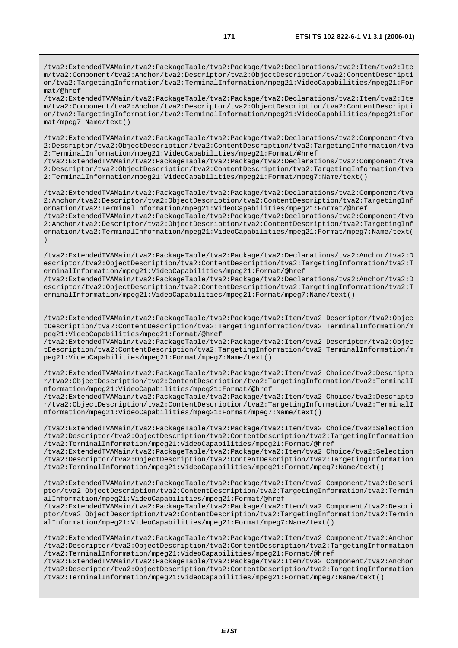/tva2:ExtendedTVAMain/tva2:PackageTable/tva2:Package/tva2:Declarations/tva2:Item/tva2:Ite m/tva2:Component/tva2:Anchor/tva2:Descriptor/tva2:ObjectDescription/tva2:ContentDescripti on/tva2:TargetingInformation/tva2:TerminalInformation/mpeg21:VideoCapabilities/mpeg21:For mat/@href

/tva2:ExtendedTVAMain/tva2:PackageTable/tva2:Package/tva2:Declarations/tva2:Item/tva2:Ite m/tva2:Component/tva2:Anchor/tva2:Descriptor/tva2:ObjectDescription/tva2:ContentDescripti on/tva2:TargetingInformation/tva2:TerminalInformation/mpeg21:VideoCapabilities/mpeg21:For mat/mpeg7:Name/text()

/tva2:ExtendedTVAMain/tva2:PackageTable/tva2:Package/tva2:Declarations/tva2:Component/tva 2:Descriptor/tva2:ObjectDescription/tva2:ContentDescription/tva2:TargetingInformation/tva 2:TerminalInformation/mpeg21:VideoCapabilities/mpeg21:Format/@href

/tva2:ExtendedTVAMain/tva2:PackageTable/tva2:Package/tva2:Declarations/tva2:Component/tva 2:Descriptor/tva2:ObjectDescription/tva2:ContentDescription/tva2:TargetingInformation/tva 2:TerminalInformation/mpeg21:VideoCapabilities/mpeg21:Format/mpeg7:Name/text()

/tva2:ExtendedTVAMain/tva2:PackageTable/tva2:Package/tva2:Declarations/tva2:Component/tva 2:Anchor/tva2:Descriptor/tva2:ObjectDescription/tva2:ContentDescription/tva2:TargetingInf ormation/tva2:TerminalInformation/mpeg21:VideoCapabilities/mpeg21:Format/@href /tva2:ExtendedTVAMain/tva2:PackageTable/tva2:Package/tva2:Declarations/tva2:Component/tva 2:Anchor/tva2:Descriptor/tva2:ObjectDescription/tva2:ContentDescription/tva2:TargetingInf ormation/tva2:TerminalInformation/mpeg21:VideoCapabilities/mpeg21:Format/mpeg7:Name/text( )

/tva2:ExtendedTVAMain/tva2:PackageTable/tva2:Package/tva2:Declarations/tva2:Anchor/tva2:D escriptor/tva2:ObjectDescription/tva2:ContentDescription/tva2:TargetingInformation/tva2:T erminalInformation/mpeg21:VideoCapabilities/mpeg21:Format/@href /tva2:ExtendedTVAMain/tva2:PackageTable/tva2:Package/tva2:Declarations/tva2:Anchor/tva2:D escriptor/tva2:ObjectDescription/tva2:ContentDescription/tva2:TargetingInformation/tva2:T

erminalInformation/mpeg21:VideoCapabilities/mpeg21:Format/mpeg7:Name/text()

/tva2:ExtendedTVAMain/tva2:PackageTable/tva2:Package/tva2:Item/tva2:Descriptor/tva2:Objec tDescription/tva2:ContentDescription/tva2:TargetingInformation/tva2:TerminalInformation/m peg21:VideoCapabilities/mpeg21:Format/@href

/tva2:ExtendedTVAMain/tva2:PackageTable/tva2:Package/tva2:Item/tva2:Descriptor/tva2:Objec tDescription/tva2:ContentDescription/tva2:TargetingInformation/tva2:TerminalInformation/m peg21:VideoCapabilities/mpeg21:Format/mpeg7:Name/text()

/tva2:ExtendedTVAMain/tva2:PackageTable/tva2:Package/tva2:Item/tva2:Choice/tva2:Descripto r/tva2:ObjectDescription/tva2:ContentDescription/tva2:TargetingInformation/tva2:TerminalI nformation/mpeg21:VideoCapabilities/mpeg21:Format/@href

/tva2:ExtendedTVAMain/tva2:PackageTable/tva2:Package/tva2:Item/tva2:Choice/tva2:Descripto r/tva2:ObjectDescription/tva2:ContentDescription/tva2:TargetingInformation/tva2:TerminalI nformation/mpeg21:VideoCapabilities/mpeg21:Format/mpeg7:Name/text()

/tva2:ExtendedTVAMain/tva2:PackageTable/tva2:Package/tva2:Item/tva2:Choice/tva2:Selection /tva2:Descriptor/tva2:ObjectDescription/tva2:ContentDescription/tva2:TargetingInformation /tva2:TerminalInformation/mpeg21:VideoCapabilities/mpeg21:Format/@href

/tva2:ExtendedTVAMain/tva2:PackageTable/tva2:Package/tva2:Item/tva2:Choice/tva2:Selection /tva2:Descriptor/tva2:ObjectDescription/tva2:ContentDescription/tva2:TargetingInformation /tva2:TerminalInformation/mpeg21:VideoCapabilities/mpeg21:Format/mpeg7:Name/text()

/tva2:ExtendedTVAMain/tva2:PackageTable/tva2:Package/tva2:Item/tva2:Component/tva2:Descri ptor/tva2:ObjectDescription/tva2:ContentDescription/tva2:TargetingInformation/tva2:Termin alInformation/mpeg21:VideoCapabilities/mpeg21:Format/@href

/tva2:ExtendedTVAMain/tva2:PackageTable/tva2:Package/tva2:Item/tva2:Component/tva2:Descri ptor/tva2:ObjectDescription/tva2:ContentDescription/tva2:TargetingInformation/tva2:Termin alInformation/mpeg21:VideoCapabilities/mpeg21:Format/mpeg7:Name/text()

/tva2:ExtendedTVAMain/tva2:PackageTable/tva2:Package/tva2:Item/tva2:Component/tva2:Anchor /tva2:Descriptor/tva2:ObjectDescription/tva2:ContentDescription/tva2:TargetingInformation /tva2:TerminalInformation/mpeg21:VideoCapabilities/mpeg21:Format/@href

/tva2:ExtendedTVAMain/tva2:PackageTable/tva2:Package/tva2:Item/tva2:Component/tva2:Anchor /tva2:Descriptor/tva2:ObjectDescription/tva2:ContentDescription/tva2:TargetingInformation /tva2:TerminalInformation/mpeg21:VideoCapabilities/mpeg21:Format/mpeg7:Name/text()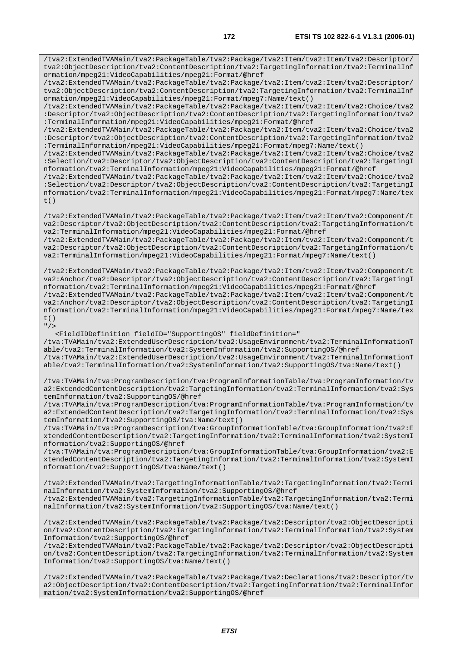/tva2:ExtendedTVAMain/tva2:PackageTable/tva2:Package/tva2:Item/tva2:Item/tva2:Descriptor/ tva2:ObjectDescription/tva2:ContentDescription/tva2:TargetingInformation/tva2:TerminalInf ormation/mpeg21:VideoCapabilities/mpeg21:Format/@href /tva2:ExtendedTVAMain/tva2:PackageTable/tva2:Package/tva2:Item/tva2:Item/tva2:Descriptor/ tva2:ObjectDescription/tva2:ContentDescription/tva2:TargetingInformation/tva2:TerminalInf

ormation/mpeg21:VideoCapabilities/mpeg21:Format/mpeg7:Name/text() /tva2:ExtendedTVAMain/tva2:PackageTable/tva2:Package/tva2:Item/tva2:Item/tva2:Choice/tva2 :Descriptor/tva2:ObjectDescription/tva2:ContentDescription/tva2:TargetingInformation/tva2 :TerminalInformation/mpeg21:VideoCapabilities/mpeg21:Format/@href

/tva2:ExtendedTVAMain/tva2:PackageTable/tva2:Package/tva2:Item/tva2:Item/tva2:Choice/tva2 :Descriptor/tva2:ObjectDescription/tva2:ContentDescription/tva2:TargetingInformation/tva2 :TerminalInformation/mpeg21:VideoCapabilities/mpeg21:Format/mpeg7:Name/text()

/tva2:ExtendedTVAMain/tva2:PackageTable/tva2:Package/tva2:Item/tva2:Item/tva2:Choice/tva2 :Selection/tva2:Descriptor/tva2:ObjectDescription/tva2:ContentDescription/tva2:TargetingI nformation/tva2:TerminalInformation/mpeg21:VideoCapabilities/mpeg21:Format/@href

/tva2:ExtendedTVAMain/tva2:PackageTable/tva2:Package/tva2:Item/tva2:Item/tva2:Choice/tva2 :Selection/tva2:Descriptor/tva2:ObjectDescription/tva2:ContentDescription/tva2:TargetingI nformation/tva2:TerminalInformation/mpeg21:VideoCapabilities/mpeg21:Format/mpeg7:Name/tex  $t($ )

/tva2:ExtendedTVAMain/tva2:PackageTable/tva2:Package/tva2:Item/tva2:Item/tva2:Component/t va2:Descriptor/tva2:ObjectDescription/tva2:ContentDescription/tva2:TargetingInformation/t va2:TerminalInformation/mpeg21:VideoCapabilities/mpeg21:Format/@href /tva2:ExtendedTVAMain/tva2:PackageTable/tva2:Package/tva2:Item/tva2:Item/tva2:Component/t va2:Descriptor/tva2:ObjectDescription/tva2:ContentDescription/tva2:TargetingInformation/t va2:TerminalInformation/mpeg21:VideoCapabilities/mpeg21:Format/mpeg7:Name/text()

/tva2:ExtendedTVAMain/tva2:PackageTable/tva2:Package/tva2:Item/tva2:Item/tva2:Component/t va2:Anchor/tva2:Descriptor/tva2:ObjectDescription/tva2:ContentDescription/tva2:TargetingI nformation/tva2:TerminalInformation/mpeg21:VideoCapabilities/mpeg21:Format/@href /tva2:ExtendedTVAMain/tva2:PackageTable/tva2:Package/tva2:Item/tva2:Item/tva2:Component/t va2:Anchor/tva2:Descriptor/tva2:ObjectDescription/tva2:ContentDescription/tva2:TargetingI nformation/tva2:TerminalInformation/mpeg21:VideoCapabilities/mpeg21:Format/mpeg7:Name/tex  $+$ ()

 $"$ />

 <FieldIDDefinition fieldID="SupportingOS" fieldDefinition=" /tva:TVAMain/tva2:ExtendedUserDescription/tva2:UsageEnvironment/tva2:TerminalInformationT able/tva2:TerminalInformation/tva2:SystemInformation/tva2:SupportingOS/@href /tva:TVAMain/tva2:ExtendedUserDescription/tva2:UsageEnvironment/tva2:TerminalInformationT able/tva2:TerminalInformation/tva2:SystemInformation/tva2:SupportingOS/tva:Name/text()

/tva:TVAMain/tva:ProgramDescription/tva:ProgramInformationTable/tva:ProgramInformation/tv a2:ExtendedContentDescription/tva2:TargetingInformation/tva2:TerminalInformation/tva2:Sys temInformation/tva2:SupportingOS/@href

/tva:TVAMain/tva:ProgramDescription/tva:ProgramInformationTable/tva:ProgramInformation/tv a2:ExtendedContentDescription/tva2:TargetingInformation/tva2:TerminalInformation/tva2:Sys temInformation/tva2:SupportingOS/tva:Name/text()

/tva:TVAMain/tva:ProgramDescription/tva:GroupInformationTable/tva:GroupInformation/tva2:E xtendedContentDescription/tva2:TargetingInformation/tva2:TerminalInformation/tva2:SystemI nformation/tva2:SupportingOS/@href

/tva:TVAMain/tva:ProgramDescription/tva:GroupInformationTable/tva:GroupInformation/tva2:E xtendedContentDescription/tva2:TargetingInformation/tva2:TerminalInformation/tva2:SystemI nformation/tva2:SupportingOS/tva:Name/text()

/tva2:ExtendedTVAMain/tva2:TargetingInformationTable/tva2:TargetingInformation/tva2:Termi nalInformation/tva2:SystemInformation/tva2:SupportingOS/@href /tva2:ExtendedTVAMain/tva2:TargetingInformationTable/tva2:TargetingInformation/tva2:Termi nalInformation/tva2:SystemInformation/tva2:SupportingOS/tva:Name/text()

/tva2:ExtendedTVAMain/tva2:PackageTable/tva2:Package/tva2:Descriptor/tva2:ObjectDescripti on/tva2:ContentDescription/tva2:TargetingInformation/tva2:TerminalInformation/tva2:System Information/tva2:SupportingOS/@href

/tva2:ExtendedTVAMain/tva2:PackageTable/tva2:Package/tva2:Descriptor/tva2:ObjectDescripti on/tva2:ContentDescription/tva2:TargetingInformation/tva2:TerminalInformation/tva2:System Information/tva2:SupportingOS/tva:Name/text()

/tva2:ExtendedTVAMain/tva2:PackageTable/tva2:Package/tva2:Declarations/tva2:Descriptor/tv a2:ObjectDescription/tva2:ContentDescription/tva2:TargetingInformation/tva2:TerminalInfor mation/tva2:SystemInformation/tva2:SupportingOS/@href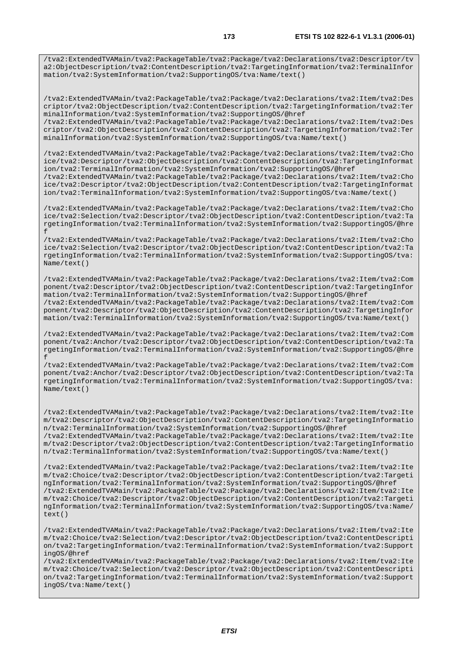/tva2:ExtendedTVAMain/tva2:PackageTable/tva2:Package/tva2:Declarations/tva2:Descriptor/tv a2:ObjectDescription/tva2:ContentDescription/tva2:TargetingInformation/tva2:TerminalInfor mation/tva2:SystemInformation/tva2:SupportingOS/tva:Name/text()

/tva2:ExtendedTVAMain/tva2:PackageTable/tva2:Package/tva2:Declarations/tva2:Item/tva2:Des criptor/tva2:ObjectDescription/tva2:ContentDescription/tva2:TargetingInformation/tva2:Ter minalInformation/tva2:SystemInformation/tva2:SupportingOS/@href /tva2:ExtendedTVAMain/tva2:PackageTable/tva2:Package/tva2:Declarations/tva2:Item/tva2:Des criptor/tva2:ObjectDescription/tva2:ContentDescription/tva2:TargetingInformation/tva2:Ter minalInformation/tva2:SystemInformation/tva2:SupportingOS/tva:Name/text()

/tva2:ExtendedTVAMain/tva2:PackageTable/tva2:Package/tva2:Declarations/tva2:Item/tva2:Cho ice/tva2:Descriptor/tva2:ObjectDescription/tva2:ContentDescription/tva2:TargetingInformat ion/tva2:TerminalInformation/tva2:SystemInformation/tva2:SupportingOS/@href /tva2:ExtendedTVAMain/tva2:PackageTable/tva2:Package/tva2:Declarations/tva2:Item/tva2:Cho ice/tva2:Descriptor/tva2:ObjectDescription/tva2:ContentDescription/tva2:TargetingInformat ion/tva2:TerminalInformation/tva2:SystemInformation/tva2:SupportingOS/tva:Name/text()

/tva2:ExtendedTVAMain/tva2:PackageTable/tva2:Package/tva2:Declarations/tva2:Item/tva2:Cho ice/tva2:Selection/tva2:Descriptor/tva2:ObjectDescription/tva2:ContentDescription/tva2:Ta rgetingInformation/tva2:TerminalInformation/tva2:SystemInformation/tva2:SupportingOS/@hre f

/tva2:ExtendedTVAMain/tva2:PackageTable/tva2:Package/tva2:Declarations/tva2:Item/tva2:Cho ice/tva2:Selection/tva2:Descriptor/tva2:ObjectDescription/tva2:ContentDescription/tva2:Ta rgetingInformation/tva2:TerminalInformation/tva2:SystemInformation/tva2:SupportingOS/tva: Name/text()

/tva2:ExtendedTVAMain/tva2:PackageTable/tva2:Package/tva2:Declarations/tva2:Item/tva2:Com ponent/tva2:Descriptor/tva2:ObjectDescription/tva2:ContentDescription/tva2:TargetingInfor mation/tva2:TerminalInformation/tva2:SystemInformation/tva2:SupportingOS/@href /tva2:ExtendedTVAMain/tva2:PackageTable/tva2:Package/tva2:Declarations/tva2:Item/tva2:Com ponent/tva2:Descriptor/tva2:ObjectDescription/tva2:ContentDescription/tva2:TargetingInfor mation/tva2:TerminalInformation/tva2:SystemInformation/tva2:SupportingOS/tva:Name/text()

/tva2:ExtendedTVAMain/tva2:PackageTable/tva2:Package/tva2:Declarations/tva2:Item/tva2:Com ponent/tva2:Anchor/tva2:Descriptor/tva2:ObjectDescription/tva2:ContentDescription/tva2:Ta rgetingInformation/tva2:TerminalInformation/tva2:SystemInformation/tva2:SupportingOS/@hre f

/tva2:ExtendedTVAMain/tva2:PackageTable/tva2:Package/tva2:Declarations/tva2:Item/tva2:Com ponent/tva2:Anchor/tva2:Descriptor/tva2:ObjectDescription/tva2:ContentDescription/tva2:Ta rgetingInformation/tva2:TerminalInformation/tva2:SystemInformation/tva2:SupportingOS/tva: Name/text()

/tva2:ExtendedTVAMain/tva2:PackageTable/tva2:Package/tva2:Declarations/tva2:Item/tva2:Ite m/tva2:Descriptor/tva2:ObjectDescription/tva2:ContentDescription/tva2:TargetingInformatio n/tva2:TerminalInformation/tva2:SystemInformation/tva2:SupportingOS/@href /tva2:ExtendedTVAMain/tva2:PackageTable/tva2:Package/tva2:Declarations/tva2:Item/tva2:Ite m/tva2:Descriptor/tva2:ObjectDescription/tva2:ContentDescription/tva2:TargetingInformatio n/tva2:TerminalInformation/tva2:SystemInformation/tva2:SupportingOS/tva:Name/text()

/tva2:ExtendedTVAMain/tva2:PackageTable/tva2:Package/tva2:Declarations/tva2:Item/tva2:Ite m/tva2:Choice/tva2:Descriptor/tva2:ObjectDescription/tva2:ContentDescription/tva2:Targeti ngInformation/tva2:TerminalInformation/tva2:SystemInformation/tva2:SupportingOS/@href /tva2:ExtendedTVAMain/tva2:PackageTable/tva2:Package/tva2:Declarations/tva2:Item/tva2:Ite m/tva2:Choice/tva2:Descriptor/tva2:ObjectDescription/tva2:ContentDescription/tva2:Targeti ngInformation/tva2:TerminalInformation/tva2:SystemInformation/tva2:SupportingOS/tva:Name/ text()

/tva2:ExtendedTVAMain/tva2:PackageTable/tva2:Package/tva2:Declarations/tva2:Item/tva2:Ite m/tva2:Choice/tva2:Selection/tva2:Descriptor/tva2:ObjectDescription/tva2:ContentDescripti on/tva2:TargetingInformation/tva2:TerminalInformation/tva2:SystemInformation/tva2:Support ingOS/@href

/tva2:ExtendedTVAMain/tva2:PackageTable/tva2:Package/tva2:Declarations/tva2:Item/tva2:Ite m/tva2:Choice/tva2:Selection/tva2:Descriptor/tva2:ObjectDescription/tva2:ContentDescripti on/tva2:TargetingInformation/tva2:TerminalInformation/tva2:SystemInformation/tva2:Support ingOS/tva:Name/text()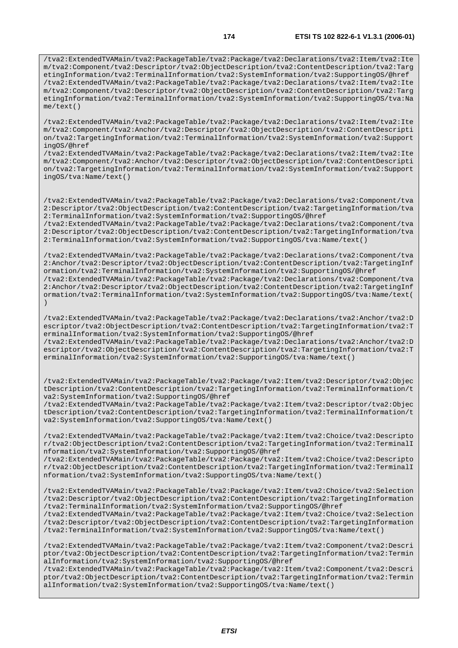/tva2:ExtendedTVAMain/tva2:PackageTable/tva2:Package/tva2:Declarations/tva2:Item/tva2:Ite m/tva2:Component/tva2:Descriptor/tva2:ObjectDescription/tva2:ContentDescription/tva2:Targ etingInformation/tva2:TerminalInformation/tva2:SystemInformation/tva2:SupportingOS/@href /tva2:ExtendedTVAMain/tva2:PackageTable/tva2:Package/tva2:Declarations/tva2:Item/tva2:Ite m/tva2:Component/tva2:Descriptor/tva2:ObjectDescription/tva2:ContentDescription/tva2:Targ etingInformation/tva2:TerminalInformation/tva2:SystemInformation/tva2:SupportingOS/tva:Na me/text()

/tva2:ExtendedTVAMain/tva2:PackageTable/tva2:Package/tva2:Declarations/tva2:Item/tva2:Ite m/tva2:Component/tva2:Anchor/tva2:Descriptor/tva2:ObjectDescription/tva2:ContentDescripti on/tva2:TargetingInformation/tva2:TerminalInformation/tva2:SystemInformation/tva2:Support ingOS/@href

/tva2:ExtendedTVAMain/tva2:PackageTable/tva2:Package/tva2:Declarations/tva2:Item/tva2:Ite m/tva2:Component/tva2:Anchor/tva2:Descriptor/tva2:ObjectDescription/tva2:ContentDescripti on/tva2:TargetingInformation/tva2:TerminalInformation/tva2:SystemInformation/tva2:Support ingOS/tva:Name/text()

/tva2:ExtendedTVAMain/tva2:PackageTable/tva2:Package/tva2:Declarations/tva2:Component/tva 2:Descriptor/tva2:ObjectDescription/tva2:ContentDescription/tva2:TargetingInformation/tva 2:TerminalInformation/tva2:SystemInformation/tva2:SupportingOS/@href

/tva2:ExtendedTVAMain/tva2:PackageTable/tva2:Package/tva2:Declarations/tva2:Component/tva 2:Descriptor/tva2:ObjectDescription/tva2:ContentDescription/tva2:TargetingInformation/tva 2:TerminalInformation/tva2:SystemInformation/tva2:SupportingOS/tva:Name/text()

/tva2:ExtendedTVAMain/tva2:PackageTable/tva2:Package/tva2:Declarations/tva2:Component/tva 2:Anchor/tva2:Descriptor/tva2:ObjectDescription/tva2:ContentDescription/tva2:TargetingInf ormation/tva2:TerminalInformation/tva2:SystemInformation/tva2:SupportingOS/@href /tva2:ExtendedTVAMain/tva2:PackageTable/tva2:Package/tva2:Declarations/tva2:Component/tva 2:Anchor/tva2:Descriptor/tva2:ObjectDescription/tva2:ContentDescription/tva2:TargetingInf ormation/tva2:TerminalInformation/tva2:SystemInformation/tva2:SupportingOS/tva:Name/text(

 $)$ 

/tva2:ExtendedTVAMain/tva2:PackageTable/tva2:Package/tva2:Declarations/tva2:Anchor/tva2:D escriptor/tva2:ObjectDescription/tva2:ContentDescription/tva2:TargetingInformation/tva2:T erminalInformation/tva2:SystemInformation/tva2:SupportingOS/@href /tva2:ExtendedTVAMain/tva2:PackageTable/tva2:Package/tva2:Declarations/tva2:Anchor/tva2:D escriptor/tva2:ObjectDescription/tva2:ContentDescription/tva2:TargetingInformation/tva2:T erminalInformation/tva2:SystemInformation/tva2:SupportingOS/tva:Name/text()

/tva2:ExtendedTVAMain/tva2:PackageTable/tva2:Package/tva2:Item/tva2:Descriptor/tva2:Objec tDescription/tva2:ContentDescription/tva2:TargetingInformation/tva2:TerminalInformation/t va2:SystemInformation/tva2:SupportingOS/@href

/tva2:ExtendedTVAMain/tva2:PackageTable/tva2:Package/tva2:Item/tva2:Descriptor/tva2:Objec tDescription/tva2:ContentDescription/tva2:TargetingInformation/tva2:TerminalInformation/t va2:SystemInformation/tva2:SupportingOS/tva:Name/text()

/tva2:ExtendedTVAMain/tva2:PackageTable/tva2:Package/tva2:Item/tva2:Choice/tva2:Descripto r/tva2:ObjectDescription/tva2:ContentDescription/tva2:TargetingInformation/tva2:TerminalI nformation/tva2:SystemInformation/tva2:SupportingOS/@href

/tva2:ExtendedTVAMain/tva2:PackageTable/tva2:Package/tva2:Item/tva2:Choice/tva2:Descripto r/tva2:ObjectDescription/tva2:ContentDescription/tva2:TargetingInformation/tva2:TerminalI nformation/tva2:SystemInformation/tva2:SupportingOS/tva:Name/text()

/tva2:ExtendedTVAMain/tva2:PackageTable/tva2:Package/tva2:Item/tva2:Choice/tva2:Selection /tva2:Descriptor/tva2:ObjectDescription/tva2:ContentDescription/tva2:TargetingInformation /tva2:TerminalInformation/tva2:SystemInformation/tva2:SupportingOS/@href

/tva2:ExtendedTVAMain/tva2:PackageTable/tva2:Package/tva2:Item/tva2:Choice/tva2:Selection /tva2:Descriptor/tva2:ObjectDescription/tva2:ContentDescription/tva2:TargetingInformation /tva2:TerminalInformation/tva2:SystemInformation/tva2:SupportingOS/tva:Name/text()

/tva2:ExtendedTVAMain/tva2:PackageTable/tva2:Package/tva2:Item/tva2:Component/tva2:Descri ptor/tva2:ObjectDescription/tva2:ContentDescription/tva2:TargetingInformation/tva2:Termin alInformation/tva2:SystemInformation/tva2:SupportingOS/@href /tva2:ExtendedTVAMain/tva2:PackageTable/tva2:Package/tva2:Item/tva2:Component/tva2:Descri ptor/tva2:ObjectDescription/tva2:ContentDescription/tva2:TargetingInformation/tva2:Termin alInformation/tva2:SystemInformation/tva2:SupportingOS/tva:Name/text()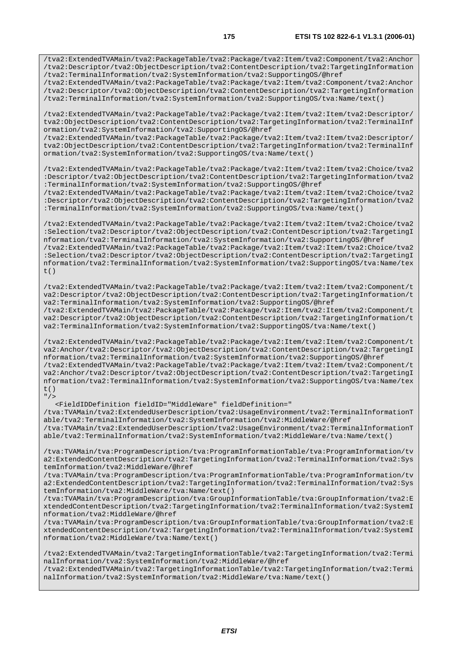/tva2:ExtendedTVAMain/tva2:PackageTable/tva2:Package/tva2:Item/tva2:Component/tva2:Anchor /tva2:Descriptor/tva2:ObjectDescription/tva2:ContentDescription/tva2:TargetingInformation /tva2:TerminalInformation/tva2:SystemInformation/tva2:SupportingOS/@href

/tva2:ExtendedTVAMain/tva2:PackageTable/tva2:Package/tva2:Item/tva2:Component/tva2:Anchor /tva2:Descriptor/tva2:ObjectDescription/tva2:ContentDescription/tva2:TargetingInformation /tva2:TerminalInformation/tva2:SystemInformation/tva2:SupportingOS/tva:Name/text()

/tva2:ExtendedTVAMain/tva2:PackageTable/tva2:Package/tva2:Item/tva2:Item/tva2:Descriptor/ tva2:ObjectDescription/tva2:ContentDescription/tva2:TargetingInformation/tva2:TerminalInf ormation/tva2:SystemInformation/tva2:SupportingOS/@href /tva2:ExtendedTVAMain/tva2:PackageTable/tva2:Package/tva2:Item/tva2:Item/tva2:Descriptor/ tva2:ObjectDescription/tva2:ContentDescription/tva2:TargetingInformation/tva2:TerminalInf

ormation/tva2:SystemInformation/tva2:SupportingOS/tva:Name/text() /tva2:ExtendedTVAMain/tva2:PackageTable/tva2:Package/tva2:Item/tva2:Item/tva2:Choice/tva2

:Descriptor/tva2:ObjectDescription/tva2:ContentDescription/tva2:TargetingInformation/tva2 :TerminalInformation/tva2:SystemInformation/tva2:SupportingOS/@href /tva2:ExtendedTVAMain/tva2:PackageTable/tva2:Package/tva2:Item/tva2:Item/tva2:Choice/tva2 :Descriptor/tva2:ObjectDescription/tva2:ContentDescription/tva2:TargetingInformation/tva2 :TerminalInformation/tva2:SystemInformation/tva2:SupportingOS/tva:Name/text()

/tva2:ExtendedTVAMain/tva2:PackageTable/tva2:Package/tva2:Item/tva2:Item/tva2:Choice/tva2 :Selection/tva2:Descriptor/tva2:ObjectDescription/tva2:ContentDescription/tva2:TargetingI nformation/tva2:TerminalInformation/tva2:SystemInformation/tva2:SupportingOS/@href /tva2:ExtendedTVAMain/tva2:PackageTable/tva2:Package/tva2:Item/tva2:Item/tva2:Choice/tva2 :Selection/tva2:Descriptor/tva2:ObjectDescription/tva2:ContentDescription/tva2:TargetingI nformation/tva2:TerminalInformation/tva2:SystemInformation/tva2:SupportingOS/tva:Name/tex  $t($ )

/tva2:ExtendedTVAMain/tva2:PackageTable/tva2:Package/tva2:Item/tva2:Item/tva2:Component/t va2:Descriptor/tva2:ObjectDescription/tva2:ContentDescription/tva2:TargetingInformation/t va2:TerminalInformation/tva2:SystemInformation/tva2:SupportingOS/@href /tva2:ExtendedTVAMain/tva2:PackageTable/tva2:Package/tva2:Item/tva2:Item/tva2:Component/t va2:Descriptor/tva2:ObjectDescription/tva2:ContentDescription/tva2:TargetingInformation/t va2:TerminalInformation/tva2:SystemInformation/tva2:SupportingOS/tva:Name/text()

/tva2:ExtendedTVAMain/tva2:PackageTable/tva2:Package/tva2:Item/tva2:Item/tva2:Component/t va2:Anchor/tva2:Descriptor/tva2:ObjectDescription/tva2:ContentDescription/tva2:TargetingI nformation/tva2:TerminalInformation/tva2:SystemInformation/tva2:SupportingOS/@href /tva2:ExtendedTVAMain/tva2:PackageTable/tva2:Package/tva2:Item/tva2:Item/tva2:Component/t va2:Anchor/tva2:Descriptor/tva2:ObjectDescription/tva2:ContentDescription/tva2:TargetingI nformation/tva2:TerminalInformation/tva2:SystemInformation/tva2:SupportingOS/tva:Name/tex t()  $"$  / >

 <FieldIDDefinition fieldID="MiddleWare" fieldDefinition=" /tva:TVAMain/tva2:ExtendedUserDescription/tva2:UsageEnvironment/tva2:TerminalInformationT able/tva2:TerminalInformation/tva2:SystemInformation/tva2:MiddleWare/@href /tva:TVAMain/tva2:ExtendedUserDescription/tva2:UsageEnvironment/tva2:TerminalInformationT able/tva2:TerminalInformation/tva2:SystemInformation/tva2:MiddleWare/tva:Name/text()

/tva:TVAMain/tva:ProgramDescription/tva:ProgramInformationTable/tva:ProgramInformation/tv a2:ExtendedContentDescription/tva2:TargetingInformation/tva2:TerminalInformation/tva2:Sys temInformation/tva2:MiddleWare/@href

/tva:TVAMain/tva:ProgramDescription/tva:ProgramInformationTable/tva:ProgramInformation/tv a2:ExtendedContentDescription/tva2:TargetingInformation/tva2:TerminalInformation/tva2:Sys temInformation/tva2:MiddleWare/tva:Name/text()

/tva:TVAMain/tva:ProgramDescription/tva:GroupInformationTable/tva:GroupInformation/tva2:E xtendedContentDescription/tva2:TargetingInformation/tva2:TerminalInformation/tva2:SystemI nformation/tva2:MiddleWare/@href

/tva:TVAMain/tva:ProgramDescription/tva:GroupInformationTable/tva:GroupInformation/tva2:E xtendedContentDescription/tva2:TargetingInformation/tva2:TerminalInformation/tva2:SystemI nformation/tva2:MiddleWare/tva:Name/text()

/tva2:ExtendedTVAMain/tva2:TargetingInformationTable/tva2:TargetingInformation/tva2:Termi nalInformation/tva2:SystemInformation/tva2:MiddleWare/@href /tva2:ExtendedTVAMain/tva2:TargetingInformationTable/tva2:TargetingInformation/tva2:Termi nalInformation/tva2:SystemInformation/tva2:MiddleWare/tva:Name/text()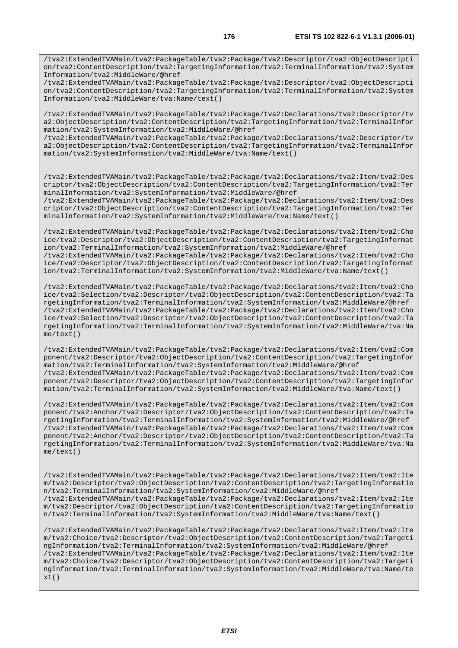/tva2:ExtendedTVAMain/tva2:PackageTable/tva2:Package/tva2:Descriptor/tva2:ObjectDescripti on/tva2:ContentDescription/tva2:TargetingInformation/tva2:TerminalInformation/tva2:System Information/tva2:MiddleWare/@href

/tva2:ExtendedTVAMain/tva2:PackageTable/tva2:Package/tva2:Descriptor/tva2:ObjectDescripti on/tva2:ContentDescription/tva2:TargetingInformation/tva2:TerminalInformation/tva2:System Information/tva2:MiddleWare/tva:Name/text()

/tva2:ExtendedTVAMain/tva2:PackageTable/tva2:Package/tva2:Declarations/tva2:Descriptor/tv a2:ObjectDescription/tva2:ContentDescription/tva2:TargetingInformation/tva2:TerminalInfor mation/tva2:SystemInformation/tva2:MiddleWare/@href

/tva2:ExtendedTVAMain/tva2:PackageTable/tva2:Package/tva2:Declarations/tva2:Descriptor/tv a2:ObjectDescription/tva2:ContentDescription/tva2:TargetingInformation/tva2:TerminalInfor mation/tva2:SystemInformation/tva2:MiddleWare/tva:Name/text()

/tva2:ExtendedTVAMain/tva2:PackageTable/tva2:Package/tva2:Declarations/tva2:Item/tva2:Des criptor/tva2:ObjectDescription/tva2:ContentDescription/tva2:TargetingInformation/tva2:Ter minalInformation/tva2:SystemInformation/tva2:MiddleWare/@href

/tva2:ExtendedTVAMain/tva2:PackageTable/tva2:Package/tva2:Declarations/tva2:Item/tva2:Des criptor/tva2:ObjectDescription/tva2:ContentDescription/tva2:TargetingInformation/tva2:Ter minalInformation/tva2:SystemInformation/tva2:MiddleWare/tva:Name/text()

/tva2:ExtendedTVAMain/tva2:PackageTable/tva2:Package/tva2:Declarations/tva2:Item/tva2:Cho ice/tva2:Descriptor/tva2:ObjectDescription/tva2:ContentDescription/tva2:TargetingInformat ion/tva2:TerminalInformation/tva2:SystemInformation/tva2:MiddleWare/@href /tva2:ExtendedTVAMain/tva2:PackageTable/tva2:Package/tva2:Declarations/tva2:Item/tva2:Cho ice/tva2:Descriptor/tva2:ObjectDescription/tva2:ContentDescription/tva2:TargetingInformat ion/tva2:TerminalInformation/tva2:SystemInformation/tva2:MiddleWare/tva:Name/text()

/tva2:ExtendedTVAMain/tva2:PackageTable/tva2:Package/tva2:Declarations/tva2:Item/tva2:Cho ice/tva2:Selection/tva2:Descriptor/tva2:ObjectDescription/tva2:ContentDescription/tva2:Ta rgetingInformation/tva2:TerminalInformation/tva2:SystemInformation/tva2:MiddleWare/@href /tva2:ExtendedTVAMain/tva2:PackageTable/tva2:Package/tva2:Declarations/tva2:Item/tva2:Cho ice/tva2:Selection/tva2:Descriptor/tva2:ObjectDescription/tva2:ContentDescription/tva2:Ta rgetingInformation/tva2:TerminalInformation/tva2:SystemInformation/tva2:MiddleWare/tva:Na me/text()

/tva2:ExtendedTVAMain/tva2:PackageTable/tva2:Package/tva2:Declarations/tva2:Item/tva2:Com ponent/tva2:Descriptor/tva2:ObjectDescription/tva2:ContentDescription/tva2:TargetingInfor mation/tva2:TerminalInformation/tva2:SystemInformation/tva2:MiddleWare/@href /tva2:ExtendedTVAMain/tva2:PackageTable/tva2:Package/tva2:Declarations/tva2:Item/tva2:Com ponent/tva2:Descriptor/tva2:ObjectDescription/tva2:ContentDescription/tva2:TargetingInfor mation/tva2:TerminalInformation/tva2:SystemInformation/tva2:MiddleWare/tva:Name/text()

/tva2:ExtendedTVAMain/tva2:PackageTable/tva2:Package/tva2:Declarations/tva2:Item/tva2:Com ponent/tva2:Anchor/tva2:Descriptor/tva2:ObjectDescription/tva2:ContentDescription/tva2:Ta rgetingInformation/tva2:TerminalInformation/tva2:SystemInformation/tva2:MiddleWare/@href /tva2:ExtendedTVAMain/tva2:PackageTable/tva2:Package/tva2:Declarations/tva2:Item/tva2:Com ponent/tva2:Anchor/tva2:Descriptor/tva2:ObjectDescription/tva2:ContentDescription/tva2:Ta rgetingInformation/tva2:TerminalInformation/tva2:SystemInformation/tva2:MiddleWare/tva:Na me/text()

/tva2:ExtendedTVAMain/tva2:PackageTable/tva2:Package/tva2:Declarations/tva2:Item/tva2:Ite m/tva2:Descriptor/tva2:ObjectDescription/tva2:ContentDescription/tva2:TargetingInformatio n/tva2:TerminalInformation/tva2:SystemInformation/tva2:MiddleWare/@href /tva2:ExtendedTVAMain/tva2:PackageTable/tva2:Package/tva2:Declarations/tva2:Item/tva2:Ite m/tva2:Descriptor/tva2:ObjectDescription/tva2:ContentDescription/tva2:TargetingInformatio n/tva2:TerminalInformation/tva2:SystemInformation/tva2:MiddleWare/tva:Name/text()

/tva2:ExtendedTVAMain/tva2:PackageTable/tva2:Package/tva2:Declarations/tva2:Item/tva2:Ite m/tva2:Choice/tva2:Descriptor/tva2:ObjectDescription/tva2:ContentDescription/tva2:Targeti ngInformation/tva2:TerminalInformation/tva2:SystemInformation/tva2:MiddleWare/@href /tva2:ExtendedTVAMain/tva2:PackageTable/tva2:Package/tva2:Declarations/tva2:Item/tva2:Ite m/tva2:Choice/tva2:Descriptor/tva2:ObjectDescription/tva2:ContentDescription/tva2:Targeti ngInformation/tva2:TerminalInformation/tva2:SystemInformation/tva2:MiddleWare/tva:Name/te  $xt()$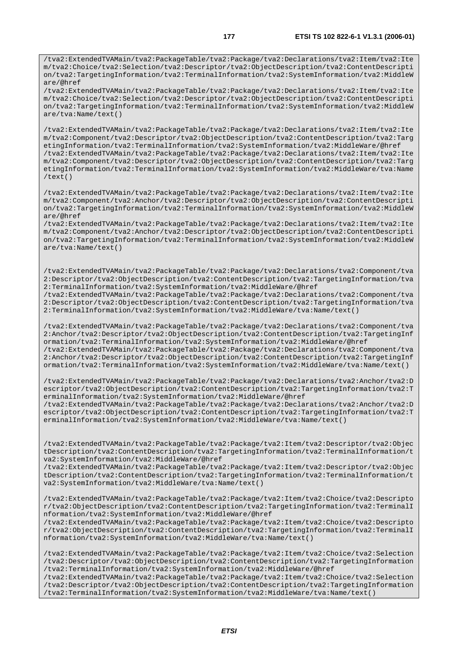/tva2:ExtendedTVAMain/tva2:PackageTable/tva2:Package/tva2:Declarations/tva2:Item/tva2:Ite m/tva2:Choice/tva2:Selection/tva2:Descriptor/tva2:ObjectDescription/tva2:ContentDescripti on/tva2:TargetingInformation/tva2:TerminalInformation/tva2:SystemInformation/tva2:MiddleW are/@href

/tva2:ExtendedTVAMain/tva2:PackageTable/tva2:Package/tva2:Declarations/tva2:Item/tva2:Ite m/tva2:Choice/tva2:Selection/tva2:Descriptor/tva2:ObjectDescription/tva2:ContentDescripti on/tva2:TargetingInformation/tva2:TerminalInformation/tva2:SystemInformation/tva2:MiddleW are/tva:Name/text()

/tva2:ExtendedTVAMain/tva2:PackageTable/tva2:Package/tva2:Declarations/tva2:Item/tva2:Ite m/tva2:Component/tva2:Descriptor/tva2:ObjectDescription/tva2:ContentDescription/tva2:Targ etingInformation/tva2:TerminalInformation/tva2:SystemInformation/tva2:MiddleWare/@href /tva2:ExtendedTVAMain/tva2:PackageTable/tva2:Package/tva2:Declarations/tva2:Item/tva2:Ite m/tva2:Component/tva2:Descriptor/tva2:ObjectDescription/tva2:ContentDescription/tva2:Targ etingInformation/tva2:TerminalInformation/tva2:SystemInformation/tva2:MiddleWare/tva:Name /text()

/tva2:ExtendedTVAMain/tva2:PackageTable/tva2:Package/tva2:Declarations/tva2:Item/tva2:Ite m/tva2:Component/tva2:Anchor/tva2:Descriptor/tva2:ObjectDescription/tva2:ContentDescripti on/tva2:TargetingInformation/tva2:TerminalInformation/tva2:SystemInformation/tva2:MiddleW are/@href

/tva2:ExtendedTVAMain/tva2:PackageTable/tva2:Package/tva2:Declarations/tva2:Item/tva2:Ite m/tva2:Component/tva2:Anchor/tva2:Descriptor/tva2:ObjectDescription/tva2:ContentDescripti on/tva2:TargetingInformation/tva2:TerminalInformation/tva2:SystemInformation/tva2:MiddleW are/tva:Name/text()

/tva2:ExtendedTVAMain/tva2:PackageTable/tva2:Package/tva2:Declarations/tva2:Component/tva 2:Descriptor/tva2:ObjectDescription/tva2:ContentDescription/tva2:TargetingInformation/tva 2:TerminalInformation/tva2:SystemInformation/tva2:MiddleWare/@href

/tva2:ExtendedTVAMain/tva2:PackageTable/tva2:Package/tva2:Declarations/tva2:Component/tva 2:Descriptor/tva2:ObjectDescription/tva2:ContentDescription/tva2:TargetingInformation/tva 2:TerminalInformation/tva2:SystemInformation/tva2:MiddleWare/tva:Name/text()

/tva2:ExtendedTVAMain/tva2:PackageTable/tva2:Package/tva2:Declarations/tva2:Component/tva 2:Anchor/tva2:Descriptor/tva2:ObjectDescription/tva2:ContentDescription/tva2:TargetingInf ormation/tva2:TerminalInformation/tva2:SystemInformation/tva2:MiddleWare/@href /tva2:ExtendedTVAMain/tva2:PackageTable/tva2:Package/tva2:Declarations/tva2:Component/tva 2:Anchor/tva2:Descriptor/tva2:ObjectDescription/tva2:ContentDescription/tva2:TargetingInf ormation/tva2:TerminalInformation/tva2:SystemInformation/tva2:MiddleWare/tva:Name/text()

/tva2:ExtendedTVAMain/tva2:PackageTable/tva2:Package/tva2:Declarations/tva2:Anchor/tva2:D escriptor/tva2:ObjectDescription/tva2:ContentDescription/tva2:TargetingInformation/tva2:T erminalInformation/tva2:SystemInformation/tva2:MiddleWare/@href /tva2:ExtendedTVAMain/tva2:PackageTable/tva2:Package/tva2:Declarations/tva2:Anchor/tva2:D escriptor/tva2:ObjectDescription/tva2:ContentDescription/tva2:TargetingInformation/tva2:T erminalInformation/tva2:SystemInformation/tva2:MiddleWare/tva:Name/text()

/tva2:ExtendedTVAMain/tva2:PackageTable/tva2:Package/tva2:Item/tva2:Descriptor/tva2:Objec tDescription/tva2:ContentDescription/tva2:TargetingInformation/tva2:TerminalInformation/t va2:SystemInformation/tva2:MiddleWare/@href

/tva2:ExtendedTVAMain/tva2:PackageTable/tva2:Package/tva2:Item/tva2:Descriptor/tva2:Objec tDescription/tva2:ContentDescription/tva2:TargetingInformation/tva2:TerminalInformation/t va2:SystemInformation/tva2:MiddleWare/tva:Name/text()

/tva2:ExtendedTVAMain/tva2:PackageTable/tva2:Package/tva2:Item/tva2:Choice/tva2:Descripto r/tva2:ObjectDescription/tva2:ContentDescription/tva2:TargetingInformation/tva2:TerminalI nformation/tva2:SystemInformation/tva2:MiddleWare/@href

/tva2:ExtendedTVAMain/tva2:PackageTable/tva2:Package/tva2:Item/tva2:Choice/tva2:Descripto r/tva2:ObjectDescription/tva2:ContentDescription/tva2:TargetingInformation/tva2:TerminalI nformation/tva2:SystemInformation/tva2:MiddleWare/tva:Name/text()

/tva2:ExtendedTVAMain/tva2:PackageTable/tva2:Package/tva2:Item/tva2:Choice/tva2:Selection /tva2:Descriptor/tva2:ObjectDescription/tva2:ContentDescription/tva2:TargetingInformation /tva2:TerminalInformation/tva2:SystemInformation/tva2:MiddleWare/@href

/tva2:ExtendedTVAMain/tva2:PackageTable/tva2:Package/tva2:Item/tva2:Choice/tva2:Selection /tva2:Descriptor/tva2:ObjectDescription/tva2:ContentDescription/tva2:TargetingInformation /tva2:TerminalInformation/tva2:SystemInformation/tva2:MiddleWare/tva:Name/text()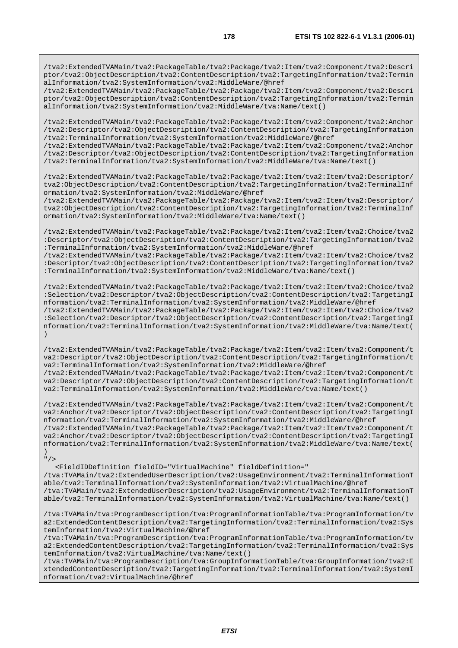/tva2:ExtendedTVAMain/tva2:PackageTable/tva2:Package/tva2:Item/tva2:Component/tva2:Descri ptor/tva2:ObjectDescription/tva2:ContentDescription/tva2:TargetingInformation/tva2:Termin alInformation/tva2:SystemInformation/tva2:MiddleWare/@href

/tva2:ExtendedTVAMain/tva2:PackageTable/tva2:Package/tva2:Item/tva2:Component/tva2:Descri ptor/tva2:ObjectDescription/tva2:ContentDescription/tva2:TargetingInformation/tva2:Termin alInformation/tva2:SystemInformation/tva2:MiddleWare/tva:Name/text()

/tva2:ExtendedTVAMain/tva2:PackageTable/tva2:Package/tva2:Item/tva2:Component/tva2:Anchor /tva2:Descriptor/tva2:ObjectDescription/tva2:ContentDescription/tva2:TargetingInformation /tva2:TerminalInformation/tva2:SystemInformation/tva2:MiddleWare/@href

/tva2:ExtendedTVAMain/tva2:PackageTable/tva2:Package/tva2:Item/tva2:Component/tva2:Anchor /tva2:Descriptor/tva2:ObjectDescription/tva2:ContentDescription/tva2:TargetingInformation /tva2:TerminalInformation/tva2:SystemInformation/tva2:MiddleWare/tva:Name/text()

/tva2:ExtendedTVAMain/tva2:PackageTable/tva2:Package/tva2:Item/tva2:Item/tva2:Descriptor/ tva2:ObjectDescription/tva2:ContentDescription/tva2:TargetingInformation/tva2:TerminalInf ormation/tva2:SystemInformation/tva2:MiddleWare/@href

/tva2:ExtendedTVAMain/tva2:PackageTable/tva2:Package/tva2:Item/tva2:Item/tva2:Descriptor/ tva2:ObjectDescription/tva2:ContentDescription/tva2:TargetingInformation/tva2:TerminalInf ormation/tva2:SystemInformation/tva2:MiddleWare/tva:Name/text()

/tva2:ExtendedTVAMain/tva2:PackageTable/tva2:Package/tva2:Item/tva2:Item/tva2:Choice/tva2 :Descriptor/tva2:ObjectDescription/tva2:ContentDescription/tva2:TargetingInformation/tva2 :TerminalInformation/tva2:SystemInformation/tva2:MiddleWare/@href

/tva2:ExtendedTVAMain/tva2:PackageTable/tva2:Package/tva2:Item/tva2:Item/tva2:Choice/tva2 :Descriptor/tva2:ObjectDescription/tva2:ContentDescription/tva2:TargetingInformation/tva2 :TerminalInformation/tva2:SystemInformation/tva2:MiddleWare/tva:Name/text()

/tva2:ExtendedTVAMain/tva2:PackageTable/tva2:Package/tva2:Item/tva2:Item/tva2:Choice/tva2 :Selection/tva2:Descriptor/tva2:ObjectDescription/tva2:ContentDescription/tva2:TargetingI nformation/tva2:TerminalInformation/tva2:SystemInformation/tva2:MiddleWare/@href /tva2:ExtendedTVAMain/tva2:PackageTable/tva2:Package/tva2:Item/tva2:Item/tva2:Choice/tva2 :Selection/tva2:Descriptor/tva2:ObjectDescription/tva2:ContentDescription/tva2:TargetingI nformation/tva2:TerminalInformation/tva2:SystemInformation/tva2:MiddleWare/tva:Name/text( )

/tva2:ExtendedTVAMain/tva2:PackageTable/tva2:Package/tva2:Item/tva2:Item/tva2:Component/t va2:Descriptor/tva2:ObjectDescription/tva2:ContentDescription/tva2:TargetingInformation/t va2:TerminalInformation/tva2:SystemInformation/tva2:MiddleWare/@href /tva2:ExtendedTVAMain/tva2:PackageTable/tva2:Package/tva2:Item/tva2:Item/tva2:Component/t va2:Descriptor/tva2:ObjectDescription/tva2:ContentDescription/tva2:TargetingInformation/t va2:TerminalInformation/tva2:SystemInformation/tva2:MiddleWare/tva:Name/text()

/tva2:ExtendedTVAMain/tva2:PackageTable/tva2:Package/tva2:Item/tva2:Item/tva2:Component/t va2:Anchor/tva2:Descriptor/tva2:ObjectDescription/tva2:ContentDescription/tva2:TargetingI nformation/tva2:TerminalInformation/tva2:SystemInformation/tva2:MiddleWare/@href /tva2:ExtendedTVAMain/tva2:PackageTable/tva2:Package/tva2:Item/tva2:Item/tva2:Component/t va2:Anchor/tva2:Descriptor/tva2:ObjectDescription/tva2:ContentDescription/tva2:TargetingI nformation/tva2:TerminalInformation/tva2:SystemInformation/tva2:MiddleWare/tva:Name/text( )

 $"$  / >

 <FieldIDDefinition fieldID="VirtualMachine" fieldDefinition=" /tva:TVAMain/tva2:ExtendedUserDescription/tva2:UsageEnvironment/tva2:TerminalInformationT able/tva2:TerminalInformation/tva2:SystemInformation/tva2:VirtualMachine/@href /tva:TVAMain/tva2:ExtendedUserDescription/tva2:UsageEnvironment/tva2:TerminalInformationT able/tva2:TerminalInformation/tva2:SystemInformation/tva2:VirtualMachine/tva:Name/text()

/tva:TVAMain/tva:ProgramDescription/tva:ProgramInformationTable/tva:ProgramInformation/tv a2:ExtendedContentDescription/tva2:TargetingInformation/tva2:TerminalInformation/tva2:Sys temInformation/tva2:VirtualMachine/@href

/tva:TVAMain/tva:ProgramDescription/tva:ProgramInformationTable/tva:ProgramInformation/tv a2:ExtendedContentDescription/tva2:TargetingInformation/tva2:TerminalInformation/tva2:Sys temInformation/tva2:VirtualMachine/tva:Name/text()

/tva:TVAMain/tva:ProgramDescription/tva:GroupInformationTable/tva:GroupInformation/tva2:E xtendedContentDescription/tva2:TargetingInformation/tva2:TerminalInformation/tva2:SystemI nformation/tva2:VirtualMachine/@href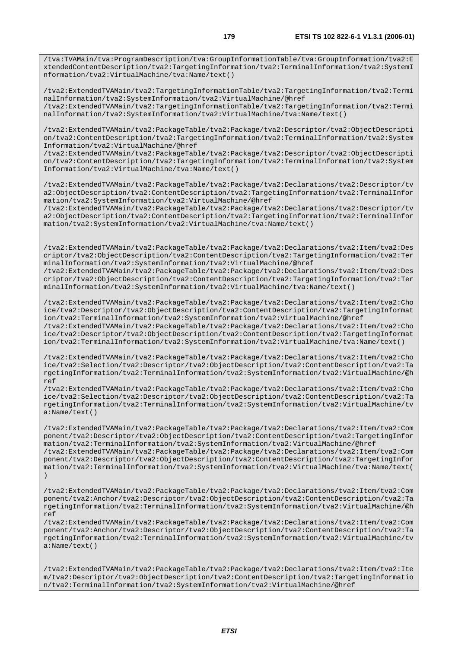/tva:TVAMain/tva:ProgramDescription/tva:GroupInformationTable/tva:GroupInformation/tva2:E xtendedContentDescription/tva2:TargetingInformation/tva2:TerminalInformation/tva2:SystemI nformation/tva2:VirtualMachine/tva:Name/text()

/tva2:ExtendedTVAMain/tva2:TargetingInformationTable/tva2:TargetingInformation/tva2:Termi nalInformation/tva2:SystemInformation/tva2:VirtualMachine/@href /tva2:ExtendedTVAMain/tva2:TargetingInformationTable/tva2:TargetingInformation/tva2:Termi nalInformation/tva2:SystemInformation/tva2:VirtualMachine/tva:Name/text()

/tva2:ExtendedTVAMain/tva2:PackageTable/tva2:Package/tva2:Descriptor/tva2:ObjectDescripti on/tva2:ContentDescription/tva2:TargetingInformation/tva2:TerminalInformation/tva2:System Information/tva2:VirtualMachine/@href

/tva2:ExtendedTVAMain/tva2:PackageTable/tva2:Package/tva2:Descriptor/tva2:ObjectDescripti on/tva2:ContentDescription/tva2:TargetingInformation/tva2:TerminalInformation/tva2:System Information/tva2:VirtualMachine/tva:Name/text()

/tva2:ExtendedTVAMain/tva2:PackageTable/tva2:Package/tva2:Declarations/tva2:Descriptor/tv a2:ObjectDescription/tva2:ContentDescription/tva2:TargetingInformation/tva2:TerminalInfor mation/tva2:SystemInformation/tva2:VirtualMachine/@href

/tva2:ExtendedTVAMain/tva2:PackageTable/tva2:Package/tva2:Declarations/tva2:Descriptor/tv a2:ObjectDescription/tva2:ContentDescription/tva2:TargetingInformation/tva2:TerminalInfor mation/tva2:SystemInformation/tva2:VirtualMachine/tva:Name/text()

/tva2:ExtendedTVAMain/tva2:PackageTable/tva2:Package/tva2:Declarations/tva2:Item/tva2:Des criptor/tva2:ObjectDescription/tva2:ContentDescription/tva2:TargetingInformation/tva2:Ter minalInformation/tva2:SystemInformation/tva2:VirtualMachine/@href /tva2:ExtendedTVAMain/tva2:PackageTable/tva2:Package/tva2:Declarations/tva2:Item/tva2:Des

criptor/tva2:ObjectDescription/tva2:ContentDescription/tva2:TargetingInformation/tva2:Ter minalInformation/tva2:SystemInformation/tva2:VirtualMachine/tva:Name/text()

/tva2:ExtendedTVAMain/tva2:PackageTable/tva2:Package/tva2:Declarations/tva2:Item/tva2:Cho ice/tva2:Descriptor/tva2:ObjectDescription/tva2:ContentDescription/tva2:TargetingInformat ion/tva2:TerminalInformation/tva2:SystemInformation/tva2:VirtualMachine/@href /tva2:ExtendedTVAMain/tva2:PackageTable/tva2:Package/tva2:Declarations/tva2:Item/tva2:Cho ice/tva2:Descriptor/tva2:ObjectDescription/tva2:ContentDescription/tva2:TargetingInformat ion/tva2:TerminalInformation/tva2:SystemInformation/tva2:VirtualMachine/tva:Name/text()

/tva2:ExtendedTVAMain/tva2:PackageTable/tva2:Package/tva2:Declarations/tva2:Item/tva2:Cho ice/tva2:Selection/tva2:Descriptor/tva2:ObjectDescription/tva2:ContentDescription/tva2:Ta rgetingInformation/tva2:TerminalInformation/tva2:SystemInformation/tva2:VirtualMachine/@h ref

/tva2:ExtendedTVAMain/tva2:PackageTable/tva2:Package/tva2:Declarations/tva2:Item/tva2:Cho ice/tva2:Selection/tva2:Descriptor/tva2:ObjectDescription/tva2:ContentDescription/tva2:Ta rgetingInformation/tva2:TerminalInformation/tva2:SystemInformation/tva2:VirtualMachine/tv a:Name/text()

/tva2:ExtendedTVAMain/tva2:PackageTable/tva2:Package/tva2:Declarations/tva2:Item/tva2:Com ponent/tva2:Descriptor/tva2:ObjectDescription/tva2:ContentDescription/tva2:TargetingInfor mation/tva2:TerminalInformation/tva2:SystemInformation/tva2:VirtualMachine/@href /tva2:ExtendedTVAMain/tva2:PackageTable/tva2:Package/tva2:Declarations/tva2:Item/tva2:Com ponent/tva2:Descriptor/tva2:ObjectDescription/tva2:ContentDescription/tva2:TargetingInfor mation/tva2:TerminalInformation/tva2:SystemInformation/tva2:VirtualMachine/tva:Name/text( )

/tva2:ExtendedTVAMain/tva2:PackageTable/tva2:Package/tva2:Declarations/tva2:Item/tva2:Com ponent/tva2:Anchor/tva2:Descriptor/tva2:ObjectDescription/tva2:ContentDescription/tva2:Ta rgetingInformation/tva2:TerminalInformation/tva2:SystemInformation/tva2:VirtualMachine/@h ref

/tva2:ExtendedTVAMain/tva2:PackageTable/tva2:Package/tva2:Declarations/tva2:Item/tva2:Com ponent/tva2:Anchor/tva2:Descriptor/tva2:ObjectDescription/tva2:ContentDescription/tva2:Ta rgetingInformation/tva2:TerminalInformation/tva2:SystemInformation/tva2:VirtualMachine/tv a:Name/text()

/tva2:ExtendedTVAMain/tva2:PackageTable/tva2:Package/tva2:Declarations/tva2:Item/tva2:Ite m/tva2:Descriptor/tva2:ObjectDescription/tva2:ContentDescription/tva2:TargetingInformatio n/tva2:TerminalInformation/tva2:SystemInformation/tva2:VirtualMachine/@href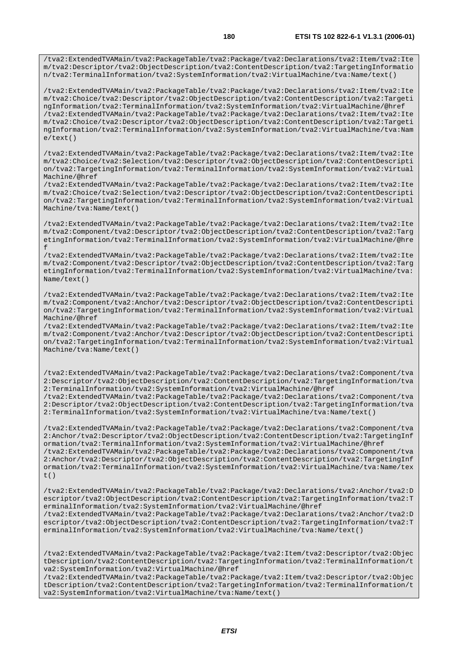/tva2:ExtendedTVAMain/tva2:PackageTable/tva2:Package/tva2:Declarations/tva2:Item/tva2:Ite m/tva2:Choice/tva2:Descriptor/tva2:ObjectDescription/tva2:ContentDescription/tva2:Targeti ngInformation/tva2:TerminalInformation/tva2:SystemInformation/tva2:VirtualMachine/@href /tva2:ExtendedTVAMain/tva2:PackageTable/tva2:Package/tva2:Declarations/tva2:Item/tva2:Ite m/tva2:Choice/tva2:Descriptor/tva2:ObjectDescription/tva2:ContentDescription/tva2:Targeti ngInformation/tva2:TerminalInformation/tva2:SystemInformation/tva2:VirtualMachine/tva:Nam e/text()

/tva2:ExtendedTVAMain/tva2:PackageTable/tva2:Package/tva2:Declarations/tva2:Item/tva2:Ite m/tva2:Choice/tva2:Selection/tva2:Descriptor/tva2:ObjectDescription/tva2:ContentDescripti on/tva2:TargetingInformation/tva2:TerminalInformation/tva2:SystemInformation/tva2:Virtual Machine/@href

/tva2:ExtendedTVAMain/tva2:PackageTable/tva2:Package/tva2:Declarations/tva2:Item/tva2:Ite m/tva2:Choice/tva2:Selection/tva2:Descriptor/tva2:ObjectDescription/tva2:ContentDescripti on/tva2:TargetingInformation/tva2:TerminalInformation/tva2:SystemInformation/tva2:Virtual Machine/tva:Name/text()

/tva2:ExtendedTVAMain/tva2:PackageTable/tva2:Package/tva2:Declarations/tva2:Item/tva2:Ite m/tva2:Component/tva2:Descriptor/tva2:ObjectDescription/tva2:ContentDescription/tva2:Targ etingInformation/tva2:TerminalInformation/tva2:SystemInformation/tva2:VirtualMachine/@hre f

/tva2:ExtendedTVAMain/tva2:PackageTable/tva2:Package/tva2:Declarations/tva2:Item/tva2:Ite m/tva2:Component/tva2:Descriptor/tva2:ObjectDescription/tva2:ContentDescription/tva2:Targ etingInformation/tva2:TerminalInformation/tva2:SystemInformation/tva2:VirtualMachine/tva: Name/text()

/tva2:ExtendedTVAMain/tva2:PackageTable/tva2:Package/tva2:Declarations/tva2:Item/tva2:Ite m/tva2:Component/tva2:Anchor/tva2:Descriptor/tva2:ObjectDescription/tva2:ContentDescripti on/tva2:TargetingInformation/tva2:TerminalInformation/tva2:SystemInformation/tva2:Virtual Machine/@href

/tva2:ExtendedTVAMain/tva2:PackageTable/tva2:Package/tva2:Declarations/tva2:Item/tva2:Ite m/tva2:Component/tva2:Anchor/tva2:Descriptor/tva2:ObjectDescription/tva2:ContentDescripti on/tva2:TargetingInformation/tva2:TerminalInformation/tva2:SystemInformation/tva2:Virtual Machine/tva:Name/text()

/tva2:ExtendedTVAMain/tva2:PackageTable/tva2:Package/tva2:Declarations/tva2:Component/tva 2:Descriptor/tva2:ObjectDescription/tva2:ContentDescription/tva2:TargetingInformation/tva 2:TerminalInformation/tva2:SystemInformation/tva2:VirtualMachine/@href /tva2:ExtendedTVAMain/tva2:PackageTable/tva2:Package/tva2:Declarations/tva2:Component/tva

2:Descriptor/tva2:ObjectDescription/tva2:ContentDescription/tva2:TargetingInformation/tva 2:TerminalInformation/tva2:SystemInformation/tva2:VirtualMachine/tva:Name/text()

/tva2:ExtendedTVAMain/tva2:PackageTable/tva2:Package/tva2:Declarations/tva2:Component/tva 2:Anchor/tva2:Descriptor/tva2:ObjectDescription/tva2:ContentDescription/tva2:TargetingInf ormation/tva2:TerminalInformation/tva2:SystemInformation/tva2:VirtualMachine/@href /tva2:ExtendedTVAMain/tva2:PackageTable/tva2:Package/tva2:Declarations/tva2:Component/tva 2:Anchor/tva2:Descriptor/tva2:ObjectDescription/tva2:ContentDescription/tva2:TargetingInf ormation/tva2:TerminalInformation/tva2:SystemInformation/tva2:VirtualMachine/tva:Name/tex  $t($ )

/tva2:ExtendedTVAMain/tva2:PackageTable/tva2:Package/tva2:Declarations/tva2:Anchor/tva2:D escriptor/tva2:ObjectDescription/tva2:ContentDescription/tva2:TargetingInformation/tva2:T erminalInformation/tva2:SystemInformation/tva2:VirtualMachine/@href /tva2:ExtendedTVAMain/tva2:PackageTable/tva2:Package/tva2:Declarations/tva2:Anchor/tva2:D escriptor/tva2:ObjectDescription/tva2:ContentDescription/tva2:TargetingInformation/tva2:T erminalInformation/tva2:SystemInformation/tva2:VirtualMachine/tva:Name/text()

/tva2:ExtendedTVAMain/tva2:PackageTable/tva2:Package/tva2:Item/tva2:Descriptor/tva2:Objec tDescription/tva2:ContentDescription/tva2:TargetingInformation/tva2:TerminalInformation/t va2:SystemInformation/tva2:VirtualMachine/@href

/tva2:ExtendedTVAMain/tva2:PackageTable/tva2:Package/tva2:Item/tva2:Descriptor/tva2:Objec tDescription/tva2:ContentDescription/tva2:TargetingInformation/tva2:TerminalInformation/t va2:SystemInformation/tva2:VirtualMachine/tva:Name/text()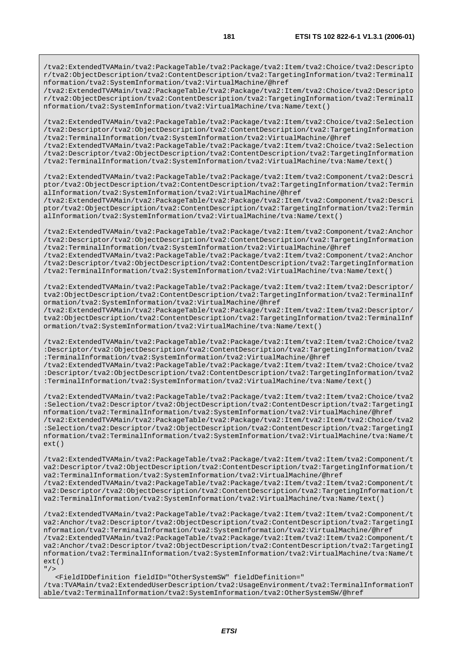/tva2:ExtendedTVAMain/tva2:PackageTable/tva2:Package/tva2:Item/tva2:Choice/tva2:Descripto r/tva2:ObjectDescription/tva2:ContentDescription/tva2:TargetingInformation/tva2:TerminalI nformation/tva2:SystemInformation/tva2:VirtualMachine/@href

/tva2:ExtendedTVAMain/tva2:PackageTable/tva2:Package/tva2:Item/tva2:Choice/tva2:Descripto r/tva2:ObjectDescription/tva2:ContentDescription/tva2:TargetingInformation/tva2:TerminalI nformation/tva2:SystemInformation/tva2:VirtualMachine/tva:Name/text()

/tva2:ExtendedTVAMain/tva2:PackageTable/tva2:Package/tva2:Item/tva2:Choice/tva2:Selection /tva2:Descriptor/tva2:ObjectDescription/tva2:ContentDescription/tva2:TargetingInformation /tva2:TerminalInformation/tva2:SystemInformation/tva2:VirtualMachine/@href

/tva2:ExtendedTVAMain/tva2:PackageTable/tva2:Package/tva2:Item/tva2:Choice/tva2:Selection /tva2:Descriptor/tva2:ObjectDescription/tva2:ContentDescription/tva2:TargetingInformation /tva2:TerminalInformation/tva2:SystemInformation/tva2:VirtualMachine/tva:Name/text()

/tva2:ExtendedTVAMain/tva2:PackageTable/tva2:Package/tva2:Item/tva2:Component/tva2:Descri ptor/tva2:ObjectDescription/tva2:ContentDescription/tva2:TargetingInformation/tva2:Termin alInformation/tva2:SystemInformation/tva2:VirtualMachine/@href

/tva2:ExtendedTVAMain/tva2:PackageTable/tva2:Package/tva2:Item/tva2:Component/tva2:Descri ptor/tva2:ObjectDescription/tva2:ContentDescription/tva2:TargetingInformation/tva2:Termin alInformation/tva2:SystemInformation/tva2:VirtualMachine/tva:Name/text()

/tva2:ExtendedTVAMain/tva2:PackageTable/tva2:Package/tva2:Item/tva2:Component/tva2:Anchor /tva2:Descriptor/tva2:ObjectDescription/tva2:ContentDescription/tva2:TargetingInformation /tva2:TerminalInformation/tva2:SystemInformation/tva2:VirtualMachine/@href /tva2:ExtendedTVAMain/tva2:PackageTable/tva2:Package/tva2:Item/tva2:Component/tva2:Anchor

/tva2:Descriptor/tva2:ObjectDescription/tva2:ContentDescription/tva2:TargetingInformation /tva2:TerminalInformation/tva2:SystemInformation/tva2:VirtualMachine/tva:Name/text()

/tva2:ExtendedTVAMain/tva2:PackageTable/tva2:Package/tva2:Item/tva2:Item/tva2:Descriptor/ tva2:ObjectDescription/tva2:ContentDescription/tva2:TargetingInformation/tva2:TerminalInf ormation/tva2:SystemInformation/tva2:VirtualMachine/@href

/tva2:ExtendedTVAMain/tva2:PackageTable/tva2:Package/tva2:Item/tva2:Item/tva2:Descriptor/ tva2:ObjectDescription/tva2:ContentDescription/tva2:TargetingInformation/tva2:TerminalInf ormation/tva2:SystemInformation/tva2:VirtualMachine/tva:Name/text()

/tva2:ExtendedTVAMain/tva2:PackageTable/tva2:Package/tva2:Item/tva2:Item/tva2:Choice/tva2 :Descriptor/tva2:ObjectDescription/tva2:ContentDescription/tva2:TargetingInformation/tva2 :TerminalInformation/tva2:SystemInformation/tva2:VirtualMachine/@href /tva2:ExtendedTVAMain/tva2:PackageTable/tva2:Package/tva2:Item/tva2:Item/tva2:Choice/tva2

:Descriptor/tva2:ObjectDescription/tva2:ContentDescription/tva2:TargetingInformation/tva2 :TerminalInformation/tva2:SystemInformation/tva2:VirtualMachine/tva:Name/text()

/tva2:ExtendedTVAMain/tva2:PackageTable/tva2:Package/tva2:Item/tva2:Item/tva2:Choice/tva2 :Selection/tva2:Descriptor/tva2:ObjectDescription/tva2:ContentDescription/tva2:TargetingI nformation/tva2:TerminalInformation/tva2:SystemInformation/tva2:VirtualMachine/@href /tva2:ExtendedTVAMain/tva2:PackageTable/tva2:Package/tva2:Item/tva2:Item/tva2:Choice/tva2 :Selection/tva2:Descriptor/tva2:ObjectDescription/tva2:ContentDescription/tva2:TargetingI nformation/tva2:TerminalInformation/tva2:SystemInformation/tva2:VirtualMachine/tva:Name/t  $ext()$ 

/tva2:ExtendedTVAMain/tva2:PackageTable/tva2:Package/tva2:Item/tva2:Item/tva2:Component/t va2:Descriptor/tva2:ObjectDescription/tva2:ContentDescription/tva2:TargetingInformation/t va2:TerminalInformation/tva2:SystemInformation/tva2:VirtualMachine/@href /tva2:ExtendedTVAMain/tva2:PackageTable/tva2:Package/tva2:Item/tva2:Item/tva2:Component/t va2:Descriptor/tva2:ObjectDescription/tva2:ContentDescription/tva2:TargetingInformation/t va2:TerminalInformation/tva2:SystemInformation/tva2:VirtualMachine/tva:Name/text()

/tva2:ExtendedTVAMain/tva2:PackageTable/tva2:Package/tva2:Item/tva2:Item/tva2:Component/t va2:Anchor/tva2:Descriptor/tva2:ObjectDescription/tva2:ContentDescription/tva2:TargetingI nformation/tva2:TerminalInformation/tva2:SystemInformation/tva2:VirtualMachine/@href /tva2:ExtendedTVAMain/tva2:PackageTable/tva2:Package/tva2:Item/tva2:Item/tva2:Component/t va2:Anchor/tva2:Descriptor/tva2:ObjectDescription/tva2:ContentDescription/tva2:TargetingI nformation/tva2:TerminalInformation/tva2:SystemInformation/tva2:VirtualMachine/tva:Name/t ext()

 <FieldIDDefinition fieldID="OtherSystemSW" fieldDefinition=" /tva:TVAMain/tva2:ExtendedUserDescription/tva2:UsageEnvironment/tva2:TerminalInformationT able/tva2:TerminalInformation/tva2:SystemInformation/tva2:OtherSystemSW/@href

 $/$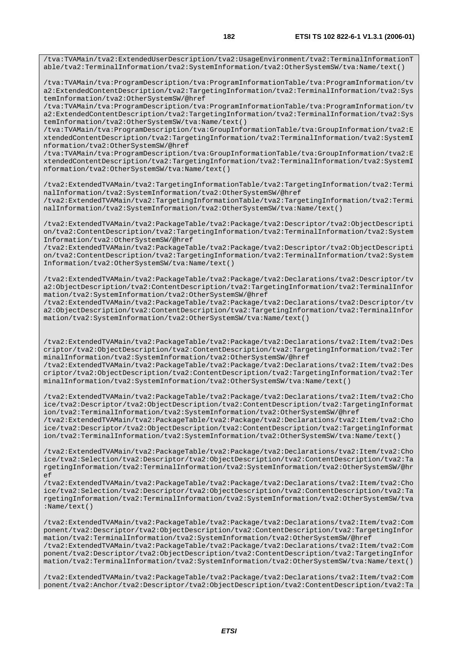/tva:TVAMain/tva2:ExtendedUserDescription/tva2:UsageEnvironment/tva2:TerminalInformationT able/tva2:TerminalInformation/tva2:SystemInformation/tva2:OtherSystemSW/tva:Name/text()

/tva:TVAMain/tva:ProgramDescription/tva:ProgramInformationTable/tva:ProgramInformation/tv a2:ExtendedContentDescription/tva2:TargetingInformation/tva2:TerminalInformation/tva2:Sys temInformation/tva2:OtherSystemSW/@href

/tva:TVAMain/tva:ProgramDescription/tva:ProgramInformationTable/tva:ProgramInformation/tv a2:ExtendedContentDescription/tva2:TargetingInformation/tva2:TerminalInformation/tva2:Sys temInformation/tva2:OtherSystemSW/tva:Name/text()

/tva:TVAMain/tva:ProgramDescription/tva:GroupInformationTable/tva:GroupInformation/tva2:E xtendedContentDescription/tva2:TargetingInformation/tva2:TerminalInformation/tva2:SystemI nformation/tva2:OtherSystemSW/@href

/tva:TVAMain/tva:ProgramDescription/tva:GroupInformationTable/tva:GroupInformation/tva2:E xtendedContentDescription/tva2:TargetingInformation/tva2:TerminalInformation/tva2:SystemI nformation/tva2:OtherSystemSW/tva:Name/text()

/tva2:ExtendedTVAMain/tva2:TargetingInformationTable/tva2:TargetingInformation/tva2:Termi nalInformation/tva2:SystemInformation/tva2:OtherSystemSW/@href /tva2:ExtendedTVAMain/tva2:TargetingInformationTable/tva2:TargetingInformation/tva2:Termi nalInformation/tva2:SystemInformation/tva2:OtherSystemSW/tva:Name/text()

/tva2:ExtendedTVAMain/tva2:PackageTable/tva2:Package/tva2:Descriptor/tva2:ObjectDescripti on/tva2:ContentDescription/tva2:TargetingInformation/tva2:TerminalInformation/tva2:System Information/tva2:OtherSystemSW/@href

/tva2:ExtendedTVAMain/tva2:PackageTable/tva2:Package/tva2:Descriptor/tva2:ObjectDescripti on/tva2:ContentDescription/tva2:TargetingInformation/tva2:TerminalInformation/tva2:System Information/tva2:OtherSystemSW/tva:Name/text()

/tva2:ExtendedTVAMain/tva2:PackageTable/tva2:Package/tva2:Declarations/tva2:Descriptor/tv a2:ObjectDescription/tva2:ContentDescription/tva2:TargetingInformation/tva2:TerminalInfor mation/tva2:SystemInformation/tva2:OtherSystemSW/@href

/tva2:ExtendedTVAMain/tva2:PackageTable/tva2:Package/tva2:Declarations/tva2:Descriptor/tv a2:ObjectDescription/tva2:ContentDescription/tva2:TargetingInformation/tva2:TerminalInfor mation/tva2:SystemInformation/tva2:OtherSystemSW/tva:Name/text()

/tva2:ExtendedTVAMain/tva2:PackageTable/tva2:Package/tva2:Declarations/tva2:Item/tva2:Des criptor/tva2:ObjectDescription/tva2:ContentDescription/tva2:TargetingInformation/tva2:Ter minalInformation/tva2:SystemInformation/tva2:OtherSystemSW/@href

/tva2:ExtendedTVAMain/tva2:PackageTable/tva2:Package/tva2:Declarations/tva2:Item/tva2:Des criptor/tva2:ObjectDescription/tva2:ContentDescription/tva2:TargetingInformation/tva2:Ter minalInformation/tva2:SystemInformation/tva2:OtherSystemSW/tva:Name/text()

/tva2:ExtendedTVAMain/tva2:PackageTable/tva2:Package/tva2:Declarations/tva2:Item/tva2:Cho ice/tva2:Descriptor/tva2:ObjectDescription/tva2:ContentDescription/tva2:TargetingInformat ion/tva2:TerminalInformation/tva2:SystemInformation/tva2:OtherSystemSW/@href /tva2:ExtendedTVAMain/tva2:PackageTable/tva2:Package/tva2:Declarations/tva2:Item/tva2:Cho ice/tva2:Descriptor/tva2:ObjectDescription/tva2:ContentDescription/tva2:TargetingInformat ion/tva2:TerminalInformation/tva2:SystemInformation/tva2:OtherSystemSW/tva:Name/text()

/tva2:ExtendedTVAMain/tva2:PackageTable/tva2:Package/tva2:Declarations/tva2:Item/tva2:Cho ice/tva2:Selection/tva2:Descriptor/tva2:ObjectDescription/tva2:ContentDescription/tva2:Ta rgetingInformation/tva2:TerminalInformation/tva2:SystemInformation/tva2:OtherSystemSW/@hr  $ef$ 

/tva2:ExtendedTVAMain/tva2:PackageTable/tva2:Package/tva2:Declarations/tva2:Item/tva2:Cho ice/tva2:Selection/tva2:Descriptor/tva2:ObjectDescription/tva2:ContentDescription/tva2:Ta rgetingInformation/tva2:TerminalInformation/tva2:SystemInformation/tva2:OtherSystemSW/tva :Name/text()

/tva2:ExtendedTVAMain/tva2:PackageTable/tva2:Package/tva2:Declarations/tva2:Item/tva2:Com ponent/tva2:Descriptor/tva2:ObjectDescription/tva2:ContentDescription/tva2:TargetingInfor mation/tva2:TerminalInformation/tva2:SystemInformation/tva2:OtherSystemSW/@href /tva2:ExtendedTVAMain/tva2:PackageTable/tva2:Package/tva2:Declarations/tva2:Item/tva2:Com ponent/tva2:Descriptor/tva2:ObjectDescription/tva2:ContentDescription/tva2:TargetingInfor mation/tva2:TerminalInformation/tva2:SystemInformation/tva2:OtherSystemSW/tva:Name/text()

/tva2:ExtendedTVAMain/tva2:PackageTable/tva2:Package/tva2:Declarations/tva2:Item/tva2:Com ponent/tva2:Anchor/tva2:Descriptor/tva2:ObjectDescription/tva2:ContentDescription/tva2:Ta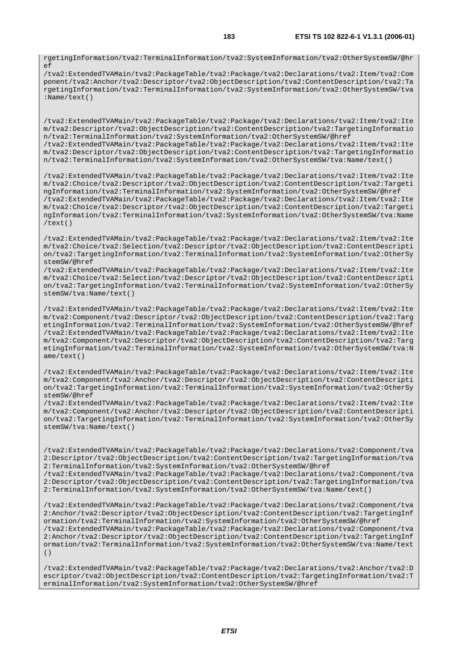rgetingInformation/tva2:TerminalInformation/tva2:SystemInformation/tva2:OtherSystemSW/@hr  $\overline{P}$ 

/tva2:ExtendedTVAMain/tva2:PackageTable/tva2:Package/tva2:Declarations/tva2:Item/tva2:Com ponent/tva2:Anchor/tva2:Descriptor/tva2:ObjectDescription/tva2:ContentDescription/tva2:Ta rgetingInformation/tva2:TerminalInformation/tva2:SystemInformation/tva2:OtherSystemSW/tva :Name/text()

/tva2:ExtendedTVAMain/tva2:PackageTable/tva2:Package/tva2:Declarations/tva2:Item/tva2:Ite m/tva2:Descriptor/tva2:ObjectDescription/tva2:ContentDescription/tva2:TargetingInformatio n/tva2:TerminalInformation/tva2:SystemInformation/tva2:OtherSystemSW/@href /tva2:ExtendedTVAMain/tva2:PackageTable/tva2:Package/tva2:Declarations/tva2:Item/tva2:Ite m/tva2:Descriptor/tva2:ObjectDescription/tva2:ContentDescription/tva2:TargetingInformatio n/tva2:TerminalInformation/tva2:SystemInformation/tva2:OtherSystemSW/tva:Name/text()

/tva2:ExtendedTVAMain/tva2:PackageTable/tva2:Package/tva2:Declarations/tva2:Item/tva2:Ite m/tva2:Choice/tva2:Descriptor/tva2:ObjectDescription/tva2:ContentDescription/tva2:Targeti ngInformation/tva2:TerminalInformation/tva2:SystemInformation/tva2:OtherSystemSW/@href /tva2:ExtendedTVAMain/tva2:PackageTable/tva2:Package/tva2:Declarations/tva2:Item/tva2:Ite m/tva2:Choice/tva2:Descriptor/tva2:ObjectDescription/tva2:ContentDescription/tva2:Targeti ngInformation/tva2:TerminalInformation/tva2:SystemInformation/tva2:OtherSystemSW/tva:Name /text()

/tva2:ExtendedTVAMain/tva2:PackageTable/tva2:Package/tva2:Declarations/tva2:Item/tva2:Ite m/tva2:Choice/tva2:Selection/tva2:Descriptor/tva2:ObjectDescription/tva2:ContentDescripti on/tva2:TargetingInformation/tva2:TerminalInformation/tva2:SystemInformation/tva2:OtherSy stemSW/@href

/tva2:ExtendedTVAMain/tva2:PackageTable/tva2:Package/tva2:Declarations/tva2:Item/tva2:Ite m/tva2:Choice/tva2:Selection/tva2:Descriptor/tva2:ObjectDescription/tva2:ContentDescripti on/tva2:TargetingInformation/tva2:TerminalInformation/tva2:SystemInformation/tva2:OtherSy stemSW/tva:Name/text()

/tva2:ExtendedTVAMain/tva2:PackageTable/tva2:Package/tva2:Declarations/tva2:Item/tva2:Ite m/tva2:Component/tva2:Descriptor/tva2:ObjectDescription/tva2:ContentDescription/tva2:Targ etingInformation/tva2:TerminalInformation/tva2:SystemInformation/tva2:OtherSystemSW/@href /tva2:ExtendedTVAMain/tva2:PackageTable/tva2:Package/tva2:Declarations/tva2:Item/tva2:Ite m/tva2:Component/tva2:Descriptor/tva2:ObjectDescription/tva2:ContentDescription/tva2:Targ etingInformation/tva2:TerminalInformation/tva2:SystemInformation/tva2:OtherSystemSW/tva:N ame/text()

/tva2:ExtendedTVAMain/tva2:PackageTable/tva2:Package/tva2:Declarations/tva2:Item/tva2:Ite m/tva2:Component/tva2:Anchor/tva2:Descriptor/tva2:ObjectDescription/tva2:ContentDescripti on/tva2:TargetingInformation/tva2:TerminalInformation/tva2:SystemInformation/tva2:OtherSy stemSW/@href

/tva2:ExtendedTVAMain/tva2:PackageTable/tva2:Package/tva2:Declarations/tva2:Item/tva2:Ite m/tva2:Component/tva2:Anchor/tva2:Descriptor/tva2:ObjectDescription/tva2:ContentDescripti on/tva2:TargetingInformation/tva2:TerminalInformation/tva2:SystemInformation/tva2:OtherSy stemSW/tva:Name/text()

/tva2:ExtendedTVAMain/tva2:PackageTable/tva2:Package/tva2:Declarations/tva2:Component/tva 2:Descriptor/tva2:ObjectDescription/tva2:ContentDescription/tva2:TargetingInformation/tva 2:TerminalInformation/tva2:SystemInformation/tva2:OtherSystemSW/@href

/tva2:ExtendedTVAMain/tva2:PackageTable/tva2:Package/tva2:Declarations/tva2:Component/tva 2:Descriptor/tva2:ObjectDescription/tva2:ContentDescription/tva2:TargetingInformation/tva 2:TerminalInformation/tva2:SystemInformation/tva2:OtherSystemSW/tva:Name/text()

/tva2:ExtendedTVAMain/tva2:PackageTable/tva2:Package/tva2:Declarations/tva2:Component/tva 2:Anchor/tva2:Descriptor/tva2:ObjectDescription/tva2:ContentDescription/tva2:TargetingInf ormation/tva2:TerminalInformation/tva2:SystemInformation/tva2:OtherSystemSW/@href /tva2:ExtendedTVAMain/tva2:PackageTable/tva2:Package/tva2:Declarations/tva2:Component/tva 2:Anchor/tva2:Descriptor/tva2:ObjectDescription/tva2:ContentDescription/tva2:TargetingInf ormation/tva2:TerminalInformation/tva2:SystemInformation/tva2:OtherSystemSW/tva:Name/text ()

/tva2:ExtendedTVAMain/tva2:PackageTable/tva2:Package/tva2:Declarations/tva2:Anchor/tva2:D escriptor/tva2:ObjectDescription/tva2:ContentDescription/tva2:TargetingInformation/tva2:T erminalInformation/tva2:SystemInformation/tva2:OtherSystemSW/@href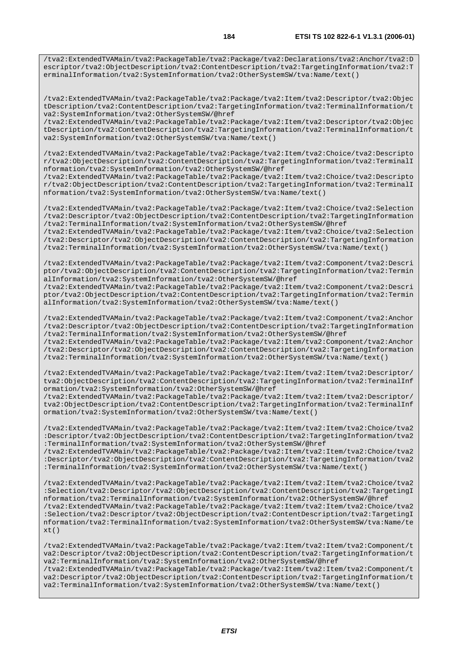/tva2:ExtendedTVAMain/tva2:PackageTable/tva2:Package/tva2:Declarations/tva2:Anchor/tva2:D escriptor/tva2:ObjectDescription/tva2:ContentDescription/tva2:TargetingInformation/tva2:T erminalInformation/tva2:SystemInformation/tva2:OtherSystemSW/tva:Name/text()

/tva2:ExtendedTVAMain/tva2:PackageTable/tva2:Package/tva2:Item/tva2:Descriptor/tva2:Objec tDescription/tva2:ContentDescription/tva2:TargetingInformation/tva2:TerminalInformation/t va2:SystemInformation/tva2:OtherSystemSW/@href

/tva2:ExtendedTVAMain/tva2:PackageTable/tva2:Package/tva2:Item/tva2:Descriptor/tva2:Objec tDescription/tva2:ContentDescription/tva2:TargetingInformation/tva2:TerminalInformation/t va2:SystemInformation/tva2:OtherSystemSW/tva:Name/text()

/tva2:ExtendedTVAMain/tva2:PackageTable/tva2:Package/tva2:Item/tva2:Choice/tva2:Descripto r/tva2:ObjectDescription/tva2:ContentDescription/tva2:TargetingInformation/tva2:TerminalI nformation/tva2:SystemInformation/tva2:OtherSystemSW/@href

/tva2:ExtendedTVAMain/tva2:PackageTable/tva2:Package/tva2:Item/tva2:Choice/tva2:Descripto r/tva2:ObjectDescription/tva2:ContentDescription/tva2:TargetingInformation/tva2:TerminalI nformation/tva2:SystemInformation/tva2:OtherSystemSW/tva:Name/text()

/tva2:ExtendedTVAMain/tva2:PackageTable/tva2:Package/tva2:Item/tva2:Choice/tva2:Selection /tva2:Descriptor/tva2:ObjectDescription/tva2:ContentDescription/tva2:TargetingInformation /tva2:TerminalInformation/tva2:SystemInformation/tva2:OtherSystemSW/@href

/tva2:ExtendedTVAMain/tva2:PackageTable/tva2:Package/tva2:Item/tva2:Choice/tva2:Selection /tva2:Descriptor/tva2:ObjectDescription/tva2:ContentDescription/tva2:TargetingInformation /tva2:TerminalInformation/tva2:SystemInformation/tva2:OtherSystemSW/tva:Name/text()

/tva2:ExtendedTVAMain/tva2:PackageTable/tva2:Package/tva2:Item/tva2:Component/tva2:Descri ptor/tva2:ObjectDescription/tva2:ContentDescription/tva2:TargetingInformation/tva2:Termin alInformation/tva2:SystemInformation/tva2:OtherSystemSW/@href

/tva2:ExtendedTVAMain/tva2:PackageTable/tva2:Package/tva2:Item/tva2:Component/tva2:Descri ptor/tva2:ObjectDescription/tva2:ContentDescription/tva2:TargetingInformation/tva2:Termin alInformation/tva2:SystemInformation/tva2:OtherSystemSW/tva:Name/text()

/tva2:ExtendedTVAMain/tva2:PackageTable/tva2:Package/tva2:Item/tva2:Component/tva2:Anchor /tva2:Descriptor/tva2:ObjectDescription/tva2:ContentDescription/tva2:TargetingInformation /tva2:TerminalInformation/tva2:SystemInformation/tva2:OtherSystemSW/@href /tva2:ExtendedTVAMain/tva2:PackageTable/tva2:Package/tva2:Item/tva2:Component/tva2:Anchor

/tva2:Descriptor/tva2:ObjectDescription/tva2:ContentDescription/tva2:TargetingInformation /tva2:TerminalInformation/tva2:SystemInformation/tva2:OtherSystemSW/tva:Name/text()

/tva2:ExtendedTVAMain/tva2:PackageTable/tva2:Package/tva2:Item/tva2:Item/tva2:Descriptor/ tva2:ObjectDescription/tva2:ContentDescription/tva2:TargetingInformation/tva2:TerminalInf ormation/tva2:SystemInformation/tva2:OtherSystemSW/@href

/tva2:ExtendedTVAMain/tva2:PackageTable/tva2:Package/tva2:Item/tva2:Item/tva2:Descriptor/ tva2:ObjectDescription/tva2:ContentDescription/tva2:TargetingInformation/tva2:TerminalInf ormation/tva2:SystemInformation/tva2:OtherSystemSW/tva:Name/text()

/tva2:ExtendedTVAMain/tva2:PackageTable/tva2:Package/tva2:Item/tva2:Item/tva2:Choice/tva2 :Descriptor/tva2:ObjectDescription/tva2:ContentDescription/tva2:TargetingInformation/tva2 :TerminalInformation/tva2:SystemInformation/tva2:OtherSystemSW/@href

/tva2:ExtendedTVAMain/tva2:PackageTable/tva2:Package/tva2:Item/tva2:Item/tva2:Choice/tva2 :Descriptor/tva2:ObjectDescription/tva2:ContentDescription/tva2:TargetingInformation/tva2 :TerminalInformation/tva2:SystemInformation/tva2:OtherSystemSW/tva:Name/text()

/tva2:ExtendedTVAMain/tva2:PackageTable/tva2:Package/tva2:Item/tva2:Item/tva2:Choice/tva2 :Selection/tva2:Descriptor/tva2:ObjectDescription/tva2:ContentDescription/tva2:TargetingI nformation/tva2:TerminalInformation/tva2:SystemInformation/tva2:OtherSystemSW/@href /tva2:ExtendedTVAMain/tva2:PackageTable/tva2:Package/tva2:Item/tva2:Item/tva2:Choice/tva2 :Selection/tva2:Descriptor/tva2:ObjectDescription/tva2:ContentDescription/tva2:TargetingI nformation/tva2:TerminalInformation/tva2:SystemInformation/tva2:OtherSystemSW/tva:Name/te  $xt()$ 

/tva2:ExtendedTVAMain/tva2:PackageTable/tva2:Package/tva2:Item/tva2:Item/tva2:Component/t va2:Descriptor/tva2:ObjectDescription/tva2:ContentDescription/tva2:TargetingInformation/t va2:TerminalInformation/tva2:SystemInformation/tva2:OtherSystemSW/@href /tva2:ExtendedTVAMain/tva2:PackageTable/tva2:Package/tva2:Item/tva2:Item/tva2:Component/t va2:Descriptor/tva2:ObjectDescription/tva2:ContentDescription/tva2:TargetingInformation/t va2:TerminalInformation/tva2:SystemInformation/tva2:OtherSystemSW/tva:Name/text()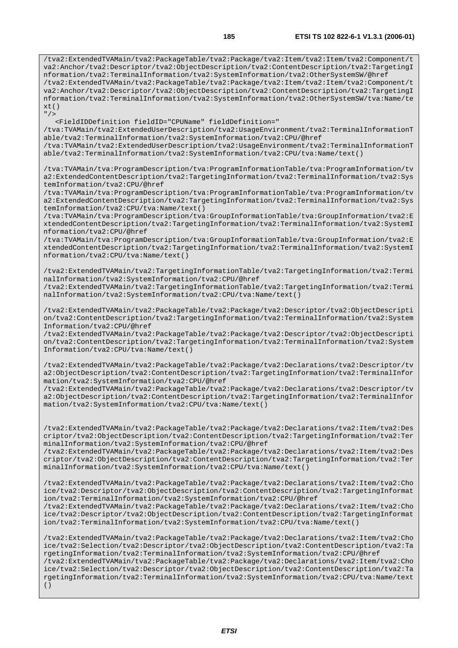/tva2:ExtendedTVAMain/tva2:PackageTable/tva2:Package/tva2:Item/tva2:Item/tva2:Component/t va2:Anchor/tva2:Descriptor/tva2:ObjectDescription/tva2:ContentDescription/tva2:TargetingI nformation/tva2:TerminalInformation/tva2:SystemInformation/tva2:OtherSystemSW/@href /tva2:ExtendedTVAMain/tva2:PackageTable/tva2:Package/tva2:Item/tva2:Item/tva2:Component/t va2:Anchor/tva2:Descriptor/tva2:ObjectDescription/tva2:ContentDescription/tva2:TargetingI nformation/tva2:TerminalInformation/tva2:SystemInformation/tva2:OtherSystemSW/tva:Name/te  $xt()$ 

 $"$  /> <FieldIDDefinition fieldID="CPUName" fieldDefinition="

/tva:TVAMain/tva2:ExtendedUserDescription/tva2:UsageEnvironment/tva2:TerminalInformationT able/tva2:TerminalInformation/tva2:SystemInformation/tva2:CPU/@href

/tva:TVAMain/tva2:ExtendedUserDescription/tva2:UsageEnvironment/tva2:TerminalInformationT able/tva2:TerminalInformation/tva2:SystemInformation/tva2:CPU/tva:Name/text()

/tva:TVAMain/tva:ProgramDescription/tva:ProgramInformationTable/tva:ProgramInformation/tv a2:ExtendedContentDescription/tva2:TargetingInformation/tva2:TerminalInformation/tva2:Sys temInformation/tva2:CPU/@href

/tva:TVAMain/tva:ProgramDescription/tva:ProgramInformationTable/tva:ProgramInformation/tv a2:ExtendedContentDescription/tva2:TargetingInformation/tva2:TerminalInformation/tva2:Sys temInformation/tva2:CPU/tva:Name/text()

/tva:TVAMain/tva:ProgramDescription/tva:GroupInformationTable/tva:GroupInformation/tva2:E xtendedContentDescription/tva2:TargetingInformation/tva2:TerminalInformation/tva2:SystemI nformation/tva2:CPU/@href

/tva:TVAMain/tva:ProgramDescription/tva:GroupInformationTable/tva:GroupInformation/tva2:E xtendedContentDescription/tva2:TargetingInformation/tva2:TerminalInformation/tva2:SystemI nformation/tva2:CPU/tva:Name/text()

/tva2:ExtendedTVAMain/tva2:TargetingInformationTable/tva2:TargetingInformation/tva2:Termi nalInformation/tva2:SystemInformation/tva2:CPU/@href

/tva2:ExtendedTVAMain/tva2:TargetingInformationTable/tva2:TargetingInformation/tva2:Termi nalInformation/tva2:SystemInformation/tva2:CPU/tva:Name/text()

/tva2:ExtendedTVAMain/tva2:PackageTable/tva2:Package/tva2:Descriptor/tva2:ObjectDescripti on/tva2:ContentDescription/tva2:TargetingInformation/tva2:TerminalInformation/tva2:System Information/tva2:CPU/@href

/tva2:ExtendedTVAMain/tva2:PackageTable/tva2:Package/tva2:Descriptor/tva2:ObjectDescripti on/tva2:ContentDescription/tva2:TargetingInformation/tva2:TerminalInformation/tva2:System Information/tva2:CPU/tva:Name/text()

/tva2:ExtendedTVAMain/tva2:PackageTable/tva2:Package/tva2:Declarations/tva2:Descriptor/tv a2:ObjectDescription/tva2:ContentDescription/tva2:TargetingInformation/tva2:TerminalInfor mation/tva2:SystemInformation/tva2:CPU/@href

/tva2:ExtendedTVAMain/tva2:PackageTable/tva2:Package/tva2:Declarations/tva2:Descriptor/tv a2:ObjectDescription/tva2:ContentDescription/tva2:TargetingInformation/tva2:TerminalInfor mation/tva2:SystemInformation/tva2:CPU/tva:Name/text()

/tva2:ExtendedTVAMain/tva2:PackageTable/tva2:Package/tva2:Declarations/tva2:Item/tva2:Des criptor/tva2:ObjectDescription/tva2:ContentDescription/tva2:TargetingInformation/tva2:Ter minalInformation/tva2:SystemInformation/tva2:CPU/@href

/tva2:ExtendedTVAMain/tva2:PackageTable/tva2:Package/tva2:Declarations/tva2:Item/tva2:Des criptor/tva2:ObjectDescription/tva2:ContentDescription/tva2:TargetingInformation/tva2:Ter minalInformation/tva2:SystemInformation/tva2:CPU/tva:Name/text()

/tva2:ExtendedTVAMain/tva2:PackageTable/tva2:Package/tva2:Declarations/tva2:Item/tva2:Cho ice/tva2:Descriptor/tva2:ObjectDescription/tva2:ContentDescription/tva2:TargetingInformat ion/tva2:TerminalInformation/tva2:SystemInformation/tva2:CPU/@href

/tva2:ExtendedTVAMain/tva2:PackageTable/tva2:Package/tva2:Declarations/tva2:Item/tva2:Cho ice/tva2:Descriptor/tva2:ObjectDescription/tva2:ContentDescription/tva2:TargetingInformat ion/tva2:TerminalInformation/tva2:SystemInformation/tva2:CPU/tva:Name/text()

/tva2:ExtendedTVAMain/tva2:PackageTable/tva2:Package/tva2:Declarations/tva2:Item/tva2:Cho ice/tva2:Selection/tva2:Descriptor/tva2:ObjectDescription/tva2:ContentDescription/tva2:Ta rgetingInformation/tva2:TerminalInformation/tva2:SystemInformation/tva2:CPU/@href /tva2:ExtendedTVAMain/tva2:PackageTable/tva2:Package/tva2:Declarations/tva2:Item/tva2:Cho ice/tva2:Selection/tva2:Descriptor/tva2:ObjectDescription/tva2:ContentDescription/tva2:Ta rgetingInformation/tva2:TerminalInformation/tva2:SystemInformation/tva2:CPU/tva:Name/text ()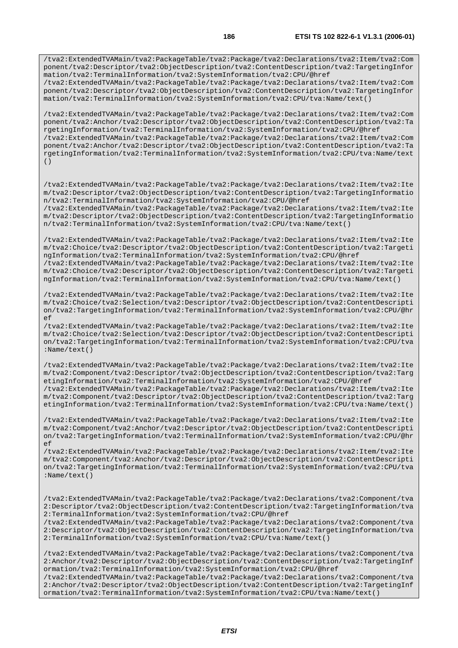/tva2:ExtendedTVAMain/tva2:PackageTable/tva2:Package/tva2:Declarations/tva2:Item/tva2:Com ponent/tva2:Descriptor/tva2:ObjectDescription/tva2:ContentDescription/tva2:TargetingInfor mation/tva2:TerminalInformation/tva2:SystemInformation/tva2:CPU/@href /tva2:ExtendedTVAMain/tva2:PackageTable/tva2:Package/tva2:Declarations/tva2:Item/tva2:Com

ponent/tva2:Descriptor/tva2:ObjectDescription/tva2:ContentDescription/tva2:TargetingInfor mation/tva2:TerminalInformation/tva2:SystemInformation/tva2:CPU/tva:Name/text()

/tva2:ExtendedTVAMain/tva2:PackageTable/tva2:Package/tva2:Declarations/tva2:Item/tva2:Com ponent/tva2:Anchor/tva2:Descriptor/tva2:ObjectDescription/tva2:ContentDescription/tva2:Ta rgetingInformation/tva2:TerminalInformation/tva2:SystemInformation/tva2:CPU/@href /tva2:ExtendedTVAMain/tva2:PackageTable/tva2:Package/tva2:Declarations/tva2:Item/tva2:Com ponent/tva2:Anchor/tva2:Descriptor/tva2:ObjectDescription/tva2:ContentDescription/tva2:Ta rgetingInformation/tva2:TerminalInformation/tva2:SystemInformation/tva2:CPU/tva:Name/text ()

/tva2:ExtendedTVAMain/tva2:PackageTable/tva2:Package/tva2:Declarations/tva2:Item/tva2:Ite m/tva2:Descriptor/tva2:ObjectDescription/tva2:ContentDescription/tva2:TargetingInformatio n/tva2:TerminalInformation/tva2:SystemInformation/tva2:CPU/@href /tva2:ExtendedTVAMain/tva2:PackageTable/tva2:Package/tva2:Declarations/tva2:Item/tva2:Ite

m/tva2:Descriptor/tva2:ObjectDescription/tva2:ContentDescription/tva2:TargetingInformatio n/tva2:TerminalInformation/tva2:SystemInformation/tva2:CPU/tva:Name/text()

/tva2:ExtendedTVAMain/tva2:PackageTable/tva2:Package/tva2:Declarations/tva2:Item/tva2:Ite m/tva2:Choice/tva2:Descriptor/tva2:ObjectDescription/tva2:ContentDescription/tva2:Targeti ngInformation/tva2:TerminalInformation/tva2:SystemInformation/tva2:CPU/@href /tva2:ExtendedTVAMain/tva2:PackageTable/tva2:Package/tva2:Declarations/tva2:Item/tva2:Ite m/tva2:Choice/tva2:Descriptor/tva2:ObjectDescription/tva2:ContentDescription/tva2:Targeti

ngInformation/tva2:TerminalInformation/tva2:SystemInformation/tva2:CPU/tva:Name/text()

/tva2:ExtendedTVAMain/tva2:PackageTable/tva2:Package/tva2:Declarations/tva2:Item/tva2:Ite m/tva2:Choice/tva2:Selection/tva2:Descriptor/tva2:ObjectDescription/tva2:ContentDescripti on/tva2:TargetingInformation/tva2:TerminalInformation/tva2:SystemInformation/tva2:CPU/@hr  $\alpha$  f

/tva2:ExtendedTVAMain/tva2:PackageTable/tva2:Package/tva2:Declarations/tva2:Item/tva2:Ite m/tva2:Choice/tva2:Selection/tva2:Descriptor/tva2:ObjectDescription/tva2:ContentDescripti on/tva2:TargetingInformation/tva2:TerminalInformation/tva2:SystemInformation/tva2:CPU/tva :Name/text()

/tva2:ExtendedTVAMain/tva2:PackageTable/tva2:Package/tva2:Declarations/tva2:Item/tva2:Ite m/tva2:Component/tva2:Descriptor/tva2:ObjectDescription/tva2:ContentDescription/tva2:Targ etingInformation/tva2:TerminalInformation/tva2:SystemInformation/tva2:CPU/@href /tva2:ExtendedTVAMain/tva2:PackageTable/tva2:Package/tva2:Declarations/tva2:Item/tva2:Ite m/tva2:Component/tva2:Descriptor/tva2:ObjectDescription/tva2:ContentDescription/tva2:Targ etingInformation/tva2:TerminalInformation/tva2:SystemInformation/tva2:CPU/tva:Name/text()

/tva2:ExtendedTVAMain/tva2:PackageTable/tva2:Package/tva2:Declarations/tva2:Item/tva2:Ite m/tva2:Component/tva2:Anchor/tva2:Descriptor/tva2:ObjectDescription/tva2:ContentDescripti on/tva2:TargetingInformation/tva2:TerminalInformation/tva2:SystemInformation/tva2:CPU/@hr ef

/tva2:ExtendedTVAMain/tva2:PackageTable/tva2:Package/tva2:Declarations/tva2:Item/tva2:Ite m/tva2:Component/tva2:Anchor/tva2:Descriptor/tva2:ObjectDescription/tva2:ContentDescripti on/tva2:TargetingInformation/tva2:TerminalInformation/tva2:SystemInformation/tva2:CPU/tva :Name/text()

/tva2:ExtendedTVAMain/tva2:PackageTable/tva2:Package/tva2:Declarations/tva2:Component/tva 2:Descriptor/tva2:ObjectDescription/tva2:ContentDescription/tva2:TargetingInformation/tva 2:TerminalInformation/tva2:SystemInformation/tva2:CPU/@href

/tva2:ExtendedTVAMain/tva2:PackageTable/tva2:Package/tva2:Declarations/tva2:Component/tva 2:Descriptor/tva2:ObjectDescription/tva2:ContentDescription/tva2:TargetingInformation/tva 2:TerminalInformation/tva2:SystemInformation/tva2:CPU/tva:Name/text()

/tva2:ExtendedTVAMain/tva2:PackageTable/tva2:Package/tva2:Declarations/tva2:Component/tva 2:Anchor/tva2:Descriptor/tva2:ObjectDescription/tva2:ContentDescription/tva2:TargetingInf ormation/tva2:TerminalInformation/tva2:SystemInformation/tva2:CPU/@href

/tva2:ExtendedTVAMain/tva2:PackageTable/tva2:Package/tva2:Declarations/tva2:Component/tva 2:Anchor/tva2:Descriptor/tva2:ObjectDescription/tva2:ContentDescription/tva2:TargetingInf ormation/tva2:TerminalInformation/tva2:SystemInformation/tva2:CPU/tva:Name/text()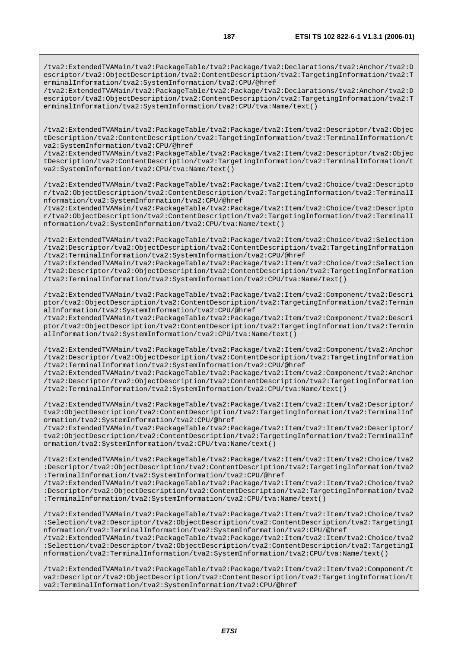/tva2:ExtendedTVAMain/tva2:PackageTable/tva2:Package/tva2:Declarations/tva2:Anchor/tva2:D escriptor/tva2:ObjectDescription/tva2:ContentDescription/tva2:TargetingInformation/tva2:T erminalInformation/tva2:SystemInformation/tva2:CPU/@href

/tva2:ExtendedTVAMain/tva2:PackageTable/tva2:Package/tva2:Declarations/tva2:Anchor/tva2:D escriptor/tva2:ObjectDescription/tva2:ContentDescription/tva2:TargetingInformation/tva2:T erminalInformation/tva2:SystemInformation/tva2:CPU/tva:Name/text()

/tva2:ExtendedTVAMain/tva2:PackageTable/tva2:Package/tva2:Item/tva2:Descriptor/tva2:Objec tDescription/tva2:ContentDescription/tva2:TargetingInformation/tva2:TerminalInformation/t va2:SystemInformation/tva2:CPU/@href

/tva2:ExtendedTVAMain/tva2:PackageTable/tva2:Package/tva2:Item/tva2:Descriptor/tva2:Objec tDescription/tva2:ContentDescription/tva2:TargetingInformation/tva2:TerminalInformation/t va2:SystemInformation/tva2:CPU/tva:Name/text()

/tva2:ExtendedTVAMain/tva2:PackageTable/tva2:Package/tva2:Item/tva2:Choice/tva2:Descripto r/tva2:ObjectDescription/tva2:ContentDescription/tva2:TargetingInformation/tva2:TerminalI nformation/tva2:SystemInformation/tva2:CPU/@href

/tva2:ExtendedTVAMain/tva2:PackageTable/tva2:Package/tva2:Item/tva2:Choice/tva2:Descripto r/tva2:ObjectDescription/tva2:ContentDescription/tva2:TargetingInformation/tva2:TerminalI nformation/tva2:SystemInformation/tva2:CPU/tva:Name/text()

/tva2:ExtendedTVAMain/tva2:PackageTable/tva2:Package/tva2:Item/tva2:Choice/tva2:Selection /tva2:Descriptor/tva2:ObjectDescription/tva2:ContentDescription/tva2:TargetingInformation /tva2:TerminalInformation/tva2:SystemInformation/tva2:CPU/@href

/tva2:ExtendedTVAMain/tva2:PackageTable/tva2:Package/tva2:Item/tva2:Choice/tva2:Selection /tva2:Descriptor/tva2:ObjectDescription/tva2:ContentDescription/tva2:TargetingInformation /tva2:TerminalInformation/tva2:SystemInformation/tva2:CPU/tva:Name/text()

/tva2:ExtendedTVAMain/tva2:PackageTable/tva2:Package/tva2:Item/tva2:Component/tva2:Descri ptor/tva2:ObjectDescription/tva2:ContentDescription/tva2:TargetingInformation/tva2:Termin alInformation/tva2:SystemInformation/tva2:CPU/@href

/tva2:ExtendedTVAMain/tva2:PackageTable/tva2:Package/tva2:Item/tva2:Component/tva2:Descri ptor/tva2:ObjectDescription/tva2:ContentDescription/tva2:TargetingInformation/tva2:Termin alInformation/tva2:SystemInformation/tva2:CPU/tva:Name/text()

/tva2:ExtendedTVAMain/tva2:PackageTable/tva2:Package/tva2:Item/tva2:Component/tva2:Anchor /tva2:Descriptor/tva2:ObjectDescription/tva2:ContentDescription/tva2:TargetingInformation /tva2:TerminalInformation/tva2:SystemInformation/tva2:CPU/@href

/tva2:ExtendedTVAMain/tva2:PackageTable/tva2:Package/tva2:Item/tva2:Component/tva2:Anchor /tva2:Descriptor/tva2:ObjectDescription/tva2:ContentDescription/tva2:TargetingInformation /tva2:TerminalInformation/tva2:SystemInformation/tva2:CPU/tva:Name/text()

/tva2:ExtendedTVAMain/tva2:PackageTable/tva2:Package/tva2:Item/tva2:Item/tva2:Descriptor/ tva2:ObjectDescription/tva2:ContentDescription/tva2:TargetingInformation/tva2:TerminalInf ormation/tva2:SystemInformation/tva2:CPU/@href

/tva2:ExtendedTVAMain/tva2:PackageTable/tva2:Package/tva2:Item/tva2:Item/tva2:Descriptor/ tva2:ObjectDescription/tva2:ContentDescription/tva2:TargetingInformation/tva2:TerminalInf ormation/tva2:SystemInformation/tva2:CPU/tva:Name/text()

/tva2:ExtendedTVAMain/tva2:PackageTable/tva2:Package/tva2:Item/tva2:Item/tva2:Choice/tva2 :Descriptor/tva2:ObjectDescription/tva2:ContentDescription/tva2:TargetingInformation/tva2 :TerminalInformation/tva2:SystemInformation/tva2:CPU/@href

/tva2:ExtendedTVAMain/tva2:PackageTable/tva2:Package/tva2:Item/tva2:Item/tva2:Choice/tva2 :Descriptor/tva2:ObjectDescription/tva2:ContentDescription/tva2:TargetingInformation/tva2 :TerminalInformation/tva2:SystemInformation/tva2:CPU/tva:Name/text()

/tva2:ExtendedTVAMain/tva2:PackageTable/tva2:Package/tva2:Item/tva2:Item/tva2:Choice/tva2 :Selection/tva2:Descriptor/tva2:ObjectDescription/tva2:ContentDescription/tva2:TargetingI nformation/tva2:TerminalInformation/tva2:SystemInformation/tva2:CPU/@href

/tva2:ExtendedTVAMain/tva2:PackageTable/tva2:Package/tva2:Item/tva2:Item/tva2:Choice/tva2 :Selection/tva2:Descriptor/tva2:ObjectDescription/tva2:ContentDescription/tva2:TargetingI nformation/tva2:TerminalInformation/tva2:SystemInformation/tva2:CPU/tva:Name/text()

/tva2:ExtendedTVAMain/tva2:PackageTable/tva2:Package/tva2:Item/tva2:Item/tva2:Component/t va2:Descriptor/tva2:ObjectDescription/tva2:ContentDescription/tva2:TargetingInformation/t va2:TerminalInformation/tva2:SystemInformation/tva2:CPU/@href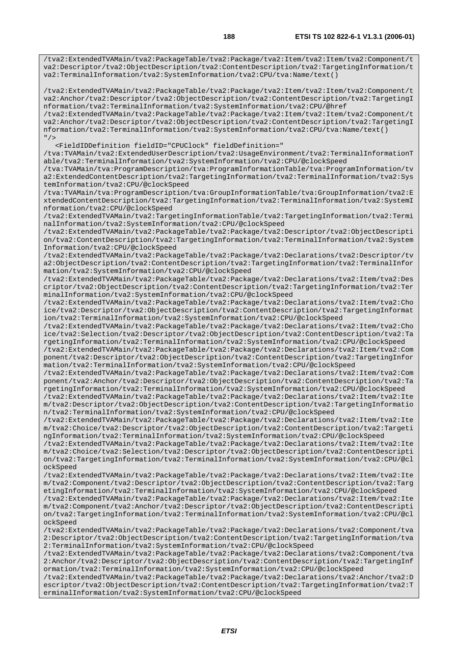/tva2:ExtendedTVAMain/tva2:PackageTable/tva2:Package/tva2:Item/tva2:Item/tva2:Component/t va2:Descriptor/tva2:ObjectDescription/tva2:ContentDescription/tva2:TargetingInformation/t va2:TerminalInformation/tva2:SystemInformation/tva2:CPU/tva:Name/text()

/tva2:ExtendedTVAMain/tva2:PackageTable/tva2:Package/tva2:Item/tva2:Item/tva2:Component/t va2:Anchor/tva2:Descriptor/tva2:ObjectDescription/tva2:ContentDescription/tva2:TargetingI nformation/tva2:TerminalInformation/tva2:SystemInformation/tva2:CPU/@href

/tva2:ExtendedTVAMain/tva2:PackageTable/tva2:Package/tva2:Item/tva2:Item/tva2:Component/t va2:Anchor/tva2:Descriptor/tva2:ObjectDescription/tva2:ContentDescription/tva2:TargetingI nformation/tva2:TerminalInformation/tva2:SystemInformation/tva2:CPU/tva:Name/text()  $"$  />

<FieldIDDefinition fieldID="CPUClock" fieldDefinition="

/tva:TVAMain/tva2:ExtendedUserDescription/tva2:UsageEnvironment/tva2:TerminalInformationT able/tva2:TerminalInformation/tva2:SystemInformation/tva2:CPU/@clockSpeed

/tva:TVAMain/tva:ProgramDescription/tva:ProgramInformationTable/tva:ProgramInformation/tv a2:ExtendedContentDescription/tva2:TargetingInformation/tva2:TerminalInformation/tva2:Sys temInformation/tva2:CPU/@clockSpeed

/tva:TVAMain/tva:ProgramDescription/tva:GroupInformationTable/tva:GroupInformation/tva2:E xtendedContentDescription/tva2:TargetingInformation/tva2:TerminalInformation/tva2:SystemI nformation/tva2:CPU/@clockSpeed

/tva2:ExtendedTVAMain/tva2:TargetingInformationTable/tva2:TargetingInformation/tva2:Termi nalInformation/tva2:SystemInformation/tva2:CPU/@clockSpeed

/tva2:ExtendedTVAMain/tva2:PackageTable/tva2:Package/tva2:Descriptor/tva2:ObjectDescripti on/tva2:ContentDescription/tva2:TargetingInformation/tva2:TerminalInformation/tva2:System Information/tva2:CPU/@clockSpeed

/tva2:ExtendedTVAMain/tva2:PackageTable/tva2:Package/tva2:Declarations/tva2:Descriptor/tv a2:ObjectDescription/tva2:ContentDescription/tva2:TargetingInformation/tva2:TerminalInfor mation/tva2:SystemInformation/tva2:CPU/@clockSpeed

/tva2:ExtendedTVAMain/tva2:PackageTable/tva2:Package/tva2:Declarations/tva2:Item/tva2:Des criptor/tva2:ObjectDescription/tva2:ContentDescription/tva2:TargetingInformation/tva2:Ter minalInformation/tva2:SystemInformation/tva2:CPU/@clockSpeed

/tva2:ExtendedTVAMain/tva2:PackageTable/tva2:Package/tva2:Declarations/tva2:Item/tva2:Cho ice/tva2:Descriptor/tva2:ObjectDescription/tva2:ContentDescription/tva2:TargetingInformat ion/tva2:TerminalInformation/tva2:SystemInformation/tva2:CPU/@clockSpeed

/tva2:ExtendedTVAMain/tva2:PackageTable/tva2:Package/tva2:Declarations/tva2:Item/tva2:Cho ice/tva2:Selection/tva2:Descriptor/tva2:ObjectDescription/tva2:ContentDescription/tva2:Ta rgetingInformation/tva2:TerminalInformation/tva2:SystemInformation/tva2:CPU/@clockSpeed

/tva2:ExtendedTVAMain/tva2:PackageTable/tva2:Package/tva2:Declarations/tva2:Item/tva2:Com ponent/tva2:Descriptor/tva2:ObjectDescription/tva2:ContentDescription/tva2:TargetingInfor mation/tva2:TerminalInformation/tva2:SystemInformation/tva2:CPU/@clockSpeed

/tva2:ExtendedTVAMain/tva2:PackageTable/tva2:Package/tva2:Declarations/tva2:Item/tva2:Com ponent/tva2:Anchor/tva2:Descriptor/tva2:ObjectDescription/tva2:ContentDescription/tva2:Ta rgetingInformation/tva2:TerminalInformation/tva2:SystemInformation/tva2:CPU/@clockSpeed

/tva2:ExtendedTVAMain/tva2:PackageTable/tva2:Package/tva2:Declarations/tva2:Item/tva2:Ite m/tva2:Descriptor/tva2:ObjectDescription/tva2:ContentDescription/tva2:TargetingInformatio n/tva2:TerminalInformation/tva2:SystemInformation/tva2:CPU/@clockSpeed

/tva2:ExtendedTVAMain/tva2:PackageTable/tva2:Package/tva2:Declarations/tva2:Item/tva2:Ite m/tva2:Choice/tva2:Descriptor/tva2:ObjectDescription/tva2:ContentDescription/tva2:Targeti ngInformation/tva2:TerminalInformation/tva2:SystemInformation/tva2:CPU/@clockSpeed

/tva2:ExtendedTVAMain/tva2:PackageTable/tva2:Package/tva2:Declarations/tva2:Item/tva2:Ite m/tva2:Choice/tva2:Selection/tva2:Descriptor/tva2:ObjectDescription/tva2:ContentDescripti on/tva2:TargetingInformation/tva2:TerminalInformation/tva2:SystemInformation/tva2:CPU/@cl ockSpeed

/tva2:ExtendedTVAMain/tva2:PackageTable/tva2:Package/tva2:Declarations/tva2:Item/tva2:Ite m/tva2:Component/tva2:Descriptor/tva2:ObjectDescription/tva2:ContentDescription/tva2:Targ etingInformation/tva2:TerminalInformation/tva2:SystemInformation/tva2:CPU/@clockSpeed

/tva2:ExtendedTVAMain/tva2:PackageTable/tva2:Package/tva2:Declarations/tva2:Item/tva2:Ite m/tva2:Component/tva2:Anchor/tva2:Descriptor/tva2:ObjectDescription/tva2:ContentDescripti on/tva2:TargetingInformation/tva2:TerminalInformation/tva2:SystemInformation/tva2:CPU/@cl ockSpeed

/tva2:ExtendedTVAMain/tva2:PackageTable/tva2:Package/tva2:Declarations/tva2:Component/tva 2:Descriptor/tva2:ObjectDescription/tva2:ContentDescription/tva2:TargetingInformation/tva 2:TerminalInformation/tva2:SystemInformation/tva2:CPU/@clockSpeed

/tva2:ExtendedTVAMain/tva2:PackageTable/tva2:Package/tva2:Declarations/tva2:Component/tva 2:Anchor/tva2:Descriptor/tva2:ObjectDescription/tva2:ContentDescription/tva2:TargetingInf ormation/tva2:TerminalInformation/tva2:SystemInformation/tva2:CPU/@clockSpeed

/tva2:ExtendedTVAMain/tva2:PackageTable/tva2:Package/tva2:Declarations/tva2:Anchor/tva2:D escriptor/tva2:ObjectDescription/tva2:ContentDescription/tva2:TargetingInformation/tva2:T erminalInformation/tva2:SystemInformation/tva2:CPU/@clockSpeed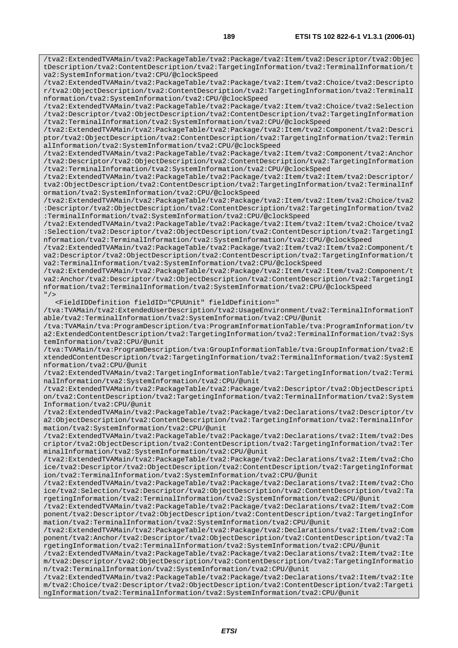/tva2:ExtendedTVAMain/tva2:PackageTable/tva2:Package/tva2:Item/tva2:Descriptor/tva2:Objec tDescription/tva2:ContentDescription/tva2:TargetingInformation/tva2:TerminalInformation/t va2:SystemInformation/tva2:CPU/@clockSpeed

/tva2:ExtendedTVAMain/tva2:PackageTable/tva2:Package/tva2:Item/tva2:Choice/tva2:Descripto r/tva2:ObjectDescription/tva2:ContentDescription/tva2:TargetingInformation/tva2:TerminalI nformation/tva2:SystemInformation/tva2:CPU/@clockSpeed

/tva2:ExtendedTVAMain/tva2:PackageTable/tva2:Package/tva2:Item/tva2:Choice/tva2:Selection /tva2:Descriptor/tva2:ObjectDescription/tva2:ContentDescription/tva2:TargetingInformation /tva2:TerminalInformation/tva2:SystemInformation/tva2:CPU/@clockSpeed

/tva2:ExtendedTVAMain/tva2:PackageTable/tva2:Package/tva2:Item/tva2:Component/tva2:Descri ptor/tva2:ObjectDescription/tva2:ContentDescription/tva2:TargetingInformation/tva2:Termin alInformation/tva2:SystemInformation/tva2:CPU/@clockSpeed

/tva2:ExtendedTVAMain/tva2:PackageTable/tva2:Package/tva2:Item/tva2:Component/tva2:Anchor /tva2:Descriptor/tva2:ObjectDescription/tva2:ContentDescription/tva2:TargetingInformation /tva2:TerminalInformation/tva2:SystemInformation/tva2:CPU/@clockSpeed

/tva2:ExtendedTVAMain/tva2:PackageTable/tva2:Package/tva2:Item/tva2:Item/tva2:Descriptor/ tva2:ObjectDescription/tva2:ContentDescription/tva2:TargetingInformation/tva2:TerminalInf ormation/tva2:SystemInformation/tva2:CPU/@clockSpeed

/tva2:ExtendedTVAMain/tva2:PackageTable/tva2:Package/tva2:Item/tva2:Item/tva2:Choice/tva2 :Descriptor/tva2:ObjectDescription/tva2:ContentDescription/tva2:TargetingInformation/tva2 :TerminalInformation/tva2:SystemInformation/tva2:CPU/@clockSpeed

/tva2:ExtendedTVAMain/tva2:PackageTable/tva2:Package/tva2:Item/tva2:Item/tva2:Choice/tva2 :Selection/tva2:Descriptor/tva2:ObjectDescription/tva2:ContentDescription/tva2:TargetingI nformation/tva2:TerminalInformation/tva2:SystemInformation/tva2:CPU/@clockSpeed

/tva2:ExtendedTVAMain/tva2:PackageTable/tva2:Package/tva2:Item/tva2:Item/tva2:Component/t va2:Descriptor/tva2:ObjectDescription/tva2:ContentDescription/tva2:TargetingInformation/t va2:TerminalInformation/tva2:SystemInformation/tva2:CPU/@clockSpeed

/tva2:ExtendedTVAMain/tva2:PackageTable/tva2:Package/tva2:Item/tva2:Item/tva2:Component/t va2:Anchor/tva2:Descriptor/tva2:ObjectDescription/tva2:ContentDescription/tva2:TargetingI nformation/tva2:TerminalInformation/tva2:SystemInformation/tva2:CPU/@clockSpeed  $"$  />

<FieldIDDefinition fieldID="CPUUnit" fieldDefinition="

/tva:TVAMain/tva2:ExtendedUserDescription/tva2:UsageEnvironment/tva2:TerminalInformationT able/tva2:TerminalInformation/tva2:SystemInformation/tva2:CPU/@unit

/tva:TVAMain/tva:ProgramDescription/tva:ProgramInformationTable/tva:ProgramInformation/tv a2:ExtendedContentDescription/tva2:TargetingInformation/tva2:TerminalInformation/tva2:Sys temInformation/tva2:CPU/@unit

/tva:TVAMain/tva:ProgramDescription/tva:GroupInformationTable/tva:GroupInformation/tva2:E xtendedContentDescription/tva2:TargetingInformation/tva2:TerminalInformation/tva2:SystemI nformation/tva2:CPU/@unit

/tva2:ExtendedTVAMain/tva2:TargetingInformationTable/tva2:TargetingInformation/tva2:Termi nalInformation/tva2:SystemInformation/tva2:CPU/@unit

/tva2:ExtendedTVAMain/tva2:PackageTable/tva2:Package/tva2:Descriptor/tva2:ObjectDescripti on/tva2:ContentDescription/tva2:TargetingInformation/tva2:TerminalInformation/tva2:System Information/tva2:CPU/@unit

/tva2:ExtendedTVAMain/tva2:PackageTable/tva2:Package/tva2:Declarations/tva2:Descriptor/tv a2:ObjectDescription/tva2:ContentDescription/tva2:TargetingInformation/tva2:TerminalInfor mation/tva2:SystemInformation/tva2:CPU/@unit

/tva2:ExtendedTVAMain/tva2:PackageTable/tva2:Package/tva2:Declarations/tva2:Item/tva2:Des criptor/tva2:ObjectDescription/tva2:ContentDescription/tva2:TargetingInformation/tva2:Ter minalInformation/tva2:SystemInformation/tva2:CPU/@unit

/tva2:ExtendedTVAMain/tva2:PackageTable/tva2:Package/tva2:Declarations/tva2:Item/tva2:Cho ice/tva2:Descriptor/tva2:ObjectDescription/tva2:ContentDescription/tva2:TargetingInformat ion/tva2:TerminalInformation/tva2:SystemInformation/tva2:CPU/@unit

/tva2:ExtendedTVAMain/tva2:PackageTable/tva2:Package/tva2:Declarations/tva2:Item/tva2:Cho ice/tva2:Selection/tva2:Descriptor/tva2:ObjectDescription/tva2:ContentDescription/tva2:Ta rgetingInformation/tva2:TerminalInformation/tva2:SystemInformation/tva2:CPU/@unit

/tva2:ExtendedTVAMain/tva2:PackageTable/tva2:Package/tva2:Declarations/tva2:Item/tva2:Com ponent/tva2:Descriptor/tva2:ObjectDescription/tva2:ContentDescription/tva2:TargetingInfor mation/tva2:TerminalInformation/tva2:SystemInformation/tva2:CPU/@unit

/tva2:ExtendedTVAMain/tva2:PackageTable/tva2:Package/tva2:Declarations/tva2:Item/tva2:Com ponent/tva2:Anchor/tva2:Descriptor/tva2:ObjectDescription/tva2:ContentDescription/tva2:Ta rgetingInformation/tva2:TerminalInformation/tva2:SystemInformation/tva2:CPU/@unit

/tva2:ExtendedTVAMain/tva2:PackageTable/tva2:Package/tva2:Declarations/tva2:Item/tva2:Ite m/tva2:Descriptor/tva2:ObjectDescription/tva2:ContentDescription/tva2:TargetingInformatio n/tva2:TerminalInformation/tva2:SystemInformation/tva2:CPU/@unit

/tva2:ExtendedTVAMain/tva2:PackageTable/tva2:Package/tva2:Declarations/tva2:Item/tva2:Ite m/tva2:Choice/tva2:Descriptor/tva2:ObjectDescription/tva2:ContentDescription/tva2:Targeti ngInformation/tva2:TerminalInformation/tva2:SystemInformation/tva2:CPU/@unit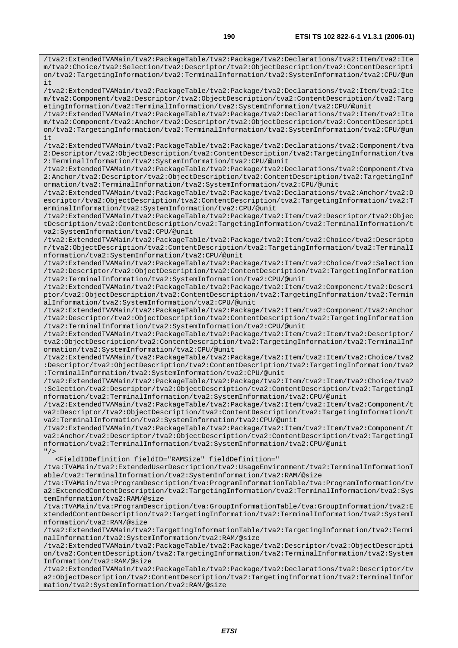/tva2:ExtendedTVAMain/tva2:PackageTable/tva2:Package/tva2:Declarations/tva2:Item/tva2:Ite m/tva2:Component/tva2:Descriptor/tva2:ObjectDescription/tva2:ContentDescription/tva2:Targ etingInformation/tva2:TerminalInformation/tva2:SystemInformation/tva2:CPU/@unit

 $\mathbf{i}$  +

/tva2:ExtendedTVAMain/tva2:PackageTable/tva2:Package/tva2:Declarations/tva2:Item/tva2:Ite m/tva2:Component/tva2:Anchor/tva2:Descriptor/tva2:ObjectDescription/tva2:ContentDescripti on/tva2:TargetingInformation/tva2:TerminalInformation/tva2:SystemInformation/tva2:CPU/@un it

/tva2:ExtendedTVAMain/tva2:PackageTable/tva2:Package/tva2:Declarations/tva2:Component/tva 2:Descriptor/tva2:ObjectDescription/tva2:ContentDescription/tva2:TargetingInformation/tva 2:TerminalInformation/tva2:SystemInformation/tva2:CPU/@unit

/tva2:ExtendedTVAMain/tva2:PackageTable/tva2:Package/tva2:Declarations/tva2:Component/tva 2:Anchor/tva2:Descriptor/tva2:ObjectDescription/tva2:ContentDescription/tva2:TargetingInf ormation/tva2:TerminalInformation/tva2:SystemInformation/tva2:CPU/@unit

/tva2:ExtendedTVAMain/tva2:PackageTable/tva2:Package/tva2:Declarations/tva2:Anchor/tva2:D escriptor/tva2:ObjectDescription/tva2:ContentDescription/tva2:TargetingInformation/tva2:T erminalInformation/tva2:SystemInformation/tva2:CPU/@unit

/tva2:ExtendedTVAMain/tva2:PackageTable/tva2:Package/tva2:Item/tva2:Descriptor/tva2:Objec tDescription/tva2:ContentDescription/tva2:TargetingInformation/tva2:TerminalInformation/t va2:SystemInformation/tva2:CPU/@unit

/tva2:ExtendedTVAMain/tva2:PackageTable/tva2:Package/tva2:Item/tva2:Choice/tva2:Descripto r/tva2:ObjectDescription/tva2:ContentDescription/tva2:TargetingInformation/tva2:TerminalI nformation/tva2:SystemInformation/tva2:CPU/@unit

/tva2:ExtendedTVAMain/tva2:PackageTable/tva2:Package/tva2:Item/tva2:Choice/tva2:Selection /tva2:Descriptor/tva2:ObjectDescription/tva2:ContentDescription/tva2:TargetingInformation /tva2:TerminalInformation/tva2:SystemInformation/tva2:CPU/@unit

/tva2:ExtendedTVAMain/tva2:PackageTable/tva2:Package/tva2:Item/tva2:Component/tva2:Descri ptor/tva2:ObjectDescription/tva2:ContentDescription/tva2:TargetingInformation/tva2:Termin alInformation/tva2:SystemInformation/tva2:CPU/@unit

/tva2:ExtendedTVAMain/tva2:PackageTable/tva2:Package/tva2:Item/tva2:Component/tva2:Anchor /tva2:Descriptor/tva2:ObjectDescription/tva2:ContentDescription/tva2:TargetingInformation /tva2:TerminalInformation/tva2:SystemInformation/tva2:CPU/@unit

/tva2:ExtendedTVAMain/tva2:PackageTable/tva2:Package/tva2:Item/tva2:Item/tva2:Descriptor/ tva2:ObjectDescription/tva2:ContentDescription/tva2:TargetingInformation/tva2:TerminalInf ormation/tva2:SystemInformation/tva2:CPU/@unit

/tva2:ExtendedTVAMain/tva2:PackageTable/tva2:Package/tva2:Item/tva2:Item/tva2:Choice/tva2 :Descriptor/tva2:ObjectDescription/tva2:ContentDescription/tva2:TargetingInformation/tva2 :TerminalInformation/tva2:SystemInformation/tva2:CPU/@unit

/tva2:ExtendedTVAMain/tva2:PackageTable/tva2:Package/tva2:Item/tva2:Item/tva2:Choice/tva2 :Selection/tva2:Descriptor/tva2:ObjectDescription/tva2:ContentDescription/tva2:TargetingI nformation/tva2:TerminalInformation/tva2:SystemInformation/tva2:CPU/@unit

/tva2:ExtendedTVAMain/tva2:PackageTable/tva2:Package/tva2:Item/tva2:Item/tva2:Component/t va2:Descriptor/tva2:ObjectDescription/tva2:ContentDescription/tva2:TargetingInformation/t va2:TerminalInformation/tva2:SystemInformation/tva2:CPU/@unit

/tva2:ExtendedTVAMain/tva2:PackageTable/tva2:Package/tva2:Item/tva2:Item/tva2:Component/t va2:Anchor/tva2:Descriptor/tva2:ObjectDescription/tva2:ContentDescription/tva2:TargetingI nformation/tva2:TerminalInformation/tva2:SystemInformation/tva2:CPU/@unit  $"$  />

<FieldIDDefinition fieldID="RAMSize" fieldDefinition="

/tva:TVAMain/tva2:ExtendedUserDescription/tva2:UsageEnvironment/tva2:TerminalInformationT able/tva2:TerminalInformation/tva2:SystemInformation/tva2:RAM/@size

/tva:TVAMain/tva:ProgramDescription/tva:ProgramInformationTable/tva:ProgramInformation/tv a2:ExtendedContentDescription/tva2:TargetingInformation/tva2:TerminalInformation/tva2:Sys temInformation/tva2:RAM/@size

/tva:TVAMain/tva:ProgramDescription/tva:GroupInformationTable/tva:GroupInformation/tva2:E xtendedContentDescription/tva2:TargetingInformation/tva2:TerminalInformation/tva2:SystemI nformation/tva2:RAM/@size

/tva2:ExtendedTVAMain/tva2:TargetingInformationTable/tva2:TargetingInformation/tva2:Termi nalInformation/tva2:SystemInformation/tva2:RAM/@size

/tva2:ExtendedTVAMain/tva2:PackageTable/tva2:Package/tva2:Descriptor/tva2:ObjectDescripti on/tva2:ContentDescription/tva2:TargetingInformation/tva2:TerminalInformation/tva2:System Information/tva2:RAM/@size

/tva2:ExtendedTVAMain/tva2:PackageTable/tva2:Package/tva2:Declarations/tva2:Descriptor/tv a2:ObjectDescription/tva2:ContentDescription/tva2:TargetingInformation/tva2:TerminalInfor mation/tva2:SystemInformation/tva2:RAM/@size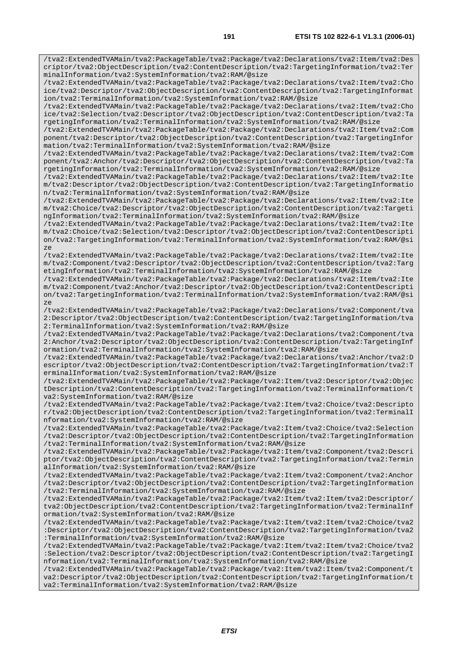/tva2:ExtendedTVAMain/tva2:PackageTable/tva2:Package/tva2:Declarations/tva2:Item/tva2:Des criptor/tva2:ObjectDescription/tva2:ContentDescription/tva2:TargetingInformation/tva2:Ter minalInformation/tva2:SystemInformation/tva2:RAM/@size /tva2:ExtendedTVAMain/tva2:PackageTable/tva2:Package/tva2:Declarations/tva2:Item/tva2:Cho ice/tva2:Descriptor/tva2:ObjectDescription/tva2:ContentDescription/tva2:TargetingInformat ion/tva2:TerminalInformation/tva2:SystemInformation/tva2:RAM/@size /tva2:ExtendedTVAMain/tva2:PackageTable/tva2:Package/tva2:Declarations/tva2:Item/tva2:Cho ice/tva2:Selection/tva2:Descriptor/tva2:ObjectDescription/tva2:ContentDescription/tva2:Ta rgetingInformation/tva2:TerminalInformation/tva2:SystemInformation/tva2:RAM/@size /tva2:ExtendedTVAMain/tva2:PackageTable/tva2:Package/tva2:Declarations/tva2:Item/tva2:Com ponent/tva2:Descriptor/tva2:ObjectDescription/tva2:ContentDescription/tva2:TargetingInfor mation/tva2:TerminalInformation/tva2:SystemInformation/tva2:RAM/@size /tva2:ExtendedTVAMain/tva2:PackageTable/tva2:Package/tva2:Declarations/tva2:Item/tva2:Com ponent/tva2:Anchor/tva2:Descriptor/tva2:ObjectDescription/tva2:ContentDescription/tva2:Ta rgetingInformation/tva2:TerminalInformation/tva2:SystemInformation/tva2:RAM/@size /tva2:ExtendedTVAMain/tva2:PackageTable/tva2:Package/tva2:Declarations/tva2:Item/tva2:Ite m/tva2:Descriptor/tva2:ObjectDescription/tva2:ContentDescription/tva2:TargetingInformatio n/tva2:TerminalInformation/tva2:SystemInformation/tva2:RAM/@size /tva2:ExtendedTVAMain/tva2:PackageTable/tva2:Package/tva2:Declarations/tva2:Item/tva2:Ite m/tva2:Choice/tva2:Descriptor/tva2:ObjectDescription/tva2:ContentDescription/tva2:Targeti ngInformation/tva2:TerminalInformation/tva2:SystemInformation/tva2:RAM/@size /tva2:ExtendedTVAMain/tva2:PackageTable/tva2:Package/tva2:Declarations/tva2:Item/tva2:Ite m/tva2:Choice/tva2:Selection/tva2:Descriptor/tva2:ObjectDescription/tva2:ContentDescripti on/tva2:TargetingInformation/tva2:TerminalInformation/tva2:SystemInformation/tva2:RAM/@si ze /tva2:ExtendedTVAMain/tva2:PackageTable/tva2:Package/tva2:Declarations/tva2:Item/tva2:Ite m/tva2:Component/tva2:Descriptor/tva2:ObjectDescription/tva2:ContentDescription/tva2:Targ etingInformation/tva2:TerminalInformation/tva2:SystemInformation/tva2:RAM/@size /tva2:ExtendedTVAMain/tva2:PackageTable/tva2:Package/tva2:Declarations/tva2:Item/tva2:Ite m/tva2:Component/tva2:Anchor/tva2:Descriptor/tva2:ObjectDescription/tva2:ContentDescripti on/tva2:TargetingInformation/tva2:TerminalInformation/tva2:SystemInformation/tva2:RAM/@si ze /tva2:ExtendedTVAMain/tva2:PackageTable/tva2:Package/tva2:Declarations/tva2:Component/tva 2:Descriptor/tva2:ObjectDescription/tva2:ContentDescription/tva2:TargetingInformation/tva 2:TerminalInformation/tva2:SystemInformation/tva2:RAM/@size /tva2:ExtendedTVAMain/tva2:PackageTable/tva2:Package/tva2:Declarations/tva2:Component/tva 2:Anchor/tva2:Descriptor/tva2:ObjectDescription/tva2:ContentDescription/tva2:TargetingInf ormation/tva2:TerminalInformation/tva2:SystemInformation/tva2:RAM/@size /tva2:ExtendedTVAMain/tva2:PackageTable/tva2:Package/tva2:Declarations/tva2:Anchor/tva2:D escriptor/tva2:ObjectDescription/tva2:ContentDescription/tva2:TargetingInformation/tva2:T erminalInformation/tva2:SystemInformation/tva2:RAM/@size /tva2:ExtendedTVAMain/tva2:PackageTable/tva2:Package/tva2:Item/tva2:Descriptor/tva2:Objec tDescription/tva2:ContentDescription/tva2:TargetingInformation/tva2:TerminalInformation/t va2:SystemInformation/tva2:RAM/@size /tva2:ExtendedTVAMain/tva2:PackageTable/tva2:Package/tva2:Item/tva2:Choice/tva2:Descripto r/tva2:ObjectDescription/tva2:ContentDescription/tva2:TargetingInformation/tva2:TerminalI nformation/tva2:SystemInformation/tva2:RAM/@size /tva2:ExtendedTVAMain/tva2:PackageTable/tva2:Package/tva2:Item/tva2:Choice/tva2:Selection /tva2:Descriptor/tva2:ObjectDescription/tva2:ContentDescription/tva2:TargetingInformation /tva2:TerminalInformation/tva2:SystemInformation/tva2:RAM/@size /tva2:ExtendedTVAMain/tva2:PackageTable/tva2:Package/tva2:Item/tva2:Component/tva2:Descri ptor/tva2:ObjectDescription/tva2:ContentDescription/tva2:TargetingInformation/tva2:Termin alInformation/tva2:SystemInformation/tva2:RAM/@size /tva2:ExtendedTVAMain/tva2:PackageTable/tva2:Package/tva2:Item/tva2:Component/tva2:Anchor /tva2:Descriptor/tva2:ObjectDescription/tva2:ContentDescription/tva2:TargetingInformation /tva2:TerminalInformation/tva2:SystemInformation/tva2:RAM/@size /tva2:ExtendedTVAMain/tva2:PackageTable/tva2:Package/tva2:Item/tva2:Item/tva2:Descriptor/ tva2:ObjectDescription/tva2:ContentDescription/tva2:TargetingInformation/tva2:TerminalInf ormation/tva2:SystemInformation/tva2:RAM/@size /tva2:ExtendedTVAMain/tva2:PackageTable/tva2:Package/tva2:Item/tva2:Item/tva2:Choice/tva2 :Descriptor/tva2:ObjectDescription/tva2:ContentDescription/tva2:TargetingInformation/tva2 :TerminalInformation/tva2:SystemInformation/tva2:RAM/@size /tva2:ExtendedTVAMain/tva2:PackageTable/tva2:Package/tva2:Item/tva2:Item/tva2:Choice/tva2 :Selection/tva2:Descriptor/tva2:ObjectDescription/tva2:ContentDescription/tva2:TargetingI nformation/tva2:TerminalInformation/tva2:SystemInformation/tva2:RAM/@size /tva2:ExtendedTVAMain/tva2:PackageTable/tva2:Package/tva2:Item/tva2:Item/tva2:Component/t va2:Descriptor/tva2:ObjectDescription/tva2:ContentDescription/tva2:TargetingInformation/t va2:TerminalInformation/tva2:SystemInformation/tva2:RAM/@size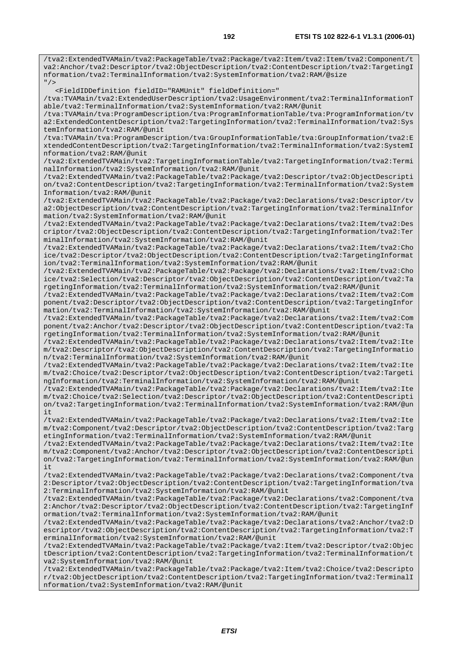/tva2:ExtendedTVAMain/tva2:PackageTable/tva2:Package/tva2:Item/tva2:Item/tva2:Component/t va2:Anchor/tva2:Descriptor/tva2:ObjectDescription/tva2:ContentDescription/tva2:TargetingI nformation/tva2:TerminalInformation/tva2:SystemInformation/tva2:RAM/@size  $"$ /> <FieldIDDefinition fieldID="RAMUnit" fieldDefinition=" /tva:TVAMain/tva2:ExtendedUserDescription/tva2:UsageEnvironment/tva2:TerminalInformationT able/tva2:TerminalInformation/tva2:SystemInformation/tva2:RAM/@unit /tva:TVAMain/tva:ProgramDescription/tva:ProgramInformationTable/tva:ProgramInformation/tv a2:ExtendedContentDescription/tva2:TargetingInformation/tva2:TerminalInformation/tva2:Sys temInformation/tva2:RAM/@unit /tva:TVAMain/tva:ProgramDescription/tva:GroupInformationTable/tva:GroupInformation/tva2:E xtendedContentDescription/tva2:TargetingInformation/tva2:TerminalInformation/tva2:SystemI nformation/tva2:RAM/@unit /tva2:ExtendedTVAMain/tva2:TargetingInformationTable/tva2:TargetingInformation/tva2:Termi nalInformation/tva2:SystemInformation/tva2:RAM/@unit /tva2:ExtendedTVAMain/tva2:PackageTable/tva2:Package/tva2:Descriptor/tva2:ObjectDescripti on/tva2:ContentDescription/tva2:TargetingInformation/tva2:TerminalInformation/tva2:System Information/tva2:RAM/@unit /tva2:ExtendedTVAMain/tva2:PackageTable/tva2:Package/tva2:Declarations/tva2:Descriptor/tv a2:ObjectDescription/tva2:ContentDescription/tva2:TargetingInformation/tva2:TerminalInfor mation/tva2:SystemInformation/tva2:RAM/@unit /tva2:ExtendedTVAMain/tva2:PackageTable/tva2:Package/tva2:Declarations/tva2:Item/tva2:Des criptor/tva2:ObjectDescription/tva2:ContentDescription/tva2:TargetingInformation/tva2:Ter minalInformation/tva2:SystemInformation/tva2:RAM/@unit /tva2:ExtendedTVAMain/tva2:PackageTable/tva2:Package/tva2:Declarations/tva2:Item/tva2:Cho ice/tva2:Descriptor/tva2:ObjectDescription/tva2:ContentDescription/tva2:TargetingInformat ion/tva2:TerminalInformation/tva2:SystemInformation/tva2:RAM/@unit /tva2:ExtendedTVAMain/tva2:PackageTable/tva2:Package/tva2:Declarations/tva2:Item/tva2:Cho ice/tva2:Selection/tva2:Descriptor/tva2:ObjectDescription/tva2:ContentDescription/tva2:Ta rgetingInformation/tva2:TerminalInformation/tva2:SystemInformation/tva2:RAM/@unit /tva2:ExtendedTVAMain/tva2:PackageTable/tva2:Package/tva2:Declarations/tva2:Item/tva2:Com ponent/tva2:Descriptor/tva2:ObjectDescription/tva2:ContentDescription/tva2:TargetingInfor mation/tva2:TerminalInformation/tva2:SystemInformation/tva2:RAM/@unit /tva2:ExtendedTVAMain/tva2:PackageTable/tva2:Package/tva2:Declarations/tva2:Item/tva2:Com ponent/tva2:Anchor/tva2:Descriptor/tva2:ObjectDescription/tva2:ContentDescription/tva2:Ta rgetingInformation/tva2:TerminalInformation/tva2:SystemInformation/tva2:RAM/@unit /tva2:ExtendedTVAMain/tva2:PackageTable/tva2:Package/tva2:Declarations/tva2:Item/tva2:Ite m/tva2:Descriptor/tva2:ObjectDescription/tva2:ContentDescription/tva2:TargetingInformatio n/tva2:TerminalInformation/tva2:SystemInformation/tva2:RAM/@unit /tva2:ExtendedTVAMain/tva2:PackageTable/tva2:Package/tva2:Declarations/tva2:Item/tva2:Ite m/tva2:Choice/tva2:Descriptor/tva2:ObjectDescription/tva2:ContentDescription/tva2:Targeti ngInformation/tva2:TerminalInformation/tva2:SystemInformation/tva2:RAM/@unit /tva2:ExtendedTVAMain/tva2:PackageTable/tva2:Package/tva2:Declarations/tva2:Item/tva2:Ite m/tva2:Choice/tva2:Selection/tva2:Descriptor/tva2:ObjectDescription/tva2:ContentDescripti on/tva2:TargetingInformation/tva2:TerminalInformation/tva2:SystemInformation/tva2:RAM/@un it /tva2:ExtendedTVAMain/tva2:PackageTable/tva2:Package/tva2:Declarations/tva2:Item/tva2:Ite m/tva2:Component/tva2:Descriptor/tva2:ObjectDescription/tva2:ContentDescription/tva2:Targ etingInformation/tva2:TerminalInformation/tva2:SystemInformation/tva2:RAM/@unit /tva2:ExtendedTVAMain/tva2:PackageTable/tva2:Package/tva2:Declarations/tva2:Item/tva2:Ite m/tva2:Component/tva2:Anchor/tva2:Descriptor/tva2:ObjectDescription/tva2:ContentDescripti on/tva2:TargetingInformation/tva2:TerminalInformation/tva2:SystemInformation/tva2:RAM/@un it /tva2:ExtendedTVAMain/tva2:PackageTable/tva2:Package/tva2:Declarations/tva2:Component/tva 2:Descriptor/tva2:ObjectDescription/tva2:ContentDescription/tva2:TargetingInformation/tva 2:TerminalInformation/tva2:SystemInformation/tva2:RAM/@unit /tva2:ExtendedTVAMain/tva2:PackageTable/tva2:Package/tva2:Declarations/tva2:Component/tva 2:Anchor/tva2:Descriptor/tva2:ObjectDescription/tva2:ContentDescription/tva2:TargetingInf ormation/tva2:TerminalInformation/tva2:SystemInformation/tva2:RAM/@unit /tva2:ExtendedTVAMain/tva2:PackageTable/tva2:Package/tva2:Declarations/tva2:Anchor/tva2:D escriptor/tva2:ObjectDescription/tva2:ContentDescription/tva2:TargetingInformation/tva2:T erminalInformation/tva2:SystemInformation/tva2:RAM/@unit /tva2:ExtendedTVAMain/tva2:PackageTable/tva2:Package/tva2:Item/tva2:Descriptor/tva2:Objec tDescription/tva2:ContentDescription/tva2:TargetingInformation/tva2:TerminalInformation/t va2:SystemInformation/tva2:RAM/@unit /tva2:ExtendedTVAMain/tva2:PackageTable/tva2:Package/tva2:Item/tva2:Choice/tva2:Descripto r/tva2:ObjectDescription/tva2:ContentDescription/tva2:TargetingInformation/tva2:TerminalI nformation/tva2:SystemInformation/tva2:RAM/@unit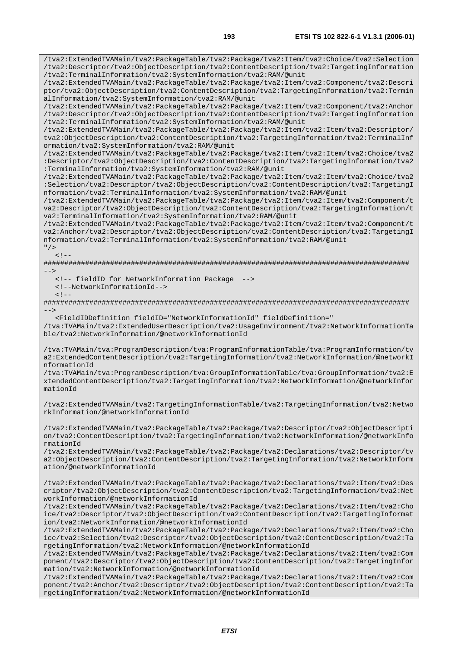/tva2:ExtendedTVAMain/tva2:PackageTable/tva2:Package/tva2:Item/tva2:Choice/tva2:Selection

/tva2:Descriptor/tva2:ObjectDescription/tva2:ContentDescription/tva2:TargetingInformation /tva2:TerminalInformation/tva2:SystemInformation/tva2:RAM/@unit /tva2:ExtendedTVAMain/tva2:PackageTable/tva2:Package/tva2:Item/tva2:Component/tva2:Descri ptor/tva2:ObjectDescription/tva2:ContentDescription/tva2:TargetingInformation/tva2:Termin alInformation/tva2:SystemInformation/tva2:RAM/@unit /tva2:ExtendedTVAMain/tva2:PackageTable/tva2:Package/tva2:Item/tva2:Component/tva2:Anchor /tva2:Descriptor/tva2:ObjectDescription/tva2:ContentDescription/tva2:TargetingInformation /tva2:TerminalInformation/tva2:SystemInformation/tva2:RAM/@unit /tva2:ExtendedTVAMain/tva2:PackageTable/tva2:Package/tva2:Item/tva2:Item/tva2:Descriptor/ tva2:ObjectDescription/tva2:ContentDescription/tva2:TargetingInformation/tva2:TerminalInf

ormation/tva2:SystemInformation/tva2:RAM/@unit /tva2:ExtendedTVAMain/tva2:PackageTable/tva2:Package/tva2:Item/tva2:Item/tva2:Choice/tva2 :Descriptor/tva2:ObjectDescription/tva2:ContentDescription/tva2:TargetingInformation/tva2 :TerminalInformation/tva2:SystemInformation/tva2:RAM/@unit

/tva2:ExtendedTVAMain/tva2:PackageTable/tva2:Package/tva2:Item/tva2:Item/tva2:Choice/tva2 :Selection/tva2:Descriptor/tva2:ObjectDescription/tva2:ContentDescription/tva2:TargetingI nformation/tva2:TerminalInformation/tva2:SystemInformation/tva2:RAM/@unit

/tva2:ExtendedTVAMain/tva2:PackageTable/tva2:Package/tva2:Item/tva2:Item/tva2:Component/t va2:Descriptor/tva2:ObjectDescription/tva2:ContentDescription/tva2:TargetingInformation/t va2:TerminalInformation/tva2:SystemInformation/tva2:RAM/@unit

/tva2:ExtendedTVAMain/tva2:PackageTable/tva2:Package/tva2:Item/tva2:Item/tva2:Component/t va2:Anchor/tva2:Descriptor/tva2:ObjectDescription/tva2:ContentDescription/tva2:TargetingI nformation/tva2:TerminalInformation/tva2:SystemInformation/tva2:RAM/@unit

 $"$  />  $<$ !  $-$ 

 $\leq$   $\vert$   $-$  -

######################################################################################## -->

<!-- fieldID for NetworkInformation Package -->

<!--NetworkInformationId-->

######################################################################################## -->

 <FieldIDDefinition fieldID="NetworkInformationId" fieldDefinition=" /tva:TVAMain/tva2:ExtendedUserDescription/tva2:UsageEnvironment/tva2:NetworkInformationTa ble/tva2:NetworkInformation/@networkInformationId

/tva:TVAMain/tva:ProgramDescription/tva:ProgramInformationTable/tva:ProgramInformation/tv a2:ExtendedContentDescription/tva2:TargetingInformation/tva2:NetworkInformation/@networkI nformationId

/tva:TVAMain/tva:ProgramDescription/tva:GroupInformationTable/tva:GroupInformation/tva2:E xtendedContentDescription/tva2:TargetingInformation/tva2:NetworkInformation/@networkInfor mationId

/tva2:ExtendedTVAMain/tva2:TargetingInformationTable/tva2:TargetingInformation/tva2:Netwo rkInformation/@networkInformationId

/tva2:ExtendedTVAMain/tva2:PackageTable/tva2:Package/tva2:Descriptor/tva2:ObjectDescripti on/tva2:ContentDescription/tva2:TargetingInformation/tva2:NetworkInformation/@networkInfo rmationId

/tva2:ExtendedTVAMain/tva2:PackageTable/tva2:Package/tva2:Declarations/tva2:Descriptor/tv a2:ObjectDescription/tva2:ContentDescription/tva2:TargetingInformation/tva2:NetworkInform ation/@networkInformationId

/tva2:ExtendedTVAMain/tva2:PackageTable/tva2:Package/tva2:Declarations/tva2:Item/tva2:Des criptor/tva2:ObjectDescription/tva2:ContentDescription/tva2:TargetingInformation/tva2:Net workInformation/@networkInformationId

/tva2:ExtendedTVAMain/tva2:PackageTable/tva2:Package/tva2:Declarations/tva2:Item/tva2:Cho ice/tva2:Descriptor/tva2:ObjectDescription/tva2:ContentDescription/tva2:TargetingInformat ion/tva2:NetworkInformation/@networkInformationId

/tva2:ExtendedTVAMain/tva2:PackageTable/tva2:Package/tva2:Declarations/tva2:Item/tva2:Cho ice/tva2:Selection/tva2:Descriptor/tva2:ObjectDescription/tva2:ContentDescription/tva2:Ta rgetingInformation/tva2:NetworkInformation/@networkInformationId

/tva2:ExtendedTVAMain/tva2:PackageTable/tva2:Package/tva2:Declarations/tva2:Item/tva2:Com ponent/tva2:Descriptor/tva2:ObjectDescription/tva2:ContentDescription/tva2:TargetingInfor mation/tva2:NetworkInformation/@networkInformationId

/tva2:ExtendedTVAMain/tva2:PackageTable/tva2:Package/tva2:Declarations/tva2:Item/tva2:Com ponent/tva2:Anchor/tva2:Descriptor/tva2:ObjectDescription/tva2:ContentDescription/tva2:Ta rgetingInformation/tva2:NetworkInformation/@networkInformationId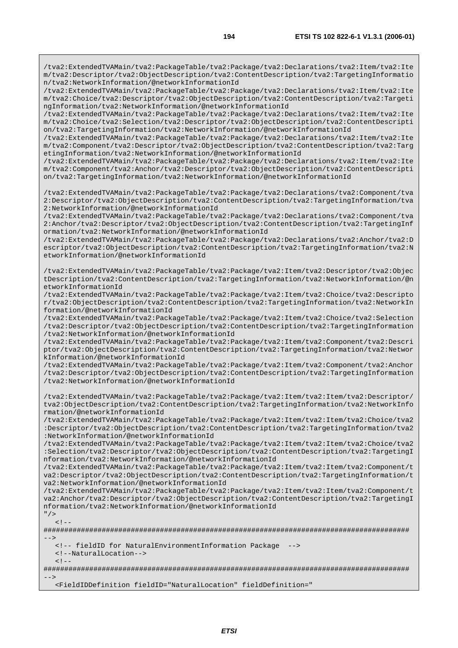/tva2:ExtendedTVAMain/tva2:PackageTable/tva2:Package/tva2:Declarations/tva2:Item/tva2:Ite m/tva2:Descriptor/tva2:ObjectDescription/tva2:ContentDescription/tva2:TargetingInformatio n/tva2:NetworkInformation/@networkInformationId

/tva2:ExtendedTVAMain/tva2:PackageTable/tva2:Package/tva2:Declarations/tva2:Item/tva2:Ite m/tva2:Choice/tva2:Descriptor/tva2:ObjectDescription/tva2:ContentDescription/tva2:Targeti ngInformation/tva2:NetworkInformation/@networkInformationId

/tva2:ExtendedTVAMain/tva2:PackageTable/tva2:Package/tva2:Declarations/tva2:Item/tva2:Ite m/tva2:Choice/tva2:Selection/tva2:Descriptor/tva2:ObjectDescription/tva2:ContentDescripti on/tva2:TargetingInformation/tva2:NetworkInformation/@networkInformationId

/tva2:ExtendedTVAMain/tva2:PackageTable/tva2:Package/tva2:Declarations/tva2:Item/tva2:Ite m/tva2:Component/tva2:Descriptor/tva2:ObjectDescription/tva2:ContentDescription/tva2:Targ etingInformation/tva2:NetworkInformation/@networkInformationId

/tva2:ExtendedTVAMain/tva2:PackageTable/tva2:Package/tva2:Declarations/tva2:Item/tva2:Ite m/tva2:Component/tva2:Anchor/tva2:Descriptor/tva2:ObjectDescription/tva2:ContentDescripti on/tva2:TargetingInformation/tva2:NetworkInformation/@networkInformationId

/tva2:ExtendedTVAMain/tva2:PackageTable/tva2:Package/tva2:Declarations/tva2:Component/tva 2:Descriptor/tva2:ObjectDescription/tva2:ContentDescription/tva2:TargetingInformation/tva 2:NetworkInformation/@networkInformationId

/tva2:ExtendedTVAMain/tva2:PackageTable/tva2:Package/tva2:Declarations/tva2:Component/tva 2:Anchor/tva2:Descriptor/tva2:ObjectDescription/tva2:ContentDescription/tva2:TargetingInf ormation/tva2:NetworkInformation/@networkInformationId

/tva2:ExtendedTVAMain/tva2:PackageTable/tva2:Package/tva2:Declarations/tva2:Anchor/tva2:D escriptor/tva2:ObjectDescription/tva2:ContentDescription/tva2:TargetingInformation/tva2:N etworkInformation/@networkInformationId

/tva2:ExtendedTVAMain/tva2:PackageTable/tva2:Package/tva2:Item/tva2:Descriptor/tva2:Objec tDescription/tva2:ContentDescription/tva2:TargetingInformation/tva2:NetworkInformation/@n etworkInformationId

/tva2:ExtendedTVAMain/tva2:PackageTable/tva2:Package/tva2:Item/tva2:Choice/tva2:Descripto r/tva2:ObjectDescription/tva2:ContentDescription/tva2:TargetingInformation/tva2:NetworkIn formation/@networkInformationId

/tva2:ExtendedTVAMain/tva2:PackageTable/tva2:Package/tva2:Item/tva2:Choice/tva2:Selection /tva2:Descriptor/tva2:ObjectDescription/tva2:ContentDescription/tva2:TargetingInformation /tva2:NetworkInformation/@networkInformationId

/tva2:ExtendedTVAMain/tva2:PackageTable/tva2:Package/tva2:Item/tva2:Component/tva2:Descri ptor/tva2:ObjectDescription/tva2:ContentDescription/tva2:TargetingInformation/tva2:Networ kInformation/@networkInformationId

/tva2:ExtendedTVAMain/tva2:PackageTable/tva2:Package/tva2:Item/tva2:Component/tva2:Anchor /tva2:Descriptor/tva2:ObjectDescription/tva2:ContentDescription/tva2:TargetingInformation /tva2:NetworkInformation/@networkInformationId

/tva2:ExtendedTVAMain/tva2:PackageTable/tva2:Package/tva2:Item/tva2:Item/tva2:Descriptor/ tva2:ObjectDescription/tva2:ContentDescription/tva2:TargetingInformation/tva2:NetworkInfo rmation/@networkInformationId

/tva2:ExtendedTVAMain/tva2:PackageTable/tva2:Package/tva2:Item/tva2:Item/tva2:Choice/tva2 :Descriptor/tva2:ObjectDescription/tva2:ContentDescription/tva2:TargetingInformation/tva2 :NetworkInformation/@networkInformationId

/tva2:ExtendedTVAMain/tva2:PackageTable/tva2:Package/tva2:Item/tva2:Item/tva2:Choice/tva2 :Selection/tva2:Descriptor/tva2:ObjectDescription/tva2:ContentDescription/tva2:TargetingI nformation/tva2:NetworkInformation/@networkInformationId

/tva2:ExtendedTVAMain/tva2:PackageTable/tva2:Package/tva2:Item/tva2:Item/tva2:Component/t va2:Descriptor/tva2:ObjectDescription/tva2:ContentDescription/tva2:TargetingInformation/t va2:NetworkInformation/@networkInformationId

/tva2:ExtendedTVAMain/tva2:PackageTable/tva2:Package/tva2:Item/tva2:Item/tva2:Component/t va2:Anchor/tva2:Descriptor/tva2:ObjectDescription/tva2:ContentDescription/tva2:TargetingI nformation/tva2:NetworkInformation/@networkInformationId  $"$  />

```
< 1 - -
```
######################################################################################## -->

<!-- fieldID for NaturalEnvironmentInformation Package -->

<!--NaturalLocation-->

 $\lt$  ! -

######################################################################################## -->

<FieldIDDefinition fieldID="NaturalLocation" fieldDefinition="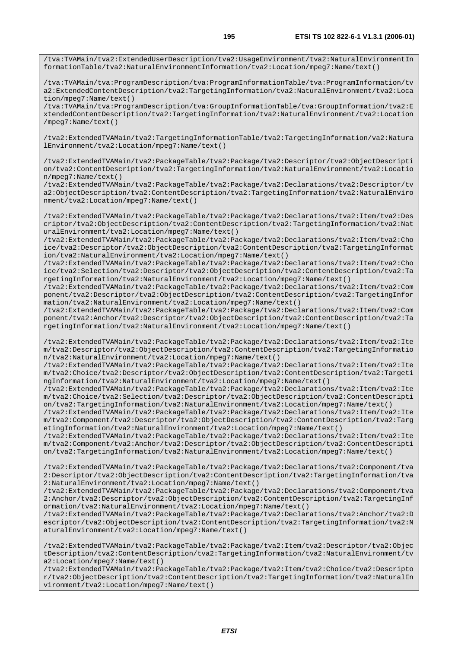/tva:TVAMain/tva2:ExtendedUserDescription/tva2:UsageEnvironment/tva2:NaturalEnvironmentIn formationTable/tva2:NaturalEnvironmentInformation/tva2:Location/mpeg7:Name/text()

/tva:TVAMain/tva:ProgramDescription/tva:ProgramInformationTable/tva:ProgramInformation/tv a2:ExtendedContentDescription/tva2:TargetingInformation/tva2:NaturalEnvironment/tva2:Loca tion/mpeg7:Name/text()

/tva:TVAMain/tva:ProgramDescription/tva:GroupInformationTable/tva:GroupInformation/tva2:E xtendedContentDescription/tva2:TargetingInformation/tva2:NaturalEnvironment/tva2:Location /mpeg7:Name/text()

/tva2:ExtendedTVAMain/tva2:TargetingInformationTable/tva2:TargetingInformation/va2:Natura lEnvironment/tva2:Location/mpeg7:Name/text()

/tva2:ExtendedTVAMain/tva2:PackageTable/tva2:Package/tva2:Descriptor/tva2:ObjectDescripti on/tva2:ContentDescription/tva2:TargetingInformation/tva2:NaturalEnvironment/tva2:Locatio n/mpeg7:Name/text()

/tva2:ExtendedTVAMain/tva2:PackageTable/tva2:Package/tva2:Declarations/tva2:Descriptor/tv a2:ObjectDescription/tva2:ContentDescription/tva2:TargetingInformation/tva2:NaturalEnviro nment/tva2:Location/mpeg7:Name/text()

/tva2:ExtendedTVAMain/tva2:PackageTable/tva2:Package/tva2:Declarations/tva2:Item/tva2:Des criptor/tva2:ObjectDescription/tva2:ContentDescription/tva2:TargetingInformation/tva2:Nat uralEnvironment/tva2:Location/mpeg7:Name/text()

/tva2:ExtendedTVAMain/tva2:PackageTable/tva2:Package/tva2:Declarations/tva2:Item/tva2:Cho ice/tva2:Descriptor/tva2:ObjectDescription/tva2:ContentDescription/tva2:TargetingInformat ion/tva2:NaturalEnvironment/tva2:Location/mpeg7:Name/text()

/tva2:ExtendedTVAMain/tva2:PackageTable/tva2:Package/tva2:Declarations/tva2:Item/tva2:Cho ice/tva2:Selection/tva2:Descriptor/tva2:ObjectDescription/tva2:ContentDescription/tva2:Ta rgetingInformation/tva2:NaturalEnvironment/tva2:Location/mpeg7:Name/text()

/tva2:ExtendedTVAMain/tva2:PackageTable/tva2:Package/tva2:Declarations/tva2:Item/tva2:Com ponent/tva2:Descriptor/tva2:ObjectDescription/tva2:ContentDescription/tva2:TargetingInfor mation/tva2:NaturalEnvironment/tva2:Location/mpeg7:Name/text()

/tva2:ExtendedTVAMain/tva2:PackageTable/tva2:Package/tva2:Declarations/tva2:Item/tva2:Com ponent/tva2:Anchor/tva2:Descriptor/tva2:ObjectDescription/tva2:ContentDescription/tva2:Ta rgetingInformation/tva2:NaturalEnvironment/tva2:Location/mpeg7:Name/text()

/tva2:ExtendedTVAMain/tva2:PackageTable/tva2:Package/tva2:Declarations/tva2:Item/tva2:Ite m/tva2:Descriptor/tva2:ObjectDescription/tva2:ContentDescription/tva2:TargetingInformatio n/tva2:NaturalEnvironment/tva2:Location/mpeg7:Name/text()

/tva2:ExtendedTVAMain/tva2:PackageTable/tva2:Package/tva2:Declarations/tva2:Item/tva2:Ite m/tva2:Choice/tva2:Descriptor/tva2:ObjectDescription/tva2:ContentDescription/tva2:Targeti ngInformation/tva2:NaturalEnvironment/tva2:Location/mpeg7:Name/text()

/tva2:ExtendedTVAMain/tva2:PackageTable/tva2:Package/tva2:Declarations/tva2:Item/tva2:Ite m/tva2:Choice/tva2:Selection/tva2:Descriptor/tva2:ObjectDescription/tva2:ContentDescripti on/tva2:TargetingInformation/tva2:NaturalEnvironment/tva2:Location/mpeg7:Name/text()

/tva2:ExtendedTVAMain/tva2:PackageTable/tva2:Package/tva2:Declarations/tva2:Item/tva2:Ite m/tva2:Component/tva2:Descriptor/tva2:ObjectDescription/tva2:ContentDescription/tva2:Targ etingInformation/tva2:NaturalEnvironment/tva2:Location/mpeg7:Name/text()

/tva2:ExtendedTVAMain/tva2:PackageTable/tva2:Package/tva2:Declarations/tva2:Item/tva2:Ite m/tva2:Component/tva2:Anchor/tva2:Descriptor/tva2:ObjectDescription/tva2:ContentDescripti on/tva2:TargetingInformation/tva2:NaturalEnvironment/tva2:Location/mpeg7:Name/text()

/tva2:ExtendedTVAMain/tva2:PackageTable/tva2:Package/tva2:Declarations/tva2:Component/tva 2:Descriptor/tva2:ObjectDescription/tva2:ContentDescription/tva2:TargetingInformation/tva 2:NaturalEnvironment/tva2:Location/mpeg7:Name/text()

/tva2:ExtendedTVAMain/tva2:PackageTable/tva2:Package/tva2:Declarations/tva2:Component/tva 2:Anchor/tva2:Descriptor/tva2:ObjectDescription/tva2:ContentDescription/tva2:TargetingInf ormation/tva2:NaturalEnvironment/tva2:Location/mpeg7:Name/text()

/tva2:ExtendedTVAMain/tva2:PackageTable/tva2:Package/tva2:Declarations/tva2:Anchor/tva2:D escriptor/tva2:ObjectDescription/tva2:ContentDescription/tva2:TargetingInformation/tva2:N aturalEnvironment/tva2:Location/mpeg7:Name/text()

/tva2:ExtendedTVAMain/tva2:PackageTable/tva2:Package/tva2:Item/tva2:Descriptor/tva2:Objec tDescription/tva2:ContentDescription/tva2:TargetingInformation/tva2:NaturalEnvironment/tv a2:Location/mpeg7:Name/text()

/tva2:ExtendedTVAMain/tva2:PackageTable/tva2:Package/tva2:Item/tva2:Choice/tva2:Descripto r/tva2:ObjectDescription/tva2:ContentDescription/tva2:TargetingInformation/tva2:NaturalEn vironment/tva2:Location/mpeg7:Name/text()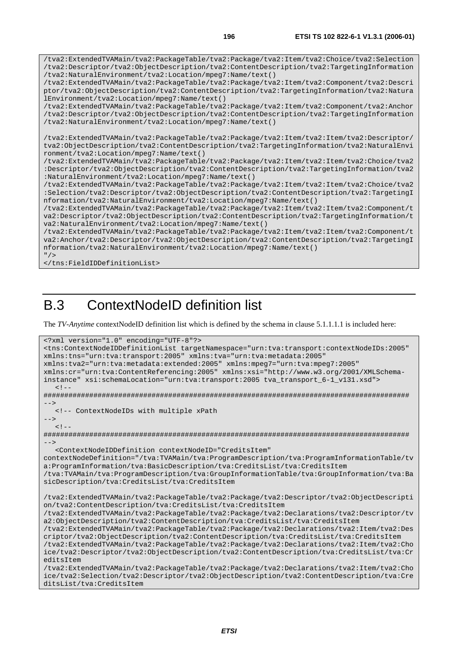/tva2:ExtendedTVAMain/tva2:PackageTable/tva2:Package/tva2:Item/tva2:Choice/tva2:Selection /tva2:Descriptor/tva2:ObjectDescription/tva2:ContentDescription/tva2:TargetingInformation /tva2:NaturalEnvironment/tva2:Location/mpeg7:Name/text() /tva2:ExtendedTVAMain/tva2:PackageTable/tva2:Package/tva2:Item/tva2:Component/tva2:Descri ptor/tva2:ObjectDescription/tva2:ContentDescription/tva2:TargetingInformation/tva2:Natura lEnvironment/tva2:Location/mpeg7:Name/text() /tva2:ExtendedTVAMain/tva2:PackageTable/tva2:Package/tva2:Item/tva2:Component/tva2:Anchor /tva2:Descriptor/tva2:ObjectDescription/tva2:ContentDescription/tva2:TargetingInformation /tva2:NaturalEnvironment/tva2:Location/mpeg7:Name/text() /tva2:ExtendedTVAMain/tva2:PackageTable/tva2:Package/tva2:Item/tva2:Item/tva2:Descriptor/ tva2:ObjectDescription/tva2:ContentDescription/tva2:TargetingInformation/tva2:NaturalEnvi ronment/tva2:Location/mpeg7:Name/text() /tva2:ExtendedTVAMain/tva2:PackageTable/tva2:Package/tva2:Item/tva2:Item/tva2:Choice/tva2

:Descriptor/tva2:ObjectDescription/tva2:ContentDescription/tva2:TargetingInformation/tva2 :NaturalEnvironment/tva2:Location/mpeg7:Name/text()

/tva2:ExtendedTVAMain/tva2:PackageTable/tva2:Package/tva2:Item/tva2:Item/tva2:Choice/tva2 :Selection/tva2:Descriptor/tva2:ObjectDescription/tva2:ContentDescription/tva2:TargetingI nformation/tva2:NaturalEnvironment/tva2:Location/mpeg7:Name/text()

/tva2:ExtendedTVAMain/tva2:PackageTable/tva2:Package/tva2:Item/tva2:Item/tva2:Component/t va2:Descriptor/tva2:ObjectDescription/tva2:ContentDescription/tva2:TargetingInformation/t va2:NaturalEnvironment/tva2:Location/mpeg7:Name/text()

/tva2:ExtendedTVAMain/tva2:PackageTable/tva2:Package/tva2:Item/tva2:Item/tva2:Component/t va2:Anchor/tva2:Descriptor/tva2:ObjectDescription/tva2:ContentDescription/tva2:TargetingI nformation/tva2:NaturalEnvironment/tva2:Location/mpeg7:Name/text()

</tns:FieldIDDefinitionList>

 $"$  />

## B.3 ContextNodeID definition list

The *TV-Anytime* contextNodeID definition list which is defined by the schema in clause 5.1.1.1.1 is included here:

```
<?xml version="1.0" encoding="UTF-8"?> 
<tns:ContextNodeIDDefinitionList targetNamespace="urn:tva:transport:contextNodeIDs:2005" 
xmlns:tns="urn:tva:transport:2005" xmlns:tva="urn:tva:metadata:2005" 
xmlns:tva2="urn:tva:metadata:extended:2005" xmlns:mpeg7="urn:tva:mpeg7:2005" 
xmlns:cr="urn:tva:ContentReferencing:2005" xmlns:xsi="http://www.w3.org/2001/XMLSchema-
instance" xsi:schemaLocation="urn:tva:transport:2005 tva_transport_6-1_v131.xsd"> 
  \lt ! -######################################################################################## 
--> 
   <!-- ContextNodeIDs with multiple xPath 
--> 
  <! -######################################################################################## 
--> 
   <ContextNodeIDDefinition contextNodeID="CreditsItem" 
contextNodeDefinition="/tva:TVAMain/tva:ProgramDescription/tva:ProgramInformationTable/tv
a:ProgramInformation/tva:BasicDescription/tva:CreditsList/tva:CreditsItem 
/tva:TVAMain/tva:ProgramDescription/tva:GroupInformationTable/tva:GroupInformation/tva:Ba
sicDescription/tva:CreditsList/tva:CreditsItem 
/tva2:ExtendedTVAMain/tva2:PackageTable/tva2:Package/tva2:Descriptor/tva2:ObjectDescripti
on/tva2:ContentDescription/tva:CreditsList/tva:CreditsItem 
/tva2:ExtendedTVAMain/tva2:PackageTable/tva2:Package/tva2:Declarations/tva2:Descriptor/tv
a2:ObjectDescription/tva2:ContentDescription/tva:CreditsList/tva:CreditsItem 
/tva2:ExtendedTVAMain/tva2:PackageTable/tva2:Package/tva2:Declarations/tva2:Item/tva2:Des
criptor/tva2:ObjectDescription/tva2:ContentDescription/tva:CreditsList/tva:CreditsItem 
/tva2:ExtendedTVAMain/tva2:PackageTable/tva2:Package/tva2:Declarations/tva2:Item/tva2:Cho
ice/tva2:Descriptor/tva2:ObjectDescription/tva2:ContentDescription/tva:CreditsList/tva:Cr
editsItem 
/tva2:ExtendedTVAMain/tva2:PackageTable/tva2:Package/tva2:Declarations/tva2:Item/tva2:Cho
ice/tva2:Selection/tva2:Descriptor/tva2:ObjectDescription/tva2:ContentDescription/tva:Cre
ditsList/tva:CreditsItem
```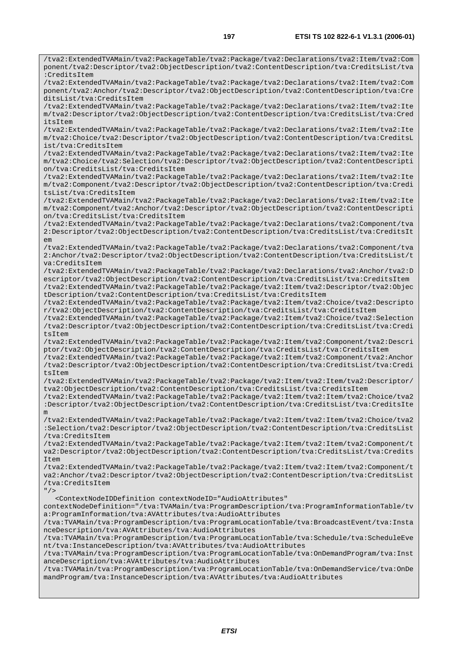/tva2:ExtendedTVAMain/tva2:PackageTable/tva2:Package/tva2:Declarations/tva2:Item/tva2:Com ponent/tva2:Descriptor/tva2:ObjectDescription/tva2:ContentDescription/tva:CreditsList/tva :CreditsItem /tva2:ExtendedTVAMain/tva2:PackageTable/tva2:Package/tva2:Declarations/tva2:Item/tva2:Com ponent/tva2:Anchor/tva2:Descriptor/tva2:ObjectDescription/tva2:ContentDescription/tva:Cre ditsList/tva:CreditsItem /tva2:ExtendedTVAMain/tva2:PackageTable/tva2:Package/tva2:Declarations/tva2:Item/tva2:Ite m/tva2:Descriptor/tva2:ObjectDescription/tva2:ContentDescription/tva:CreditsList/tva:Cred itsItem /tva2:ExtendedTVAMain/tva2:PackageTable/tva2:Package/tva2:Declarations/tva2:Item/tva2:Ite m/tva2:Choice/tva2:Descriptor/tva2:ObjectDescription/tva2:ContentDescription/tva:CreditsL ist/tva:CreditsItem /tva2:ExtendedTVAMain/tva2:PackageTable/tva2:Package/tva2:Declarations/tva2:Item/tva2:Ite m/tva2:Choice/tva2:Selection/tva2:Descriptor/tva2:ObjectDescription/tva2:ContentDescripti on/tva:CreditsList/tva:CreditsItem /tva2:ExtendedTVAMain/tva2:PackageTable/tva2:Package/tva2:Declarations/tva2:Item/tva2:Ite m/tva2:Component/tva2:Descriptor/tva2:ObjectDescription/tva2:ContentDescription/tva:Credi tsList/tva:CreditsItem /tva2:ExtendedTVAMain/tva2:PackageTable/tva2:Package/tva2:Declarations/tva2:Item/tva2:Ite m/tva2:Component/tva2:Anchor/tva2:Descriptor/tva2:ObjectDescription/tva2:ContentDescripti on/tva:CreditsList/tva:CreditsItem /tva2:ExtendedTVAMain/tva2:PackageTable/tva2:Package/tva2:Declarations/tva2:Component/tva 2:Descriptor/tva2:ObjectDescription/tva2:ContentDescription/tva:CreditsList/tva:CreditsIt em /tva2:ExtendedTVAMain/tva2:PackageTable/tva2:Package/tva2:Declarations/tva2:Component/tva 2:Anchor/tva2:Descriptor/tva2:ObjectDescription/tva2:ContentDescription/tva:CreditsList/t va:CreditsItem /tva2:ExtendedTVAMain/tva2:PackageTable/tva2:Package/tva2:Declarations/tva2:Anchor/tva2:D escriptor/tva2:ObjectDescription/tva2:ContentDescription/tva:CreditsList/tva:CreditsItem /tva2:ExtendedTVAMain/tva2:PackageTable/tva2:Package/tva2:Item/tva2:Descriptor/tva2:Objec tDescription/tva2:ContentDescription/tva:CreditsList/tva:CreditsItem /tva2:ExtendedTVAMain/tva2:PackageTable/tva2:Package/tva2:Item/tva2:Choice/tva2:Descripto r/tva2:ObjectDescription/tva2:ContentDescription/tva:CreditsList/tva:CreditsItem /tva2:ExtendedTVAMain/tva2:PackageTable/tva2:Package/tva2:Item/tva2:Choice/tva2:Selection /tva2:Descriptor/tva2:ObjectDescription/tva2:ContentDescription/tva:CreditsList/tva:Credi tsItem /tva2:ExtendedTVAMain/tva2:PackageTable/tva2:Package/tva2:Item/tva2:Component/tva2:Descri ptor/tva2:ObjectDescription/tva2:ContentDescription/tva:CreditsList/tva:CreditsItem /tva2:ExtendedTVAMain/tva2:PackageTable/tva2:Package/tva2:Item/tva2:Component/tva2:Anchor /tva2:Descriptor/tva2:ObjectDescription/tva2:ContentDescription/tva:CreditsList/tva:Credi tsItem /tva2:ExtendedTVAMain/tva2:PackageTable/tva2:Package/tva2:Item/tva2:Item/tva2:Descriptor/ tva2:ObjectDescription/tva2:ContentDescription/tva:CreditsList/tva:CreditsItem /tva2:ExtendedTVAMain/tva2:PackageTable/tva2:Package/tva2:Item/tva2:Item/tva2:Choice/tva2 :Descriptor/tva2:ObjectDescription/tva2:ContentDescription/tva:CreditsList/tva:CreditsIte m /tva2:ExtendedTVAMain/tva2:PackageTable/tva2:Package/tva2:Item/tva2:Item/tva2:Choice/tva2 :Selection/tva2:Descriptor/tva2:ObjectDescription/tva2:ContentDescription/tva:CreditsList /tva:CreditsItem /tva2:ExtendedTVAMain/tva2:PackageTable/tva2:Package/tva2:Item/tva2:Item/tva2:Component/t va2:Descriptor/tva2:ObjectDescription/tva2:ContentDescription/tva:CreditsList/tva:Credits Item /tva2:ExtendedTVAMain/tva2:PackageTable/tva2:Package/tva2:Item/tva2:Item/tva2:Component/t va2:Anchor/tva2:Descriptor/tva2:ObjectDescription/tva2:ContentDescription/tva:CreditsList /tva:CreditsItem "/> <ContextNodeIDDefinition contextNodeID="AudioAttributes" contextNodeDefinition="/tva:TVAMain/tva:ProgramDescription/tva:ProgramInformationTable/tv a:ProgramInformation/tva:AVAttributes/tva:AudioAttributes /tva:TVAMain/tva:ProgramDescription/tva:ProgramLocationTable/tva:BroadcastEvent/tva:Insta nceDescription/tva:AVAttributes/tva:AudioAttributes /tva:TVAMain/tva:ProgramDescription/tva:ProgramLocationTable/tva:Schedule/tva:ScheduleEve nt/tva:InstanceDescription/tva:AVAttributes/tva:AudioAttributes /tva:TVAMain/tva:ProgramDescription/tva:ProgramLocationTable/tva:OnDemandProgram/tva:Inst anceDescription/tva:AVAttributes/tva:AudioAttributes /tva:TVAMain/tva:ProgramDescription/tva:ProgramLocationTable/tva:OnDemandService/tva:OnDe mandProgram/tva:InstanceDescription/tva:AVAttributes/tva:AudioAttributes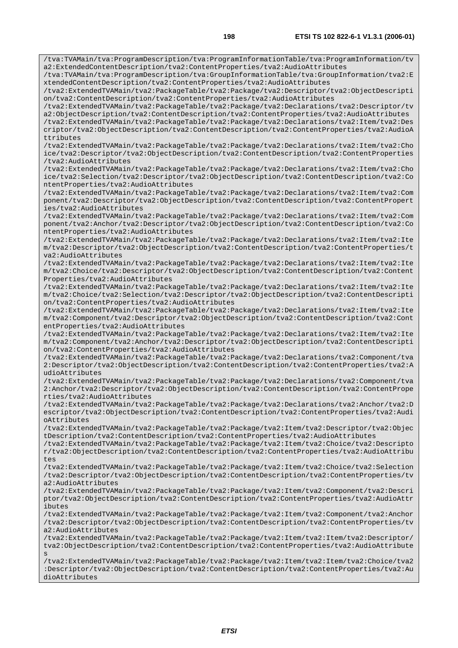/tva:TVAMain/tva:ProgramDescription/tva:ProgramInformationTable/tva:ProgramInformation/tv a2:ExtendedContentDescription/tva2:ContentProperties/tva2:AudioAttributes /tva:TVAMain/tva:ProgramDescription/tva:GroupInformationTable/tva:GroupInformation/tva2:E xtendedContentDescription/tva2:ContentProperties/tva2:AudioAttributes /tva2:ExtendedTVAMain/tva2:PackageTable/tva2:Package/tva2:Descriptor/tva2:ObjectDescripti on/tva2:ContentDescription/tva2:ContentProperties/tva2:AudioAttributes /tva2:ExtendedTVAMain/tva2:PackageTable/tva2:Package/tva2:Declarations/tva2:Descriptor/tv a2:ObjectDescription/tva2:ContentDescription/tva2:ContentProperties/tva2:AudioAttributes /tva2:ExtendedTVAMain/tva2:PackageTable/tva2:Package/tva2:Declarations/tva2:Item/tva2:Des criptor/tva2:ObjectDescription/tva2:ContentDescription/tva2:ContentProperties/tva2:AudioA ttributes /tva2:ExtendedTVAMain/tva2:PackageTable/tva2:Package/tva2:Declarations/tva2:Item/tva2:Cho ice/tva2:Descriptor/tva2:ObjectDescription/tva2:ContentDescription/tva2:ContentProperties /tva2:AudioAttributes /tva2:ExtendedTVAMain/tva2:PackageTable/tva2:Package/tva2:Declarations/tva2:Item/tva2:Cho ice/tva2:Selection/tva2:Descriptor/tva2:ObjectDescription/tva2:ContentDescription/tva2:Co ntentProperties/tva2:AudioAttributes /tva2:ExtendedTVAMain/tva2:PackageTable/tva2:Package/tva2:Declarations/tva2:Item/tva2:Com ponent/tva2:Descriptor/tva2:ObjectDescription/tva2:ContentDescription/tva2:ContentPropert ies/tva2:AudioAttributes /tva2:ExtendedTVAMain/tva2:PackageTable/tva2:Package/tva2:Declarations/tva2:Item/tva2:Com ponent/tva2:Anchor/tva2:Descriptor/tva2:ObjectDescription/tva2:ContentDescription/tva2:Co ntentProperties/tva2:AudioAttributes /tva2:ExtendedTVAMain/tva2:PackageTable/tva2:Package/tva2:Declarations/tva2:Item/tva2:Ite m/tva2:Descriptor/tva2:ObjectDescription/tva2:ContentDescription/tva2:ContentProperties/t va2:AudioAttributes /tva2:ExtendedTVAMain/tva2:PackageTable/tva2:Package/tva2:Declarations/tva2:Item/tva2:Ite m/tva2:Choice/tva2:Descriptor/tva2:ObjectDescription/tva2:ContentDescription/tva2:Content Properties/tva2:AudioAttributes /tva2:ExtendedTVAMain/tva2:PackageTable/tva2:Package/tva2:Declarations/tva2:Item/tva2:Ite m/tva2:Choice/tva2:Selection/tva2:Descriptor/tva2:ObjectDescription/tva2:ContentDescripti on/tva2:ContentProperties/tva2:AudioAttributes /tva2:ExtendedTVAMain/tva2:PackageTable/tva2:Package/tva2:Declarations/tva2:Item/tva2:Ite m/tva2:Component/tva2:Descriptor/tva2:ObjectDescription/tva2:ContentDescription/tva2:Cont entProperties/tva2:AudioAttributes /tva2:ExtendedTVAMain/tva2:PackageTable/tva2:Package/tva2:Declarations/tva2:Item/tva2:Ite m/tva2:Component/tva2:Anchor/tva2:Descriptor/tva2:ObjectDescription/tva2:ContentDescripti on/tva2:ContentProperties/tva2:AudioAttributes /tva2:ExtendedTVAMain/tva2:PackageTable/tva2:Package/tva2:Declarations/tva2:Component/tva 2:Descriptor/tva2:ObjectDescription/tva2:ContentDescription/tva2:ContentProperties/tva2:A udioAttributes /tva2:ExtendedTVAMain/tva2:PackageTable/tva2:Package/tva2:Declarations/tva2:Component/tva 2:Anchor/tva2:Descriptor/tva2:ObjectDescription/tva2:ContentDescription/tva2:ContentPrope rties/tva2:AudioAttributes /tva2:ExtendedTVAMain/tva2:PackageTable/tva2:Package/tva2:Declarations/tva2:Anchor/tva2:D escriptor/tva2:ObjectDescription/tva2:ContentDescription/tva2:ContentProperties/tva2:Audi oAttributes /tva2:ExtendedTVAMain/tva2:PackageTable/tva2:Package/tva2:Item/tva2:Descriptor/tva2:Objec tDescription/tva2:ContentDescription/tva2:ContentProperties/tva2:AudioAttributes /tva2:ExtendedTVAMain/tva2:PackageTable/tva2:Package/tva2:Item/tva2:Choice/tva2:Descripto r/tva2:ObjectDescription/tva2:ContentDescription/tva2:ContentProperties/tva2:AudioAttribu tes /tva2:ExtendedTVAMain/tva2:PackageTable/tva2:Package/tva2:Item/tva2:Choice/tva2:Selection /tva2:Descriptor/tva2:ObjectDescription/tva2:ContentDescription/tva2:ContentProperties/tv a2:AudioAttributes /tva2:ExtendedTVAMain/tva2:PackageTable/tva2:Package/tva2:Item/tva2:Component/tva2:Descri ptor/tva2:ObjectDescription/tva2:ContentDescription/tva2:ContentProperties/tva2:AudioAttr ibutes /tva2:ExtendedTVAMain/tva2:PackageTable/tva2:Package/tva2:Item/tva2:Component/tva2:Anchor /tva2:Descriptor/tva2:ObjectDescription/tva2:ContentDescription/tva2:ContentProperties/tv a2:AudioAttributes /tva2:ExtendedTVAMain/tva2:PackageTable/tva2:Package/tva2:Item/tva2:Item/tva2:Descriptor/ tva2:ObjectDescription/tva2:ContentDescription/tva2:ContentProperties/tva2:AudioAttribute s /tva2:ExtendedTVAMain/tva2:PackageTable/tva2:Package/tva2:Item/tva2:Item/tva2:Choice/tva2 :Descriptor/tva2:ObjectDescription/tva2:ContentDescription/tva2:ContentProperties/tva2:Au dioAttributes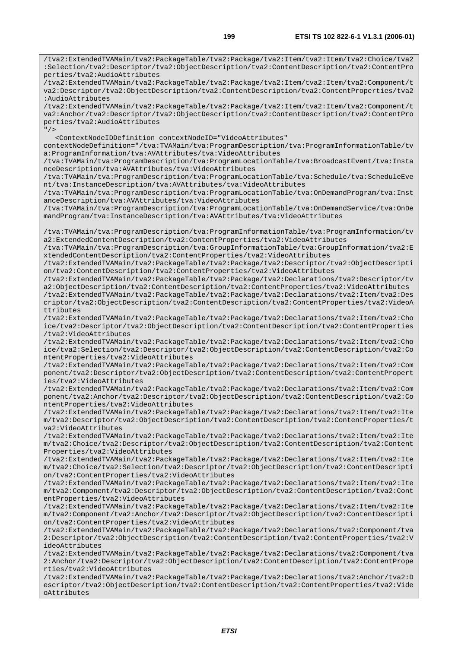/tva2:ExtendedTVAMain/tva2:PackageTable/tva2:Package/tva2:Item/tva2:Item/tva2:Choice/tva2 :Selection/tva2:Descriptor/tva2:ObjectDescription/tva2:ContentDescription/tva2:ContentPro perties/tva2:AudioAttributes /tva2:ExtendedTVAMain/tva2:PackageTable/tva2:Package/tva2:Item/tva2:Item/tva2:Component/t va2:Descriptor/tva2:ObjectDescription/tva2:ContentDescription/tva2:ContentProperties/tva2 :AudioAttributes /tva2:ExtendedTVAMain/tva2:PackageTable/tva2:Package/tva2:Item/tva2:Item/tva2:Component/t va2:Anchor/tva2:Descriptor/tva2:ObjectDescription/tva2:ContentDescription/tva2:ContentPro perties/tva2:AudioAttributes  $"$  /  $>$  <ContextNodeIDDefinition contextNodeID="VideoAttributes" contextNodeDefinition="/tva:TVAMain/tva:ProgramDescription/tva:ProgramInformationTable/tv a:ProgramInformation/tva:AVAttributes/tva:VideoAttributes /tva:TVAMain/tva:ProgramDescription/tva:ProgramLocationTable/tva:BroadcastEvent/tva:Insta nceDescription/tva:AVAttributes/tva:VideoAttributes /tva:TVAMain/tva:ProgramDescription/tva:ProgramLocationTable/tva:Schedule/tva:ScheduleEve nt/tva:InstanceDescription/tva:AVAttributes/tva:VideoAttributes /tva:TVAMain/tva:ProgramDescription/tva:ProgramLocationTable/tva:OnDemandProgram/tva:Inst anceDescription/tva:AVAttributes/tva:VideoAttributes /tva:TVAMain/tva:ProgramDescription/tva:ProgramLocationTable/tva:OnDemandService/tva:OnDe mandProgram/tva:InstanceDescription/tva:AVAttributes/tva:VideoAttributes /tva:TVAMain/tva:ProgramDescription/tva:ProgramInformationTable/tva:ProgramInformation/tv a2:ExtendedContentDescription/tva2:ContentProperties/tva2:VideoAttributes /tva:TVAMain/tva:ProgramDescription/tva:GroupInformationTable/tva:GroupInformation/tva2:E xtendedContentDescription/tva2:ContentProperties/tva2:VideoAttributes /tva2:ExtendedTVAMain/tva2:PackageTable/tva2:Package/tva2:Descriptor/tva2:ObjectDescripti on/tva2:ContentDescription/tva2:ContentProperties/tva2:VideoAttributes /tva2:ExtendedTVAMain/tva2:PackageTable/tva2:Package/tva2:Declarations/tva2:Descriptor/tv a2:ObjectDescription/tva2:ContentDescription/tva2:ContentProperties/tva2:VideoAttributes /tva2:ExtendedTVAMain/tva2:PackageTable/tva2:Package/tva2:Declarations/tva2:Item/tva2:Des criptor/tva2:ObjectDescription/tva2:ContentDescription/tva2:ContentProperties/tva2:VideoA ttributes /tva2:ExtendedTVAMain/tva2:PackageTable/tva2:Package/tva2:Declarations/tva2:Item/tva2:Cho ice/tva2:Descriptor/tva2:ObjectDescription/tva2:ContentDescription/tva2:ContentProperties /tva2:VideoAttributes /tva2:ExtendedTVAMain/tva2:PackageTable/tva2:Package/tva2:Declarations/tva2:Item/tva2:Cho ice/tva2:Selection/tva2:Descriptor/tva2:ObjectDescription/tva2:ContentDescription/tva2:Co ntentProperties/tva2:VideoAttributes /tva2:ExtendedTVAMain/tva2:PackageTable/tva2:Package/tva2:Declarations/tva2:Item/tva2:Com ponent/tva2:Descriptor/tva2:ObjectDescription/tva2:ContentDescription/tva2:ContentPropert ies/tva2:VideoAttributes /tva2:ExtendedTVAMain/tva2:PackageTable/tva2:Package/tva2:Declarations/tva2:Item/tva2:Com ponent/tva2:Anchor/tva2:Descriptor/tva2:ObjectDescription/tva2:ContentDescription/tva2:Co ntentProperties/tva2:VideoAttributes /tva2:ExtendedTVAMain/tva2:PackageTable/tva2:Package/tva2:Declarations/tva2:Item/tva2:Ite m/tva2:Descriptor/tva2:ObjectDescription/tva2:ContentDescription/tva2:ContentProperties/t va2:VideoAttributes /tva2:ExtendedTVAMain/tva2:PackageTable/tva2:Package/tva2:Declarations/tva2:Item/tva2:Ite m/tva2:Choice/tva2:Descriptor/tva2:ObjectDescription/tva2:ContentDescription/tva2:Content Properties/tva2:VideoAttributes /tva2:ExtendedTVAMain/tva2:PackageTable/tva2:Package/tva2:Declarations/tva2:Item/tva2:Ite m/tva2:Choice/tva2:Selection/tva2:Descriptor/tva2:ObjectDescription/tva2:ContentDescripti on/tva2:ContentProperties/tva2:VideoAttributes /tva2:ExtendedTVAMain/tva2:PackageTable/tva2:Package/tva2:Declarations/tva2:Item/tva2:Ite m/tva2:Component/tva2:Descriptor/tva2:ObjectDescription/tva2:ContentDescription/tva2:Cont entProperties/tva2:VideoAttributes /tva2:ExtendedTVAMain/tva2:PackageTable/tva2:Package/tva2:Declarations/tva2:Item/tva2:Ite m/tva2:Component/tva2:Anchor/tva2:Descriptor/tva2:ObjectDescription/tva2:ContentDescripti on/tva2:ContentProperties/tva2:VideoAttributes /tva2:ExtendedTVAMain/tva2:PackageTable/tva2:Package/tva2:Declarations/tva2:Component/tva 2:Descriptor/tva2:ObjectDescription/tva2:ContentDescription/tva2:ContentProperties/tva2:V ideoAttributes /tva2:ExtendedTVAMain/tva2:PackageTable/tva2:Package/tva2:Declarations/tva2:Component/tva 2:Anchor/tva2:Descriptor/tva2:ObjectDescription/tva2:ContentDescription/tva2:ContentPrope rties/tva2:VideoAttributes /tva2:ExtendedTVAMain/tva2:PackageTable/tva2:Package/tva2:Declarations/tva2:Anchor/tva2:D escriptor/tva2:ObjectDescription/tva2:ContentDescription/tva2:ContentProperties/tva2:Vide

oAttributes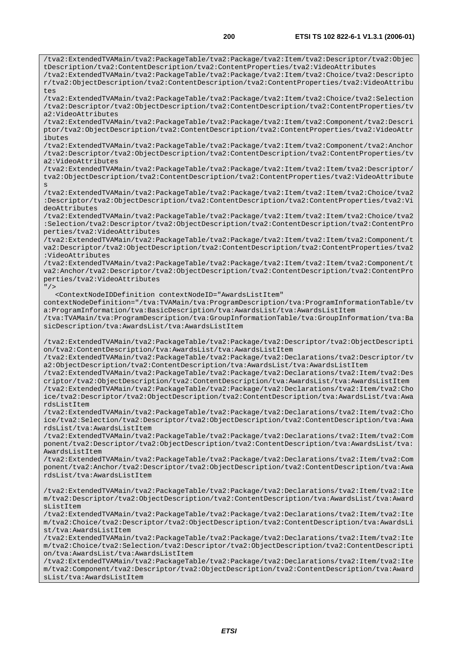/tva2:ExtendedTVAMain/tva2:PackageTable/tva2:Package/tva2:Item/tva2:Descriptor/tva2:Objec tDescription/tva2:ContentDescription/tva2:ContentProperties/tva2:VideoAttributes /tva2:ExtendedTVAMain/tva2:PackageTable/tva2:Package/tva2:Item/tva2:Choice/tva2:Descripto r/tva2:ObjectDescription/tva2:ContentDescription/tva2:ContentProperties/tva2:VideoAttribu tes /tva2:ExtendedTVAMain/tva2:PackageTable/tva2:Package/tva2:Item/tva2:Choice/tva2:Selection /tva2:Descriptor/tva2:ObjectDescription/tva2:ContentDescription/tva2:ContentProperties/tv a2:VideoAttributes /tva2:ExtendedTVAMain/tva2:PackageTable/tva2:Package/tva2:Item/tva2:Component/tva2:Descri ptor/tva2:ObjectDescription/tva2:ContentDescription/tva2:ContentProperties/tva2:VideoAttr ibutes /tva2:ExtendedTVAMain/tva2:PackageTable/tva2:Package/tva2:Item/tva2:Component/tva2:Anchor /tva2:Descriptor/tva2:ObjectDescription/tva2:ContentDescription/tva2:ContentProperties/tv a2:VideoAttributes /tva2:ExtendedTVAMain/tva2:PackageTable/tva2:Package/tva2:Item/tva2:Item/tva2:Descriptor/ tva2:ObjectDescription/tva2:ContentDescription/tva2:ContentProperties/tva2:VideoAttribute s /tva2:ExtendedTVAMain/tva2:PackageTable/tva2:Package/tva2:Item/tva2:Item/tva2:Choice/tva2 :Descriptor/tva2:ObjectDescription/tva2:ContentDescription/tva2:ContentProperties/tva2:Vi deoAttributes /tva2:ExtendedTVAMain/tva2:PackageTable/tva2:Package/tva2:Item/tva2:Item/tva2:Choice/tva2 :Selection/tva2:Descriptor/tva2:ObjectDescription/tva2:ContentDescription/tva2:ContentPro perties/tva2:VideoAttributes /tva2:ExtendedTVAMain/tva2:PackageTable/tva2:Package/tva2:Item/tva2:Item/tva2:Component/t va2:Descriptor/tva2:ObjectDescription/tva2:ContentDescription/tva2:ContentProperties/tva2 :VideoAttributes /tva2:ExtendedTVAMain/tva2:PackageTable/tva2:Package/tva2:Item/tva2:Item/tva2:Component/t va2:Anchor/tva2:Descriptor/tva2:ObjectDescription/tva2:ContentDescription/tva2:ContentPro perties/tva2:VideoAttributes  $"$  /> <ContextNodeIDDefinition contextNodeID="AwardsListItem" contextNodeDefinition="/tva:TVAMain/tva:ProgramDescription/tva:ProgramInformationTable/tv a:ProgramInformation/tva:BasicDescription/tva:AwardsList/tva:AwardsListItem /tva:TVAMain/tva:ProgramDescription/tva:GroupInformationTable/tva:GroupInformation/tva:Ba sicDescription/tva:AwardsList/tva:AwardsListItem /tva2:ExtendedTVAMain/tva2:PackageTable/tva2:Package/tva2:Descriptor/tva2:ObjectDescripti on/tva2:ContentDescription/tva:AwardsList/tva:AwardsListItem /tva2:ExtendedTVAMain/tva2:PackageTable/tva2:Package/tva2:Declarations/tva2:Descriptor/tv a2:ObjectDescription/tva2:ContentDescription/tva:AwardsList/tva:AwardsListItem /tva2:ExtendedTVAMain/tva2:PackageTable/tva2:Package/tva2:Declarations/tva2:Item/tva2:Des criptor/tva2:ObjectDescription/tva2:ContentDescription/tva:AwardsList/tva:AwardsListItem /tva2:ExtendedTVAMain/tva2:PackageTable/tva2:Package/tva2:Declarations/tva2:Item/tva2:Cho ice/tva2:Descriptor/tva2:ObjectDescription/tva2:ContentDescription/tva:AwardsList/tva:Awa rdsListItem /tva2:ExtendedTVAMain/tva2:PackageTable/tva2:Package/tva2:Declarations/tva2:Item/tva2:Cho ice/tva2:Selection/tva2:Descriptor/tva2:ObjectDescription/tva2:ContentDescription/tva:Awa rdsList/tva:AwardsListItem /tva2:ExtendedTVAMain/tva2:PackageTable/tva2:Package/tva2:Declarations/tva2:Item/tva2:Com ponent/tva2:Descriptor/tva2:ObjectDescription/tva2:ContentDescription/tva:AwardsList/tva: AwardsListItem /tva2:ExtendedTVAMain/tva2:PackageTable/tva2:Package/tva2:Declarations/tva2:Item/tva2:Com ponent/tva2:Anchor/tva2:Descriptor/tva2:ObjectDescription/tva2:ContentDescription/tva:Awa rdsList/tva:AwardsListItem /tva2:ExtendedTVAMain/tva2:PackageTable/tva2:Package/tva2:Declarations/tva2:Item/tva2:Ite m/tva2:Descriptor/tva2:ObjectDescription/tva2:ContentDescription/tva:AwardsList/tva:Award sListItem /tva2:ExtendedTVAMain/tva2:PackageTable/tva2:Package/tva2:Declarations/tva2:Item/tva2:Ite m/tva2:Choice/tva2:Descriptor/tva2:ObjectDescription/tva2:ContentDescription/tva:AwardsLi st/tva:AwardsListItem /tva2:ExtendedTVAMain/tva2:PackageTable/tva2:Package/tva2:Declarations/tva2:Item/tva2:Ite m/tva2:Choice/tva2:Selection/tva2:Descriptor/tva2:ObjectDescription/tva2:ContentDescripti on/tva:AwardsList/tva:AwardsListItem /tva2:ExtendedTVAMain/tva2:PackageTable/tva2:Package/tva2:Declarations/tva2:Item/tva2:Ite m/tva2:Component/tva2:Descriptor/tva2:ObjectDescription/tva2:ContentDescription/tva:Award sList/tva:AwardsListItem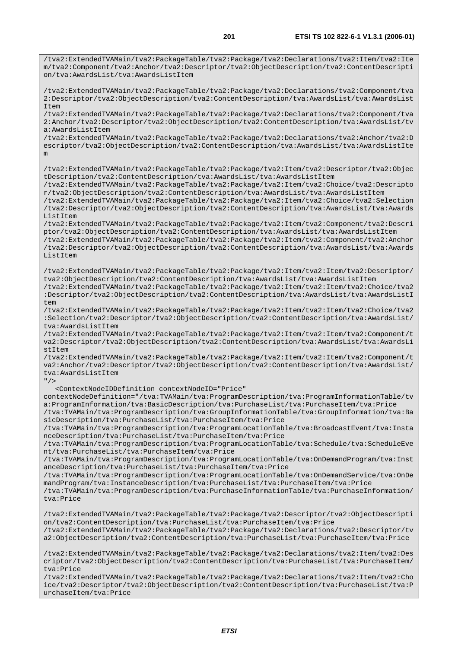/tva2:ExtendedTVAMain/tva2:PackageTable/tva2:Package/tva2:Declarations/tva2:Item/tva2:Ite m/tva2:Component/tva2:Anchor/tva2:Descriptor/tva2:ObjectDescription/tva2:ContentDescripti on/tva:AwardsList/tva:AwardsListItem /tva2:ExtendedTVAMain/tva2:PackageTable/tva2:Package/tva2:Declarations/tva2:Component/tva 2:Descriptor/tva2:ObjectDescription/tva2:ContentDescription/tva:AwardsList/tva:AwardsList Item /tva2:ExtendedTVAMain/tva2:PackageTable/tva2:Package/tva2:Declarations/tva2:Component/tva 2:Anchor/tva2:Descriptor/tva2:ObjectDescription/tva2:ContentDescription/tva:AwardsList/tv a:AwardsListItem /tva2:ExtendedTVAMain/tva2:PackageTable/tva2:Package/tva2:Declarations/tva2:Anchor/tva2:D escriptor/tva2:ObjectDescription/tva2:ContentDescription/tva:AwardsList/tva:AwardsListIte m /tva2:ExtendedTVAMain/tva2:PackageTable/tva2:Package/tva2:Item/tva2:Descriptor/tva2:Objec tDescription/tva2:ContentDescription/tva:AwardsList/tva:AwardsListItem /tva2:ExtendedTVAMain/tva2:PackageTable/tva2:Package/tva2:Item/tva2:Choice/tva2:Descripto r/tva2:ObjectDescription/tva2:ContentDescription/tva:AwardsList/tva:AwardsListItem /tva2:ExtendedTVAMain/tva2:PackageTable/tva2:Package/tva2:Item/tva2:Choice/tva2:Selection /tva2:Descriptor/tva2:ObjectDescription/tva2:ContentDescription/tva:AwardsList/tva:Awards ListItem /tva2:ExtendedTVAMain/tva2:PackageTable/tva2:Package/tva2:Item/tva2:Component/tva2:Descri ptor/tva2:ObjectDescription/tva2:ContentDescription/tva:AwardsList/tva:AwardsListItem /tva2:ExtendedTVAMain/tva2:PackageTable/tva2:Package/tva2:Item/tva2:Component/tva2:Anchor /tva2:Descriptor/tva2:ObjectDescription/tva2:ContentDescription/tva:AwardsList/tva:Awards ListItem /tva2:ExtendedTVAMain/tva2:PackageTable/tva2:Package/tva2:Item/tva2:Item/tva2:Descriptor/ tva2:ObjectDescription/tva2:ContentDescription/tva:AwardsList/tva:AwardsListItem /tva2:ExtendedTVAMain/tva2:PackageTable/tva2:Package/tva2:Item/tva2:Item/tva2:Choice/tva2 :Descriptor/tva2:ObjectDescription/tva2:ContentDescription/tva:AwardsList/tva:AwardsListI  $t$ em /tva2:ExtendedTVAMain/tva2:PackageTable/tva2:Package/tva2:Item/tva2:Item/tva2:Choice/tva2 :Selection/tva2:Descriptor/tva2:ObjectDescription/tva2:ContentDescription/tva:AwardsList/ tva:AwardsListItem /tva2:ExtendedTVAMain/tva2:PackageTable/tva2:Package/tva2:Item/tva2:Item/tva2:Component/t va2:Descriptor/tva2:ObjectDescription/tva2:ContentDescription/tva:AwardsList/tva:AwardsLi stItem /tva2:ExtendedTVAMain/tva2:PackageTable/tva2:Package/tva2:Item/tva2:Item/tva2:Component/t va2:Anchor/tva2:Descriptor/tva2:ObjectDescription/tva2:ContentDescription/tva:AwardsList/ tva:AwardsListItem  $"$ /> <ContextNodeIDDefinition contextNodeID="Price" contextNodeDefinition="/tva:TVAMain/tva:ProgramDescription/tva:ProgramInformationTable/tv a:ProgramInformation/tva:BasicDescription/tva:PurchaseList/tva:PurchaseItem/tva:Price /tva:TVAMain/tva:ProgramDescription/tva:GroupInformationTable/tva:GroupInformation/tva:Ba sicDescription/tva:PurchaseList/tva:PurchaseItem/tva:Price /tva:TVAMain/tva:ProgramDescription/tva:ProgramLocationTable/tva:BroadcastEvent/tva:Insta nceDescription/tva:PurchaseList/tva:PurchaseItem/tva:Price /tva:TVAMain/tva:ProgramDescription/tva:ProgramLocationTable/tva:Schedule/tva:ScheduleEve nt/tva:PurchaseList/tva:PurchaseItem/tva:Price /tva:TVAMain/tva:ProgramDescription/tva:ProgramLocationTable/tva:OnDemandProgram/tva:Inst anceDescription/tva:PurchaseList/tva:PurchaseItem/tva:Price /tva:TVAMain/tva:ProgramDescription/tva:ProgramLocationTable/tva:OnDemandService/tva:OnDe mandProgram/tva:InstanceDescription/tva:PurchaseList/tva:PurchaseItem/tva:Price /tva:TVAMain/tva:ProgramDescription/tva:PurchaseInformationTable/tva:PurchaseInformation/ tva:Price /tva2:ExtendedTVAMain/tva2:PackageTable/tva2:Package/tva2:Descriptor/tva2:ObjectDescripti on/tva2:ContentDescription/tva:PurchaseList/tva:PurchaseItem/tva:Price /tva2:ExtendedTVAMain/tva2:PackageTable/tva2:Package/tva2:Declarations/tva2:Descriptor/tv a2:ObjectDescription/tva2:ContentDescription/tva:PurchaseList/tva:PurchaseItem/tva:Price /tva2:ExtendedTVAMain/tva2:PackageTable/tva2:Package/tva2:Declarations/tva2:Item/tva2:Des criptor/tva2:ObjectDescription/tva2:ContentDescription/tva:PurchaseList/tva:PurchaseItem/ tva:Price

/tva2:ExtendedTVAMain/tva2:PackageTable/tva2:Package/tva2:Declarations/tva2:Item/tva2:Cho ice/tva2:Descriptor/tva2:ObjectDescription/tva2:ContentDescription/tva:PurchaseList/tva:P urchaseItem/tva:Price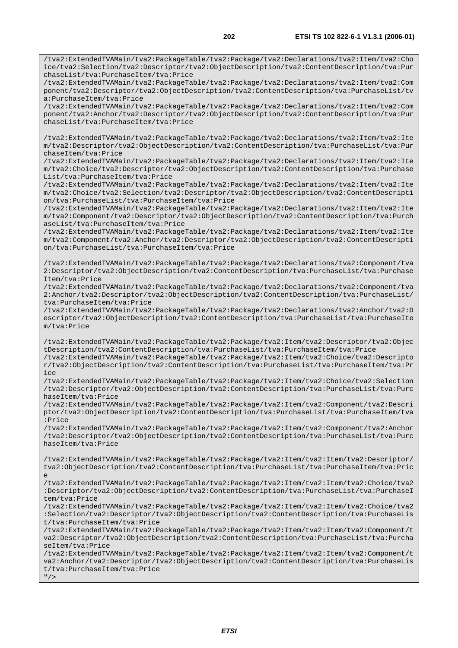/tva2:ExtendedTVAMain/tva2:PackageTable/tva2:Package/tva2:Declarations/tva2:Item/tva2:Cho ice/tva2:Selection/tva2:Descriptor/tva2:ObjectDescription/tva2:ContentDescription/tva:Pur chaseList/tva:PurchaseItem/tva:Price

/tva2:ExtendedTVAMain/tva2:PackageTable/tva2:Package/tva2:Declarations/tva2:Item/tva2:Com ponent/tva2:Descriptor/tva2:ObjectDescription/tva2:ContentDescription/tva:PurchaseList/tv a:PurchaseItem/tva:Price

/tva2:ExtendedTVAMain/tva2:PackageTable/tva2:Package/tva2:Declarations/tva2:Item/tva2:Com ponent/tva2:Anchor/tva2:Descriptor/tva2:ObjectDescription/tva2:ContentDescription/tva:Pur chaseList/tva:PurchaseItem/tva:Price

/tva2:ExtendedTVAMain/tva2:PackageTable/tva2:Package/tva2:Declarations/tva2:Item/tva2:Ite m/tva2:Descriptor/tva2:ObjectDescription/tva2:ContentDescription/tva:PurchaseList/tva:Pur chaseItem/tva:Price

/tva2:ExtendedTVAMain/tva2:PackageTable/tva2:Package/tva2:Declarations/tva2:Item/tva2:Ite m/tva2:Choice/tva2:Descriptor/tva2:ObjectDescription/tva2:ContentDescription/tva:Purchase List/tva:PurchaseItem/tva:Price

/tva2:ExtendedTVAMain/tva2:PackageTable/tva2:Package/tva2:Declarations/tva2:Item/tva2:Ite m/tva2:Choice/tva2:Selection/tva2:Descriptor/tva2:ObjectDescription/tva2:ContentDescripti on/tva:PurchaseList/tva:PurchaseItem/tva:Price

/tva2:ExtendedTVAMain/tva2:PackageTable/tva2:Package/tva2:Declarations/tva2:Item/tva2:Ite m/tva2:Component/tva2:Descriptor/tva2:ObjectDescription/tva2:ContentDescription/tva:Purch aseList/tva:PurchaseItem/tva:Price

/tva2:ExtendedTVAMain/tva2:PackageTable/tva2:Package/tva2:Declarations/tva2:Item/tva2:Ite m/tva2:Component/tva2:Anchor/tva2:Descriptor/tva2:ObjectDescription/tva2:ContentDescripti on/tva:PurchaseList/tva:PurchaseItem/tva:Price

/tva2:ExtendedTVAMain/tva2:PackageTable/tva2:Package/tva2:Declarations/tva2:Component/tva 2:Descriptor/tva2:ObjectDescription/tva2:ContentDescription/tva:PurchaseList/tva:Purchase Item/tva:Price

/tva2:ExtendedTVAMain/tva2:PackageTable/tva2:Package/tva2:Declarations/tva2:Component/tva 2:Anchor/tva2:Descriptor/tva2:ObjectDescription/tva2:ContentDescription/tva:PurchaseList/ tva:PurchaseItem/tva:Price

/tva2:ExtendedTVAMain/tva2:PackageTable/tva2:Package/tva2:Declarations/tva2:Anchor/tva2:D escriptor/tva2:ObjectDescription/tva2:ContentDescription/tva:PurchaseList/tva:PurchaseIte m/tva:Price

/tva2:ExtendedTVAMain/tva2:PackageTable/tva2:Package/tva2:Item/tva2:Descriptor/tva2:Objec tDescription/tva2:ContentDescription/tva:PurchaseList/tva:PurchaseItem/tva:Price

/tva2:ExtendedTVAMain/tva2:PackageTable/tva2:Package/tva2:Item/tva2:Choice/tva2:Descripto r/tva2:ObjectDescription/tva2:ContentDescription/tva:PurchaseList/tva:PurchaseItem/tva:Pr ice

/tva2:ExtendedTVAMain/tva2:PackageTable/tva2:Package/tva2:Item/tva2:Choice/tva2:Selection /tva2:Descriptor/tva2:ObjectDescription/tva2:ContentDescription/tva:PurchaseList/tva:Purc haseItem/tva:Price

/tva2:ExtendedTVAMain/tva2:PackageTable/tva2:Package/tva2:Item/tva2:Component/tva2:Descri ptor/tva2:ObjectDescription/tva2:ContentDescription/tva:PurchaseList/tva:PurchaseItem/tva :Price

/tva2:ExtendedTVAMain/tva2:PackageTable/tva2:Package/tva2:Item/tva2:Component/tva2:Anchor /tva2:Descriptor/tva2:ObjectDescription/tva2:ContentDescription/tva:PurchaseList/tva:Purc haseItem/tva:Price

/tva2:ExtendedTVAMain/tva2:PackageTable/tva2:Package/tva2:Item/tva2:Item/tva2:Descriptor/ tva2:ObjectDescription/tva2:ContentDescription/tva:PurchaseList/tva:PurchaseItem/tva:Pric e

/tva2:ExtendedTVAMain/tva2:PackageTable/tva2:Package/tva2:Item/tva2:Item/tva2:Choice/tva2 :Descriptor/tva2:ObjectDescription/tva2:ContentDescription/tva:PurchaseList/tva:PurchaseI tem/tva:Price

/tva2:ExtendedTVAMain/tva2:PackageTable/tva2:Package/tva2:Item/tva2:Item/tva2:Choice/tva2 :Selection/tva2:Descriptor/tva2:ObjectDescription/tva2:ContentDescription/tva:PurchaseLis t/tva:PurchaseItem/tva:Price

/tva2:ExtendedTVAMain/tva2:PackageTable/tva2:Package/tva2:Item/tva2:Item/tva2:Component/t va2:Descriptor/tva2:ObjectDescription/tva2:ContentDescription/tva:PurchaseList/tva:Purcha seItem/tva:Price

/tva2:ExtendedTVAMain/tva2:PackageTable/tva2:Package/tva2:Item/tva2:Item/tva2:Component/t va2:Anchor/tva2:Descriptor/tva2:ObjectDescription/tva2:ContentDescription/tva:PurchaseLis t/tva:PurchaseItem/tva:Price

 $''$  / >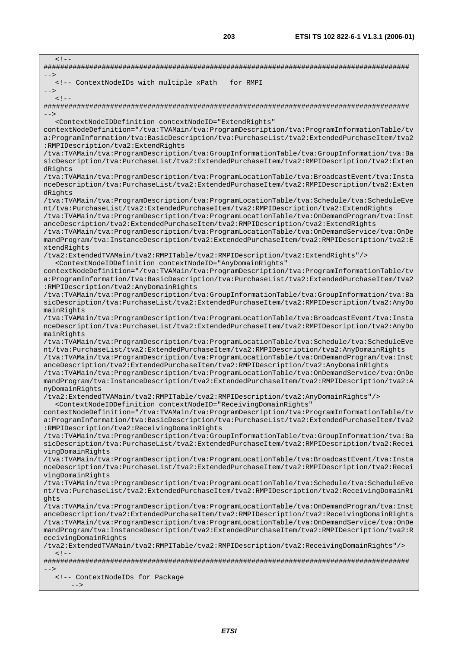$\leq$   $\vert$   $-$ ######################################################################################## --> <!-- ContextNodeIDs with multiple xPath for RMPI -->  $<$ ! --######################################################################################## --> <ContextNodeIDDefinition contextNodeID="ExtendRights" contextNodeDefinition="/tva:TVAMain/tva:ProgramDescription/tva:ProgramInformationTable/tv a:ProgramInformation/tva:BasicDescription/tva:PurchaseList/tva2:ExtendedPurchaseItem/tva2 :RMPIDescription/tva2:ExtendRights /tva:TVAMain/tva:ProgramDescription/tva:GroupInformationTable/tva:GroupInformation/tva:Ba sicDescription/tva:PurchaseList/tva2:ExtendedPurchaseItem/tva2:RMPIDescription/tva2:Exten dRights /tva:TVAMain/tva:ProgramDescription/tva:ProgramLocationTable/tva:BroadcastEvent/tva:Insta nceDescription/tva:PurchaseList/tva2:ExtendedPurchaseItem/tva2:RMPIDescription/tva2:Exten dRights /tva:TVAMain/tva:ProgramDescription/tva:ProgramLocationTable/tva:Schedule/tva:ScheduleEve nt/tva:PurchaseList/tva2:ExtendedPurchaseItem/tva2:RMPIDescription/tva2:ExtendRights /tva:TVAMain/tva:ProgramDescription/tva:ProgramLocationTable/tva:OnDemandProgram/tva:Inst anceDescription/tva2:ExtendedPurchaseItem/tva2:RMPIDescription/tva2:ExtendRights /tva:TVAMain/tva:ProgramDescription/tva:ProgramLocationTable/tva:OnDemandService/tva:OnDe mandProgram/tva:InstanceDescription/tva2:ExtendedPurchaseItem/tva2:RMPIDescription/tva2:E xtendRights /tva2:ExtendedTVAMain/tva2:RMPITable/tva2:RMPIDescription/tva2:ExtendRights"/> <ContextNodeIDDefinition contextNodeID="AnyDomainRights" contextNodeDefinition="/tva:TVAMain/tva:ProgramDescription/tva:ProgramInformationTable/tv a:ProgramInformation/tva:BasicDescription/tva:PurchaseList/tva2:ExtendedPurchaseItem/tva2 :RMPIDescription/tva2:AnyDomainRights /tva:TVAMain/tva:ProgramDescription/tva:GroupInformationTable/tva:GroupInformation/tva:Ba sicDescription/tva:PurchaseList/tva2:ExtendedPurchaseItem/tva2:RMPIDescription/tva2:AnyDo mainRights /tva:TVAMain/tva:ProgramDescription/tva:ProgramLocationTable/tva:BroadcastEvent/tva:Insta nceDescription/tva:PurchaseList/tva2:ExtendedPurchaseItem/tva2:RMPIDescription/tva2:AnyDo mainRights /tva:TVAMain/tva:ProgramDescription/tva:ProgramLocationTable/tva:Schedule/tva:ScheduleEve nt/tva:PurchaseList/tva2:ExtendedPurchaseItem/tva2:RMPIDescription/tva2:AnyDomainRights /tva:TVAMain/tva:ProgramDescription/tva:ProgramLocationTable/tva:OnDemandProgram/tva:Inst anceDescription/tva2:ExtendedPurchaseItem/tva2:RMPIDescription/tva2:AnyDomainRights /tva:TVAMain/tva:ProgramDescription/tva:ProgramLocationTable/tva:OnDemandService/tva:OnDe mandProgram/tva:InstanceDescription/tva2:ExtendedPurchaseItem/tva2:RMPIDescription/tva2:A nyDomainRights /tva2:ExtendedTVAMain/tva2:RMPITable/tva2:RMPIDescription/tva2:AnyDomainRights"/> <ContextNodeIDDefinition contextNodeID="ReceivingDomainRights" contextNodeDefinition="/tva:TVAMain/tva:ProgramDescription/tva:ProgramInformationTable/tv a:ProgramInformation/tva:BasicDescription/tva:PurchaseList/tva2:ExtendedPurchaseItem/tva2 :RMPIDescription/tva2:ReceivingDomainRights /tva:TVAMain/tva:ProgramDescription/tva:GroupInformationTable/tva:GroupInformation/tva:Ba sicDescription/tva:PurchaseList/tva2:ExtendedPurchaseItem/tva2:RMPIDescription/tva2:Recei vingDomainRights /tva:TVAMain/tva:ProgramDescription/tva:ProgramLocationTable/tva:BroadcastEvent/tva:Insta nceDescription/tva:PurchaseList/tva2:ExtendedPurchaseItem/tva2:RMPIDescription/tva2:Recei vingDomainRights /tva:TVAMain/tva:ProgramDescription/tva:ProgramLocationTable/tva:Schedule/tva:ScheduleEve nt/tva:PurchaseList/tva2:ExtendedPurchaseItem/tva2:RMPIDescription/tva2:ReceivingDomainRi ghts /tva:TVAMain/tva:ProgramDescription/tva:ProgramLocationTable/tva:OnDemandProgram/tva:Inst anceDescription/tva2:ExtendedPurchaseItem/tva2:RMPIDescription/tva2:ReceivingDomainRights /tva:TVAMain/tva:ProgramDescription/tva:ProgramLocationTable/tva:OnDemandService/tva:OnDe mandProgram/tva:InstanceDescription/tva2:ExtendedPurchaseItem/tva2:RMPIDescription/tva2:R eceivingDomainRights /tva2:ExtendedTVAMain/tva2:RMPITable/tva2:RMPIDescription/tva2:ReceivingDomainRights"/>  $<$ !  $-$ ######################################################################################## --> <!-- ContextNodeIDs for Package  $--&>$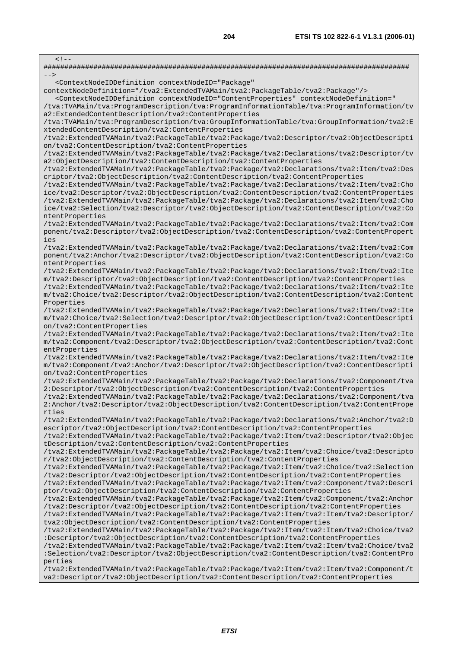$\leq$   $\vert$   $-$ ######################################################################################## --> <ContextNodeIDDefinition contextNodeID="Package" contextNodeDefinition="/tva2:ExtendedTVAMain/tva2:PackageTable/tva2:Package"/> <ContextNodeIDDefinition contextNodeID="ContentProperties" contextNodeDefinition=" /tva:TVAMain/tva:ProgramDescription/tva:ProgramInformationTable/tva:ProgramInformation/tv a2:ExtendedContentDescription/tva2:ContentProperties /tva:TVAMain/tva:ProgramDescription/tva:GroupInformationTable/tva:GroupInformation/tva2:E xtendedContentDescription/tva2:ContentProperties /tva2:ExtendedTVAMain/tva2:PackageTable/tva2:Package/tva2:Descriptor/tva2:ObjectDescripti on/tva2:ContentDescription/tva2:ContentProperties /tva2:ExtendedTVAMain/tva2:PackageTable/tva2:Package/tva2:Declarations/tva2:Descriptor/tv a2:ObjectDescription/tva2:ContentDescription/tva2:ContentProperties /tva2:ExtendedTVAMain/tva2:PackageTable/tva2:Package/tva2:Declarations/tva2:Item/tva2:Des criptor/tva2:ObjectDescription/tva2:ContentDescription/tva2:ContentProperties /tva2:ExtendedTVAMain/tva2:PackageTable/tva2:Package/tva2:Declarations/tva2:Item/tva2:Cho ice/tva2:Descriptor/tva2:ObjectDescription/tva2:ContentDescription/tva2:ContentProperties /tva2:ExtendedTVAMain/tva2:PackageTable/tva2:Package/tva2:Declarations/tva2:Item/tva2:Cho ice/tva2:Selection/tva2:Descriptor/tva2:ObjectDescription/tva2:ContentDescription/tva2:Co ntentProperties /tva2:ExtendedTVAMain/tva2:PackageTable/tva2:Package/tva2:Declarations/tva2:Item/tva2:Com ponent/tva2:Descriptor/tva2:ObjectDescription/tva2:ContentDescription/tva2:ContentPropert ies /tva2:ExtendedTVAMain/tva2:PackageTable/tva2:Package/tva2:Declarations/tva2:Item/tva2:Com ponent/tva2:Anchor/tva2:Descriptor/tva2:ObjectDescription/tva2:ContentDescription/tva2:Co ntentProperties /tva2:ExtendedTVAMain/tva2:PackageTable/tva2:Package/tva2:Declarations/tva2:Item/tva2:Ite m/tva2:Descriptor/tva2:ObjectDescription/tva2:ContentDescription/tva2:ContentProperties /tva2:ExtendedTVAMain/tva2:PackageTable/tva2:Package/tva2:Declarations/tva2:Item/tva2:Ite m/tva2:Choice/tva2:Descriptor/tva2:ObjectDescription/tva2:ContentDescription/tva2:Content Properties /tva2:ExtendedTVAMain/tva2:PackageTable/tva2:Package/tva2:Declarations/tva2:Item/tva2:Ite m/tva2:Choice/tva2:Selection/tva2:Descriptor/tva2:ObjectDescription/tva2:ContentDescripti on/tva2:ContentProperties /tva2:ExtendedTVAMain/tva2:PackageTable/tva2:Package/tva2:Declarations/tva2:Item/tva2:Ite m/tva2:Component/tva2:Descriptor/tva2:ObjectDescription/tva2:ContentDescription/tva2:Cont entProperties /tva2:ExtendedTVAMain/tva2:PackageTable/tva2:Package/tva2:Declarations/tva2:Item/tva2:Ite m/tva2:Component/tva2:Anchor/tva2:Descriptor/tva2:ObjectDescription/tva2:ContentDescripti on/tva2:ContentProperties /tva2:ExtendedTVAMain/tva2:PackageTable/tva2:Package/tva2:Declarations/tva2:Component/tva 2:Descriptor/tva2:ObjectDescription/tva2:ContentDescription/tva2:ContentProperties /tva2:ExtendedTVAMain/tva2:PackageTable/tva2:Package/tva2:Declarations/tva2:Component/tva 2:Anchor/tva2:Descriptor/tva2:ObjectDescription/tva2:ContentDescription/tva2:ContentPrope rties /tva2:ExtendedTVAMain/tva2:PackageTable/tva2:Package/tva2:Declarations/tva2:Anchor/tva2:D escriptor/tva2:ObjectDescription/tva2:ContentDescription/tva2:ContentProperties /tva2:ExtendedTVAMain/tva2:PackageTable/tva2:Package/tva2:Item/tva2:Descriptor/tva2:Objec tDescription/tva2:ContentDescription/tva2:ContentProperties /tva2:ExtendedTVAMain/tva2:PackageTable/tva2:Package/tva2:Item/tva2:Choice/tva2:Descripto r/tva2:ObjectDescription/tva2:ContentDescription/tva2:ContentProperties /tva2:ExtendedTVAMain/tva2:PackageTable/tva2:Package/tva2:Item/tva2:Choice/tva2:Selection /tva2:Descriptor/tva2:ObjectDescription/tva2:ContentDescription/tva2:ContentProperties /tva2:ExtendedTVAMain/tva2:PackageTable/tva2:Package/tva2:Item/tva2:Component/tva2:Descri ptor/tva2:ObjectDescription/tva2:ContentDescription/tva2:ContentProperties /tva2:ExtendedTVAMain/tva2:PackageTable/tva2:Package/tva2:Item/tva2:Component/tva2:Anchor /tva2:Descriptor/tva2:ObjectDescription/tva2:ContentDescription/tva2:ContentProperties /tva2:ExtendedTVAMain/tva2:PackageTable/tva2:Package/tva2:Item/tva2:Item/tva2:Descriptor/ tva2:ObjectDescription/tva2:ContentDescription/tva2:ContentProperties /tva2:ExtendedTVAMain/tva2:PackageTable/tva2:Package/tva2:Item/tva2:Item/tva2:Choice/tva2 :Descriptor/tva2:ObjectDescription/tva2:ContentDescription/tva2:ContentProperties /tva2:ExtendedTVAMain/tva2:PackageTable/tva2:Package/tva2:Item/tva2:Item/tva2:Choice/tva2 :Selection/tva2:Descriptor/tva2:ObjectDescription/tva2:ContentDescription/tva2:ContentPro perties /tva2:ExtendedTVAMain/tva2:PackageTable/tva2:Package/tva2:Item/tva2:Item/tva2:Component/t va2:Descriptor/tva2:ObjectDescription/tva2:ContentDescription/tva2:ContentProperties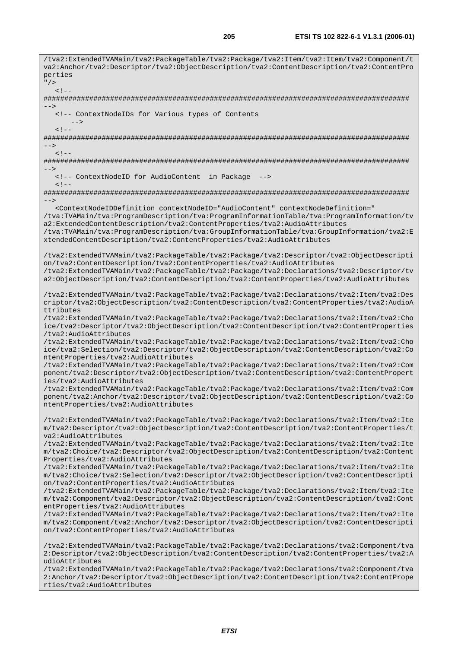/tva2:ExtendedTVAMain/tva2:PackageTable/tva2:Package/tva2:Item/tva2:Item/tva2:Component/t va2:Anchor/tva2:Descriptor/tva2:ObjectDescription/tva2:ContentDescription/tva2:ContentPro perties  $^{\prime\prime}$  /  $>$  $\lt$   $\vdash$   $\vdash$ ######################################################################################## --> <!-- ContextNodeIDs for Various types of Contents  $- < 1 - -$ ######################################################################################## -->  $\lt$  ! ######################################################################################## --> <!-- ContextNodeID for AudioContent in Package -->  $< 1 - -$ ######################################################################################## --> <ContextNodeIDDefinition contextNodeID="AudioContent" contextNodeDefinition=" /tva:TVAMain/tva:ProgramDescription/tva:ProgramInformationTable/tva:ProgramInformation/tv a2:ExtendedContentDescription/tva2:ContentProperties/tva2:AudioAttributes /tva:TVAMain/tva:ProgramDescription/tva:GroupInformationTable/tva:GroupInformation/tva2:E xtendedContentDescription/tva2:ContentProperties/tva2:AudioAttributes /tva2:ExtendedTVAMain/tva2:PackageTable/tva2:Package/tva2:Descriptor/tva2:ObjectDescripti on/tva2:ContentDescription/tva2:ContentProperties/tva2:AudioAttributes /tva2:ExtendedTVAMain/tva2:PackageTable/tva2:Package/tva2:Declarations/tva2:Descriptor/tv a2:ObjectDescription/tva2:ContentDescription/tva2:ContentProperties/tva2:AudioAttributes /tva2:ExtendedTVAMain/tva2:PackageTable/tva2:Package/tva2:Declarations/tva2:Item/tva2:Des criptor/tva2:ObjectDescription/tva2:ContentDescription/tva2:ContentProperties/tva2:AudioA ttributes /tva2:ExtendedTVAMain/tva2:PackageTable/tva2:Package/tva2:Declarations/tva2:Item/tva2:Cho ice/tva2:Descriptor/tva2:ObjectDescription/tva2:ContentDescription/tva2:ContentProperties /tva2:AudioAttributes /tva2:ExtendedTVAMain/tva2:PackageTable/tva2:Package/tva2:Declarations/tva2:Item/tva2:Cho ice/tva2:Selection/tva2:Descriptor/tva2:ObjectDescription/tva2:ContentDescription/tva2:Co ntentProperties/tva2:AudioAttributes /tva2:ExtendedTVAMain/tva2:PackageTable/tva2:Package/tva2:Declarations/tva2:Item/tva2:Com ponent/tva2:Descriptor/tva2:ObjectDescription/tva2:ContentDescription/tva2:ContentPropert ies/tva2:AudioAttributes /tva2:ExtendedTVAMain/tva2:PackageTable/tva2:Package/tva2:Declarations/tva2:Item/tva2:Com ponent/tva2:Anchor/tva2:Descriptor/tva2:ObjectDescription/tva2:ContentDescription/tva2:Co ntentProperties/tva2:AudioAttributes /tva2:ExtendedTVAMain/tva2:PackageTable/tva2:Package/tva2:Declarations/tva2:Item/tva2:Ite m/tva2:Descriptor/tva2:ObjectDescription/tva2:ContentDescription/tva2:ContentProperties/t va2:AudioAttributes /tva2:ExtendedTVAMain/tva2:PackageTable/tva2:Package/tva2:Declarations/tva2:Item/tva2:Ite m/tva2:Choice/tva2:Descriptor/tva2:ObjectDescription/tva2:ContentDescription/tva2:Content Properties/tva2:AudioAttributes /tva2:ExtendedTVAMain/tva2:PackageTable/tva2:Package/tva2:Declarations/tva2:Item/tva2:Ite m/tva2:Choice/tva2:Selection/tva2:Descriptor/tva2:ObjectDescription/tva2:ContentDescripti on/tva2:ContentProperties/tva2:AudioAttributes /tva2:ExtendedTVAMain/tva2:PackageTable/tva2:Package/tva2:Declarations/tva2:Item/tva2:Ite m/tva2:Component/tva2:Descriptor/tva2:ObjectDescription/tva2:ContentDescription/tva2:Cont entProperties/tva2:AudioAttributes /tva2:ExtendedTVAMain/tva2:PackageTable/tva2:Package/tva2:Declarations/tva2:Item/tva2:Ite m/tva2:Component/tva2:Anchor/tva2:Descriptor/tva2:ObjectDescription/tva2:ContentDescripti on/tva2:ContentProperties/tva2:AudioAttributes /tva2:ExtendedTVAMain/tva2:PackageTable/tva2:Package/tva2:Declarations/tva2:Component/tva 2:Descriptor/tva2:ObjectDescription/tva2:ContentDescription/tva2:ContentProperties/tva2:A udioAttributes /tva2:ExtendedTVAMain/tva2:PackageTable/tva2:Package/tva2:Declarations/tva2:Component/tva 2:Anchor/tva2:Descriptor/tva2:ObjectDescription/tva2:ContentDescription/tva2:ContentPrope rties/tva2:AudioAttributes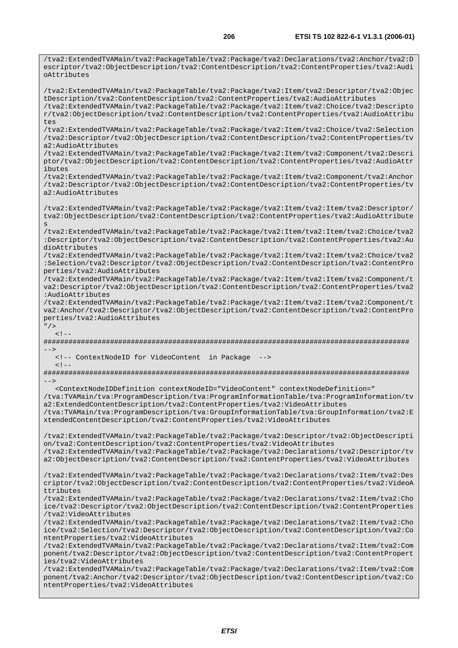/tva2:ExtendedTVAMain/tva2:PackageTable/tva2:Package/tva2:Declarations/tva2:Anchor/tva2:D escriptor/tva2:ObjectDescription/tva2:ContentDescription/tva2:ContentProperties/tva2:Audi oAttributes /tva2:ExtendedTVAMain/tva2:PackageTable/tva2:Package/tva2:Item/tva2:Descriptor/tva2:Objec tDescription/tva2:ContentDescription/tva2:ContentProperties/tva2:AudioAttributes /tva2:ExtendedTVAMain/tva2:PackageTable/tva2:Package/tva2:Item/tva2:Choice/tva2:Descripto r/tva2:ObjectDescription/tva2:ContentDescription/tva2:ContentProperties/tva2:AudioAttribu tes /tva2:ExtendedTVAMain/tva2:PackageTable/tva2:Package/tva2:Item/tva2:Choice/tva2:Selection /tva2:Descriptor/tva2:ObjectDescription/tva2:ContentDescription/tva2:ContentProperties/tv a2:AudioAttributes /tva2:ExtendedTVAMain/tva2:PackageTable/tva2:Package/tva2:Item/tva2:Component/tva2:Descri ptor/tva2:ObjectDescription/tva2:ContentDescription/tva2:ContentProperties/tva2:AudioAttr ibutes /tva2:ExtendedTVAMain/tva2:PackageTable/tva2:Package/tva2:Item/tva2:Component/tva2:Anchor /tva2:Descriptor/tva2:ObjectDescription/tva2:ContentDescription/tva2:ContentProperties/tv a2:AudioAttributes /tva2:ExtendedTVAMain/tva2:PackageTable/tva2:Package/tva2:Item/tva2:Item/tva2:Descriptor/ tva2:ObjectDescription/tva2:ContentDescription/tva2:ContentProperties/tva2:AudioAttribute s /tva2:ExtendedTVAMain/tva2:PackageTable/tva2:Package/tva2:Item/tva2:Item/tva2:Choice/tva2 :Descriptor/tva2:ObjectDescription/tva2:ContentDescription/tva2:ContentProperties/tva2:Au dioAttributes /tva2:ExtendedTVAMain/tva2:PackageTable/tva2:Package/tva2:Item/tva2:Item/tva2:Choice/tva2 :Selection/tva2:Descriptor/tva2:ObjectDescription/tva2:ContentDescription/tva2:ContentPro perties/tva2:AudioAttributes /tva2:ExtendedTVAMain/tva2:PackageTable/tva2:Package/tva2:Item/tva2:Item/tva2:Component/t va2:Descriptor/tva2:ObjectDescription/tva2:ContentDescription/tva2:ContentProperties/tva2 :AudioAttributes /tva2:ExtendedTVAMain/tva2:PackageTable/tva2:Package/tva2:Item/tva2:Item/tva2:Component/t va2:Anchor/tva2:Descriptor/tva2:ObjectDescription/tva2:ContentDescription/tva2:ContentPro perties/tva2:AudioAttributes "/>  $<$ ! --######################################################################################## --> <!-- ContextNodeID for VideoContent in Package -->  $\lt$  !  $-$ ######################################################################################## --> <ContextNodeIDDefinition contextNodeID="VideoContent" contextNodeDefinition=" /tva:TVAMain/tva:ProgramDescription/tva:ProgramInformationTable/tva:ProgramInformation/tv a2:ExtendedContentDescription/tva2:ContentProperties/tva2:VideoAttributes /tva:TVAMain/tva:ProgramDescription/tva:GroupInformationTable/tva:GroupInformation/tva2:E xtendedContentDescription/tva2:ContentProperties/tva2:VideoAttributes /tva2:ExtendedTVAMain/tva2:PackageTable/tva2:Package/tva2:Descriptor/tva2:ObjectDescripti on/tva2:ContentDescription/tva2:ContentProperties/tva2:VideoAttributes /tva2:ExtendedTVAMain/tva2:PackageTable/tva2:Package/tva2:Declarations/tva2:Descriptor/tv a2:ObjectDescription/tva2:ContentDescription/tva2:ContentProperties/tva2:VideoAttributes /tva2:ExtendedTVAMain/tva2:PackageTable/tva2:Package/tva2:Declarations/tva2:Item/tva2:Des criptor/tva2:ObjectDescription/tva2:ContentDescription/tva2:ContentProperties/tva2:VideoA ttributes /tva2:ExtendedTVAMain/tva2:PackageTable/tva2:Package/tva2:Declarations/tva2:Item/tva2:Cho ice/tva2:Descriptor/tva2:ObjectDescription/tva2:ContentDescription/tva2:ContentProperties /tva2:VideoAttributes /tva2:ExtendedTVAMain/tva2:PackageTable/tva2:Package/tva2:Declarations/tva2:Item/tva2:Cho ice/tva2:Selection/tva2:Descriptor/tva2:ObjectDescription/tva2:ContentDescription/tva2:Co ntentProperties/tva2:VideoAttributes /tva2:ExtendedTVAMain/tva2:PackageTable/tva2:Package/tva2:Declarations/tva2:Item/tva2:Com ponent/tva2:Descriptor/tva2:ObjectDescription/tva2:ContentDescription/tva2:ContentPropert ies/tva2:VideoAttributes /tva2:ExtendedTVAMain/tva2:PackageTable/tva2:Package/tva2:Declarations/tva2:Item/tva2:Com ponent/tva2:Anchor/tva2:Descriptor/tva2:ObjectDescription/tva2:ContentDescription/tva2:Co ntentProperties/tva2:VideoAttributes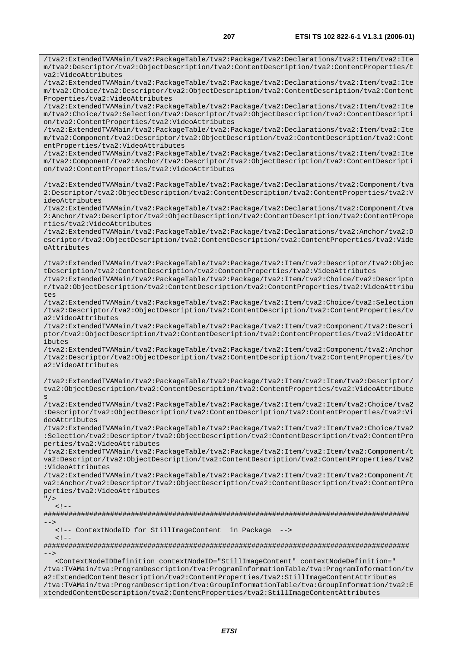/tva2:ExtendedTVAMain/tva2:PackageTable/tva2:Package/tva2:Declarations/tva2:Item/tva2:Ite

m/tva2:Descriptor/tva2:ObjectDescription/tva2:ContentDescription/tva2:ContentProperties/t va2:VideoAttributes /tva2:ExtendedTVAMain/tva2:PackageTable/tva2:Package/tva2:Declarations/tva2:Item/tva2:Ite m/tva2:Choice/tva2:Descriptor/tva2:ObjectDescription/tva2:ContentDescription/tva2:Content Properties/tva2:VideoAttributes /tva2:ExtendedTVAMain/tva2:PackageTable/tva2:Package/tva2:Declarations/tva2:Item/tva2:Ite m/tva2:Choice/tva2:Selection/tva2:Descriptor/tva2:ObjectDescription/tva2:ContentDescripti on/tva2:ContentProperties/tva2:VideoAttributes /tva2:ExtendedTVAMain/tva2:PackageTable/tva2:Package/tva2:Declarations/tva2:Item/tva2:Ite m/tva2:Component/tva2:Descriptor/tva2:ObjectDescription/tva2:ContentDescription/tva2:Cont entProperties/tva2:VideoAttributes /tva2:ExtendedTVAMain/tva2:PackageTable/tva2:Package/tva2:Declarations/tva2:Item/tva2:Ite m/tva2:Component/tva2:Anchor/tva2:Descriptor/tva2:ObjectDescription/tva2:ContentDescripti on/tva2:ContentProperties/tva2:VideoAttributes /tva2:ExtendedTVAMain/tva2:PackageTable/tva2:Package/tva2:Declarations/tva2:Component/tva 2:Descriptor/tva2:ObjectDescription/tva2:ContentDescription/tva2:ContentProperties/tva2:V ideoAttributes /tva2:ExtendedTVAMain/tva2:PackageTable/tva2:Package/tva2:Declarations/tva2:Component/tva 2:Anchor/tva2:Descriptor/tva2:ObjectDescription/tva2:ContentDescription/tva2:ContentPrope rties/tva2:VideoAttributes /tva2:ExtendedTVAMain/tva2:PackageTable/tva2:Package/tva2:Declarations/tva2:Anchor/tva2:D escriptor/tva2:ObjectDescription/tva2:ContentDescription/tva2:ContentProperties/tva2:Vide oAttributes /tva2:ExtendedTVAMain/tva2:PackageTable/tva2:Package/tva2:Item/tva2:Descriptor/tva2:Objec tDescription/tva2:ContentDescription/tva2:ContentProperties/tva2:VideoAttributes /tva2:ExtendedTVAMain/tva2:PackageTable/tva2:Package/tva2:Item/tva2:Choice/tva2:Descripto r/tva2:ObjectDescription/tva2:ContentDescription/tva2:ContentProperties/tva2:VideoAttribu tes /tva2:ExtendedTVAMain/tva2:PackageTable/tva2:Package/tva2:Item/tva2:Choice/tva2:Selection /tva2:Descriptor/tva2:ObjectDescription/tva2:ContentDescription/tva2:ContentProperties/tv a2:VideoAttributes /tva2:ExtendedTVAMain/tva2:PackageTable/tva2:Package/tva2:Item/tva2:Component/tva2:Descri ptor/tva2:ObjectDescription/tva2:ContentDescription/tva2:ContentProperties/tva2:VideoAttr ibutes /tva2:ExtendedTVAMain/tva2:PackageTable/tva2:Package/tva2:Item/tva2:Component/tva2:Anchor /tva2:Descriptor/tva2:ObjectDescription/tva2:ContentDescription/tva2:ContentProperties/tv a2:VideoAttributes /tva2:ExtendedTVAMain/tva2:PackageTable/tva2:Package/tva2:Item/tva2:Item/tva2:Descriptor/ tva2:ObjectDescription/tva2:ContentDescription/tva2:ContentProperties/tva2:VideoAttribute /tva2:ExtendedTVAMain/tva2:PackageTable/tva2:Package/tva2:Item/tva2:Item/tva2:Choice/tva2 :Descriptor/tva2:ObjectDescription/tva2:ContentDescription/tva2:ContentProperties/tva2:Vi deoAttributes /tva2:ExtendedTVAMain/tva2:PackageTable/tva2:Package/tva2:Item/tva2:Item/tva2:Choice/tva2 :Selection/tva2:Descriptor/tva2:ObjectDescription/tva2:ContentDescription/tva2:ContentPro perties/tva2:VideoAttributes /tva2:ExtendedTVAMain/tva2:PackageTable/tva2:Package/tva2:Item/tva2:Item/tva2:Component/t va2:Descriptor/tva2:ObjectDescription/tva2:ContentDescription/tva2:ContentProperties/tva2 :VideoAttributes /tva2:ExtendedTVAMain/tva2:PackageTable/tva2:Package/tva2:Item/tva2:Item/tva2:Component/t va2:Anchor/tva2:Descriptor/tva2:ObjectDescription/tva2:ContentDescription/tva2:ContentPro perties/tva2:VideoAttributes  $/$  $\lt$   $\vdash$   $\vdash$ ######################################################################################## --> <!-- ContextNodeID for StillImageContent in Package -->  $< 1 - -$ ######################################################################################## --> <ContextNodeIDDefinition contextNodeID="StillImageContent" contextNodeDefinition=" /tva:TVAMain/tva:ProgramDescription/tva:ProgramInformationTable/tva:ProgramInformation/tv a2:ExtendedContentDescription/tva2:ContentProperties/tva2:StillImageContentAttributes /tva:TVAMain/tva:ProgramDescription/tva:GroupInformationTable/tva:GroupInformation/tva2:E xtendedContentDescription/tva2:ContentProperties/tva2:StillImageContentAttributes

s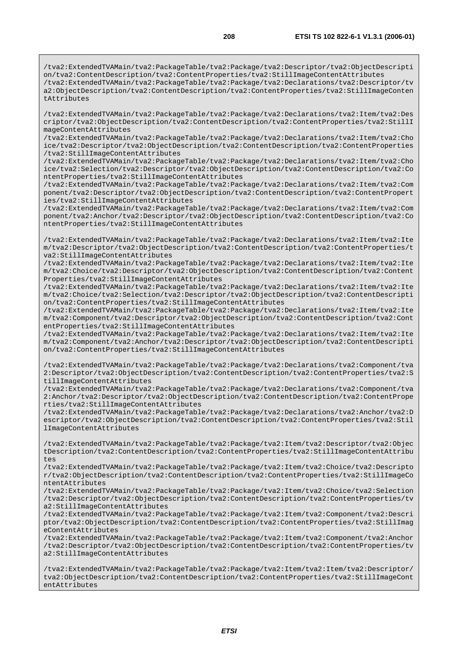/tva2:ExtendedTVAMain/tva2:PackageTable/tva2:Package/tva2:Descriptor/tva2:ObjectDescripti on/tva2:ContentDescription/tva2:ContentProperties/tva2:StillImageContentAttributes /tva2:ExtendedTVAMain/tva2:PackageTable/tva2:Package/tva2:Declarations/tva2:Descriptor/tv a2:ObjectDescription/tva2:ContentDescription/tva2:ContentProperties/tva2:StillImageConten tAttributes

/tva2:ExtendedTVAMain/tva2:PackageTable/tva2:Package/tva2:Declarations/tva2:Item/tva2:Des criptor/tva2:ObjectDescription/tva2:ContentDescription/tva2:ContentProperties/tva2:StillI mageContentAttributes

/tva2:ExtendedTVAMain/tva2:PackageTable/tva2:Package/tva2:Declarations/tva2:Item/tva2:Cho ice/tva2:Descriptor/tva2:ObjectDescription/tva2:ContentDescription/tva2:ContentProperties /tva2:StillImageContentAttributes

/tva2:ExtendedTVAMain/tva2:PackageTable/tva2:Package/tva2:Declarations/tva2:Item/tva2:Cho ice/tva2:Selection/tva2:Descriptor/tva2:ObjectDescription/tva2:ContentDescription/tva2:Co ntentProperties/tva2:StillImageContentAttributes

/tva2:ExtendedTVAMain/tva2:PackageTable/tva2:Package/tva2:Declarations/tva2:Item/tva2:Com ponent/tva2:Descriptor/tva2:ObjectDescription/tva2:ContentDescription/tva2:ContentPropert ies/tva2:StillImageContentAttributes

/tva2:ExtendedTVAMain/tva2:PackageTable/tva2:Package/tva2:Declarations/tva2:Item/tva2:Com ponent/tva2:Anchor/tva2:Descriptor/tva2:ObjectDescription/tva2:ContentDescription/tva2:Co ntentProperties/tva2:StillImageContentAttributes

/tva2:ExtendedTVAMain/tva2:PackageTable/tva2:Package/tva2:Declarations/tva2:Item/tva2:Ite m/tva2:Descriptor/tva2:ObjectDescription/tva2:ContentDescription/tva2:ContentProperties/t va2:StillImageContentAttributes

/tva2:ExtendedTVAMain/tva2:PackageTable/tva2:Package/tva2:Declarations/tva2:Item/tva2:Ite m/tva2:Choice/tva2:Descriptor/tva2:ObjectDescription/tva2:ContentDescription/tva2:Content Properties/tva2:StillImageContentAttributes

/tva2:ExtendedTVAMain/tva2:PackageTable/tva2:Package/tva2:Declarations/tva2:Item/tva2:Ite m/tva2:Choice/tva2:Selection/tva2:Descriptor/tva2:ObjectDescription/tva2:ContentDescripti on/tva2:ContentProperties/tva2:StillImageContentAttributes

/tva2:ExtendedTVAMain/tva2:PackageTable/tva2:Package/tva2:Declarations/tva2:Item/tva2:Ite m/tva2:Component/tva2:Descriptor/tva2:ObjectDescription/tva2:ContentDescription/tva2:Cont entProperties/tva2:StillImageContentAttributes

/tva2:ExtendedTVAMain/tva2:PackageTable/tva2:Package/tva2:Declarations/tva2:Item/tva2:Ite m/tva2:Component/tva2:Anchor/tva2:Descriptor/tva2:ObjectDescription/tva2:ContentDescripti on/tva2:ContentProperties/tva2:StillImageContentAttributes

/tva2:ExtendedTVAMain/tva2:PackageTable/tva2:Package/tva2:Declarations/tva2:Component/tva 2:Descriptor/tva2:ObjectDescription/tva2:ContentDescription/tva2:ContentProperties/tva2:S tillImageContentAttributes

/tva2:ExtendedTVAMain/tva2:PackageTable/tva2:Package/tva2:Declarations/tva2:Component/tva 2:Anchor/tva2:Descriptor/tva2:ObjectDescription/tva2:ContentDescription/tva2:ContentPrope rties/tva2:StillImageContentAttributes

/tva2:ExtendedTVAMain/tva2:PackageTable/tva2:Package/tva2:Declarations/tva2:Anchor/tva2:D escriptor/tva2:ObjectDescription/tva2:ContentDescription/tva2:ContentProperties/tva2:Stil lImageContentAttributes

/tva2:ExtendedTVAMain/tva2:PackageTable/tva2:Package/tva2:Item/tva2:Descriptor/tva2:Objec tDescription/tva2:ContentDescription/tva2:ContentProperties/tva2:StillImageContentAttribu tes

/tva2:ExtendedTVAMain/tva2:PackageTable/tva2:Package/tva2:Item/tva2:Choice/tva2:Descripto r/tva2:ObjectDescription/tva2:ContentDescription/tva2:ContentProperties/tva2:StillImageCo ntentAttributes

/tva2:ExtendedTVAMain/tva2:PackageTable/tva2:Package/tva2:Item/tva2:Choice/tva2:Selection /tva2:Descriptor/tva2:ObjectDescription/tva2:ContentDescription/tva2:ContentProperties/tv a2:StillImageContentAttributes

/tva2:ExtendedTVAMain/tva2:PackageTable/tva2:Package/tva2:Item/tva2:Component/tva2:Descri ptor/tva2:ObjectDescription/tva2:ContentDescription/tva2:ContentProperties/tva2:StillImag eContentAttributes

/tva2:ExtendedTVAMain/tva2:PackageTable/tva2:Package/tva2:Item/tva2:Component/tva2:Anchor /tva2:Descriptor/tva2:ObjectDescription/tva2:ContentDescription/tva2:ContentProperties/tv a2:StillImageContentAttributes

/tva2:ExtendedTVAMain/tva2:PackageTable/tva2:Package/tva2:Item/tva2:Item/tva2:Descriptor/ tva2:ObjectDescription/tva2:ContentDescription/tva2:ContentProperties/tva2:StillImageCont entAttributes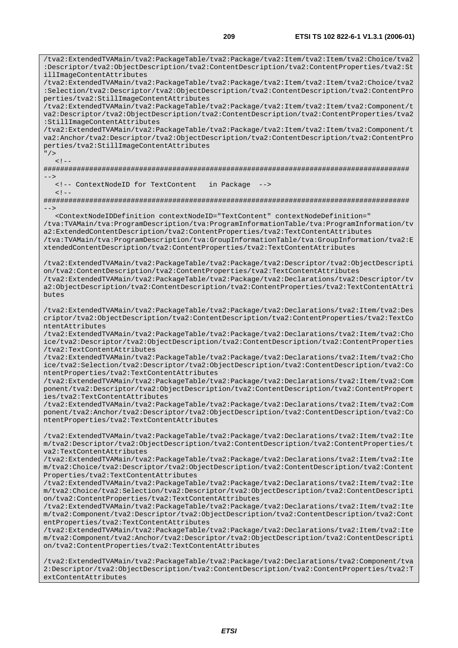/tva2:ExtendedTVAMain/tva2:PackageTable/tva2:Package/tva2:Item/tva2:Item/tva2:Choice/tva2 :Descriptor/tva2:ObjectDescription/tva2:ContentDescription/tva2:ContentProperties/tva2:St illImageContentAttributes /tva2:ExtendedTVAMain/tva2:PackageTable/tva2:Package/tva2:Item/tva2:Item/tva2:Choice/tva2 :Selection/tva2:Descriptor/tva2:ObjectDescription/tva2:ContentDescription/tva2:ContentPro perties/tva2:StillImageContentAttributes /tva2:ExtendedTVAMain/tva2:PackageTable/tva2:Package/tva2:Item/tva2:Item/tva2:Component/t va2:Descriptor/tva2:ObjectDescription/tva2:ContentDescription/tva2:ContentProperties/tva2 :StillImageContentAttributes /tva2:ExtendedTVAMain/tva2:PackageTable/tva2:Package/tva2:Item/tva2:Item/tva2:Component/t va2:Anchor/tva2:Descriptor/tva2:ObjectDescription/tva2:ContentDescription/tva2:ContentPro perties/tva2:StillImageContentAttributes "/>  $\geq 1$ ######################################################################################## --> <!-- ContextNodeID for TextContent in Package -->  $\lt$  !  $-$ ######################################################################################## --> <ContextNodeIDDefinition contextNodeID="TextContent" contextNodeDefinition=" /tva:TVAMain/tva:ProgramDescription/tva:ProgramInformationTable/tva:ProgramInformation/tv a2:ExtendedContentDescription/tva2:ContentProperties/tva2:TextContentAttributes /tva:TVAMain/tva:ProgramDescription/tva:GroupInformationTable/tva:GroupInformation/tva2:E xtendedContentDescription/tva2:ContentProperties/tva2:TextContentAttributes /tva2:ExtendedTVAMain/tva2:PackageTable/tva2:Package/tva2:Descriptor/tva2:ObjectDescripti on/tva2:ContentDescription/tva2:ContentProperties/tva2:TextContentAttributes /tva2:ExtendedTVAMain/tva2:PackageTable/tva2:Package/tva2:Declarations/tva2:Descriptor/tv a2:ObjectDescription/tva2:ContentDescription/tva2:ContentProperties/tva2:TextContentAttri butes /tva2:ExtendedTVAMain/tva2:PackageTable/tva2:Package/tva2:Declarations/tva2:Item/tva2:Des criptor/tva2:ObjectDescription/tva2:ContentDescription/tva2:ContentProperties/tva2:TextCo ntentAttributes /tva2:ExtendedTVAMain/tva2:PackageTable/tva2:Package/tva2:Declarations/tva2:Item/tva2:Cho ice/tva2:Descriptor/tva2:ObjectDescription/tva2:ContentDescription/tva2:ContentProperties /tva2:TextContentAttributes /tva2:ExtendedTVAMain/tva2:PackageTable/tva2:Package/tva2:Declarations/tva2:Item/tva2:Cho ice/tva2:Selection/tva2:Descriptor/tva2:ObjectDescription/tva2:ContentDescription/tva2:Co ntentProperties/tva2:TextContentAttributes /tva2:ExtendedTVAMain/tva2:PackageTable/tva2:Package/tva2:Declarations/tva2:Item/tva2:Com ponent/tva2:Descriptor/tva2:ObjectDescription/tva2:ContentDescription/tva2:ContentPropert ies/tva2:TextContentAttributes /tva2:ExtendedTVAMain/tva2:PackageTable/tva2:Package/tva2:Declarations/tva2:Item/tva2:Com ponent/tva2:Anchor/tva2:Descriptor/tva2:ObjectDescription/tva2:ContentDescription/tva2:Co ntentProperties/tva2:TextContentAttributes /tva2:ExtendedTVAMain/tva2:PackageTable/tva2:Package/tva2:Declarations/tva2:Item/tva2:Ite m/tva2:Descriptor/tva2:ObjectDescription/tva2:ContentDescription/tva2:ContentProperties/t va2:TextContentAttributes /tva2:ExtendedTVAMain/tva2:PackageTable/tva2:Package/tva2:Declarations/tva2:Item/tva2:Ite m/tva2:Choice/tva2:Descriptor/tva2:ObjectDescription/tva2:ContentDescription/tva2:Content Properties/tva2:TextContentAttributes /tva2:ExtendedTVAMain/tva2:PackageTable/tva2:Package/tva2:Declarations/tva2:Item/tva2:Ite m/tva2:Choice/tva2:Selection/tva2:Descriptor/tva2:ObjectDescription/tva2:ContentDescripti on/tva2:ContentProperties/tva2:TextContentAttributes /tva2:ExtendedTVAMain/tva2:PackageTable/tva2:Package/tva2:Declarations/tva2:Item/tva2:Ite m/tva2:Component/tva2:Descriptor/tva2:ObjectDescription/tva2:ContentDescription/tva2:Cont entProperties/tva2:TextContentAttributes /tva2:ExtendedTVAMain/tva2:PackageTable/tva2:Package/tva2:Declarations/tva2:Item/tva2:Ite m/tva2:Component/tva2:Anchor/tva2:Descriptor/tva2:ObjectDescription/tva2:ContentDescripti on/tva2:ContentProperties/tva2:TextContentAttributes

/tva2:ExtendedTVAMain/tva2:PackageTable/tva2:Package/tva2:Declarations/tva2:Component/tva 2:Descriptor/tva2:ObjectDescription/tva2:ContentDescription/tva2:ContentProperties/tva2:T extContentAttributes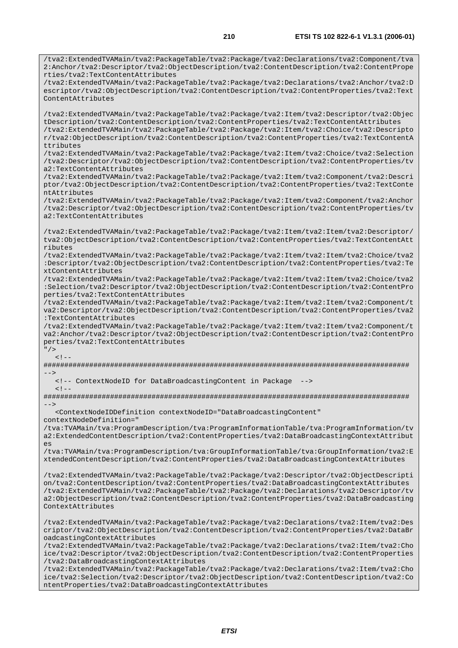/tva2:ExtendedTVAMain/tva2:PackageTable/tva2:Package/tva2:Declarations/tva2:Component/tva 2:Anchor/tva2:Descriptor/tva2:ObjectDescription/tva2:ContentDescription/tva2:ContentPrope rties/tva2:TextContentAttributes /tva2:ExtendedTVAMain/tva2:PackageTable/tva2:Package/tva2:Declarations/tva2:Anchor/tva2:D escriptor/tva2:ObjectDescription/tva2:ContentDescription/tva2:ContentProperties/tva2:Text ContentAttributes /tva2:ExtendedTVAMain/tva2:PackageTable/tva2:Package/tva2:Item/tva2:Descriptor/tva2:Objec tDescription/tva2:ContentDescription/tva2:ContentProperties/tva2:TextContentAttributes /tva2:ExtendedTVAMain/tva2:PackageTable/tva2:Package/tva2:Item/tva2:Choice/tva2:Descripto r/tva2:ObjectDescription/tva2:ContentDescription/tva2:ContentProperties/tva2:TextContentA ttributes /tva2:ExtendedTVAMain/tva2:PackageTable/tva2:Package/tva2:Item/tva2:Choice/tva2:Selection /tva2:Descriptor/tva2:ObjectDescription/tva2:ContentDescription/tva2:ContentProperties/tv a2:TextContentAttributes /tva2:ExtendedTVAMain/tva2:PackageTable/tva2:Package/tva2:Item/tva2:Component/tva2:Descri ptor/tva2:ObjectDescription/tva2:ContentDescription/tva2:ContentProperties/tva2:TextConte ntAttributes /tva2:ExtendedTVAMain/tva2:PackageTable/tva2:Package/tva2:Item/tva2:Component/tva2:Anchor /tva2:Descriptor/tva2:ObjectDescription/tva2:ContentDescription/tva2:ContentProperties/tv a2:TextContentAttributes /tva2:ExtendedTVAMain/tva2:PackageTable/tva2:Package/tva2:Item/tva2:Item/tva2:Descriptor/ tva2:ObjectDescription/tva2:ContentDescription/tva2:ContentProperties/tva2:TextContentAtt ributes /tva2:ExtendedTVAMain/tva2:PackageTable/tva2:Package/tva2:Item/tva2:Item/tva2:Choice/tva2 :Descriptor/tva2:ObjectDescription/tva2:ContentDescription/tva2:ContentProperties/tva2:Te xtContentAttributes /tva2:ExtendedTVAMain/tva2:PackageTable/tva2:Package/tva2:Item/tva2:Item/tva2:Choice/tva2 :Selection/tva2:Descriptor/tva2:ObjectDescription/tva2:ContentDescription/tva2:ContentPro perties/tva2:TextContentAttributes /tva2:ExtendedTVAMain/tva2:PackageTable/tva2:Package/tva2:Item/tva2:Item/tva2:Component/t va2:Descriptor/tva2:ObjectDescription/tva2:ContentDescription/tva2:ContentProperties/tva2 :TextContentAttributes /tva2:ExtendedTVAMain/tva2:PackageTable/tva2:Package/tva2:Item/tva2:Item/tva2:Component/t va2:Anchor/tva2:Descriptor/tva2:ObjectDescription/tva2:ContentDescription/tva2:ContentPro perties/tva2:TextContentAttributes  $"$  / >  $\lt$   $1 - -$ ######################################################################################## --> <!-- ContextNodeID for DataBroadcastingContent in Package -->  $\lt$  !  $-$ ######################################################################################## --> <ContextNodeIDDefinition contextNodeID="DataBroadcastingContent" contextNodeDefinition=" /tva:TVAMain/tva:ProgramDescription/tva:ProgramInformationTable/tva:ProgramInformation/tv a2:ExtendedContentDescription/tva2:ContentProperties/tva2:DataBroadcastingContextAttribut es /tva:TVAMain/tva:ProgramDescription/tva:GroupInformationTable/tva:GroupInformation/tva2:E xtendedContentDescription/tva2:ContentProperties/tva2:DataBroadcastingContextAttributes /tva2:ExtendedTVAMain/tva2:PackageTable/tva2:Package/tva2:Descriptor/tva2:ObjectDescripti on/tva2:ContentDescription/tva2:ContentProperties/tva2:DataBroadcastingContextAttributes /tva2:ExtendedTVAMain/tva2:PackageTable/tva2:Package/tva2:Declarations/tva2:Descriptor/tv a2:ObjectDescription/tva2:ContentDescription/tva2:ContentProperties/tva2:DataBroadcasting ContextAttributes /tva2:ExtendedTVAMain/tva2:PackageTable/tva2:Package/tva2:Declarations/tva2:Item/tva2:Des criptor/tva2:ObjectDescription/tva2:ContentDescription/tva2:ContentProperties/tva2:DataBr oadcastingContextAttributes /tva2:ExtendedTVAMain/tva2:PackageTable/tva2:Package/tva2:Declarations/tva2:Item/tva2:Cho ice/tva2:Descriptor/tva2:ObjectDescription/tva2:ContentDescription/tva2:ContentProperties /tva2:DataBroadcastingContextAttributes /tva2:ExtendedTVAMain/tva2:PackageTable/tva2:Package/tva2:Declarations/tva2:Item/tva2:Cho

ice/tva2:Selection/tva2:Descriptor/tva2:ObjectDescription/tva2:ContentDescription/tva2:Co ntentProperties/tva2:DataBroadcastingContextAttributes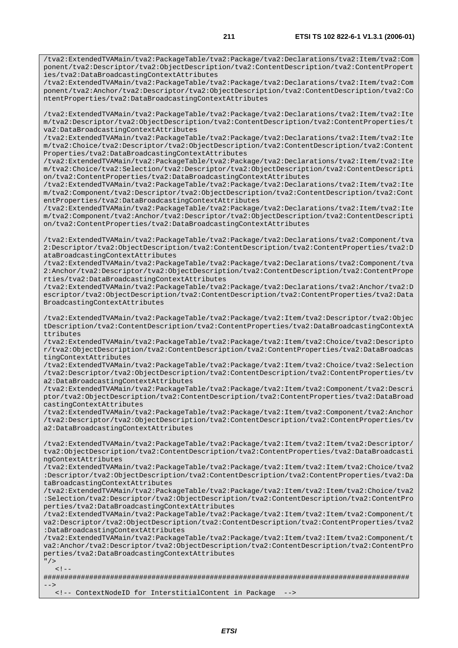/tva2:ExtendedTVAMain/tva2:PackageTable/tva2:Package/tva2:Declarations/tva2:Item/tva2:Com ponent/tva2:Descriptor/tva2:ObjectDescription/tva2:ContentDescription/tva2:ContentPropert ies/tva2:DataBroadcastingContextAttributes

/tva2:ExtendedTVAMain/tva2:PackageTable/tva2:Package/tva2:Declarations/tva2:Item/tva2:Com ponent/tva2:Anchor/tva2:Descriptor/tva2:ObjectDescription/tva2:ContentDescription/tva2:Co ntentProperties/tva2:DataBroadcastingContextAttributes

/tva2:ExtendedTVAMain/tva2:PackageTable/tva2:Package/tva2:Declarations/tva2:Item/tva2:Ite m/tva2:Descriptor/tva2:ObjectDescription/tva2:ContentDescription/tva2:ContentProperties/t va2:DataBroadcastingContextAttributes

/tva2:ExtendedTVAMain/tva2:PackageTable/tva2:Package/tva2:Declarations/tva2:Item/tva2:Ite m/tva2:Choice/tva2:Descriptor/tva2:ObjectDescription/tva2:ContentDescription/tva2:Content Properties/tva2:DataBroadcastingContextAttributes

/tva2:ExtendedTVAMain/tva2:PackageTable/tva2:Package/tva2:Declarations/tva2:Item/tva2:Ite m/tva2:Choice/tva2:Selection/tva2:Descriptor/tva2:ObjectDescription/tva2:ContentDescripti on/tva2:ContentProperties/tva2:DataBroadcastingContextAttributes

/tva2:ExtendedTVAMain/tva2:PackageTable/tva2:Package/tva2:Declarations/tva2:Item/tva2:Ite m/tva2:Component/tva2:Descriptor/tva2:ObjectDescription/tva2:ContentDescription/tva2:Cont entProperties/tva2:DataBroadcastingContextAttributes

/tva2:ExtendedTVAMain/tva2:PackageTable/tva2:Package/tva2:Declarations/tva2:Item/tva2:Ite m/tva2:Component/tva2:Anchor/tva2:Descriptor/tva2:ObjectDescription/tva2:ContentDescripti on/tva2:ContentProperties/tva2:DataBroadcastingContextAttributes

/tva2:ExtendedTVAMain/tva2:PackageTable/tva2:Package/tva2:Declarations/tva2:Component/tva 2:Descriptor/tva2:ObjectDescription/tva2:ContentDescription/tva2:ContentProperties/tva2:D ataBroadcastingContextAttributes

/tva2:ExtendedTVAMain/tva2:PackageTable/tva2:Package/tva2:Declarations/tva2:Component/tva 2:Anchor/tva2:Descriptor/tva2:ObjectDescription/tva2:ContentDescription/tva2:ContentPrope rties/tva2:DataBroadcastingContextAttributes

/tva2:ExtendedTVAMain/tva2:PackageTable/tva2:Package/tva2:Declarations/tva2:Anchor/tva2:D escriptor/tva2:ObjectDescription/tva2:ContentDescription/tva2:ContentProperties/tva2:Data BroadcastingContextAttributes

/tva2:ExtendedTVAMain/tva2:PackageTable/tva2:Package/tva2:Item/tva2:Descriptor/tva2:Objec tDescription/tva2:ContentDescription/tva2:ContentProperties/tva2:DataBroadcastingContextA ttributes

/tva2:ExtendedTVAMain/tva2:PackageTable/tva2:Package/tva2:Item/tva2:Choice/tva2:Descripto r/tva2:ObjectDescription/tva2:ContentDescription/tva2:ContentProperties/tva2:DataBroadcas tingContextAttributes

/tva2:ExtendedTVAMain/tva2:PackageTable/tva2:Package/tva2:Item/tva2:Choice/tva2:Selection /tva2:Descriptor/tva2:ObjectDescription/tva2:ContentDescription/tva2:ContentProperties/tv a2:DataBroadcastingContextAttributes

/tva2:ExtendedTVAMain/tva2:PackageTable/tva2:Package/tva2:Item/tva2:Component/tva2:Descri ptor/tva2:ObjectDescription/tva2:ContentDescription/tva2:ContentProperties/tva2:DataBroad castingContextAttributes

/tva2:ExtendedTVAMain/tva2:PackageTable/tva2:Package/tva2:Item/tva2:Component/tva2:Anchor /tva2:Descriptor/tva2:ObjectDescription/tva2:ContentDescription/tva2:ContentProperties/tv a2:DataBroadcastingContextAttributes

/tva2:ExtendedTVAMain/tva2:PackageTable/tva2:Package/tva2:Item/tva2:Item/tva2:Descriptor/ tva2:ObjectDescription/tva2:ContentDescription/tva2:ContentProperties/tva2:DataBroadcasti ngContextAttributes

/tva2:ExtendedTVAMain/tva2:PackageTable/tva2:Package/tva2:Item/tva2:Item/tva2:Choice/tva2 :Descriptor/tva2:ObjectDescription/tva2:ContentDescription/tva2:ContentProperties/tva2:Da taBroadcastingContextAttributes

/tva2:ExtendedTVAMain/tva2:PackageTable/tva2:Package/tva2:Item/tva2:Item/tva2:Choice/tva2 :Selection/tva2:Descriptor/tva2:ObjectDescription/tva2:ContentDescription/tva2:ContentPro perties/tva2:DataBroadcastingContextAttributes

/tva2:ExtendedTVAMain/tva2:PackageTable/tva2:Package/tva2:Item/tva2:Item/tva2:Component/t va2:Descriptor/tva2:ObjectDescription/tva2:ContentDescription/tva2:ContentProperties/tva2 :DataBroadcastingContextAttributes

/tva2:ExtendedTVAMain/tva2:PackageTable/tva2:Package/tva2:Item/tva2:Item/tva2:Component/t va2:Anchor/tva2:Descriptor/tva2:ObjectDescription/tva2:ContentDescription/tva2:ContentPro perties/tva2:DataBroadcastingContextAttributes

 $"$  />  $\leq$  1.

######################################################################################## -->

<!-- ContextNodeID for InterstitialContent in Package -->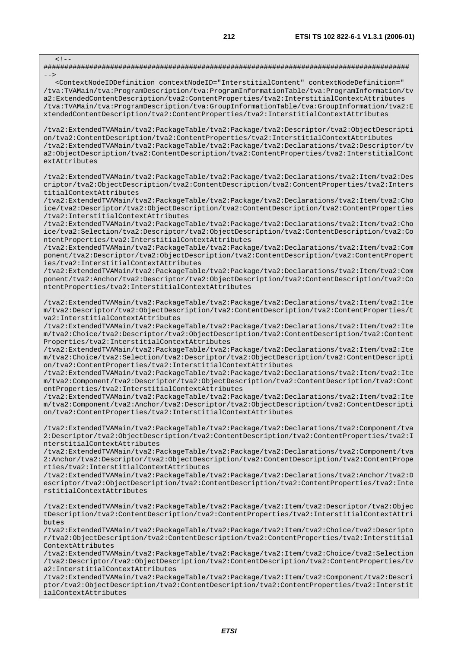########################################################################################

 $<$   $-$ 

--> <ContextNodeIDDefinition contextNodeID="InterstitialContent" contextNodeDefinition=" /tva:TVAMain/tva:ProgramDescription/tva:ProgramInformationTable/tva:ProgramInformation/tv a2:ExtendedContentDescription/tva2:ContentProperties/tva2:InterstitialContextAttributes /tva:TVAMain/tva:ProgramDescription/tva:GroupInformationTable/tva:GroupInformation/tva2:E xtendedContentDescription/tva2:ContentProperties/tva2:InterstitialContextAttributes /tva2:ExtendedTVAMain/tva2:PackageTable/tva2:Package/tva2:Descriptor/tva2:ObjectDescripti on/tva2:ContentDescription/tva2:ContentProperties/tva2:InterstitialContextAttributes /tva2:ExtendedTVAMain/tva2:PackageTable/tva2:Package/tva2:Declarations/tva2:Descriptor/tv a2:ObjectDescription/tva2:ContentDescription/tva2:ContentProperties/tva2:InterstitialCont extAttributes /tva2:ExtendedTVAMain/tva2:PackageTable/tva2:Package/tva2:Declarations/tva2:Item/tva2:Des criptor/tva2:ObjectDescription/tva2:ContentDescription/tva2:ContentProperties/tva2:Inters titialContextAttributes /tva2:ExtendedTVAMain/tva2:PackageTable/tva2:Package/tva2:Declarations/tva2:Item/tva2:Cho ice/tva2:Descriptor/tva2:ObjectDescription/tva2:ContentDescription/tva2:ContentProperties /tva2:InterstitialContextAttributes /tva2:ExtendedTVAMain/tva2:PackageTable/tva2:Package/tva2:Declarations/tva2:Item/tva2:Cho ice/tva2:Selection/tva2:Descriptor/tva2:ObjectDescription/tva2:ContentDescription/tva2:Co ntentProperties/tva2:InterstitialContextAttributes /tva2:ExtendedTVAMain/tva2:PackageTable/tva2:Package/tva2:Declarations/tva2:Item/tva2:Com ponent/tva2:Descriptor/tva2:ObjectDescription/tva2:ContentDescription/tva2:ContentPropert ies/tva2:InterstitialContextAttributes /tva2:ExtendedTVAMain/tva2:PackageTable/tva2:Package/tva2:Declarations/tva2:Item/tva2:Com ponent/tva2:Anchor/tva2:Descriptor/tva2:ObjectDescription/tva2:ContentDescription/tva2:Co ntentProperties/tva2:InterstitialContextAttributes /tva2:ExtendedTVAMain/tva2:PackageTable/tva2:Package/tva2:Declarations/tva2:Item/tva2:Ite m/tva2:Descriptor/tva2:ObjectDescription/tva2:ContentDescription/tva2:ContentProperties/t va2:InterstitialContextAttributes /tva2:ExtendedTVAMain/tva2:PackageTable/tva2:Package/tva2:Declarations/tva2:Item/tva2:Ite m/tva2:Choice/tva2:Descriptor/tva2:ObjectDescription/tva2:ContentDescription/tva2:Content Properties/tva2:InterstitialContextAttributes /tva2:ExtendedTVAMain/tva2:PackageTable/tva2:Package/tva2:Declarations/tva2:Item/tva2:Ite m/tva2:Choice/tva2:Selection/tva2:Descriptor/tva2:ObjectDescription/tva2:ContentDescripti on/tva2:ContentProperties/tva2:InterstitialContextAttributes /tva2:ExtendedTVAMain/tva2:PackageTable/tva2:Package/tva2:Declarations/tva2:Item/tva2:Ite m/tva2:Component/tva2:Descriptor/tva2:ObjectDescription/tva2:ContentDescription/tva2:Cont entProperties/tva2:InterstitialContextAttributes /tva2:ExtendedTVAMain/tva2:PackageTable/tva2:Package/tva2:Declarations/tva2:Item/tva2:Ite m/tva2:Component/tva2:Anchor/tva2:Descriptor/tva2:ObjectDescription/tva2:ContentDescripti on/tva2:ContentProperties/tva2:InterstitialContextAttributes /tva2:ExtendedTVAMain/tva2:PackageTable/tva2:Package/tva2:Declarations/tva2:Component/tva 2:Descriptor/tva2:ObjectDescription/tva2:ContentDescription/tva2:ContentProperties/tva2:I nterstitialContextAttributes /tva2:ExtendedTVAMain/tva2:PackageTable/tva2:Package/tva2:Declarations/tva2:Component/tva 2:Anchor/tva2:Descriptor/tva2:ObjectDescription/tva2:ContentDescription/tva2:ContentPrope rties/tva2:InterstitialContextAttributes /tva2:ExtendedTVAMain/tva2:PackageTable/tva2:Package/tva2:Declarations/tva2:Anchor/tva2:D escriptor/tva2:ObjectDescription/tva2:ContentDescription/tva2:ContentProperties/tva2:Inte rstitialContextAttributes /tva2:ExtendedTVAMain/tva2:PackageTable/tva2:Package/tva2:Item/tva2:Descriptor/tva2:Objec tDescription/tva2:ContentDescription/tva2:ContentProperties/tva2:InterstitialContextAttri butes /tva2:ExtendedTVAMain/tva2:PackageTable/tva2:Package/tva2:Item/tva2:Choice/tva2:Descripto r/tva2:ObjectDescription/tva2:ContentDescription/tva2:ContentProperties/tva2:Interstitial

ContextAttributes /tva2:ExtendedTVAMain/tva2:PackageTable/tva2:Package/tva2:Item/tva2:Choice/tva2:Selection

/tva2:Descriptor/tva2:ObjectDescription/tva2:ContentDescription/tva2:ContentProperties/tv a2:InterstitialContextAttributes /tva2:ExtendedTVAMain/tva2:PackageTable/tva2:Package/tva2:Item/tva2:Component/tva2:Descri

ptor/tva2:ObjectDescription/tva2:ContentDescription/tva2:ContentProperties/tva2:Interstit ialContextAttributes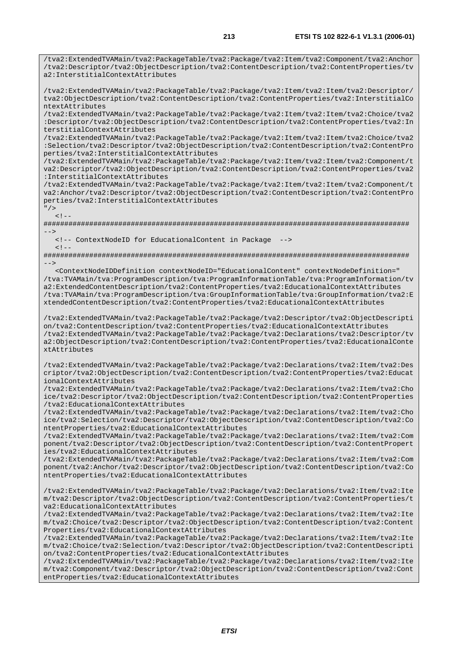/tva2:ExtendedTVAMain/tva2:PackageTable/tva2:Package/tva2:Item/tva2:Component/tva2:Anchor /tva2:Descriptor/tva2:ObjectDescription/tva2:ContentDescription/tva2:ContentProperties/tv a2:InterstitialContextAttributes

/tva2:ExtendedTVAMain/tva2:PackageTable/tva2:Package/tva2:Item/tva2:Item/tva2:Descriptor/ tva2:ObjectDescription/tva2:ContentDescription/tva2:ContentProperties/tva2:InterstitialCo ntextAttributes

/tva2:ExtendedTVAMain/tva2:PackageTable/tva2:Package/tva2:Item/tva2:Item/tva2:Choice/tva2 :Descriptor/tva2:ObjectDescription/tva2:ContentDescription/tva2:ContentProperties/tva2:In terstitialContextAttributes

/tva2:ExtendedTVAMain/tva2:PackageTable/tva2:Package/tva2:Item/tva2:Item/tva2:Choice/tva2 :Selection/tva2:Descriptor/tva2:ObjectDescription/tva2:ContentDescription/tva2:ContentPro perties/tva2:InterstitialContextAttributes

/tva2:ExtendedTVAMain/tva2:PackageTable/tva2:Package/tva2:Item/tva2:Item/tva2:Component/t va2:Descriptor/tva2:ObjectDescription/tva2:ContentDescription/tva2:ContentProperties/tva2 :InterstitialContextAttributes

/tva2:ExtendedTVAMain/tva2:PackageTable/tva2:Package/tva2:Item/tva2:Item/tva2:Component/t va2:Anchor/tva2:Descriptor/tva2:ObjectDescription/tva2:ContentDescription/tva2:ContentPro perties/tva2:InterstitialContextAttributes

 $"$  />

 $\lt$  !  $-$ 

######################################################################################## -->

<!-- ContextNodeID for EducationalContent in Package -->

 $< !$   $-$ ######################################################################################## -->

 <ContextNodeIDDefinition contextNodeID="EducationalContent" contextNodeDefinition=" /tva:TVAMain/tva:ProgramDescription/tva:ProgramInformationTable/tva:ProgramInformation/tv a2:ExtendedContentDescription/tva2:ContentProperties/tva2:EducationalContextAttributes /tva:TVAMain/tva:ProgramDescription/tva:GroupInformationTable/tva:GroupInformation/tva2:E xtendedContentDescription/tva2:ContentProperties/tva2:EducationalContextAttributes

/tva2:ExtendedTVAMain/tva2:PackageTable/tva2:Package/tva2:Descriptor/tva2:ObjectDescripti on/tva2:ContentDescription/tva2:ContentProperties/tva2:EducationalContextAttributes /tva2:ExtendedTVAMain/tva2:PackageTable/tva2:Package/tva2:Declarations/tva2:Descriptor/tv a2:ObjectDescription/tva2:ContentDescription/tva2:ContentProperties/tva2:EducationalConte xtAttributes

/tva2:ExtendedTVAMain/tva2:PackageTable/tva2:Package/tva2:Declarations/tva2:Item/tva2:Des criptor/tva2:ObjectDescription/tva2:ContentDescription/tva2:ContentProperties/tva2:Educat ionalContextAttributes

/tva2:ExtendedTVAMain/tva2:PackageTable/tva2:Package/tva2:Declarations/tva2:Item/tva2:Cho ice/tva2:Descriptor/tva2:ObjectDescription/tva2:ContentDescription/tva2:ContentProperties /tva2:EducationalContextAttributes

/tva2:ExtendedTVAMain/tva2:PackageTable/tva2:Package/tva2:Declarations/tva2:Item/tva2:Cho ice/tva2:Selection/tva2:Descriptor/tva2:ObjectDescription/tva2:ContentDescription/tva2:Co ntentProperties/tva2:EducationalContextAttributes

/tva2:ExtendedTVAMain/tva2:PackageTable/tva2:Package/tva2:Declarations/tva2:Item/tva2:Com ponent/tva2:Descriptor/tva2:ObjectDescription/tva2:ContentDescription/tva2:ContentPropert ies/tva2:EducationalContextAttributes

/tva2:ExtendedTVAMain/tva2:PackageTable/tva2:Package/tva2:Declarations/tva2:Item/tva2:Com ponent/tva2:Anchor/tva2:Descriptor/tva2:ObjectDescription/tva2:ContentDescription/tva2:Co ntentProperties/tva2:EducationalContextAttributes

/tva2:ExtendedTVAMain/tva2:PackageTable/tva2:Package/tva2:Declarations/tva2:Item/tva2:Ite m/tva2:Descriptor/tva2:ObjectDescription/tva2:ContentDescription/tva2:ContentProperties/t va2:EducationalContextAttributes

/tva2:ExtendedTVAMain/tva2:PackageTable/tva2:Package/tva2:Declarations/tva2:Item/tva2:Ite m/tva2:Choice/tva2:Descriptor/tva2:ObjectDescription/tva2:ContentDescription/tva2:Content Properties/tva2:EducationalContextAttributes

/tva2:ExtendedTVAMain/tva2:PackageTable/tva2:Package/tva2:Declarations/tva2:Item/tva2:Ite m/tva2:Choice/tva2:Selection/tva2:Descriptor/tva2:ObjectDescription/tva2:ContentDescripti on/tva2:ContentProperties/tva2:EducationalContextAttributes

/tva2:ExtendedTVAMain/tva2:PackageTable/tva2:Package/tva2:Declarations/tva2:Item/tva2:Ite m/tva2:Component/tva2:Descriptor/tva2:ObjectDescription/tva2:ContentDescription/tva2:Cont entProperties/tva2:EducationalContextAttributes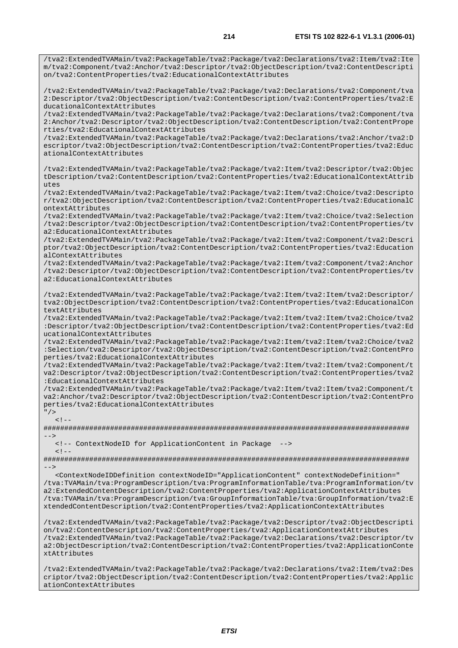/tva2:ExtendedTVAMain/tva2:PackageTable/tva2:Package/tva2:Declarations/tva2:Item/tva2:Ite m/tva2:Component/tva2:Anchor/tva2:Descriptor/tva2:ObjectDescription/tva2:ContentDescripti on/tva2:ContentProperties/tva2:EducationalContextAttributes

/tva2:ExtendedTVAMain/tva2:PackageTable/tva2:Package/tva2:Declarations/tva2:Component/tva 2:Descriptor/tva2:ObjectDescription/tva2:ContentDescription/tva2:ContentProperties/tva2:E ducationalContextAttributes

/tva2:ExtendedTVAMain/tva2:PackageTable/tva2:Package/tva2:Declarations/tva2:Component/tva 2:Anchor/tva2:Descriptor/tva2:ObjectDescription/tva2:ContentDescription/tva2:ContentPrope rties/tva2:EducationalContextAttributes

/tva2:ExtendedTVAMain/tva2:PackageTable/tva2:Package/tva2:Declarations/tva2:Anchor/tva2:D escriptor/tva2:ObjectDescription/tva2:ContentDescription/tva2:ContentProperties/tva2:Educ ationalContextAttributes

/tva2:ExtendedTVAMain/tva2:PackageTable/tva2:Package/tva2:Item/tva2:Descriptor/tva2:Objec tDescription/tva2:ContentDescription/tva2:ContentProperties/tva2:EducationalContextAttrib  $Utes$ 

/tva2:ExtendedTVAMain/tva2:PackageTable/tva2:Package/tva2:Item/tva2:Choice/tva2:Descripto r/tva2:ObjectDescription/tva2:ContentDescription/tva2:ContentProperties/tva2:EducationalC ontextAttributes

/tva2:ExtendedTVAMain/tva2:PackageTable/tva2:Package/tva2:Item/tva2:Choice/tva2:Selection /tva2:Descriptor/tva2:ObjectDescription/tva2:ContentDescription/tva2:ContentProperties/tv a2:EducationalContextAttributes

/tva2:ExtendedTVAMain/tva2:PackageTable/tva2:Package/tva2:Item/tva2:Component/tva2:Descri ptor/tva2:ObjectDescription/tva2:ContentDescription/tva2:ContentProperties/tva2:Education alContextAttributes

/tva2:ExtendedTVAMain/tva2:PackageTable/tva2:Package/tva2:Item/tva2:Component/tva2:Anchor /tva2:Descriptor/tva2:ObjectDescription/tva2:ContentDescription/tva2:ContentProperties/tv a2:EducationalContextAttributes

/tva2:ExtendedTVAMain/tva2:PackageTable/tva2:Package/tva2:Item/tva2:Item/tva2:Descriptor/ tva2:ObjectDescription/tva2:ContentDescription/tva2:ContentProperties/tva2:EducationalCon textAttributes

/tva2:ExtendedTVAMain/tva2:PackageTable/tva2:Package/tva2:Item/tva2:Item/tva2:Choice/tva2 :Descriptor/tva2:ObjectDescription/tva2:ContentDescription/tva2:ContentProperties/tva2:Ed ucationalContextAttributes

/tva2:ExtendedTVAMain/tva2:PackageTable/tva2:Package/tva2:Item/tva2:Item/tva2:Choice/tva2 :Selection/tva2:Descriptor/tva2:ObjectDescription/tva2:ContentDescription/tva2:ContentPro perties/tva2:EducationalContextAttributes

/tva2:ExtendedTVAMain/tva2:PackageTable/tva2:Package/tva2:Item/tva2:Item/tva2:Component/t va2:Descriptor/tva2:ObjectDescription/tva2:ContentDescription/tva2:ContentProperties/tva2 :EducationalContextAttributes

/tva2:ExtendedTVAMain/tva2:PackageTable/tva2:Package/tva2:Item/tva2:Item/tva2:Component/t va2:Anchor/tva2:Descriptor/tva2:ObjectDescription/tva2:ContentDescription/tva2:ContentPro perties/tva2:EducationalContextAttributes

"/>

 $\leq$   $\vert$   $-$  -

######################################################################################## -->

<!-- ContextNodeID for ApplicationContent in Package -->

 $<$ ! --

######################################################################################## -->

 <ContextNodeIDDefinition contextNodeID="ApplicationContent" contextNodeDefinition=" /tva:TVAMain/tva:ProgramDescription/tva:ProgramInformationTable/tva:ProgramInformation/tv a2:ExtendedContentDescription/tva2:ContentProperties/tva2:ApplicationContextAttributes /tva:TVAMain/tva:ProgramDescription/tva:GroupInformationTable/tva:GroupInformation/tva2:E xtendedContentDescription/tva2:ContentProperties/tva2:ApplicationContextAttributes

/tva2:ExtendedTVAMain/tva2:PackageTable/tva2:Package/tva2:Descriptor/tva2:ObjectDescripti on/tva2:ContentDescription/tva2:ContentProperties/tva2:ApplicationContextAttributes /tva2:ExtendedTVAMain/tva2:PackageTable/tva2:Package/tva2:Declarations/tva2:Descriptor/tv a2:ObjectDescription/tva2:ContentDescription/tva2:ContentProperties/tva2:ApplicationConte xtAttributes

/tva2:ExtendedTVAMain/tva2:PackageTable/tva2:Package/tva2:Declarations/tva2:Item/tva2:Des criptor/tva2:ObjectDescription/tva2:ContentDescription/tva2:ContentProperties/tva2:Applic ationContextAttributes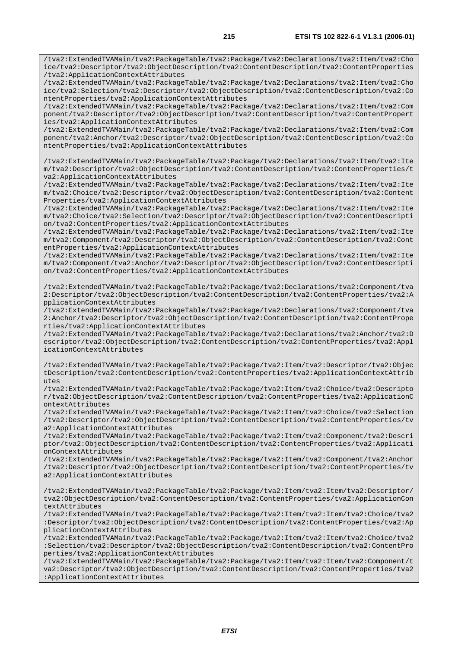/tva2:ExtendedTVAMain/tva2:PackageTable/tva2:Package/tva2:Declarations/tva2:Item/tva2:Cho ice/tva2:Descriptor/tva2:ObjectDescription/tva2:ContentDescription/tva2:ContentProperties /tva2:ApplicationContextAttributes

/tva2:ExtendedTVAMain/tva2:PackageTable/tva2:Package/tva2:Declarations/tva2:Item/tva2:Cho ice/tva2:Selection/tva2:Descriptor/tva2:ObjectDescription/tva2:ContentDescription/tva2:Co ntentProperties/tva2:ApplicationContextAttributes

/tva2:ExtendedTVAMain/tva2:PackageTable/tva2:Package/tva2:Declarations/tva2:Item/tva2:Com ponent/tva2:Descriptor/tva2:ObjectDescription/tva2:ContentDescription/tva2:ContentPropert ies/tva2:ApplicationContextAttributes

/tva2:ExtendedTVAMain/tva2:PackageTable/tva2:Package/tva2:Declarations/tva2:Item/tva2:Com ponent/tva2:Anchor/tva2:Descriptor/tva2:ObjectDescription/tva2:ContentDescription/tva2:Co ntentProperties/tva2:ApplicationContextAttributes

/tva2:ExtendedTVAMain/tva2:PackageTable/tva2:Package/tva2:Declarations/tva2:Item/tva2:Ite m/tva2:Descriptor/tva2:ObjectDescription/tva2:ContentDescription/tva2:ContentProperties/t va2:ApplicationContextAttributes

/tva2:ExtendedTVAMain/tva2:PackageTable/tva2:Package/tva2:Declarations/tva2:Item/tva2:Ite m/tva2:Choice/tva2:Descriptor/tva2:ObjectDescription/tva2:ContentDescription/tva2:Content Properties/tva2:ApplicationContextAttributes

/tva2:ExtendedTVAMain/tva2:PackageTable/tva2:Package/tva2:Declarations/tva2:Item/tva2:Ite m/tva2:Choice/tva2:Selection/tva2:Descriptor/tva2:ObjectDescription/tva2:ContentDescripti on/tva2:ContentProperties/tva2:ApplicationContextAttributes

/tva2:ExtendedTVAMain/tva2:PackageTable/tva2:Package/tva2:Declarations/tva2:Item/tva2:Ite m/tva2:Component/tva2:Descriptor/tva2:ObjectDescription/tva2:ContentDescription/tva2:Cont entProperties/tva2:ApplicationContextAttributes

/tva2:ExtendedTVAMain/tva2:PackageTable/tva2:Package/tva2:Declarations/tva2:Item/tva2:Ite m/tva2:Component/tva2:Anchor/tva2:Descriptor/tva2:ObjectDescription/tva2:ContentDescripti on/tva2:ContentProperties/tva2:ApplicationContextAttributes

/tva2:ExtendedTVAMain/tva2:PackageTable/tva2:Package/tva2:Declarations/tva2:Component/tva 2:Descriptor/tva2:ObjectDescription/tva2:ContentDescription/tva2:ContentProperties/tva2:A pplicationContextAttributes

/tva2:ExtendedTVAMain/tva2:PackageTable/tva2:Package/tva2:Declarations/tva2:Component/tva 2:Anchor/tva2:Descriptor/tva2:ObjectDescription/tva2:ContentDescription/tva2:ContentPrope rties/tva2:ApplicationContextAttributes

/tva2:ExtendedTVAMain/tva2:PackageTable/tva2:Package/tva2:Declarations/tva2:Anchor/tva2:D escriptor/tva2:ObjectDescription/tva2:ContentDescription/tva2:ContentProperties/tva2:Appl icationContextAttributes

/tva2:ExtendedTVAMain/tva2:PackageTable/tva2:Package/tva2:Item/tva2:Descriptor/tva2:Objec tDescription/tva2:ContentDescription/tva2:ContentProperties/tva2:ApplicationContextAttrib  $u$ tes

/tva2:ExtendedTVAMain/tva2:PackageTable/tva2:Package/tva2:Item/tva2:Choice/tva2:Descripto r/tva2:ObjectDescription/tva2:ContentDescription/tva2:ContentProperties/tva2:ApplicationC ontextAttributes

/tva2:ExtendedTVAMain/tva2:PackageTable/tva2:Package/tva2:Item/tva2:Choice/tva2:Selection /tva2:Descriptor/tva2:ObjectDescription/tva2:ContentDescription/tva2:ContentProperties/tv a2:ApplicationContextAttributes

/tva2:ExtendedTVAMain/tva2:PackageTable/tva2:Package/tva2:Item/tva2:Component/tva2:Descri ptor/tva2:ObjectDescription/tva2:ContentDescription/tva2:ContentProperties/tva2:Applicati onContextAttributes

/tva2:ExtendedTVAMain/tva2:PackageTable/tva2:Package/tva2:Item/tva2:Component/tva2:Anchor /tva2:Descriptor/tva2:ObjectDescription/tva2:ContentDescription/tva2:ContentProperties/tv a2:ApplicationContextAttributes

/tva2:ExtendedTVAMain/tva2:PackageTable/tva2:Package/tva2:Item/tva2:Item/tva2:Descriptor/ tva2:ObjectDescription/tva2:ContentDescription/tva2:ContentProperties/tva2:ApplicationCon textAttributes

/tva2:ExtendedTVAMain/tva2:PackageTable/tva2:Package/tva2:Item/tva2:Item/tva2:Choice/tva2 :Descriptor/tva2:ObjectDescription/tva2:ContentDescription/tva2:ContentProperties/tva2:Ap plicationContextAttributes

/tva2:ExtendedTVAMain/tva2:PackageTable/tva2:Package/tva2:Item/tva2:Item/tva2:Choice/tva2 :Selection/tva2:Descriptor/tva2:ObjectDescription/tva2:ContentDescription/tva2:ContentPro perties/tva2:ApplicationContextAttributes

/tva2:ExtendedTVAMain/tva2:PackageTable/tva2:Package/tva2:Item/tva2:Item/tva2:Component/t va2:Descriptor/tva2:ObjectDescription/tva2:ContentDescription/tva2:ContentProperties/tva2 :ApplicationContextAttributes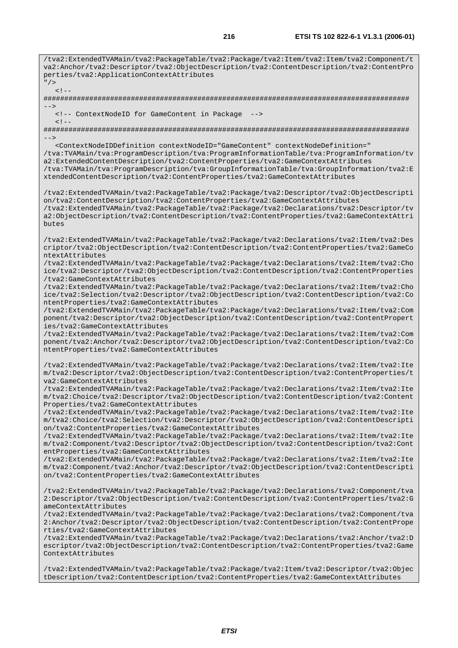/tva2:ExtendedTVAMain/tva2:PackageTable/tva2:Package/tva2:Item/tva2:Item/tva2:Component/t va2:Anchor/tva2:Descriptor/tva2:ObjectDescription/tva2:ContentDescription/tva2:ContentPro perties/tva2:ApplicationContextAttributes  $"$ />  $\lt$   $\vdash$ ######################################################################################## --> <!-- ContextNodeID for GameContent in Package -->  $2 - 1 - 1$ ######################################################################################## --> <ContextNodeIDDefinition contextNodeID="GameContent" contextNodeDefinition=" /tva:TVAMain/tva:ProgramDescription/tva:ProgramInformationTable/tva:ProgramInformation/tv a2:ExtendedContentDescription/tva2:ContentProperties/tva2:GameContextAttributes /tva:TVAMain/tva:ProgramDescription/tva:GroupInformationTable/tva:GroupInformation/tva2:E xtendedContentDescription/tva2:ContentProperties/tva2:GameContextAttributes /tva2:ExtendedTVAMain/tva2:PackageTable/tva2:Package/tva2:Descriptor/tva2:ObjectDescripti on/tva2:ContentDescription/tva2:ContentProperties/tva2:GameContextAttributes /tva2:ExtendedTVAMain/tva2:PackageTable/tva2:Package/tva2:Declarations/tva2:Descriptor/tv a2:ObjectDescription/tva2:ContentDescription/tva2:ContentProperties/tva2:GameContextAttri butes /tva2:ExtendedTVAMain/tva2:PackageTable/tva2:Package/tva2:Declarations/tva2:Item/tva2:Des criptor/tva2:ObjectDescription/tva2:ContentDescription/tva2:ContentProperties/tva2:GameCo ntextAttributes /tva2:ExtendedTVAMain/tva2:PackageTable/tva2:Package/tva2:Declarations/tva2:Item/tva2:Cho ice/tva2:Descriptor/tva2:ObjectDescription/tva2:ContentDescription/tva2:ContentProperties /tva2:GameContextAttributes /tva2:ExtendedTVAMain/tva2:PackageTable/tva2:Package/tva2:Declarations/tva2:Item/tva2:Cho ice/tva2:Selection/tva2:Descriptor/tva2:ObjectDescription/tva2:ContentDescription/tva2:Co ntentProperties/tva2:GameContextAttributes /tva2:ExtendedTVAMain/tva2:PackageTable/tva2:Package/tva2:Declarations/tva2:Item/tva2:Com ponent/tva2:Descriptor/tva2:ObjectDescription/tva2:ContentDescription/tva2:ContentPropert ies/tva2:GameContextAttributes /tva2:ExtendedTVAMain/tva2:PackageTable/tva2:Package/tva2:Declarations/tva2:Item/tva2:Com ponent/tva2:Anchor/tva2:Descriptor/tva2:ObjectDescription/tva2:ContentDescription/tva2:Co ntentProperties/tva2:GameContextAttributes /tva2:ExtendedTVAMain/tva2:PackageTable/tva2:Package/tva2:Declarations/tva2:Item/tva2:Ite m/tva2:Descriptor/tva2:ObjectDescription/tva2:ContentDescription/tva2:ContentProperties/t va2:GameContextAttributes /tva2:ExtendedTVAMain/tva2:PackageTable/tva2:Package/tva2:Declarations/tva2:Item/tva2:Ite m/tva2:Choice/tva2:Descriptor/tva2:ObjectDescription/tva2:ContentDescription/tva2:Content Properties/tva2:GameContextAttributes /tva2:ExtendedTVAMain/tva2:PackageTable/tva2:Package/tva2:Declarations/tva2:Item/tva2:Ite m/tva2:Choice/tva2:Selection/tva2:Descriptor/tva2:ObjectDescription/tva2:ContentDescripti on/tva2:ContentProperties/tva2:GameContextAttributes /tva2:ExtendedTVAMain/tva2:PackageTable/tva2:Package/tva2:Declarations/tva2:Item/tva2:Ite m/tva2:Component/tva2:Descriptor/tva2:ObjectDescription/tva2:ContentDescription/tva2:Cont entProperties/tva2:GameContextAttributes /tva2:ExtendedTVAMain/tva2:PackageTable/tva2:Package/tva2:Declarations/tva2:Item/tva2:Ite m/tva2:Component/tva2:Anchor/tva2:Descriptor/tva2:ObjectDescription/tva2:ContentDescripti on/tva2:ContentProperties/tva2:GameContextAttributes /tva2:ExtendedTVAMain/tva2:PackageTable/tva2:Package/tva2:Declarations/tva2:Component/tva 2:Descriptor/tva2:ObjectDescription/tva2:ContentDescription/tva2:ContentProperties/tva2:G ameContextAttributes /tva2:ExtendedTVAMain/tva2:PackageTable/tva2:Package/tva2:Declarations/tva2:Component/tva 2:Anchor/tva2:Descriptor/tva2:ObjectDescription/tva2:ContentDescription/tva2:ContentPrope rties/tva2:GameContextAttributes /tva2:ExtendedTVAMain/tva2:PackageTable/tva2:Package/tva2:Declarations/tva2:Anchor/tva2:D escriptor/tva2:ObjectDescription/tva2:ContentDescription/tva2:ContentProperties/tva2:Game ContextAttributes

/tva2:ExtendedTVAMain/tva2:PackageTable/tva2:Package/tva2:Item/tva2:Descriptor/tva2:Objec tDescription/tva2:ContentDescription/tva2:ContentProperties/tva2:GameContextAttributes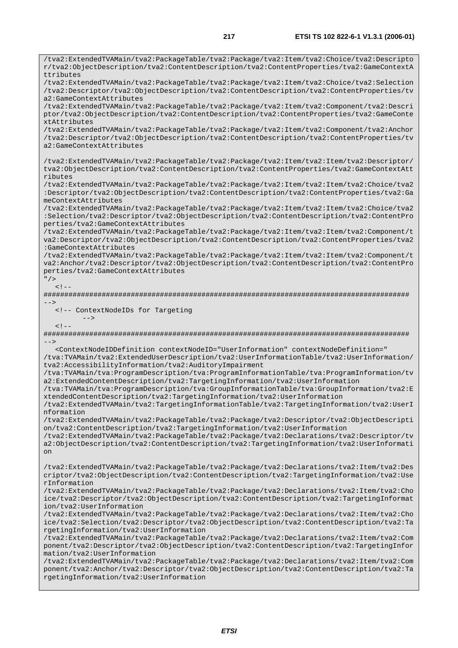/tva2:ExtendedTVAMain/tva2:PackageTable/tva2:Package/tva2:Item/tva2:Choice/tva2:Descripto r/tva2:ObjectDescription/tva2:ContentDescription/tva2:ContentProperties/tva2:GameContextA ttributes /tva2:ExtendedTVAMain/tva2:PackageTable/tva2:Package/tva2:Item/tva2:Choice/tva2:Selection /tva2:Descriptor/tva2:ObjectDescription/tva2:ContentDescription/tva2:ContentProperties/tv a2:GameContextAttributes /tva2:ExtendedTVAMain/tva2:PackageTable/tva2:Package/tva2:Item/tva2:Component/tva2:Descri ptor/tva2:ObjectDescription/tva2:ContentDescription/tva2:ContentProperties/tva2:GameConte xtAttributes /tva2:ExtendedTVAMain/tva2:PackageTable/tva2:Package/tva2:Item/tva2:Component/tva2:Anchor /tva2:Descriptor/tva2:ObjectDescription/tva2:ContentDescription/tva2:ContentProperties/tv a2:GameContextAttributes /tva2:ExtendedTVAMain/tva2:PackageTable/tva2:Package/tva2:Item/tva2:Item/tva2:Descriptor/ tva2:ObjectDescription/tva2:ContentDescription/tva2:ContentProperties/tva2:GameContextAtt ributes /tva2:ExtendedTVAMain/tva2:PackageTable/tva2:Package/tva2:Item/tva2:Item/tva2:Choice/tva2 :Descriptor/tva2:ObjectDescription/tva2:ContentDescription/tva2:ContentProperties/tva2:Ga meContextAttributes /tva2:ExtendedTVAMain/tva2:PackageTable/tva2:Package/tva2:Item/tva2:Item/tva2:Choice/tva2 :Selection/tva2:Descriptor/tva2:ObjectDescription/tva2:ContentDescription/tva2:ContentPro perties/tva2:GameContextAttributes /tva2:ExtendedTVAMain/tva2:PackageTable/tva2:Package/tva2:Item/tva2:Item/tva2:Component/t va2:Descriptor/tva2:ObjectDescription/tva2:ContentDescription/tva2:ContentProperties/tva2 :GameContextAttributes /tva2:ExtendedTVAMain/tva2:PackageTable/tva2:Package/tva2:Item/tva2:Item/tva2:Component/t va2:Anchor/tva2:Descriptor/tva2:ObjectDescription/tva2:ContentDescription/tva2:ContentPro perties/tva2:GameContextAttributes  $'$  / >  $\lt$  !  $-$ ######################################################################################## --> <!-- ContextNodeIDs for Targeting -->  $\lt$  !  $-$ ######################################################################################## --> <ContextNodeIDDefinition contextNodeID="UserInformation" contextNodeDefinition=" /tva:TVAMain/tva2:ExtendedUserDescription/tva2:UserInformationTable/tva2:UserInformation/ tva2:AccessibilityInformation/tva2:AuditoryImpairment /tva:TVAMain/tva:ProgramDescription/tva:ProgramInformationTable/tva:ProgramInformation/tv a2:ExtendedContentDescription/tva2:TargetingInformation/tva2:UserInformation /tva:TVAMain/tva:ProgramDescription/tva:GroupInformationTable/tva:GroupInformation/tva2:E xtendedContentDescription/tva2:TargetingInformation/tva2:UserInformation /tva2:ExtendedTVAMain/tva2:TargetingInformationTable/tva2:TargetingInformation/tva2:UserI nformation /tva2:ExtendedTVAMain/tva2:PackageTable/tva2:Package/tva2:Descriptor/tva2:ObjectDescripti on/tva2:ContentDescription/tva2:TargetingInformation/tva2:UserInformation /tva2:ExtendedTVAMain/tva2:PackageTable/tva2:Package/tva2:Declarations/tva2:Descriptor/tv a2:ObjectDescription/tva2:ContentDescription/tva2:TargetingInformation/tva2:UserInformati on /tva2:ExtendedTVAMain/tva2:PackageTable/tva2:Package/tva2:Declarations/tva2:Item/tva2:Des criptor/tva2:ObjectDescription/tva2:ContentDescription/tva2:TargetingInformation/tva2:Use rInformation /tva2:ExtendedTVAMain/tva2:PackageTable/tva2:Package/tva2:Declarations/tva2:Item/tva2:Cho ice/tva2:Descriptor/tva2:ObjectDescription/tva2:ContentDescription/tva2:TargetingInformat ion/tva2:UserInformation /tva2:ExtendedTVAMain/tva2:PackageTable/tva2:Package/tva2:Declarations/tva2:Item/tva2:Cho ice/tva2:Selection/tva2:Descriptor/tva2:ObjectDescription/tva2:ContentDescription/tva2:Ta rgetingInformation/tva2:UserInformation /tva2:ExtendedTVAMain/tva2:PackageTable/tva2:Package/tva2:Declarations/tva2:Item/tva2:Com ponent/tva2:Descriptor/tva2:ObjectDescription/tva2:ContentDescription/tva2:TargetingInfor mation/tva2:UserInformation /tva2:ExtendedTVAMain/tva2:PackageTable/tva2:Package/tva2:Declarations/tva2:Item/tva2:Com ponent/tva2:Anchor/tva2:Descriptor/tva2:ObjectDescription/tva2:ContentDescription/tva2:Ta rgetingInformation/tva2:UserInformation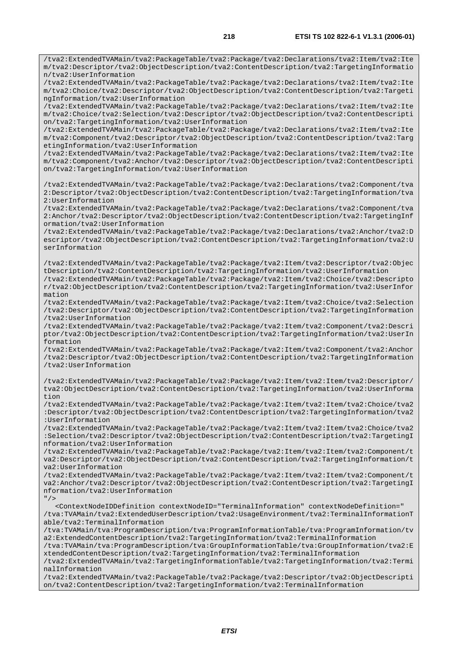/tva2:ExtendedTVAMain/tva2:PackageTable/tva2:Package/tva2:Declarations/tva2:Item/tva2:Ite

m/tva2:Descriptor/tva2:ObjectDescription/tva2:ContentDescription/tva2:TargetingInformatio n/tva2:UserInformation /tva2:ExtendedTVAMain/tva2:PackageTable/tva2:Package/tva2:Declarations/tva2:Item/tva2:Ite m/tva2:Choice/tva2:Descriptor/tva2:ObjectDescription/tva2:ContentDescription/tva2:Targeti ngInformation/tva2:UserInformation /tva2:ExtendedTVAMain/tva2:PackageTable/tva2:Package/tva2:Declarations/tva2:Item/tva2:Ite m/tva2:Choice/tva2:Selection/tva2:Descriptor/tva2:ObjectDescription/tva2:ContentDescripti on/tva2:TargetingInformation/tva2:UserInformation /tva2:ExtendedTVAMain/tva2:PackageTable/tva2:Package/tva2:Declarations/tva2:Item/tva2:Ite m/tva2:Component/tva2:Descriptor/tva2:ObjectDescription/tva2:ContentDescription/tva2:Targ etingInformation/tva2:UserInformation /tva2:ExtendedTVAMain/tva2:PackageTable/tva2:Package/tva2:Declarations/tva2:Item/tva2:Ite m/tva2:Component/tva2:Anchor/tva2:Descriptor/tva2:ObjectDescription/tva2:ContentDescripti on/tva2:TargetingInformation/tva2:UserInformation /tva2:ExtendedTVAMain/tva2:PackageTable/tva2:Package/tva2:Declarations/tva2:Component/tva 2:Descriptor/tva2:ObjectDescription/tva2:ContentDescription/tva2:TargetingInformation/tva 2:UserInformation /tva2:ExtendedTVAMain/tva2:PackageTable/tva2:Package/tva2:Declarations/tva2:Component/tva 2:Anchor/tva2:Descriptor/tva2:ObjectDescription/tva2:ContentDescription/tva2:TargetingInf ormation/tva2:UserInformation /tva2:ExtendedTVAMain/tva2:PackageTable/tva2:Package/tva2:Declarations/tva2:Anchor/tva2:D escriptor/tva2:ObjectDescription/tva2:ContentDescription/tva2:TargetingInformation/tva2:U serInformation /tva2:ExtendedTVAMain/tva2:PackageTable/tva2:Package/tva2:Item/tva2:Descriptor/tva2:Objec tDescription/tva2:ContentDescription/tva2:TargetingInformation/tva2:UserInformation /tva2:ExtendedTVAMain/tva2:PackageTable/tva2:Package/tva2:Item/tva2:Choice/tva2:Descripto r/tva2:ObjectDescription/tva2:ContentDescription/tva2:TargetingInformation/tva2:UserInfor mation /tva2:ExtendedTVAMain/tva2:PackageTable/tva2:Package/tva2:Item/tva2:Choice/tva2:Selection /tva2:Descriptor/tva2:ObjectDescription/tva2:ContentDescription/tva2:TargetingInformation /tva2:UserInformation /tva2:ExtendedTVAMain/tva2:PackageTable/tva2:Package/tva2:Item/tva2:Component/tva2:Descri ptor/tva2:ObjectDescription/tva2:ContentDescription/tva2:TargetingInformation/tva2:UserIn formation /tva2:ExtendedTVAMain/tva2:PackageTable/tva2:Package/tva2:Item/tva2:Component/tva2:Anchor /tva2:Descriptor/tva2:ObjectDescription/tva2:ContentDescription/tva2:TargetingInformation /tva2:UserInformation /tva2:ExtendedTVAMain/tva2:PackageTable/tva2:Package/tva2:Item/tva2:Item/tva2:Descriptor/ tva2:ObjectDescription/tva2:ContentDescription/tva2:TargetingInformation/tva2:UserInforma tion /tva2:ExtendedTVAMain/tva2:PackageTable/tva2:Package/tva2:Item/tva2:Item/tva2:Choice/tva2 :Descriptor/tva2:ObjectDescription/tva2:ContentDescription/tva2:TargetingInformation/tva2 :UserInformation /tva2:ExtendedTVAMain/tva2:PackageTable/tva2:Package/tva2:Item/tva2:Item/tva2:Choice/tva2 :Selection/tva2:Descriptor/tva2:ObjectDescription/tva2:ContentDescription/tva2:TargetingI nformation/tva2:UserInformation /tva2:ExtendedTVAMain/tva2:PackageTable/tva2:Package/tva2:Item/tva2:Item/tva2:Component/t va2:Descriptor/tva2:ObjectDescription/tva2:ContentDescription/tva2:TargetingInformation/t va2:UserInformation /tva2:ExtendedTVAMain/tva2:PackageTable/tva2:Package/tva2:Item/tva2:Item/tva2:Component/t va2:Anchor/tva2:Descriptor/tva2:ObjectDescription/tva2:ContentDescription/tva2:TargetingI nformation/tva2:UserInformation  $"$  /> <ContextNodeIDDefinition contextNodeID="TerminalInformation" contextNodeDefinition=" /tva:TVAMain/tva2:ExtendedUserDescription/tva2:UsageEnvironment/tva2:TerminalInformationT able/tva2:TerminalInformation /tva:TVAMain/tva:ProgramDescription/tva:ProgramInformationTable/tva:ProgramInformation/tv a2:ExtendedContentDescription/tva2:TargetingInformation/tva2:TerminalInformation /tva:TVAMain/tva:ProgramDescription/tva:GroupInformationTable/tva:GroupInformation/tva2:E xtendedContentDescription/tva2:TargetingInformation/tva2:TerminalInformation /tva2:ExtendedTVAMain/tva2:TargetingInformationTable/tva2:TargetingInformation/tva2:Termi nalInformation

/tva2:ExtendedTVAMain/tva2:PackageTable/tva2:Package/tva2:Descriptor/tva2:ObjectDescripti on/tva2:ContentDescription/tva2:TargetingInformation/tva2:TerminalInformation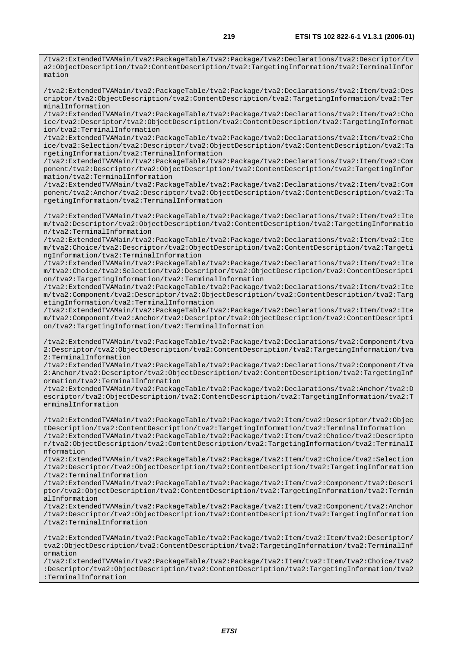/tva2:ExtendedTVAMain/tva2:PackageTable/tva2:Package/tva2:Declarations/tva2:Descriptor/tv a2:ObjectDescription/tva2:ContentDescription/tva2:TargetingInformation/tva2:TerminalInfor mation

/tva2:ExtendedTVAMain/tva2:PackageTable/tva2:Package/tva2:Declarations/tva2:Item/tva2:Des criptor/tva2:ObjectDescription/tva2:ContentDescription/tva2:TargetingInformation/tva2:Ter minalInformation

/tva2:ExtendedTVAMain/tva2:PackageTable/tva2:Package/tva2:Declarations/tva2:Item/tva2:Cho ice/tva2:Descriptor/tva2:ObjectDescription/tva2:ContentDescription/tva2:TargetingInformat ion/tva2:TerminalInformation

/tva2:ExtendedTVAMain/tva2:PackageTable/tva2:Package/tva2:Declarations/tva2:Item/tva2:Cho ice/tva2:Selection/tva2:Descriptor/tva2:ObjectDescription/tva2:ContentDescription/tva2:Ta rgetingInformation/tva2:TerminalInformation

/tva2:ExtendedTVAMain/tva2:PackageTable/tva2:Package/tva2:Declarations/tva2:Item/tva2:Com ponent/tva2:Descriptor/tva2:ObjectDescription/tva2:ContentDescription/tva2:TargetingInfor mation/tva2:TerminalInformation

/tva2:ExtendedTVAMain/tva2:PackageTable/tva2:Package/tva2:Declarations/tva2:Item/tva2:Com ponent/tva2:Anchor/tva2:Descriptor/tva2:ObjectDescription/tva2:ContentDescription/tva2:Ta rgetingInformation/tva2:TerminalInformation

/tva2:ExtendedTVAMain/tva2:PackageTable/tva2:Package/tva2:Declarations/tva2:Item/tva2:Ite m/tva2:Descriptor/tva2:ObjectDescription/tva2:ContentDescription/tva2:TargetingInformatio n/tva2:TerminalInformation

/tva2:ExtendedTVAMain/tva2:PackageTable/tva2:Package/tva2:Declarations/tva2:Item/tva2:Ite m/tva2:Choice/tva2:Descriptor/tva2:ObjectDescription/tva2:ContentDescription/tva2:Targeti ngInformation/tva2:TerminalInformation

/tva2:ExtendedTVAMain/tva2:PackageTable/tva2:Package/tva2:Declarations/tva2:Item/tva2:Ite m/tva2:Choice/tva2:Selection/tva2:Descriptor/tva2:ObjectDescription/tva2:ContentDescripti on/tva2:TargetingInformation/tva2:TerminalInformation

/tva2:ExtendedTVAMain/tva2:PackageTable/tva2:Package/tva2:Declarations/tva2:Item/tva2:Ite m/tva2:Component/tva2:Descriptor/tva2:ObjectDescription/tva2:ContentDescription/tva2:Targ etingInformation/tva2:TerminalInformation

/tva2:ExtendedTVAMain/tva2:PackageTable/tva2:Package/tva2:Declarations/tva2:Item/tva2:Ite m/tva2:Component/tva2:Anchor/tva2:Descriptor/tva2:ObjectDescription/tva2:ContentDescripti on/tva2:TargetingInformation/tva2:TerminalInformation

/tva2:ExtendedTVAMain/tva2:PackageTable/tva2:Package/tva2:Declarations/tva2:Component/tva 2:Descriptor/tva2:ObjectDescription/tva2:ContentDescription/tva2:TargetingInformation/tva 2:TerminalInformation

/tva2:ExtendedTVAMain/tva2:PackageTable/tva2:Package/tva2:Declarations/tva2:Component/tva 2:Anchor/tva2:Descriptor/tva2:ObjectDescription/tva2:ContentDescription/tva2:TargetingInf ormation/tva2:TerminalInformation

/tva2:ExtendedTVAMain/tva2:PackageTable/tva2:Package/tva2:Declarations/tva2:Anchor/tva2:D escriptor/tva2:ObjectDescription/tva2:ContentDescription/tva2:TargetingInformation/tva2:T erminalInformation

/tva2:ExtendedTVAMain/tva2:PackageTable/tva2:Package/tva2:Item/tva2:Descriptor/tva2:Objec tDescription/tva2:ContentDescription/tva2:TargetingInformation/tva2:TerminalInformation /tva2:ExtendedTVAMain/tva2:PackageTable/tva2:Package/tva2:Item/tva2:Choice/tva2:Descripto r/tva2:ObjectDescription/tva2:ContentDescription/tva2:TargetingInformation/tva2:TerminalI nformation

/tva2:ExtendedTVAMain/tva2:PackageTable/tva2:Package/tva2:Item/tva2:Choice/tva2:Selection /tva2:Descriptor/tva2:ObjectDescription/tva2:ContentDescription/tva2:TargetingInformation /tva2:TerminalInformation

/tva2:ExtendedTVAMain/tva2:PackageTable/tva2:Package/tva2:Item/tva2:Component/tva2:Descri ptor/tva2:ObjectDescription/tva2:ContentDescription/tva2:TargetingInformation/tva2:Termin alInformation

/tva2:ExtendedTVAMain/tva2:PackageTable/tva2:Package/tva2:Item/tva2:Component/tva2:Anchor /tva2:Descriptor/tva2:ObjectDescription/tva2:ContentDescription/tva2:TargetingInformation /tva2:TerminalInformation

/tva2:ExtendedTVAMain/tva2:PackageTable/tva2:Package/tva2:Item/tva2:Item/tva2:Descriptor/ tva2:ObjectDescription/tva2:ContentDescription/tva2:TargetingInformation/tva2:TerminalInf ormation

/tva2:ExtendedTVAMain/tva2:PackageTable/tva2:Package/tva2:Item/tva2:Item/tva2:Choice/tva2 :Descriptor/tva2:ObjectDescription/tva2:ContentDescription/tva2:TargetingInformation/tva2 :TerminalInformation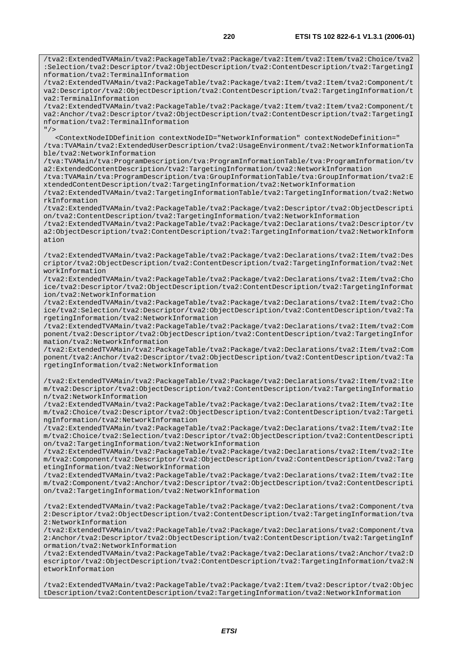/tva2:ExtendedTVAMain/tva2:PackageTable/tva2:Package/tva2:Item/tva2:Item/tva2:Choice/tva2

:Selection/tva2:Descriptor/tva2:ObjectDescription/tva2:ContentDescription/tva2:TargetingI nformation/tva2:TerminalInformation /tva2:ExtendedTVAMain/tva2:PackageTable/tva2:Package/tva2:Item/tva2:Item/tva2:Component/t va2:Descriptor/tva2:ObjectDescription/tva2:ContentDescription/tva2:TargetingInformation/t va2:TerminalInformation /tva2:ExtendedTVAMain/tva2:PackageTable/tva2:Package/tva2:Item/tva2:Item/tva2:Component/t va2:Anchor/tva2:Descriptor/tva2:ObjectDescription/tva2:ContentDescription/tva2:TargetingI nformation/tva2:TerminalInformation  $"$  /> <ContextNodeIDDefinition contextNodeID="NetworkInformation" contextNodeDefinition=" /tva:TVAMain/tva2:ExtendedUserDescription/tva2:UsageEnvironment/tva2:NetworkInformationTa ble/tva2:NetworkInformation /tva:TVAMain/tva:ProgramDescription/tva:ProgramInformationTable/tva:ProgramInformation/tv a2:ExtendedContentDescription/tva2:TargetingInformation/tva2:NetworkInformation /tva:TVAMain/tva:ProgramDescription/tva:GroupInformationTable/tva:GroupInformation/tva2:E xtendedContentDescription/tva2:TargetingInformation/tva2:NetworkInformation /tva2:ExtendedTVAMain/tva2:TargetingInformationTable/tva2:TargetingInformation/tva2:Netwo rkInformation /tva2:ExtendedTVAMain/tva2:PackageTable/tva2:Package/tva2:Descriptor/tva2:ObjectDescripti on/tva2:ContentDescription/tva2:TargetingInformation/tva2:NetworkInformation /tva2:ExtendedTVAMain/tva2:PackageTable/tva2:Package/tva2:Declarations/tva2:Descriptor/tv a2:ObjectDescription/tva2:ContentDescription/tva2:TargetingInformation/tva2:NetworkInform ation /tva2:ExtendedTVAMain/tva2:PackageTable/tva2:Package/tva2:Declarations/tva2:Item/tva2:Des criptor/tva2:ObjectDescription/tva2:ContentDescription/tva2:TargetingInformation/tva2:Net workInformation /tva2:ExtendedTVAMain/tva2:PackageTable/tva2:Package/tva2:Declarations/tva2:Item/tva2:Cho ice/tva2:Descriptor/tva2:ObjectDescription/tva2:ContentDescription/tva2:TargetingInformat ion/tva2:NetworkInformation /tva2:ExtendedTVAMain/tva2:PackageTable/tva2:Package/tva2:Declarations/tva2:Item/tva2:Cho ice/tva2:Selection/tva2:Descriptor/tva2:ObjectDescription/tva2:ContentDescription/tva2:Ta rgetingInformation/tva2:NetworkInformation /tva2:ExtendedTVAMain/tva2:PackageTable/tva2:Package/tva2:Declarations/tva2:Item/tva2:Com ponent/tva2:Descriptor/tva2:ObjectDescription/tva2:ContentDescription/tva2:TargetingInfor mation/tva2:NetworkInformation /tva2:ExtendedTVAMain/tva2:PackageTable/tva2:Package/tva2:Declarations/tva2:Item/tva2:Com ponent/tva2:Anchor/tva2:Descriptor/tva2:ObjectDescription/tva2:ContentDescription/tva2:Ta rgetingInformation/tva2:NetworkInformation /tva2:ExtendedTVAMain/tva2:PackageTable/tva2:Package/tva2:Declarations/tva2:Item/tva2:Ite m/tva2:Descriptor/tva2:ObjectDescription/tva2:ContentDescription/tva2:TargetingInformatio n/tva2:NetworkInformation /tva2:ExtendedTVAMain/tva2:PackageTable/tva2:Package/tva2:Declarations/tva2:Item/tva2:Ite m/tva2:Choice/tva2:Descriptor/tva2:ObjectDescription/tva2:ContentDescription/tva2:Targeti ngInformation/tva2:NetworkInformation /tva2:ExtendedTVAMain/tva2:PackageTable/tva2:Package/tva2:Declarations/tva2:Item/tva2:Ite m/tva2:Choice/tva2:Selection/tva2:Descriptor/tva2:ObjectDescription/tva2:ContentDescripti on/tva2:TargetingInformation/tva2:NetworkInformation /tva2:ExtendedTVAMain/tva2:PackageTable/tva2:Package/tva2:Declarations/tva2:Item/tva2:Ite m/tva2:Component/tva2:Descriptor/tva2:ObjectDescription/tva2:ContentDescription/tva2:Targ etingInformation/tva2:NetworkInformation /tva2:ExtendedTVAMain/tva2:PackageTable/tva2:Package/tva2:Declarations/tva2:Item/tva2:Ite m/tva2:Component/tva2:Anchor/tva2:Descriptor/tva2:ObjectDescription/tva2:ContentDescripti on/tva2:TargetingInformation/tva2:NetworkInformation /tva2:ExtendedTVAMain/tva2:PackageTable/tva2:Package/tva2:Declarations/tva2:Component/tva 2:Descriptor/tva2:ObjectDescription/tva2:ContentDescription/tva2:TargetingInformation/tva 2:NetworkInformation /tva2:ExtendedTVAMain/tva2:PackageTable/tva2:Package/tva2:Declarations/tva2:Component/tva 2:Anchor/tva2:Descriptor/tva2:ObjectDescription/tva2:ContentDescription/tva2:TargetingInf ormation/tva2:NetworkInformation /tva2:ExtendedTVAMain/tva2:PackageTable/tva2:Package/tva2:Declarations/tva2:Anchor/tva2:D escriptor/tva2:ObjectDescription/tva2:ContentDescription/tva2:TargetingInformation/tva2:N etworkInformation

/tva2:ExtendedTVAMain/tva2:PackageTable/tva2:Package/tva2:Item/tva2:Descriptor/tva2:Objec tDescription/tva2:ContentDescription/tva2:TargetingInformation/tva2:NetworkInformation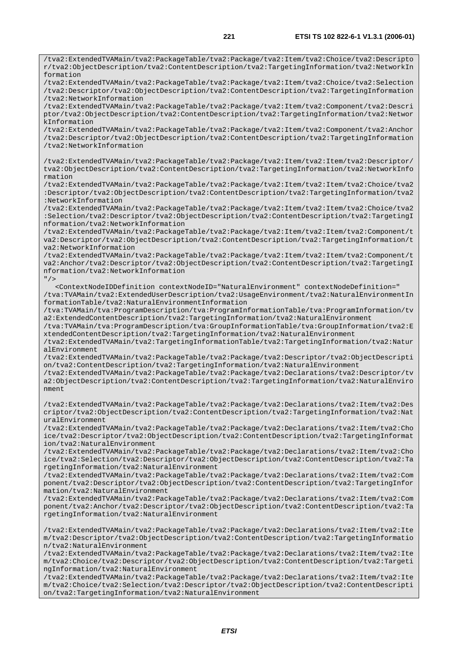/tva2:ExtendedTVAMain/tva2:PackageTable/tva2:Package/tva2:Item/tva2:Choice/tva2:Descripto r/tva2:ObjectDescription/tva2:ContentDescription/tva2:TargetingInformation/tva2:NetworkIn formation /tva2:ExtendedTVAMain/tva2:PackageTable/tva2:Package/tva2:Item/tva2:Choice/tva2:Selection /tva2:Descriptor/tva2:ObjectDescription/tva2:ContentDescription/tva2:TargetingInformation /tva2:NetworkInformation /tva2:ExtendedTVAMain/tva2:PackageTable/tva2:Package/tva2:Item/tva2:Component/tva2:Descri ptor/tva2:ObjectDescription/tva2:ContentDescription/tva2:TargetingInformation/tva2:Networ kInformation /tva2:ExtendedTVAMain/tva2:PackageTable/tva2:Package/tva2:Item/tva2:Component/tva2:Anchor /tva2:Descriptor/tva2:ObjectDescription/tva2:ContentDescription/tva2:TargetingInformation /tva2:NetworkInformation /tva2:ExtendedTVAMain/tva2:PackageTable/tva2:Package/tva2:Item/tva2:Item/tva2:Descriptor/ tva2:ObjectDescription/tva2:ContentDescription/tva2:TargetingInformation/tva2:NetworkInfo rmation /tva2:ExtendedTVAMain/tva2:PackageTable/tva2:Package/tva2:Item/tva2:Item/tva2:Choice/tva2 :Descriptor/tva2:ObjectDescription/tva2:ContentDescription/tva2:TargetingInformation/tva2 :NetworkInformation /tva2:ExtendedTVAMain/tva2:PackageTable/tva2:Package/tva2:Item/tva2:Item/tva2:Choice/tva2 :Selection/tva2:Descriptor/tva2:ObjectDescription/tva2:ContentDescription/tva2:TargetingI nformation/tva2:NetworkInformation /tva2:ExtendedTVAMain/tva2:PackageTable/tva2:Package/tva2:Item/tva2:Item/tva2:Component/t va2:Descriptor/tva2:ObjectDescription/tva2:ContentDescription/tva2:TargetingInformation/t va2:NetworkInformation /tva2:ExtendedTVAMain/tva2:PackageTable/tva2:Package/tva2:Item/tva2:Item/tva2:Component/t va2:Anchor/tva2:Descriptor/tva2:ObjectDescription/tva2:ContentDescription/tva2:TargetingI nformation/tva2:NetworkInformation  $''$  /  $>$  <ContextNodeIDDefinition contextNodeID="NaturalEnvironment" contextNodeDefinition=" /tva:TVAMain/tva2:ExtendedUserDescription/tva2:UsageEnvironment/tva2:NaturalEnvironmentIn formationTable/tva2:NaturalEnvironmentInformation /tva:TVAMain/tva:ProgramDescription/tva:ProgramInformationTable/tva:ProgramInformation/tv a2:ExtendedContentDescription/tva2:TargetingInformation/tva2:NaturalEnvironment /tva:TVAMain/tva:ProgramDescription/tva:GroupInformationTable/tva:GroupInformation/tva2:E xtendedContentDescription/tva2:TargetingInformation/tva2:NaturalEnvironment /tva2:ExtendedTVAMain/tva2:TargetingInformationTable/tva2:TargetingInformation/tva2:Natur alEnvironment /tva2:ExtendedTVAMain/tva2:PackageTable/tva2:Package/tva2:Descriptor/tva2:ObjectDescripti on/tva2:ContentDescription/tva2:TargetingInformation/tva2:NaturalEnvironment /tva2:ExtendedTVAMain/tva2:PackageTable/tva2:Package/tva2:Declarations/tva2:Descriptor/tv a2:ObjectDescription/tva2:ContentDescription/tva2:TargetingInformation/tva2:NaturalEnviro nment /tva2:ExtendedTVAMain/tva2:PackageTable/tva2:Package/tva2:Declarations/tva2:Item/tva2:Des criptor/tva2:ObjectDescription/tva2:ContentDescription/tva2:TargetingInformation/tva2:Nat uralEnvironment /tva2:ExtendedTVAMain/tva2:PackageTable/tva2:Package/tva2:Declarations/tva2:Item/tva2:Cho ice/tva2:Descriptor/tva2:ObjectDescription/tva2:ContentDescription/tva2:TargetingInformat ion/tva2:NaturalEnvironment /tva2:ExtendedTVAMain/tva2:PackageTable/tva2:Package/tva2:Declarations/tva2:Item/tva2:Cho ice/tva2:Selection/tva2:Descriptor/tva2:ObjectDescription/tva2:ContentDescription/tva2:Ta rgetingInformation/tva2:NaturalEnvironment /tva2:ExtendedTVAMain/tva2:PackageTable/tva2:Package/tva2:Declarations/tva2:Item/tva2:Com ponent/tva2:Descriptor/tva2:ObjectDescription/tva2:ContentDescription/tva2:TargetingInfor mation/tva2:NaturalEnvironment /tva2:ExtendedTVAMain/tva2:PackageTable/tva2:Package/tva2:Declarations/tva2:Item/tva2:Com ponent/tva2:Anchor/tva2:Descriptor/tva2:ObjectDescription/tva2:ContentDescription/tva2:Ta rgetingInformation/tva2:NaturalEnvironment /tva2:ExtendedTVAMain/tva2:PackageTable/tva2:Package/tva2:Declarations/tva2:Item/tva2:Ite m/tva2:Descriptor/tva2:ObjectDescription/tva2:ContentDescription/tva2:TargetingInformatio n/tva2:NaturalEnvironment /tva2:ExtendedTVAMain/tva2:PackageTable/tva2:Package/tva2:Declarations/tva2:Item/tva2:Ite m/tva2:Choice/tva2:Descriptor/tva2:ObjectDescription/tva2:ContentDescription/tva2:Targeti ngInformation/tva2:NaturalEnvironment /tva2:ExtendedTVAMain/tva2:PackageTable/tva2:Package/tva2:Declarations/tva2:Item/tva2:Ite m/tva2:Choice/tva2:Selection/tva2:Descriptor/tva2:ObjectDescription/tva2:ContentDescripti

on/tva2:TargetingInformation/tva2:NaturalEnvironment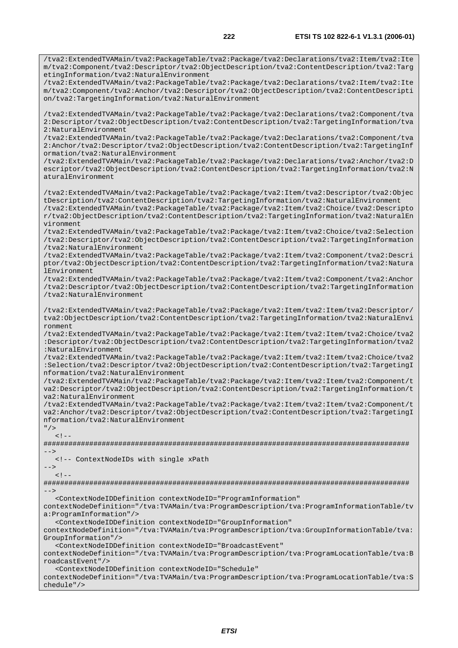/tva2:ExtendedTVAMain/tva2:PackageTable/tva2:Package/tva2:Declarations/tva2:Item/tva2:Ite m/tva2:Component/tva2:Descriptor/tva2:ObjectDescription/tva2:ContentDescription/tva2:Targ etingInformation/tva2:NaturalEnvironment /tva2:ExtendedTVAMain/tva2:PackageTable/tva2:Package/tva2:Declarations/tva2:Item/tva2:Ite m/tva2:Component/tva2:Anchor/tva2:Descriptor/tva2:ObjectDescription/tva2:ContentDescripti on/tva2:TargetingInformation/tva2:NaturalEnvironment /tva2:ExtendedTVAMain/tva2:PackageTable/tva2:Package/tva2:Declarations/tva2:Component/tva 2:Descriptor/tva2:ObjectDescription/tva2:ContentDescription/tva2:TargetingInformation/tva 2:NaturalEnvironment /tva2:ExtendedTVAMain/tva2:PackageTable/tva2:Package/tva2:Declarations/tva2:Component/tva 2:Anchor/tva2:Descriptor/tva2:ObjectDescription/tva2:ContentDescription/tva2:TargetingInf ormation/tva2:NaturalEnvironment /tva2:ExtendedTVAMain/tva2:PackageTable/tva2:Package/tva2:Declarations/tva2:Anchor/tva2:D escriptor/tva2:ObjectDescription/tva2:ContentDescription/tva2:TargetingInformation/tva2:N aturalEnvironment /tva2:ExtendedTVAMain/tva2:PackageTable/tva2:Package/tva2:Item/tva2:Descriptor/tva2:Objec tDescription/tva2:ContentDescription/tva2:TargetingInformation/tva2:NaturalEnvironment /tva2:ExtendedTVAMain/tva2:PackageTable/tva2:Package/tva2:Item/tva2:Choice/tva2:Descripto r/tva2:ObjectDescription/tva2:ContentDescription/tva2:TargetingInformation/tva2:NaturalEn vironment /tva2:ExtendedTVAMain/tva2:PackageTable/tva2:Package/tva2:Item/tva2:Choice/tva2:Selection /tva2:Descriptor/tva2:ObjectDescription/tva2:ContentDescription/tva2:TargetingInformation /tva2:NaturalEnvironment /tva2:ExtendedTVAMain/tva2:PackageTable/tva2:Package/tva2:Item/tva2:Component/tva2:Descri ptor/tva2:ObjectDescription/tva2:ContentDescription/tva2:TargetingInformation/tva2:Natura lEnvironment /tva2:ExtendedTVAMain/tva2:PackageTable/tva2:Package/tva2:Item/tva2:Component/tva2:Anchor /tva2:Descriptor/tva2:ObjectDescription/tva2:ContentDescription/tva2:TargetingInformation /tva2:NaturalEnvironment /tva2:ExtendedTVAMain/tva2:PackageTable/tva2:Package/tva2:Item/tva2:Item/tva2:Descriptor/ tva2:ObjectDescription/tva2:ContentDescription/tva2:TargetingInformation/tva2:NaturalEnvi ronment /tva2:ExtendedTVAMain/tva2:PackageTable/tva2:Package/tva2:Item/tva2:Item/tva2:Choice/tva2 :Descriptor/tva2:ObjectDescription/tva2:ContentDescription/tva2:TargetingInformation/tva2 :NaturalEnvironment /tva2:ExtendedTVAMain/tva2:PackageTable/tva2:Package/tva2:Item/tva2:Item/tva2:Choice/tva2 :Selection/tva2:Descriptor/tva2:ObjectDescription/tva2:ContentDescription/tva2:TargetingI nformation/tva2:NaturalEnvironment /tva2:ExtendedTVAMain/tva2:PackageTable/tva2:Package/tva2:Item/tva2:Item/tva2:Component/t va2:Descriptor/tva2:ObjectDescription/tva2:ContentDescription/tva2:TargetingInformation/t va2:NaturalEnvironment /tva2:ExtendedTVAMain/tva2:PackageTable/tva2:Package/tva2:Item/tva2:Item/tva2:Component/t va2:Anchor/tva2:Descriptor/tva2:ObjectDescription/tva2:ContentDescription/tva2:TargetingI nformation/tva2:NaturalEnvironment "/>  $2 - 1 - 1$ ######################################################################################## --> <!-- ContextNodeIDs with single xPath  $--&$  $\leq$  !  $-$ ######################################################################################## --> <ContextNodeIDDefinition contextNodeID="ProgramInformation" contextNodeDefinition="/tva:TVAMain/tva:ProgramDescription/tva:ProgramInformationTable/tv a:ProgramInformation"/> <ContextNodeIDDefinition contextNodeID="GroupInformation" contextNodeDefinition="/tva:TVAMain/tva:ProgramDescription/tva:GroupInformationTable/tva: GroupInformation"/> <ContextNodeIDDefinition contextNodeID="BroadcastEvent" contextNodeDefinition="/tva:TVAMain/tva:ProgramDescription/tva:ProgramLocationTable/tva:B roadcastEvent"/> <ContextNodeIDDefinition contextNodeID="Schedule" contextNodeDefinition="/tva:TVAMain/tva:ProgramDescription/tva:ProgramLocationTable/tva:S

chedule"/>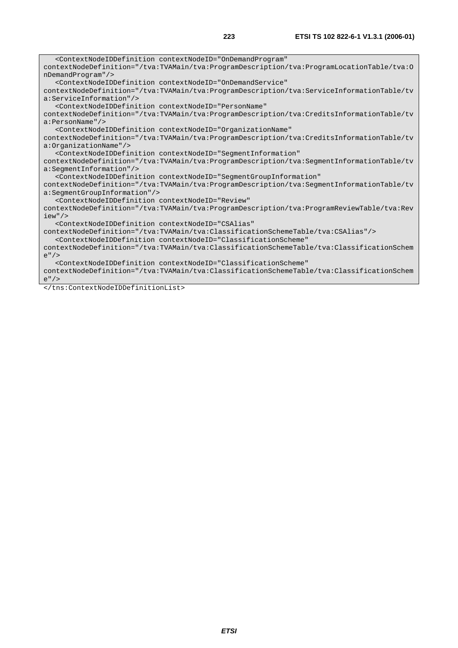<ContextNodeIDDefinition contextNodeID="OnDemandProgram" contextNodeDefinition="/tva:TVAMain/tva:ProgramDescription/tva:ProgramLocationTable/tva:O nDemandProgram"/> <ContextNodeIDDefinition contextNodeID="OnDemandService" contextNodeDefinition="/tva:TVAMain/tva:ProgramDescription/tva:ServiceInformationTable/tv a:ServiceInformation"/> <ContextNodeIDDefinition contextNodeID="PersonName" contextNodeDefinition="/tva:TVAMain/tva:ProgramDescription/tva:CreditsInformationTable/tv a:PersonName"/> <ContextNodeIDDefinition contextNodeID="OrganizationName" contextNodeDefinition="/tva:TVAMain/tva:ProgramDescription/tva:CreditsInformationTable/tv a:OrganizationName"/> <ContextNodeIDDefinition contextNodeID="SegmentInformation" contextNodeDefinition="/tva:TVAMain/tva:ProgramDescription/tva:SegmentInformationTable/tv a:SegmentInformation"/> <ContextNodeIDDefinition contextNodeID="SegmentGroupInformation" contextNodeDefinition="/tva:TVAMain/tva:ProgramDescription/tva:SegmentInformationTable/tv a:SegmentGroupInformation"/> <ContextNodeIDDefinition contextNodeID="Review" contextNodeDefinition="/tva:TVAMain/tva:ProgramDescription/tva:ProgramReviewTable/tva:Rev iew"/> <ContextNodeIDDefinition contextNodeID="CSAlias" contextNodeDefinition="/tva:TVAMain/tva:ClassificationSchemeTable/tva:CSAlias"/> <ContextNodeIDDefinition contextNodeID="ClassificationScheme" contextNodeDefinition="/tva:TVAMain/tva:ClassificationSchemeTable/tva:ClassificationSchem e"/> <ContextNodeIDDefinition contextNodeID="ClassificationScheme" contextNodeDefinition="/tva:TVAMain/tva:ClassificationSchemeTable/tva:ClassificationSchem e"/>

</tns:ContextNodeIDDefinitionList>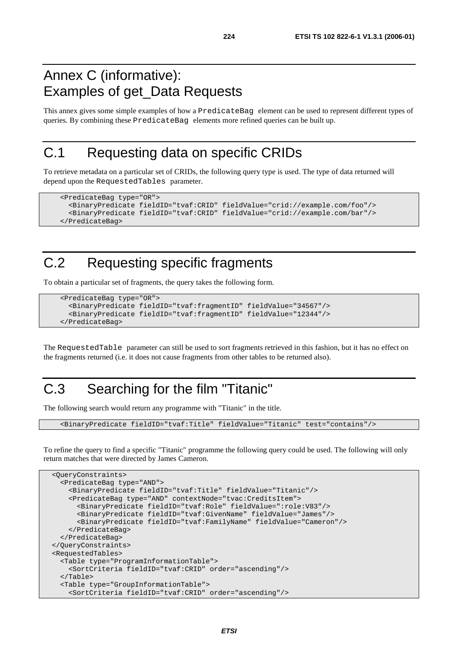#### Annex C (informative): Examples of get\_Data Requests

This annex gives some simple examples of how a PredicateBag element can be used to represent different types of queries. By combining these PredicateBag elements more refined queries can be built up.

## C.1 Requesting data on specific CRIDs

To retrieve metadata on a particular set of CRIDs, the following query type is used. The type of data returned will depend upon the RequestedTables parameter.

```
 <PredicateBag type="OR"> 
   <BinaryPredicate fieldID="tvaf:CRID" fieldValue="crid://example.com/foo"/> 
   <BinaryPredicate fieldID="tvaf:CRID" fieldValue="crid://example.com/bar"/> 
 </PredicateBag>
```
## C.2 Requesting specific fragments

To obtain a particular set of fragments, the query takes the following form.

```
 <PredicateBag type="OR"> 
   <BinaryPredicate fieldID="tvaf:fragmentID" fieldValue="34567"/> 
   <BinaryPredicate fieldID="tvaf:fragmentID" fieldValue="12344"/> 
 </PredicateBag>
```
The RequestedTable parameter can still be used to sort fragments retrieved in this fashion, but it has no effect on the fragments returned (i.e. it does not cause fragments from other tables to be returned also).

### C.3 Searching for the film "Titanic"

The following search would return any programme with "Titanic" in the title.

<BinaryPredicate fieldID="tvaf:Title" fieldValue="Titanic" test="contains"/>

To refine the query to find a specific "Titanic" programme the following query could be used. The following will only return matches that were directed by James Cameron.

```
 <QueryConstraints> 
   <PredicateBag type="AND"> 
     <BinaryPredicate fieldID="tvaf:Title" fieldValue="Titanic"/> 
     <PredicateBag type="AND" contextNode="tvac:CreditsItem"> 
       <BinaryPredicate fieldID="tvaf:Role" fieldValue=":role:V83"/> 
       <BinaryPredicate fieldID="tvaf:GivenName" fieldValue="James"/> 
       <BinaryPredicate fieldID="tvaf:FamilyName" fieldValue="Cameron"/> 
     </PredicateBag> 
  </PredicateBag> 
 </QueryConstraints> 
 <RequestedTables> 
   <Table type="ProgramInformationTable"> 
     <SortCriteria fieldID="tvaf:CRID" order="ascending"/> 
   </Table> 
   <Table type="GroupInformationTable"> 
     <SortCriteria fieldID="tvaf:CRID" order="ascending"/>
```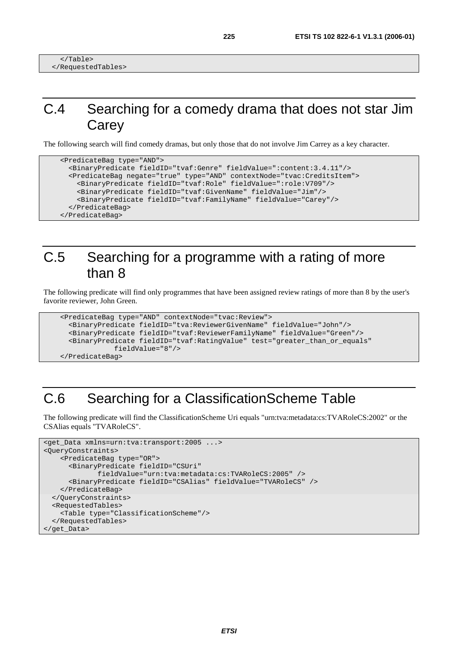#### C.4 Searching for a comedy drama that does not star Jim **Carey**

The following search will find comedy dramas, but only those that do not involve Jim Carrey as a key character.

```
 <PredicateBag type="AND"> 
   <BinaryPredicate fieldID="tvaf:Genre" fieldValue=":content:3.4.11"/> 
   <PredicateBag negate="true" type="AND" contextNode="tvac:CreditsItem"> 
     <BinaryPredicate fieldID="tvaf:Role" fieldValue=":role:V709"/> 
     <BinaryPredicate fieldID="tvaf:GivenName" fieldValue="Jim"/> 
     <BinaryPredicate fieldID="tvaf:FamilyName" fieldValue="Carey"/> 
   </PredicateBag> 
 </PredicateBag>
```
#### C.5 Searching for a programme with a rating of more than 8

The following predicate will find only programmes that have been assigned review ratings of more than 8 by the user's favorite reviewer, John Green.

```
 <PredicateBag type="AND" contextNode="tvac:Review"> 
   <BinaryPredicate fieldID="tva:ReviewerGivenName" fieldValue="John"/> 
   <BinaryPredicate fieldID="tvaf:ReviewerFamilyName" fieldValue="Green"/> 
   <BinaryPredicate fieldID="tvaf:RatingValue" test="greater_than_or_equals" 
              fieldValue="8"/> 
 </PredicateBag>
```
### C.6 Searching for a ClassificationScheme Table

The following predicate will find the ClassificationScheme Uri equals "urn:tva:metadata:cs:TVARoleCS:2002" or the CSAlias equals "TVARoleCS".

```
<get_Data xmlns=urn:tva:transport:2005 ...> 
<QueryConstraints> 
     <PredicateBag type="OR"> 
       <BinaryPredicate fieldID="CSUri" 
              fieldValue="urn:tva:metadata:cs:TVARoleCS:2005" /> 
       <BinaryPredicate fieldID="CSAlias" fieldValue="TVARoleCS" /> 
     </PredicateBag> 
   </QueryConstraints> 
   <RequestedTables> 
     <Table type="ClassificationScheme"/> 
   </RequestedTables> 
</get_Data>
```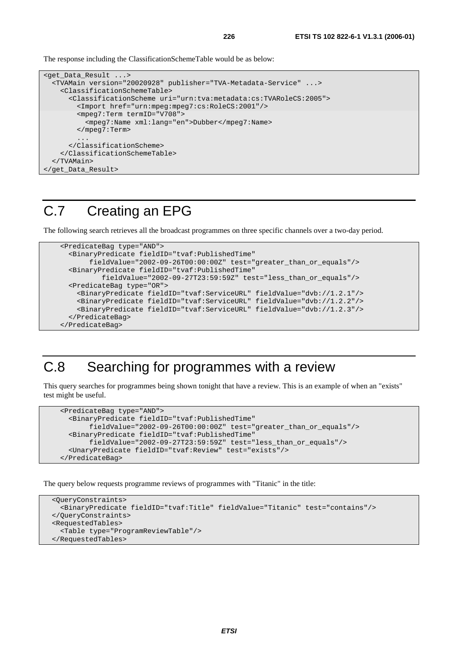The response including the ClassificationSchemeTable would be as below:

```
<get_Data_Result ...> 
   <TVAMain version="20020928" publisher="TVA-Metadata-Service" ...> 
     <ClassificationSchemeTable> 
       <ClassificationScheme uri="urn:tva:metadata:cs:TVARoleCS:2005"> 
         <Import href="urn:mpeg:mpeg7:cs:RoleCS:2001"/> 
         <mpeg7:Term termID="V708"> 
           <mpeg7:Name xml:lang="en">Dubber</mpeg7:Name> 
         </mpeg7:Term> 
 ... 
       </ClassificationScheme> 
     </ClassificationSchemeTable> 
   </TVAMain> 
</get_Data_Result>
```
### C.7 Creating an EPG

The following search retrieves all the broadcast programmes on three specific channels over a two-day period.

```
 <PredicateBag type="AND"> 
   <BinaryPredicate fieldID="tvaf:PublishedTime" 
        fieldValue="2002-09-26T00:00:00Z" test="greater_than_or_equals"/> 
   <BinaryPredicate fieldID="tvaf:PublishedTime" 
           fieldValue="2002-09-27T23:59:59Z" test="less_than_or_equals"/> 
   <PredicateBag type="OR"> 
     <BinaryPredicate fieldID="tvaf:ServiceURL" fieldValue="dvb://1.2.1"/> 
     <BinaryPredicate fieldID="tvaf:ServiceURL" fieldValue="dvb://1.2.2"/> 
     <BinaryPredicate fieldID="tvaf:ServiceURL" fieldValue="dvb://1.2.3"/> 
   </PredicateBag> 
 </PredicateBag>
```
#### C.8 Searching for programmes with a review

This query searches for programmes being shown tonight that have a review. This is an example of when an "exists" test might be useful.

```
 <PredicateBag type="AND"> 
   <BinaryPredicate fieldID="tvaf:PublishedTime" 
        fieldValue="2002-09-26T00:00:00Z" test="greater_than_or_equals"/> 
   <BinaryPredicate fieldID="tvaf:PublishedTime" 
        fieldValue="2002-09-27T23:59:59Z" test="less_than_or_equals"/> 
   <UnaryPredicate fieldID="tvaf:Review" test="exists"/> 
 </PredicateBag>
```
The query below requests programme reviews of programmes with "Titanic" in the title:

```
 <QueryConstraints> 
   <BinaryPredicate fieldID="tvaf:Title" fieldValue="Titanic" test="contains"/> 
 </QueryConstraints> 
 <RequestedTables> 
   <Table type="ProgramReviewTable"/> 
 </RequestedTables>
```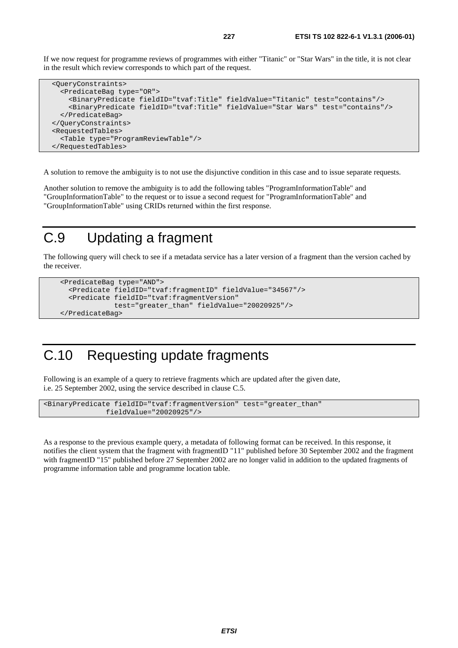If we now request for programme reviews of programmes with either "Titanic" or "Star Wars" in the title, it is not clear in the result which review corresponds to which part of the request.

```
 <QueryConstraints> 
   <PredicateBag type="OR"> 
     <BinaryPredicate fieldID="tvaf:Title" fieldValue="Titanic" test="contains"/> 
     <BinaryPredicate fieldID="tvaf:Title" fieldValue="Star Wars" test="contains"/> 
   </PredicateBag> 
 </QueryConstraints> 
 <RequestedTables> 
   <Table type="ProgramReviewTable"/> 
 </RequestedTables>
```
A solution to remove the ambiguity is to not use the disjunctive condition in this case and to issue separate requests.

Another solution to remove the ambiguity is to add the following tables "ProgramInformationTable" and "GroupInformationTable" to the request or to issue a second request for "ProgramInformationTable" and "GroupInformationTable" using CRIDs returned within the first response.

#### C.9 Updating a fragment

The following query will check to see if a metadata service has a later version of a fragment than the version cached by the receiver.

```
 <PredicateBag type="AND"> 
   <Predicate fieldID="tvaf:fragmentID" fieldValue="34567"/> 
   <Predicate fieldID="tvaf:fragmentVersion" 
              test="greater_than" fieldValue="20020925"/> 
 </PredicateBag>
```
#### C.10 Requesting update fragments

Following is an example of a query to retrieve fragments which are updated after the given date, i.e. 25 September 2002, using the service described in clause C.5.

```
<BinaryPredicate fieldID="tvaf:fragmentVersion" test="greater_than" 
                fieldValue="20020925"/>
```
As a response to the previous example query, a metadata of following format can be received. In this response, it notifies the client system that the fragment with fragmentID "11" published before 30 September 2002 and the fragment with fragmentID "15" published before 27 September 2002 are no longer valid in addition to the updated fragments of programme information table and programme location table.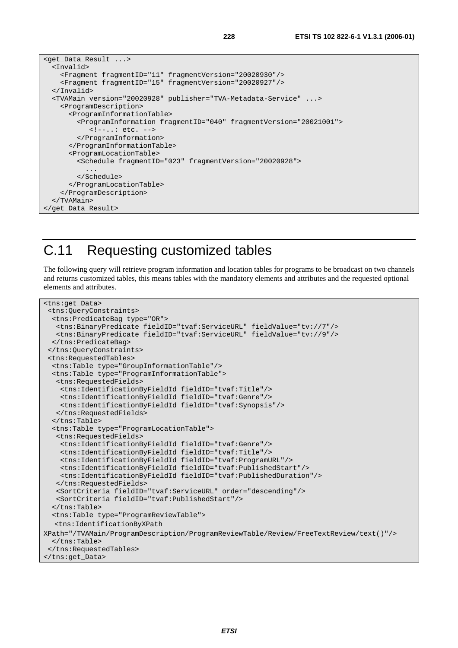```
<get_Data_Result ...> 
  <Invalid> 
     <Fragment fragmentID="11" fragmentVersion="20020930"/> 
     <Fragment fragmentID="15" fragmentVersion="20020927"/> 
  </Invalid> 
  <TVAMain version="20020928" publisher="TVA-Metadata-Service" ...> 
     <ProgramDescription> 
       <ProgramInformationTable> 
         <ProgramInformation fragmentID="040" fragmentVersion="20021001"> 
            <!--..: etc. --> 
         </ProgramInformation> 
       </ProgramInformationTable> 
       <ProgramLocationTable> 
         <Schedule fragmentID="023" fragmentVersion="20020928"> 
            ... 
         </Schedule> 
       </ProgramLocationTable> 
     </ProgramDescription> 
  </TVAMain> 
</get_Data_Result>
```
#### C.11 Requesting customized tables

The following query will retrieve program information and location tables for programs to be broadcast on two channels and returns customized tables, this means tables with the mandatory elements and attributes and the requested optional elements and attributes.

```
<tns:get_Data> 
  <tns:QueryConstraints> 
   <tns:PredicateBag type="OR"> 
    <tns:BinaryPredicate fieldID="tvaf:ServiceURL" fieldValue="tv://7"/> 
    <tns:BinaryPredicate fieldID="tvaf:ServiceURL" fieldValue="tv://9"/> 
   </tns:PredicateBag> 
  </tns:QueryConstraints> 
  <tns:RequestedTables> 
   <tns:Table type="GroupInformationTable"/> 
   <tns:Table type="ProgramInformationTable"> 
    <tns:RequestedFields> 
     <tns:IdentificationByFieldId fieldID="tvaf:Title"/> 
     <tns:IdentificationByFieldId fieldID="tvaf:Genre"/> 
     <tns:IdentificationByFieldId fieldID="tvaf:Synopsis"/> 
    </tns:RequestedFields> 
   </tns:Table> 
   <tns:Table type="ProgramLocationTable"> 
    <tns:RequestedFields> 
     <tns:IdentificationByFieldId fieldID="tvaf:Genre"/> 
     <tns:IdentificationByFieldId fieldID="tvaf:Title"/> 
     <tns:IdentificationByFieldId fieldID="tvaf:ProgramURL"/> 
     <tns:IdentificationByFieldId fieldID="tvaf:PublishedStart"/> 
     <tns:IdentificationByFieldId fieldID="tvaf:PublishedDuration"/> 
    </tns:RequestedFields> 
    <SortCriteria fieldID="tvaf:ServiceURL" order="descending"/> 
    <SortCriteria fieldID="tvaf:PublishedStart"/> 
   </tns:Table> 
   <tns:Table type="ProgramReviewTable"> 
   <tns:IdentificationByXPath 
XPath="/TVAMain/ProgramDescription/ProgramReviewTable/Review/FreeTextReview/text()"/> 
   </tns:Table> 
  </tns:RequestedTables> 
</tns:get_Data>
```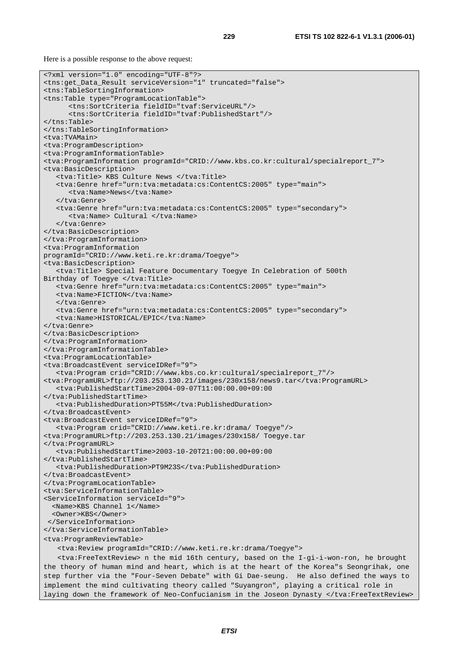Here is a possible response to the above request:

```
<?xml version="1.0" encoding="UTF-8"?> 
<tns:get_Data_Result serviceVersion="1" truncated="false"> 
<tns:TableSortingInformation> 
<tns:Table type="ProgramLocationTable"> 
       <tns:SortCriteria fieldID="tvaf:ServiceURL"/> 
       <tns:SortCriteria fieldID="tvaf:PublishedStart"/> 
</tns:Table> 
</tns:TableSortingInformation> 
<tva:TVAMain> 
<tva:ProgramDescription> 
<tva:ProgramInformationTable> 
<tva:ProgramInformation programId="CRID://www.kbs.co.kr:cultural/specialreport_7"> 
<tva:BasicDescription> 
    <tva:Title> KBS Culture News </tva:Title> 
    <tva:Genre href="urn:tva:metadata:cs:ContentCS:2005" type="main"> 
       <tva:Name>News</tva:Name> 
   </tva:Genre>
    <tva:Genre href="urn:tva:metadata:cs:ContentCS:2005" type="secondary"> 
       <tva:Name> Cultural </tva:Name> 
   </tva:Genre>
</tva:BasicDescription> 
</tva:ProgramInformation> 
<tva:ProgramInformation 
programId="CRID://www.keti.re.kr:drama/Toegye"> 
<tva:BasicDescription> 
    <tva:Title> Special Feature Documentary Toegye In Celebration of 500th 
Birthday of Toegye </tya:Title>
    <tva:Genre href="urn:tva:metadata:cs:ContentCS:2005" type="main"> 
    <tva:Name>FICTION</tva:Name> 
    </tva:Genre> 
    <tva:Genre href="urn:tva:metadata:cs:ContentCS:2005" type="secondary"> 
    <tva:Name>HISTORICAL/EPIC</tva:Name> 
</tva:Genre> 
</tva:BasicDescription> 
</tva:ProgramInformation> 
</tva:ProgramInformationTable> 
<tva:ProgramLocationTable> 
<tva:BroadcastEvent serviceIDRef="9"> 
    <tva:Program crid="CRID://www.kbs.co.kr:cultural/specialreport_7"/> 
<tva:ProgramURL>ftp://203.253.130.21/images/230x158/news9.tar</tva:ProgramURL> 
    <tva:PublishedStartTime>2004-09-07T11:00:00.00+09:00 
</tva:PublishedStartTime> 
    <tva:PublishedDuration>PT55M</tva:PublishedDuration> 
</tva:BroadcastEvent> 
<tva:BroadcastEvent serviceIDRef="9"> 
    <tva:Program crid="CRID://www.keti.re.kr:drama/ Toegye"/> 
<tva:ProgramURL>ftp://203.253.130.21/images/230x158/ Toegye.tar 
</tva:ProgramURL> 
    <tva:PublishedStartTime>2003-10-20T21:00:00.00+09:00 
</tva:PublishedStartTime> 
    <tva:PublishedDuration>PT9M23S</tva:PublishedDuration> 
</tva:BroadcastEvent> 
</tva:ProgramLocationTable> 
<tva:ServiceInformationTable> 
<ServiceInformation serviceId="9"> 
   <Name>KBS Channel 1</Name> 
   <Owner>KBS</Owner> 
  </ServiceInformation> 
</tva:ServiceInformationTable> 
<tva:ProgramReviewTable> 
   <tva:Review programId="CRID://www.keti.re.kr:drama/Toegye"> 
   <tva:FreeTextReview> n the mid 16th century, based on the I-gi-i-won-ron, he brought 
the theory of human mind and heart, which is at the heart of the Korea"s Seongrihak, one 
step further via the "Four-Seven Debate" with Gi Dae-seung. He also defined the ways to 
implement the mind cultivating theory called "Suyangron", playing a critical role in 
laying down the framework of Neo-Confucianism in the Joseon Dynasty </tva:FreeTextReview>
```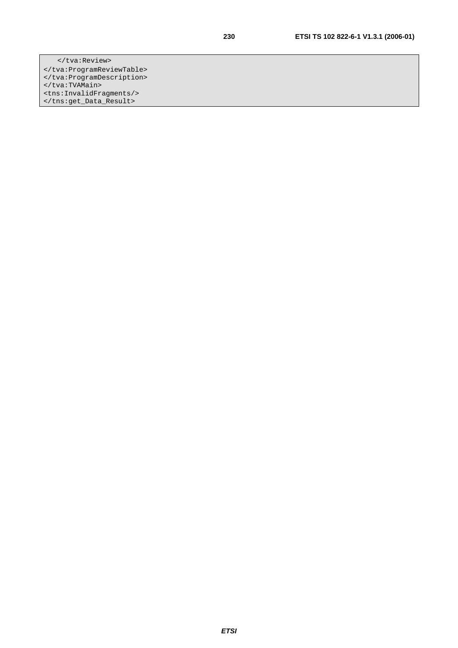</tva:Review> </tva:ProgramReviewTable> </tva:ProgramDescription> </tva:TVAMain> <tns:InvalidFragments/> </tns:get\_Data\_Result>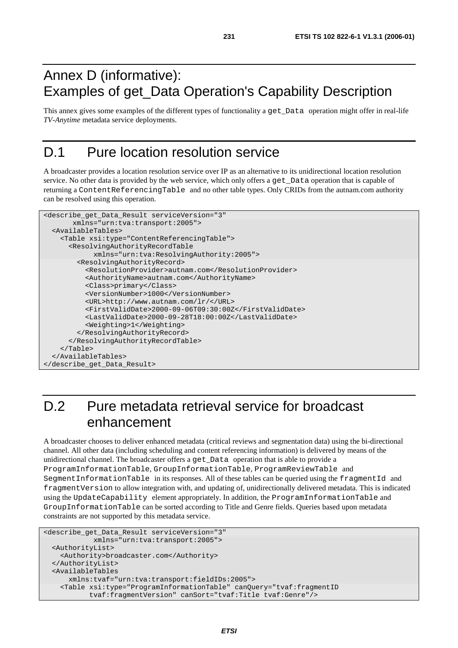### Annex D (informative): Examples of get\_Data Operation's Capability Description

This annex gives some examples of the different types of functionality a get\_Data operation might offer in real-life *TV-Anytime* metadata service deployments.

### D.1 Pure location resolution service

A broadcaster provides a location resolution service over IP as an alternative to its unidirectional location resolution service. No other data is provided by the web service, which only offers a get\_Data operation that is capable of returning a ContentReferencingTable and no other table types. Only CRIDs from the autnam.com authority can be resolved using this operation.

```
<describe_get_Data_Result serviceVersion="3" 
        xmlns="urn:tva:transport:2005"> 
  <AvailableTables> 
     <Table xsi:type="ContentReferencingTable"> 
       <ResolvingAuthorityRecordTable 
             xmlns="urn:tva:ResolvingAuthority:2005"> 
         <ResolvingAuthorityRecord> 
           <ResolutionProvider>autnam.com</ResolutionProvider> 
           <AuthorityName>autnam.com</AuthorityName> 
           <Class>primary</Class> 
           <VersionNumber>1000</VersionNumber> 
           <URL>http://www.autnam.com/lr/</URL> 
           <FirstValidDate>2000-09-06T09:30:00Z</FirstValidDate> 
           <LastValidDate>2000-09-28T18:00:00Z</LastValidDate> 
           <Weighting>1</Weighting> 
         </ResolvingAuthorityRecord> 
       </ResolvingAuthorityRecordTable> 
     </Table> 
  </AvailableTables> 
</describe_get_Data_Result>
```
## D.2 Pure metadata retrieval service for broadcast enhancement

A broadcaster chooses to deliver enhanced metadata (critical reviews and segmentation data) using the bi-directional channel. All other data (including scheduling and content referencing information) is delivered by means of the unidirectional channel. The broadcaster offers a get\_Data operation that is able to provide a ProgramInformationTable, GroupInformationTable, ProgramReviewTable and SegmentInformationTable in its responses. All of these tables can be queried using the fragmentId and fragmentVersion to allow integration with, and updating of, unidirectionally delivered metadata. This is indicated using the UpdateCapability element appropriately. In addition, the ProgramInformationTable and GroupInformationTable can be sorted according to Title and Genre fields. Queries based upon metadata constraints are not supported by this metadata service.

```
<describe_get_Data_Result serviceVersion="3" 
             xmlns="urn:tva:transport:2005"> 
   <AuthorityList> 
     <Authority>broadcaster.com</Authority> 
   </AuthorityList> 
   <AvailableTables 
       xmlns:tvaf="urn:tva:transport:fieldIDs:2005"> 
     <Table xsi:type="ProgramInformationTable" canQuery="tvaf:fragmentID 
            tvaf:fragmentVersion" canSort="tvaf:Title tvaf:Genre"/>
```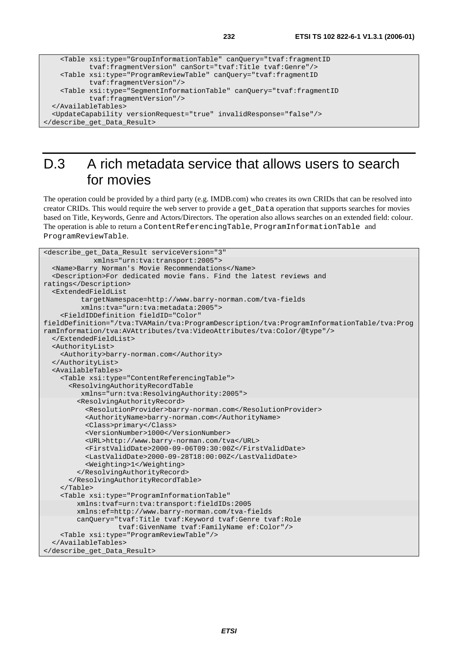```
 <Table xsi:type="GroupInformationTable" canQuery="tvaf:fragmentID 
            tvaf:fragmentVersion" canSort="tvaf:Title tvaf:Genre"/> 
    <Table xsi:type="ProgramReviewTable" canQuery="tvaf:fragmentID 
            tvaf:fragmentVersion"/> 
    <Table xsi:type="SegmentInformationTable" canQuery="tvaf:fragmentID 
            tvaf:fragmentVersion"/> 
  </AvailableTables> 
  <UpdateCapability versionRequest="true" invalidResponse="false"/> 
</describe_get_Data_Result>
```
#### D.3 A rich metadata service that allows users to search for movies

The operation could be provided by a third party (e.g. IMDB.com) who creates its own CRIDs that can be resolved into creator CRIDs. This would require the web server to provide a get\_Data operation that supports searches for movies based on Title, Keywords, Genre and Actors/Directors. The operation also allows searches on an extended field: colour. The operation is able to return a ContentReferencingTable, ProgramInformationTable and ProgramReviewTable.

```
<describe_get_Data_Result serviceVersion="3" 
             xmlns="urn:tva:transport:2005"> 
   <Name>Barry Norman's Movie Recommendations</Name> 
   <Description>For dedicated movie fans. Find the latest reviews and 
ratings</Description> 
   <ExtendedFieldList 
          targetNamespace=http://www.barry-norman.com/tva-fields 
          xmlns:tva="urn:tva:metadata:2005"> 
     <FieldIDDefinition fieldID="Color" 
fieldDefinition="/tva:TVAMain/tva:ProgramDescription/tva:ProgramInformationTable/tva:Prog
ramInformation/tva:AVAttributes/tva:VideoAttributes/tva:Color/@type"/> 
   </ExtendedFieldList> 
   <AuthorityList> 
     <Authority>barry-norman.com</Authority> 
   </AuthorityList> 
   <AvailableTables> 
     <Table xsi:type="ContentReferencingTable"> 
       <ResolvingAuthorityRecordTable 
          xmlns="urn:tva:ResolvingAuthority:2005"> 
         <ResolvingAuthorityRecord> 
           <ResolutionProvider>barry-norman.com</ResolutionProvider> 
           <AuthorityName>barry-norman.com</AuthorityName> 
           <Class>primary</Class> 
           <VersionNumber>1000</VersionNumber> 
           <URL>http://www.barry-norman.com/tva</URL> 
           <FirstValidDate>2000-09-06T09:30:00Z</FirstValidDate> 
           <LastValidDate>2000-09-28T18:00:00Z</LastValidDate> 
           <Weighting>1</Weighting> 
         </ResolvingAuthorityRecord> 
       </ResolvingAuthorityRecordTable> 
     </Table> 
     <Table xsi:type="ProgramInformationTable" 
         xmlns:tvaf=urn:tva:transport:fieldIDs:2005 
         xmlns:ef=http://www.barry-norman.com/tva-fields 
         canQuery="tvaf:Title tvaf:Keyword tvaf:Genre tvaf:Role 
                   tvaf:GivenName tvaf:FamilyName ef:Color"/> 
     <Table xsi:type="ProgramReviewTable"/> 
   </AvailableTables> 
</describe_get_Data_Result>
```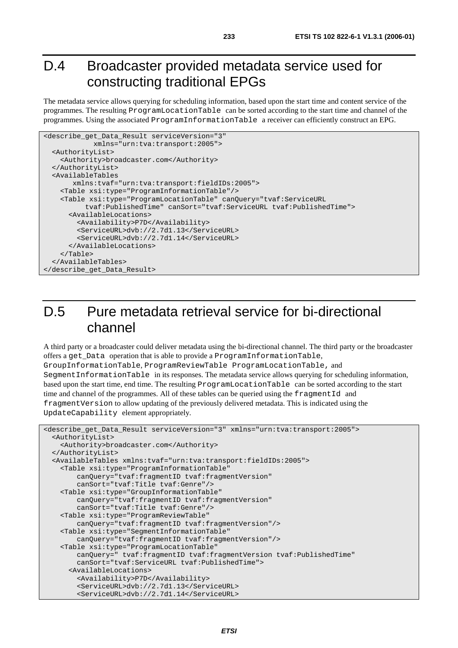#### D.4 Broadcaster provided metadata service used for constructing traditional EPGs

The metadata service allows querying for scheduling information, based upon the start time and content service of the programmes. The resulting ProgramLocationTable can be sorted according to the start time and channel of the programmes. Using the associated ProgramInformationTable a receiver can efficiently construct an EPG.

```
<describe_get_Data_Result serviceVersion="3" 
             xmlns="urn:tva:transport:2005"> 
   <AuthorityList> 
     <Authority>broadcaster.com</Authority> 
   </AuthorityList> 
   <AvailableTables 
        xmlns:tvaf="urn:tva:transport:fieldIDs:2005"> 
     <Table xsi:type="ProgramInformationTable"/> 
     <Table xsi:type="ProgramLocationTable" canQuery="tvaf:ServiceURL 
           tvaf:PublishedTime" canSort="tvaf:ServiceURL tvaf:PublishedTime"> 
       <AvailableLocations> 
         <Availability>P7D</Availability> 
         <ServiceURL>dvb://2.7d1.13</ServiceURL> 
         <ServiceURL>dvb://2.7d1.14</ServiceURL> 
       </AvailableLocations> 
     </Table> 
   </AvailableTables> 
</describe_get_Data_Result>
```
### D.5 Pure metadata retrieval service for bi-directional channel

A third party or a broadcaster could deliver metadata using the bi-directional channel. The third party or the broadcaster offers a get\_Data operation that is able to provide a ProgramInformationTable, GroupInformationTable, ProgramReviewTable ProgramLocationTable, and SegmentInformationTable in its responses. The metadata service allows querying for scheduling information, based upon the start time, end time. The resulting ProgramLocationTable can be sorted according to the start time and channel of the programmes. All of these tables can be queried using the fragmentId and fragmentVersion to allow updating of the previously delivered metadata. This is indicated using the UpdateCapability element appropriately.

```
<describe_get_Data_Result serviceVersion="3" xmlns="urn:tva:transport:2005"> 
   <AuthorityList> 
     <Authority>broadcaster.com</Authority> 
   </AuthorityList> 
   <AvailableTables xmlns:tvaf="urn:tva:transport:fieldIDs:2005"> 
     <Table xsi:type="ProgramInformationTable" 
         canQuery="tvaf:fragmentID tvaf:fragmentVersion" 
         canSort="tvaf:Title tvaf:Genre"/> 
     <Table xsi:type="GroupInformationTable" 
         canQuery="tvaf:fragmentID tvaf:fragmentVersion" 
         canSort="tvaf:Title tvaf:Genre"/> 
     <Table xsi:type="ProgramReviewTable" 
         canQuery="tvaf:fragmentID tvaf:fragmentVersion"/> 
     <Table xsi:type="SegmentInformationTable" 
         canQuery="tvaf:fragmentID tvaf:fragmentVersion"/> 
     <Table xsi:type="ProgramLocationTable" 
         canQuery=" tvaf:fragmentID tvaf:fragmentVersion tvaf:PublishedTime" 
         canSort="tvaf:ServiceURL tvaf:PublishedTime"> 
       <AvailableLocations> 
         <Availability>P7D</Availability> 
         <ServiceURL>dvb://2.7d1.13</ServiceURL> 
         <ServiceURL>dvb://2.7d1.14</ServiceURL>
```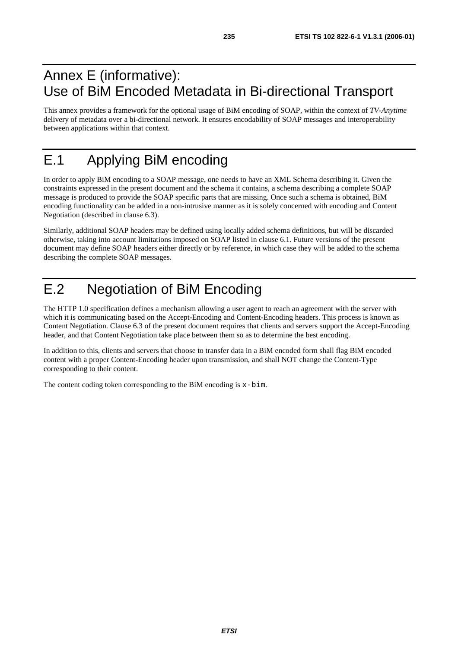### Annex E (informative): Use of BiM Encoded Metadata in Bi-directional Transport

This annex provides a framework for the optional usage of BiM encoding of SOAP, within the context of *TV-Anytime* delivery of metadata over a bi-directional network. It ensures encodability of SOAP messages and interoperability between applications within that context.

## E.1 Applying BiM encoding

In order to apply BiM encoding to a SOAP message, one needs to have an XML Schema describing it. Given the constraints expressed in the present document and the schema it contains, a schema describing a complete SOAP message is produced to provide the SOAP specific parts that are missing. Once such a schema is obtained, BiM encoding functionality can be added in a non-intrusive manner as it is solely concerned with encoding and Content Negotiation (described in clause 6.3).

Similarly, additional SOAP headers may be defined using locally added schema definitions, but will be discarded otherwise, taking into account limitations imposed on SOAP listed in clause 6.1. Future versions of the present document may define SOAP headers either directly or by reference, in which case they will be added to the schema describing the complete SOAP messages.

## E.2 Negotiation of BiM Encoding

The HTTP 1.0 specification defines a mechanism allowing a user agent to reach an agreement with the server with which it is communicating based on the Accept-Encoding and Content-Encoding headers. This process is known as Content Negotiation. Clause 6.3 of the present document requires that clients and servers support the Accept-Encoding header, and that Content Negotiation take place between them so as to determine the best encoding.

In addition to this, clients and servers that choose to transfer data in a BiM encoded form shall flag BiM encoded content with a proper Content-Encoding header upon transmission, and shall NOT change the Content-Type corresponding to their content.

The content coding token corresponding to the BiM encoding is x-bim.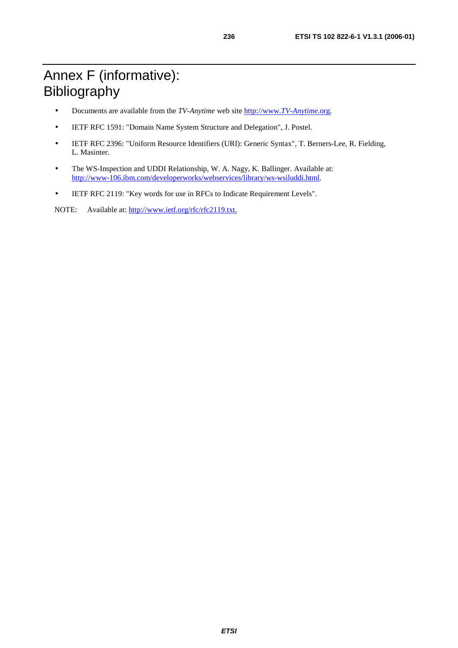- Documents are available from the *TV-Anytime* web site http://www.*[TV-Anytime](http://www.tv-anytime.org/)*.org.
- IETF RFC 1591: "Domain Name System Structure and Delegation", J. Postel.
- IETF RFC 2396: "Uniform Resource Identifiers (URI): Generic Syntax", T. Berners-Lee, R. Fielding, L. Masinter.
- The WS-Inspection and UDDI Relationship, W. A. Nagy, K. Ballinger. Available at: [http://www-106.ibm.com/developerworks/webservices/library/ws-wsiluddi.html.](http://www-106.ibm.com/developerworks/webservices/library/ws-wsiluddi.html)
- IETF RFC 2119: "Key words for use in RFCs to Indicate Requirement Levels".

NOTE: Available at: [http://www.ietf.org/rfc/rfc2119.txt.](http://www.ietf.org/rfc/rfc2119.txt)